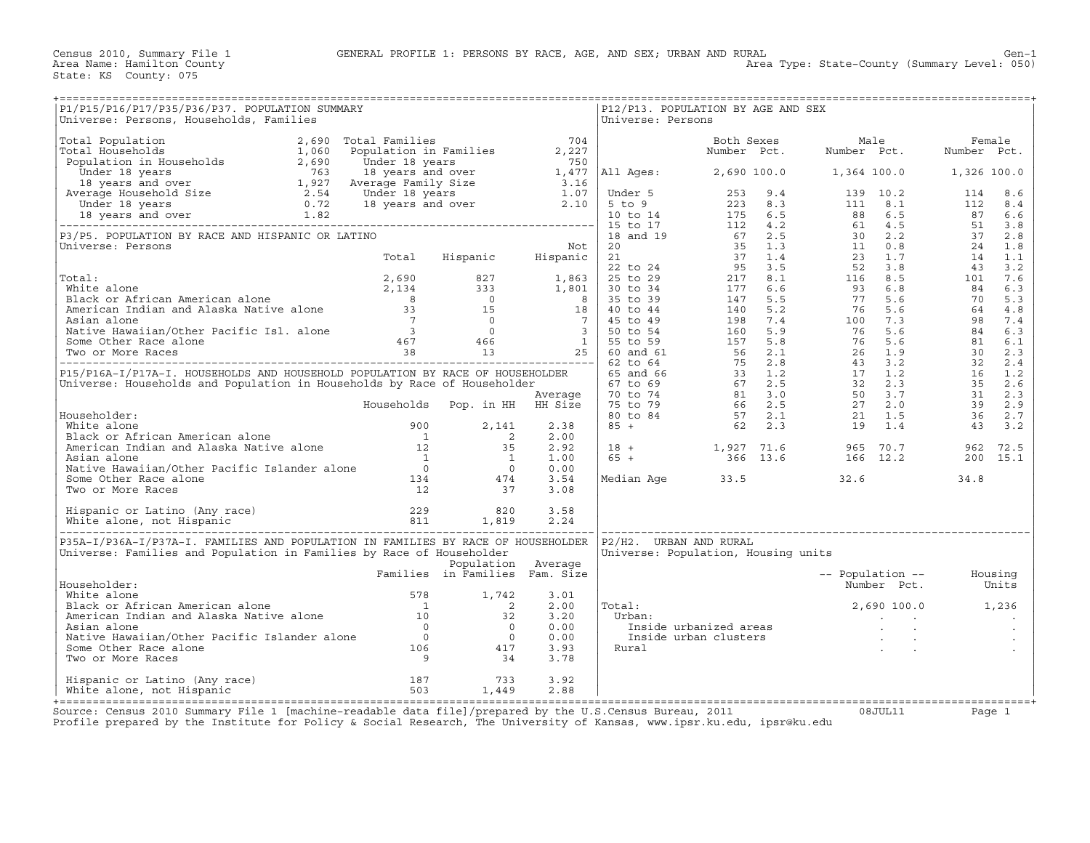Census 2010, Summary File 1 GENERAL PROFILE 1: PERSONS BY RACE, AGE, AND SEX; URBAN AND RURAL Gen-1<br>Area Name: Hamilton County (Summary Level: 050) Area Type: State-County (Summary Level: 050)

State: KS County: 075

Area Type: State-County (Summary Level: 050)

| P1/P15/P16/P17/P35/P36/P37. POPULATION SUMMARY<br>Universe: Persons, Households, Families                                                                                                                                                        |                                                                                   |                      | Universe: Persons | P12/P13. POPULATION BY AGE AND SEX  |                                               |          |
|--------------------------------------------------------------------------------------------------------------------------------------------------------------------------------------------------------------------------------------------------|-----------------------------------------------------------------------------------|----------------------|-------------------|-------------------------------------|-----------------------------------------------|----------|
|                                                                                                                                                                                                                                                  |                                                                                   |                      |                   |                                     |                                               |          |
| Contract Person (monocolar Person (monocolar Person (monocolar Person Male 2)<br>The contract of the contract of the contract of the contract of the contract of the contract of the contract of the contract of the contract o                  |                                                                                   |                      |                   |                                     |                                               |          |
|                                                                                                                                                                                                                                                  |                                                                                   |                      |                   |                                     |                                               |          |
|                                                                                                                                                                                                                                                  |                                                                                   |                      |                   |                                     |                                               |          |
|                                                                                                                                                                                                                                                  |                                                                                   |                      |                   |                                     |                                               |          |
|                                                                                                                                                                                                                                                  |                                                                                   |                      |                   |                                     |                                               |          |
|                                                                                                                                                                                                                                                  |                                                                                   |                      |                   |                                     |                                               |          |
|                                                                                                                                                                                                                                                  |                                                                                   |                      |                   |                                     |                                               |          |
|                                                                                                                                                                                                                                                  |                                                                                   |                      |                   |                                     |                                               |          |
|                                                                                                                                                                                                                                                  |                                                                                   |                      |                   |                                     |                                               |          |
|                                                                                                                                                                                                                                                  |                                                                                   |                      |                   |                                     |                                               |          |
|                                                                                                                                                                                                                                                  |                                                                                   |                      |                   |                                     |                                               |          |
| Householder:<br>White alone<br>Black or African American alone<br>American Indian and Alaska Native alone<br>American Indian and Alaska Native alone<br>12 35 2.92<br>Asian alone<br>Native Hawaiian/Other Pacific Islander alone<br>Some Othe   |                                                                                   |                      |                   | Median Age 33.5 32.6                |                                               | 34.8     |
|                                                                                                                                                                                                                                                  |                                                                                   |                      |                   |                                     |                                               |          |
|                                                                                                                                                                                                                                                  |                                                                                   |                      |                   |                                     |                                               |          |
| P35A-I/P36A-I/P37A-I. FAMILIES AND POPULATION IN FAMILIES BY RACE OF HOUSEHOLDER  P2/H2. URBAN AND RURAL<br>Universe: Families and Population in Families by Race of Householder                                                                 |                                                                                   |                      |                   | Universe: Population, Housing units |                                               |          |
| Householder:                                                                                                                                                                                                                                     | Exposed to the Population<br>Population Average<br>Pamilies in Families Fam. Size |                      |                   |                                     | -- Population -- Housing<br>Number Pct. Units |          |
|                                                                                                                                                                                                                                                  |                                                                                   | 2.00<br>3.20         | Total:<br>Urban:  |                                     |                                               |          |
| Householder:<br>White alone<br>Black or African American alone<br>American Indian and Alaska Native alone<br>Mative Hawaiian/Other Pacific Islander alone<br>Some Other Race alone<br>Some Other Race alone<br>Two or More Races<br>9<br>Some So |                                                                                   | 0.00<br>0.00<br>3.93 | Rural             |                                     |                                               |          |
|                                                                                                                                                                                                                                                  |                                                                                   | 3.78                 |                   |                                     |                                               |          |
| Hispanic or Latino (Any race) 187 187 233<br>White alone, not Hispanic 187 503 1,449                                                                                                                                                             |                                                                                   | 3.92<br>2.88         |                   |                                     |                                               |          |
| Source: Census 2010 Summary File 1 [machine-readable data file]/prepared by the U.S.Census Bureau, 2011 68JUL11                                                                                                                                  |                                                                                   |                      |                   |                                     |                                               | Page $1$ |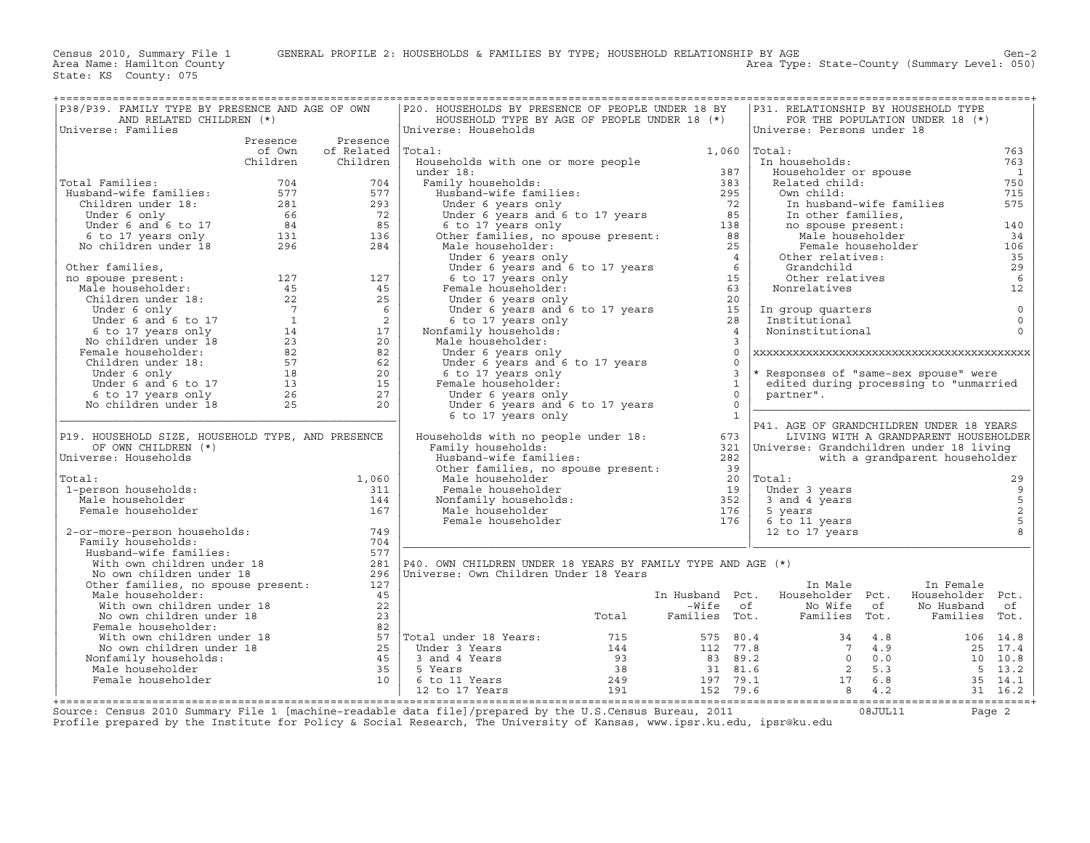| P38/P39. FAMILY TYPE BY PRESENCE AND AGE OF OWN                                                                                                                                                                                                                                            | P20. HOUSEHOLDS BY PRESENCE OF PEOPLE UNDER 18 BY<br>P31. RELATIONSHIP BY HOUSEHOLD TYPE                                                                                                                                                           |
|--------------------------------------------------------------------------------------------------------------------------------------------------------------------------------------------------------------------------------------------------------------------------------------------|----------------------------------------------------------------------------------------------------------------------------------------------------------------------------------------------------------------------------------------------------|
| AND RELATED CHILDREN (*)<br>Universe: Families                                                                                                                                                                                                                                             | HOUSEHOLD TYPE BY AGE OF PEOPLE UNDER 18 (*)<br>FOR THE POPULATION UNDER 18 (*)<br>Universe: Households<br>Universe: Persons under 18                                                                                                              |
| Presence Presence                                                                                                                                                                                                                                                                          |                                                                                                                                                                                                                                                    |
| of Own of Related<br>Total:                                                                                                                                                                                                                                                                | $1,060$ $ Total:$<br>763                                                                                                                                                                                                                           |
| Children<br>Children                                                                                                                                                                                                                                                                       | Households with one or more people<br>763<br>In households:                                                                                                                                                                                        |
|                                                                                                                                                                                                                                                                                            | Householder or spouse<br>$\overline{1}$                                                                                                                                                                                                            |
| Total Families:                                                                                                                                                                                                                                                                            | Related child:<br>750                                                                                                                                                                                                                              |
|                                                                                                                                                                                                                                                                                            | 715<br>Own child:                                                                                                                                                                                                                                  |
|                                                                                                                                                                                                                                                                                            | 575<br>In husband-wife families                                                                                                                                                                                                                    |
|                                                                                                                                                                                                                                                                                            | In other families,                                                                                                                                                                                                                                 |
|                                                                                                                                                                                                                                                                                            | no spouse present:<br>140                                                                                                                                                                                                                          |
|                                                                                                                                                                                                                                                                                            | no spouse present:<br>Male householder<br>34                                                                                                                                                                                                       |
| 1991 Total Families: $\begin{array}{llllll} 704 & 704 & 704 \\ \text{Husband-wife families:} & 577 & 577 \\ \text{Children under 18:} & 281 & 293 \\ \text{Under 6 and 6 to 17} & 66 & 72 \\ \text{6 to 17 years only} & 131 & 136 \\ \text{No children under 18} & 296 & 284 \end{array}$ | Female householder<br>106                                                                                                                                                                                                                          |
|                                                                                                                                                                                                                                                                                            | Other relatives:<br>35                                                                                                                                                                                                                             |
|                                                                                                                                                                                                                                                                                            | 29<br>Grandchild                                                                                                                                                                                                                                   |
|                                                                                                                                                                                                                                                                                            | $\epsilon$<br>Other relatives                                                                                                                                                                                                                      |
|                                                                                                                                                                                                                                                                                            | 12<br>Nonrelatives                                                                                                                                                                                                                                 |
|                                                                                                                                                                                                                                                                                            |                                                                                                                                                                                                                                                    |
|                                                                                                                                                                                                                                                                                            | $\mathbb O$<br>In group quarters                                                                                                                                                                                                                   |
|                                                                                                                                                                                                                                                                                            | $\mathbf 0$<br>Institutional                                                                                                                                                                                                                       |
|                                                                                                                                                                                                                                                                                            | $\Omega$<br>Noninstitutional                                                                                                                                                                                                                       |
|                                                                                                                                                                                                                                                                                            |                                                                                                                                                                                                                                                    |
|                                                                                                                                                                                                                                                                                            | $\Omega$<br>Under 6 years only                                                                                                                                                                                                                     |
|                                                                                                                                                                                                                                                                                            | Under 6 years and 6 to 17 years<br>$\Omega$                                                                                                                                                                                                        |
|                                                                                                                                                                                                                                                                                            | $\overline{3}$<br>* Responses of "same-sex spouse" were<br>6 to 17 years only                                                                                                                                                                      |
|                                                                                                                                                                                                                                                                                            | Female householder:<br>$\mathbf{1}$<br>edited during processing to "unmarried                                                                                                                                                                      |
|                                                                                                                                                                                                                                                                                            | $\Omega$<br>partner".                                                                                                                                                                                                                              |
|                                                                                                                                                                                                                                                                                            | Under 6 years only<br>$\bigcap$                                                                                                                                                                                                                    |
|                                                                                                                                                                                                                                                                                            | Under 6 years and $6$ to 17 years<br>6 to 17 years only<br>6 to 17 years only<br>$\overline{1}$                                                                                                                                                    |
|                                                                                                                                                                                                                                                                                            | P41. AGE OF GRANDCHILDREN UNDER 18 YEARS                                                                                                                                                                                                           |
| P19. HOUSEHOLD SIZE, HOUSEHOLD TYPE, AND PRESENCE                                                                                                                                                                                                                                          | Households with no people under 18:<br>673<br>LIVING WITH A GRANDPARENT HOUSEHOLDER                                                                                                                                                                |
| OF OWN CHILDREN (*)                                                                                                                                                                                                                                                                        | Family households:<br>321   Universe: Grandchildren under 18 living                                                                                                                                                                                |
| Universe: Households                                                                                                                                                                                                                                                                       | with a grandparent householder                                                                                                                                                                                                                     |
|                                                                                                                                                                                                                                                                                            | Family households:<br>Husband-wife families:<br>Other families, no spouse present:<br>Male householder<br>Male householder<br>Nonfamily households:<br>Male households:<br>Male householder<br>Male householder<br>Female householder<br>The Sunda |
| Total:<br>1,060                                                                                                                                                                                                                                                                            | 29                                                                                                                                                                                                                                                 |
| 1-person households:<br>311                                                                                                                                                                                                                                                                | Under 3 years                                                                                                                                                                                                                                      |
| Male householder<br>144                                                                                                                                                                                                                                                                    | 3 and 4 years                                                                                                                                                                                                                                      |
| Female householder<br>167                                                                                                                                                                                                                                                                  | $\begin{array}{c} 9 \\ 5 \\ 2 \\ 5 \end{array}$<br>5 years                                                                                                                                                                                         |
|                                                                                                                                                                                                                                                                                            | 6 to 11 years                                                                                                                                                                                                                                      |
| 749<br>2-or-more-person households:                                                                                                                                                                                                                                                        | 12 to 17 years                                                                                                                                                                                                                                     |
| Family households:<br>704                                                                                                                                                                                                                                                                  |                                                                                                                                                                                                                                                    |
| Husband-wife families:<br>577                                                                                                                                                                                                                                                              |                                                                                                                                                                                                                                                    |
| Musband-wire ramiinen under 18<br>With own children under 18<br>Other families, no spouse present:<br>281                                                                                                                                                                                  | P40. OWN CHILDREN UNDER 18 YEARS BY FAMILY TYPE AND AGE (*)                                                                                                                                                                                        |
| 296                                                                                                                                                                                                                                                                                        | Universe: Own Children Under 18 Years                                                                                                                                                                                                              |
| 127                                                                                                                                                                                                                                                                                        | In Male<br>In Female                                                                                                                                                                                                                               |
| Male householder:<br>45                                                                                                                                                                                                                                                                    | In Husband Pct. Householder Pct.<br>Householder Pct.                                                                                                                                                                                               |
|                                                                                                                                                                                                                                                                                            |                                                                                                                                                                                                                                                    |
|                                                                                                                                                                                                                                                                                            | -Wife of Mo Wife of<br>Total Families Tot. Families Tot.                                                                                                                                                                                           |
|                                                                                                                                                                                                                                                                                            |                                                                                                                                                                                                                                                    |
|                                                                                                                                                                                                                                                                                            |                                                                                                                                                                                                                                                    |
|                                                                                                                                                                                                                                                                                            |                                                                                                                                                                                                                                                    |
|                                                                                                                                                                                                                                                                                            |                                                                                                                                                                                                                                                    |
|                                                                                                                                                                                                                                                                                            |                                                                                                                                                                                                                                                    |
|                                                                                                                                                                                                                                                                                            |                                                                                                                                                                                                                                                    |
|                                                                                                                                                                                                                                                                                            |                                                                                                                                                                                                                                                    |
| the contract of the contract of the contract of the contract of the contract of the contract of the contract of                                                                                                                                                                            | Mich own children under 18<br>No own children under 18<br>No own children under 18<br>No own children under 18<br>No own children under 18<br>No with own children under 18<br>Mich own children under 18<br>No with own children under 18<br>     |

Source: Census 2010 Summary File 1 [machine−readable data file]/prepared by the U.S.Census Bureau, 2011 08JUL11 Page 2 Profile prepared by the Institute for Policy & Social Research, The University of Kansas, www.ipsr.ku.edu, ipsr@ku.edu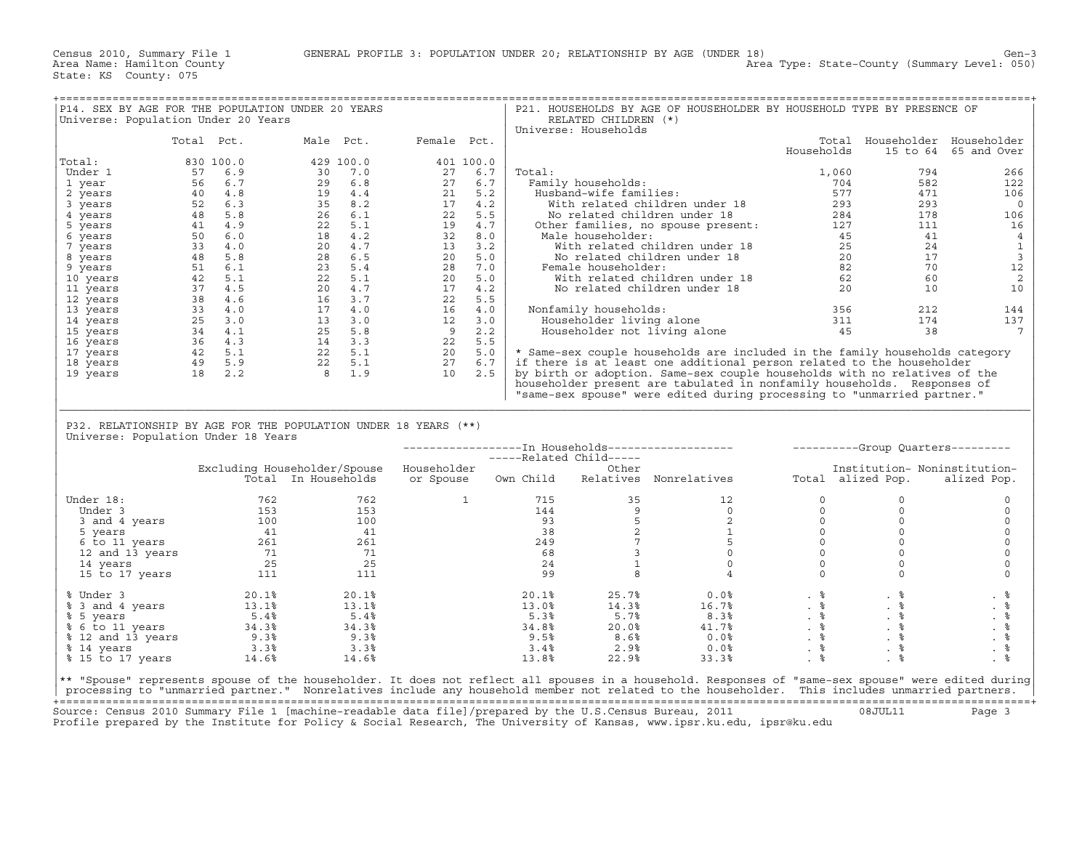Area Type: State-County (Summary Level: 050)

| P14. SEX BY AGE FOR THE POPULATION UNDER 20 YEARS               |                                                                                                                                                                                                                                                                                                                                                |                                                                      |                                                                                                                                                                                                                                                                                               |           |                                                                                                                                                                                                                                               |     |                                                |                         | P21. HOUSEHOLDS BY AGE OF HOUSEHOLDER BY HOUSEHOLD TYPE BY PRESENCE OF                                                                                                                                                                                                                                |              |                              |                               |
|-----------------------------------------------------------------|------------------------------------------------------------------------------------------------------------------------------------------------------------------------------------------------------------------------------------------------------------------------------------------------------------------------------------------------|----------------------------------------------------------------------|-----------------------------------------------------------------------------------------------------------------------------------------------------------------------------------------------------------------------------------------------------------------------------------------------|-----------|-----------------------------------------------------------------------------------------------------------------------------------------------------------------------------------------------------------------------------------------------|-----|------------------------------------------------|-------------------------|-------------------------------------------------------------------------------------------------------------------------------------------------------------------------------------------------------------------------------------------------------------------------------------------------------|--------------|------------------------------|-------------------------------|
| Universe: Population Under 20 Years                             |                                                                                                                                                                                                                                                                                                                                                |                                                                      |                                                                                                                                                                                                                                                                                               |           |                                                                                                                                                                                                                                               |     |                                                | RELATED CHILDREN (*)    |                                                                                                                                                                                                                                                                                                       |              |                              |                               |
|                                                                 |                                                                                                                                                                                                                                                                                                                                                |                                                                      |                                                                                                                                                                                                                                                                                               |           |                                                                                                                                                                                                                                               |     |                                                | Universe: Households    |                                                                                                                                                                                                                                                                                                       |              |                              |                               |
|                                                                 |                                                                                                                                                                                                                                                                                                                                                | Total Pct.                                                           |                                                                                                                                                                                                                                                                                               |           | Male Pct. Female Pct.                                                                                                                                                                                                                         |     |                                                |                         |                                                                                                                                                                                                                                                                                                       |              |                              | Total Householder Householder |
|                                                                 |                                                                                                                                                                                                                                                                                                                                                |                                                                      |                                                                                                                                                                                                                                                                                               |           |                                                                                                                                                                                                                                               |     |                                                |                         |                                                                                                                                                                                                                                                                                                       | Households   |                              | 15 to 64 65 and Over          |
| Total:                                                          |                                                                                                                                                                                                                                                                                                                                                | 830 100.0                                                            |                                                                                                                                                                                                                                                                                               | 429 100.0 | 401 100.0                                                                                                                                                                                                                                     |     |                                                |                         |                                                                                                                                                                                                                                                                                                       |              |                              |                               |
| Under 1                                                         |                                                                                                                                                                                                                                                                                                                                                | 57 6.9                                                               |                                                                                                                                                                                                                                                                                               | 30 7.0    | 27                                                                                                                                                                                                                                            | 6.7 | Total:                                         |                         |                                                                                                                                                                                                                                                                                                       | 1,060        | 794                          | 266                           |
|                                                                 |                                                                                                                                                                                                                                                                                                                                                | 56 6.7                                                               |                                                                                                                                                                                                                                                                                               |           | 27                                                                                                                                                                                                                                            | 6.7 |                                                | Family households:      |                                                                                                                                                                                                                                                                                                       |              | 582                          | 122                           |
| 1 year                                                          |                                                                                                                                                                                                                                                                                                                                                |                                                                      | $296.8$<br>194.4                                                                                                                                                                                                                                                                              |           |                                                                                                                                                                                                                                               |     |                                                |                         | -<br>Family households:<br>Husband-wife families:                                                                                                                                                                                                                                                     | 704          | 471                          |                               |
| 2 years                                                         |                                                                                                                                                                                                                                                                                                                                                |                                                                      |                                                                                                                                                                                                                                                                                               |           |                                                                                                                                                                                                                                               |     |                                                |                         |                                                                                                                                                                                                                                                                                                       |              |                              | 106                           |
| 3 years                                                         |                                                                                                                                                                                                                                                                                                                                                |                                                                      |                                                                                                                                                                                                                                                                                               |           |                                                                                                                                                                                                                                               |     |                                                |                         |                                                                                                                                                                                                                                                                                                       |              | 293                          | $\circ$                       |
| 4 years                                                         |                                                                                                                                                                                                                                                                                                                                                |                                                                      |                                                                                                                                                                                                                                                                                               |           |                                                                                                                                                                                                                                               |     |                                                |                         |                                                                                                                                                                                                                                                                                                       |              | 178                          | 106                           |
| 5 years                                                         |                                                                                                                                                                                                                                                                                                                                                |                                                                      |                                                                                                                                                                                                                                                                                               |           |                                                                                                                                                                                                                                               |     |                                                |                         |                                                                                                                                                                                                                                                                                                       |              | 111                          | 16                            |
| 6 years                                                         |                                                                                                                                                                                                                                                                                                                                                |                                                                      |                                                                                                                                                                                                                                                                                               |           |                                                                                                                                                                                                                                               |     |                                                |                         | EXERCISE:<br>With related children under 18<br>No related children under 18<br>293<br>No related children under 18<br>284<br>284<br>Male householder:<br>27<br>Male householder:<br>25<br>27<br>27<br>284<br>284<br>284<br>284<br>284<br>285<br>284<br>285<br>285<br>285<br>                          |              | 41                           | $\overline{4}$                |
| 7 years                                                         |                                                                                                                                                                                                                                                                                                                                                |                                                                      |                                                                                                                                                                                                                                                                                               |           |                                                                                                                                                                                                                                               |     |                                                |                         |                                                                                                                                                                                                                                                                                                       |              | 24                           | $1\,$                         |
| 8 years                                                         |                                                                                                                                                                                                                                                                                                                                                |                                                                      |                                                                                                                                                                                                                                                                                               |           |                                                                                                                                                                                                                                               |     |                                                |                         |                                                                                                                                                                                                                                                                                                       |              | 17                           | 3                             |
| 9 years                                                         |                                                                                                                                                                                                                                                                                                                                                |                                                                      |                                                                                                                                                                                                                                                                                               |           |                                                                                                                                                                                                                                               |     |                                                | Female householder:     |                                                                                                                                                                                                                                                                                                       |              | 70                           | 12                            |
| 10 years                                                        |                                                                                                                                                                                                                                                                                                                                                |                                                                      |                                                                                                                                                                                                                                                                                               |           |                                                                                                                                                                                                                                               |     |                                                |                         |                                                                                                                                                                                                                                                                                                       |              | 60                           | 2                             |
| 11 years                                                        |                                                                                                                                                                                                                                                                                                                                                |                                                                      |                                                                                                                                                                                                                                                                                               |           |                                                                                                                                                                                                                                               |     |                                                |                         |                                                                                                                                                                                                                                                                                                       |              | 10                           | 10                            |
| 12 years                                                        |                                                                                                                                                                                                                                                                                                                                                |                                                                      |                                                                                                                                                                                                                                                                                               |           |                                                                                                                                                                                                                                               |     |                                                |                         |                                                                                                                                                                                                                                                                                                       |              |                              |                               |
| 13 years                                                        |                                                                                                                                                                                                                                                                                                                                                |                                                                      |                                                                                                                                                                                                                                                                                               |           |                                                                                                                                                                                                                                               |     |                                                | Nonfamily households:   | Male householder:<br>With related children under 18<br>With related children under 18<br>25<br>No related children under 18<br>20<br>New letter under 18<br>20<br>With related children under 18<br>20<br>No related children under 18<br>20<br>20<br>32                                              |              | 356<br>212                   | 144                           |
| 14 years                                                        |                                                                                                                                                                                                                                                                                                                                                |                                                                      |                                                                                                                                                                                                                                                                                               |           |                                                                                                                                                                                                                                               |     |                                                |                         |                                                                                                                                                                                                                                                                                                       |              | 174                          | 137                           |
| 15 years                                                        |                                                                                                                                                                                                                                                                                                                                                |                                                                      |                                                                                                                                                                                                                                                                                               |           |                                                                                                                                                                                                                                               |     |                                                |                         | Difamily nouseholds:<br>Householder living alone and the same of the side of the side of the side of the side of the side of the side o<br>The side of the side of the side of the side of the side of the side of the side of the s                                                                  |              | 38                           | $7\overline{ }$               |
| 16 years                                                        | $\begin{array}{cccc} 56 & 6 \cdot .7 \\ 40 & 4 \cdot .8 \\ 52 & 6 \cdot .3 \\ 48 & 5 \cdot .8 \\ 41 & 4 \cdot .9 \\ 50 & 6 \cdot .0 \\ 48 & 5 \cdot .8 \\ 42 & 5 \cdot .1 \\ 47 & 5 \cdot .5 \\ 38 & 4 \cdot .6 \\ 33 & 4 \cdot .0 \\ 25 & 3 \cdot .4 \\ 36 & 4 \cdot .3 \\ 42 & 5 \cdot .1 \\ 49 & 5 \cdot .9 \\ 18 & 2 \cdot .2 \end{array}$ |                                                                      | $\begin{array}{r} 29 \ 4.8 \ 19 \ 26 \ 35 \ 26 \ 22 \ 5.1 \ 20 \ 4.7 \ 7 \ 28 \ 22 \ 23 \ 5.4 \ 20 \ 4.7 \ 24 \ 25 \ 22 \ 23 \ 24 \ 25 \ 24 \ 25 \ 26 \ 23 \ 25 \ 24 \ 25 \ 26 \ 27 \ 28 \ 28 \ 29 \ 21 \ 22 \ 25.1 \ 24 \ 22 \ 25.1 \ 22 \ 21 \ 22 \ 25.1 \ 21 \ 22 \ 25.1 \ 21 \end{array}$ |           | $\begin{array}{cccc} 27 & 6.7 \\ 21 & 5.2 \\ 17 & 4.2 \\ 22 & 5.5 \\ 19 & 4.7 \\ 32 & 3.2 \\ 20 & 5.0 \\ 28 & 7.0 \\ 20 & 5.0 \\ 20 & 4.2 \\ 22 & 5.5 \\ 16 & 4.0 \\ 12 & 2.2 \\ 22 & 5.5 \\ 20 & 5.0 \\ 27 & 6.7 \\ 10 & 2.5 \\ \end{array}$ |     |                                                |                         |                                                                                                                                                                                                                                                                                                       |              |                              |                               |
| 17 years                                                        |                                                                                                                                                                                                                                                                                                                                                |                                                                      |                                                                                                                                                                                                                                                                                               |           |                                                                                                                                                                                                                                               |     |                                                |                         | * Same-sex couple households are included in the family households category                                                                                                                                                                                                                           |              |                              |                               |
|                                                                 |                                                                                                                                                                                                                                                                                                                                                |                                                                      |                                                                                                                                                                                                                                                                                               |           |                                                                                                                                                                                                                                               |     |                                                |                         |                                                                                                                                                                                                                                                                                                       |              |                              |                               |
| 18 years                                                        |                                                                                                                                                                                                                                                                                                                                                |                                                                      |                                                                                                                                                                                                                                                                                               |           |                                                                                                                                                                                                                                               |     |                                                |                         | if there is at least one additional person related to the householder                                                                                                                                                                                                                                 |              |                              |                               |
| 19 years                                                        |                                                                                                                                                                                                                                                                                                                                                |                                                                      | 8 1.9                                                                                                                                                                                                                                                                                         |           |                                                                                                                                                                                                                                               |     |                                                |                         | by birth or adoption. Same-sex couple households with no relatives of the                                                                                                                                                                                                                             |              |                              |                               |
|                                                                 |                                                                                                                                                                                                                                                                                                                                                |                                                                      |                                                                                                                                                                                                                                                                                               |           |                                                                                                                                                                                                                                               |     |                                                |                         | householder present are tabulated in nonfamily households. Responses of                                                                                                                                                                                                                               |              |                              |                               |
|                                                                 |                                                                                                                                                                                                                                                                                                                                                |                                                                      |                                                                                                                                                                                                                                                                                               |           |                                                                                                                                                                                                                                               |     |                                                |                         |                                                                                                                                                                                                                                                                                                       |              |                              |                               |
|                                                                 |                                                                                                                                                                                                                                                                                                                                                |                                                                      |                                                                                                                                                                                                                                                                                               |           |                                                                                                                                                                                                                                               |     |                                                |                         | "same-sex spouse" were edited during processing to "unmarried partner."                                                                                                                                                                                                                               |              |                              |                               |
|                                                                 |                                                                                                                                                                                                                                                                                                                                                |                                                                      |                                                                                                                                                                                                                                                                                               |           |                                                                                                                                                                                                                                               |     |                                                |                         |                                                                                                                                                                                                                                                                                                       |              |                              |                               |
|                                                                 |                                                                                                                                                                                                                                                                                                                                                |                                                                      |                                                                                                                                                                                                                                                                                               |           |                                                                                                                                                                                                                                               |     |                                                |                         |                                                                                                                                                                                                                                                                                                       |              |                              |                               |
| P32. RELATIONSHIP BY AGE FOR THE POPULATION UNDER 18 YEARS (**) |                                                                                                                                                                                                                                                                                                                                                |                                                                      |                                                                                                                                                                                                                                                                                               |           |                                                                                                                                                                                                                                               |     |                                                |                         |                                                                                                                                                                                                                                                                                                       |              |                              |                               |
| Universe: Population Under 18 Years                             |                                                                                                                                                                                                                                                                                                                                                |                                                                      |                                                                                                                                                                                                                                                                                               |           |                                                                                                                                                                                                                                               |     |                                                |                         |                                                                                                                                                                                                                                                                                                       |              |                              |                               |
|                                                                 |                                                                                                                                                                                                                                                                                                                                                |                                                                      |                                                                                                                                                                                                                                                                                               |           |                                                                                                                                                                                                                                               |     |                                                |                         | --------------------- In Households------------------- - -----------Group Quarters---------                                                                                                                                                                                                           |              |                              |                               |
|                                                                 |                                                                                                                                                                                                                                                                                                                                                |                                                                      |                                                                                                                                                                                                                                                                                               |           |                                                                                                                                                                                                                                               |     |                                                | -----Related Child----- |                                                                                                                                                                                                                                                                                                       |              |                              |                               |
|                                                                 |                                                                                                                                                                                                                                                                                                                                                |                                                                      |                                                                                                                                                                                                                                                                                               |           | Excluding Householder/Spouse Householder                                                                                                                                                                                                      |     |                                                | Other                   |                                                                                                                                                                                                                                                                                                       |              | Institution- Noninstitution- |                               |
|                                                                 |                                                                                                                                                                                                                                                                                                                                                |                                                                      | Total In Households                                                                                                                                                                                                                                                                           |           |                                                                                                                                                                                                                                               |     |                                                |                         | or Spouse 0wn Child Relatives Nonrelatives                                                                                                                                                                                                                                                            |              | Total alized Pop.            | alized Pop.                   |
|                                                                 |                                                                                                                                                                                                                                                                                                                                                |                                                                      |                                                                                                                                                                                                                                                                                               |           |                                                                                                                                                                                                                                               |     |                                                |                         |                                                                                                                                                                                                                                                                                                       |              |                              |                               |
| Under 18:                                                       |                                                                                                                                                                                                                                                                                                                                                | 762                                                                  |                                                                                                                                                                                                                                                                                               | 762       | 1                                                                                                                                                                                                                                             |     | 715                                            | 35                      | 12                                                                                                                                                                                                                                                                                                    | $\circ$      | $\Omega$                     | $\mathbf 0$                   |
|                                                                 |                                                                                                                                                                                                                                                                                                                                                |                                                                      |                                                                                                                                                                                                                                                                                               | 153       |                                                                                                                                                                                                                                               |     | 144                                            | 9                       | $\Omega$                                                                                                                                                                                                                                                                                              | $\circ$      | $\Omega$                     | $\circ$                       |
|                                                                 |                                                                                                                                                                                                                                                                                                                                                |                                                                      |                                                                                                                                                                                                                                                                                               | 100       |                                                                                                                                                                                                                                               |     |                                                | $5^{\circ}$             | 2                                                                                                                                                                                                                                                                                                     | $\circ$      | $\circ$                      | $\mathsf O$                   |
|                                                                 |                                                                                                                                                                                                                                                                                                                                                |                                                                      |                                                                                                                                                                                                                                                                                               | 41        |                                                                                                                                                                                                                                               |     |                                                |                         |                                                                                                                                                                                                                                                                                                       | $\circ$      | $\Omega$                     | $\circ$                       |
|                                                                 |                                                                                                                                                                                                                                                                                                                                                |                                                                      |                                                                                                                                                                                                                                                                                               | 261       |                                                                                                                                                                                                                                               |     | $\begin{array}{r} 93 \\ 38 \end{array}$<br>249 |                         |                                                                                                                                                                                                                                                                                                       | $\circ$      | $\circ$                      | $\mathsf{O}\xspace$           |
|                                                                 |                                                                                                                                                                                                                                                                                                                                                |                                                                      |                                                                                                                                                                                                                                                                                               |           |                                                                                                                                                                                                                                               |     |                                                |                         | $\begin{array}{c} 2 \\ 1 \\ 5 \end{array}$                                                                                                                                                                                                                                                            |              |                              |                               |
|                                                                 |                                                                                                                                                                                                                                                                                                                                                |                                                                      |                                                                                                                                                                                                                                                                                               | 71        |                                                                                                                                                                                                                                               |     | 68                                             |                         | $\circ$                                                                                                                                                                                                                                                                                               | $\mathbf{0}$ | $\circ$                      | $\circ$                       |
|                                                                 |                                                                                                                                                                                                                                                                                                                                                |                                                                      |                                                                                                                                                                                                                                                                                               | 25        |                                                                                                                                                                                                                                               |     | 24                                             |                         | $\begin{array}{c} 7 \\ 3 \\ 4 \end{array}$<br>$\circ$                                                                                                                                                                                                                                                 | $\Omega$     | $\Omega$                     | $\Omega$                      |
| 15 to 17 years                                                  |                                                                                                                                                                                                                                                                                                                                                | $\frac{25}{111}$                                                     |                                                                                                                                                                                                                                                                                               | 111       |                                                                                                                                                                                                                                               |     | 99                                             | 8                       | $\overline{4}$                                                                                                                                                                                                                                                                                        | $\mathbf 0$  | $\Omega$                     | $\mathbf 0$                   |
|                                                                 |                                                                                                                                                                                                                                                                                                                                                |                                                                      |                                                                                                                                                                                                                                                                                               |           |                                                                                                                                                                                                                                               |     |                                                |                         |                                                                                                                                                                                                                                                                                                       |              |                              |                               |
| % Under 3                                                       |                                                                                                                                                                                                                                                                                                                                                |                                                                      |                                                                                                                                                                                                                                                                                               | 20.1%     |                                                                                                                                                                                                                                               |     | 20.1%                                          | 25.7%                   | $0.0\%$                                                                                                                                                                                                                                                                                               |              |                              | . 응                           |
| % 3 and 4 years                                                 |                                                                                                                                                                                                                                                                                                                                                | $20.1%$<br>$13.1%$                                                   |                                                                                                                                                                                                                                                                                               | 13.1%     |                                                                                                                                                                                                                                               |     | 13.0%                                          | 14.3%                   | 16.7%                                                                                                                                                                                                                                                                                                 |              |                              | .  응                          |
| % 5 years                                                       |                                                                                                                                                                                                                                                                                                                                                |                                                                      |                                                                                                                                                                                                                                                                                               | 5.4%      |                                                                                                                                                                                                                                               |     | 5.3%                                           | 5.7%                    | 8.3%                                                                                                                                                                                                                                                                                                  |              |                              | $. \circ$                     |
| % 6 to 11 years                                                 |                                                                                                                                                                                                                                                                                                                                                |                                                                      |                                                                                                                                                                                                                                                                                               | 34.3%     |                                                                                                                                                                                                                                               |     | 34.8%                                          | 20.0%                   | 41.7%                                                                                                                                                                                                                                                                                                 |              |                              | $. \circ$                     |
| % 12 and 13 years                                               |                                                                                                                                                                                                                                                                                                                                                |                                                                      |                                                                                                                                                                                                                                                                                               | 9.3%      |                                                                                                                                                                                                                                               |     | 9.5%                                           | 8.6%                    | 0.0%                                                                                                                                                                                                                                                                                                  | $. \circ$    | . %                          | $. \circ$                     |
| % 14 years                                                      |                                                                                                                                                                                                                                                                                                                                                |                                                                      |                                                                                                                                                                                                                                                                                               | 3.3%      |                                                                                                                                                                                                                                               |     | 3.4%                                           | $2.9\%$                 | $0.0\%$                                                                                                                                                                                                                                                                                               | . %          | . $\frac{6}{6}$              | . $\frac{6}{6}$               |
| % 15 to 17 years                                                |                                                                                                                                                                                                                                                                                                                                                | $-3.3$<br>$3.3$<br>$9.3$<br>$3.3$<br>$3.3$<br>$\frac{3}{2}$<br>14.6% |                                                                                                                                                                                                                                                                                               | 14.6%     |                                                                                                                                                                                                                                               |     | 13.8%                                          | 22.9%                   | 33.3%                                                                                                                                                                                                                                                                                                 | $. \circ$    | $. \circ$                    | $. \circ$                     |
|                                                                 |                                                                                                                                                                                                                                                                                                                                                |                                                                      |                                                                                                                                                                                                                                                                                               |           |                                                                                                                                                                                                                                               |     |                                                |                         |                                                                                                                                                                                                                                                                                                       |              |                              |                               |
|                                                                 |                                                                                                                                                                                                                                                                                                                                                |                                                                      |                                                                                                                                                                                                                                                                                               |           |                                                                                                                                                                                                                                               |     |                                                |                         | ** "Spouse" represents spouse of the householder. It does not reflect all spouses in a household. Responses of "same-sex spouse" were edited during<br>processing to "unmarried partner." Nonrelatives include any household member not related to the householder. This includes unmarried partners. |              |                              |                               |

+===================================================================================================================================================+ Source: Census 2010 Summary File 1 [machine−readable data file]/prepared by the U.S.Census Bureau, 2011 08JUL11 Page 3 Profile prepared by the Institute for Policy & Social Research, The University of Kansas, www.ipsr.ku.edu, ipsr@ku.edu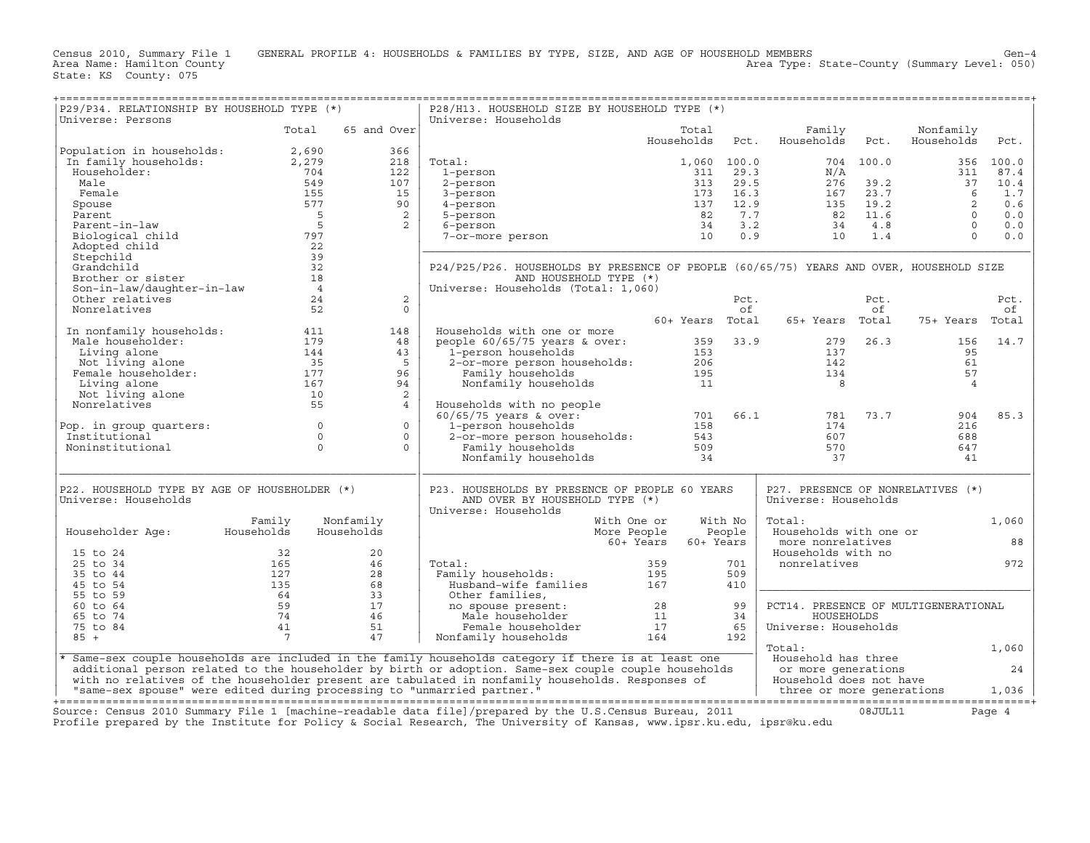Census 2010, Summary File 1 GENERAL PROFILE 4: HOUSEHOLDS & FAMILIES BY TYPE, SIZE, AND AGE OF HOUSEHOLD MEMBERS Gen−4 Area Name: Hamilton County Area Type: State−County (Summary Level: 050)

| P29/P34. RELATIONSHIP BY HOUSEHOLD TYPE (*)<br>Universe: Persons        |                  |                     | P28/H13. HOUSEHOLD SIZE BY HOUSEHOLD TYPE (*)<br>Universe: Households                                   |                        |             |                                      |             |                         |            |
|-------------------------------------------------------------------------|------------------|---------------------|---------------------------------------------------------------------------------------------------------|------------------------|-------------|--------------------------------------|-------------|-------------------------|------------|
|                                                                         | Total            | 65 and Over         |                                                                                                         | Total<br>Households    | Pct.        | Family<br>Households                 | Pct.        | Nonfamily<br>Households | Pct.       |
| Population in households:                                               | 2,690            | 366                 |                                                                                                         |                        |             |                                      |             |                         |            |
| In family households:                                                   | 2,279            | 218                 | Total:                                                                                                  |                        | 1,060 100.0 |                                      | 704 100.0   | 356                     | 100.0      |
| Householder:                                                            | 704              | 122                 | 1-person                                                                                                | 311                    | 29.3        | N/A                                  |             | 311                     | 87.4       |
| Male                                                                    | 549              | 107                 | 2-person                                                                                                | 313                    | 29.5        | 276                                  | 39.2        | 37                      | 10.4       |
| Female                                                                  | 155              | 15                  | 3-person                                                                                                | 173                    | 16.3        | 167                                  | 23.7        | 6                       | 1.7        |
| Spouse                                                                  | 577              | 90                  | 4-person                                                                                                | 137                    | 12.9        | 135                                  | 19.2        | 2<br>$\Omega$           | 0.6        |
| Parent<br>Parent-in-law                                                 | $5^{\circ}$<br>5 | 2<br>$\overline{2}$ | 5-person                                                                                                | 82<br>34               | 7.7<br>3.2  | 82<br>34                             | 11.6<br>4.8 | $\Omega$                | 0.0<br>0.0 |
| Biological child                                                        | 797              |                     | 6-person<br>7-or-more person                                                                            | 10                     | 0.9         | 10                                   | 1.4         | $\Omega$                | 0.0        |
| Adopted child                                                           | 22               |                     |                                                                                                         |                        |             |                                      |             |                         |            |
| Stepchild                                                               | 39               |                     |                                                                                                         |                        |             |                                      |             |                         |            |
| Grandchild                                                              | 32               |                     | P24/P25/P26. HOUSEHOLDS BY PRESENCE OF PEOPLE (60/65/75) YEARS AND OVER, HOUSEHOLD SIZE                 |                        |             |                                      |             |                         |            |
| Brother or sister                                                       | 18               |                     | AND HOUSEHOLD TYPE (*)                                                                                  |                        |             |                                      |             |                         |            |
| Son-in-law/daughter-in-law                                              | $\overline{4}$   |                     | Universe: Households (Total: 1,060)                                                                     |                        |             |                                      |             |                         |            |
| Other relatives                                                         | 24               | 2                   |                                                                                                         |                        | Pct.        |                                      | Pct.        |                         | Pct.       |
| Nonrelatives                                                            | 52               | $\Omega$            |                                                                                                         |                        | of          |                                      | of          |                         | of         |
|                                                                         |                  |                     |                                                                                                         | 60+ Years              | Total       | 65+ Years                            | Total       | 75+ Years               | Total      |
| In nonfamily households:                                                | 411              | 148                 | Households with one or more                                                                             |                        |             |                                      |             |                         |            |
| Male householder:                                                       | 179              | 48                  | people $60/65/75$ years & over:                                                                         | 359                    | 33.9        | 279                                  | 26.3        | 156                     | 14.7       |
| Living alone                                                            | 144              | 43                  | 1-person households                                                                                     | 153                    |             | 137                                  |             | 95                      |            |
| Not living alone                                                        | 35               | 5                   | 2-or-more person households:                                                                            | 206                    |             | 142                                  |             | 61                      |            |
| Female householder:                                                     | 177              | 96                  | Family households                                                                                       | 195                    |             | 134                                  |             | 57                      |            |
| Living alone                                                            | 167              | 94                  | Nonfamily households                                                                                    | 11                     |             | $_{\rm 8}$                           |             | $\overline{4}$          |            |
| Not living alone<br>Nonrelatives                                        | 10<br>55         | 2<br>$\overline{4}$ |                                                                                                         |                        |             |                                      |             |                         |            |
|                                                                         |                  |                     | Households with no people<br>$60/65/75$ years & over:                                                   | 701                    | 66.1        | 781                                  | 73.7        | 904                     | 85.3       |
| Pop. in group quarters:                                                 | $\Omega$         | $\Omega$            | 1-person households                                                                                     | 158                    |             | 174                                  |             | 216                     |            |
| Institutional                                                           | $\circ$          | $\circ$             | 2-or-more person households:                                                                            | 543                    |             | 607                                  |             | 688                     |            |
| Noninstitutional                                                        | $\Omega$         | $\Omega$            | Family households                                                                                       | 509                    |             | 570                                  |             | 647                     |            |
|                                                                         |                  |                     | Nonfamily households                                                                                    | 34                     |             | 37                                   |             | 41                      |            |
| P22. HOUSEHOLD TYPE BY AGE OF HOUSEHOLDER (*)                           |                  |                     | P23. HOUSEHOLDS BY PRESENCE OF PEOPLE 60 YEARS                                                          |                        |             | P27. PRESENCE OF NONRELATIVES (*)    |             |                         |            |
| Universe: Households                                                    |                  |                     | AND OVER BY HOUSEHOLD TYPE (*)<br>Universe: Households                                                  |                        |             | Universe: Households                 |             |                         |            |
|                                                                         | Family           | Nonfamily           |                                                                                                         | With One or            | With No     | Total:                               |             |                         | 1,060      |
| Householder Age:                                                        | Households       | Households          |                                                                                                         | More People            | People      | Households with one or               |             |                         |            |
|                                                                         |                  |                     |                                                                                                         | 60+ Years<br>60+ Years |             | more nonrelatives                    |             |                         | 88         |
| 15 to 24<br>25 to 34                                                    | 32<br>165        | 20<br>46            |                                                                                                         | 359                    | 701         | Households with no                   |             |                         | 972        |
| 35 to 44                                                                | 127              | 28                  | Total:                                                                                                  | 195                    | 509         | nonrelatives                         |             |                         |            |
| 45 to 54                                                                | 135              | 68                  | Family households:<br>Husband-wife families                                                             | 167                    | 410         |                                      |             |                         |            |
| 55 to 59                                                                | 64               | 33                  | Other families,                                                                                         |                        |             |                                      |             |                         |            |
| 60 to 64                                                                | 59               | 17                  | no spouse present:                                                                                      | 28                     | 99          | PCT14. PRESENCE OF MULTIGENERATIONAL |             |                         |            |
| 65 to 74                                                                | 74               | 46                  | Male householder                                                                                        | 11                     | 34          | HOUSEHOLDS                           |             |                         |            |
| 75 to 84                                                                | 41               | 51                  | Female householder                                                                                      | 17                     | 65          | Universe: Households                 |             |                         |            |
| $85 +$                                                                  | 7                | 47                  | Nonfamily households                                                                                    | 164                    | 192         |                                      |             |                         |            |
|                                                                         |                  |                     |                                                                                                         |                        |             | Total:                               |             |                         | 1,060      |
|                                                                         |                  |                     | * Same-sex couple households are included in the family households category if there is at least one    |                        |             | Household has three                  |             |                         |            |
|                                                                         |                  |                     | additional person related to the householder by birth or adoption. Same-sex couple couple households    |                        |             | or more generations                  |             |                         | 24         |
|                                                                         |                  |                     | with no relatives of the householder present are tabulated in nonfamily households. Responses of        |                        |             | Household does not have              |             |                         |            |
| "same-sex spouse" were edited during processing to "unmarried partner." |                  |                     |                                                                                                         |                        |             | three or more generations            |             |                         | 1,036      |
|                                                                         |                  |                     | Source: Census 2010 Summary File 1 [machine-readable data file]/prepared by the U.S.Census Bureau, 2011 |                        |             |                                      | 08JULI1     |                         | Page 4     |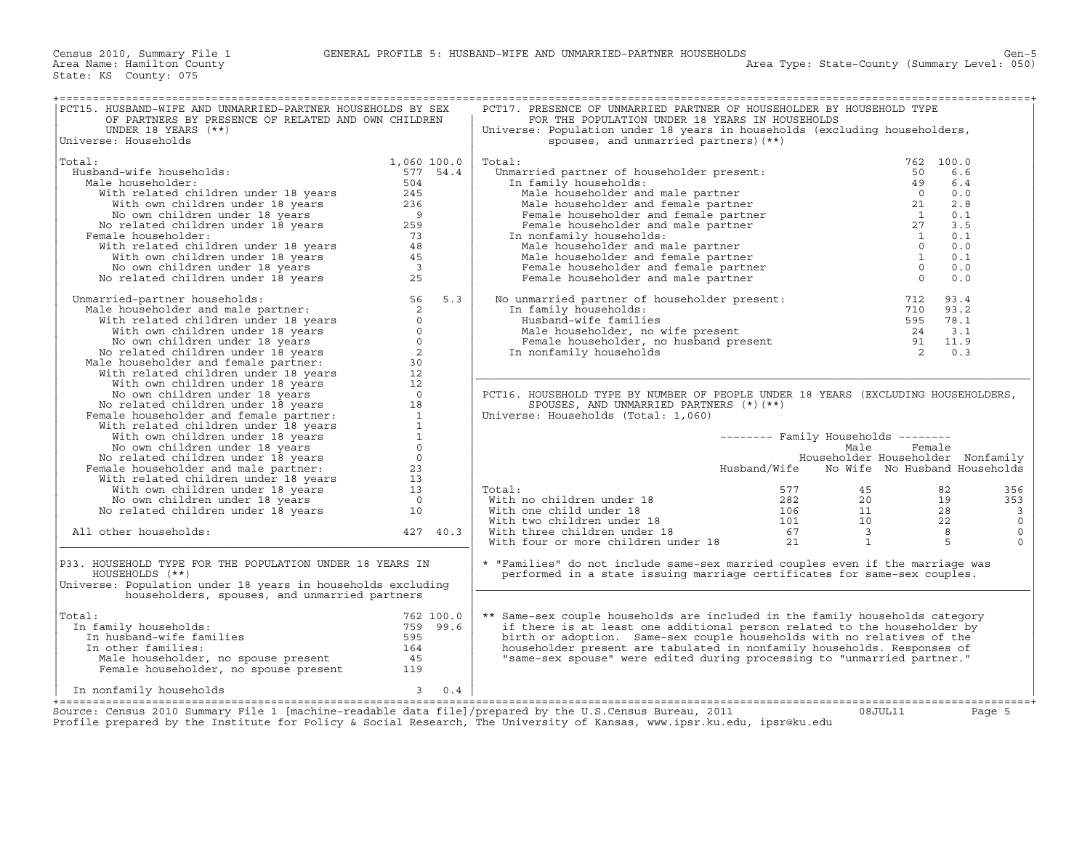| PCT15. HUSBAND-WIFE AND UNMARRIED-PARTNER HOUSEHOLDS BY SEX<br>OF PARTNERS BY PRESENCE OF RELATED AND OWN CHILDREN                                                                                                                                                          |                       | PCT17. PRESENCE OF UNMARRIED PARTNER OF HOUSEHOLDER BY HOUSEHOLD TYPE<br>FOR THE POPULATION UNDER 18 YEARS IN HOUSEHOLDS                                                                                                                                                                                                                    |              |                                     |           |                |
|-----------------------------------------------------------------------------------------------------------------------------------------------------------------------------------------------------------------------------------------------------------------------------|-----------------------|---------------------------------------------------------------------------------------------------------------------------------------------------------------------------------------------------------------------------------------------------------------------------------------------------------------------------------------------|--------------|-------------------------------------|-----------|----------------|
| UNDER 18 YEARS (**)<br>Universe: Households                                                                                                                                                                                                                                 |                       | Universe: Population under 18 years in households (excluding householders,<br>spouses, and unmarried partners) (**)                                                                                                                                                                                                                         |              |                                     |           |                |
|                                                                                                                                                                                                                                                                             |                       | otal:<br>Unmarried partner of householder present:<br>In family households:<br>Male householder and male partner<br>Male householder and female partner<br>Female householder and female partner<br>The constraint of the set of the const                                                                                                  |              |                                     |           |                |
| Total:                                                                                                                                                                                                                                                                      | 1,060 100.0           | Total:                                                                                                                                                                                                                                                                                                                                      |              |                                     | 762 100.0 |                |
| Husband-wife households:                                                                                                                                                                                                                                                    | 577 54.4              |                                                                                                                                                                                                                                                                                                                                             |              |                                     | 6.6       |                |
| Male householder:                                                                                                                                                                                                                                                           | 504                   |                                                                                                                                                                                                                                                                                                                                             |              |                                     | 6.4       |                |
|                                                                                                                                                                                                                                                                             |                       |                                                                                                                                                                                                                                                                                                                                             |              |                                     | 0.0       |                |
|                                                                                                                                                                                                                                                                             |                       |                                                                                                                                                                                                                                                                                                                                             |              |                                     | 2.8       |                |
|                                                                                                                                                                                                                                                                             |                       |                                                                                                                                                                                                                                                                                                                                             |              |                                     | 0.1       |                |
|                                                                                                                                                                                                                                                                             |                       |                                                                                                                                                                                                                                                                                                                                             |              |                                     | 3.5       |                |
| Female householder:                                                                                                                                                                                                                                                         |                       |                                                                                                                                                                                                                                                                                                                                             |              |                                     | 0.1       |                |
|                                                                                                                                                                                                                                                                             |                       | Male householder and male partner                                                                                                                                                                                                                                                                                                           |              | $\overline{0}$                      | 0.0       |                |
|                                                                                                                                                                                                                                                                             |                       | Male householder and female partner                                                                                                                                                                                                                                                                                                         |              | $\mathbf{1}$                        | 0.1       |                |
|                                                                                                                                                                                                                                                                             |                       | Female householder and female partner                                                                                                                                                                                                                                                                                                       |              | $\overline{0}$                      | 0.0       |                |
|                                                                                                                                                                                                                                                                             |                       | Female householder and male partner                                                                                                                                                                                                                                                                                                         |              | $\overline{0}$                      | 0.0       |                |
| ale householder:<br>With related children under 18 years<br>With own children under 18 years<br>No the bown children under 18 years<br>No related children under 18 years<br>259<br>With related children under 18 years<br>With own childre                                |                       |                                                                                                                                                                                                                                                                                                                                             |              |                                     |           |                |
| Montride Charles and male partner: 5 1<br>Manarried-partner households: 56<br>With related children under 18 years<br>With own children under 18 years<br>No own children under 18 years<br>No orelated children under 18 years<br>No rela<br>Unmarried-partner households: | 5.3                   | No unmarried partner of householder present:                                                                                                                                                                                                                                                                                                |              | 712                                 | 93.4      |                |
|                                                                                                                                                                                                                                                                             |                       | In family households:                                                                                                                                                                                                                                                                                                                       |              |                                     | 710 93.2  |                |
|                                                                                                                                                                                                                                                                             |                       |                                                                                                                                                                                                                                                                                                                                             |              |                                     |           |                |
|                                                                                                                                                                                                                                                                             |                       |                                                                                                                                                                                                                                                                                                                                             |              |                                     |           |                |
|                                                                                                                                                                                                                                                                             |                       |                                                                                                                                                                                                                                                                                                                                             |              |                                     |           |                |
|                                                                                                                                                                                                                                                                             |                       | Husband-wife families<br>Male householder, no wife present<br>Female householder, no husband present<br>24 3.1<br>11.9<br>20.3<br>20.3<br>In nonfamily households                                                                                                                                                                           |              |                                     |           |                |
|                                                                                                                                                                                                                                                                             |                       |                                                                                                                                                                                                                                                                                                                                             |              |                                     |           |                |
|                                                                                                                                                                                                                                                                             |                       |                                                                                                                                                                                                                                                                                                                                             |              |                                     |           |                |
|                                                                                                                                                                                                                                                                             |                       |                                                                                                                                                                                                                                                                                                                                             |              |                                     |           |                |
|                                                                                                                                                                                                                                                                             |                       |                                                                                                                                                                                                                                                                                                                                             |              |                                     |           |                |
|                                                                                                                                                                                                                                                                             |                       | PCT16. HOUSEHOLD TYPE BY NUMBER OF PEOPLE UNDER 18 YEARS (EXCLUDING HOUSEHOLDERS,                                                                                                                                                                                                                                                           |              |                                     |           |                |
|                                                                                                                                                                                                                                                                             |                       | SPOUSES, AND UNMARRIED PARTNERS (*) (**)                                                                                                                                                                                                                                                                                                    |              |                                     |           |                |
|                                                                                                                                                                                                                                                                             |                       | Universe: Households (Total: 1,060)                                                                                                                                                                                                                                                                                                         |              |                                     |           |                |
|                                                                                                                                                                                                                                                                             |                       |                                                                                                                                                                                                                                                                                                                                             |              |                                     |           |                |
|                                                                                                                                                                                                                                                                             |                       |                                                                                                                                                                                                                                                                                                                                             |              | $------$ Family Households $------$ |           |                |
|                                                                                                                                                                                                                                                                             |                       |                                                                                                                                                                                                                                                                                                                                             |              | Male                                | Female    |                |
|                                                                                                                                                                                                                                                                             |                       |                                                                                                                                                                                                                                                                                                                                             |              | Householder Householder Nonfamily   |           |                |
|                                                                                                                                                                                                                                                                             |                       |                                                                                                                                                                                                                                                                                                                                             | Husband/Wife | No Wife No Husband Households       |           |                |
|                                                                                                                                                                                                                                                                             |                       |                                                                                                                                                                                                                                                                                                                                             |              |                                     |           |                |
|                                                                                                                                                                                                                                                                             |                       | Total:                                                                                                                                                                                                                                                                                                                                      | 577          | 45                                  | 82        | 356            |
|                                                                                                                                                                                                                                                                             |                       |                                                                                                                                                                                                                                                                                                                                             |              | $\frac{20}{11}$<br>10               | 19        | 353            |
|                                                                                                                                                                                                                                                                             |                       |                                                                                                                                                                                                                                                                                                                                             |              |                                     | 28        | $\overline{3}$ |
|                                                                                                                                                                                                                                                                             |                       |                                                                                                                                                                                                                                                                                                                                             |              |                                     | 22        | $\Omega$       |
| All other households:                                                                                                                                                                                                                                                       | 427 40.3              |                                                                                                                                                                                                                                                                                                                                             |              | $\overline{\mathbf{3}}$             | 8         | $\circ$        |
|                                                                                                                                                                                                                                                                             |                       |                                                                                                                                                                                                                                                                                                                                             |              | <sup>1</sup>                        | .5        | $\Omega$       |
| P33. HOUSEHOLD TYPE FOR THE POPULATION UNDER 18 YEARS IN<br>HOUSEHOLDS (**)<br>Universe: Population under 18 years in households excluding                                                                                                                                  |                       | With no children under 18<br>With one child under 18<br>With two children under 18<br>101<br>With three children under 18<br>101<br>101<br>101<br>101<br>101<br>57<br>21<br>21<br>* "Families" do not include same-sex married couples even if the marriage was<br>performed in a state issuing marriage certificates for same-sex couples. |              |                                     |           |                |
| householders, spouses, and unmarried partners                                                                                                                                                                                                                               |                       |                                                                                                                                                                                                                                                                                                                                             |              |                                     |           |                |
|                                                                                                                                                                                                                                                                             |                       |                                                                                                                                                                                                                                                                                                                                             |              |                                     |           |                |
| Total:                                                                                                                                                                                                                                                                      | 762 100.0             | ** Same-sex couple households are included in the family households category                                                                                                                                                                                                                                                                |              |                                     |           |                |
| In family households:                                                                                                                                                                                                                                                       | 759 99.6              | if there is at least one additional person related to the householder by                                                                                                                                                                                                                                                                    |              |                                     |           |                |
| In husband-wife families                                                                                                                                                                                                                                                    | 595                   | birth or adoption. Same-sex couple households with no relatives of the                                                                                                                                                                                                                                                                      |              |                                     |           |                |
| In other families:                                                                                                                                                                                                                                                          | 164                   | householder present are tabulated in nonfamily households. Responses of                                                                                                                                                                                                                                                                     |              |                                     |           |                |
|                                                                                                                                                                                                                                                                             |                       | "same-sex spouse" were edited during processing to "unmarried partner."                                                                                                                                                                                                                                                                     |              |                                     |           |                |
| Male householder, no spouse present than the same of the sense of the sense of the sense of the sense of the s<br>Female householder, no spouse present that the sense of the sense of the sense of the sense of the sense of the                                           |                       |                                                                                                                                                                                                                                                                                                                                             |              |                                     |           |                |
| In nonfamily households                                                                                                                                                                                                                                                     | $\overline{3}$<br>0.4 |                                                                                                                                                                                                                                                                                                                                             |              |                                     |           |                |
| Source: Census 2010 Summary File 1 [machine-readable data file]/prepared by the U.S.Census Bureau, 2011                                                                                                                                                                     |                       |                                                                                                                                                                                                                                                                                                                                             |              | 08JUL11                             |           | Page 5         |
| Profile prepared by the Institute for Policy & Social Research, The University of Kansas, www.ipsr.ku.edu, ipsr@ku.edu                                                                                                                                                      |                       |                                                                                                                                                                                                                                                                                                                                             |              |                                     |           |                |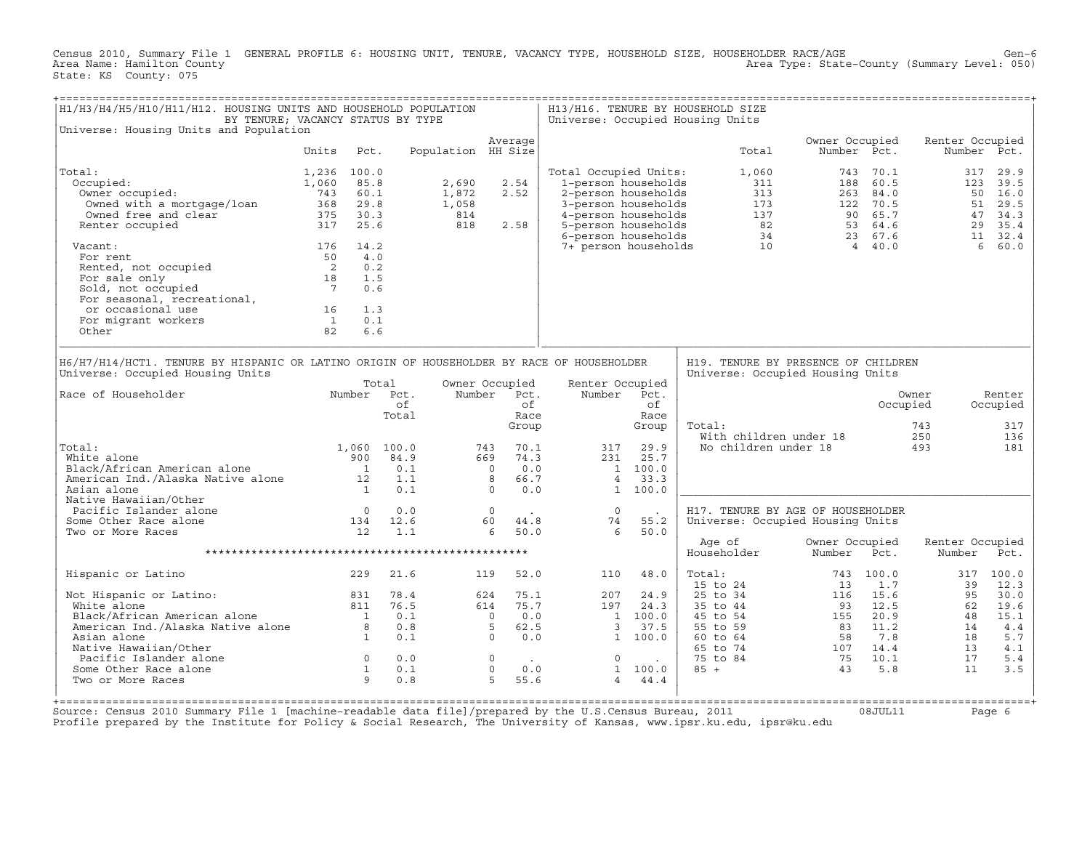Census 2010, Summary File 1 GENERAL PROFILE 6: HOUSING UNIT, TENURE, VACANCY TYPE, HOUSEHOLD SIZE, HOUSEHOLDER RACE/AGE Gen−6<br>Area Name: Hamilton County Level: 050) Area Type: State-County (Summary Level: 050) State: KS County: 075

| H1/H3/H4/H5/H10/H11/H12. HOUSING UNITS AND HOUSEHOLD POPULATION<br>BY TENURE; VACANCY STATUS BY TYPE                                                                                          |                                        |                                  |                                                                               |                    |                                                                                |                                                           |                                                           |                                                                           | H13/H16. TENURE BY HOUSEHOLD SIZE<br>Universe: Occupied Housing Units                        |                               |              |                                        |                                         |
|-----------------------------------------------------------------------------------------------------------------------------------------------------------------------------------------------|----------------------------------------|----------------------------------|-------------------------------------------------------------------------------|--------------------|--------------------------------------------------------------------------------|-----------------------------------------------------------|-----------------------------------------------------------|---------------------------------------------------------------------------|----------------------------------------------------------------------------------------------|-------------------------------|--------------|----------------------------------------|-----------------------------------------|
| Universe: Housing Units and Population                                                                                                                                                        |                                        |                                  |                                                                               |                    |                                                                                |                                                           |                                                           |                                                                           |                                                                                              |                               |              |                                        |                                         |
|                                                                                                                                                                                               | Units                                  | Pct.                             |                                                                               | Population HH Size | Average                                                                        |                                                           |                                                           |                                                                           | Total                                                                                        | Owner Occupied<br>Number Pct. |              | Renter Occupied                        | Number Pct.                             |
| Total:                                                                                                                                                                                        | 1,236                                  | 100.0                            |                                                                               |                    |                                                                                |                                                           | Total Occupied Units:                                     |                                                                           | 1,060                                                                                        | 743                           | 70.1         | 317                                    | 29.9                                    |
| Occupied:                                                                                                                                                                                     | $743$ 60.1<br>368 20.1<br>368 20.1     |                                  |                                                                               | 2,690              | 2.54                                                                           |                                                           | 1-person households                                       |                                                                           | 311                                                                                          |                               | 188 60.5     | 123                                    | 39.5                                    |
| Owner occupied:                                                                                                                                                                               |                                        |                                  |                                                                               | 1,872              | 2.52                                                                           |                                                           | 2-person households                                       |                                                                           | 313                                                                                          |                               | 263 84.0     |                                        | 50 16.0                                 |
| Owned with a mortgage/loan                                                                                                                                                                    |                                        |                                  |                                                                               | 1,058              |                                                                                |                                                           | 3-person households                                       |                                                                           |                                                                                              |                               |              | 51                                     | 29.5                                    |
| Owned free and clear                                                                                                                                                                          | 375 30.3                               |                                  |                                                                               | 814                |                                                                                |                                                           | 4-person households                                       |                                                                           |                                                                                              |                               |              |                                        | 47<br>34.3                              |
| Renter occupied                                                                                                                                                                               | 317 25.6                               |                                  |                                                                               | 818                | 2.58                                                                           |                                                           | 5-person households<br>6-person households                |                                                                           | $173$ $122$ $70.5$<br>$137$ $90$ $65.7$<br>$82$ $53$ $64.6$<br>$34$ $23$ $67.6$<br>$4.0$     |                               |              |                                        | 29 35.4<br>11 32.4                      |
| Vacant:                                                                                                                                                                                       | 176                                    | 14.2                             |                                                                               |                    |                                                                                |                                                           | 7+ person households                                      |                                                                           | 10                                                                                           |                               | 4 40.0       |                                        | 6<br>60.0                               |
| For rent                                                                                                                                                                                      | 50                                     | 4.0                              |                                                                               |                    |                                                                                |                                                           |                                                           |                                                                           |                                                                                              |                               |              |                                        |                                         |
| Rented, not occupied                                                                                                                                                                          | $\overline{\mathbf{c}}$                | 0.2                              |                                                                               |                    |                                                                                |                                                           |                                                           |                                                                           |                                                                                              |                               |              |                                        |                                         |
| For sale only                                                                                                                                                                                 | 18                                     | 1.5                              |                                                                               |                    |                                                                                |                                                           |                                                           |                                                                           |                                                                                              |                               |              |                                        |                                         |
| For sale only<br>Sold, not occupied<br>For seasonal, recreational,                                                                                                                            | $7\overline{ }$                        | 0.6                              |                                                                               |                    |                                                                                |                                                           |                                                           |                                                                           |                                                                                              |                               |              |                                        |                                         |
|                                                                                                                                                                                               |                                        |                                  |                                                                               |                    |                                                                                |                                                           |                                                           |                                                                           |                                                                                              |                               |              |                                        |                                         |
| or occasional use                                                                                                                                                                             | 16                                     | 1.3                              |                                                                               |                    |                                                                                |                                                           |                                                           |                                                                           |                                                                                              |                               |              |                                        |                                         |
| For migrant workers                                                                                                                                                                           | $\overline{1}$                         | 0.1                              |                                                                               |                    |                                                                                |                                                           |                                                           |                                                                           |                                                                                              |                               |              |                                        |                                         |
| Other                                                                                                                                                                                         | 82                                     | 6.6                              |                                                                               |                    |                                                                                |                                                           |                                                           |                                                                           |                                                                                              |                               |              |                                        |                                         |
| Universe: Occupied Housing Units<br>Race of Householder<br>Total:<br>White alone<br>Black/African American alone<br>American Ind./Alaska Native alone<br>Asian alone<br>Native Hawaiian/Other | $\begin{array}{c} 12 \\ 1 \end{array}$ | Total<br>900<br>$\overline{1}$   | Number Pct.<br>$\circ$ f<br>Total<br>1,060 100.0<br>84.9<br>0.1<br>1.1<br>0.1 |                    | Owner Occupied<br>Number Pct.<br>743<br>669<br>$\overline{0}$<br>8<br>$\Omega$ | ∩f<br>Race<br>Group<br>70.1<br>74.3<br>0.0<br>66.7<br>0.0 | Renter Occupied<br>Number<br>317<br>231<br>$\overline{4}$ | Pct.<br>of<br>Race<br>Group<br>29.9<br>25.7<br>1 100.0<br>33.3<br>1 100.0 | Universe: Occupied Housing Units<br>Total:<br>With children under 18<br>No children under 18 |                               |              | Owner<br>Occupied<br>743<br>250<br>493 | Renter<br>Occupied<br>317<br>136<br>181 |
| Pacific Islander alone                                                                                                                                                                        | $\overline{0}$                         |                                  | 0.0                                                                           |                    | $\Omega$                                                                       |                                                           | $\Omega$                                                  |                                                                           | H17. TENURE BY AGE OF HOUSEHOLDER                                                            |                               |              |                                        |                                         |
| Some Other Race alone                                                                                                                                                                         |                                        |                                  | 134 12.6                                                                      |                    | 60                                                                             | 44.8                                                      | 74                                                        | 55.2                                                                      | Universe: Occupied Housing Units                                                             |                               |              |                                        |                                         |
| Two or More Races                                                                                                                                                                             | 12                                     |                                  | 1.1                                                                           |                    | 6                                                                              | 50.0                                                      | 6                                                         | 50.0                                                                      | Age of                                                                                       | Owner Occupied                |              | Renter Occupied                        |                                         |
|                                                                                                                                                                                               |                                        |                                  |                                                                               |                    |                                                                                |                                                           |                                                           |                                                                           | Householder                                                                                  | Number                        | Pct.         | Number                                 | Pct.                                    |
| Hispanic or Latino                                                                                                                                                                            |                                        | 229                              | 21.6                                                                          |                    | 119                                                                            | 52.0                                                      | 110                                                       | 48.0                                                                      | Total:<br>15 to 24                                                                           | 743<br>13                     | 100.0<br>1.7 | 317<br>39                              | 100.0<br>12.3                           |
| Not Hispanic or Latino:                                                                                                                                                                       |                                        | 831                              | 78.4                                                                          |                    | 624                                                                            | 75.1                                                      | 207                                                       | 24.9                                                                      | 25 to 34                                                                                     | 116                           | 15.6         | 95                                     | 30.0                                    |
| White alone                                                                                                                                                                                   |                                        | 811                              | 76.5                                                                          |                    | 614                                                                            | 75.7                                                      | 197                                                       | 24.3                                                                      | 35 to 44                                                                                     | 93                            | 12.5         | 62                                     | 19.6                                    |
|                                                                                                                                                                                               |                                        |                                  | 0.1                                                                           |                    | $\overline{0}$                                                                 | 0.0                                                       |                                                           | 1 100.0                                                                   | 45 to 54                                                                                     | 155                           | 20.9         | 48                                     | 15.1                                    |
|                                                                                                                                                                                               |                                        |                                  | 0.8                                                                           |                    | -5                                                                             | 62.5                                                      | 3                                                         | 37.5                                                                      | 55 to 59                                                                                     | 83                            | 11.2         | 14                                     | 4.4                                     |
| Black/African American alone 1<br>American Ind./Alaska Native alone 8<br>Asian alone 1                                                                                                        |                                        |                                  | 0.1                                                                           |                    | $\Omega$                                                                       | 0.0                                                       |                                                           | 1 100.0                                                                   | 60 to 64                                                                                     | 58                            | 7.8          | 18                                     | 5.7                                     |
| Native Hawaiian/Other                                                                                                                                                                         |                                        |                                  |                                                                               |                    |                                                                                |                                                           |                                                           |                                                                           | 65 to 74                                                                                     | 107 14.4                      |              | 13                                     | 4.1                                     |
| Pacific Islander alone                                                                                                                                                                        |                                        | $\begin{matrix}0\\1\end{matrix}$ | 0.0                                                                           |                    | $\Omega$                                                                       |                                                           | $\Omega$                                                  |                                                                           | 75 to 84                                                                                     | $\frac{75}{43}$               | 10.1         | 17                                     | 5.4                                     |
| Some Other Race alone                                                                                                                                                                         |                                        |                                  | 0.1                                                                           |                    | $\circ$                                                                        | 0.0                                                       | $\mathbf{1}$                                              | 100.0                                                                     | $85 +$                                                                                       |                               | 5.8          | 11                                     | 3.5                                     |
| Two or More Races                                                                                                                                                                             |                                        | Q                                | 0.8                                                                           |                    | $\overline{5}$                                                                 | 55.6                                                      | $\overline{4}$                                            | 44.4                                                                      |                                                                                              |                               |              |                                        |                                         |

+===================================================================================================================================================+ Source: Census 2010 Summary File 1 [machine−readable data file]/prepared by the U.S.Census Bureau, 2011 08JUL11 Page 6 Profile prepared by the Institute for Policy & Social Research, The University of Kansas, www.ipsr.ku.edu, ipsr@ku.edu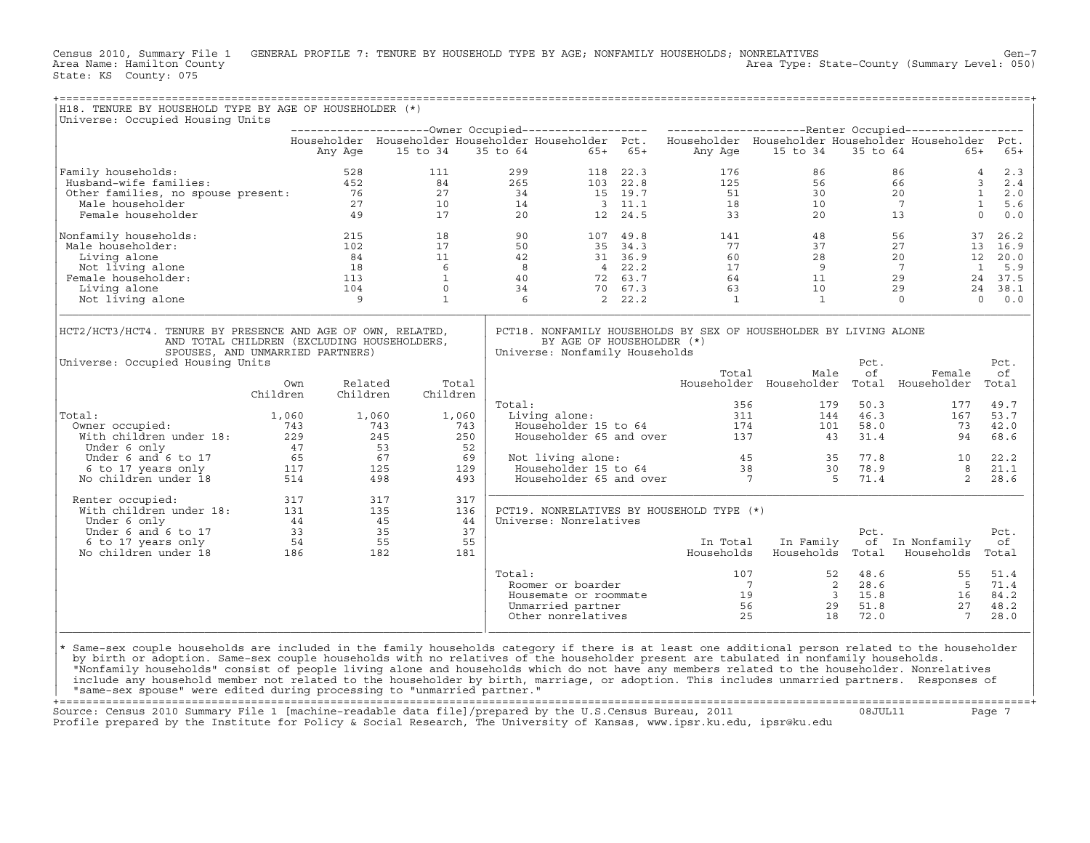Census 2010, Summary File 1 GENERAL PROFILE 7: TENURE BY HOUSEHOLD TYPE BY AGE; NONFAMILY HOUSEHOLDS; NONRELATIVES<br>Area Name: Hamilton County Level: 050) Area Type: State-County (Summary Level: 050) Area Type: State-County (Summary Level: 050) State: KS County: 075

| Householder Householder Householder Householder Pct. Householder Householder Householder Householder Pct.<br>15 to 34<br>15 to 34<br>Any Age<br>35 to 64<br>65+ 65+<br>Any Age<br>35 to 64<br>$65+$<br>$\begin{array}{ccccc} 86 &&& 4 \\ 66 &&& 3 \\ 20 &&& 1 \\ 7 &&& 1 \\ 13 &&& 0 \end{array}$<br>299 118 22.3 176<br>265 103 22.8 125<br>34 15 19.7 51<br>86<br>111<br>Family households: 528 111<br>Husband–wife families: 628 111<br>Other families, no spouse present: 76 27<br>Male householder 77 10<br>Female householder 17<br>17<br>$\begin{array}{cccc} 2 & 2 & 2 & 5 \\ 24 & 2 & 2 & 5 \\ 27 & 3 & 4 \\ 10 & 14 & 2 & 0 \\ 17 & 2 & 0 & 5 \end{array}$<br>$56$<br>$30$<br>$10$<br>$20$<br>$3 \t 2.4$<br>2.0<br>$\begin{array}{cccc} 3 & 11.1 & & & 18 \\ 12 & 24.5 & & & 33 \end{array}$<br>$\frac{14}{20}$<br>5.6<br>0.0<br>$\begin{array}{cccccc} 18 & & & 90 & & & 107 & 49.8 & & & 141 \\ 17 & & & 50 & & & 35 & 34.3 & & & 77 \\ 11 & & & 42 & & & 31 & 36.9 & & & 60 \\ 6 & & & 8 & & 4 & 22.2 & & & 17 \\ 1 & & & 40 & & & 72 & 63.7 & & & 64 \\ 0 & & & 34 & & & 70 & 67.3 & & & 63 \\ 1 & & & & 6 & & 2 & 22.2 & & & 1 \\ \end{array}$<br>$\frac{56}{17}$<br>$\begin{array}{c} 215 \\ 102 \end{array}$<br>$\begin{array}{ccccc} 48 & & & 56 \\ 37 & & 27 \\ 28 & & 20 \\ 9 & & 7 \\ 11 & & 29 \\ 10 & & 29 \end{array}$<br>37<br>Male householder:<br>13 16.9<br>$\begin{array}{ccc} -12 & & 18 \\ 102 & & 17 \\ 84 & & 11 \\ 18 & & 6 \\ 113 & & 1 \\ 104 & & 0 \\ 9 & & 1 \end{array}$<br>Living alone<br>12 20.0<br>Not living alone<br>$\mathbf{1}$<br>5.9<br>Female householder:<br>24 37.5<br>Living alone<br>24 38.1<br>Not living alone<br>$\mathbf{1}$<br>$\overline{0}$<br>$0 \t 0.0$<br>PCT18. NONFAMILY HOUSEHOLDS BY SEX OF HOUSEHOLDER BY LIVING ALONE<br>AND TOTAL CHILDREN (EXCLUDING HOUSEHOLDERS,<br>BY AGE OF HOUSEHOLDER (*)<br>SPOUSES, AND UNMARRIED PARTNERS)<br>Universe: Nonfamily Households<br>Pct.<br>Pct.<br>Total<br>Male<br>of<br>оf<br>Female<br>Householder Householder Total Householder<br>Related<br>Total<br>Own<br>Total<br>Children<br>Children<br>Children<br>Total:<br>356<br>179<br>50.3<br>177<br>49.7<br>Living alone:<br>46.3<br>1,060<br>1,060<br>1,060<br>144<br>167<br>tal:<br>0wner occupied:<br>With children under 18:<br>743<br>17 53<br>17 53<br>17 53<br>17 53<br>57<br>65 67<br>67 6 to 17 years only<br>No children under 18<br>514 498<br>Owner occupied:<br>743<br>101<br>58.0<br>73<br>250<br>31.4<br>68.6<br>43<br>94<br>52<br>Not living alone:<br>Householder 15 to 64 38 30 78.9<br>Householder 65 and over 7 5 71.4<br>69<br>Not living alone:<br>77.8 10<br>129<br>493<br>2<br>Renter occupied:<br>317<br>$\begin{tabular}{lllllllllll} \multicolumn{4}{c}{\textbf{Renter} occupied:} & & & 317 & & 317 \\ \multicolumn{4}{c}{\textbf{With} children under 18:} & & 131 & & 135 \\ \multicolumn{4}{c}{\textbf{Under} 6 only} & & 44 & & 45 \\ \multicolumn{4}{c}{\textbf{Under} 6 and 6 to 17} & & 33 & & 35 \\ \multicolumn{4}{c}{\textbf{6 to 17 years only}} & & 54 & & 55 \\ \multicolumn{4}{c}{\textbf{No children under 18}} & & 186 & & 182 \\ \end{tabular}$<br>PCT19. NONRELATIVES BY HOUSEHOLD TYPE (*)<br>136<br>44<br>Universe: Nonrelatives<br>37<br>Pct.<br>Pct.<br>55<br>In Total<br>In Family<br>of In Nonfamily<br>оf<br>Households<br>Households Total<br>Households Total<br>181<br>$\frac{107}{7}$<br>Total:<br>$\begin{array}{cccc} 107 & & & 52 & 48.6 \\ 7 & & & 2 & 21 \end{array}$<br>Noviner or boarder<br>Housemate or roommate<br>Unnarried partner<br>Unnarried partner<br>Other nonrelatives<br>Cher nonrelatives<br>Cher nonrelatives<br>Cher nonrelatives<br>Cher nonrelatives<br>Cher nonrelatives<br>Cher nonrelatives<br>Cher n<br>Same-sex couple households are included in the family households category if there is at least one additional person related to the householder<br>by birth or adoption. Same-sex couple households with no relatives of the householder present are tabulated in nonfamily households. | Universe: Occupied Housing Units |  |  |  |  |              |
|-------------------------------------------------------------------------------------------------------------------------------------------------------------------------------------------------------------------------------------------------------------------------------------------------------------------------------------------------------------------------------------------------------------------------------------------------------------------------------------------------------------------------------------------------------------------------------------------------------------------------------------------------------------------------------------------------------------------------------------------------------------------------------------------------------------------------------------------------------------------------------------------------------------------------------------------------------------------------------------------------------------------------------------------------------------------------------------------------------------------------------------------------------------------------------------------------------------------------------------------------------------------------------------------------------------------------------------------------------------------------------------------------------------------------------------------------------------------------------------------------------------------------------------------------------------------------------------------------------------------------------------------------------------------------------------------------------------------------------------------------------------------------------------------------------------------------------------------------------------------------------------------------------------------------------------------------------------------------------------------------------------------------------------------------------------------------------------------------------------------------------------------------------------------------------------------------------------------------------------------------------------------------------------------------------------------------------------------------------------------------------------------------------------------------------------------------------------------------------------------------------------------------------------------------------------------------------------------------------------------------------------------------------------------------------------------------------------------------------------------------------------------------------------------------------------------------------------------------------------------------------------------------------------------------------------------------------------------------------------------------------------------------------------------------------------------------------------------------------------------------------------------------------------------------------------------------------------------------------------------------------------------------------------------------------------------------------------------------------------------------------------------------------------------------------------------------------------------------------------------------------------------------------------------------------------------------------------------------------------------------------------------------------------------------------------------------------------------------------------------------------------------------------------------------------------------------------------------------------------------------------------------------------------------------------------------------------------------------------------------------------------------------------------------------------|----------------------------------|--|--|--|--|--------------|
| Family households:<br>Nonfamily households:<br>HCT2/HCT3/HCT4. TENURE BY PRESENCE AND AGE OF OWN, RELATED,<br>Universe: Occupied Housing Units<br>Total:<br>$\star$                                                                                                                                                                                                                                                                                                                                                                                                                                                                                                                                                                                                                                                                                                                                                                                                                                                                                                                                                                                                                                                                                                                                                                                                                                                                                                                                                                                                                                                                                                                                                                                                                                                                                                                                                                                                                                                                                                                                                                                                                                                                                                                                                                                                                                                                                                                                                                                                                                                                                                                                                                                                                                                                                                                                                                                                                                                                                                                                                                                                                                                                                                                                                                                                                                                                                                                                                                                                                                                                                                                                                                                                                                                                                                                                                                                                                                                                                   |                                  |  |  |  |  |              |
|                                                                                                                                                                                                                                                                                                                                                                                                                                                                                                                                                                                                                                                                                                                                                                                                                                                                                                                                                                                                                                                                                                                                                                                                                                                                                                                                                                                                                                                                                                                                                                                                                                                                                                                                                                                                                                                                                                                                                                                                                                                                                                                                                                                                                                                                                                                                                                                                                                                                                                                                                                                                                                                                                                                                                                                                                                                                                                                                                                                                                                                                                                                                                                                                                                                                                                                                                                                                                                                                                                                                                                                                                                                                                                                                                                                                                                                                                                                                                                                                                                                       |                                  |  |  |  |  | $65+$        |
|                                                                                                                                                                                                                                                                                                                                                                                                                                                                                                                                                                                                                                                                                                                                                                                                                                                                                                                                                                                                                                                                                                                                                                                                                                                                                                                                                                                                                                                                                                                                                                                                                                                                                                                                                                                                                                                                                                                                                                                                                                                                                                                                                                                                                                                                                                                                                                                                                                                                                                                                                                                                                                                                                                                                                                                                                                                                                                                                                                                                                                                                                                                                                                                                                                                                                                                                                                                                                                                                                                                                                                                                                                                                                                                                                                                                                                                                                                                                                                                                                                                       |                                  |  |  |  |  | 2.3          |
|                                                                                                                                                                                                                                                                                                                                                                                                                                                                                                                                                                                                                                                                                                                                                                                                                                                                                                                                                                                                                                                                                                                                                                                                                                                                                                                                                                                                                                                                                                                                                                                                                                                                                                                                                                                                                                                                                                                                                                                                                                                                                                                                                                                                                                                                                                                                                                                                                                                                                                                                                                                                                                                                                                                                                                                                                                                                                                                                                                                                                                                                                                                                                                                                                                                                                                                                                                                                                                                                                                                                                                                                                                                                                                                                                                                                                                                                                                                                                                                                                                                       |                                  |  |  |  |  |              |
|                                                                                                                                                                                                                                                                                                                                                                                                                                                                                                                                                                                                                                                                                                                                                                                                                                                                                                                                                                                                                                                                                                                                                                                                                                                                                                                                                                                                                                                                                                                                                                                                                                                                                                                                                                                                                                                                                                                                                                                                                                                                                                                                                                                                                                                                                                                                                                                                                                                                                                                                                                                                                                                                                                                                                                                                                                                                                                                                                                                                                                                                                                                                                                                                                                                                                                                                                                                                                                                                                                                                                                                                                                                                                                                                                                                                                                                                                                                                                                                                                                                       |                                  |  |  |  |  |              |
|                                                                                                                                                                                                                                                                                                                                                                                                                                                                                                                                                                                                                                                                                                                                                                                                                                                                                                                                                                                                                                                                                                                                                                                                                                                                                                                                                                                                                                                                                                                                                                                                                                                                                                                                                                                                                                                                                                                                                                                                                                                                                                                                                                                                                                                                                                                                                                                                                                                                                                                                                                                                                                                                                                                                                                                                                                                                                                                                                                                                                                                                                                                                                                                                                                                                                                                                                                                                                                                                                                                                                                                                                                                                                                                                                                                                                                                                                                                                                                                                                                                       |                                  |  |  |  |  |              |
|                                                                                                                                                                                                                                                                                                                                                                                                                                                                                                                                                                                                                                                                                                                                                                                                                                                                                                                                                                                                                                                                                                                                                                                                                                                                                                                                                                                                                                                                                                                                                                                                                                                                                                                                                                                                                                                                                                                                                                                                                                                                                                                                                                                                                                                                                                                                                                                                                                                                                                                                                                                                                                                                                                                                                                                                                                                                                                                                                                                                                                                                                                                                                                                                                                                                                                                                                                                                                                                                                                                                                                                                                                                                                                                                                                                                                                                                                                                                                                                                                                                       |                                  |  |  |  |  |              |
|                                                                                                                                                                                                                                                                                                                                                                                                                                                                                                                                                                                                                                                                                                                                                                                                                                                                                                                                                                                                                                                                                                                                                                                                                                                                                                                                                                                                                                                                                                                                                                                                                                                                                                                                                                                                                                                                                                                                                                                                                                                                                                                                                                                                                                                                                                                                                                                                                                                                                                                                                                                                                                                                                                                                                                                                                                                                                                                                                                                                                                                                                                                                                                                                                                                                                                                                                                                                                                                                                                                                                                                                                                                                                                                                                                                                                                                                                                                                                                                                                                                       |                                  |  |  |  |  | 26.2         |
|                                                                                                                                                                                                                                                                                                                                                                                                                                                                                                                                                                                                                                                                                                                                                                                                                                                                                                                                                                                                                                                                                                                                                                                                                                                                                                                                                                                                                                                                                                                                                                                                                                                                                                                                                                                                                                                                                                                                                                                                                                                                                                                                                                                                                                                                                                                                                                                                                                                                                                                                                                                                                                                                                                                                                                                                                                                                                                                                                                                                                                                                                                                                                                                                                                                                                                                                                                                                                                                                                                                                                                                                                                                                                                                                                                                                                                                                                                                                                                                                                                                       |                                  |  |  |  |  |              |
|                                                                                                                                                                                                                                                                                                                                                                                                                                                                                                                                                                                                                                                                                                                                                                                                                                                                                                                                                                                                                                                                                                                                                                                                                                                                                                                                                                                                                                                                                                                                                                                                                                                                                                                                                                                                                                                                                                                                                                                                                                                                                                                                                                                                                                                                                                                                                                                                                                                                                                                                                                                                                                                                                                                                                                                                                                                                                                                                                                                                                                                                                                                                                                                                                                                                                                                                                                                                                                                                                                                                                                                                                                                                                                                                                                                                                                                                                                                                                                                                                                                       |                                  |  |  |  |  |              |
|                                                                                                                                                                                                                                                                                                                                                                                                                                                                                                                                                                                                                                                                                                                                                                                                                                                                                                                                                                                                                                                                                                                                                                                                                                                                                                                                                                                                                                                                                                                                                                                                                                                                                                                                                                                                                                                                                                                                                                                                                                                                                                                                                                                                                                                                                                                                                                                                                                                                                                                                                                                                                                                                                                                                                                                                                                                                                                                                                                                                                                                                                                                                                                                                                                                                                                                                                                                                                                                                                                                                                                                                                                                                                                                                                                                                                                                                                                                                                                                                                                                       |                                  |  |  |  |  |              |
|                                                                                                                                                                                                                                                                                                                                                                                                                                                                                                                                                                                                                                                                                                                                                                                                                                                                                                                                                                                                                                                                                                                                                                                                                                                                                                                                                                                                                                                                                                                                                                                                                                                                                                                                                                                                                                                                                                                                                                                                                                                                                                                                                                                                                                                                                                                                                                                                                                                                                                                                                                                                                                                                                                                                                                                                                                                                                                                                                                                                                                                                                                                                                                                                                                                                                                                                                                                                                                                                                                                                                                                                                                                                                                                                                                                                                                                                                                                                                                                                                                                       |                                  |  |  |  |  |              |
|                                                                                                                                                                                                                                                                                                                                                                                                                                                                                                                                                                                                                                                                                                                                                                                                                                                                                                                                                                                                                                                                                                                                                                                                                                                                                                                                                                                                                                                                                                                                                                                                                                                                                                                                                                                                                                                                                                                                                                                                                                                                                                                                                                                                                                                                                                                                                                                                                                                                                                                                                                                                                                                                                                                                                                                                                                                                                                                                                                                                                                                                                                                                                                                                                                                                                                                                                                                                                                                                                                                                                                                                                                                                                                                                                                                                                                                                                                                                                                                                                                                       |                                  |  |  |  |  |              |
|                                                                                                                                                                                                                                                                                                                                                                                                                                                                                                                                                                                                                                                                                                                                                                                                                                                                                                                                                                                                                                                                                                                                                                                                                                                                                                                                                                                                                                                                                                                                                                                                                                                                                                                                                                                                                                                                                                                                                                                                                                                                                                                                                                                                                                                                                                                                                                                                                                                                                                                                                                                                                                                                                                                                                                                                                                                                                                                                                                                                                                                                                                                                                                                                                                                                                                                                                                                                                                                                                                                                                                                                                                                                                                                                                                                                                                                                                                                                                                                                                                                       |                                  |  |  |  |  |              |
|                                                                                                                                                                                                                                                                                                                                                                                                                                                                                                                                                                                                                                                                                                                                                                                                                                                                                                                                                                                                                                                                                                                                                                                                                                                                                                                                                                                                                                                                                                                                                                                                                                                                                                                                                                                                                                                                                                                                                                                                                                                                                                                                                                                                                                                                                                                                                                                                                                                                                                                                                                                                                                                                                                                                                                                                                                                                                                                                                                                                                                                                                                                                                                                                                                                                                                                                                                                                                                                                                                                                                                                                                                                                                                                                                                                                                                                                                                                                                                                                                                                       |                                  |  |  |  |  |              |
|                                                                                                                                                                                                                                                                                                                                                                                                                                                                                                                                                                                                                                                                                                                                                                                                                                                                                                                                                                                                                                                                                                                                                                                                                                                                                                                                                                                                                                                                                                                                                                                                                                                                                                                                                                                                                                                                                                                                                                                                                                                                                                                                                                                                                                                                                                                                                                                                                                                                                                                                                                                                                                                                                                                                                                                                                                                                                                                                                                                                                                                                                                                                                                                                                                                                                                                                                                                                                                                                                                                                                                                                                                                                                                                                                                                                                                                                                                                                                                                                                                                       |                                  |  |  |  |  |              |
|                                                                                                                                                                                                                                                                                                                                                                                                                                                                                                                                                                                                                                                                                                                                                                                                                                                                                                                                                                                                                                                                                                                                                                                                                                                                                                                                                                                                                                                                                                                                                                                                                                                                                                                                                                                                                                                                                                                                                                                                                                                                                                                                                                                                                                                                                                                                                                                                                                                                                                                                                                                                                                                                                                                                                                                                                                                                                                                                                                                                                                                                                                                                                                                                                                                                                                                                                                                                                                                                                                                                                                                                                                                                                                                                                                                                                                                                                                                                                                                                                                                       |                                  |  |  |  |  |              |
|                                                                                                                                                                                                                                                                                                                                                                                                                                                                                                                                                                                                                                                                                                                                                                                                                                                                                                                                                                                                                                                                                                                                                                                                                                                                                                                                                                                                                                                                                                                                                                                                                                                                                                                                                                                                                                                                                                                                                                                                                                                                                                                                                                                                                                                                                                                                                                                                                                                                                                                                                                                                                                                                                                                                                                                                                                                                                                                                                                                                                                                                                                                                                                                                                                                                                                                                                                                                                                                                                                                                                                                                                                                                                                                                                                                                                                                                                                                                                                                                                                                       |                                  |  |  |  |  |              |
|                                                                                                                                                                                                                                                                                                                                                                                                                                                                                                                                                                                                                                                                                                                                                                                                                                                                                                                                                                                                                                                                                                                                                                                                                                                                                                                                                                                                                                                                                                                                                                                                                                                                                                                                                                                                                                                                                                                                                                                                                                                                                                                                                                                                                                                                                                                                                                                                                                                                                                                                                                                                                                                                                                                                                                                                                                                                                                                                                                                                                                                                                                                                                                                                                                                                                                                                                                                                                                                                                                                                                                                                                                                                                                                                                                                                                                                                                                                                                                                                                                                       |                                  |  |  |  |  |              |
|                                                                                                                                                                                                                                                                                                                                                                                                                                                                                                                                                                                                                                                                                                                                                                                                                                                                                                                                                                                                                                                                                                                                                                                                                                                                                                                                                                                                                                                                                                                                                                                                                                                                                                                                                                                                                                                                                                                                                                                                                                                                                                                                                                                                                                                                                                                                                                                                                                                                                                                                                                                                                                                                                                                                                                                                                                                                                                                                                                                                                                                                                                                                                                                                                                                                                                                                                                                                                                                                                                                                                                                                                                                                                                                                                                                                                                                                                                                                                                                                                                                       |                                  |  |  |  |  |              |
|                                                                                                                                                                                                                                                                                                                                                                                                                                                                                                                                                                                                                                                                                                                                                                                                                                                                                                                                                                                                                                                                                                                                                                                                                                                                                                                                                                                                                                                                                                                                                                                                                                                                                                                                                                                                                                                                                                                                                                                                                                                                                                                                                                                                                                                                                                                                                                                                                                                                                                                                                                                                                                                                                                                                                                                                                                                                                                                                                                                                                                                                                                                                                                                                                                                                                                                                                                                                                                                                                                                                                                                                                                                                                                                                                                                                                                                                                                                                                                                                                                                       |                                  |  |  |  |  |              |
|                                                                                                                                                                                                                                                                                                                                                                                                                                                                                                                                                                                                                                                                                                                                                                                                                                                                                                                                                                                                                                                                                                                                                                                                                                                                                                                                                                                                                                                                                                                                                                                                                                                                                                                                                                                                                                                                                                                                                                                                                                                                                                                                                                                                                                                                                                                                                                                                                                                                                                                                                                                                                                                                                                                                                                                                                                                                                                                                                                                                                                                                                                                                                                                                                                                                                                                                                                                                                                                                                                                                                                                                                                                                                                                                                                                                                                                                                                                                                                                                                                                       |                                  |  |  |  |  | 53.7         |
|                                                                                                                                                                                                                                                                                                                                                                                                                                                                                                                                                                                                                                                                                                                                                                                                                                                                                                                                                                                                                                                                                                                                                                                                                                                                                                                                                                                                                                                                                                                                                                                                                                                                                                                                                                                                                                                                                                                                                                                                                                                                                                                                                                                                                                                                                                                                                                                                                                                                                                                                                                                                                                                                                                                                                                                                                                                                                                                                                                                                                                                                                                                                                                                                                                                                                                                                                                                                                                                                                                                                                                                                                                                                                                                                                                                                                                                                                                                                                                                                                                                       |                                  |  |  |  |  | 42.0         |
|                                                                                                                                                                                                                                                                                                                                                                                                                                                                                                                                                                                                                                                                                                                                                                                                                                                                                                                                                                                                                                                                                                                                                                                                                                                                                                                                                                                                                                                                                                                                                                                                                                                                                                                                                                                                                                                                                                                                                                                                                                                                                                                                                                                                                                                                                                                                                                                                                                                                                                                                                                                                                                                                                                                                                                                                                                                                                                                                                                                                                                                                                                                                                                                                                                                                                                                                                                                                                                                                                                                                                                                                                                                                                                                                                                                                                                                                                                                                                                                                                                                       |                                  |  |  |  |  |              |
|                                                                                                                                                                                                                                                                                                                                                                                                                                                                                                                                                                                                                                                                                                                                                                                                                                                                                                                                                                                                                                                                                                                                                                                                                                                                                                                                                                                                                                                                                                                                                                                                                                                                                                                                                                                                                                                                                                                                                                                                                                                                                                                                                                                                                                                                                                                                                                                                                                                                                                                                                                                                                                                                                                                                                                                                                                                                                                                                                                                                                                                                                                                                                                                                                                                                                                                                                                                                                                                                                                                                                                                                                                                                                                                                                                                                                                                                                                                                                                                                                                                       |                                  |  |  |  |  |              |
|                                                                                                                                                                                                                                                                                                                                                                                                                                                                                                                                                                                                                                                                                                                                                                                                                                                                                                                                                                                                                                                                                                                                                                                                                                                                                                                                                                                                                                                                                                                                                                                                                                                                                                                                                                                                                                                                                                                                                                                                                                                                                                                                                                                                                                                                                                                                                                                                                                                                                                                                                                                                                                                                                                                                                                                                                                                                                                                                                                                                                                                                                                                                                                                                                                                                                                                                                                                                                                                                                                                                                                                                                                                                                                                                                                                                                                                                                                                                                                                                                                                       |                                  |  |  |  |  |              |
|                                                                                                                                                                                                                                                                                                                                                                                                                                                                                                                                                                                                                                                                                                                                                                                                                                                                                                                                                                                                                                                                                                                                                                                                                                                                                                                                                                                                                                                                                                                                                                                                                                                                                                                                                                                                                                                                                                                                                                                                                                                                                                                                                                                                                                                                                                                                                                                                                                                                                                                                                                                                                                                                                                                                                                                                                                                                                                                                                                                                                                                                                                                                                                                                                                                                                                                                                                                                                                                                                                                                                                                                                                                                                                                                                                                                                                                                                                                                                                                                                                                       |                                  |  |  |  |  | 22.2         |
|                                                                                                                                                                                                                                                                                                                                                                                                                                                                                                                                                                                                                                                                                                                                                                                                                                                                                                                                                                                                                                                                                                                                                                                                                                                                                                                                                                                                                                                                                                                                                                                                                                                                                                                                                                                                                                                                                                                                                                                                                                                                                                                                                                                                                                                                                                                                                                                                                                                                                                                                                                                                                                                                                                                                                                                                                                                                                                                                                                                                                                                                                                                                                                                                                                                                                                                                                                                                                                                                                                                                                                                                                                                                                                                                                                                                                                                                                                                                                                                                                                                       |                                  |  |  |  |  | 21.1         |
|                                                                                                                                                                                                                                                                                                                                                                                                                                                                                                                                                                                                                                                                                                                                                                                                                                                                                                                                                                                                                                                                                                                                                                                                                                                                                                                                                                                                                                                                                                                                                                                                                                                                                                                                                                                                                                                                                                                                                                                                                                                                                                                                                                                                                                                                                                                                                                                                                                                                                                                                                                                                                                                                                                                                                                                                                                                                                                                                                                                                                                                                                                                                                                                                                                                                                                                                                                                                                                                                                                                                                                                                                                                                                                                                                                                                                                                                                                                                                                                                                                                       |                                  |  |  |  |  | 28.6         |
|                                                                                                                                                                                                                                                                                                                                                                                                                                                                                                                                                                                                                                                                                                                                                                                                                                                                                                                                                                                                                                                                                                                                                                                                                                                                                                                                                                                                                                                                                                                                                                                                                                                                                                                                                                                                                                                                                                                                                                                                                                                                                                                                                                                                                                                                                                                                                                                                                                                                                                                                                                                                                                                                                                                                                                                                                                                                                                                                                                                                                                                                                                                                                                                                                                                                                                                                                                                                                                                                                                                                                                                                                                                                                                                                                                                                                                                                                                                                                                                                                                                       |                                  |  |  |  |  |              |
|                                                                                                                                                                                                                                                                                                                                                                                                                                                                                                                                                                                                                                                                                                                                                                                                                                                                                                                                                                                                                                                                                                                                                                                                                                                                                                                                                                                                                                                                                                                                                                                                                                                                                                                                                                                                                                                                                                                                                                                                                                                                                                                                                                                                                                                                                                                                                                                                                                                                                                                                                                                                                                                                                                                                                                                                                                                                                                                                                                                                                                                                                                                                                                                                                                                                                                                                                                                                                                                                                                                                                                                                                                                                                                                                                                                                                                                                                                                                                                                                                                                       |                                  |  |  |  |  |              |
|                                                                                                                                                                                                                                                                                                                                                                                                                                                                                                                                                                                                                                                                                                                                                                                                                                                                                                                                                                                                                                                                                                                                                                                                                                                                                                                                                                                                                                                                                                                                                                                                                                                                                                                                                                                                                                                                                                                                                                                                                                                                                                                                                                                                                                                                                                                                                                                                                                                                                                                                                                                                                                                                                                                                                                                                                                                                                                                                                                                                                                                                                                                                                                                                                                                                                                                                                                                                                                                                                                                                                                                                                                                                                                                                                                                                                                                                                                                                                                                                                                                       |                                  |  |  |  |  |              |
|                                                                                                                                                                                                                                                                                                                                                                                                                                                                                                                                                                                                                                                                                                                                                                                                                                                                                                                                                                                                                                                                                                                                                                                                                                                                                                                                                                                                                                                                                                                                                                                                                                                                                                                                                                                                                                                                                                                                                                                                                                                                                                                                                                                                                                                                                                                                                                                                                                                                                                                                                                                                                                                                                                                                                                                                                                                                                                                                                                                                                                                                                                                                                                                                                                                                                                                                                                                                                                                                                                                                                                                                                                                                                                                                                                                                                                                                                                                                                                                                                                                       |                                  |  |  |  |  |              |
|                                                                                                                                                                                                                                                                                                                                                                                                                                                                                                                                                                                                                                                                                                                                                                                                                                                                                                                                                                                                                                                                                                                                                                                                                                                                                                                                                                                                                                                                                                                                                                                                                                                                                                                                                                                                                                                                                                                                                                                                                                                                                                                                                                                                                                                                                                                                                                                                                                                                                                                                                                                                                                                                                                                                                                                                                                                                                                                                                                                                                                                                                                                                                                                                                                                                                                                                                                                                                                                                                                                                                                                                                                                                                                                                                                                                                                                                                                                                                                                                                                                       |                                  |  |  |  |  |              |
|                                                                                                                                                                                                                                                                                                                                                                                                                                                                                                                                                                                                                                                                                                                                                                                                                                                                                                                                                                                                                                                                                                                                                                                                                                                                                                                                                                                                                                                                                                                                                                                                                                                                                                                                                                                                                                                                                                                                                                                                                                                                                                                                                                                                                                                                                                                                                                                                                                                                                                                                                                                                                                                                                                                                                                                                                                                                                                                                                                                                                                                                                                                                                                                                                                                                                                                                                                                                                                                                                                                                                                                                                                                                                                                                                                                                                                                                                                                                                                                                                                                       |                                  |  |  |  |  |              |
|                                                                                                                                                                                                                                                                                                                                                                                                                                                                                                                                                                                                                                                                                                                                                                                                                                                                                                                                                                                                                                                                                                                                                                                                                                                                                                                                                                                                                                                                                                                                                                                                                                                                                                                                                                                                                                                                                                                                                                                                                                                                                                                                                                                                                                                                                                                                                                                                                                                                                                                                                                                                                                                                                                                                                                                                                                                                                                                                                                                                                                                                                                                                                                                                                                                                                                                                                                                                                                                                                                                                                                                                                                                                                                                                                                                                                                                                                                                                                                                                                                                       |                                  |  |  |  |  | 51.4<br>71.4 |
|                                                                                                                                                                                                                                                                                                                                                                                                                                                                                                                                                                                                                                                                                                                                                                                                                                                                                                                                                                                                                                                                                                                                                                                                                                                                                                                                                                                                                                                                                                                                                                                                                                                                                                                                                                                                                                                                                                                                                                                                                                                                                                                                                                                                                                                                                                                                                                                                                                                                                                                                                                                                                                                                                                                                                                                                                                                                                                                                                                                                                                                                                                                                                                                                                                                                                                                                                                                                                                                                                                                                                                                                                                                                                                                                                                                                                                                                                                                                                                                                                                                       |                                  |  |  |  |  | 84.2         |
|                                                                                                                                                                                                                                                                                                                                                                                                                                                                                                                                                                                                                                                                                                                                                                                                                                                                                                                                                                                                                                                                                                                                                                                                                                                                                                                                                                                                                                                                                                                                                                                                                                                                                                                                                                                                                                                                                                                                                                                                                                                                                                                                                                                                                                                                                                                                                                                                                                                                                                                                                                                                                                                                                                                                                                                                                                                                                                                                                                                                                                                                                                                                                                                                                                                                                                                                                                                                                                                                                                                                                                                                                                                                                                                                                                                                                                                                                                                                                                                                                                                       |                                  |  |  |  |  | 48.2         |
|                                                                                                                                                                                                                                                                                                                                                                                                                                                                                                                                                                                                                                                                                                                                                                                                                                                                                                                                                                                                                                                                                                                                                                                                                                                                                                                                                                                                                                                                                                                                                                                                                                                                                                                                                                                                                                                                                                                                                                                                                                                                                                                                                                                                                                                                                                                                                                                                                                                                                                                                                                                                                                                                                                                                                                                                                                                                                                                                                                                                                                                                                                                                                                                                                                                                                                                                                                                                                                                                                                                                                                                                                                                                                                                                                                                                                                                                                                                                                                                                                                                       |                                  |  |  |  |  | 28.0         |
|                                                                                                                                                                                                                                                                                                                                                                                                                                                                                                                                                                                                                                                                                                                                                                                                                                                                                                                                                                                                                                                                                                                                                                                                                                                                                                                                                                                                                                                                                                                                                                                                                                                                                                                                                                                                                                                                                                                                                                                                                                                                                                                                                                                                                                                                                                                                                                                                                                                                                                                                                                                                                                                                                                                                                                                                                                                                                                                                                                                                                                                                                                                                                                                                                                                                                                                                                                                                                                                                                                                                                                                                                                                                                                                                                                                                                                                                                                                                                                                                                                                       |                                  |  |  |  |  |              |

+===================================================================================================================================================+Source: Census 2010 Summary File 1 [machine−readable data file]/prepared by the U.S.Census Bureau, 2011 08JUL11 Page 7 Profile prepared by the Institute for Policy & Social Research, The University of Kansas, www.ipsr.ku.edu, ipsr@ku.edu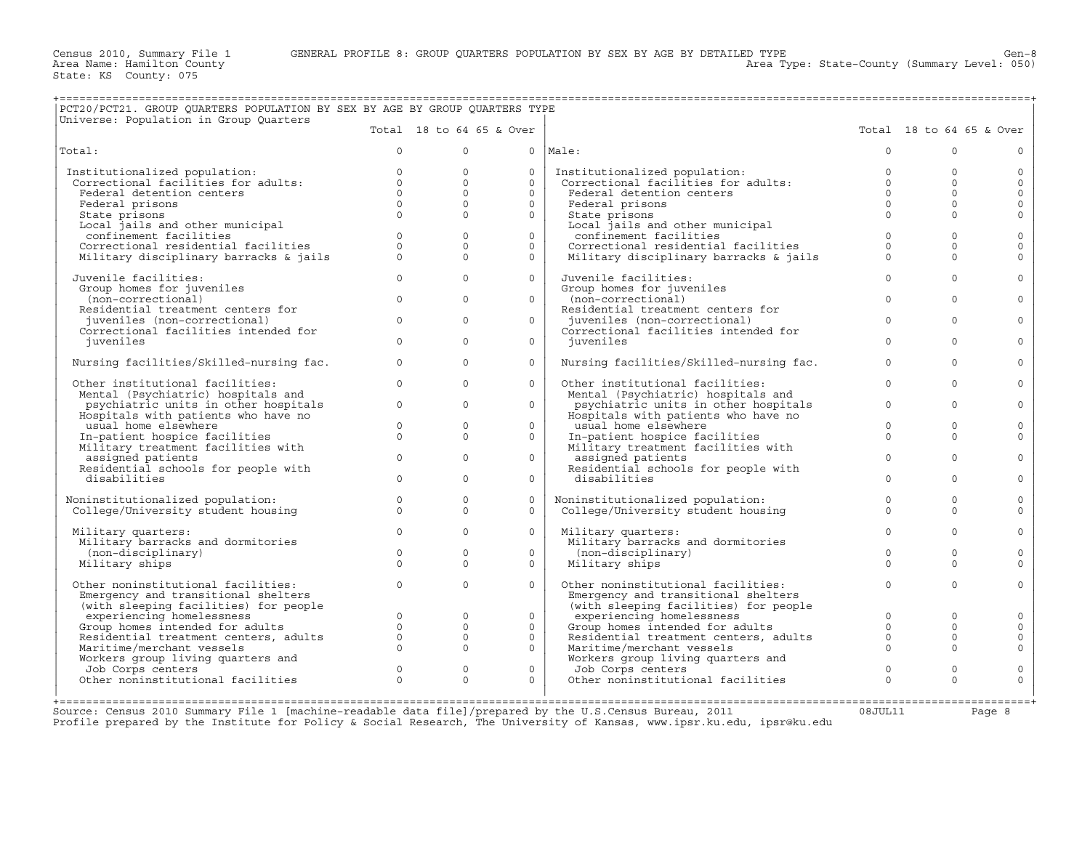+===================================================================================================================================================+

Area Type: State-County (Summary Level: 050)

|                                         |                      | Total 18 to 64 65 & Over |              |                                         |              | Total 18 to 64 65 & Over |  |
|-----------------------------------------|----------------------|--------------------------|--------------|-----------------------------------------|--------------|--------------------------|--|
| Total:                                  | $\Omega$             | $\Omega$                 |              | $0$  Male:                              | $\Omega$     | $\Omega$                 |  |
| Institutionalized population:           | $\circ$              | $\circ$                  | $\circ$      | Institutionalized population:           | $\mathbf{0}$ | $\mathbf 0$              |  |
| Correctional facilities for adults:     | $\Omega$             | $\mathbf 0$              | $\Omega$     | Correctional facilities for adults:     | $\Omega$     | $\Omega$                 |  |
| Federal detention centers               | $0 \qquad \qquad$    | $\Omega$                 | $\Omega$     | Federal detention centers               | $\Omega$     | $\Omega$                 |  |
| Federal prisons                         | $\Omega$             | $\mathbf{0}$             | $\circ$      | Federal prisons                         | $\Omega$     | $\mathbf 0$              |  |
| State prisons                           | $\Omega$             | $\Omega$                 | $\Omega$     | State prisons                           | $\Omega$     | $\Omega$                 |  |
| Local jails and other municipal         |                      |                          |              | Local jails and other municipal         |              |                          |  |
| confinement facilities                  | $\Omega$             | $\Omega$                 | $\Omega$     | confinement facilities                  | $\Omega$     | $\Omega$                 |  |
| Correctional residential facilities     | $\Omega$             | $\Omega$                 | $\Omega$     | Correctional residential facilities     | $\Omega$     | $\Omega$                 |  |
| Military disciplinary barracks & jails  | $\Omega$             | $\Omega$                 | $\mathsf{O}$ | Military disciplinary barracks & jails  | $\Omega$     | $\Omega$                 |  |
|                                         |                      |                          |              |                                         |              |                          |  |
| Juvenile facilities:                    | $\Omega$             | $\Omega$                 | $\circ$      | Juvenile facilities:                    | $\Omega$     | $\Omega$                 |  |
| Group homes for juveniles               |                      |                          |              | Group homes for juveniles               |              |                          |  |
| (non-correctional)                      | $\Omega$             | $\Omega$                 | $\circ$      | (non-correctional)                      | $\Omega$     | $\Omega$                 |  |
| Residential treatment centers for       |                      |                          |              | Residential treatment centers for       |              |                          |  |
| juveniles (non-correctional)            | $\Omega$             | $\Omega$                 | $\Omega$     | juveniles (non-correctional)            | $\Omega$     | $\Omega$                 |  |
| Correctional facilities intended for    |                      |                          |              | Correctional facilities intended for    |              |                          |  |
| juveniles                               | $\Omega$             | $\Omega$                 | $\Omega$     | iuveniles                               | $\Omega$     | $\Omega$                 |  |
| Nursing facilities/Skilled-nursing fac. | $\Omega$             | $\mathbf 0$              | $\circ$      | Nursing facilities/Skilled-nursing fac. | $\Omega$     | $\Omega$                 |  |
| Other institutional facilities:         | $\Omega$             | $\Omega$                 | $\circ$      | Other institutional facilities:         | $\Omega$     | $\Omega$                 |  |
| Mental (Psychiatric) hospitals and      |                      |                          |              | Mental (Psychiatric) hospitals and      |              |                          |  |
| psychiatric units in other hospitals    | $\circ$              | $\circ$                  | $\circ$      | psychiatric units in other hospitals    | $\mathbf 0$  | $\Omega$                 |  |
|                                         |                      |                          |              |                                         |              |                          |  |
| Hospitals with patients who have no     |                      |                          |              | Hospitals with patients who have no     | $\Omega$     |                          |  |
| usual home elsewhere                    | $\Omega$<br>$\Omega$ | $\mathbf{0}$             | $\circ$      | usual home elsewhere                    |              | $\circ$                  |  |
| In-patient hospice facilities           |                      | $\Omega$                 | $\circ$      | In-patient hospice facilities           | $\Omega$     | $\Omega$                 |  |
| Military treatment facilities with      |                      |                          |              | Military treatment facilities with      |              |                          |  |
| assigned patients                       | $\Omega$             | $\Omega$                 | $\circ$      | assigned patients                       | $\Omega$     | $\Omega$                 |  |
| Residential schools for people with     |                      |                          |              | Residential schools for people with     |              |                          |  |
| disabilities                            | $\Omega$             | $\Omega$                 | $\circ$      | disabilities                            | $\Omega$     | $\Omega$                 |  |
| Noninstitutionalized population:        | $\Omega$             | $\Omega$                 | $\Omega$     | Noninstitutionalized population:        | $\Omega$     | $\Omega$                 |  |
| College/University student housing      | $\Omega$             | $\Omega$                 | $\Omega$     | College/University student housing      | $\Omega$     | $\Omega$                 |  |
|                                         |                      |                          |              |                                         |              |                          |  |
| Military quarters:                      | $\Omega$             | $\mathbf 0$              | $\circ$      | Military quarters:                      | $\Omega$     | $\Omega$                 |  |
| Military barracks and dormitories       |                      |                          |              | Military barracks and dormitories       |              |                          |  |
| (non-disciplinary)                      | $\Omega$             | $\Omega$                 | $\Omega$     | (non-disciplinary)                      | $\Omega$     | $\Omega$                 |  |
| Military ships                          | $\Omega$             | $\Omega$                 | $\circ$      | Military ships                          | $\Omega$     | $\Omega$                 |  |
|                                         |                      |                          |              |                                         |              |                          |  |
| Other noninstitutional facilities:      | $\Omega$             | $\Omega$                 | $\Omega$     | Other noninstitutional facilities:      | $\Omega$     | $\Omega$                 |  |
| Emergency and transitional shelters     |                      |                          |              | Emergency and transitional shelters     |              |                          |  |
| (with sleeping facilities) for people   |                      |                          |              | (with sleeping facilities) for people   |              |                          |  |
| experiencing homelessness               | $\Omega$             | $\mathbf 0$              | $\circ$      | experiencing homelessness               | $\Omega$     | $\mathbf 0$              |  |
| Group homes intended for adults         | $\Omega$             | $\Omega$                 | $\Omega$     | Group homes intended for adults         | $\Omega$     | $\Omega$                 |  |
| Residential treatment centers, adults   | $\circ$              | $\circ$                  | $\mathbf{0}$ | Residential treatment centers, adults   | $\circ$      | $\Omega$                 |  |
| Maritime/merchant vessels               | $\Omega$             | $\Omega$                 | $\Omega$     | Maritime/merchant vessels               | $\Omega$     | $\Omega$                 |  |
| Workers group living quarters and       |                      |                          |              | Workers group living quarters and       |              |                          |  |
| Job Corps centers                       | $\circ$              | $\mathbf{0}$             | $\mathbf{0}$ | Job Corps centers                       | $\mathbf{0}$ | $\mathbf 0$              |  |
|                                         |                      | $\Omega$                 |              | Other noninstitutional facilities       | $\Omega$     | $\Omega$                 |  |
| Other noninstitutional facilities       | $\Omega$             |                          | $\Omega$     |                                         |              |                          |  |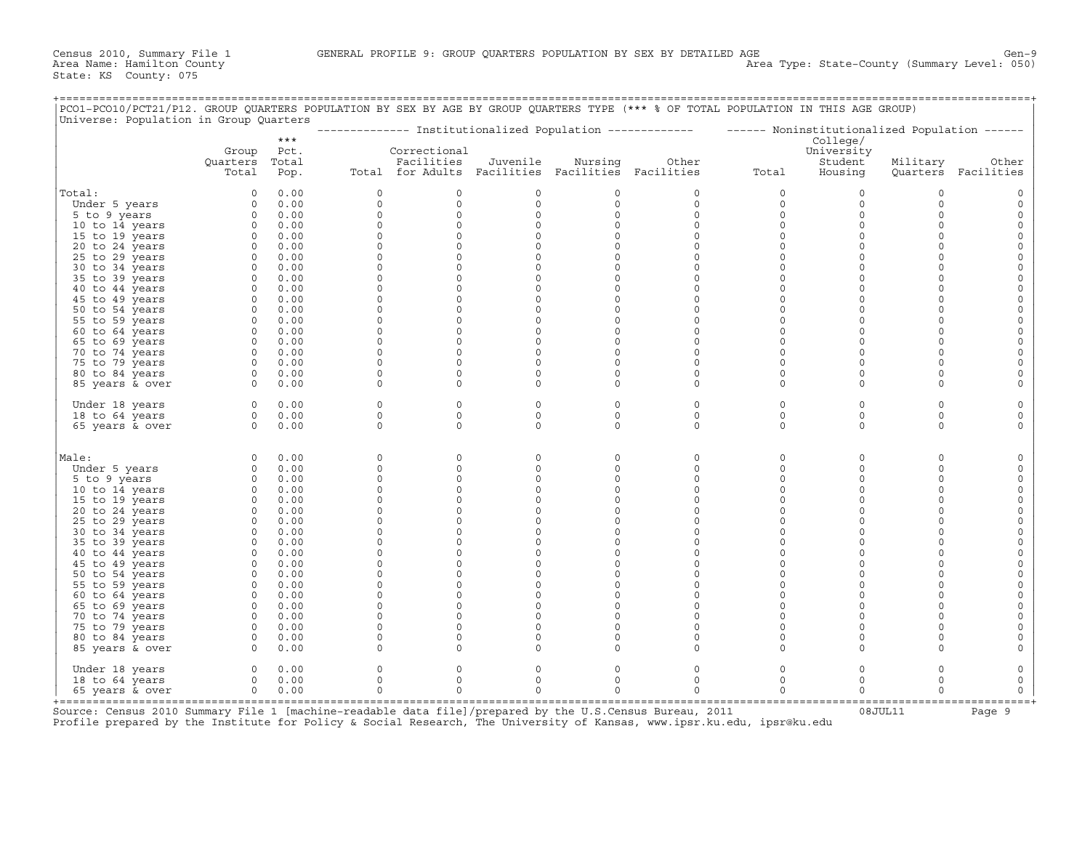+===================================================================================================================================================+

|                 |                            | $***$                 |              |                                                                                 |                     |                     | --------------- Institutionalized Population ------------- - ------ Noninstitutionalized Population ------ |                     | College/                         |              |                              |
|-----------------|----------------------------|-----------------------|--------------|---------------------------------------------------------------------------------|---------------------|---------------------|------------------------------------------------------------------------------------------------------------|---------------------|----------------------------------|--------------|------------------------------|
|                 | Group<br>Quarters<br>Total | Pct.<br>Total<br>Pop. |              | Correctional<br>Facilities<br>Total for Adults Facilities Facilities Facilities | Juvenile            | Nursing             | Other                                                                                                      | Total               | University<br>Student<br>Housing | Military     | Other<br>Quarters Facilities |
| Total:          | $\circ$                    | 0.00                  | 0            | 0                                                                               | 0                   | 0                   | 0                                                                                                          | 0                   | $\circ$                          | $\circ$      | 0                            |
| Under 5 years   | $\Omega$                   | 0.00                  | $\circ$      | $\mathbf{0}$                                                                    | $\circ$             | $\circ$             | $\mathbf 0$                                                                                                | $\circ$             | $\circ$                          | $\Omega$     | $\circ$                      |
| 5 to 9 years    | $\circ$                    | 0.00                  | $\circ$      | $\circ$                                                                         | $\circ$             | $\circ$             | $\circ$                                                                                                    | $\mathsf{O}\xspace$ | $\mathsf{O}\xspace$              | $\mathbf{0}$ | $\circ$                      |
| 10 to 14 years  | $\circ$                    | 0.00                  | $\mathbf 0$  | $\mathbf{0}$                                                                    | $\circ$             | $\Omega$            | $\circ$                                                                                                    | $\circ$             | $\mathbf 0$                      | $\mathbf 0$  | $\circ$                      |
| 15 to 19 years  | $\Omega$                   | 0.00                  | $\mathbf{0}$ | $\circ$                                                                         | $\circ$             | $\circ$             | $\Omega$                                                                                                   | $\circ$             | $\circ$                          | $\Omega$     | $\circ$                      |
| 20 to 24 years  | $\Omega$                   | 0.00                  | $\Omega$     | $\Omega$                                                                        | $\circ$             | $\circ$             | $\Omega$                                                                                                   | $\circ$             | $\circ$                          | $\Omega$     | $\mathsf{O}\xspace$          |
| 25 to 29 years  | $\circ$                    | 0.00                  | $\mathbf{0}$ | $\circ$                                                                         | $\circ$             | $\mathbf 0$         | $\mathbf 0$                                                                                                | $\circ$             | $\circ$                          | $\mathbf 0$  | $\mathbf{0}$                 |
| 30 to 34 years  | $\circ$                    | 0.00                  | $\mathbf{0}$ | $\circ$                                                                         | $\circ$             | $\mathbf 0$         | $\mathbf 0$                                                                                                | $\circ$             | $\circ$                          | $\Omega$     | $\mathsf O$                  |
| 35 to 39 years  | $\circ$                    | 0.00                  | $\circ$      | $\circ$                                                                         | 0                   | $\mathsf O$         | $\mathbf 0$                                                                                                | $\circ$             | $\circ$                          | $\mathbf{0}$ | $\mathsf{O}\xspace$          |
| 40 to 44 years  | $\circ$                    | 0.00                  | $\circ$      | $\circ$                                                                         | 0                   | $\mathsf{O}\xspace$ | $\Omega$                                                                                                   | $\circ$             | $\circ$                          | $\mathbf{0}$ | $\mathsf{O}\xspace$          |
| 45 to 49 years  | $\circ$                    | 0.00                  | $\mathbf{0}$ | $\circ$                                                                         | $\circ$             | $\mathsf O$         | $\mathbf 0$                                                                                                | $\circ$             | $\mathsf O$                      | $\circ$      | $\mathsf{O}\xspace$          |
| 50 to 54 years  | $\circ$                    | 0.00                  | $\mathbf{0}$ | $\circ$                                                                         | $\mathsf{O}\xspace$ | $\mathsf{O}\xspace$ | $\Omega$                                                                                                   | $\circ$             | $\circ$                          | $\mathbf{0}$ | $\mathsf{O}\xspace$          |
| 55 to 59 years  | $\circ$                    | 0.00                  | $\circ$      | $\mathbf{0}$                                                                    | 0                   | $\mathsf O$         | $\circ$                                                                                                    | $\circ$             | $\mathsf O$                      | $\mathbf 0$  | $\circ$                      |
| 60 to 64 years  | $\circ$                    | 0.00                  | $\mathbf{0}$ | $\mathbf 0$                                                                     | $\circ$             | $\mathbf 0$         | $\Omega$                                                                                                   | $\circ$             | $\mathsf O$                      | $\Omega$     | $\circ$                      |
| 65 to 69 years  | $\circ$                    | 0.00                  | $\mathbf 0$  | $\mathbf{0}$                                                                    | 0                   | $\mathsf O$         | $\Omega$                                                                                                   | $\circ$             | $\mathsf O$                      | $\mathbf 0$  | $\circ$                      |
| 70 to 74 years  | $\circ$                    | 0.00                  | $\mathbf 0$  | $\mathbf{0}$                                                                    | $\circ$             | $\mathbf 0$         | $\Omega$                                                                                                   | $\circ$             | $\circ$                          | $\mathbf 0$  | $\mathsf{O}$                 |
| 75 to 79 years  | $\circ$                    | 0.00                  | $\mathbf{0}$ | $\mathbf 0$                                                                     | $\circ$             | $\Omega$            | $\Omega$                                                                                                   | $\circ$             | $\mathsf O$                      | $\Omega$     | $\circ$                      |
| 80 to 84 years  | $\circ$                    | 0.00                  | $\mathbf 0$  | $\mathbf{0}$                                                                    | 0                   | $\mathsf O$         | 0                                                                                                          | $\circ$             | $\mathsf O$                      | $\mathbf 0$  | $\circ$                      |
| 85 years & over | $\Omega$                   | 0.00                  | $\Omega$     | $\Omega$                                                                        | $\circ$             | $\circ$             | $\Omega$                                                                                                   | $\circ$             | $\circ$                          | $\Omega$     | $\circ$                      |
|                 |                            |                       |              |                                                                                 |                     |                     |                                                                                                            |                     |                                  |              |                              |
| Under 18 years  | $\circ$                    | 0.00                  | $\mathbf 0$  | $\mathbf{0}$                                                                    | $\circ$             | $\circ$             | $\mathbf 0$                                                                                                | $\circ$             | $\circ$                          | $\mathbf 0$  | $\mathbf 0$                  |
| 18 to 64 years  | $\Omega$                   | 0.00                  | $\Omega$     | $\Omega$                                                                        | $\Omega$            | $\Omega$            | $\Omega$                                                                                                   | $\circ$             | $\circ$                          | $\Omega$     | $\circ$                      |
| 65 years & over | $\Omega$                   | 0.00                  | $\Omega$     | $\Omega$                                                                        | $\circ$             | $\circ$             | $\Omega$                                                                                                   | $\circ$             | $\circ$                          | $\mathbf 0$  | $\circ$                      |
| Male:           | $\circ$                    | 0.00                  | $\circ$      | 0                                                                               | 0                   | 0                   | 0                                                                                                          | $\circ$             | $\mathsf O$                      | $\mathbf 0$  | $\mathsf{O}$                 |
| Under 5 years   | $\circ$                    | 0.00                  | $\circ$      | $\circ$                                                                         | 0                   | $\mathsf O$         | $\mathsf O$                                                                                                | $\circ$             | $\mathsf O$                      | $\mathbf 0$  | $\circ$                      |
| 5 to 9 years    | $\circ$                    | 0.00                  | $\mathbf 0$  | $\circ$                                                                         | $\circ$             | $\circ$             | $\Omega$                                                                                                   | $\circ$             | $\mathsf O$                      | $\mathbf 0$  | $\mathbb O$                  |
| 10 to 14 years  | $\circ$                    | 0.00                  | $\mathsf O$  | $\circ$                                                                         | $\mathsf{O}\xspace$ | $\mathsf{O}\xspace$ | $\mathsf{O}\xspace$                                                                                        | $\circ$             | $\circ$                          | $\mathbf 0$  | $\mathsf{O}\xspace$          |
| 15 to 19 years  | $\circ$                    | 0.00                  | $\circ$      | $\circ$                                                                         | 0                   | $\mathsf O$         | $\mathbf 0$                                                                                                | $\circ$             | $\mathsf O$                      | $\mathbf 0$  | $\mathsf{O}\xspace$          |
| 20 to 24 years  | $\Omega$                   | 0.00                  | $\mathbf 0$  | $\circ$                                                                         | $\circ$             | $\mathbf 0$         | $\Omega$                                                                                                   | $\circ$             | $\mathsf O$                      | $\Omega$     | $\mathsf{O}\xspace$          |
| 25 to 29 years  | $\circ$                    | 0.00                  | $\mathsf O$  | 0                                                                               | 0                   | $\mathsf O$         | $\mathbf 0$                                                                                                | $\circ$             | $\mathsf O$                      | $\Omega$     | $\mathsf{O}$                 |
| 30 to 34 years  | $\circ$                    | 0.00                  | $\circ$      | $\mathbf{0}$                                                                    | 0                   | $\mathsf{O}$        | $\mathbf 0$                                                                                                | $\circ$             | $\mathsf O$                      | 0            | $\circ$                      |
| 35 to 39 years  | $\Omega$                   | 0.00                  | $\Omega$     | $\mathbf{0}$                                                                    | $\circ$             | $\mathbf 0$         | $\Omega$                                                                                                   | $\circ$             | $\circ$                          | $\Omega$     | $\mathsf{O}$                 |
| 40 to 44 years  | $\circ$                    | 0.00                  | $\mathsf O$  | $\circ$                                                                         | 0                   | $\mathsf O$         | $\mathbf 0$                                                                                                | $\circ$             | $\mathsf O$                      | 0            | $\mathsf{O}$                 |
| 45 to 49 years  | $\circ$                    | 0.00                  | $\mathbf 0$  | $\mathbf{0}$                                                                    | $\circ$             | $\mathsf{O}$        | $\mathbf 0$                                                                                                | $\circ$             | $\mathsf O$                      | $\mathbf 0$  | $\circ$                      |
| 50 to 54 years  | $\Omega$                   | 0.00                  | $\Omega$     | $\Omega$                                                                        | $\circ$             | $\Omega$            | $\Omega$                                                                                                   | $\circ$             | $\circ$                          | $\Omega$     | $\mathsf{O}$                 |
| 55 to 59 years  | $\circ$                    | 0.00                  | $\circ$      | $\mathbf{0}$                                                                    | 0                   | $\mathsf O$         | $\mathbf 0$                                                                                                | $\circ$             | $\mathsf O$                      | $\mathbf 0$  | $\mathsf{O}$                 |
| 60 to 64 years  | $\circ$                    | 0.00                  | $\mathbf 0$  | $\circ$                                                                         | $\circ$             | $\mathbf 0$         | $\Omega$                                                                                                   | $\circ$             | $\mathsf O$                      | $\mathbf 0$  | $\mathsf{O}\xspace$          |
| 65 to 69 years  | $\Omega$                   | 0.00                  | $\Omega$     | $\Omega$                                                                        | $\circ$             | $\mathbf 0$         | $\mathbf 0$                                                                                                | $\circ$             | $\circ$                          | $\Omega$     | $\mathsf{O}$                 |
| 70 to 74 years  | $\circ$                    | 0.00                  | $\mathbf 0$  | $\circ$                                                                         | $\circ$             | $\circ$             | $\circ$                                                                                                    | $\circ$             | $\circ$                          | $\mathbf 0$  | $\mathsf{O}$                 |
| 75 to 79 years  | $\circ$                    | 0.00                  | $\mathbf 0$  | $\mathbf{0}$                                                                    | $\circ$             | $\mathbf 0$         | $\Omega$                                                                                                   | $\circ$             | $\mathsf O$                      | $\mathbf 0$  | $\mathsf{O}$                 |
| 80 to 84 years  | $\Omega$                   | 0.00                  | $\Omega$     | $\Omega$                                                                        | $\circ$             | $\Omega$            | $\Omega$                                                                                                   | $\circ$             | $\circ$                          | $\Omega$     | $\mathbf{0}$                 |
| 85 years & over | $\circ$                    | 0.00                  | $\mathbf 0$  | $\mathbf{0}$                                                                    | $\circ$             | $\circ$             | $\circ$                                                                                                    | $\circ$             | $\mathbf 0$                      | 0            | $\mathsf{O}$                 |
| Under 18 years  | $\circ$                    | 0.00                  | $\Omega$     | 0                                                                               | 0                   | 0                   | 0                                                                                                          | $\circ$             | $\mathsf O$                      | 0            | $\mathsf{O}$                 |
| 18 to 64 years  | $\circ$                    | 0.00                  | $\mathbf{0}$ | $\circ$                                                                         | $\circ$             | $\mathsf O$         | $\circ$                                                                                                    | $\circ$             | $\mathsf O$                      | $\circ$      | $\mathsf O$                  |
| 65 years & over | $\Omega$                   | 0.00                  | $\Omega$     | $\Omega$                                                                        | $\Omega$            | $\Omega$            | $\Omega$                                                                                                   | $\circ$             | $\circ$                          | $\Omega$     | $\circ$                      |

+===================================================================================================================================================+

Source: Census 2010 Summary File 1 [machine-readable data file]/prepared by the U.S.Census Bureau, 2011 Profile prepared by the Institute for Policy & Social Research, The University of Kansas, www.ipsr.ku.edu, ipsr@ku.edu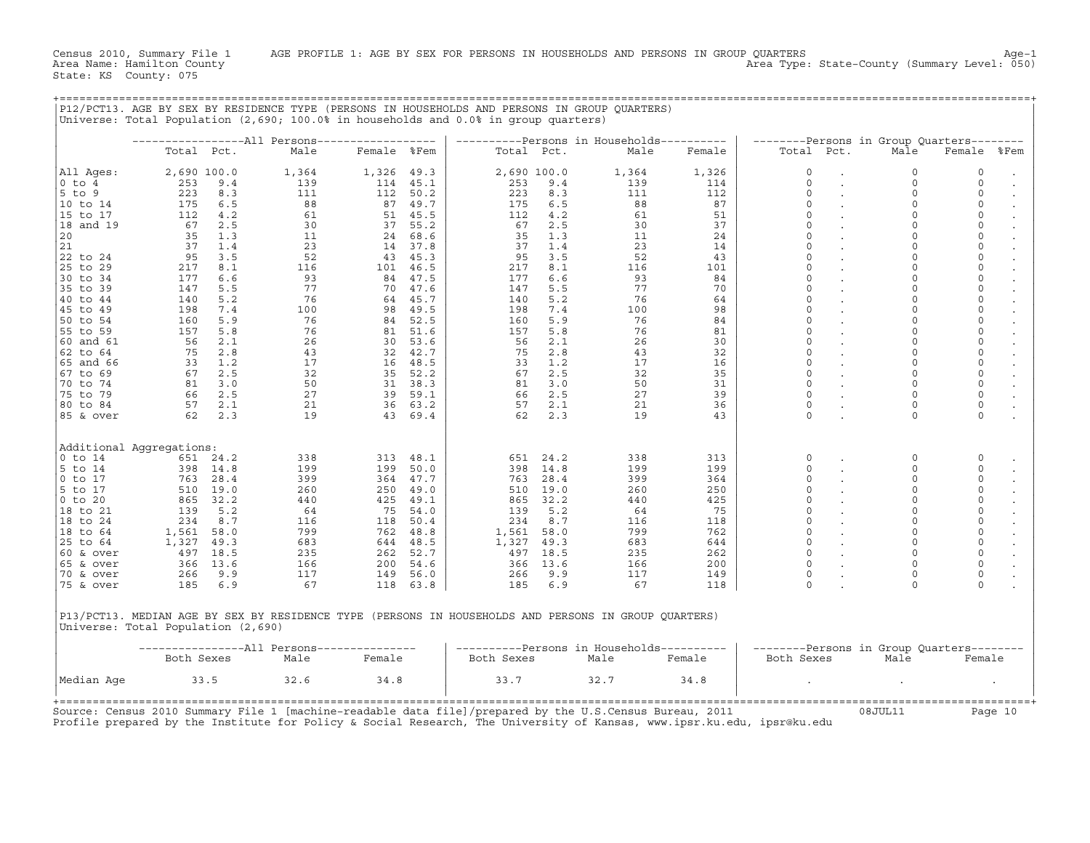Census 2010, Summary File 1 AGE PROFILE 1: AGE BY SEX FOR PERSONS IN HOUSEHOLDS AND PERSONS IN GROUP QUARTERS<br>Area Name: Hamilton County Level: 050) Area Type: State-County (Summary Level: 050) Area Type: State−County (Summary Level: 050)

+===================================================================================================================================================+

|                                    |            |             |                                                           |                                          |          | ----------Persons in Households----------                                                            |             |           |            |                         | --------Persons in Group Quarters-------- |                                     |      |
|------------------------------------|------------|-------------|-----------------------------------------------------------|------------------------------------------|----------|------------------------------------------------------------------------------------------------------|-------------|-----------|------------|-------------------------|-------------------------------------------|-------------------------------------|------|
|                                    | Total Pct. |             | Male                                                      | Female %Fem                              |          | Total Pct.                                                                                           |             | Male      | Female     | Total Pct.              | Male                                      | Female                              | %Fem |
| All Aqes:                          |            | 2,690 100.0 | 1,364                                                     | 1,326 49.3                               |          |                                                                                                      | 2,690 100.0 | 1,364     | 1,326      | $\mathsf{O}$            | $\mathbf 0$                               | 0                                   |      |
| $0$ to $4$                         | 253        | 9.4         | 139                                                       | 114 45.1                                 |          | 253                                                                                                  | 9.4         | 139       | 114        | $\circ$                 | $\circ$                                   | $\mathbf 0$                         |      |
| 5 to 9                             | 223        | 8.3         | 111                                                       | 112                                      | 50.2     | 223                                                                                                  | 8.3         | 111       | 112        | $\mathbf 0$             | $\mathbf 0$                               | $\mathsf{O}$                        |      |
| 10 to 14                           | 175        | 6.5         | 88                                                        | 87                                       | 49.7     | 175                                                                                                  | 6.5         | 88        | 87         | $\Omega$                | $\Omega$                                  | $\mathsf{O}$                        |      |
| 15 to 17                           | 112        | 4.2         | 61                                                        |                                          | 51 45.5  | 112                                                                                                  | 4.2         | 61        | 51         | $\Omega$                | $\Omega$                                  | $\mathsf O$                         |      |
| 18 and 19                          | 67         | 2.5         | 30                                                        | 37                                       | 55.2     | 67                                                                                                   | 2.5         | 30        | 37         | $\Omega$                | $\Omega$                                  | $\mathbb O$                         |      |
| 20                                 | 35         | 1.3         | 11                                                        | 24                                       | 68.6     | 35                                                                                                   | 1.3         | 11        | 24         | $\mathbf 0$             | $\Omega$                                  | $\mathsf{O}\xspace$                 |      |
| 21                                 | 37         | 1.4         | 23                                                        |                                          | 14 37.8  | 37                                                                                                   | 1.4         | 23        | 14         | $\mathbf 0$             | $\mathbf 0$                               | $\mathsf{O}\xspace$                 |      |
| 22 to 24                           | 95         | 3.5         | 52                                                        | 43                                       | 45.3     | 95                                                                                                   | 3.5         | 52        | 43         | $\Omega$                | $\Omega$                                  | $\mathsf{O}\xspace$                 |      |
| 25 to 29                           | 217        | 8.1         | 116                                                       | 101                                      | 46.5     | 217                                                                                                  | 8.1         | 116       | 101        | $\Omega$                | $\Omega$                                  | $\mathbb O$                         |      |
| 30 to 34                           | 177        | 6.6         | 93                                                        | 84                                       | 47.5     | 177                                                                                                  | 6.6         | 93        | 84         | $\mathbf 0$             | $\mathbf 0$                               | $\mathbb O$                         |      |
| 35 to 39                           | 147        | 5.5         | 77                                                        | 70                                       | 47.6     | 147                                                                                                  | 5.5         | 77        | 70         | $\Omega$                | $\Omega$                                  | $\mathsf O$                         |      |
| 40 to 44                           | 140        | 5.2         | 76                                                        | 64                                       | 45.7     | 140                                                                                                  | 5.2         | 76        | 64         | $\mathbf 0$             | $\mathbf 0$                               | $\mathbb O$                         |      |
| 145 to 49                          | 198        | 7.4         | 100                                                       | 98                                       | 49.5     | 198                                                                                                  | 7.4         | 100       | 98         | $\mathbf 0$<br>$\Omega$ | $\mathbf 0$<br>$\Omega$                   | $\mathsf{O}\xspace$                 |      |
| 50 to 54                           | 160        | 5.9         | 76                                                        | 84                                       | 52.5     | 160                                                                                                  | 5.9         | 76        | 84         | $\Omega$                |                                           | $\mathsf{O}\xspace$                 |      |
| 55 to 59                           | 157        | 5.8         | 76                                                        | 81                                       | 51.6     | 157                                                                                                  | 5.8         | 76        | 81         | $\mathbf 0$             | $\mathbf 0$<br>$\mathbf 0$                | $\mathsf{O}\xspace$                 |      |
| 60 and 61                          | 56         | 2.1         | 26                                                        | 30                                       | 53.6     | 56                                                                                                   | 2.1         | 26        | 30         | $\Omega$                | $\mathbf 0$                               | $\mathsf{O}$<br>$\mathsf{O}\xspace$ |      |
| 62 to 64                           | 75         | 2.8<br>1.2  | 43<br>17                                                  | $32 \t 42.7$<br>16 $48.5$                |          | 75                                                                                                   | 2.8         | 43<br>17  | 32         | $\Omega$                | $\Omega$                                  | $\mathsf O$                         |      |
| 65 and 66<br>67 to 69              | 33<br>67   | 2.5         |                                                           |                                          |          | 33<br>67                                                                                             | 1.2<br>2.5  | 32        | 16<br>35   | $\mathbf 0$             | $\mathbf 0$                               | $\mathbb O$                         |      |
| 70 to 74                           | 81         | 3.0         |                                                           |                                          |          | 81                                                                                                   | 3.0         | 50        | 31         | $\mathsf O$             | $\mathbf 0$                               | $\mathsf{O}\xspace$                 |      |
| 75 to 79                           | 66         | 2.5         |                                                           |                                          |          | 66                                                                                                   | 2.5         |           | 39         | $\mathbf 0$             | $\Omega$                                  | $\mathsf{O}\xspace$                 |      |
| 80 to 84                           |            | 57 2.1      | $\begin{array}{c} 32 \\ 50 \\ 27 \\ 21 \\ 19 \end{array}$ | 35 52.2<br>31 38.3<br>39 59.1<br>36 63.2 |          | 57                                                                                                   | 2.1         | 27<br>21  | 36         | $\mathsf{O}$            | $\mathbf 0$                               | $\mathsf{O}\xspace$                 |      |
| 85 & over                          | 62         | 2.3         | 19                                                        |                                          | 43 69.4  | 62                                                                                                   | 2.3         | 19        | 43         | $\Omega$                | $\Omega$                                  | $\mathbf 0$                         |      |
|                                    |            |             |                                                           |                                          |          |                                                                                                      |             |           |            |                         |                                           |                                     |      |
| Additional Aggregations:           |            |             |                                                           |                                          |          |                                                                                                      |             |           |            |                         |                                           |                                     |      |
| $0$ to $14$                        |            | 651 24.2    | 338                                                       | 313                                      | 48.1     | 651                                                                                                  | 24.2        | 338       | 313        | 0                       | $\mathbf 0$                               | 0                                   |      |
| 5 to 14                            |            | 398 14.8    | 199                                                       | 199                                      | 50.0     | 398                                                                                                  | 14.8        | 199       | 199        | $\Omega$                | $\Omega$                                  | $\mathbf 0$                         |      |
| $0$ to $17$                        |            | 763 28.4    | 399                                                       |                                          | 364 47.7 | 763                                                                                                  | 28.4        | 399       | 364        | $\Omega$                | $\mathbf 0$                               | $\mathsf{O}\xspace$                 |      |
| 5 to 17                            |            | 510 19.0    | 260                                                       | 250                                      | 49.0     | 510                                                                                                  | 19.0        | 260       | 250        | $\mathbf 0$             | $\mathbf 0$                               | $\mathsf{O}\xspace$                 |      |
| $0$ to $20$                        |            | 865 32.2    | 440                                                       |                                          | 425 49.1 |                                                                                                      | 865 32.2    | 440       | 425        | $\mathbf 0$             | $\mathbf 0$                               | $\mathbb O$                         |      |
| 18 to 21                           | 139        | 5.2         | 64                                                        | 75                                       | 54.0     | 139                                                                                                  | 5.2         | 64        | 75         | $\Omega$                | $\Omega$                                  | $\mathbb O$                         |      |
| 18 to 24                           | 234        | 8.7         | 116                                                       | 118                                      | 50.4     | 234                                                                                                  | 8.7         | 116       | 118        | $\Omega$<br>$\Omega$    | $\Omega$<br>$\mathbf 0$                   | $\mathbb O$                         |      |
| 18 to 64                           | 1,561 58.0 |             | 799                                                       | 762                                      | 48.8     | 1,561                                                                                                | 58.0        | 799       | 762        | $\mathbf 0$             | $\Omega$                                  | $\circ$                             |      |
| 25 to 64                           | 1,327      | 49.3        | 683                                                       | 644 48.5                                 |          | 1,327                                                                                                | 49.3        | 683       | 644        |                         |                                           | $\mathbb O$                         |      |
| 60 & over                          |            | 497 18.5    | 235                                                       | 262                                      | 52.7     | 497                                                                                                  | 18.5        | 235       | 262        | $\mathsf O$<br>$\circ$  | $\mathbf 0$                               | $\mathbb O$                         |      |
| 65 & over                          | 366        | 13.6        | 166<br>117                                                | 200                                      | 54.6     | 366                                                                                                  | 13.6<br>9.9 | 166       | 200        | $\Omega$                |                                           | $\mathsf{O}\xspace$<br>$\mathbf 0$  |      |
| 70 & over<br>75 & over             | 266<br>185 | 9.9<br>6.9  | 67                                                        |                                          | 149 56.0 | 266<br>185                                                                                           | 6.9         | 117<br>67 | 149<br>118 |                         |                                           | $\mathbf 0$                         |      |
|                                    |            |             |                                                           |                                          | 118 63.8 |                                                                                                      |             |           |            |                         |                                           |                                     |      |
| Universe: Total Population (2,690) |            |             |                                                           |                                          |          | P13/PCT13. MEDIAN AGE BY SEX BY RESIDENCE TYPE (PERSONS IN HOUSEHOLDS AND PERSONS IN GROUP OUARTERS) |             |           |            |                         |                                           |                                     |      |
|                                    |            |             | -----------------All Persons---------------               |                                          |          | ----------Persons in Households----------                                                            |             |           |            |                         | --------Persons in Group Quarters-------- |                                     |      |
|                                    | Both Sexes |             | Male                                                      | Female                                   |          | Both Sexes                                                                                           |             | Male      | Female     | Both Sexes              | Male                                      | Female                              |      |
| Median Age                         |            | 33.5        | 32.6                                                      | 34.8                                     |          | 33.7                                                                                                 |             | 32.7      | 34.8       |                         |                                           |                                     |      |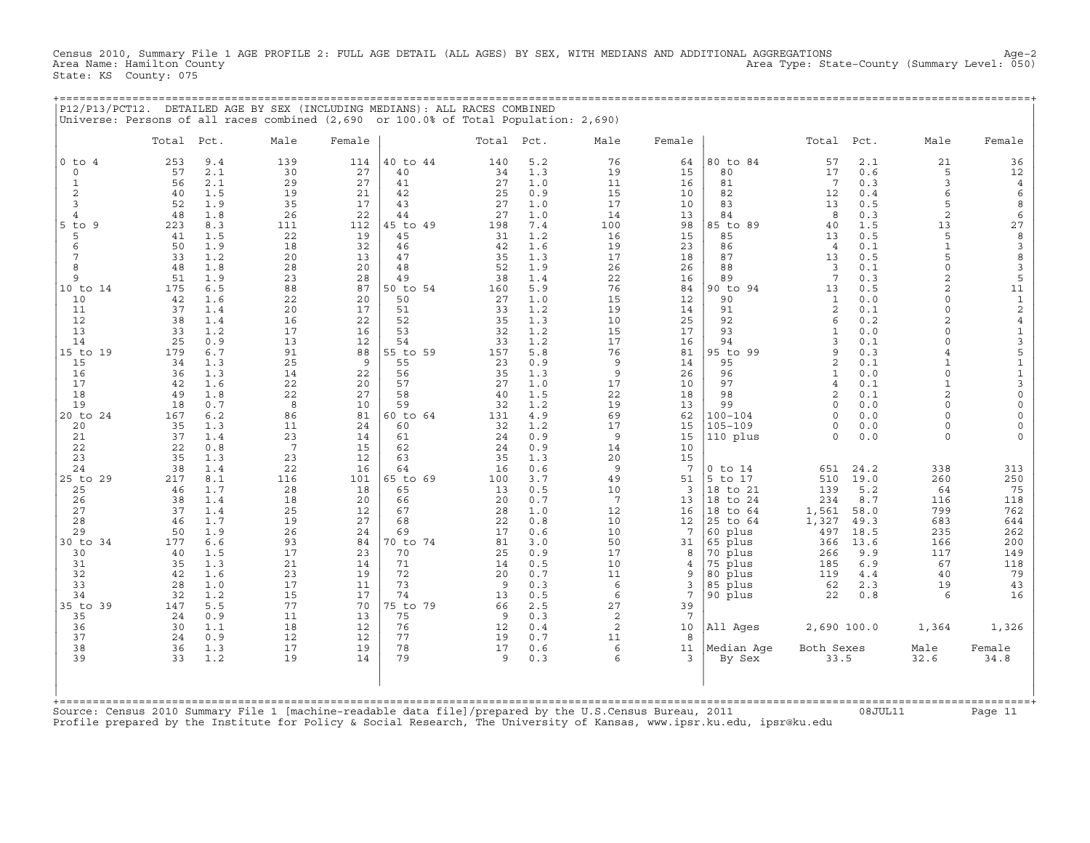Census 2010, Summary File 1 AGE PROFILE 2: FULL AGE DETAIL (ALL AGES) BY SEX, WITH MEDIANS AND ADDITIONAL AGGREGATIONS Age−2 Area Type: State−County (Summary Level: 050) State: KS County: 075

+===================================================================================================================================================+

+===================================================================================================================================================+ Source: Census 2010 Summary File 1 [machine−readable data file]/prepared by the U.S.Census Bureau, 2011 08JUL11 Page 11 Profile prepared by the Institute for Policy & Social Research, The University of Kansas, www.ipsr.ku.edu, ipsr@ku.edu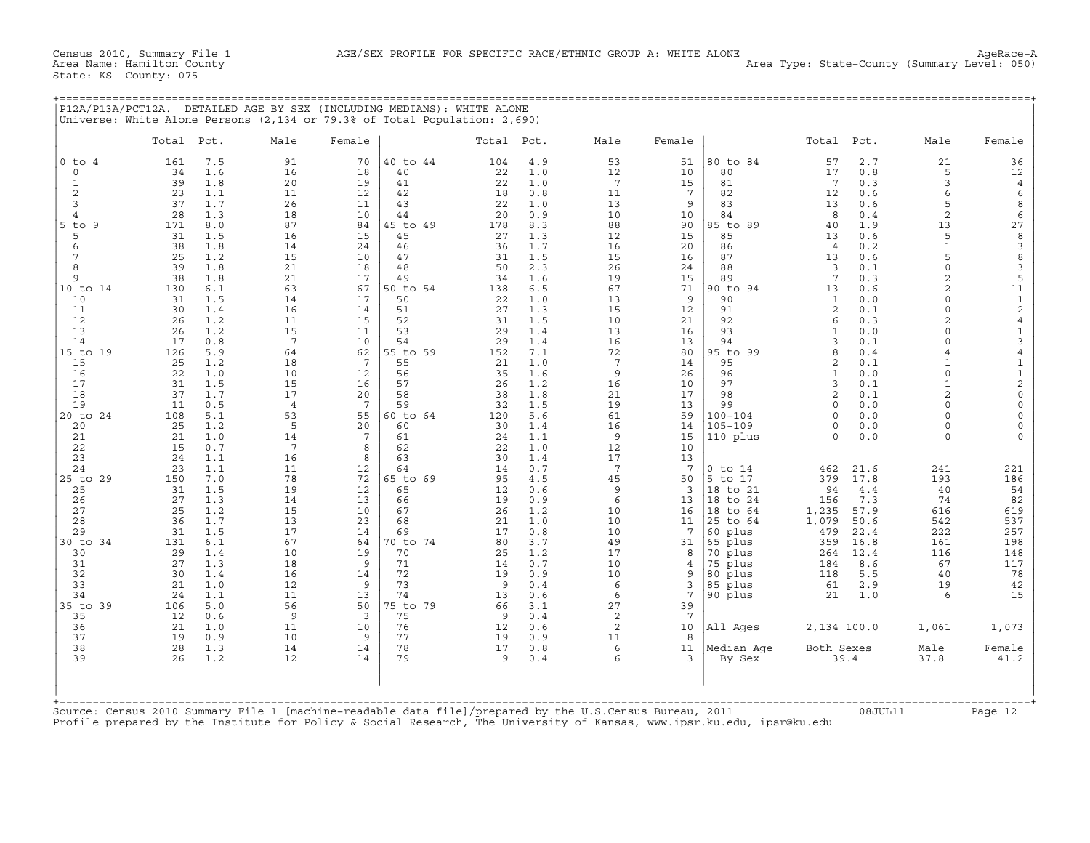| P12A/P13A/PCT12A. | . DETAILED AGE BY SEX (INCLUDING MEDIANS): WHITE ALONE                    |  |
|-------------------|---------------------------------------------------------------------------|--|
|                   | Universe: White Alone Persons (2,134 or 79.3% of Total Population: 2,690) |  |

|                | Total     | Pct.       | Male                  | Female          |                | Total     | Pct.       | Male                  | Female                |                        | Total                      | Pct.         | Male                       | Female                                     |
|----------------|-----------|------------|-----------------------|-----------------|----------------|-----------|------------|-----------------------|-----------------------|------------------------|----------------------------|--------------|----------------------------|--------------------------------------------|
| $0$ to $4$     | 161       | 7.5        | 91                    | 70              | 40 to 44       | 104       | 4.9        | 53                    | 51                    | 80 to 84               | 57                         | 2.7          | 21                         | 36                                         |
| $\circ$<br>1   | 34<br>39  | 1.6<br>1.8 | 16<br>20              | 18<br>19        | 40<br>41       | 22<br>22  | 1.0<br>1.0 | 12<br>$7\overline{ }$ | 10<br>15              | 80<br>81               | 17<br>$7\phantom{.0}$      | 0.8<br>0.3   | 5<br>3                     | 12<br>4                                    |
| $\overline{c}$ | 23        | 1.1        | 11                    | 12              | 42             | 18        | 0.8        | 11                    | $7\phantom{.0}$       | 82                     | 12                         | 0.6          | 6                          | 6                                          |
| 3              | 37        | 1.7        | 26                    | 11              | 43             | 22        | 1.0        | 13                    | 9                     | 83                     | 13                         | 0.6          | 5                          | 8                                          |
| $\overline{4}$ | 28        | 1.3        | 18                    | 10              | 44             | 20        | 0.9        | 10                    | 10                    | 84                     | 8                          | 0.4          | 2                          | 6                                          |
| 5 to<br>9      | 171       | 8.0        | 87                    | 84              | 45 to 49       | 178       | 8.3        | 88                    | 90                    | 85 to 89               | 40                         | 1.9          | 13                         | 27                                         |
| 5              | 31        | 1.5        | 16                    | 15              | 45             | 27        | 1.3        | 12                    | 15                    | 85                     | 13                         | 0.6          | 5                          | 8                                          |
| 6<br>7         | 38        | 1.8<br>1.2 | 14                    | 24<br>10        | 46             | 36        | 1.7<br>1.5 | 16                    | 20                    | 86<br>87               | $\overline{4}$             | 0.2<br>0.6   | $\mathbf{1}$<br>5          | $\mathsf 3$<br>$\,$ 8 $\,$                 |
| 8              | 25<br>39  | 1.8        | 15<br>21              | 18              | 47<br>48       | 31<br>50  | 2.3        | 15<br>26              | 16<br>24              | 88                     | 13<br>3                    | 0.1          | $\circ$                    | 3                                          |
| 9              | 38        | 1.8        | 21                    | 17              | 49             | 34        | 1.6        | 19                    | 15                    | 89                     | 7                          | 0.3          | 2                          | 5                                          |
| 10 to 14       | 130       | 6.1        | 63                    | 67              | 50 to 54       | 138       | 6.5        | 67                    | 71                    | 90 to 94               | 13                         | 0.6          | 2                          | 11                                         |
| 10             | 31        | 1.5        | 14                    | 17              | 50             | 22        | 1.0        | 13                    | 9                     | 90                     | $\mathbf{1}$               | 0.0          | $\Omega$                   | $\mathbf 1$                                |
| 11             | 30        | 1.4        | 16                    | 14              | 51             | 27        | 1.3        | 15                    | 12                    | 91                     | $\overline{2}$             | 0.1          | $\mathbf 0$                | $\sqrt{2}$                                 |
| 12             | 26        | 1.2        | 11                    | 15              | 52<br>53       | 31        | 1.5        | 10                    | 21                    | 92<br>93               | 6                          | 0.3          | $\overline{2}$<br>$\Omega$ | $\,4$                                      |
| 13<br>14       | 26<br>17  | 1.2<br>0.8 | 15<br>$7\phantom{.0}$ | 11<br>10        | 54             | 29<br>29  | 1.4<br>1.4 | 13<br>16              | 16<br>13              | 94                     | $\mathbf{1}$<br>3          | 0.0<br>0.1   | $\cap$                     | $\mathbf 1$<br>$\mathsf 3$                 |
| 15 to 19       | 126       | 5.9        | 64                    | 62              | 55 to 59       | 152       | 7.1        | 72                    | 80                    | 95 to 99               | 8                          | 0.4          | $\overline{4}$             | $\sqrt{4}$                                 |
| 15             | 25        | 1.2        | 18                    | 7               | 55             | 21        | 1.0        | $7\phantom{.0}$       | 14                    | 95                     | $\overline{2}$             | 0.1          | $\mathbf{1}$               | $\mathbf 1$                                |
| 16             | 22        | 1.0        | 10                    | 12              | 56             | 35        | 1.6        | 9                     | 26                    | 96                     | $\mathbf{1}$               | 0.0          | $\Omega$                   | $\mathbf 1$                                |
| 17             | 31        | 1.5        | 15                    | 16              | 57             | 26        | 1.2        | 16                    | 10                    | 97                     | 3                          | 0.1          | $\mathbf{1}$               | $\sqrt{2}$                                 |
| 18             | 37<br>11  | 1.7        | 17                    | 20              | 58<br>59       | 38        | 1.8        | 21                    | 17                    | 98<br>99               | $\mathfrak{D}$<br>$\Omega$ | 0.1          | $\overline{2}$<br>$\Omega$ | $\mathsf{O}\xspace$                        |
| 19<br>20 to 24 | 108       | 0.5<br>5.1 | $\overline{4}$<br>53  | 7<br>55         | 60 to 64       | 32<br>120 | 1.5<br>5.6 | 19<br>61              | 13<br>59              | $100 - 104$            | $\Omega$                   | 0.0<br>0.0   | $\Omega$                   | $\mathsf{O}\xspace$<br>$\mathsf{O}\xspace$ |
| 20             | 25        | 1.2        | 5                     | 20              | 60             | 30        | 1.4        | 16                    | 14                    | $105 - 109$            | $\Omega$                   | 0.0          | $\Omega$                   | $\circ$                                    |
| 21             | 21        | 1.0        | 14                    | $7\phantom{.0}$ | 61             | 24        | 1.1        | 9                     | 15                    | 110 plus               | $\Omega$                   | 0.0          | $\Omega$                   | $\Omega$                                   |
| 22             | 15        | 0.7        | 7                     | 8               | 62             | 22        | 1.0        | 12                    | 10                    |                        |                            |              |                            |                                            |
| 23             | 24        | 1.1        | 16                    | 8               | 63             | 30        | 1.4        | 17                    | 13                    |                        |                            |              |                            |                                            |
| 24<br>25 to 29 | 23<br>150 | 1.1<br>7.0 | 11<br>78              | 12<br>72        | 64<br>65 to 69 | 14<br>95  | 0.7<br>4.5 | $7\phantom{.0}$<br>45 | $7\phantom{.0}$<br>50 | $0$ to $14$<br>5 to 17 | 462<br>379                 | 21.6<br>17.8 | 241<br>193                 | 221<br>186                                 |
| 25             | 31        | 1.5        | 19                    | 12              | 65             | 12        | 0.6        | 9                     | 3                     | 18 to 21               | 94                         | $4.4$        | 40                         | 54                                         |
| 26             | 27        | 1.3        | 14                    | 13              | 66             | 19        | 0.9        | 6                     | 13                    | 18 to 24               | 156                        | 7.3          | 74                         | 82                                         |
| 27             | 25        | 1.2        | 15                    | 10              | 67             | 26        | 1.2        | 10                    | 16                    | 18 to 64               | 1,235                      | 57.9         | 616                        | 619                                        |
| 28             | 36        | 1.7        | 13                    | 23              | 68             | 21        | 1.0        | 10                    | 11                    | 25 to 64               | 1,079                      | 50.6         | 542                        | 537                                        |
| 29             | 31        | 1.5        | 17                    | 14              | 69             | 17        | 0.8        | 10                    | 7                     | 60 plus                | 479                        | 22.4         | 222                        | 257                                        |
| 30 to 34<br>30 | 131<br>29 | 6.1<br>1.4 | 67<br>10              | 64<br>19        | 70 to 74<br>70 | 80<br>25  | 3.7<br>1.2 | 49<br>17              | 31<br>8               | 65 plus<br>70 plus     | 359<br>264                 | 16.8<br>12.4 | 161<br>116                 | 198<br>148                                 |
| 31             | 27        | 1.3        | 18                    | 9               | 71             | 14        | 0.7        | 10                    | 4                     | 75 plus                | 184                        | 8.6          | 67                         | 117                                        |
| 32             | 30        | 1.4        | 16                    | 14              | 72             | 19        | 0.9        | 10                    | 9                     | 80 plus                | 118                        | 5.5          | 40                         | 78                                         |
| 33             | 21        | 1.0        | 12                    | 9               | 73             | 9         | 0.4        | 6                     | 3                     | 85 plus                | 61                         | 2.9          | 19                         | 42                                         |
| 34             | 24        | 1.1        | 11                    | 13              | 74             | 13        | 0.6        | 6                     | 7                     | 90 plus                | 21                         | 1.0          | 6                          | 15                                         |
| 35 to<br>39    | 106       | 5.0        | 56                    | 50              | 75 to 79       | 66        | 3.1        | 27                    | 39                    |                        |                            |              |                            |                                            |
| 35             | 12        | 0.6        | $\overline{9}$        | 3               | 75             | 9         | 0.4        | 2                     | $7\phantom{.0}$       |                        |                            |              |                            |                                            |
| 36<br>37       | 21<br>19  | 1.0<br>0.9 | 11<br>10              | 10<br>9         | 76<br>77       | 12<br>19  | 0.6<br>0.9 | $\mathbf{2}$<br>11    | 10<br>8               | All Ages               | 2,134 100.0                |              | 1,061                      | 1,073                                      |
| 38             | 28        | 1.3        | 14                    | 14              | 78             | 17        | 0.8        | 6                     | 11                    | Median Age             | Both Sexes                 |              | Male                       | Female                                     |
| 39             | 26        | 1.2        | 12                    | 14              | 79             | 9         | 0.4        | 6                     | 3                     | By Sex                 |                            | 39.4         | 37.8                       | 41.2                                       |
|                |           |            |                       |                 |                |           |            |                       |                       |                        |                            |              |                            |                                            |

Source: Census 2010 Summary File 1 [machine−readable data file]/prepared by the U.S.Census Bureau, 2011 08JUL11 Page 12 Profile prepared by the Institute for Policy & Social Research, The University of Kansas, www.ipsr.ku.edu, ipsr@ku.edu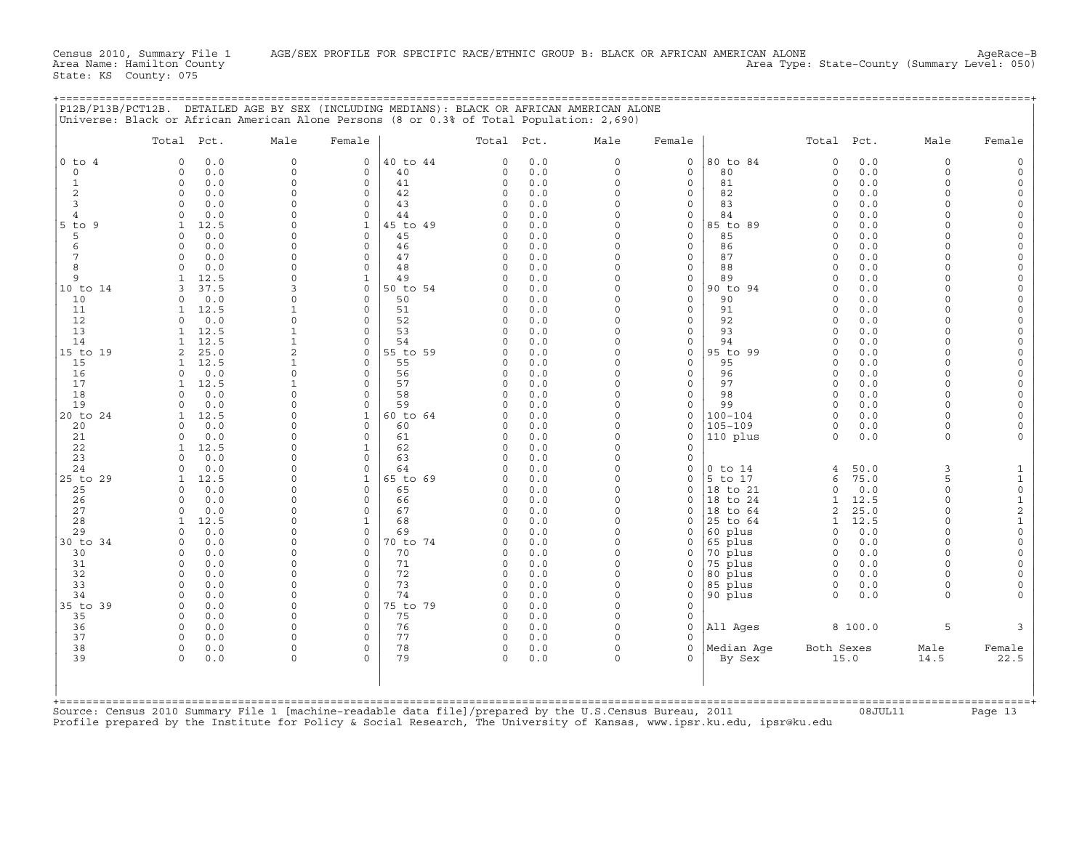Census 2010, Summary File 1 AGE/SEX PROFILE FOR SPECIFIC RACE/ETHNIC GROUP B: BLACK OR AFRICAN AMERICAN ALONE<br>Area Name: Hamilton County Level: 050) Area Type: State-County (Summary Level: 050)

State: KS County: 075

| P12B/P13B/PCT12B. DETAILED AGE BY SEX (INCLUDING MEDIANS): BLACK OR AFRICAN AMERICAN ALONE |
|--------------------------------------------------------------------------------------------|
| Universe: Black or African American Alone Persons (8 or 0.3% of Total Population: 2,690)   |
|                                                                                            |
|                                                                                            |

|                   | Total Pct.                        | Male                 | Female                     |                | Total Pct.           |            | Male                 | Female                     |                     | Total Pct.           |              | Male                 | Female                          |
|-------------------|-----------------------------------|----------------------|----------------------------|----------------|----------------------|------------|----------------------|----------------------------|---------------------|----------------------|--------------|----------------------|---------------------------------|
| $0$ to $4$        | 0.0<br>$\Omega$                   | $\mathsf{O}$         | 0                          | 40 to 44       | $\Omega$             | 0.0        | 0                    | $\mathsf{O}$               | 80 to 84            | 0                    | 0.0          | $\mathbf 0$          | $\Omega$                        |
| $\mathbf 0$       | $\circ$<br>0.0                    | 0                    | $\mathbf{0}$               | 40             | 0                    | 0.0        | $\circ$              | $\mathbf 0$                | 80                  | $\circ$              | 0.0          | $\Omega$<br>$\Omega$ |                                 |
| $\mathbf{1}$<br>2 | $\circ$<br>0.0<br>0.0<br>$\circ$  | $\circ$<br>0         | $\circ$<br>$\mathbf 0$     | 41<br>42       | 0<br>0               | 0.0<br>0.0 | $\circ$<br>$\circ$   | $\mathbf 0$<br>$\mathbf 0$ | 81<br>82            | $\circ$<br>$\Omega$  | 0.0<br>0.0   | $\Omega$             | $\Omega$<br>$\Omega$            |
| 3                 | 0.0<br>$\Omega$                   | $\Omega$             | $\mathbf 0$                | 43             | $\Omega$             | 0.0        | $\Omega$             | $\mathbf 0$                | 83                  | $\Omega$             | 0.0          | $\Omega$             | $\Omega$                        |
| $\overline{4}$    | 0.0<br>$\cap$                     | $\Omega$             | $\Omega$                   | 44             | $\Omega$             | 0.0        | $\Omega$             | $\mathbf 0$                | 84                  | $\Omega$             | 0.0          | $\cap$               | $\Omega$                        |
| $5$ to<br>9       | 12.5<br>1                         | $\Omega$             | $\mathbf{1}$               | 45 to 49       | $\Omega$             | 0.0        | $\circ$              | $\mathsf{O}$               | 85 to 89            | $\Omega$             | 0.0          | $\cap$               | $\Omega$                        |
| 5                 | 0.0<br>$\Omega$                   | $\Omega$             | $\mathbf{0}$               | 45             | $\Omega$             | 0.0        | $\Omega$             | $\mathbf{0}$               | 85                  | $\Omega$             | 0.0          | $\cap$               | $\Omega$                        |
| 6                 | 0.0<br>$\Omega$                   | $\Omega$             | $\circ$                    | 46             | $\Omega$             | 0.0        | $\Omega$             | $\mathbf 0$                | 86                  | $\Omega$             | 0.0          |                      | $\Omega$                        |
| 7                 | $\Omega$<br>0.0<br>$\cap$         | 0                    | $\mathbf 0$                | 47             | 0                    | 0.0        | 0                    | $\mathsf{O}$               | 87                  | $\Omega$             | 0.0          | $\cap$               | $\Omega$                        |
| 8<br>9            | 0.0<br>12.5                       | $\Omega$<br>$\Omega$ | $\Omega$<br>$\mathbf{1}$   | 48<br>49       | $\Omega$<br>O        | 0.0<br>0.0 | $\Omega$<br>$\Omega$ | $\mathbf 0$<br>$\mathbf 0$ | 88<br>89            | $\Omega$<br>$\Omega$ | 0.0<br>0.0   | $\cap$               | $\Omega$<br>$\Omega$            |
| 10 to 14          | 37.5                              | 3                    | $\circ$                    | 50 to 54       | O                    | 0.0        | $\Omega$             | $\mathbf 0$                | 90 to 94            | $\Omega$             | 0.0          |                      | $\Omega$                        |
| 10                | 0.0<br>$\Omega$                   | $\Omega$             | $\Omega$                   | 50             | $\Omega$             | 0.0        | $\circ$              | $\Omega$                   | 90                  | <sup>0</sup>         | 0.0          | $\cap$               | $\Omega$                        |
| 11                | 12.5<br>-1.                       | 1                    | 0                          | 51             | O                    | 0.0        | $\Omega$             | $\mathsf{O}$               | 91                  | $\Omega$             | 0.0          | $\Omega$             | $\Omega$                        |
| 12                | 0.0<br>$\Omega$                   | 0                    | $\mathbf 0$                | 52             | 0                    | 0.0        | $\Omega$             | $\mathbf 0$                | 92                  | $\Omega$             | 0.0          | $\cap$               | $\Omega$                        |
| 13                | 12.5                              | $\mathbf 1$          | $\mathbf 0$                | 53             | $\Omega$             | 0.0        | $\circ$              | $\mathbf 0$                | 93                  | $\Omega$             | 0.0          | $\Omega$             | $\Omega$                        |
| 14                | 12.5<br>25.0                      | $\mathbf{1}$<br>2    | $\mathbf 0$<br>$\mathbf 0$ | 54             | O<br>O               | 0.0<br>0.0 | $\Omega$<br>$\Omega$ | $\mathbf 0$<br>$\mathbf 0$ | 94<br>95 to 99      | $\Omega$<br>$\Omega$ | 0.0<br>0.0   | $\Omega$<br>$\Omega$ | $\circ$<br>$\Omega$             |
| 15 to 19<br>15    | 2<br>12.5<br>-1.                  | 1                    | 0                          | 55 to 59<br>55 | $\Omega$             | 0.0        | $\Omega$             | $\mathbf 0$                | 95                  | $\Omega$             | 0.0          | $\cap$               | $\Omega$                        |
| 16                | 0.0<br>$\Omega$                   | $\circ$              | $\circ$                    | 56             | $\Omega$             | 0.0        | $\Omega$             | $\mathbf 0$                | 96                  | $\Omega$             | 0.0          | $\Omega$             | $\Omega$                        |
| 17                | 12.5<br>1                         | $\mathbf{1}$         | $\mathbf 0$                | 57             | 0                    | 0.0        | $\Omega$             | $\mathbf 0$                | 97                  | $\Omega$             | 0.0          | $\Omega$             | $\Omega$                        |
| 18                | 0.0<br>$\Omega$                   | $\Omega$             | $\Omega$                   | 58             | $\Omega$             | 0.0        | $\Omega$             | $\Omega$                   | 98                  | $\Omega$             | 0.0          | $\Omega$             |                                 |
| 19                | 0.0<br>$\Omega$                   | $\Omega$             | $\Omega$                   | 59             | $\Omega$             | 0.0        | $\circ$              | $\mathbf 0$                | 99                  | $\Omega$             | 0.0          | $\Omega$             | $\Omega$                        |
| 20 to 24          | 12.5<br>1                         | 0                    | $\mathbf{1}$               | 60 to 64       | 0                    | 0.0        | $\Omega$             | $\mathsf{O}$               | 100-104             | $\Omega$             | 0.0          | $\cap$               | $\Omega$                        |
| 20                | 0.0<br>$\Omega$                   | $\Omega$<br>$\Omega$ | $\Omega$<br>$\mathbf 0$    | 60             | $\Omega$             | 0.0        | $\Omega$<br>$\circ$  | $\Omega$<br>$\mathbf 0$    | 105-109             | $\Omega$<br>$\Omega$ | 0.0          | $\cap$<br>$\Omega$   | $\Omega$                        |
| 21<br>22          | 0.0<br>0<br>12.5                  | 0                    | $\mathbf{1}$               | 61<br>62       | 0<br>$\Omega$        | 0.0<br>0.0 | $\Omega$             | $\mathbf 0$                | 110 plus            |                      | 0.0          |                      |                                 |
| 23                | 0.0<br>$\Omega$                   | $\Omega$             | $\Omega$                   | 63             | U                    | 0.0        | $\Omega$             | $\Omega$                   |                     |                      |              |                      |                                 |
| 24                | 0.0<br>$\Omega$                   | $\Omega$             | $\Omega$                   | 64             | $\Omega$             | 0.0        | $\Omega$             | $\mathsf{O}$               | $0$ to $14$         | 4                    | 50.0         | 3                    | 1                               |
| 25 to 29          | 12.5                              | 0                    | $\mathbf{1}$               | 65 to 69       | O                    | 0.0        | $\Omega$             | $\mathbf 0$                | 5 to 17             | 6                    | 75.0         | 5                    | $\mathbf{1}$                    |
| 25                | 0.0<br>$\Omega$                   | $\Omega$             | $\mathbf 0$                | 65             | O                    | 0.0        | $\Omega$             | $\Omega$                   | 18 to 21            | $\Omega$             | 0.0          | $\Omega$             | $\mathsf{O}\xspace$             |
| 26                | 0.0<br>$\Omega$                   | $\Omega$             | $\Omega$                   | 66             | 0                    | 0.0        | $\Omega$             | $\Omega$                   | 18 to 24            | $\mathbf{1}$         | 12.5         | $\Omega$             | $\mathbf 1$                     |
| 27                | 0.0<br>$\Omega$                   | 0<br>0               | $\circ$                    | 67             | $\Omega$<br>$\Omega$ | 0.0        | $\Omega$<br>$\Omega$ | $\mathbf 0$                | 18 to 64            | 2                    | 25.0<br>12.5 | $\Omega$<br>$\cap$   | $\boldsymbol{2}$<br>$\mathbf 1$ |
| 28<br>29          | 12.5<br>-1.<br>0.0<br>$\Omega$    | $\Omega$             | 1<br>$\Omega$              | 68<br>69       | O                    | 0.0<br>0.0 | $\Omega$             | $\mathbf 0$<br>$\mathbf 0$ | 25 to 64<br>60 plus | 1<br>$\Omega$        | 0.0          | $\cap$               | $\mathsf{O}\xspace$             |
| 30 to 34          | 0.0<br>$\circ$                    | $\Omega$             | 0                          | 70 to 74       | $\Omega$             | 0.0        | 0                    | $\mathsf{O}$               | 65 plus             | $\circ$              | 0.0          | $\Omega$             | $\mathbf 0$                     |
| 30                | 0.0<br>$\Omega$                   | $\Omega$             | $\mathbf 0$                | 70             | O.                   | 0.0        | $\Omega$             | $\mathbf 0$                | 70 plus             | $\Omega$             | 0.0          | $\cap$               | $\Omega$                        |
| 31                | 0.0<br>$\Omega$                   | $\Omega$             | $\Omega$                   | 71             | $\Omega$             | 0.0        | $\Omega$             | $\mathbf 0$                | 75 plus             | $\Omega$             | 0.0          | $\Omega$             |                                 |
| 32                | 0.0<br>$\circ$                    | 0                    | $\mathbf 0$                | 72             | 0                    | 0.0        | 0                    | $\mathsf{O}$               | 80 plus             | $\Omega$             | 0.0          | $\Omega$             |                                 |
| 33                | $\Omega$<br>0.0                   | $\Omega$             | $\Omega$                   | 73             | $\Omega$             | 0.0        | $\circ$              | $\mathbf{0}$               | 85 plus             | 0                    | 0.0          | $\Omega$             | $\Omega$                        |
| 34                | 0.0<br>$\Omega$                   | $\Omega$             | $\circ$                    | 74             | $\Omega$             | 0.0        | $\circ$              | $\mathbf 0$                | 90 plus             | $\Omega$             | 0.0          | $\Omega$             |                                 |
| 35 to 39<br>35    | 0.0<br>$\circ$<br>$\Omega$<br>0.0 | 0<br>$\Omega$        | $\mathbf 0$<br>$\Omega$    | 75 to 79<br>75 | 0<br>$\Omega$        | 0.0<br>0.0 | $\Omega$<br>$\Omega$ | $\mathbf 0$<br>$\Omega$    |                     |                      |              |                      |                                 |
| 36                | 0.0<br>$\circ$                    | 0                    | 0                          | 76             | 0                    | 0.0        | $\Omega$             | $\mathsf{O}$               | All Ages            |                      | 8 100.0      | 5                    | 3                               |
| 37                | 0.0<br>$\circ$                    | $\Omega$             | $\mathbf 0$                | 77             | 0                    | 0.0        | $\Omega$             | $\mathbf 0$                |                     |                      |              |                      |                                 |
| 38                | $\circ$<br>0.0                    | $\Omega$             | $\mathbf 0$                | 78             | 0                    | 0.0        | $\circ$              | $\Omega$                   | Median Age          | Both Sexes           |              | Male                 | Female                          |
| 39                | $\Omega$<br>0.0                   | 0                    | $\Omega$                   | 79             | $\Omega$             | 0.0        | $\Omega$             | $\Omega$                   | By Sex              |                      | 15.0         | 14.5                 | 22.5                            |
|                   |                                   |                      |                            |                |                      |            |                      |                            |                     |                      |              |                      |                                 |

Source: Census 2010 Summary File 1 [machine−readable data file]/prepared by the U.S.Census Bureau, 2011 08JUL11 Page 13 Profile prepared by the Institute for Policy & Social Research, The University of Kansas, www.ipsr.ku.edu, ipsr@ku.edu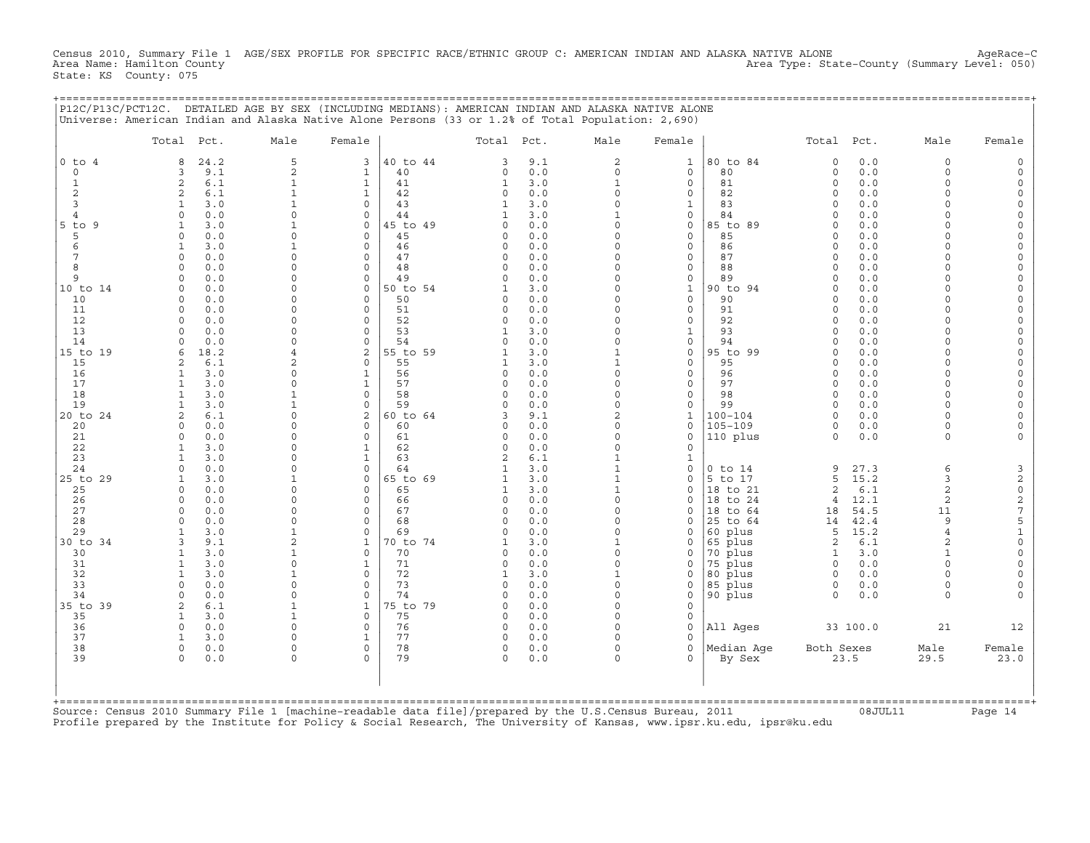Census 2010, Summary File 1 AGE/SEX PROFILE FOR SPECIFIC RACE/ETHNIC GROUP C: AMERICAN INDIAN AND ALASKA NATIVE ALONE<br>Area Name: Hamilton County Level: 050) Area Type: State-County (Summary Level: 050) State: KS County: 075

|             |            | P12C/P13C/PCT12C. DETAILED AGE BY SEX (INCLUDING MEDIANS): AMERICAN INDIAN AND ALASKA NATIVE ALONE<br>Universe: American Indian and Alaska Native Alone Persons (33 or 1.2% of Total Population: 2,690) |        |            |            |            |      |        |             |            |     |      |        |
|-------------|------------|---------------------------------------------------------------------------------------------------------------------------------------------------------------------------------------------------------|--------|------------|------------|------------|------|--------|-------------|------------|-----|------|--------|
|             | Total Pct. | Male                                                                                                                                                                                                    | Female |            | Total Pct. |            | Male | Female |             | Total Pct. |     | Male | Female |
| $10$ to $4$ | 8 24.2     |                                                                                                                                                                                                         |        | 3 40 to 44 |            | $3 \t 9.1$ |      |        | . 180 to 84 |            | 0.0 |      |        |
|             | 9.1        |                                                                                                                                                                                                         |        | 40         |            | 0.0        |      |        | 80          |            | 0.0 |      |        |
|             | 6.1        |                                                                                                                                                                                                         |        |            |            | 3.0        |      |        |             |            | 0.0 |      |        |
|             | 6.1        |                                                                                                                                                                                                         |        | 42         |            | 0.0        |      |        | 82          |            | 0.0 |      |        |
|             |            |                                                                                                                                                                                                         |        |            |            | 3.0        |      |        |             |            | 0.0 |      |        |

|                          | Total Pct.                               | Male                         | Female                      |                | Total Pct.               |            | Male                       | Female                       |                            | Total Pct.           |              | Male                 | Female                                     |
|--------------------------|------------------------------------------|------------------------------|-----------------------------|----------------|--------------------------|------------|----------------------------|------------------------------|----------------------------|----------------------|--------------|----------------------|--------------------------------------------|
| $0$ to<br>$\overline{4}$ | 8<br>24.2                                | 5                            | 3                           | 40 to 44       | 3                        | 9.1        | $\overline{2}$             | $\mathbf{1}$                 | 80 to 84                   | $\circ$              | 0.0          | $\Omega$             | $\Omega$                                   |
| $\circ$                  | 9.1<br>3                                 | $\overline{a}$               | $\mathbf{1}$                | 40             | $\circ$                  | 0.0        | $\Omega$                   | $\mathbf{0}$                 | 80                         | $\circ$              | 0.0          | $\Omega$             | $\Omega$                                   |
| $\mathbf{1}$             | $\overline{c}$<br>6.1                    | $\mathbf{1}$                 | $\mathbf{1}$                | 41             | $\mathbf{1}$             | 3.0        | $\mathbf{1}$               | 0                            | 81                         | $\circ$              | 0.0          | $\Omega$             |                                            |
| $\overline{c}$<br>3      | $\overline{c}$<br>6.1<br>3.0<br>1        | $\mathbf{1}$<br>$\mathbf{1}$ | $\mathbf{1}$<br>$\Omega$    | 42<br>43       | $\Omega$<br>$\mathbf{1}$ | 0.0<br>3.0 | $\Omega$<br>$\Omega$       | 0<br>1                       | 82<br>83                   | $\circ$<br>$\Omega$  | 0.0<br>0.0   | $\Omega$<br>$\Omega$ | $\Omega$<br>$\Omega$                       |
| $\overline{4}$           | 0.0<br>$\Omega$                          | $\Omega$                     | $\circ$                     | 44             |                          | 3.0        |                            | 0                            | 84                         | $\Omega$             | 0.0          | $\Omega$             | $\Omega$                                   |
| $5$ to<br>9              | 3.0<br>$\mathbf{1}$                      | $\mathbf{1}$                 | $\Omega$                    | 45 to 49       | $\cap$                   | 0.0        | $\Omega$                   | $\Omega$                     | 85 to 89                   | $\cap$               | 0.0          | $\Omega$             | $\Omega$                                   |
| 5                        | 0.0<br>$\Omega$                          | $\Omega$                     | $\Omega$                    | 45             | $\Omega$                 | 0.0        | $\Omega$                   | 0                            | 85                         | $\Omega$             | 0.0          | $\Omega$             | $\Omega$                                   |
| 6                        | 3.0<br>$\mathbf{1}$                      | $\mathbf{1}$                 | $\Omega$                    | 46             | $\Omega$                 | 0.0        | $\Omega$                   | 0                            | 86                         | $\cap$               | 0.0          | $\cap$               | $\Omega$                                   |
| 7                        | $\circ$<br>0.0                           | $\Omega$                     | $\mathbf 0$                 | 47             | $\Omega$                 | 0.0        | $\Omega$                   | 0                            | 87                         | $\cap$               | 0.0          | $\Omega$             | $\Omega$                                   |
| 8                        | 0.0<br>$\Omega$                          | $\Omega$                     | $\mathbf 0$                 | 48             | $\Omega$                 | 0.0        | $\Omega$                   | 0                            | 88                         | $\Omega$             | 0.0          | $\Omega$             | $\Omega$                                   |
| 9                        | $\circ$<br>0.0                           | $\Omega$                     | 0                           | 49             | $\Omega$                 | 0.0        | 0                          | 0                            | 89                         | $\circ$              | $0.0$        | $\Omega$             | $\Omega$                                   |
| 10 to 14                 | 0.0<br>$\Omega$                          | $\Omega$                     | $\circ$                     | 50 to 54       |                          | 3.0        | $\Omega$<br>$\Omega$       | $\mathbf{1}$                 | 90 to 94                   | $\Omega$             | 0.0          | $\Omega$<br>$\Omega$ | $\Omega$                                   |
| 10<br>11                 | 0.0<br>$\Omega$<br>0.0<br>$\Omega$       | $\Omega$<br>$\Omega$         | $\Omega$<br>$\Omega$        | 50<br>51       | $\Omega$<br>$\Omega$     | 0.0<br>0.0 | $\Omega$                   | $\mathsf{O}$<br>$\mathbf{0}$ | 90<br>91                   | $\Omega$<br>$\Omega$ | 0.0<br>0.0   |                      |                                            |
| 12                       | 0.0<br>$\Omega$                          | $\Omega$                     | $\Omega$                    | 52             | $\Omega$                 | 0.0        | $\Omega$                   | $\mathbf{0}$                 | 92                         | $\Omega$             | 0.0          | $\Omega$             |                                            |
| 13                       | 0.0<br>$\Omega$                          |                              | $\Omega$                    | 53             |                          | 3.0        | $\Omega$                   | $\mathbf{1}$                 | 93                         | $\Omega$             | 0.0          |                      | $\Omega$                                   |
| 14                       | $\Omega$<br>0.0                          |                              | $\Omega$                    | 54             | O                        | 0.0        | $\Omega$                   | $\mathsf{O}$                 | 94                         | $\Omega$             | 0.0          |                      |                                            |
| 15 to 19                 | 18.2<br>6                                |                              | 2                           | 55 to 59       | 1                        | 3.0        | 1                          | 0                            | 95 to 99                   | $\Omega$             | 0.0          | $\Omega$             | $\Omega$                                   |
| 15                       | 6.1<br>2                                 |                              | $\Omega$                    | 55             |                          | 3.0        | $\mathbf{1}$               | 0                            | 95                         | $\Omega$             | 0.0          | $\Omega$             | $\Omega$                                   |
| 16                       | $\mathbf{1}$<br>3.0                      |                              | $\mathbf{1}$                | 56             | $\Omega$                 | 0.0        | $\Omega$                   | 0                            | 96                         | $\Omega$             | 0.0          | $\Omega$             | $\Omega$                                   |
| 17                       | $\mathbf{1}$<br>3.0                      | $\Omega$                     | $\mathbf{1}$                | 57             | $\Omega$                 | 0.0        | $\Omega$                   | $\mathbf{0}$                 | 97                         | $\Omega$             | 0.0          | $\Omega$             | $\Omega$                                   |
| 18                       | $\mathbf{1}$<br>3.0                      | $\mathbf{1}$                 | $\Omega$                    | 58             | $\Omega$                 | 0.0        | $\Omega$                   | $\mathsf{O}$                 | 98                         | $\Omega$             | 0.0          | $\Omega$             | $\Omega$                                   |
| 19                       | 3.0<br>$\mathbf{1}$                      | $\mathbf{1}$<br>$\Omega$     | $\Omega$                    | 59             | $\Omega$                 | 0.0        | $\Omega$                   | 0                            | 99                         | $\Omega$<br>$\Omega$ | 0.0<br>0.0   | $\Omega$<br>$\Omega$ | $\Omega$                                   |
| 20 to 24<br>20           | 6.1<br>$\overline{2}$<br>0.0<br>$\Omega$ | $\Omega$                     | 2<br>$\Omega$               | 60 to 64<br>60 | 3<br>$\Omega$            | 9.1<br>0.0 | $\overline{2}$<br>$\Omega$ | $\mathbf{1}$<br>$\Omega$     | $100 - 104$<br>$105 - 109$ | $\Omega$             | 0.0          | $\Omega$             |                                            |
| 21                       | 0.0<br>$\mathbf 0$                       | $\Omega$                     | $\mathbf 0$                 | 61             | $\Omega$                 | 0.0        | $\Omega$                   | $\Omega$                     | 110 plus                   | $\circ$              | 0.0          | $\Omega$             |                                            |
| 22                       | 3.0<br>$\mathbf{1}$                      |                              | $\mathbf{1}$                | 62             | $\Omega$                 | 0.0        | $\Omega$                   | $\Omega$                     |                            |                      |              |                      |                                            |
| 23                       | 3.0<br>$\mathbf{1}$                      | $\cap$                       | $\mathbf{1}$                | 63             | $\overline{c}$           | 6.1        | $\mathbf{1}$               | 1                            |                            |                      |              |                      |                                            |
| 24                       | $\Omega$<br>0.0                          | $\Omega$                     | $\Omega$                    | 64             | 1                        | 3.0        | $\mathbf{1}$               | $\Omega$                     | $0$ to $14$                | 9                    | 27.3         | 6                    | 3                                          |
| 25 to 29                 | 3.0<br>-1                                | $\mathbf{1}$                 | $\Omega$                    | 65 to 69       | 1                        | 3.0        | $\mathbf{1}$               | $\Omega$                     | 5 to 17                    | 5                    | 15.2         | 3                    | $\begin{array}{c} 2 \\ 0 \end{array}$      |
| 25                       | 0.0<br>$\Omega$                          | $\Omega$                     | $\Omega$                    | 65             | 1                        | 3.0        | $\mathbf{1}$               | $\Omega$                     | 18 to 21                   | 2                    | 6.1          | $\overline{c}$       |                                            |
| 26                       | 0.0<br>$\Omega$                          | $\Omega$                     | $\mathbf 0$                 | 66             | $\Omega$                 | 0.0        | $\Omega$                   | $\Omega$                     | 18 to 24                   | 4                    | 12.1         | $\overline{2}$       | $\begin{array}{c} 2 \\ 7 \\ 5 \end{array}$ |
| 27<br>28                 | $\circ$<br>0.0<br>$\Omega$               | $\Omega$<br>$\Omega$         | $\mathbf 0$<br>$\Omega$     | 67<br>68       | $\Omega$<br>$\Omega$     | 0.0        | 0<br>$\Omega$              | $\Omega$<br>$\Omega$         | 18 to 64                   | 18                   | 54.5         | 11<br>9              |                                            |
| 29                       | 0.0<br>3.0<br>$\mathbf{1}$               | $\mathbf{1}$                 | $\Omega$                    | 69             | $\Omega$                 | 0.0<br>0.0 | $\Omega$                   | $\Omega$                     | 25 to 64<br>60 plus        | 14<br>5              | 42.4<br>15.2 | $\overline{4}$       | $\mathbf{1}$                               |
| 30 to 34                 | 3<br>9.1                                 | $\overline{a}$               | $\mathbf{1}$                | 0 to 74        | -1                       | 3.0        | $\mathbf{1}$               | $\Omega$                     | 65 plus                    | 2                    | 6.1          | $\overline{a}$       | $\mathbf 0$                                |
| 30                       | 3.0<br>$\mathbf{1}$                      | $\mathbf{1}$                 | $\Omega$                    | 70             | $\Omega$                 | 0.0        | $\Omega$                   | $\Omega$                     | 70 plus                    | $\mathbf{1}$         | 3.0          | $\mathbf{1}$         | $\Omega$                                   |
| 31                       | 3.0<br>$\mathbf{1}$                      | $\Omega$                     | $\mathbf{1}$                | 71             | $\Omega$                 | 0.0        | $\Omega$                   | $\Omega$                     | 75 plus                    | $\Omega$             | 0.0          | $\Omega$             | $\Omega$                                   |
| 32                       | $\mathbf{1}$<br>3.0                      |                              | $\circ$                     | 72             | $\mathbf{1}$             | 3.0        | $\mathbf{1}$               | $\Omega$                     | 80 plus                    | $\Omega$             | 0.0          |                      | $\Omega$                                   |
| 33                       | $\Omega$<br>0.0                          | $\Omega$                     | $\Omega$                    | 73             | $\Omega$                 | 0.0        | $\mathbf 0$                | 0                            | 85 plus                    | $\circ$              | 0.0          | $\Omega$             | $\Omega$                                   |
| 34                       | 0.0<br>$\Omega$                          | $\Omega$                     | $\Omega$                    | 74             | $\Omega$                 | 0.0        | $\Omega$                   | 0                            | 90 plus                    | $\Omega$             | 0.0          | $\Omega$             |                                            |
| 35 to 39                 | $\overline{c}$<br>6.1                    | $\mathbf{1}$                 | $\mathbf{1}$                | 75 to 79       | $\Omega$                 | 0.0        | $\Omega$                   | $\Omega$                     |                            |                      |              |                      |                                            |
| 35                       | 3.0<br>$\mathbf{1}$                      | $\mathbf{1}$                 | $\Omega$                    | 75             | $\Omega$                 | 0.0        | $\Omega$                   | 0                            |                            |                      |              |                      |                                            |
| 36<br>37                 | $\Omega$<br>0.0<br>3.0<br>$\mathbf{1}$   | $\Omega$<br>$\Omega$         | $\mathbf 0$<br>$\mathbf{1}$ | 76<br>77       | 0<br>$\Omega$            | 0.0        | $\Omega$<br>$\Omega$       | 0                            | All Ages                   |                      | 33 100.0     | 21                   | 12                                         |
| 38                       | $\circ$<br>0.0                           | $\Omega$                     | $\circ$                     | 78             | 0                        | 0.0<br>0.0 | $\Omega$                   | $\Omega$<br>0                | Median Aqe                 | Both Sexes           |              | Male                 | Female                                     |
| 39                       | $\Omega$<br>0.0                          |                              |                             | 79             | $\Omega$                 | 0.0        | $\Omega$                   | 0                            | By Sex                     |                      | 23.5         | 29.5                 | 23.0                                       |
|                          |                                          |                              |                             |                |                          |            |                            |                              |                            |                      |              |                      |                                            |
|                          |                                          |                              |                             |                |                          |            |                            |                              |                            |                      |              |                      |                                            |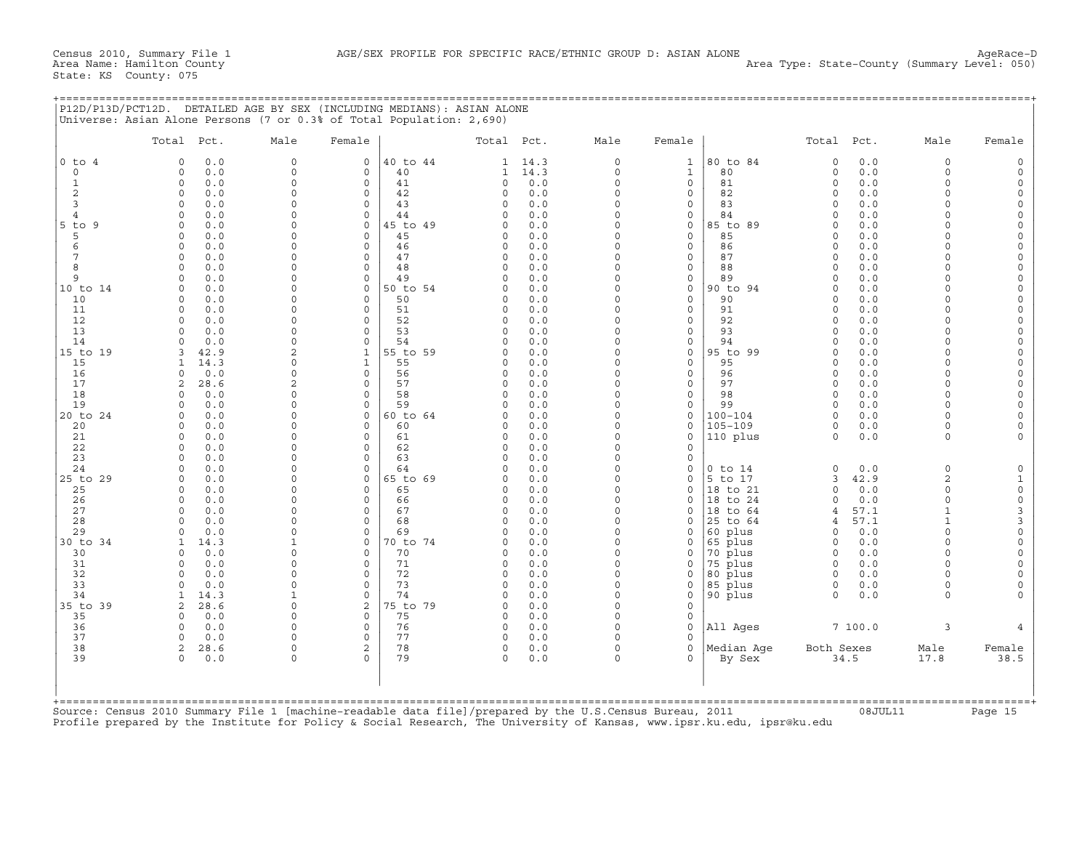| MEDIANS):<br>(INCLUDING<br>ALONE<br>CT12D<br>DETAILED AGE BY SEX<br>ASIAN<br>12D/P13D/PCT1: |
|---------------------------------------------------------------------------------------------|
| 'Universe:<br>0.3% of Total<br>Population:<br>2.690<br>Asian<br>17 or u.<br>Alone Persons   |

|                  | Total Pct.                         | Male                 | Female                             |                | Total Pct.               |             | Male                 | Female                      |                     | Total Pct.           |             | Male                 | Female                              |
|------------------|------------------------------------|----------------------|------------------------------------|----------------|--------------------------|-------------|----------------------|-----------------------------|---------------------|----------------------|-------------|----------------------|-------------------------------------|
| $0$ to $4$       | 0.0<br>$\circ$                     | $\mathsf{O}$         | 0                                  | 40 to 44       | $\mathbf{1}$             | 14.3        | 0                    | $\mathbf{1}$                | 80 to 84            | $\circ$              | 0.0         | $\mathbf 0$          | $\mathbf 0$                         |
| $\mathbf 0$<br>1 | $\circ$<br>0.0<br>$\circ$<br>0.0   | 0<br>$\circ$         | $\mathbf{0}$<br>$\circ$            | 40<br>41       | $\mathbf{1}$<br>$\Omega$ | 14.3<br>0.0 | $\circ$<br>$\circ$   | $\mathbf{1}$<br>$\mathbf 0$ | 80<br>81            | $\circ$<br>$\circ$   | 0.0<br>0.0  | $\Omega$<br>$\Omega$ | $\Omega$<br>$\circ$                 |
| $\mathbf{2}$     | $\circ$<br>0.0                     | 0                    | $\mathbf 0$                        | 42             | 0                        | 0.0         | $\circ$              | $\mathbf 0$                 | 82                  | $\Omega$             | 0.0         | $\Omega$             | $\mathsf O$                         |
| 3                | 0.0<br>$\Omega$                    | $\Omega$             | $\mathbf 0$                        | 43             | $\Omega$                 | 0.0         | $\Omega$             | $\mathbf 0$                 | 83                  | $\Omega$             | 0.0         | $\Omega$             | $\Omega$                            |
| $\overline{4}$   | 0.0<br>$\Omega$                    | $\Omega$             | $\Omega$                           | 44             | $\Omega$                 | 0.0         | $\Omega$             | $\mathbf 0$                 | 84                  | $\Omega$             | 0.0         | $\Omega$             | $\Omega$                            |
| $5$ to<br>9      | $\circ$<br>0.0                     | 0                    | $\mathbf 0$                        | 45 to 49       | $\Omega$                 | 0.0         | $\circ$              | $\circ$                     | 85 to 89            | $\Omega$             | 0.0         | $\Omega$             | $\mathbf 0$                         |
| 5                | 0.0<br>$\Omega$                    | 0                    | $\Omega$                           | 45             | $\Omega$                 | 0.0         | $\Omega$             | $\mathbf 0$                 | 85                  | $\Omega$             | 0.0         | $\cap$               | $\circ$                             |
| 6                | 0.0<br>$\Omega$                    | $\Omega$             | $\circ$                            | 46             | $\Omega$                 | 0.0         | $\Omega$             | $\mathbf 0$                 | 86                  | $\Omega$             | 0.0         |                      | $\Omega$                            |
| 7<br>8           | 0<br>0.0<br>0.0<br>$\Omega$        | 0<br>$\Omega$        | $\mathbf 0$<br>$\Omega$            | 47<br>48       | 0<br>$\Omega$            | 0.0<br>0.0  | 0<br>$\circ$         | $\mathsf{O}$<br>$\mathbf 0$ | 87<br>88            | $\Omega$<br>$\Omega$ | 0.0<br>0.0  | $\Omega$<br>$\cap$   | $\mathbf 0$<br>$\circ$              |
| 9                | 0.0<br>$\Omega$                    | $\Omega$             | $\mathbf 0$                        | 49             | O                        | 0.0         | $\circ$              | $\mathbf 0$                 | 89                  | $\Omega$             | 0.0         | $\Omega$             | $\Omega$                            |
| 10 to 14         | 0.0<br>0                           | $\Omega$             | $\mathbf 0$                        | 50 to 54       | 0                        | 0.0         | $\Omega$             | $\mathbf 0$                 | 90 to 94            | $\Omega$             | 0.0         | $\Omega$             | $\overline{0}$                      |
| 10               | $\Omega$<br>0.0                    | $\Omega$             | $\Omega$                           | 50             | $\Omega$                 | 0.0         | $\circ$              | $\Omega$                    | 90                  | $\Omega$             | 0.0         | $\Omega$             | $\Omega$                            |
| 11               | 0.0<br>$\Omega$                    | $\Omega$             | 0                                  | 51             | $\Omega$                 | 0.0         | $\Omega$             | $\mathsf{O}$                | 91                  | $\Omega$             | 0.0         | $\Omega$             | $\Omega$                            |
| 12               | 0.0<br>$\Omega$                    | $\Omega$             | $\mathbf 0$                        | 52             | 0                        | 0.0         | $\Omega$             | $\mathbf 0$                 | 92                  | $\Omega$             | 0.0         | $\cap$               | $\mathbf 0$                         |
| 13<br>14         | $\Omega$<br>0.0<br>0.0<br>$\Omega$ | $\Omega$<br>$\Omega$ | $\mathbf 0$<br>$\mathbf 0$         | 53<br>54       | $\Omega$<br>O            | 0.0<br>0.0  | $\circ$<br>$\Omega$  | $\mathbf 0$<br>$\mathbf 0$  | 93<br>94            | $\Omega$<br>$\Omega$ | 0.0<br>0.0  | $\Omega$<br>$\Omega$ | $\Omega$<br>$\circ$                 |
| 15 to 19         | 42.9<br>3                          | $\overline{2}$       | $\mathbf{1}$                       | 55 to 59       | $\Omega$                 | 0.0         | $\Omega$             | $\mathbf 0$                 | 95 to 99            | $\Omega$             | 0.0         | $\Omega$             | $\mathsf O$                         |
| 15               | 14.3<br>-1                         | 0                    | $\mathbf{1}$                       | 55             | $\Omega$                 | 0.0         | $\Omega$             | $\mathbf 0$                 | 95                  | $\Omega$             | 0.0         | $\cap$               | $\Omega$                            |
| 16               | 0.0<br>$\Omega$                    | $\Omega$             | $\circ$                            | 56             | 0                        | 0.0         | $\Omega$             | $\mathbf 0$                 | 96                  | $\Omega$             | 0.0         | $\Omega$             | $\mathsf{O}\xspace$                 |
| 17               | 28.6<br>2                          | 2                    | $\mathbf 0$                        | 57             | 0                        | 0.0         | $\circ$              | $\mathsf{O}$                | 97                  | $\Omega$             | 0.0         | $\Omega$             | $\mathbf 0$                         |
| 18               | 0.0<br>$\Omega$                    | $\Omega$             | $\Omega$                           | 58             | $\Omega$                 | 0.0         | $\Omega$             | $\Omega$                    | 98                  | $\Omega$             | 0.0         | $\Omega$             | $\Omega$                            |
| 19<br>20 to 24   | 0.0<br>$\Omega$<br>0.0<br>0        | $\Omega$<br>0        | $\Omega$<br>0                      | 59<br>60 to 64 | $\Omega$<br>$\Omega$     | 0.0<br>0.0  | $\circ$<br>$\Omega$  | $\mathbf 0$<br>$\mathsf{O}$ | 99<br>100-104       | $\Omega$<br>$\Omega$ | 0.0<br>0.0  | $\Omega$<br>$\cap$   | $\Omega$<br>$\Omega$                |
| 20               | 0.0<br>$\Omega$                    | $\Omega$             | $\Omega$                           | 60             | $\Omega$                 | 0.0         | $\Omega$             | $\Omega$                    | $105 - 109$         | $\Omega$             | 0.0         | $\cap$               | $\Omega$                            |
| 21               | $\circ$<br>0.0                     | $\Omega$             | $\mathbf 0$                        | 61             | 0                        | 0.0         | $\circ$              | $\mathbf 0$                 | 110 plus            | $\Omega$             | 0.0         | $\Omega$             |                                     |
| 22               | 0.0<br>0                           | $\Omega$             | $\mathbf 0$                        | 62             | 0                        | 0.0         | $\Omega$             | $\mathbf 0$                 |                     |                      |             |                      |                                     |
| 23               | 0.0<br>$\Omega$                    | $\Omega$             | $\Omega$                           | 63             | O                        | 0.0         | $\Omega$             | $\Omega$                    |                     |                      |             |                      |                                     |
| 24               | $\circ$<br>0.0                     | 0                    | $\mathbf 0$                        | 64             | $\Omega$                 | 0.0         | $\Omega$             | $\mathsf{O}$                | $0$ to $14$         | $\circ$              | 0.0         | $\mathbf 0$          | $\mathbf 0$                         |
| 25 to 29<br>25   | 0.0<br>$\Omega$<br>0.0<br>$\Omega$ | 0<br>$\Omega$        | $\mathbf 0$<br>$\mathbf 0$         | 65 to 69<br>65 | O<br>O                   | 0.0<br>0.0  | $\circ$<br>$\Omega$  | $\mathsf{O}$<br>$\mathbf 0$ | 5 to 17<br>18 to 21 | 3<br>$\Omega$        | 42.9<br>0.0 | 2<br>$\Omega$        | $\mathbf{1}$<br>$\mathsf{O}\xspace$ |
| 26               | $\Omega$<br>0.0                    | $\Omega$             | $\Omega$                           | 66             | 0                        | 0.0         | $\Omega$             | $\Omega$                    | 18 to 24            | $\Omega$             | 0.0         | $\Omega$             | $\mathsf{O}\xspace$                 |
| 27               | $\Omega$<br>0.0                    | $\Omega$             | $\circ$                            | 67             | $\Omega$                 | 0.0         | $\circ$              | $\mathbf 0$                 | 18 to 64            | 4                    | 57.1        | $\mathbf{1}$         | $\ensuremath{\mathsf{3}}$           |
| 28               | 0.0<br>$\Omega$                    | $\Omega$             | 0                                  | 68             | $\Omega$                 | 0.0         | $\Omega$             | $\mathbf 0$                 | 25 to 64            | 4                    | 57.1        | $\mathbf{1}$         | $\mathsf 3$                         |
| 29               | $\Omega$<br>0.0                    | $\Omega$             | $\Omega$                           | 69             | $\Omega$                 | 0.0         | $\Omega$             | $\mathbf 0$                 | 60 plus             | $\Omega$             | 0.0         | $\cap$               | $\mathsf{O}\xspace$                 |
| 30 to 34         | 14.3<br>1                          | 1                    | 0                                  | 70 to 74       | $\Omega$                 | 0.0         | 0                    | $\mathsf{O}$                | 65 plus             | $\circ$              | 0.0         | $\Omega$             | $\mathbf 0$                         |
| 30<br>31         | 0.0<br>$\Omega$<br>0.0<br>$\Omega$ | $\Omega$<br>$\Omega$ | $\mathbf 0$<br>$\circ$             | 70<br>71       | $\Omega$<br>$\Omega$     | 0.0<br>0.0  | $\Omega$<br>$\Omega$ | $\mathbf 0$<br>$\mathbf 0$  | 70 plus<br>75 plus  | $\Omega$<br>$\Omega$ | 0.0<br>0.0  | $\Omega$<br>$\Omega$ | $\Omega$                            |
| 32               | 0.0<br>0                           | 0                    | 0                                  | 72             | 0                        | 0.0         | 0                    | $\mathsf{O}$                | 80 plus             | $\Omega$             | 0.0         | $\Omega$             | $\Omega$                            |
| 33               | 0.0<br>$\cap$                      | $\Omega$             | $\Omega$                           | 73             | $\Omega$                 | 0.0         | $\circ$              | $\mathbf{0}$                | 85 plus             | 0                    | 0.0         | $\Omega$             | $\Omega$                            |
| 34               | 14.3                               | $\mathbf{1}$         | $\circ$                            | 74             | $\Omega$                 | 0.0         | $\circ$              | $\mathbf 0$                 | 90 plus             | $\Omega$             | 0.0         | $\Omega$             |                                     |
| 35 to 39         | 2<br>28.6                          | $\circ$              | 2                                  | 75 to 79       | 0                        | 0.0         | $\Omega$             | $\mathbf 0$                 |                     |                      |             |                      |                                     |
| 35               | 0.0<br>$\Omega$                    | $\Omega$             | $\mathbf 0$                        | 75             | $\Omega$                 | 0.0         | $\Omega$             | $\Omega$                    |                     |                      |             |                      |                                     |
| 36<br>37         | 0.0<br>$\Omega$<br>$\Omega$        | $\Omega$<br>$\Omega$ | $\mathsf{O}\xspace$<br>$\mathbf 0$ | 76             | 0<br>0                   | 0.0         | $\Omega$<br>$\Omega$ | $\mathsf{O}$<br>$\mathbf 0$ | All Ages            |                      | 7100.0      | 3                    |                                     |
| 38               | 0.0<br>2<br>28.6                   | 0                    | 2                                  | 77<br>78       | 0                        | 0.0<br>0.0  | $\circ$              | $\Omega$                    | Median Age          | Both Sexes           |             | Male                 | Female                              |
| 39               | $\Omega$<br>0.0                    | 0                    | $\Omega$                           | 79             | $\Omega$                 | 0.0         | $\Omega$             | $\Omega$                    | By Sex              |                      | 34.5        | 17.8                 | 38.5                                |
|                  |                                    |                      |                                    |                |                          |             |                      |                             |                     |                      |             |                      |                                     |
|                  |                                    |                      |                                    |                |                          |             |                      |                             |                     |                      |             |                      |                                     |

Source: Census 2010 Summary File 1 [machine−readable data file]/prepared by the U.S.Census Bureau, 2011 08JUL11 Page 15 Profile prepared by the Institute for Policy & Social Research, The University of Kansas, www.ipsr.ku.edu, ipsr@ku.edu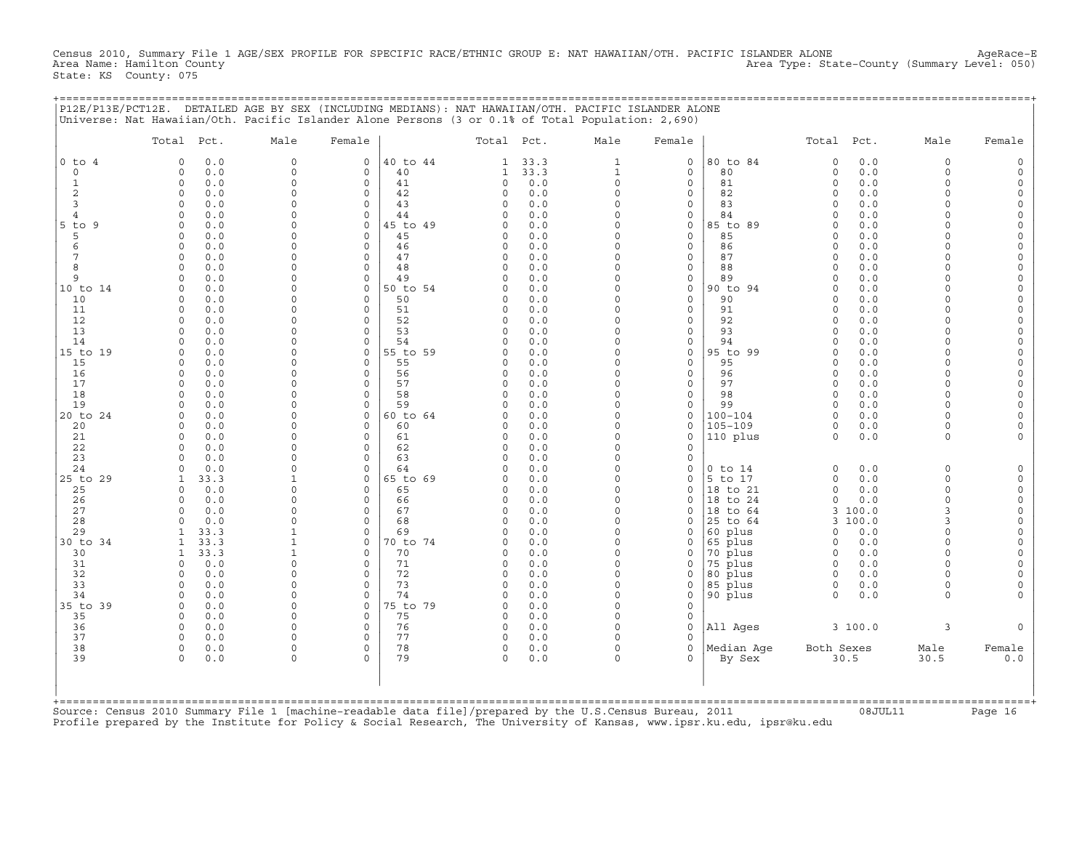Census 2010, Summary File 1 AGE/SEX PROFILE FOR SPECIFIC RACE/ETHNIC GROUP E: NAT HAWAIIAN/OTH. PACIFIC ISLANDER ALONE AgeRace-E<br>Area Name: Hamilton County (summary Level: 050) Area Type: State−County (Summary Level: 050) State: KS County: 075

+===================================================================================================================================================+

|                                                                                                         | Total Pct.                         | Male                 | Female                  |                | Total Pct.    |            | Male                 | Female                     |                      | Total Pct.           |            | Male                 | Female                 |
|---------------------------------------------------------------------------------------------------------|------------------------------------|----------------------|-------------------------|----------------|---------------|------------|----------------------|----------------------------|----------------------|----------------------|------------|----------------------|------------------------|
| $0$ to $4$                                                                                              | $\Omega$<br>0.0                    | $\mathbf 0$          | $\circ$                 | 40 to 44       | 1             | 33.3       | $\mathbf{1}$         | $\mathbf 0$                | 80 to 84             | $\Omega$             | 0.0        | $\mathbf 0$          | $\mathbf 0$            |
| $\Omega$                                                                                                | $\circ$<br>0.0                     | $\mathbf 0$          | $\mathbf{0}$            | 40             | 1             | 33.3       | $\mathbf{1}$         | $\Omega$                   | 80                   | $\mathbf 0$          | 0.0        | $\Omega$             | $\Omega$               |
| $\mathbf{1}$                                                                                            | 0.0<br>$\circ$                     | $\mathbf 0$          | $\circ$                 | 41             | 0             | 0.0        | $\Omega$             | $\mathbf 0$                | 81                   | $\Omega$             | 0.0        | $\Omega$             | $\Omega$               |
| 2                                                                                                       | 0.0<br>0                           | $\circ$              | $\mathbf 0$             | 42             | $\Omega$      | 0.0        | $\Omega$             | $\mathbf 0$                | 82                   | $\Omega$             | 0.0        | $\Omega$             | $\circ$                |
| 3                                                                                                       | 0.0<br>$\Omega$                    | $\Omega$             | $\mathbf 0$             | 43             | $\Omega$      | 0.0        | $\Omega$             | $\mathbf 0$                | 83                   | $\Omega$             | 0.0        | $\Omega$             | $\Omega$               |
| $\overline{4}$                                                                                          | 0.0<br>$\Omega$                    | 0<br>$\Omega$        | $\mathbf 0$             | 44             | O             | 0.0        | $\Omega$             | $\mathbf 0$                | 84                   | $\Omega$<br>$\Omega$ | 0.0        |                      | $\Omega$               |
| $5$ to<br>-9<br>5                                                                                       | 0.0<br>$\cap$<br>0.0<br>$\Omega$   | 0                    | $\Omega$<br>$\Omega$    | 45 to 49<br>45 | U<br>$\Omega$ | 0.0<br>0.0 | $\Omega$<br>$\Omega$ | $\mathbf 0$<br>$\mathbf 0$ | 85 to 89<br>85       | $\Omega$             | 0.0<br>0.0 | $\cap$               | $\Omega$<br>$\Omega$   |
| 6                                                                                                       | $\Omega$<br>0.0                    | $\Omega$             | $\Omega$                | 46             | $\Omega$      | 0.0        | $\Omega$             | $\mathbf 0$                | 86                   | $\Omega$             | 0.0        | $\cap$               | $\circ$                |
| 7                                                                                                       | 0.0<br>$\Omega$                    | 0                    | $\mathbf 0$             | 47             | $\Omega$      | 0.0        | $\Omega$             | $\circ$                    | 87                   | $\Omega$             | 0.0        | $\cap$               | $\Omega$               |
| 8                                                                                                       | 0.0<br>$\Omega$                    | $\Omega$             | $\mathbf 0$             | 48             | $\Omega$      | 0.0        | $\Omega$             | $\mathbf 0$                | 88                   | $\Omega$             | 0.0        | $\cap$               | $\mathbf 0$            |
| 9                                                                                                       | $\Omega$<br>0.0                    | $\Omega$             | $\mathbf 0$             | 49             | $\Omega$      | 0.0        | $\circ$              | $\mathsf{O}$               | 89                   | $\Omega$             | 0.0        | $\cap$               | $\mathbf 0$            |
| 10 to 14                                                                                                | 0.0<br>$\Omega$                    | 0                    | $\mathbf 0$             | 50 to 54       |               | 0.0        | $\Omega$             | $\mathbf 0$                | 90 to 94             | $\Omega$             | 0.0        |                      | $\circ$                |
| 10                                                                                                      | 0.0<br>$\Omega$                    | $\Omega$             | $\Omega$                | 50             | O             | 0.0        | $\Omega$             | $\mathbf 0$                | 90                   | $\Omega$             | 0.0        | $\Omega$             | $\Omega$               |
| 11                                                                                                      | 0.0<br>$\Omega$                    | $\Omega$             | $\Omega$                | 51             | $\Omega$      | 0.0        | $\Omega$             | $\mathbf 0$                | 91                   | $\Omega$             | 0.0        |                      | $\Omega$               |
| 12                                                                                                      | $\Omega$<br>0.0                    | $\Omega$             | $\Omega$                | 52             | $\Omega$      | 0.0        | $\Omega$             | $\mathbf 0$                | 92                   | $\Omega$             | 0.0        | $\Omega$             | $\Omega$               |
| 13                                                                                                      | 0.0<br>$\Omega$                    | $\Omega$             | $\Omega$                | 53             | U             | 0.0        | $\Omega$             | $\mathbf 0$                | 93                   | $\Omega$             | 0.0        |                      | $\Omega$               |
| 14                                                                                                      | $\Omega$<br>0.0                    | $\Omega$             | $\Omega$                | 54             | O             | 0.0        | $\Omega$             | $\mathbf 0$                | 94                   | $\Omega$             | 0.0        |                      | $\Omega$               |
| 15 to 19                                                                                                | 0.0<br>$\Omega$                    | $\Omega$             | $\mathbf 0$             | 55 to 59       | $\Omega$      | 0.0        | 0                    | $\mathsf{O}$               | 95 to 99             | $\Omega$             | 0.0        | $\cap$               | $\mathbf 0$            |
| 15                                                                                                      | 0.0<br>$\Omega$<br>$\Omega$        | $\Omega$<br>$\Omega$ | $\Omega$<br>$\mathbf 0$ | 55<br>56       | O<br>0        | 0.0<br>0.0 | $\Omega$<br>$\Omega$ | $\mathbf 0$<br>$\mathbf 0$ | 95<br>96             | $\Omega$<br>$\Omega$ | 0.0<br>0.0 | $\cap$<br>$\Omega$   | $\Omega$<br>$\Omega$   |
| 16<br>17                                                                                                | 0.0<br>0.0<br>$\Omega$             | $\Omega$             | $\Omega$                | 57             | $\Omega$      | 0.0        | $\Omega$             | $\mathbf 0$                | 97                   | $\Omega$             | 0.0        | $\cap$               | $\Omega$               |
| 18                                                                                                      | $\Omega$<br>0.0                    | $\Omega$             | $\Omega$                | 58             | $\Omega$      | 0.0        | $\circ$              | $\mathbf 0$                | 98                   | $\Omega$             | 0.0        | $\Omega$             | $\Omega$               |
| 19                                                                                                      | 0.0<br>$\Omega$                    | $\Omega$             | $\Omega$                | 59             | $\Omega$      | 0.0        | $\Omega$             | $\mathbf 0$                | 99                   | $\Omega$             | 0.0        | $\cap$               | $\circ$                |
| 20 to 24                                                                                                | 0.0<br>$\circ$                     | $\Omega$             | $\circ$                 | 60 to 64       | $\Omega$      | 0.0        | $\Omega$             | $\mathbf 0$                | $100 - 104$          | $\Omega$             | 0.0        |                      | $\Omega$               |
| 20                                                                                                      | 0.0<br>$\Omega$                    | $\Omega$             | $\Omega$                | 60             | 0             | 0.0        | $\Omega$             | $\mathbf 0$                | $105 - 109$          | $\Omega$             | 0.0        | $\Omega$             | $\Omega$               |
| 21                                                                                                      | 0.0<br>$\circ$                     | $\Omega$             | $\mathbf 0$             | 61             | $\Omega$      | 0.0        | $\circ$              | $\mathbf 0$                | 110 plus             | $\Omega$             | 0.0        | $\Omega$             |                        |
| 22                                                                                                      | 0.0<br>$\Omega$                    | 0                    | $\mathbf 0$             | 62             | O             | 0.0        | $\Omega$             | $\Omega$                   |                      |                      |            |                      |                        |
| 23                                                                                                      | 0.0<br>$\Omega$                    | $\Omega$             | $\Omega$                | 63             | O             | 0.0        | $\Omega$             | $\mathbf 0$                |                      |                      |            |                      |                        |
| 24                                                                                                      | 0.0<br>$\cap$                      | $\Omega$             | $\Omega$                | 64             | O             | 0.0        | $\Omega$             | $\mathbf 0$                | $0$ to $14$          | $\Omega$             | 0.0        | $\Omega$             | $\Omega$               |
| 25 to 29                                                                                                | 33.3                               | $\mathbf{1}$         | $\Omega$                | 65 to 69       | U             | 0.0        | $\Omega$             | $\Omega$                   | 5 to 17              | $\Omega$             | 0.0        | $\Omega$<br>$\Omega$ | $\Omega$               |
| 25<br>26                                                                                                | 0.0<br>$\Omega$<br>0.0<br>$\Omega$ | $\Omega$<br>$\Omega$ | $\Omega$<br>$\Omega$    | 65<br>66       | O<br>$\Omega$ | 0.0<br>0.0 | $\Omega$<br>$\Omega$ | $\mathbf 0$<br>$\Omega$    | 18 to 21<br>18 to 24 | $\Omega$<br>$\circ$  | 0.0<br>0.0 | $\Omega$             | $\circ$<br>$\mathbf 0$ |
| 27                                                                                                      | $\Omega$<br>0.0                    | $\Omega$             | $\mathbf 0$             | 67             | 0             | 0.0        | $\circ$              | $\mathbf 0$                | 18 to 64             | 3                    | 100.0      | 3                    | $\mathbf 0$            |
| 28                                                                                                      | 0.0                                | $\Omega$             | $\mathbf 0$             | 68             | $\Omega$      | 0.0        | $\Omega$             | $\mathbf 0$                | 25 to 64             |                      | 3 100.0    | $\mathbf{R}$         | $\circ$                |
| 29                                                                                                      | 33.3                               | $\mathbf{1}$         | $\mathbf 0$             | 69             | O             | 0.0        | $\Omega$             | $\mathbf 0$                | 60 plus              | $\Omega$             | 0.0        | $\Omega$             | $\Omega$               |
| 30 to 34                                                                                                | 33.3                               | $\mathbf{1}$         | $\Omega$                | 70 to 74       | O             | 0.0        | $\Omega$             | $\mathbf 0$                | 65 plus              | $\Omega$             | 0.0        | $\Omega$             | $\Omega$               |
| 30                                                                                                      | 33.3<br>$\mathbf{1}$               | $\mathbf{1}$         | $\Omega$                | 70             | $\Omega$      | 0.0        | $\Omega$             | $\mathbf 0$                | 70 plus              | $\Omega$             | 0.0        | $\Omega$             | $\Omega$               |
| 31                                                                                                      | 0.0<br>$\Omega$                    | $\circ$              | $\Omega$                | 71             | O             | 0.0        | $\Omega$             | $\Omega$                   | 75 plus              | $\Omega$             | 0.0        | $\Omega$             | $\Omega$               |
| 32                                                                                                      | 0.0<br>$\Omega$                    | $\Omega$             | $\circ$                 | 72             | $\Omega$      | 0.0        | $\Omega$             | $\Omega$                   | 80 plus              | $\Omega$             | 0.0        |                      | $\Omega$               |
| 33                                                                                                      | $\Omega$<br>0.0                    | $\Omega$             | $\mathbf 0$             | 73             | $\Omega$      | 0.0        | $\Omega$             | $\mathsf{O}$               | 85 plus              | 0                    | 0.0        | $\Omega$             | $\Omega$               |
| 34                                                                                                      | 0.0<br>$\Omega$                    | $\Omega$             | $\Omega$                | 74             | $\Omega$      | 0.0        | $\Omega$             | $\mathbf 0$                | 90 plus              | $\Omega$             | 0.0        | $\cap$               |                        |
| 35 to 39                                                                                                | 0.0<br>0                           | $\Omega$             | $\mathbf 0$             | 75 to 79       | $\Omega$      | 0.0        | $\Omega$             | $\mathbf 0$                |                      |                      |            |                      |                        |
| 35                                                                                                      | $\Omega$<br>0.0<br>$\circ$         | $\Omega$<br>$\Omega$ | $\Omega$<br>$\mathbf 0$ | 75<br>76       | $\Omega$<br>0 | 0.0<br>0.0 | $\Omega$<br>$\circ$  | $\mathbf 0$<br>$\mathbf 0$ | All Ages             |                      |            | 3                    |                        |
| 36<br>37                                                                                                | 0.0<br>0.0<br>$\Omega$             | $\Omega$             | $\Omega$                | 77             | $\Omega$      | 0.0        | $\Omega$             | $\Omega$                   |                      |                      | 3 100.0    |                      |                        |
| 38                                                                                                      | 0.0<br>$\circ$                     | 0                    | $\mathbf 0$             | 78             | 0             | 0.0        | $\circ$              | $\mathbf 0$                | Median Aqe           | Both Sexes           |            | Male                 | Female                 |
| 39                                                                                                      | $\Omega$<br>0.0                    | $\Omega$             | $\Omega$                | 79             | $\Omega$      | 0.0        | $\Omega$             | $\Omega$                   | By Sex               | 30.5                 |            | 30.5                 | 0.0                    |
|                                                                                                         |                                    |                      |                         |                |               |            |                      |                            |                      |                      |            |                      |                        |
| Source: Census 2010 Summary File 1 [machine-readable data file]/prepared by the U.S.Census Bureau, 2011 |                                    |                      |                         |                |               |            |                      |                            |                      |                      |            |                      |                        |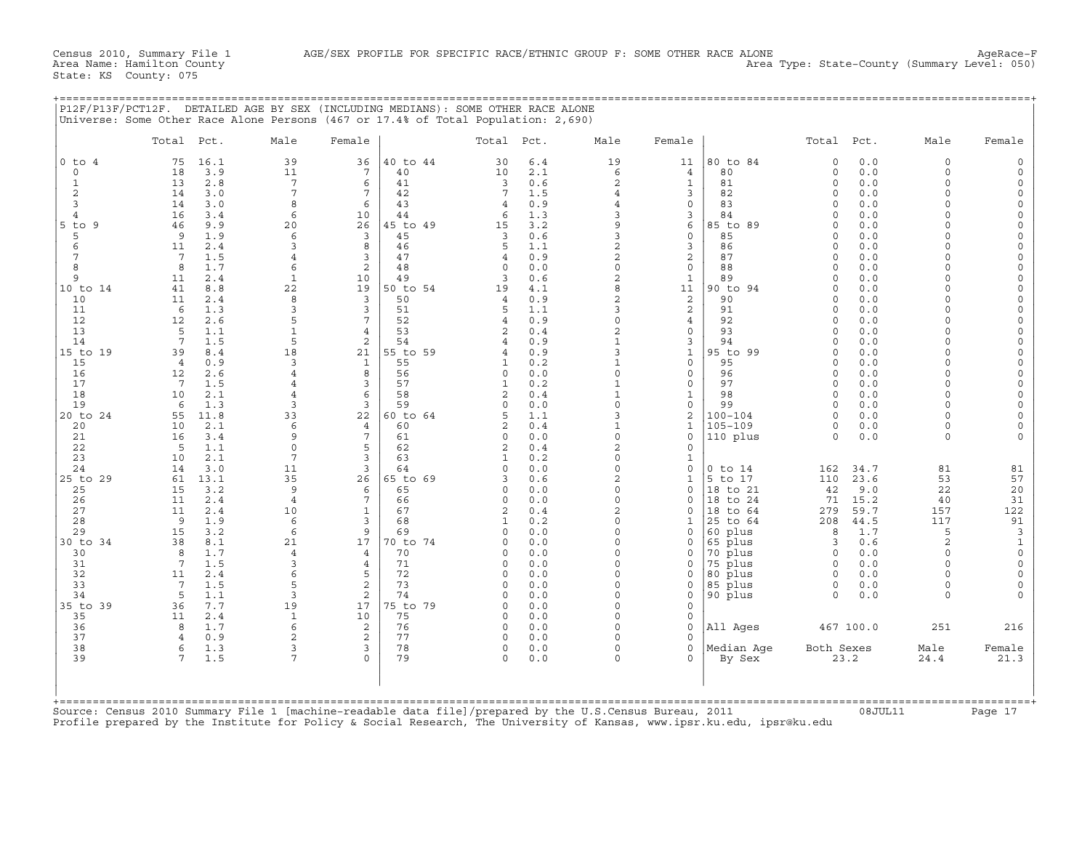Area Name: Hamilton County Area Type: State−County (Summary Level: 050)

| P12F/P13F/PCT12F. DETAILED AGE BY SEX (INCLUDING MEDIANS): SOME OTHER RACE ALONE  |
|-----------------------------------------------------------------------------------|
| Universe: Some Other Race Alone Persons (467 or 17.4% of Total Population: 2,690) |
|                                                                                   |

|                | Total                | Pct.        | Male                  | Female               |                | Total Pct.              |              | Male                         | Female                              |                            | Total Pct.                 |              | Male                 | Female               |
|----------------|----------------------|-------------|-----------------------|----------------------|----------------|-------------------------|--------------|------------------------------|-------------------------------------|----------------------------|----------------------------|--------------|----------------------|----------------------|
| $0$ to $4$     | 75                   | 16.1        | 39                    | 36                   | 40 to 44       | 30                      | 6.4          | 19                           | 11                                  | 80 to 84                   | $\Omega$                   | 0.0          | $\Omega$             | $\Omega$             |
| $\circ$        | 18                   | 3.9         | 11<br>$7\phantom{.0}$ | 7<br>6               | 40             | 10<br>3                 | 2.1          | 6<br>2                       | $\overline{4}$                      | 80                         | $\mathbf 0$<br>$\mathbf 0$ | 0.0<br>0.0   | $\Omega$<br>$\Omega$ | $\Omega$             |
| 1<br>2         | 13<br>14             | 2.8<br>3.0  | 7                     | 7                    | 41<br>42       | 7                       | 0.6<br>1.5   | $\overline{4}$               | $\mathbf{1}$<br>3                   | 81<br>82                   | $\Omega$                   | 0.0          | $\cap$               | $\Omega$             |
| 3              | 14                   | 3.0         | 8                     | 6                    | 43             | $\overline{4}$          | 0.9          | $\overline{4}$               | $\mathsf{O}\xspace$                 | 83                         | $\Omega$                   | 0.0          | $\cap$               | $\Omega$             |
| $\overline{4}$ | 16                   | 3.4         | 6                     | 10                   | 44             | 6                       | 1.3          | 3                            | 3                                   | 84                         | $\Omega$                   | 0.0          | $\cap$               | $\Omega$             |
| $5$ to $9$     | 46                   | 9.9         | 20                    | 26                   | 45 to 49       | 15                      | 3.2          | 9                            | 6                                   | 85 to 89                   | $\Omega$                   | 0.0          | $\Omega$             | $\Omega$             |
| 5<br>6         | 9<br>11              | 1.9<br>2.4  | 6<br>3                | 3<br>8               | 45<br>46       | 3<br>5                  | 0.6<br>1.1   | 3<br>$\overline{2}$          | 0<br>3                              | 85<br>86                   | $\Omega$<br>$\Omega$       | 0.0<br>0.0   | $\Omega$<br>$\Omega$ | $\Omega$<br>$\Omega$ |
| 7              | $7\phantom{.0}$      | 1.5         | 4                     | 3                    | 47             | 4                       | 0.9          | $\overline{2}$               | $\overline{c}$                      | 87                         | $\Omega$                   | 0.0          | $\cap$               | $\Omega$             |
| 8              | 8                    | 1.7         | 6                     | 2                    | 48             | $\Omega$                | 0.0          | $\Omega$                     | $\mathbf 0$                         | 88                         | $\Omega$                   | 0.0          | $\Omega$             | $\Omega$             |
| 9              | 11                   | 2.4         | $\mathbf{1}$          | 10                   | 49             | 3                       | 0.6          | $\overline{a}$               | $\mathbf{1}$                        | 89                         | $\Omega$                   | 0.0          | $\Omega$             | $\Omega$             |
| 10 to 14       | 41                   | 8.8         | 22                    | 19                   | 50 to 54       | 19                      | 4.1          | 8                            | 11                                  | 90 to 94                   | $\Omega$                   | 0.0          |                      | $\Omega$             |
| 10<br>11       | 11<br>6              | 2.4<br>1.3  | 8<br>3                | 3<br>3               | 50<br>51       | $\overline{4}$<br>5     | 0.9<br>1.1   | 2<br>3                       | 2<br>2                              | 90<br>91                   | $\Omega$<br>$\Omega$       | 0.0<br>0.0   | $\cap$<br>$\cap$     | $\Omega$<br>$\Omega$ |
| 12             | 12                   | 2.6         | 5                     | 7                    | 52             | $\overline{4}$          | 0.9          | $\Omega$                     | $\overline{4}$                      | 92                         | $\Omega$                   | 0.0          |                      | $\Omega$             |
| 13             | 5                    | 1.1         | $\mathbf 1$           | $\overline{4}$       | 53             | $\mathbf{2}$            | 0.4          | $\overline{a}$               | $\mathbf 0$                         | 93                         | $\Omega$                   | 0.0          |                      |                      |
| 14             | $7\phantom{.0}$      | 1.5         | 5                     | 2                    | 54             | 4                       | 0.9          | $\mathbf{1}$                 | 3                                   | 94                         | $\Omega$                   | 0.0          |                      | $\Omega$             |
| 15 to 19<br>15 | 39<br>$\overline{4}$ | 8.4<br>0.9  | 18<br>3               | 21<br>1              | 55 to 59<br>55 | 4<br>$\mathbf 1$        | 0.9<br>0.2   | $\mathbf{z}$<br>$\mathbf{1}$ | $\mathbf{1}$<br>$\mathbf 0$         | 95 to 99<br>95             | $\cap$<br>$\Omega$         | 0.0<br>$0.0$ | $\cap$<br>$\Omega$   | $\Omega$<br>$\Omega$ |
| 16             | 12                   | 2.6         | 4                     | 8                    | 56             | $\circ$                 | 0.0          | $\Omega$                     | 0                                   | 96                         | $\Omega$                   | 0.0          |                      | $\Omega$             |
| 17             | $7\phantom{.0}$      | 1.5         | 4                     | 3                    | 57             | $\mathbf{1}$            | 0.2          | $\mathbf{1}$                 | $\mathbf 0$                         | 97                         | $\Omega$                   | 0.0          |                      |                      |
| 18             | 10                   | 2.1         | 4                     | 6                    | 58             | 2                       | 0.4          | $\mathbf{1}$                 | $\mathbf{1}$                        | 98                         | $\Omega$                   | 0.0          | $\cap$               | $\Omega$             |
| 19             | 6                    | 1.3         | 3                     | 3                    | 59             | $\circ$                 | 0.0          | $\Omega$                     | $\mathbf 0$                         | 99                         | $\Omega$                   | 0.0          | $\cap$               | $\Omega$             |
| 20 to 24<br>20 | 55<br>10             | 11.8<br>2.1 | 33<br>6               | 22<br>$\overline{4}$ | 60 to 64<br>60 | 5<br>2                  | 1.1<br>0.4   | 3<br>$\mathbf{1}$            | 2<br>$\mathbf{1}$                   | $100 - 104$<br>$105 - 109$ | $\Omega$<br>$\Omega$       | 0.0<br>0.0   | $\Omega$<br>$\Omega$ | $\Omega$<br>$\Omega$ |
| 21             | 16                   | 3.4         | 9                     | 7                    | 61             | $\circ$                 | 0.0          | $\Omega$                     | $\mathbf 0$                         | 110 plus                   | $\Omega$                   | 0.0          | $\Omega$             |                      |
| 22             | 5                    | 1.1         | $\circ$               | 5                    | 62             | 2                       | 0.4          | $\overline{a}$               | $\mathsf{O}\xspace$                 |                            |                            |              |                      |                      |
| 23             | 10                   | 2.1         | 7                     | 3                    | 63             | 1                       | 0.2          | $\Omega$                     | $\mathbf{1}$                        |                            |                            |              |                      |                      |
| 24<br>25 to 29 | 14<br>61             | 3.0<br>13.1 | 11<br>35              | $\overline{3}$<br>26 | 64<br>65 to 69 | $\circ$<br>3            | 0.0<br>0.6   | $\Omega$<br>$\overline{c}$   | $\mathsf{O}\xspace$<br>$\mathbf{1}$ | $0$ to $14$<br>5 to 17     | 162<br>110                 | 34.7<br>23.6 | 81<br>53             | 81<br>57             |
| 25             | 15                   | 3.2         | 9                     | 6                    | 65             | $\Omega$                | 0.0          | $\Omega$                     | $\Omega$                            | 18 to 21                   | 42                         | 9.0          | 22                   | 20                   |
| 26             | 11                   | 2.4         | 4                     | 7                    | 66             | $\mathbf 0$             | 0.0          | $\Omega$                     | 0                                   | to 24<br>18                | 71                         | 15.2         | 40                   | 31                   |
| 27             | 11                   | 2.4         | 10                    | $\mathbf{1}$         | 67             | $\mathbf{2}$            | 0.4          | $\overline{2}$               | $\mathbf 0$                         | 18 to 64                   | 279                        | 59.7         | 157                  | 122                  |
| 28             | 9                    | 1.9         | 6                     | 3                    | 68             | $\mathbf{1}$            | 0.2          | $\Omega$                     | 1                                   | 25 to 64                   | 208                        | 44.5         | 117                  | 91                   |
| 29<br>30 to 34 | 15<br>38             | 3.2<br>8.1  | 6<br>21               | 9<br>17              | 69<br>70 to 74 | $\Omega$<br>$\Omega$    | 0.0<br>$0.0$ | $\Omega$<br>$\Omega$         | 0<br>0                              | 60 plus<br>65 plus         | 8<br>3                     | 1.7<br>0.6   | 5<br>2               | 3<br>$\mathbf{1}$    |
| 30             | 8                    | 1.7         | $\overline{4}$        | $\overline{4}$       | 70             | $\Omega$                | 0.0          | $\Omega$                     | $\mathbf 0$                         | 70 plus                    | $\Omega$                   | 0.0          | $\Omega$             | $\circ$              |
| 31             | $7\phantom{.0}$      | 1.5         | 3                     | $\overline{4}$       | 71             | $\mathbf 0$             | 0.0          | $\Omega$                     | $\mathbf 0$                         | 75 plus                    | $\Omega$                   | 0.0          | $\cap$               | $\Omega$             |
| 32             | 11                   | 2.4         | 6                     | 5                    | 72             | $\Omega$                | 0.0          | $\Omega$                     | $\mathbf 0$                         | 80 plus                    | $\Omega$                   | 0.0          | $\cap$               |                      |
| 33             | $7\phantom{.0}$      | 1.5         | 5                     | $\overline{a}$       | 73             | $\Omega$                | 0.0          | $\Omega$<br>$\Omega$         | 0                                   | 85 plus                    | $\Omega$<br>$\Omega$       | 0.0          | $\Omega$<br>$\cap$   |                      |
| 34<br>35 to 39 | 5<br>36              | 1.1<br>7.7  | 3<br>19               | 2<br>17              | 74<br>75 to 79 | $\Omega$<br>$\mathbf 0$ | 0.0<br>0.0   | $\Omega$                     | $\mathbf 0$<br>$\mathbf 0$          | 90 plus                    |                            | 0.0          |                      |                      |
| 35             | 11                   | 2.4         | $\mathbf{1}$          | 10                   | 75             | 0                       | 0.0          | $\Omega$                     | 0                                   |                            |                            |              |                      |                      |
| 36             | 8                    | 1.7         | 6                     | 2                    | 76             | $\Omega$                | 0.0          | $\Omega$                     | $\Omega$                            | All Ages                   |                            | 467 100.0    | 251                  | 216                  |
| 37             | $\overline{4}$       | 0.9         | 2                     | 2                    | 77             | $\mathbf 0$             | 0.0          | $\Omega$                     | $\mathbf 0$                         |                            |                            |              |                      |                      |
| 38<br>39       | 6<br>$7\overline{ }$ | 1.3<br>1.5  | 3<br>7                | 3<br>$\Omega$        | 78<br>79       | $\mathbf 0$<br>$\Omega$ | 0.0<br>0.0   | $\Omega$<br>$\Omega$         | $\mathbf 0$<br>$\Omega$             | Median Age<br>By Sex       | Both Sexes                 | 23.2         | Male<br>24.4         | Female<br>21.3       |
|                |                      |             |                       |                      |                |                         |              |                              |                                     |                            |                            |              |                      |                      |
|                |                      |             |                       |                      |                |                         |              |                              |                                     |                            |                            |              |                      |                      |

Source: Census 2010 Summary File 1 [machine−readable data file]/prepared by the U.S.Census Bureau, 2011 08JUL11 Page 17 Profile prepared by the Institute for Policy & Social Research, The University of Kansas, www.ipsr.ku.edu, ipsr@ku.edu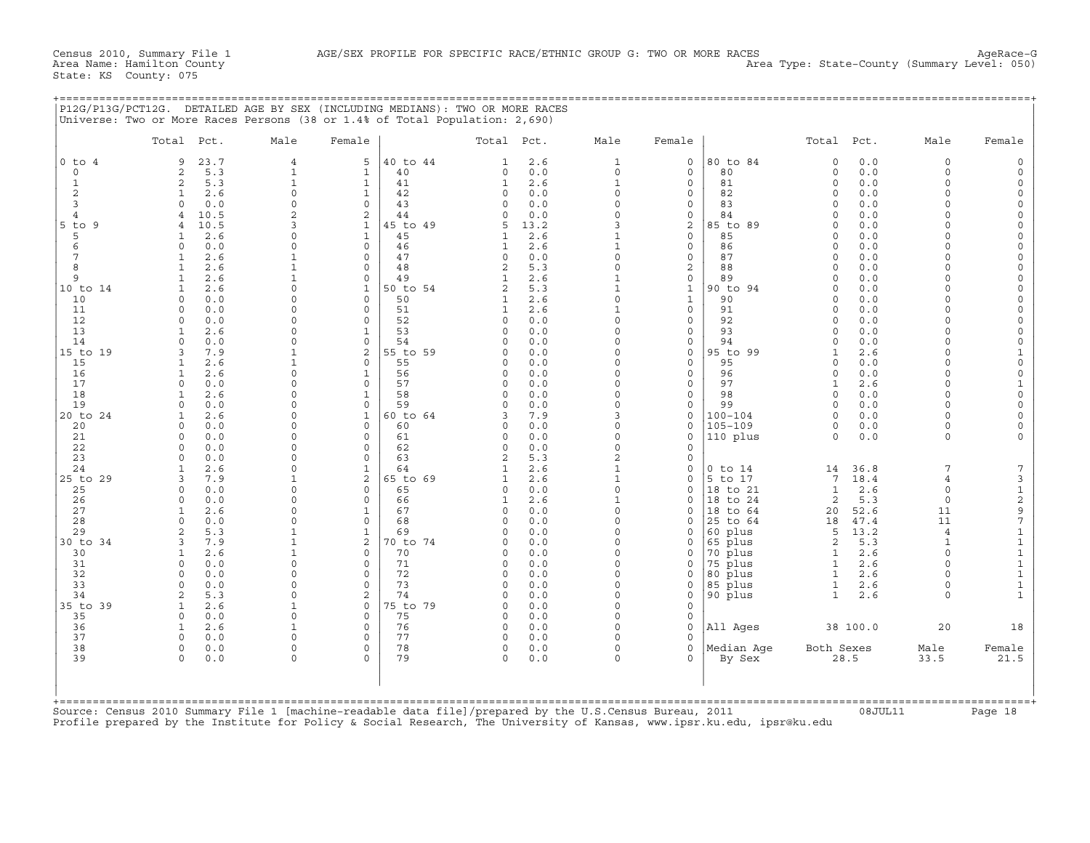|                   | Total Pct.           |            | Male                 | Female               |          | Total Pct.                   |            | Male                      | Female               |                      | Total Pct.            |            | Male                | Female |
|-------------------|----------------------|------------|----------------------|----------------------|----------|------------------------------|------------|---------------------------|----------------------|----------------------|-----------------------|------------|---------------------|--------|
| $0$ to $4$        | 9                    | 23.7       | $\overline{4}$       | 5                    | 40 to 44 | $\mathbf{1}$                 | 2.6        | $\mathbf{1}$              | $\mathbf{0}$         | 80 to 84             | $\Omega$              | 0.0        | $\Omega$            |        |
| $\circ$           | $\overline{a}$       | 5.3        | $\mathbf{1}$         | $\mathbf 1$          | 40       | 0                            | 0.0        | $\mathbf{0}$              | $\mathbf 0$          | 80                   | $\circ$               | 0.0        | $\circ$             |        |
| $\mathbf{1}$<br>2 | $\overline{2}$       | 5.3        | $\mathbf{1}$         | $\mathbf{1}$         | 41       | $\mathbf{1}$                 | 2.6        | $\mathbf{1}$              | $\mathbf 0$          | 81                   | $\Omega$              | 0.0        | 0                   |        |
|                   | 1                    | 2.6        | $\mathbf{0}$         | $\mathbf{1}$         | 42       | $\circ$                      | 0.0        | $\Omega$                  | $\Omega$             | 82                   | $\Omega$              | 0.0        | 0                   |        |
|                   | $\Omega$             | 0.0        | $\circ$              | $\Omega$             | 43       | $\Omega$                     | 0.0        | $\Omega$                  | $\Omega$             | 83                   | $\Omega$              | 0.0        | $\Omega$            |        |
|                   | $\overline{4}$       | 10.5       | $\overline{c}$       | 2                    | 44       | $\Omega$                     | 0.0        | $\Omega$                  | $\Omega$             | 84                   | $\Omega$              | 0.0        | 0                   |        |
| $5$ to $9$        | $\overline{a}$       | 10.5       | 3                    | $\mathbf{1}$         | 45 to 49 | 5                            | 13.2       | 3                         | $\overline{a}$       | 85 to 89             | $\Omega$              | 0.0        | $\Omega$            |        |
|                   | 1                    | 2.6        | $\circ$              | $\mathbf{1}$         | 45       | 1                            | 2.6        | $\mathbf{1}$              | 0                    | 85                   | $\circ$               | 0.0        | $\Omega$            |        |
|                   | $\Omega$             | 0.0        | $\circ$              | $\Omega$             | 46       | $\mathbf{1}$                 | 2.6        | $\mathbf{1}$              | $\Omega$             | 86                   | $\Omega$              | 0.0        | $\Omega$            |        |
|                   | 1                    | 2.6        | $\mathbf{1}$         | $\Omega$             | 47       | $\Omega$                     | 0.0        | $\Omega$                  | $\Omega$             | 87                   | $\Omega$              | 0.0        | $\Omega$            |        |
|                   | $\mathbf{1}$         | 2.6        | $\mathbf{1}$         | $\Omega$             | 48       | 2                            | 5.3        | $\Omega$                  | $\overline{a}$       | 88                   | $\Omega$              | 0.0        | $\Omega$            |        |
|                   | $\mathbf{1}$         | 2.6        | $\mathbf{1}$         | $\Omega$             | 49       | $\mathbf{1}$                 | 2.6        | $\mathbf{1}$              | $\Omega$             | 89                   | $\Omega$              | 0.0        | 0                   |        |
| 10 to 14          | $\mathbf{1}$         | 2.6        | $\Omega$             | $\mathbf{1}$         | 50 to 54 | $\overline{2}$               | 5.3        | $\mathbf{1}$              | $\mathbf{1}$         | 90 to 94             | $\Omega$              | 0.0        | $\Omega$            |        |
| 10                | $\Omega$             | 0.0        | $\circ$              | $\circ$              | 50       | $\mathbf{1}$                 | 2.6        | $\Omega$                  | $\mathbf{1}$         | 90                   | $\circ$               | 0.0        | $\overline{0}$      |        |
| 11                | $\Omega$             | 0.0        | $\circ$              | $\Omega$             | 51       | $\mathbf{1}$                 | 2.6        | $\mathbf{1}$              | $\Omega$             | 91                   | $\Omega$              | 0.0        | $\Omega$            |        |
| 12                | $\circ$              | 0.0        | $\circ$              | $\Omega$             | 52       | $\mathbf 0$                  | 0.0        | $\Omega$                  | $\Omega$             | 92                   | $\Omega$              | 0.0        | $\Omega$            |        |
| 13                | $\mathbf{1}$         | 2.6        | $\Omega$             | $\mathbf{1}$         | 53       | $\Omega$                     | 0.0        | $\Omega$                  | $\Omega$             | 93                   | $\Omega$              | 0.0        | $\Omega$            |        |
| 14                | $\Omega$             | 0.0        | $\circ$              | $\Omega$             | 54       | $\mathbf 0$                  | 0.0        | $\Omega$                  | $\Omega$             | 94                   | $\Omega$              | 0.0        | 0                   |        |
| 15 to 19          | 3                    | 7.9        | $\mathbf{1}$         | 2                    | 55 to 59 | $\Omega$                     | 0.0        | $\cap$                    | $\Omega$             | 95 to 99             | $\mathbf{1}$          | 2.6        | $\Omega$            |        |
| 15                | $\mathbf{1}$         | 2.6        | $\mathbf{1}$         | $\Omega$             | 55       | $\mathbf 0$                  | 0.0        | $\cap$                    | $\Omega$             | 95                   | $\Omega$              | 0.0        | 0                   |        |
| 16                | $\mathbf{1}$         | 2.6        | $\Omega$             | $\mathbf{1}$         | 56       | $\Omega$                     | 0.0        | $\Omega$                  | $\Omega$             | 96                   | $\Omega$              | 0.0        | $\Omega$            |        |
| 17                | $\Omega$             | 0.0        | $\circ$              | $\Omega$             | 57       | $\circ$                      | 0.0        | $\Omega$                  | $\Omega$             | 97                   | $\mathbf{1}$          | 2.6        | $\overline{0}$      |        |
| 18                | -1.                  | 2.6        | $\Omega$             | $\mathbf{1}$         | 58       | $\Omega$                     | 0.0        | $\cap$                    | $\Omega$             | 98                   | $\Omega$              | 0.0        | $\Omega$            |        |
| 19                | $\circ$              | 0.0        | $\circ$              | $\Omega$             | 59       | $\circ$                      | 0.0        | $\Omega$                  | $\Omega$             | 99                   | $\mathbf 0$           | 0.0        | 0                   |        |
| 20 to 24          | $\mathbf{1}$         | 2.6        | $\Omega$<br>$\Omega$ | $\mathbf{1}$         | 60 to 64 | 3                            | 7.9        | $\mathbf{z}$<br>$\Omega$  | $\Omega$             | $100 - 104$          | $\Omega$              | 0.0        | $\Omega$            |        |
| 20                | $\Omega$             | 0.0        | $\Omega$             | $\Omega$<br>$\Omega$ | 60       | $\Omega$                     | 0.0        | $\cap$                    | $\Omega$             | $105 - 109$          | $\Omega$<br>$\Omega$  | 0.0        | 0                   |        |
| 21                | $\Omega$             | 0.0        |                      |                      | 61       | 0                            | 0.0        |                           | $\Omega$             | 110 plus             |                       | 0.0        | $\Omega$            |        |
| 22                | $\Omega$<br>$\Omega$ | 0.0        | $\circ$<br>$\Omega$  | $\Omega$<br>$\Omega$ | 62       | $\circ$                      | 0.0        | $\Omega$<br>$\mathcal{D}$ | $\Omega$<br>$\Omega$ |                      |                       |            |                     |        |
| 23                |                      | 0.0        | $\Omega$             | $\mathbf{1}$         | 63<br>64 | $\overline{2}$               | 5.3        | $\mathbf{1}$              | $\Omega$             |                      |                       |            | $7\phantom{.0}$     |        |
| 24                | $\mathbf{1}$         | 2.6        | $\mathbf{1}$         | $\overline{a}$       | 65 to 69 | $\mathbf{1}$<br>$\mathbf{1}$ | 2.6        | $\mathbf{1}$              |                      | $0$ to $14$          | 14<br>$7\phantom{.0}$ | 36.8       |                     |        |
| 25 to 29          | 3                    | 7.9        | $\circ$              | $\Omega$             |          |                              | 2.6        | $\Omega$                  | $\Omega$             | 5 to 17              |                       | 18.4       | $\overline{4}$      |        |
| 25<br>26          | $\Omega$<br>$\Omega$ | 0.0<br>0.0 | $\Omega$             | $\Omega$             | 65<br>66 | 0<br>$\mathbf{1}$            | 0.0<br>2.6 | 1                         | $\Omega$<br>$\Omega$ | 18 to 21<br>18 to 24 | $\mathbf{1}$<br>2     | 2.6<br>5.3 | $\circ$<br>$\Omega$ |        |
| 27                | $\mathbf{1}$         | 2.6        | $\circ$              | $\mathbf{1}$         | 67       | $\circ$                      | 0.0        | $\Omega$                  | $\Omega$             | 18 to 64             |                       | 52.6       | 11                  |        |
| 28                | $\Omega$             | 0.0        | $\Omega$             | $\Omega$             | 68       | $\Omega$                     | 0.0        | $\Omega$                  | $\Omega$             | 25 to 64             | 20<br>18              | 47.4       | 11                  |        |
| 29                | $\overline{a}$       | 5.3        | $\mathbf{1}$         | $\mathbf{1}$         | 69       | $\Omega$                     | 0.0        | $\Omega$                  | $\Omega$             | 60 plus              | 5                     | 13.2       | $\overline{4}$      |        |
| 30 to 34          | 3                    | 7.9        | $\mathbf{1}$         | 2                    | 70 to 74 | $\Omega$                     | 0.0        | $\Omega$                  | $\Omega$             | 65 plus              | 2                     | 5.3        | $\mathbf{1}$        |        |
| 30                | $\mathbf{1}$         | 2.6        | $\mathbf{1}$         | $\mathbf 0$          | 70       | $\Omega$                     | 0.0        | $\Omega$                  | $\Omega$             | 70 plus              | $\mathbf{1}$          | 2.6        | $\Omega$            |        |
| 31                | $\Omega$             | 0.0        | $\Omega$             | $\Omega$             | 71       | $\Omega$                     | 0.0        | $\Omega$                  | $\Omega$             | 75 plus              | $\mathbf{1}$          | 2.6        | $\Omega$            |        |
| 32                | $\Omega$             | 0.0        | $\circ$              | $\Omega$             | 72       | $\circ$                      | 0.0        | $\Omega$                  | 0                    | 80 plus              | $\mathbf{1}$          | 2.6        | $\Omega$            |        |
| 33                | $\circ$              | 0.0        | $\circ$              | $\Omega$             | 73       | $\circ$                      | 0.0        | 0                         | 0                    | 85 plus              | $\mathbf{1}$          | 2.6        | $\circ$             |        |
| 34                | 2                    | 5.3        | $\Omega$             | $\overline{a}$       | 74       | $\Omega$                     | 0.0        | $\Omega$                  | $\Omega$             | 90 plus              | $\mathbf{1}$          | 2.6        | $\Omega$            |        |
| 35 to 39          | 1                    | 2.6        | $\mathbf{1}$         | $\mathbf 0$          | 75 to 79 | 0                            | 0.0        | $\Omega$                  | $\Omega$             |                      |                       |            |                     |        |
| 35                | $\Omega$             | 0.0        | $\mathbf 0$          | $\Omega$             | 75       | $\circ$                      | 0.0        | $\Omega$                  | $\Omega$             |                      |                       |            |                     |        |
| 36                | $\mathbf{1}$         | 2.6        | $\mathbf{1}$         | $\mathbf 0$          | 76       | $\circ$                      | 0.0        | $\Omega$                  | 0                    | All Ages             |                       | 38 100.0   | 20                  |        |
| 37                | $\Omega$             | 0.0        | $\Omega$             | $\Omega$             | 77       | $\Omega$                     | 0.0        | $\Omega$                  | $\Omega$             |                      |                       |            |                     |        |
| 38                | 0                    | 0.0        | $\circ$              | $\mathbf 0$          | 78       | 0                            | 0.0        | 0                         | $\Omega$             | Median Aqe           | Both Sexes            |            | Male                | Female |
| 39                | $\Omega$             | 0.0        | $\circ$              | $\Omega$             | 79       | $\Omega$                     | 0.0        | $\Omega$                  | $\Omega$             | By Sex               |                       | 28.5       | 33.5                | 21.5   |

+===================================================================================================================================================+Source: Census 2010 Summary File 1 [machine−readable data file]/prepared by the U.S.Census Bureau, 2011 08JUL11 Page 18 Profile prepared by the Institute for Policy & Social Research, The University of Kansas, www.ipsr.ku.edu, ipsr@ku.edu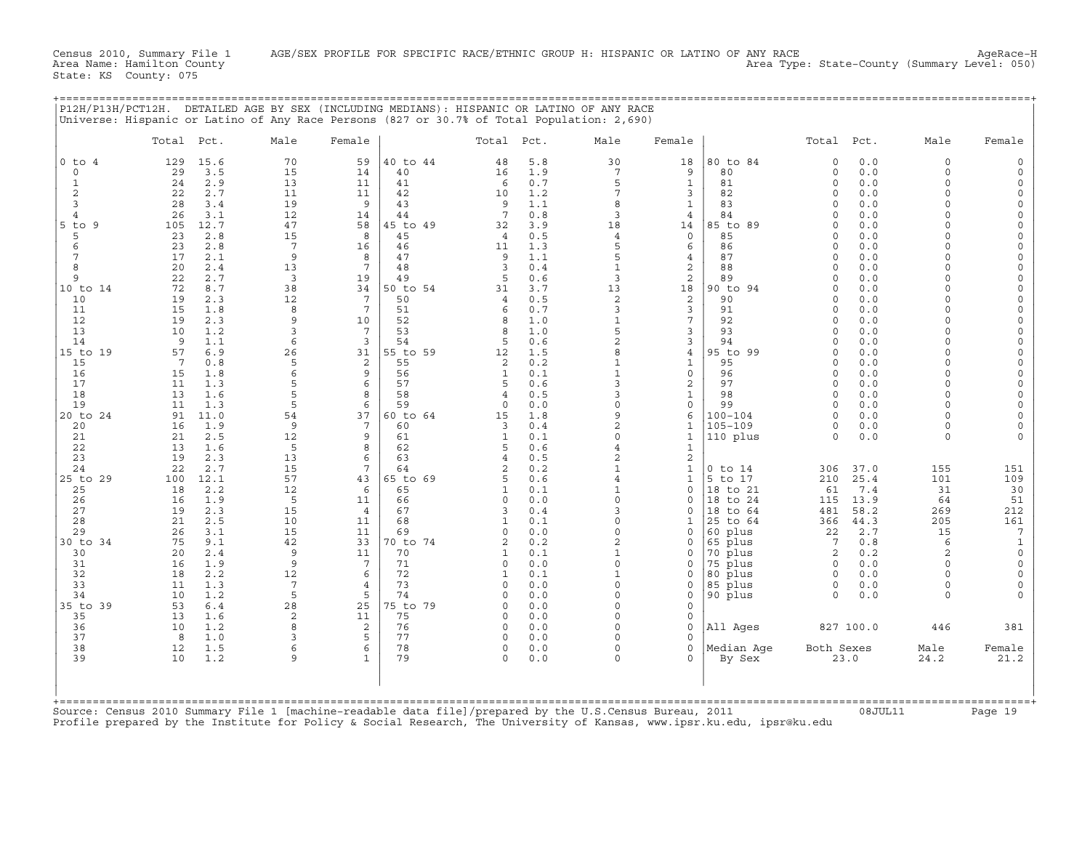Census 2010, Summary File 1 AGE/SEX PROFILE FOR SPECIFIC RACE/ETHNIC GROUP H: HISPANIC OR LATINO OF ANY RACE<br>Area Name: Hamilton County (summary Level: 050) Area Type: State-County (Summary Level: 050) Area Type: State-County (Summary Level: 050)

State: KS County: 075

| P12H/P13H/PCT12H. DETAILED AGE BY SEX (INCLUDING MEDIANS): HISPANIC OR LATINO OF ANY RACE  |  |
|--------------------------------------------------------------------------------------------|--|
| Universe: Hispanic or Latino of Any Race Persons (827 or 30.7% of Total Population: 2,690) |  |
|                                                                                            |  |

|                   | Total Pct.             | Male                    | Female                |                | Total Pct.              |            | Male                       | Female                       |                      | Total Pct.           |              | Male                 | Female                 |
|-------------------|------------------------|-------------------------|-----------------------|----------------|-------------------------|------------|----------------------------|------------------------------|----------------------|----------------------|--------------|----------------------|------------------------|
| $0$ to $4$        | 129<br>15.6            | 70                      | 59                    | 40 to 44       | 48                      | 5.8        | 30                         | 18                           | 80 to 84             | $\Omega$             | 0.0          | $\mathbf 0$          | 0                      |
| $\circ$           | 29<br>3.5              | 15                      | 14                    | 40             | 16                      | 1.9        | $7\phantom{.0}$            | 9                            | 80                   | $\mathbf 0$          | 0.0          | $\Omega$             | $\Omega$               |
| $\mathbf{1}$<br>2 | 2.9<br>24<br>22<br>2.7 | 13<br>11                | 11<br>11              | 41<br>42       | 6<br>10                 | 0.7<br>1.2 | 5<br>7                     | $\mathbf{1}$<br>3            | 81<br>82             | $\Omega$<br>$\Omega$ | 0.0<br>0.0   | $\Omega$<br>$\Omega$ | $\Omega$<br>$\Omega$   |
| 3                 | 28<br>3.4              | 19                      | 9                     | 43             | 9                       | 1.1        | 8                          | $\mathbf{1}$                 | 83                   | $\Omega$             | 0.0          | $\Omega$             | $\circ$                |
| $\overline{4}$    | 26<br>3.1              | 12                      | 14                    | 44             | 7                       | 0.8        | 3                          | 4                            | 84                   | $\Omega$             | 0.0          | $\Omega$             | $\Omega$               |
| 5 to<br>- 9       | 12.7<br>105            | 47                      | 58                    | 45 to 49       | 32                      | 3.9        | 18                         | 14                           | 85 to 89             | $\Omega$             | 0.0          |                      | $\Omega$               |
| 5                 | 23<br>2.8              | 15                      | 8                     | 45             | $\overline{4}$          | 0.5        | $\overline{4}$             | $\Omega$                     | 85                   | $\Omega$             | 0.0          | $\cap$               | $\Omega$               |
| 6                 | 23<br>2.8              | $7\phantom{.0}$         | 16                    | 46             | 11                      | 1.3        | 5                          | 6                            | 86                   | $\Omega$             | 0.0          | $\cap$               | $\Omega$               |
| 7                 | 17<br>2.1              | 9                       | 8                     | 47             | 9                       | 1.1        | 5                          | $\overline{4}$               | 87                   | $\Omega$             | 0.0          | $\cap$               | $\Omega$               |
| 8<br>9            | 20<br>2.4<br>22<br>2.7 | 13<br>3                 | $7\phantom{.0}$<br>19 | 48<br>49       | 3<br>5                  | 0.4<br>0.6 | $\mathbf{1}$<br>3          | 2<br>2                       | 88<br>89             | $\Omega$<br>$\Omega$ | 0.0<br>0.0   | $\Omega$             | $\mathbf 0$<br>$\circ$ |
| 10 to 14          | 72<br>8.7              | 38                      | 34                    | 50 to 54       | 31                      | 3.7        | 13                         | 18                           | 90 to 94             | $\Omega$             | 0.0          | $\cap$               | $\Omega$               |
| 10                | 19<br>2.3              | 12                      | 7                     | 50             | 4                       | 0.5        | $\mathbf{2}$               | 2                            | 90                   | $\Omega$             | 0.0          | $\cap$               | $\Omega$               |
| 11                | 15<br>1.8              | 8                       | 7                     | 51             | 6                       | 0.7        | 3                          | 3                            | 91                   | $\Omega$             | 0.0          | $\cap$               | $\circ$                |
| 12                | 19<br>2.3              | 9                       | 10                    | 52             | 8                       | 1.0        | $\mathbf{1}$               | 7                            | 92                   | $\Omega$             | 0.0          | $\cap$               | $\Omega$               |
| 13                | 10<br>1.2              | 3                       | 7                     | 53             | 8                       | 1.0        | 5                          | 3                            | 93                   | $\Omega$             | 0.0          |                      | $\Omega$               |
| 14                | 9<br>1.1               | 6                       | $\overline{3}$        | 54             | 5                       | 0.6        | $\sqrt{2}$<br>8            | 3                            | 94                   | $\Omega$<br>$\Omega$ | 0.0          | $\Omega$<br>$\cap$   | $\Omega$<br>$\Omega$   |
| 15 to 19<br>15    | 57<br>6.9<br>7<br>0.8  | 26<br>5                 | 31<br>$\overline{2}$  | 55 to 59<br>55 | 12<br>2                 | 1.5<br>0.2 | $\mathbf{1}$               | 4<br>$\mathbf{1}$            | 95 to 99<br>95       | $\Omega$             | 0.0<br>0.0   | $\cap$               | $\Omega$               |
| 16                | 15<br>1.8              | 6                       | 9                     | 56             | $\mathbf{1}$            | 0.1        | $\mathbf{1}$               | $\mathsf{O}\xspace$          | 96                   | $\Omega$             | 0.0          | $\Omega$             | $\Omega$               |
| 17                | 11<br>1.3              | 5                       | 6                     | 57             | 5                       | 0.6        | 3                          | 2                            | 97                   | $\Omega$             | 0.0          | $\Omega$             | $\Omega$               |
| 18                | 13<br>1.6              | 5                       | 8                     | 58             | 4                       | 0.5        | 3                          | $\mathbf{1}$                 | 98                   | $\Omega$             | 0.0          | $\Omega$             | $\Omega$               |
| 19                | 11<br>1.3              | 5                       | 6                     | 59             | 0                       | 0.0        | $\Omega$                   | 0                            | 99                   | $\Omega$             | 0.0          | $\Omega$             | $\Omega$               |
| 20 to 24          | 91<br>11.0             | 54                      | 37                    | 60 to 64       | 15                      | 1.8        | 9                          | 6                            | $100 - 104$          | $\Omega$             | 0.0          | $\Omega$             | $\Omega$               |
| 20<br>21          | 16<br>1.9<br>21<br>2.5 | 9<br>12                 | 7<br>9                | 60<br>61       | 3<br>1                  | 0.4<br>0.1 | $\overline{a}$<br>$\Omega$ | $\mathbf{1}$<br>$\mathbf{1}$ | 105-109<br>110 plus  | $\Omega$<br>$\Omega$ | 0.0<br>0.0   | $\Omega$<br>$\Omega$ | $\Omega$               |
| 22                | 13<br>1.6              | 5                       | 8                     | 62             | 5                       | 0.6        | $\overline{4}$             | $\mathbf{1}$                 |                      |                      |              |                      |                        |
| 23                | 19<br>2.3              | 13                      | 6                     | 63             | 4                       | 0.5        | $\overline{c}$             | 2                            |                      |                      |              |                      |                        |
| 24                | 22<br>2.7              | 15                      | 7                     | 64             | 2                       | 0.2        | $\mathbf{1}$               | $\mathbf{1}$                 | $0$ to $14$          | 306                  | 37.0         | 155                  | 151                    |
| 25 to 29          | 100<br>12.1            | 57                      | 43                    | 65 to 69       | 5                       | 0.6        | $\overline{4}$             | $\mathbf{1}$                 | 5 to 17              | 210                  | 25.4         | 101                  | 109                    |
| 25                | 2.2<br>18              | 12                      | 6                     | 65             | $\mathbf{1}$            | 0.1        | $\mathbf{1}$               | $\Omega$                     | 18 to 21             | 61                   | 7.4          | 31                   | 30                     |
| 26<br>27          | 16<br>1.9<br>19<br>2.3 | 5<br>15                 | 11<br>$\overline{4}$  | 66<br>67       | 0<br>3                  | 0.0<br>0.4 | $\Omega$<br>3              | 0<br>$\Omega$                | 18 to 24<br>18 to 64 | 115<br>481           | 13.9<br>58.2 | 64<br>269            | 51<br>212              |
| 28                | 21<br>2.5              | 10                      | 11                    | 68             | 1                       | 0.1        | $\circ$                    | 1                            | 25 to 64             | 366                  | 44.3         | 205                  | 161                    |
| 29                | 26<br>3.1              | 15                      | 11                    | 69             | $\Omega$                | 0.0        | $\Omega$                   | $\Omega$                     | 60 plus              | 22                   | 2.7          | 15                   | 7                      |
| 30 to 34          | 75<br>9.1              | 42                      | 33                    | 70 to 74       | 2                       | 0.2        | $\overline{a}$             | $\Omega$                     | 65 plus              | 7                    | 0.8          | 6                    | $\mathbf{1}$           |
| 30                | 20<br>2.4              | 9                       | 11                    | 70             | $\mathbf{1}$            | 0.1        | $\mathbf{1}$               | $\Omega$                     | 70 plus              | 2                    | 0.2          | 2                    | $\circ$                |
| 31                | 16<br>1.9              | 9                       | 7                     | 71             | $\circ$                 | 0.0        | $\Omega$                   | $\mathbf 0$                  | 75 plus              | $\mathbf 0$          | 0.0          | $\Omega$             | $\circ$                |
| 32<br>33          | 18<br>2.2<br>1.3       | 12<br>$7\phantom{.0}$   | 6<br>$\overline{4}$   | 72<br>73       | $\mathbf{1}$<br>$\circ$ | 0.1<br>0.0 | $\mathbf{1}$<br>$\Omega$   | $\mathbf 0$<br>0             | 80 plus              | 0<br>0               | 0.0<br>0.0   | $\Omega$<br>$\Omega$ | $\circ$<br>$\Omega$    |
| 34                | 11<br>1.2<br>10        | 5                       | 5                     | 74             | $\Omega$                | 0.0        | $\Omega$                   | $\mathbf 0$                  | 85 plus<br>90 plus   | $\Omega$             | 0.0          | $\Omega$             |                        |
| 35 to 39          | 53<br>6.4              | 28                      | 25                    | 75 to 79       | $\Omega$                | 0.0        | $\Omega$                   | $\Omega$                     |                      |                      |              |                      |                        |
| 35                | 13<br>1.6              | $\overline{\mathbf{c}}$ | 11                    | 75             | $\Omega$                | 0.0        | $\cap$                     | $\mathbf 0$                  |                      |                      |              |                      |                        |
| 36                | 10<br>1.2              | 8                       | 2                     | 76             | 0                       | 0.0        | $\Omega$                   | 0                            | All Aqes             |                      | 827 100.0    | 446                  | 381                    |
| 37                | 8<br>1.0               | 3                       | 5                     | 77             | $\circ$                 | 0.0        | $\Omega$                   | $\mathbf 0$                  |                      |                      |              |                      |                        |
| 38                | 12<br>1.5              | 6                       | 6                     | 78             | 0                       | 0.0        | $\circ$                    | $\mathbf 0$                  | Median Aqe           | Both Sexes           |              | Male                 | Female                 |
| 39                | 10<br>1.2              | 9                       | 1                     | 79             | $\Omega$                | 0.0        | $\Omega$                   | $\Omega$                     | By Sex               |                      | 23.0         | 24.2                 | 21.2                   |
|                   |                        |                         |                       |                |                         |            |                            |                              |                      |                      |              |                      |                        |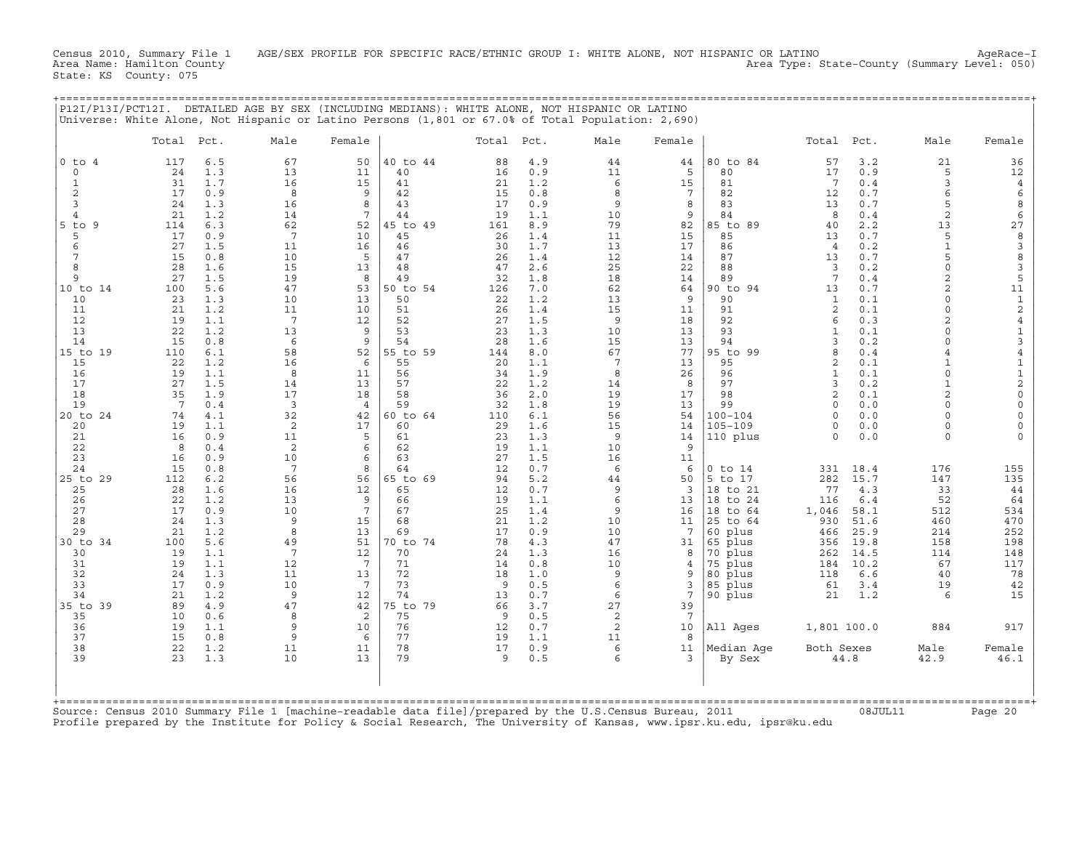Census 2010, Summary File 1 AGE/SEX PROFILE FOR SPECIFIC RACE/ETHNIC GROUP I: WHITE ALONE, NOT HISPANIC OR LATINO AgeRace-I<br>Area Name: Hamilton County (summary 1evel: 050) Area Type: State−County (Summary Level: 050)

State: KS County: 075

+===================================================================================================================================================+

| $0$ to $4$<br>117<br>6.5<br>1.3<br>$\circ$<br>24<br>31<br>1.7<br>1<br>$\overline{2}$<br>17<br>0.9<br>3<br>24<br>1.3<br>21<br>1.2<br>$\overline{4}$<br>6.3<br>-9<br>114<br>5<br>17<br>0.9<br>27<br>1.5<br>6<br>7<br>15<br>0.8<br>8<br>28<br>1.6<br>$\mathsf{Q}$<br>27<br>1.5<br>5.6<br>100<br>10<br>23<br>1.3<br>1.2<br>21<br>11<br>12<br>19<br>1.1<br>13<br>22<br>1.2<br>0.8<br>14<br>15<br>6.1<br>110<br>15<br>22<br>1.2<br>19<br>1.1<br>16<br>17<br>27<br>1.5<br>18<br>35<br>1.9<br>19<br>7<br>0.4<br>74<br>4.1<br>19<br>1.1<br>20<br>21<br>16<br>0.9<br>22<br>8<br>0.4<br>23<br>16<br>0.9<br>24<br>15<br>0.8<br>6.2<br>112<br>25<br>28<br>1.6<br>26<br>22<br>1.2<br>27<br>17<br>0.9<br>28<br>24<br>1.3<br>1.2<br>29<br>21<br>5.6<br>100<br>30<br>19<br>1.1<br>1.1<br>31<br>19<br>32<br>24<br>1.3<br>33<br>17<br>0.9<br>21<br>1.2<br>34<br>89<br>4.9 | 67<br>50<br>13<br>11<br>16<br>15<br>8<br>9<br>16<br>8<br>14<br>7<br>62<br>52<br>7<br>10<br>11<br>16 | 40 to 44<br>88<br>40<br>16<br>41<br>21<br>42<br>15<br>43<br>17<br>44<br>19 | 4.9<br>44<br>0.9<br>11<br>6<br>1.2<br>0.8<br>8<br>9<br>0.9 | 80 to 84<br>44<br>5<br>80<br>15<br>81 | 57<br>17<br>7            | 3.2<br>21<br>0.9<br>5                    | 36                  |
|--------------------------------------------------------------------------------------------------------------------------------------------------------------------------------------------------------------------------------------------------------------------------------------------------------------------------------------------------------------------------------------------------------------------------------------------------------------------------------------------------------------------------------------------------------------------------------------------------------------------------------------------------------------------------------------------------------------------------------------------------------------------------------------------------------------------------------------------------------|-----------------------------------------------------------------------------------------------------|----------------------------------------------------------------------------|------------------------------------------------------------|---------------------------------------|--------------------------|------------------------------------------|---------------------|
| $5$ to<br>10 to 14<br>20 to 24<br>25 to 29<br>30 to 34<br>35 to 39                                                                                                                                                                                                                                                                                                                                                                                                                                                                                                                                                                                                                                                                                                                                                                                     |                                                                                                     |                                                                            |                                                            |                                       |                          |                                          |                     |
|                                                                                                                                                                                                                                                                                                                                                                                                                                                                                                                                                                                                                                                                                                                                                                                                                                                        |                                                                                                     |                                                                            |                                                            |                                       |                          |                                          | 12                  |
|                                                                                                                                                                                                                                                                                                                                                                                                                                                                                                                                                                                                                                                                                                                                                                                                                                                        |                                                                                                     |                                                                            |                                                            | 7<br>82                               | 12                       | 3<br>0.4<br>6<br>0.7                     | 4<br>6              |
|                                                                                                                                                                                                                                                                                                                                                                                                                                                                                                                                                                                                                                                                                                                                                                                                                                                        |                                                                                                     |                                                                            |                                                            | 83<br>8                               | 13                       | 5<br>0.7                                 | 8                   |
|                                                                                                                                                                                                                                                                                                                                                                                                                                                                                                                                                                                                                                                                                                                                                                                                                                                        |                                                                                                     |                                                                            | 10<br>1.1                                                  | 9<br>84                               | 8                        | $\overline{c}$<br>0.4                    | 6                   |
|                                                                                                                                                                                                                                                                                                                                                                                                                                                                                                                                                                                                                                                                                                                                                                                                                                                        |                                                                                                     | 45 to 49<br>161                                                            | 79<br>8.9                                                  | 85 to 89<br>82                        | 40                       | 2.2<br>13                                | 27                  |
|                                                                                                                                                                                                                                                                                                                                                                                                                                                                                                                                                                                                                                                                                                                                                                                                                                                        |                                                                                                     | 45<br>26                                                                   | 1.4<br>11                                                  | 15<br>85                              | 13                       | 5<br>0.7                                 | 8                   |
|                                                                                                                                                                                                                                                                                                                                                                                                                                                                                                                                                                                                                                                                                                                                                                                                                                                        |                                                                                                     | 46<br>30                                                                   | 1.7<br>13                                                  | 17<br>86                              | $\overline{4}$           | 0.2<br>$\mathbf{1}$                      | 3                   |
|                                                                                                                                                                                                                                                                                                                                                                                                                                                                                                                                                                                                                                                                                                                                                                                                                                                        | 5<br>10                                                                                             | 47<br>26                                                                   | 12<br>1.4                                                  | 14<br>87                              | 13                       | 5<br>0.7<br>$\Omega$                     | $\,8\,$             |
|                                                                                                                                                                                                                                                                                                                                                                                                                                                                                                                                                                                                                                                                                                                                                                                                                                                        | 15<br>13<br>19<br>8                                                                                 | 48<br>47<br>49<br>32                                                       | 25<br>2.6<br>1.8<br>18                                     | 88<br>22<br>14<br>89                  | 3<br>$7\phantom{.0}$     | 0.2<br>$\overline{c}$<br>0.4             | $\mathsf 3$<br>5    |
| 15 to 19                                                                                                                                                                                                                                                                                                                                                                                                                                                                                                                                                                                                                                                                                                                                                                                                                                               | 47<br>53                                                                                            | 50 to 54<br>126                                                            | 7.0<br>62                                                  | 90 to<br>64                           | 94<br>13                 | $\overline{a}$<br>0.7                    | 11                  |
|                                                                                                                                                                                                                                                                                                                                                                                                                                                                                                                                                                                                                                                                                                                                                                                                                                                        | 13<br>10                                                                                            | 50<br>22                                                                   | 13<br>1.2                                                  | 9<br>90                               | $\mathbf{1}$             | 0.1<br>$\Omega$                          | $\mathbf 1$         |
|                                                                                                                                                                                                                                                                                                                                                                                                                                                                                                                                                                                                                                                                                                                                                                                                                                                        | 11<br>10                                                                                            | 51<br>26                                                                   | 1.4<br>15                                                  | 91<br>11                              | $\overline{2}$           | 0.1<br>$\Omega$                          | $\sqrt{2}$          |
|                                                                                                                                                                                                                                                                                                                                                                                                                                                                                                                                                                                                                                                                                                                                                                                                                                                        | 7<br>12                                                                                             | 52<br>27                                                                   | 1.5<br>9                                                   | 18<br>92                              | 6                        | 0.3<br>$\overline{2}$                    | $\,4$               |
|                                                                                                                                                                                                                                                                                                                                                                                                                                                                                                                                                                                                                                                                                                                                                                                                                                                        | 13<br>9                                                                                             | 53<br>23                                                                   | 1.3<br>10                                                  | 93<br>13                              | $\mathbf{1}$             | 0.1<br>$\Omega$                          | $1\,$               |
|                                                                                                                                                                                                                                                                                                                                                                                                                                                                                                                                                                                                                                                                                                                                                                                                                                                        | 9<br>6                                                                                              | 54<br>28                                                                   | 1.6<br>15                                                  | 13<br>94<br>77                        | 3<br>8                   | 0.2<br>$\Omega$<br>0.4<br>$\overline{4}$ | $\mathsf 3$         |
|                                                                                                                                                                                                                                                                                                                                                                                                                                                                                                                                                                                                                                                                                                                                                                                                                                                        | 58<br>52<br>16<br>6                                                                                 | 55 to 59<br>144<br>55<br>20                                                | 67<br>8.0<br>1.1<br>7                                      | 95 to 99<br>13<br>95                  | $\overline{c}$           | 0.1<br>$\mathbf{1}$                      | $\,4$<br>$1\,$      |
|                                                                                                                                                                                                                                                                                                                                                                                                                                                                                                                                                                                                                                                                                                                                                                                                                                                        | 8<br>11                                                                                             | 56<br>34                                                                   | 1.9<br>8                                                   | 26<br>96                              | $\mathbf{1}$             | 0.1<br>$\Omega$                          | $\mathbf 1$         |
|                                                                                                                                                                                                                                                                                                                                                                                                                                                                                                                                                                                                                                                                                                                                                                                                                                                        | 13<br>14                                                                                            | 57<br>22                                                                   | 1.2<br>14                                                  | 8<br>97                               | 3                        | 0.2<br>$\mathbf{1}$                      | $\sqrt{2}$          |
|                                                                                                                                                                                                                                                                                                                                                                                                                                                                                                                                                                                                                                                                                                                                                                                                                                                        | 17<br>18                                                                                            | 58<br>36                                                                   | 2.0<br>19                                                  | 98<br>17                              | $\overline{2}$           | $\overline{a}$<br>0.1                    | $\circ$             |
|                                                                                                                                                                                                                                                                                                                                                                                                                                                                                                                                                                                                                                                                                                                                                                                                                                                        | 3<br>4                                                                                              | 59<br>32                                                                   | 1.8<br>19                                                  | 13<br>99                              | $\Omega$                 | 0.0<br>$\Omega$                          | $\mathsf{O}\xspace$ |
|                                                                                                                                                                                                                                                                                                                                                                                                                                                                                                                                                                                                                                                                                                                                                                                                                                                        | 32<br>42                                                                                            | 60 to 64<br>110                                                            | 6.1<br>56                                                  | 54<br>$100 - 104$                     | $\Omega$                 | 0.0<br>$\Omega$                          | $\Omega$            |
|                                                                                                                                                                                                                                                                                                                                                                                                                                                                                                                                                                                                                                                                                                                                                                                                                                                        | 2<br>17<br>11<br>5                                                                                  | 60<br>29<br>61<br>23                                                       | 15<br>1.6<br>9<br>1.3                                      | $105 - 109$<br>14<br>14<br>110 plus   | $\Omega$<br>$\Omega$     | 0.0<br>$\Omega$<br>$\Omega$<br>0.0       | $\mathbf 0$         |
|                                                                                                                                                                                                                                                                                                                                                                                                                                                                                                                                                                                                                                                                                                                                                                                                                                                        | 2<br>6                                                                                              | 62<br>19                                                                   | 10<br>1.1                                                  | 9                                     |                          |                                          |                     |
|                                                                                                                                                                                                                                                                                                                                                                                                                                                                                                                                                                                                                                                                                                                                                                                                                                                        | 10<br>6                                                                                             | 63<br>27                                                                   | 1.5<br>16                                                  | 11                                    |                          |                                          |                     |
|                                                                                                                                                                                                                                                                                                                                                                                                                                                                                                                                                                                                                                                                                                                                                                                                                                                        | $7\phantom{.0}$<br>8                                                                                | 64<br>12                                                                   | 0.7<br>6                                                   | $0$ to $14$<br>6                      | 331                      | 18.4<br>176                              | 155                 |
|                                                                                                                                                                                                                                                                                                                                                                                                                                                                                                                                                                                                                                                                                                                                                                                                                                                        | 56<br>56                                                                                            | 65 to 69<br>94                                                             | 5.2<br>44                                                  | 5 to 17<br>50                         | 282                      | 15.7<br>147                              | 135                 |
|                                                                                                                                                                                                                                                                                                                                                                                                                                                                                                                                                                                                                                                                                                                                                                                                                                                        | 16<br>12                                                                                            | 65<br>12                                                                   | 0.7<br>9                                                   | 3<br>18 to 21                         | 77                       | 4.3<br>33                                | 44                  |
|                                                                                                                                                                                                                                                                                                                                                                                                                                                                                                                                                                                                                                                                                                                                                                                                                                                        | 13<br>9<br>7                                                                                        | 66<br>19                                                                   | 6<br>1.1<br>9                                              | 13<br>18 to 24                        | 116                      | 52<br>6.4                                | 64                  |
|                                                                                                                                                                                                                                                                                                                                                                                                                                                                                                                                                                                                                                                                                                                                                                                                                                                        | 10<br>9<br>15                                                                                       | 67<br>25<br>68<br>21                                                       | 1.4<br>10<br>1.2                                           | 18 to 64<br>16<br>11<br>25 to 64      | 1,046<br>930             | 58.1<br>512<br>51.6<br>460               | 534<br>470          |
|                                                                                                                                                                                                                                                                                                                                                                                                                                                                                                                                                                                                                                                                                                                                                                                                                                                        | 8<br>13                                                                                             | 69<br>17                                                                   | 10<br>0.9                                                  | 7<br>60 plus                          | 466                      | 25.9<br>214                              | 252                 |
|                                                                                                                                                                                                                                                                                                                                                                                                                                                                                                                                                                                                                                                                                                                                                                                                                                                        | 49<br>51                                                                                            | 70 to 74<br>78                                                             | 4.3<br>47                                                  | 65 plus<br>31                         | 356                      | 19.8<br>158                              | 198                 |
|                                                                                                                                                                                                                                                                                                                                                                                                                                                                                                                                                                                                                                                                                                                                                                                                                                                        | $7\phantom{.0}$<br>12                                                                               | 70<br>24                                                                   | 1.3<br>16                                                  | 70 plus<br>8                          | 262                      | 14.5<br>114                              | 148                 |
|                                                                                                                                                                                                                                                                                                                                                                                                                                                                                                                                                                                                                                                                                                                                                                                                                                                        | 7<br>12                                                                                             | 71<br>14                                                                   | 10<br>0.8                                                  | 75 plus<br>4                          | 184                      | 67<br>10.2                               | 117                 |
|                                                                                                                                                                                                                                                                                                                                                                                                                                                                                                                                                                                                                                                                                                                                                                                                                                                        | 11<br>13                                                                                            | 72<br>18                                                                   | 9<br>1.0                                                   | 80 plus<br>9                          | 118                      | 6.6<br>40                                | 78                  |
|                                                                                                                                                                                                                                                                                                                                                                                                                                                                                                                                                                                                                                                                                                                                                                                                                                                        | 10<br>$7\phantom{.0}$<br>9                                                                          | 73<br>9<br>74<br>13                                                        | 0.5<br>6<br>6<br>0.7                                       | 3<br>85 plus<br>7                     | 61<br>21                 | 3.4<br>19<br>1.2<br>6                    | 42<br>15            |
|                                                                                                                                                                                                                                                                                                                                                                                                                                                                                                                                                                                                                                                                                                                                                                                                                                                        | 12<br>42<br>47                                                                                      | 75 to 79<br>66                                                             | 27<br>3.7                                                  | 90 plus<br>39                         |                          |                                          |                     |
| 35<br>10<br>0.6                                                                                                                                                                                                                                                                                                                                                                                                                                                                                                                                                                                                                                                                                                                                                                                                                                        | 8<br>2                                                                                              | 75<br>9                                                                    | 0.5<br>2                                                   | 7                                     |                          |                                          |                     |
| 36<br>19<br>1.1                                                                                                                                                                                                                                                                                                                                                                                                                                                                                                                                                                                                                                                                                                                                                                                                                                        | 9<br>10                                                                                             | 76<br>12                                                                   | 2<br>0.7                                                   | 10<br>All Ages                        | 1,801 100.0              | 884                                      | 917                 |
| 37<br>15<br>0.8                                                                                                                                                                                                                                                                                                                                                                                                                                                                                                                                                                                                                                                                                                                                                                                                                                        | 9<br>6                                                                                              | 77<br>19                                                                   | 11<br>1.1                                                  | 8                                     |                          |                                          |                     |
| 22<br>1.2<br>38                                                                                                                                                                                                                                                                                                                                                                                                                                                                                                                                                                                                                                                                                                                                                                                                                                        | 11<br>11                                                                                            | 78<br>17                                                                   | 0.9<br>6                                                   | 11                                    | Median Age<br>Both Sexes | Male                                     | Female              |
| 39<br>23<br>1.3                                                                                                                                                                                                                                                                                                                                                                                                                                                                                                                                                                                                                                                                                                                                                                                                                                        | 10<br>13                                                                                            | 79<br>9                                                                    | 0.5<br>6                                                   | 3                                     | By Sex                   | 42.9<br>44.8                             | 46.1                |

Source: Census 2010 Summary File 1 [machine−readable data file]/prepared by the U.S.Census Bureau, 2011 08JUL11 Page 20 Profile prepared by the Institute for Policy & Social Research, The University of Kansas, www.ipsr.ku.edu, ipsr@ku.edu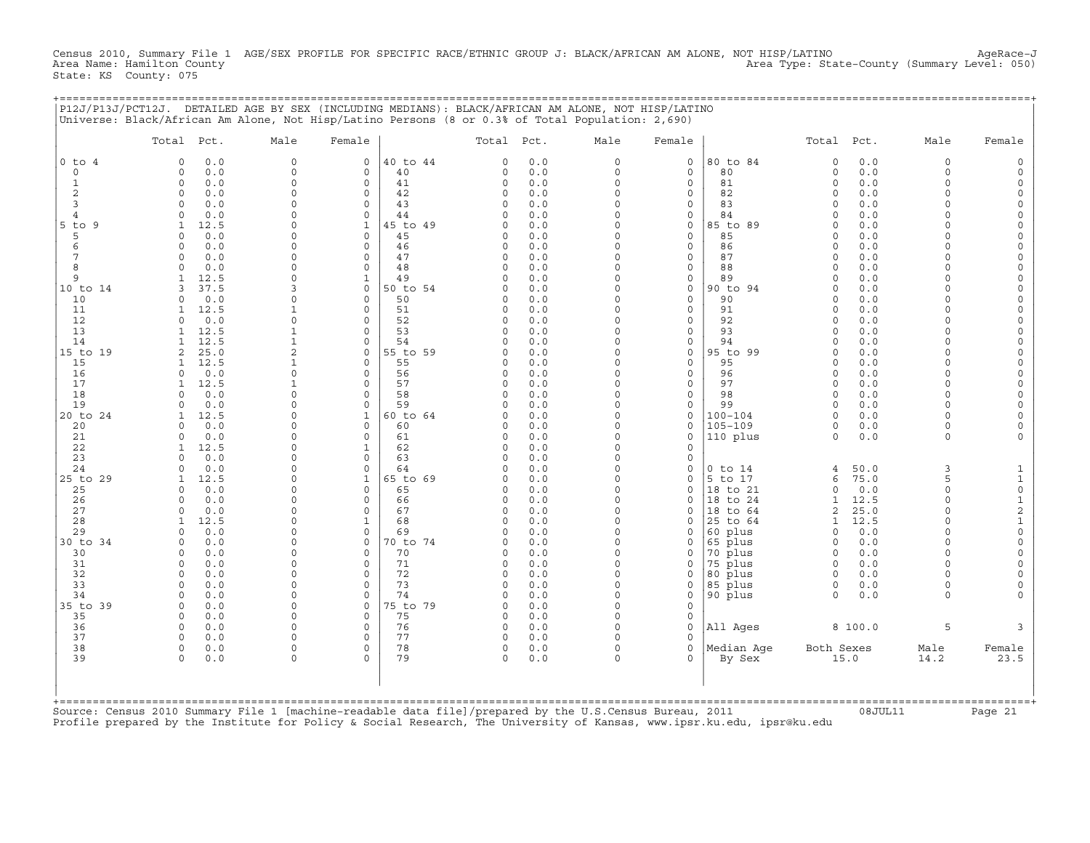Census 2010, Summary File 1 AGE/SEX PROFILE FOR SPECIFIC RACE/ETHNIC GROUP J: BLACK/AFRICAN AM ALONE, NOT HISP/LATINO AgeRace−J Area Type: State-County (Summary Level: 050) State: KS County: 075

+===================================================================================================================================================+

|                | Total Pct.                          | Male                 | Female                  |                | Total Pct.               |            | Male                 | Female            |                     | Total Pct.               |             | Male                 | Female                              |
|----------------|-------------------------------------|----------------------|-------------------------|----------------|--------------------------|------------|----------------------|-------------------|---------------------|--------------------------|-------------|----------------------|-------------------------------------|
| $0$ to $4$     | 0.0<br>$\Omega$                     | $\circ$              | 0                       | 40 to 44       | $\Omega$                 | 0.0        | 0                    | 0                 | 80 to 84            | 0                        | 0.0         | $\mathbf 0$          | $\Omega$                            |
| $\circ$        | $\mathbf 0$<br>0.0                  | $\circ$              | $\mathbf 0$             | 40             | $\Omega$                 | 0.0        | $\circ$              | $\mathbf{0}$      | 80                  | $\mathbf 0$              | 0.0         | $\Omega$             |                                     |
| 1              | $\mathbf 0$<br>0.0                  | $\circ$              | $\mathbf 0$             | 41             | $\Omega$                 | 0.0        | $\circ$              | $\mathbf{0}$      | 81                  | $\mathbf 0$              | 0.0         | $\Omega$             |                                     |
| 2<br>3         | $\mathbf 0$<br>0.0<br>0.0<br>$\cap$ | $\Omega$<br>$\Omega$ | $\mathbf 0$<br>$\circ$  | 42<br>43       | 0<br>$\Omega$            | 0.0<br>0.0 | $\Omega$<br>$\Omega$ | 0<br>$\mathbf 0$  | 82<br>83            | $\Omega$<br>$\Omega$     | 0.0<br>0.0  | $\Omega$<br>$\Omega$ | $\Omega$                            |
| $\overline{4}$ | 0.0<br>$\cap$                       | $\Omega$             | $\Omega$                | 44             | $\Omega$                 | 0.0        | $\Omega$             | $\mathbf{0}$      | 84                  | $\Omega$                 | 0.0         | $\cap$               | $\Omega$                            |
| $5$ to<br>-9   | 12.5<br>1                           | $\Omega$             | $\mathbf{1}$            | 45 to 49       | $\Omega$                 | 0.0        | $\Omega$             | 0                 | 85 to 89            | $\Omega$                 | 0.0         | $\cap$               |                                     |
| 5              | 0.0<br>$\Omega$                     | $\Omega$             | 0                       | 45             | $\Omega$                 | 0.0        | $\Omega$             | 0                 | 85                  | $\Omega$                 | 0.0         | $\cap$               | $\Omega$                            |
| 6              | 0.0<br>$\Omega$                     | $\Omega$             | $\mathbf 0$             | 46             | $\Omega$                 | 0.0        | $\Omega$             | $\mathbf{0}$      | 86                  | $\Omega$                 | 0.0         |                      |                                     |
| 7              | 0.0<br>$\Omega$                     | $\Omega$             | $\mathsf O$             | 47             | 0                        | 0.0        | 0                    | 0                 | 87                  | $\Omega$                 | 0.0         | $\Omega$             | $\Omega$                            |
| 8              | 0.0<br>$\cap$                       | $\Omega$             | $\circ$                 | 48             | $\Omega$                 | 0.0        | $\Omega$             | 0                 | 88                  | $\Omega$                 | 0.0         | $\cap$               | $\Omega$                            |
| 9              | 12.5                                | $\Omega$             | $\mathbf{1}$            | 49             | 0                        | 0.0        | $\Omega$             | 0                 | 89                  | $\Omega$                 | $0.0$       | $\cap$               | $\Omega$                            |
| 10 to 14<br>10 | 37.5<br>0.0<br>$\cap$               | 3<br>$\Omega$        | $\mathbf 0$<br>$\Omega$ | 50 to 54<br>50 | $\Omega$<br><sup>0</sup> | 0.0<br>0.0 | $\Omega$<br>$\Omega$ | 0<br>$\mathbf{0}$ | 90 to 94<br>90      | $\Omega$<br><sup>0</sup> | 0.0<br>0.0  | $\Omega$             |                                     |
| 11             | 12.5                                | -1                   | $\circ$                 | 51             | $\Omega$                 | 0.0        | $\Omega$             | 0                 | 91                  | $\Omega$                 | 0.0         | $\Omega$             | $\Omega$                            |
| 12             | 0.0<br>$\Omega$                     | $\Omega$             | $\Omega$                | 52             | $\Omega$                 | 0.0        | $\Omega$             | 0                 | 92                  | $\Omega$                 | 0.0         | $\cap$               | $\Omega$                            |
| 13             | 12.5<br>1                           | 1                    | $\mathbf 0$             | 53             | $\Omega$                 | 0.0        | $\Omega$             | $\mathbf{0}$      | 93                  | $\Omega$                 | 0.0         | $\Omega$             | $\Omega$                            |
| 14             | 12.5                                |                      | $\mathbf 0$             | 54             | $\Omega$                 | 0.0        | $\Omega$             | 0                 | 94                  | $\Omega$                 | 0.0         | $\Omega$             | $\Omega$                            |
| 15 to 19       | 25.0<br>2                           | $\overline{2}$       | $\mathbf 0$             | 55 to 59       | $\Omega$                 | 0.0        | $\Omega$             | $\mathbf 0$       | 95 to 99            | $\Omega$                 | 0.0         | $\Omega$             | $\Omega$                            |
| 15             | 12.5<br>1                           | 1                    | $\mathbf 0$             | 55             | 0                        | 0.0        | $\Omega$             | 0                 | 95                  | $\Omega$                 | 0.0         | $\cap$               | $\Omega$                            |
| 16             | 0.0<br>$\cap$                       | $\Omega$             | $\circ$                 | 56             | $\Omega$                 | 0.0        | $\Omega$<br>$\Omega$ | 0                 | 96                  | $\Omega$                 | 0.0         | $\Omega$<br>$\Omega$ | $\Omega$                            |
| 17<br>18       | 12.5<br>1<br>0.0<br>$\Omega$        | 1<br>$\Omega$        | $\mathbf 0$<br>$\Omega$ | 57<br>58       | $\Omega$<br><sup>0</sup> | 0.0<br>0.0 | $\Omega$             | 0<br>$\mathbf{0}$ | 97<br>98            | $\Omega$<br>$\Omega$     | 0.0<br>0.0  | $\cap$               |                                     |
| 19             | 0.0<br>$\Omega$                     | $\Omega$             | $\mathbf 0$             | 59             | $\Omega$                 | 0.0        | $\Omega$             | 0                 | 99                  | $\Omega$                 | 0.0         | $\Omega$             |                                     |
| 20 to 24       | 12.5                                | $\Omega$             | 1                       | 60 to 64       | $\Omega$                 | 0.0        | 0                    | 0                 | $100 - 104$         | $\Omega$                 | 0.0         | $\cap$               | $\Omega$                            |
| 20             | 0.0<br>$\Omega$                     | $\Omega$             | $\Omega$                | 60             | <sup>0</sup>             | 0.0        | $\Omega$             | 0                 | $105 - 109$         | $\Omega$                 | $0.0$       | $\cap$               |                                     |
| 21             | 0.0<br>$\Omega$                     | $\Omega$             | $\circ$                 | 61             | 0                        | 0.0        | $\circ$              | $\mathbf 0$       | 110 plus            | $\Omega$                 | 0.0         | $\Omega$             |                                     |
| 22             | 12.5                                | $\Omega$             | 1                       | 62             | $\Omega$                 | 0.0        | $\Omega$             | $\mathbf 0$       |                     |                          |             |                      |                                     |
| 23             | 0.0<br><sup>n</sup>                 | $\Omega$             | $\Omega$                | 63             | <sup>0</sup>             | 0.0        | $\Omega$             | 0                 |                     |                          |             |                      |                                     |
| 24             | 0.0<br>$\Omega$                     | $\Omega$<br>$\Omega$ | $\Omega$                | 64             | $\Omega$                 | 0.0        | $\Omega$<br>$\Omega$ | 0                 | $0$ to $14$         | 4                        | 50.0        | 3<br>5               | 1                                   |
| 25 to 29<br>25 | 12.5<br>0.0<br><sup>0</sup>         | $\Omega$             | $\mathbf{1}$<br>0       | 65 to 69<br>65 | 0<br><sup>0</sup>        | 0.0<br>0.0 | $\Omega$             | 0<br>0            | 5 to 17<br>18 to 21 | 6<br>$\Omega$            | 75.0<br>0.0 | $\Omega$             | $\mathbf{1}$<br>$\mathsf{O}\xspace$ |
| 26             | 0.0<br>$\Omega$                     | $\Omega$             | $\circ$                 | 66             | $\Omega$                 | 0.0        | $\Omega$             | $\mathbf 0$       | 18 to 24            | $\mathbf{1}$             | 12.5        | $\Omega$             | $\mathbf{1}$                        |
| 27             | 0.0<br>$\Omega$                     | $\Omega$             | $\circ$                 | 67             | $\Omega$                 | $0.0$      | $\Omega$             | 0                 | 18 to 64            | 2                        | 25.0        | $\Omega$             | $\sqrt{2}$                          |
| 28             | 12.5<br>1                           | $\Omega$             | 1                       | 68             | 0                        | 0.0        | $\Omega$             | 0                 | 25 to 64            | 1                        | 12.5        | $\cap$               | $\mathbf 1$                         |
| 29             | 0.0<br>$\Omega$                     | $\Omega$             | $\circ$                 | 69             | $\Omega$                 | 0.0        | $\Omega$             | 0                 | 60 plus             | $\circ$                  | 0.0         | $\cap$               | $\Omega$                            |
| 30 to 34       | 0.0<br>$\mathbf 0$                  | $\mathbf 0$          | 0                       | 70 to 74       | $\Omega$                 | 0.0        | 0                    | 0                 | 65 plus             | 0                        | 0.0         | $\Omega$             | $\mathbf 0$                         |
| 30             | 0.0<br>$\Omega$                     | $\Omega$             | $\mathbf 0$             | 70             | <sup>0</sup>             | 0.0        | $\Omega$             | 0                 | 70 plus             | $\Omega$                 | 0.0         | $\Omega$             | $\Omega$                            |
| 31             | 0.0<br>$\Omega$                     | $\Omega$             | $\Omega$                | 71             | $\Omega$                 | 0.0        | $\Omega$             | 0                 | 75 plus             | $\Omega$                 | 0.0         | $\Omega$<br>$\Omega$ |                                     |
| 32<br>33       | 0.0<br>$\Omega$<br>$\Omega$<br>0.0  | $\Omega$<br>$\Omega$ | $\circ$<br>$\Omega$     | 72<br>73       | 0<br>$\Omega$            | 0.0<br>0.0 | 0<br>$\circ$         | 0<br>0            | 80 plus<br>85 plus  | $\mathbf 0$<br>0         | 0.0<br>0.0  | $\Omega$             | $\Omega$                            |
| 34             | 0.0<br>$\Omega$                     | $\Omega$             | $\circ$                 | 74             | $\Omega$                 | 0.0        | $\Omega$             | $\circ$           | 90 plus             | $\Omega$                 | 0.0         | $\Omega$             |                                     |
| 35 to 39       | 0.0<br>$\mathbf 0$                  | $\Omega$             | $\mathbf 0$             | 75 to 79       | 0                        | 0.0        | $\Omega$             | $\circ$           |                     |                          |             |                      |                                     |
| 35             | $\Omega$<br>0.0                     | $\Omega$             | $\Omega$                | 75             | $\Omega$                 | 0.0        | $\Omega$             | 0                 |                     |                          |             |                      |                                     |
| 36             | 0.0<br>$\Omega$                     | $\Omega$             | $\circ$                 | 76             | 0                        | 0.0        | $\Omega$             | 0                 | All Ages            |                          | 8 100.0     | 5                    | 3                                   |
| 37             | 0.0<br>$\Omega$                     | $\Omega$             | $\circ$                 | 77             | 0                        | 0.0        | $\Omega$             | $\mathbf 0$       |                     |                          |             |                      |                                     |
| 38             | $\Omega$<br>0.0                     | $\Omega$             | 0                       | 78             | 0                        | 0.0        | 0                    | $\Omega$          | Median Age          | Both Sexes               |             | Male                 | Female                              |
| 39             | $\Omega$<br>0.0                     | $\Omega$             | $\Omega$                | 79             | $\Omega$                 | 0.0        | $\Omega$             | $\Omega$          | By Sex              |                          | 15.0        | 14.2                 | 23.5                                |
|                |                                     |                      |                         |                |                          |            |                      |                   |                     |                          |             |                      |                                     |

Source: Census 2010 Summary File 1 [machine−readable data file]/prepared by the U.S.Census Bureau, 2011 08JUL11 Page 21 Profile prepared by the Institute for Policy & Social Research, The University of Kansas, www.ipsr.ku.edu, ipsr@ku.edu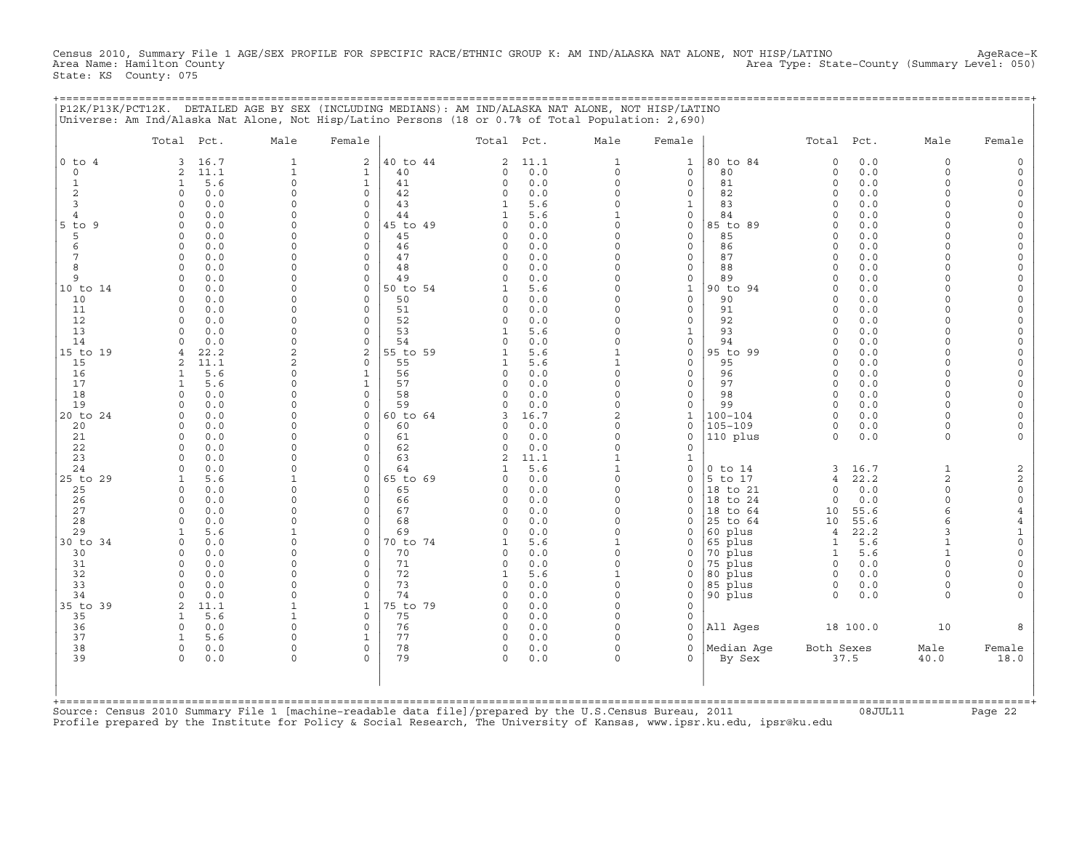Census 2010, Summary File 1 AGE/SEX PROFILE FOR SPECIFIC RACE/ETHNIC GROUP K: AM IND/ALASKA NAT ALONE, NOT HISP/LATINO AgeRace-K<br>Area Name: Hamilton County (summary Level: 050) Area Type: State−County (Summary Level: 050) State: KS County: 075

+===================================================================================================================================================+

|                   | Total Pct.                         | Male                 | Female                       |                | Total Pct.    |             | Male                         | Female                       |                        | Total Pct.           |            | Male                     | Female                       |
|-------------------|------------------------------------|----------------------|------------------------------|----------------|---------------|-------------|------------------------------|------------------------------|------------------------|----------------------|------------|--------------------------|------------------------------|
| $0$ to $4$        | 16.7<br>3                          | $\mathbf{1}$         | $\overline{a}$               | 40 to 44       | 2             | 11.1        | $\mathbf{1}$                 | $\mathbf{1}$                 | 80 to 84               | $\mathbf 0$          | 0.0        | $\mathbf 0$              | $\Omega$                     |
| 0                 | 11.1<br>2                          | $\mathbf{1}$         | $\mathbf{1}$                 | 40             | 0             | 0.0         | 0                            | $\mathsf{O}$                 | 80                     | $\circ$              | 0.0        | $\mathbf 0$              |                              |
| 1                 | 5.6<br>$\mathbf{1}$                | $\mathbf 0$          | $\mathbf{1}$                 | 41             | $\Omega$      | 0.0         | $\circ$                      | $\mathbf 0$                  | 81                     | $\circ$              | 0.0        | $\Omega$<br>$\Omega$     | $\Omega$                     |
| $\mathbf{2}$<br>3 | 0.0<br>0<br>0.0<br>$\Omega$        | 0<br>0               | $\mathbf 0$<br>$\mathbf 0$   | 42<br>43       | 0<br>1        | 0.0<br>5.6  | $\circ$<br>$\Omega$          | $\mathbf 0$<br>1             | 82<br>83               | $\Omega$<br>$\Omega$ | 0.0<br>0.0 | $\Omega$                 | $\Omega$<br>$\Omega$         |
| $\overline{4}$    | 0.0<br>$\cap$                      | $\Omega$             | $\Omega$                     | 44             | 1             | 5.6         | $\mathbf{1}$                 | $\Omega$                     | 84                     | $\cap$               | 0.0        | $\cap$                   | $\Omega$                     |
| $5$ to<br>9       | $\circ$<br>0.0                     | $\Omega$             | $\circ$                      | 45 to 49       | $\Omega$      | 0.0         | $\circ$                      | $\mathsf{O}$                 | 85 to 89               | $\Omega$             | 0.0        | $\Omega$                 | $\Omega$                     |
| 5                 | 0.0<br>$\Omega$                    | $\Omega$             | $\mathbf 0$                  | 45             | 0             | 0.0         | $\Omega$                     | $\mathbf 0$                  | 85                     | $\Omega$             | 0.0        | $\cap$                   | $\circ$                      |
| 6                 | 0.0<br>$\Omega$                    | $\Omega$             | $\Omega$                     | 46             | $\Omega$      | 0.0         | $\Omega$                     | $\Omega$                     | 86                     | $\Omega$             | 0.0        |                          |                              |
| 7                 | 0.0<br>$\Omega$                    | $\Omega$             | $\circ$                      | 47             | 0             | 0.0         | $\Omega$                     | $\mathbf 0$                  | 87                     | $\Omega$             | 0.0        |                          | $\Omega$                     |
| 8                 | 0.0<br>$\Omega$                    | $\Omega$             | $\mathbf 0$                  | 48             | $\Omega$      | 0.0         | $\Omega$                     | $\mathbf 0$                  | 88                     | $\Omega$             | 0.0        | $\cap$                   | $\Omega$                     |
| 9                 | 0.0<br>$\Omega$<br>$\Omega$        | 0<br>$\Omega$        | 0<br>$\Omega$                | 49<br>50 to 54 | $\Omega$      | 0.0<br>5.6  | 0<br>$\Omega$                | $\mathsf{O}$<br>$\mathbf{1}$ | 89<br>90 to 94         | $\Omega$<br>$\Omega$ | 0.0<br>0.0 | $\cap$<br>$\cap$         | $\Omega$<br>$\Omega$         |
| 10 to 14<br>10    | 0.0<br>0.0<br>$\circ$              | $\Omega$             | $\mathbf 0$                  | 50             | 0             | 0.0         | $\circ$                      | $\mathbf 0$                  | 90                     | $\Omega$             | 0.0        | $\Omega$                 | $\Omega$                     |
| 11                | 0.0<br>$\Omega$                    | 0                    | 0                            | 51             | $\Omega$      | 0.0         | $\Omega$                     | 0                            | 91                     | $\Omega$             | 0.0        |                          | $\Omega$                     |
| 12                | $\Omega$<br>0.0                    | $\Omega$             | $\Omega$                     | 52             | $\Omega$      | 0.0         | $\Omega$                     | $\Omega$                     | 92                     | $\cap$               | 0.0        | $\cap$                   | $\Omega$                     |
| 13                | $\Omega$<br>0.0                    | $\Omega$             | $\circ$                      | 53             | $\mathbf{1}$  | 5.6         | $\circ$                      | $\mathbf{1}$                 | 93                     | $\Omega$             | 0.0        | $\Omega$                 | $\Omega$                     |
| 14                | 0.0                                | $\Omega$             | $\mathbf 0$                  | 54             | $\Omega$      | 0.0         | $\Omega$                     | $\mathsf{O}$                 | 94                     | $\Omega$             | 0.0        | $\cap$                   | $\Omega$                     |
| 15 to 19          | 22.2                               | $\overline{c}$       | $\mathbf{2}$                 | 55 to 59       |               | 5.6         | $\mathbf{1}$                 | $\mathbf 0$                  | 95 to 99               | $\Omega$             | 0.0        | $\Omega$                 |                              |
| 15                | 11.1<br>$\mathfrak{D}$             | $\overline{2}$       | $\Omega$                     | 55             | 1             | 5.6         | $\mathbf{1}$                 | $\mathbf 0$                  | 95                     | $\Omega$             | 0.0        | $\Omega$                 | $\Omega$                     |
| 16<br>17          | 5.6<br>$\mathbf{1}$<br>5.6         | 0<br>0               | $\mathbf{1}$<br>$\mathbf{1}$ | 56<br>57       | $\Omega$<br>0 | 0.0<br>0.0  | $\circ$<br>0                 | $\mathbf 0$<br>$\mathsf{O}$  | 96<br>97               | $\Omega$<br>$\Omega$ | 0.0<br>0.0 | $\Omega$<br>$\Omega$     | $\Omega$<br>$\Omega$         |
| 18                | 1<br>0.0<br>$\Omega$               | $\Omega$             | $\Omega$                     | 58             | $\Omega$      | 0.0         | $\Omega$                     | $\Omega$                     | 98                     | $\Omega$             | 0.0        | $\Omega$                 | $\Omega$                     |
| 19                | 0.0<br>$\circ$                     | $\Omega$             | $\mathbf 0$                  | 59             | 0             | 0.0         | $\circ$                      | $\mathbf 0$                  | 99                     | $\Omega$             | 0.0        | $\Omega$                 | $\Omega$                     |
| 20 to 24          | 0.0<br>$\Omega$                    | 0                    | 0                            | 60 to 64       | 3             | 16.7        | 2                            | $\mathbf{1}$                 | $100 - 104$            | $\Omega$             | 0.0        | $\Omega$                 | $\Omega$                     |
| 20                | $\cap$<br>0.0                      | U                    | $\Omega$                     | 60             | $\Omega$      | 0.0         | $\Omega$                     | $\Omega$                     | $105 - 109$            | $\Omega$             | 0.0        | $\Omega$                 | $\Omega$                     |
| 21                | 0.0<br>$\circ$                     | 0                    | $\mathbf 0$                  | 61             | 0             | 0.0         | $\circ$                      | $\mathbf 0$                  | 110 plus               | $\Omega$             | 0.0        | $\Omega$                 |                              |
| 22                | 0.0<br>$\Omega$                    | $\Omega$             | $\mathbf 0$                  | 62             | 0             | 0.0         | $\circ$                      | $\mathbf 0$                  |                        |                      |            |                          |                              |
| 23                | 0.0<br>$\Omega$<br>0.0<br>$\Omega$ | $\Omega$<br>$\Omega$ | 0<br>$\Omega$                | 63<br>64       | 2             | 11.1<br>5.6 | $\mathbf{1}$<br>$\mathbf{1}$ | $\mathbf 1$<br>$\mathbf 0$   |                        | 3                    | 16.7       | $\mathbf{1}$             |                              |
| 24<br>25 to 29    | 5.6<br>$\mathbf{1}$                | $\mathbf{1}$         | $\mathbf 0$                  | 65 to 69       | O             | 0.0         | $\circ$                      | $\mathbf 0$                  | $0$ to $14$<br>5 to 17 | 4                    | 22.2       | 2                        | $\overline{c}$<br>$\sqrt{2}$ |
| 25                | 0.0<br>$\Omega$                    | 0                    | $\mathbf 0$                  | 65             | 0             | 0.0         | $\Omega$                     | $\mathsf{O}$                 | 18 to 21               | $\circ$              | 0.0        | $\Omega$                 | $\mathsf{O}\xspace$          |
| 26                | $\Omega$<br>0.0                    | $\Omega$             | $\Omega$                     | 66             | $\Omega$      | 0.0         | $\Omega$                     | $\Omega$                     | 18 to 24               | $\Omega$             | 0.0        | $\Omega$                 | $\circ$                      |
| 27                | $\circ$<br>0.0                     | $\Omega$             | $\circ$                      | 67             | $\Omega$      | 0.0         | $\circ$                      | $\mathbf 0$                  | 18 to 64               | 10                   | 55.6       | 6                        | $\overline{4}$               |
| 28                | 0.0<br>$\Omega$                    | $\Omega$             | $\mathbf 0$                  | 68             | 0             | 0.0         | $\Omega$                     | $\mathbf 0$                  | 25 to 64               | 10                   | 55.6       | 6                        | $\overline{4}$               |
| 29                | 5.6<br>1                           | 1                    | $\mathbf 0$                  | 69             | $\Omega$      | 0.0         | $\Omega$                     | $\Omega$                     | 60 plus                | $\overline{4}$       | 22.2       | 3                        | 1                            |
| 30 to 34          | $\circ$<br>0.0                     | 0                    | $\mathbf 0$                  | 70 to 74       | 1             | 5.6         | $\mathbf{1}$                 | $\mathbf 0$                  | 65 plus                | $\mathbf{1}$         | 5.6        | $\mathbf{1}$             | $\Omega$                     |
| 30<br>31          | 0.0<br>$\Omega$<br>0.0<br>$\circ$  | $\Omega$<br>0        | $\mathbf 0$<br>$\mathbf 0$   | 70<br>71       | 0<br>0        | 0.0<br>0.0  | $\circ$<br>$\circ$           | $\mathbf 0$<br>0             | 70 plus<br>75 plus     | 1<br>$\Omega$        | 5.6<br>0.0 | $\mathbf{1}$<br>$\Omega$ | $\Omega$                     |
| 32                | $\Omega$<br>0.0                    | $\Omega$             | $\Omega$                     | 72             |               | 5.6         | 1                            | $\mathbf 0$                  | 80 plus                | $\Omega$             | 0.0        | $\cap$                   |                              |
| 33                | 0.0<br>$\Omega$                    | $\Omega$             | $\Omega$                     | 73             | $\Omega$      | 0.0         | $\circ$                      | $\mathbf 0$                  | 85 plus                | $\Omega$             | 0.0        | $\Omega$                 | $\Omega$                     |
| 34                | 0.0<br>$\Omega$                    | $\Omega$             | $\Omega$                     | 74             | 0             | 0.0         | $\Omega$                     | $\mathsf{O}$                 | 90 plus                | $\circ$              | 0.0        | $\Omega$                 |                              |
| 35 to 39          | 2<br>11.1                          | 1                    | 1                            | 75 to 79       | $\Omega$      | 0.0         | $\Omega$                     | $\mathbf 0$                  |                        |                      |            |                          |                              |
| 35                | 5.6<br>1                           | $\mathbf 1$          | $\circ$                      | 75             | 0             | 0.0         | $\circ$                      | $\mathbf 0$                  |                        |                      |            |                          |                              |
| 36                | 0.0<br>$\circ$                     | 0                    | $\mathbf 0$                  | 76             | 0             | 0.0         | $\Omega$                     | $\mathbf 0$                  | All Ages               |                      | 18 100.0   | 10                       |                              |
| 37                | 5.6<br>-1                          | $\Omega$             | $\mathbf{1}$                 | 77             | $\Omega$      | 0.0         | $\Omega$                     | $\Omega$                     |                        |                      |            |                          |                              |
| 38<br>39          | 0.0<br>$\circ$<br>$\circ$<br>0.0   | $\Omega$<br>0        | $\mathbf 0$<br>$\Omega$      | 78<br>79       | 0<br>$\Omega$ | 0.0<br>0.0  | $\circ$<br>$\circ$           | $\mathbf 0$<br>$\Omega$      | Median Age<br>By Sex   | Both Sexes           | 37.5       | Male<br>40.0             | Female<br>18.0               |
|                   |                                    |                      |                              |                |               |             |                              |                              |                        |                      |            |                          |                              |
|                   |                                    |                      |                              |                |               |             |                              |                              |                        |                      |            |                          |                              |

Source: Census 2010 Summary File 1 [machine−readable data file]/prepared by the U.S.Census Bureau, 2011 08JUL11 Page 22 Profile prepared by the Institute for Policy & Social Research, The University of Kansas, www.ipsr.ku.edu, ipsr@ku.edu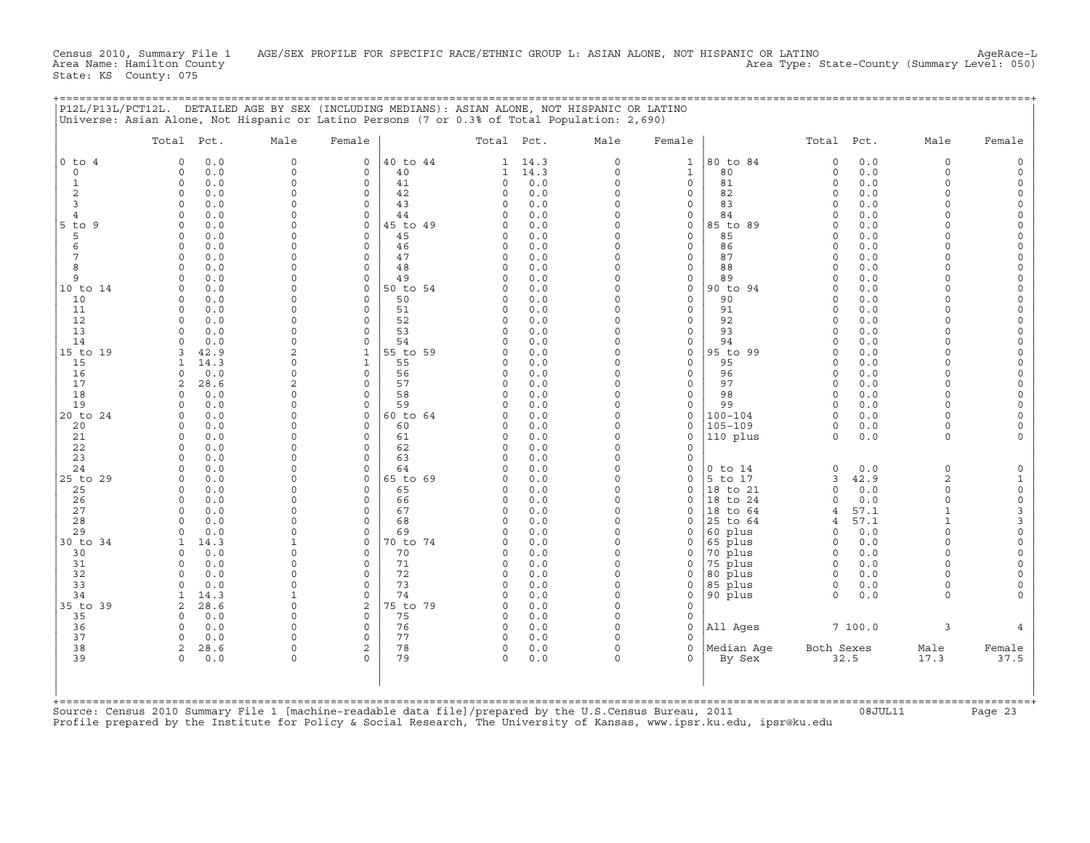Census 2010, Summary File 1 AGE/SEX PROFILE FOR SPECIFIC RACE/ETHNIC GROUP L: ASIAN ALONE, NOT HISPANIC OR LATINO AgeRace-L<br>Area Name: Hamilton County (summary 1evel: 050) Area Name: Hamilton County Area Type: State−County (Summary Level: 050) State: KS County: 075

+===================================================================================================================================================+

|                | Total Pct.                            | Male                 | Female                       |                | Total Pct.           |            | Male                | Female                          |                      | Total Pct.           |             | Male                        | Female                                           |
|----------------|---------------------------------------|----------------------|------------------------------|----------------|----------------------|------------|---------------------|---------------------------------|----------------------|----------------------|-------------|-----------------------------|--------------------------------------------------|
| $0$ to $4$     | $\Omega$<br>0.0                       | $\mathbf 0$          | $\mathbf 0$                  | 40 to 44       | 1                    | 14.3       | $\Omega$            | $\mathbf{1}$                    | 80 to 84             | $\circ$              | 0.0         | $\Omega$                    | $\Omega$                                         |
| $\circ$        | 0.0<br>0                              | 0                    | 0                            | 40             | $\mathbf{1}$         | 14.3       | $\circ$             | $\mathbf{1}$                    | 80                   | $\circ$              | 0.0         | $\Omega$                    | $\Omega$                                         |
| 1              | $\circ$<br>0.0                        | $\Omega$             | $\mathbf 0$                  | 41             | 0                    | 0.0        | $\circ$             | $\mathbf 0$                     | 81                   | $\circ$              | 0.0         | $\Omega$                    | $\mathbf 0$                                      |
| 2<br>3         | 0<br>0.0<br>$\Omega$                  | 0<br>$\Omega$        | 0<br>$\Omega$                | 42<br>43       | 0<br>O.              | 0.0<br>0.0 | $\circ$<br>$\Omega$ | $\mathsf{O}$<br>$\mathbf 0$     | 82<br>83             | $\Omega$<br>$\Omega$ | 0.0<br>0.0  | $\Omega$<br>$\Omega$        | $\mathsf O$<br>$\Omega$                          |
| $\overline{4}$ | 0.0<br>0.0<br>$\Omega$                | $\Omega$             | $\Omega$                     | 44             | $\Omega$             | 0.0        | $\Omega$            | $\mathbf 0$                     | 84                   | $\Omega$             | 0.0         | $\Omega$                    | $\circ$                                          |
| $5$ to<br>- 9  | $\circ$<br>0.0                        | 0                    | $\mathbf 0$                  | 45 to 49       | $\Omega$             | 0.0        | $\Omega$            | $\mathsf{O}$                    | 85 to 89             | $\Omega$             | 0.0         | $\Omega$                    | $\Omega$                                         |
| 5              | 0.0<br>$\circ$                        | $\Omega$             | $\mathbf 0$                  | 45             | $\Omega$             | 0.0        | $\circ$             | $\mathbf 0$                     | 85                   | $\Omega$             | 0.0         | $\cap$                      | $\Omega$                                         |
| 6              | 0.0<br>0                              | $\Omega$             | $\mathbf 0$                  | 46             | 0                    | 0.0        | $\Omega$            | $\mathsf{O}$                    | 86                   | $\Omega$             | 0.0         | $\cap$                      | $\mathsf O$                                      |
| 7              | $\Omega$<br>0.0                       | $\Omega$             | $\Omega$                     | 47             | $\Omega$             | 0.0        | $\Omega$            | $\mathbf 0$                     | 87                   | $\Omega$             | 0.0         | $\cap$                      | $\Omega$                                         |
| 8              | $\Omega$<br>0.0                       | $\Omega$             | $\circ$                      | 48             | $\Omega$             | 0.0        | $\Omega$            | $\mathbf 0$                     | 88                   | $\Omega$             | 0.0         | $\Omega$                    | $\circ$                                          |
| 9              | $\Omega$<br>0.0                       | 0                    | $\mathbf 0$                  | 49             | $\Omega$             | 0.0        | $\Omega$            | $\mathsf{O}\xspace$             | 89                   | $\Omega$             | 0.0         | $\cap$                      | $\circ$                                          |
| 10 to 14       | 0.0<br>$\Omega$                       | $\Omega$             | $\mathbf 0$                  | 50 to 54       | $\Omega$             | 0.0        | $\Omega$            | $\mathbf 0$                     | 90 to 94             | $\Omega$             | 0.0         | $\cap$                      | $\Omega$                                         |
| 10             | 0<br>0.0                              | 0                    | 0                            | 50             | 0                    | 0.0        | 0                   | $\mathsf{O}$                    | 90                   | $\Omega$             | 0.0         | $\Omega$                    | $\mathbf 0$                                      |
| 11             | $\Omega$<br>0.0                       | $\Omega$             | $\Omega$                     | 51             | $\Omega$             | 0.0        | $\Omega$            | $\mathbf 0$                     | 91                   | $\Omega$             | 0.0         | $\cap$                      | $\circ$                                          |
| 12             | 0.0<br>0                              | $\Omega$             | $\mathbf 0$                  | 52             | $\Omega$             | 0.0        | $\Omega$            | $\mathbf 0$                     | 92                   | $\Omega$             | 0.0         | $\Omega$                    | $\Omega$                                         |
| 13             | 0.0<br>$\Omega$                       | $\Omega$             | $\mathbf 0$                  | 53             | $\Omega$             | 0.0        | $\Omega$            | $\mathbf 0$                     | 93                   | $\Omega$             | 0.0         | $\Omega$                    | $\Omega$                                         |
| 14             | $\Omega$<br>0.0                       | $\Omega$             | $\mathbf 0$                  | 54             | $\Omega$             | 0.0        | $\Omega$            | $\mathbf 0$                     | 94                   | $\Omega$             | 0.0         | $\cap$<br>$\Omega$          | $\circ$                                          |
| 15 to 19<br>15 | 42.9<br>3<br>$\mathbf{1}$<br>14.3     | 2<br>$\Omega$        | $\mathbf{1}$<br>$\mathbf{1}$ | 55 to 59<br>55 | $\Omega$<br>$\Omega$ | 0.0<br>0.0 | 0<br>$\Omega$       | $\mathsf{O}\xspace$<br>$\Omega$ | 95 to 99<br>95       | $\Omega$<br>$\Omega$ | 0.0<br>0.0  | $\cap$                      | $\mathsf O$<br>$\circ$                           |
| 16             | $\circ$<br>0.0                        | $\Omega$             | $\circ$                      | 56             | $\Omega$             | 0.0        | $\circ$             | $\mathbf 0$                     | 96                   | $\Omega$             | 0.0         | $\Omega$                    | $\mathsf{O}\xspace$                              |
| 17             | 28.6<br>2                             | 2                    | $\mathbf 0$                  | 57             | 0                    | 0.0        | $\Omega$            | $\mathbf 0$                     | 97                   | $\Omega$             | 0.0         | $\Omega$                    | $\circ$                                          |
| 18             | 0.0<br>$\Omega$                       | 0                    | $\mathbf 0$                  | 58             | $\Omega$             | 0.0        | $\Omega$            | $\mathbf 0$                     | 98                   | $\Omega$             | $0.0$       | $\Omega$                    | $\circ$                                          |
| 19             | 0.0<br>$\Omega$                       | 0                    | 0                            | 59             | $\Omega$             | 0.0        | 0                   | $\mathsf{O}$                    | 99                   | $\Omega$             | 0.0         | $\Omega$                    | $\mathbf 0$                                      |
| 20 to 24       | $\Omega$<br>0.0                       | $\Omega$             | $\circ$                      | 60 to 64       | O                    | 0.0        | $\circ$             | $\mathbf 0$                     | $100 - 104$          | $\Omega$             | 0.0         | $\cap$                      | $\circ$                                          |
| 20             | 0.0<br>0                              | 0                    | $\mathbf 0$                  | 60             | 0                    | 0.0        | $\circ$             | $\mathbf 0$                     | $105 - 109$          | $\circ$              | 0.0         | $\Omega$                    | $\Omega$                                         |
| 21             | 0.0<br>$\mathbf 0$                    | $\Omega$             | $\mathbf 0$                  | 61             | 0                    | 0.0        | $\Omega$            | $\mathbf 0$                     | 110 plus             | $\Omega$             | 0.0         | $\Omega$                    |                                                  |
| 22             | $\circ$<br>0.0                        | $\Omega$             | $\mathbf 0$                  | 62             | $\Omega$             | 0.0        | $\circ$             | $\mathbf 0$                     |                      |                      |             |                             |                                                  |
| 23             | 0.0<br>$\Omega$                       | 0                    | $\mathbf 0$                  | 63             | 0                    | 0.0        | $\Omega$            | $\mathsf{O}$                    |                      |                      |             |                             |                                                  |
| 24             | $\Omega$<br>0.0                       | $\Omega$             | $\Omega$                     | 64             | $\cap$               | 0.0        | $\Omega$            | $\Omega$                        | $0$ to $14$          | $\Omega$             | 0.0         | $\Omega$                    | $\circ$                                          |
| 25 to 29       | 0.0<br>$\mathbf 0$                    | 0                    | $\mathbf 0$                  | 65 to 69       | $\Omega$             | 0.0        | $\circ$             | $\mathbf 0$                     | 5 to 17              | 3                    | 42.9        | 2                           | $\mathbf{1}$                                     |
| 25             | 0.0<br>$\Omega$                       | $\Omega$<br>$\Omega$ | $\mathbf 0$                  | 65             | $\Omega$             | 0.0        | $\circ$             | $\mathbf 0$                     | 18 to 21             | $\circ$              | 0.0         | $\Omega$                    | $\mathsf{O}\xspace$                              |
| 26<br>27       | 0.0<br>$\mathbf 0$<br>$\Omega$<br>0.0 | $\Omega$             | $\mathbf 0$<br>$\Omega$      | 66<br>67       | 0<br>$\Omega$        | 0.0<br>0.0 | $\circ$<br>$\Omega$ | $\mathbf 0$<br>$\Omega$         | 18 to 24<br>18 to 64 | $\Omega$<br>4        | 0.0<br>57.1 | $\mathbf 0$<br>$\mathbf{1}$ | $\mathsf{O}\xspace$<br>$\ensuremath{\mathsf{3}}$ |
| 28             | $\Omega$<br>0.0                       | $\Omega$             | $\Omega$                     | 68             | $\Omega$             | 0.0        | $\Omega$            | $\mathbf 0$                     | 25 to 64             | 4                    | 57.1        | $\mathbf{1}$                | $\ensuremath{\mathsf{3}}$                        |
| 29             | 0.0<br>$\Omega$                       | 0                    | $\Omega$                     | 69             | $\Omega$             | 0.0        | $\Omega$            | $\mathbf 0$                     | 60 plus              | $\Omega$             | 0.0         | $\Omega$                    | $\mathbf 0$                                      |
| 30 to 34       | 14.3<br>1                             | 1                    | $\mathbf 0$                  | 70 to 74       | $\Omega$             | 0.0        | $\Omega$            | $\mathbf 0$                     | 65 plus              | $\Omega$             | 0.0         | $\Omega$                    | $\mathbf 0$                                      |
| 30             | 0.0<br>0                              | 0                    | $\mathbf 0$                  | 70             | 0                    | 0.0        | $\circ$             | 0                               | 70 plus              | $\mathbf 0$          | 0.0         | $\Omega$                    | $\mathbf 0$                                      |
| 31             | 0.0<br>$\Omega$                       | 0                    | $\Omega$                     | 71             | $\Omega$             | 0.0        | $\circ$             | $\mathbf 0$                     | 75 plus              | $\mathbf 0$          | 0.0         | $\Omega$                    | $\circ$                                          |
| 32             | 0.0<br>$\Omega$                       | $\Omega$             | $\Omega$                     | 72             | $\Omega$             | 0.0        | $\Omega$            | $\Omega$                        | 80 plus              | $\Omega$             | 0.0         | $\Omega$                    | $\Omega$                                         |
| 33             | 0.0<br>$\Omega$                       | $\Omega$             | $\mathbf 0$                  | 73             | $\Omega$             | 0.0        | $\Omega$            | $\mathsf{O}\xspace$             | 85 plus              | $\Omega$             | 0.0         | $\Omega$                    | $\Omega$                                         |
| 34             | 14.3<br>1                             | $\mathbf 1$          | $\mathbf 0$                  | 74             | $\Omega$             | 0.0        | $\circ$             | $\mathsf{O}\xspace$             | 90 plus              | $\circ$              | 0.0         | $\Omega$                    | $\Omega$                                         |
| 35 to 39       | 28.6<br>2                             | 0                    | 2                            | 75 to 79       | 0                    | 0.0        | $\circ$             | $\mathsf{O}$                    |                      |                      |             |                             |                                                  |
| 35             | $\Omega$<br>0.0                       | $\Omega$             | $\Omega$                     | 75             | $\Omega$             | 0.0        | $\Omega$            | $\mathbf 0$                     |                      |                      |             |                             |                                                  |
| 36             | $\circ$<br>0.0                        | 0                    | $\mathbf 0$                  | 76             | 0                    | 0.0        | $\circ$             | $\mathbf 0$                     | All Ages             |                      | 7100.0      | 3                           | $\overline{4}$                                   |
| 37             | $\Omega$<br>0.0                       | 0                    | $\mathbf 0$                  | 77             | 0                    | 0.0        | $\Omega$            | $\Omega$                        |                      |                      |             |                             |                                                  |
| 38             | 2<br>28.6                             | $\Omega$             | 2                            | 78             | 0                    | 0.0        | $\Omega$            | $\mathbf 0$                     | Median Age           | Both Sexes           |             | Male                        | Female                                           |
| 39             | $\circ$<br>0.0                        | 0                    | $\Omega$                     | 79             | 0                    | 0.0        | 0                   | 0                               | By Sex               |                      | 32.5        | 17.3                        | 37.5                                             |
|                |                                       |                      |                              |                |                      |            |                     |                                 |                      |                      |             |                             |                                                  |
|                |                                       |                      |                              |                |                      |            |                     |                                 |                      |                      |             |                             |                                                  |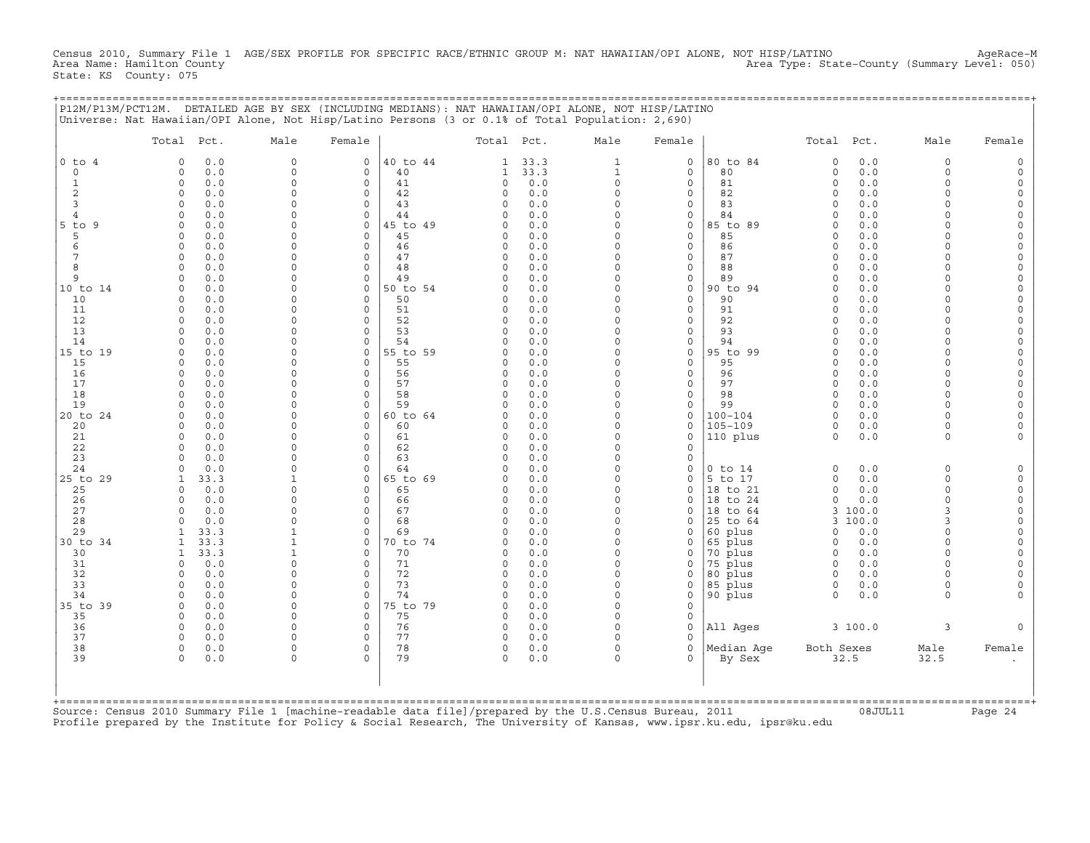Census 2010, Summary File 1 AGE/SEX PROFILE FOR SPECIFIC RACE/ETHNIC GROUP M: NAT HAWAIIAN/OPI ALONE, NOT HISP/LATINO AgeRace-M<br>Area Name: Hamilton County (summary Level: 050) Area Type: State−County (Summary Level: 050) State: KS County: 075

+===================================================================================================================================================+

|                     | Total Pct.                         | Male                 | Female                     |                | Total Pct.           |            | Male                 | Female                     |                            | Total Pct.           |                  | Male               | Female                 |
|---------------------|------------------------------------|----------------------|----------------------------|----------------|----------------------|------------|----------------------|----------------------------|----------------------------|----------------------|------------------|--------------------|------------------------|
| $0$ to $4$          | 0.0<br>$\Omega$                    | $\mathbf 0$          | $\circ$                    | 40 to 44       | 1                    | 33.3       | $\mathbf{1}$         | $\mathbf 0$                | 80 to 84                   | $\Omega$             | 0.0              | $\mathbf 0$        | $\Omega$               |
| $\Omega$            | $\circ$<br>0.0                     | $\mathbf 0$          | $\mathbf{0}$               | 40             | 1                    | 33.3       | $\mathbf{1}$         | $\mathbf 0$                | 80                         | $\circ$              | 0.0              | $\Omega$           | $\Omega$               |
| $\mathbf{1}$        | 0.0<br>$\circ$                     | $\circ$              | $\circ$                    | 41             | 0                    | 0.0        | $\circ$              | $\mathbf 0$                | 81                         | $\Omega$             | 0.0              | $\Omega$           | $\Omega$               |
| 2                   | 0.0<br>0                           | $\circ$              | $\mathbf 0$                | 42             | 0                    | 0.0        | $\Omega$             | $\mathbf 0$                | 82                         | $\Omega$             | 0.0              | $\Omega$           | $\circ$                |
| 3<br>$\overline{4}$ | 0.0<br>$\Omega$                    | $\Omega$<br>0        | $\mathbf 0$                | 43             | $\Omega$             | 0.0        | $\Omega$<br>$\Omega$ | $\mathbf 0$<br>$\Omega$    | 83                         | $\Omega$<br>$\Omega$ | 0.0              | $\cap$             | $\Omega$<br>$\Omega$   |
| $5$ to<br>-9        | 0.0<br>$\Omega$<br>0.0<br>$\Omega$ | $\Omega$             | $\mathbf 0$<br>$\Omega$    | 44<br>45 to 49 | O<br>U               | 0.0<br>0.0 | $\Omega$             | $\mathbf 0$                | 84<br>85 to 89             | $\Omega$             | 0.0<br>0.0       |                    | $\Omega$               |
| 5                   | 0.0<br>$\Omega$                    | 0                    | $\Omega$                   | 45             | $\Omega$             | 0.0        | $\Omega$             | $\mathbf 0$                | 85                         | $\Omega$             | 0.0              | $\cap$             | $\Omega$               |
| 6                   | $\Omega$<br>0.0                    | $\Omega$             | $\Omega$                   | 46             | $\Omega$             | 0.0        | $\Omega$             | $\mathbf 0$                | 86                         | $\Omega$             | 0.0              | $\cap$             | $\Omega$               |
| 7                   | 0.0<br>$\Omega$                    | 0                    | $\mathbf 0$                | 47             | $\Omega$             | 0.0        | 0                    | $\mathsf{O}$               | 87                         | $\Omega$             | 0.0              | $\cap$             | $\Omega$               |
| 8                   | 0.0<br>$\Omega$                    | $\Omega$             | $\mathbf 0$                | 48             | $\Omega$             | 0.0        | $\Omega$             | $\mathbf 0$                | 88                         | $\Omega$             | 0.0              | $\cap$             | $\mathbf 0$            |
| 9                   | $\Omega$<br>0.0                    | $\Omega$             | $\mathbf 0$                | 49             | $\Omega$             | 0.0        | $\circ$              | $\mathsf{O}$               | 89                         | $\Omega$             | 0.0              | $\cap$             | $\mathbf 0$            |
| 10 to 14            | 0.0<br>$\Omega$                    | 0                    | $\mathbf 0$                | 50 to 54       |                      | 0.0        | $\Omega$             | $\mathbf 0$                | 90 to 94                   | $\Omega$             | 0.0              |                    | $\Omega$               |
| 10                  | 0.0<br>$\Omega$                    | $\Omega$             | $\Omega$                   | 50             | O                    | 0.0        | $\Omega$             | $\mathbf 0$                | 90                         | $\Omega$             | 0.0              | $\Omega$           | $\Omega$               |
| 11<br>12            | 0.0<br>$\Omega$<br>$\Omega$<br>0.0 | $\Omega$<br>$\Omega$ | $\Omega$<br>$\Omega$       | 51<br>52       | $\Omega$<br>$\Omega$ | 0.0<br>0.0 | $\Omega$<br>$\Omega$ | $\mathbf 0$<br>$\mathbf 0$ | 91<br>92                   | $\Omega$<br>$\Omega$ | 0.0<br>0.0       | $\cap$             | $\Omega$<br>$\Omega$   |
| 13                  | 0.0<br>$\Omega$                    | $\Omega$             | $\Omega$                   | 53             | U                    | 0.0        | $\Omega$             | $\mathbf 0$                | 93                         | $\Omega$             | 0.0              |                    | $\Omega$               |
| 14                  | 0.0<br>$\Omega$                    | $\Omega$             | $\Omega$                   | 54             | O                    | 0.0        | $\Omega$             | $\mathbf 0$                | 94                         | $\Omega$             | 0.0              |                    | $\Omega$               |
| 15 to 19            | 0.0<br>$\Omega$                    | $\Omega$             | $\mathbf 0$                | 55 to 59       | $\Omega$             | 0.0        | 0                    | $\mathsf{O}$               | 95 to 99                   | $\Omega$             | 0.0              | $\cap$             | $\mathbf 0$            |
| 15                  | 0.0<br>$\Omega$                    | $\Omega$             | $\Omega$                   | 55             | O                    | 0.0        | $\Omega$             | $\mathbf 0$                | 95                         | $\Omega$             | 0.0              | $\cap$             | $\Omega$               |
| 16                  | 0.0<br>$\Omega$                    | $\Omega$             | $\mathbf 0$                | 56             | 0                    | 0.0        | $\Omega$             | $\mathbf 0$                | 96                         | $\Omega$             | 0.0              | $\Omega$           | $\Omega$               |
| 17                  | 0.0<br>$\Omega$                    | $\Omega$             | $\Omega$                   | 57             | $\Omega$             | 0.0        | $\Omega$             | $\mathbf 0$                | 97                         | $\Omega$             | 0.0              | $\cap$             | $\Omega$               |
| 18                  | $\Omega$<br>0.0                    | $\Omega$             | $\Omega$                   | 58             | $\Omega$             | 0.0        | $\circ$              | $\mathbf 0$                | 98                         | $\Omega$             | 0.0              | $\Omega$           | $\Omega$               |
| 19                  | 0.0<br>$\Omega$                    | $\Omega$             | $\Omega$                   | 59             | $\Omega$             | 0.0        | $\Omega$             | $\mathbf 0$                | 99                         | $\Omega$             | 0.0              | $\cap$             | $\circ$                |
| 20 to 24<br>20      | 0.0<br>$\circ$<br>0.0<br>$\Omega$  | $\Omega$<br>$\Omega$ | $\circ$<br>$\Omega$        | 60 to 64<br>60 | $\Omega$<br>0        | 0.0<br>0.0 | $\Omega$<br>$\Omega$ | $\mathbf 0$<br>$\mathbf 0$ | $100 - 104$<br>$105 - 109$ | $\Omega$<br>$\Omega$ | 0.0<br>0.0       | $\Omega$           | $\Omega$               |
| 21                  | 0.0<br>$\circ$                     | $\Omega$             | $\mathbf 0$                | 61             | $\Omega$             | 0.0        | $\circ$              | $\mathbf 0$                | 110 plus                   | $\Omega$             | 0.0              | $\Omega$           |                        |
| 22                  | 0.0<br>$\Omega$                    | 0                    | $\mathbf 0$                | 62             | O                    | 0.0        | $\Omega$             | $\Omega$                   |                            |                      |                  |                    |                        |
| 23                  | 0.0<br>$\Omega$                    | $\Omega$             | $\Omega$                   | 63             | O                    | 0.0        | $\Omega$             | $\mathbf 0$                |                            |                      |                  |                    |                        |
| 24                  | 0.0<br>$\cap$                      | $\Omega$             | $\Omega$                   | 64             | O                    | 0.0        | $\Omega$             | $\mathbf 0$                | $0$ to $14$                | $\Omega$             | 0.0              | $\Omega$           | $\Omega$               |
| 25 to 29            | 33.3<br>-1                         | $\mathbf{1}$         | $\Omega$                   | 65 to 69       | U                    | 0.0        | $\Omega$             | $\Omega$                   | 5 to 17                    | $\Omega$             | 0.0              | $\Omega$           | $\Omega$               |
| 25                  | 0.0<br>$\Omega$                    | $\Omega$             | $\Omega$                   | 65             | O                    | 0.0        | $\Omega$             | $\mathbf 0$                | 18 to 21                   | $\Omega$             | 0.0              | $\Omega$           | $\circ$                |
| 26                  | 0.0<br>$\Omega$                    | $\Omega$             | $\Omega$                   | 66             | $\Omega$             | 0.0        | $\Omega$             | $\Omega$                   | 18 to 24                   | $\circ$              | 0.0              | $\Omega$           | $\mathbf 0$            |
| 27<br>28            | $\Omega$<br>0.0<br>0.0<br>$\Omega$ | $\Omega$<br>$\Omega$ | $\mathbf 0$<br>$\mathbf 0$ | 67<br>68       | 0<br>$\Omega$        | 0.0<br>0.0 | $\circ$<br>$\Omega$  | $\mathbf 0$<br>$\mathbf 0$ | 18 to 64<br>25 to 64       | 3                    | 100.0<br>3 100.0 | 3<br>$\mathcal{R}$ | $\mathbf 0$<br>$\circ$ |
| 29                  | 33.3                               | $\mathbf{1}$         | $\mathbf 0$                | 69             | O                    | 0.0        | $\Omega$             | $\mathbf 0$                | 60 plus                    | $\Omega$             | 0.0              | $\Omega$           | $\Omega$               |
| 30 to 34            | 33.3                               | $\mathbf{1}$         | $\Omega$                   | 70 to 74       | O                    | 0.0        | $\Omega$             | $\mathbf 0$                | 65 plus                    | $\Omega$             | 0.0              | $\Omega$           | $\Omega$               |
| 30                  | 33.3<br>$\mathbf{1}$               | $\mathbf{1}$         | $\Omega$                   | 70             | $\Omega$             | 0.0        | $\Omega$             | $\mathbf 0$                | 70 plus                    | $\Omega$             | 0.0              | $\Omega$           | $\Omega$               |
| 31                  | 0.0<br>$\Omega$                    | $\Omega$             | $\Omega$                   | 71             | O                    | 0.0        | $\Omega$             | $\Omega$                   | 75 plus                    | $\Omega$             | 0.0              | $\Omega$           | $\Omega$               |
| 32                  | 0.0<br>$\Omega$                    | $\Omega$             | $\circ$                    | 72             | $\Omega$             | 0.0        | $\Omega$             | $\Omega$                   | 80 plus                    | $\Omega$             | 0.0              |                    |                        |
| 33                  | $\Omega$<br>0.0                    | $\Omega$             | $\mathbf 0$                | 73             | $\Omega$             | 0.0        | $\Omega$             | 0                          | 85 plus                    | 0                    | 0.0              | $\Omega$           | $\Omega$               |
| 34                  | 0.0<br>$\Omega$                    | $\Omega$             | $\Omega$                   | 74             | $\Omega$             | 0.0        | $\Omega$             | $\mathbf 0$                | 90 plus                    | $\Omega$             | 0.0              | $\cap$             |                        |
| 35 to 39<br>35      | 0.0<br>0<br>$\Omega$               | $\Omega$<br>$\Omega$ | $\mathbf 0$<br>$\Omega$    | 75 to 79<br>75 | $\Omega$<br>$\Omega$ | 0.0<br>0.0 | $\Omega$<br>$\Omega$ | $\mathbf 0$<br>$\mathbf 0$ |                            |                      |                  |                    |                        |
| 36                  | 0.0<br>$\circ$<br>0.0              | $\Omega$             | $\mathbf 0$                | 76             | 0                    | 0.0        | $\circ$              | $\mathbf 0$                | All Ages                   |                      | 3 100.0          | 3                  |                        |
| 37                  | 0.0<br>$\Omega$                    | $\Omega$             | $\Omega$                   | 77             | $\Omega$             | 0.0        | $\Omega$             | $\Omega$                   |                            |                      |                  |                    |                        |
| 38                  | 0.0<br>$\circ$                     | 0                    | $\mathbf 0$                | 78             | 0                    | 0.0        | $\circ$              | $\mathbf 0$                | Median Aqe                 | Both Sexes           |                  | Male               | Female                 |
| 39                  | $\Omega$<br>0.0                    | $\Omega$             | $\Omega$                   | 79             | $\Omega$             | 0.0        | $\Omega$             | $\Omega$                   | By Sex                     | 32.5                 |                  | 32.5               |                        |
|                     |                                    |                      |                            |                |                      |            |                      |                            |                            |                      |                  |                    |                        |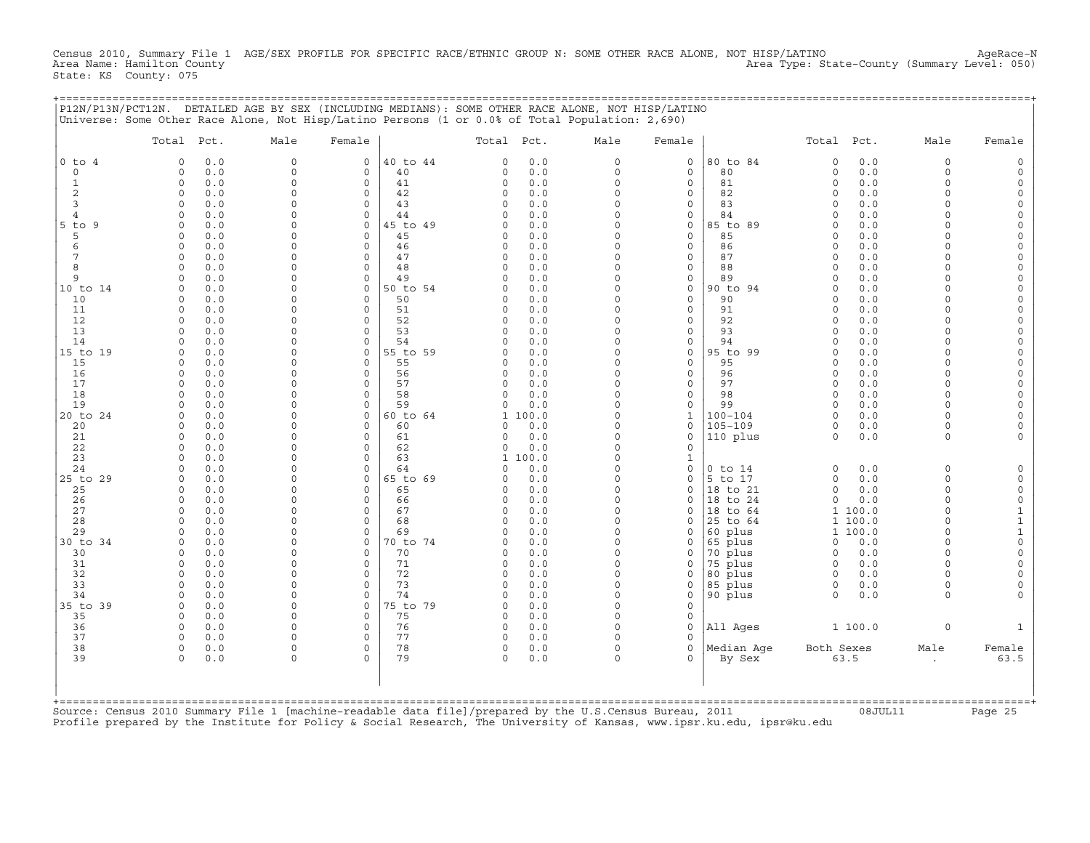Census 2010, Summary File 1 AGE/SEX PROFILE FOR SPECIFIC RACE/ETHNIC GROUP N: SOME OTHER RACE ALONE, NOT HISP/LATINO AgeRace-N<br>Area Name: Hamilton County (summary Level: 050) Area Name: Hamilton County Area Type: State−County (Summary Level: 050) State: KS County: 075

+===================================================================================================================================================+

|                | Total Pct.                         | Male          | Female                  |                | Total Pct.    |            | Male                | Female                      |                      | Total Pct.           |                | Male                 | Female                              |
|----------------|------------------------------------|---------------|-------------------------|----------------|---------------|------------|---------------------|-----------------------------|----------------------|----------------------|----------------|----------------------|-------------------------------------|
| $0$ to $4$     | 0.0<br>$\Omega$                    | $\mathbf 0$   | $\mathbf 0$             | 40 to 44       | $\Omega$      | 0.0        | $\circ$             | $\mathbf 0$                 | 80 to 84             | $\circ$              | 0.0            | $\Omega$             | $\Omega$                            |
| $\circ$        | 0.0<br>0                           | 0             | 0                       | 40             | 0             | 0.0        | $\circ$             | $\mathsf{O}$                | 80                   | $\circ$              | $0.0$          | $\Omega$             | $\mathbf 0$                         |
| 1              | $\circ$<br>0.0                     | $\Omega$      | $\mathbf 0$             | 41             | 0             | 0.0        | $\circ$             | $\mathbf 0$                 | 81                   | $\circ$              | 0.0            | $\Omega$             | $\mathbf 0$                         |
| 2<br>3         | 0<br>0.0<br>$\Omega$               | 0<br>$\Omega$ | 0<br>$\Omega$           | 42<br>43       | 0<br>$\Omega$ | 0.0        | $\circ$<br>$\Omega$ | $\mathsf{O}$<br>$\mathbf 0$ | 82<br>83             | $\Omega$<br>$\Omega$ | 0.0<br>0.0     | $\Omega$<br>$\Omega$ | $\mathsf O$<br>$\Omega$             |
| $\overline{4}$ | 0.0<br>0.0<br>$\Omega$             | $\Omega$      | $\Omega$                | 44             | $\Omega$      | 0.0<br>0.0 | $\Omega$            | $\mathbf 0$                 | 84                   | $\Omega$             | 0.0            | $\Omega$             | $\circ$                             |
| $5$ to<br>- 9  | $\circ$<br>0.0                     | 0             | $\mathbf 0$             | 45 to 49       | $\Omega$      | 0.0        | $\Omega$            | $\mathsf{O}$                | 85 to 89             | $\Omega$             | 0.0            | $\Omega$             | $\Omega$                            |
| 5              | 0.0<br>$\circ$                     | $\Omega$      | $\mathbf 0$             | 45             | $\Omega$      | 0.0        | $\Omega$            | $\mathbf 0$                 | 85                   | $\Omega$             | 0.0            | $\cap$               | $\Omega$                            |
| 6              | 0.0<br>0                           | $\Omega$      | $\mathbf 0$             | 46             | $\Omega$      | 0.0        | $\Omega$            | $\mathsf{O}$                | 86                   | $\Omega$             | 0.0            | $\cap$               | $\mathsf O$                         |
| 7              | $\Omega$<br>0.0                    | $\Omega$      | $\Omega$                | 47             | $\Omega$      | 0.0        | $\Omega$            | $\mathbf 0$                 | 87                   | $\Omega$             | 0.0            | $\cap$               | $\Omega$                            |
| 8              | $\Omega$<br>0.0                    | $\Omega$      | $\circ$                 | 48             | $\Omega$      | 0.0        | $\Omega$            | $\mathbf 0$                 | 88                   | $\Omega$             | 0.0            | $\Omega$             | $\mathsf{O}\xspace$                 |
| 9              | $\Omega$<br>0.0                    | 0             | $\mathbf 0$             | 49             | $\Omega$      | 0.0        | $\Omega$            | $\mathsf{O}$                | 89                   | $\Omega$             | 0.0            |                      | $\circ$                             |
| 10 to 14       | 0.0<br>$\Omega$                    | $\Omega$      | $\mathbf 0$             | 50 to 54       | $\Omega$      | 0.0        | $\Omega$            | $\mathbf 0$                 | 90 to 94             | $\Omega$             | 0.0            | $\cap$               | $\Omega$                            |
| 10             | 0<br>0.0                           | 0             | 0                       | 50             | 0             | 0.0        | 0                   | $\mathsf{O}$                | 90                   | $\Omega$             | 0.0            | $\cap$               | $\mathbf 0$                         |
| 11             | $\Omega$<br>0.0                    | $\Omega$      | $\Omega$                | 51             | $\Omega$      | 0.0        | $\Omega$            | $\mathbf 0$                 | 91                   | $\Omega$             | 0.0            | $\cap$               | $\circ$                             |
| 12             | 0.0<br>$\circ$                     | $\Omega$      | $\mathbf 0$             | 52             | $\Omega$      | 0.0        | $\Omega$            | $\mathbf 0$                 | 92                   | $\Omega$             | 0.0            | $\Omega$             | $\Omega$                            |
| 13             | 0.0<br>$\Omega$                    | 0             | $\mathbf 0$             | 53             | $\Omega$      | 0.0        | $\Omega$            | $\mathbf 0$                 | 93                   | $\Omega$             | 0.0            |                      | $\mathbf 0$                         |
| 14             | $\Omega$<br>0.0                    | 0<br>0        | 0                       | 54             | $\Omega$      | 0.0        | $\Omega$            | $\mathbf 0$                 | 94                   | $\Omega$             | 0.0            | $\cap$<br>$\cap$     | $\mathsf O$                         |
| 15 to 19<br>15 | 0.0<br>$\Omega$<br>$\Omega$<br>0.0 | $\Omega$      | 0<br>$\Omega$           | 55 to 59<br>55 | 0<br>$\Omega$ | 0.0<br>0.0 | 0<br>$\Omega$       | $\mathsf{O}$<br>$\Omega$    | 95 to 99<br>95       | $\Omega$<br>$\Omega$ | 0.0<br>0.0     | $\cap$               | $\mathsf O$<br>$\Omega$             |
| 16             | $\circ$<br>0.0                     | $\Omega$      | $\mathbf 0$             | 56             | 0             | 0.0        | $\circ$             | $\mathbf 0$                 | 96                   | $\circ$              | 0.0            | $\Omega$             | $\mathsf{O}\xspace$                 |
| 17             | 0.0<br>$\Omega$                    | $\Omega$      | $\mathbf 0$             | 57             | 0             | 0.0        | $\Omega$            | $\mathbf 0$                 | 97                   | $\Omega$             | 0.0            | $\Omega$             | $\mathsf{O}\xspace$                 |
| 18             | 0.0<br>$\Omega$                    | $\Omega$      | $\mathbf 0$             | 58             | $\Omega$      | 0.0        | $\Omega$            | $\mathbf 0$                 | 98                   | $\Omega$             | 0.0            | $\Omega$             | $\mathsf O$                         |
| 19             | $\Omega$<br>0.0                    | 0             | $\Omega$                | 59             | 0             | 0.0        | 0                   | $\mathsf{O}$                | 99                   | $\Omega$             | 0.0            | $\Omega$             | $\mathbf 0$                         |
| 20 to 24       | $\Omega$<br>0.0                    | $\Omega$      | $\circ$                 | 60 to 64       |               | 1 100.0    | $\Omega$            | $\mathbf{1}$                | $100 - 104$          | $\Omega$             | 0.0            | $\cap$               | $\circ$                             |
| 20             | 0.0<br>0                           | 0             | $\mathbf 0$             | 60             | 0             | 0.0        | $\Omega$            | $\mathbf 0$                 | $105 - 109$          | $\circ$              | 0.0            | $\Omega$             | $\Omega$                            |
| 21             | 0.0<br>0                           | $\Omega$      | $\mathbf 0$             | 61             | 0             | 0.0        | $\Omega$            | $\mathbf 0$                 | 110 plus             | $\Omega$             | 0.0            | $\Omega$             |                                     |
| 22             | $\circ$<br>0.0                     | $\Omega$      | $\mathbf 0$             | 62             | 0             | 0.0        | $\circ$             | $\mathbf 0$                 |                      |                      |                |                      |                                     |
| 23             | 0.0<br>$\Omega$                    | 0             | 0                       | 63             | 1             | 100.0      | $\Omega$            | $\mathbf{1}$                |                      |                      |                |                      |                                     |
| 24             | $\Omega$<br>0.0                    | $\Omega$      | $\Omega$                | 64             | $\Omega$      | 0.0        | $\Omega$            | $\mathbf 0$                 | $0$ to $14$          | $\Omega$             | 0.0            | $\Omega$             | $\circ$                             |
| 25 to 29       | 0.0<br>$\circ$                     | 0             | $\mathbf 0$             | 65 to 69       | 0             | 0.0        | $\circ$             | $\mathbf 0$                 | 5 to 17              | $\circ$              | 0.0            | $\Omega$             | $\Omega$                            |
| 25             | 0.0<br>$\Omega$                    | $\Omega$      | $\mathbf 0$             | 65             | $\Omega$      | 0.0        | $\circ$             | $\mathbf 0$                 | 18 to 21             | $\circ$              | 0.0            | $\Omega$<br>$\Omega$ | $\mathsf O$                         |
| 26<br>27       | 0.0<br>$\circ$<br>$\Omega$<br>0.0  | 0<br>$\Omega$ | $\mathbf 0$<br>$\Omega$ | 66<br>67       | 0<br>$\Omega$ | 0.0<br>0.0 | $\circ$<br>$\Omega$ | $\mathbf 0$<br>$\Omega$     | 18 to 24<br>18 to 64 | $\circ$              | 0.0<br>1 100.0 | $\Omega$             | $\mathsf{O}\xspace$<br>$\mathbf{1}$ |
| 28             | $\Omega$<br>0.0                    | $\Omega$      | $\Omega$                | 68             | $\Omega$      | 0.0        | $\Omega$            | $\mathbf 0$                 | 25 to 64             |                      | 1 100.0        | $\Omega$             | $\mathtt 1$                         |
| 29             | 0.0<br>$\Omega$                    | 0             | $\Omega$                | 69             | 0             | 0.0        | $\Omega$            | $\mathbf 0$                 | 60 plus              |                      | 1 100.0        | $\Omega$             | $\mathbf 1$                         |
| 30 to 34       | 0.0<br>$\Omega$                    | $\Omega$      | $\mathbf 0$             | 70 to 74       | $\Omega$      | 0.0        | $\Omega$            | $\mathbf 0$                 | 65 plus              | 0                    | 0.0            | $\Omega$             | $\mathbf 0$                         |
| 30             | 0.0<br>$\circ$                     | 0             | $\mathbf 0$             | 70             | 0             | 0.0        | 0                   | 0                           | 70 plus              | 0                    | 0.0            | $\Omega$             | $\mathsf{O}\xspace$                 |
| 31             | $\Omega$<br>0.0                    | $\Omega$      | $\Omega$                | 71             | $\Omega$      | 0.0        | $\circ$             | $\mathbf 0$                 | 75 plus              | $\Omega$             | 0.0            | $\cap$               | $\circ$                             |
| 32             | 0.0<br>$\Omega$                    | $\Omega$      | $\Omega$                | 72             | $\Omega$      | 0.0        | $\Omega$            | $\Omega$                    | 80 plus              | $\Omega$             | 0.0            | $\Omega$             | $\Omega$                            |
| 33             | 0.0<br>$\Omega$                    | $\Omega$      | $\mathbf 0$             | 73             | $\Omega$      | 0.0        | $\Omega$            | $\mathsf{O}\xspace$         | 85 plus              | 0                    | 0.0            | $\Omega$             | $\Omega$                            |
| 34             | 0.0<br>$\Omega$                    | $\Omega$      | $\mathbf 0$             | 74             | $\Omega$      | 0.0        | $\circ$             | $\mathsf{O}$                | 90 plus              | $\circ$              | 0.0            | $\Omega$             | $\Omega$                            |
| 35 to 39       | 0<br>0.0                           | 0             | 0                       | 75 to 79       | 0             | 0.0        | $\Omega$            | $\mathsf{O}$                |                      |                      |                |                      |                                     |
| 35             | 0.0<br>$\Omega$                    | $\Omega$      | $\Omega$                | 75             | $\Omega$      | 0.0        | $\Omega$            | $\mathbf 0$                 |                      |                      |                |                      |                                     |
| 36             | $\circ$<br>0.0                     | 0             | $\mathbf 0$             | 76             | 0             | 0.0        | $\circ$             | $\mathbf 0$                 | All Ages             |                      | 1 100.0        | $\mathbf 0$          | $\mathbf{1}$                        |
| 37             | $\Omega$<br>0.0                    | 0             | $\mathbf 0$             | 77             | 0             | 0.0        | $\Omega$            | $\Omega$                    |                      |                      |                |                      |                                     |
| 38             | $\circ$<br>0.0                     | $\Omega$      | 0                       | 78             | 0             | 0.0        | $\Omega$            | $\mathbf 0$                 | Median Age           | Both Sexes           |                | Male                 | Female                              |
| 39             | $\circ$<br>0.0                     | 0             | $\Omega$                | 79             | 0             | 0.0        | 0                   | $\mathbf 0$                 | By Sex               |                      | 63.5           | $\bullet$            | 63.5                                |
|                |                                    |               |                         |                |               |            |                     |                             |                      |                      |                |                      |                                     |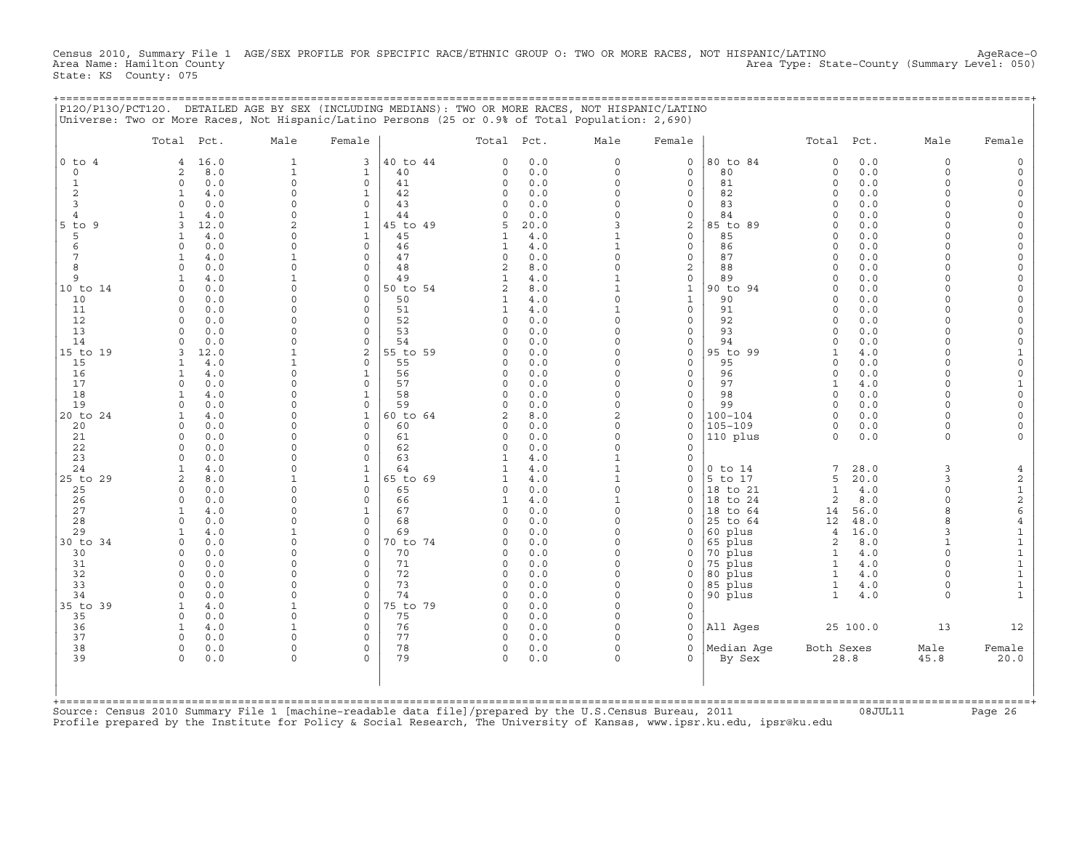Census 2010, Summary File 1 AGE/SEX PROFILE FOR SPECIFIC RACE/ETHNIC GROUP O: TWO OR MORE RACES, NOT HISPANIC/LATINO AgeRace-O<br>Area Name: Hamilton County (summary Level: 050) Area Type: State−County (Summary Level: 050) State: KS County: 075

+===================================================================================================================================================+

|                | Total Pct.                  | Male                 | Female                      |                | Total Pct.           |            | Male                    | Female                       |                      | Total Pct.           |             | Male                 | Female                                       |
|----------------|-----------------------------|----------------------|-----------------------------|----------------|----------------------|------------|-------------------------|------------------------------|----------------------|----------------------|-------------|----------------------|----------------------------------------------|
| $0$ to $4$     | 16.0<br>$\overline{4}$      | $\mathbf{1}$         | 3                           | 40 to 44       | $\Omega$             | 0.0        | $\Omega$                | $\mathbf 0$                  | 80 to 84             | $\circ$              | 0.0         | $\Omega$             | $\Omega$                                     |
| $\circ$        | 2<br>8.0                    | $\mathbf{1}$         | $\mathbf{1}$                | 40             | 0                    | 0.0        | $\circ$                 | $\mathbf 0$                  | 80                   | $\circ$              | $0.0$       | $\Omega$             | $\Omega$                                     |
| 1              | $\circ$<br>0.0              | $\mathbf 0$          | $\mathbf 0$                 | 41             | 0                    | 0.0        | $\circ$                 | $\mathbf 0$                  | 81                   | $\circ$              | 0.0         | $\Omega$<br>$\Omega$ | $\mathbf 0$                                  |
| 2<br>3         | 1<br>4.0<br>$\Omega$<br>0.0 | 0<br>$\Omega$        | $\mathbf{1}$<br>$\Omega$    | 42<br>43       | 0<br>$\Omega$        | 0.0<br>0.0 | $\circ$<br>$\Omega$     | $\mathsf{O}$<br>$\mathbf 0$  | 82<br>83             | $\Omega$<br>$\Omega$ | 0.0<br>0.0  | $\Omega$             | $\mathsf O$<br>$\Omega$                      |
| $\overline{4}$ | 4.0                         | $\Omega$             | $\mathbf{1}$                | 44             | $\Omega$             | 0.0        | $\Omega$                | $\mathbf 0$                  | 84                   | $\Omega$             | 0.0         | $\Omega$             | $\circ$                                      |
| $5$ to<br>- 9  | 3<br>12.0                   | $\overline{2}$       | $\mathbf{1}$                | 45 to 49       | 5                    | 20.0       | 3                       | 2                            | 85 to 89             | $\Omega$             | 0.0         | $\Omega$             | $\Omega$                                     |
| 5              | 4.0<br>-1                   | $\Omega$             | $\mathbf{1}$                | 45             | 1                    | 4.0        | $\mathbf{1}$            | $\mathbf 0$                  | 85                   | $\Omega$             | 0.0         | $\cap$               | $\Omega$                                     |
| 6              | 0.0<br>0                    | $\Omega$             | $\mathbf 0$                 | 46             | 1                    | 4.0        | $\mathbf{1}$            | $\mathsf{O}$                 | 86                   | $\Omega$             | 0.0         | $\cap$               | $\mathsf O$                                  |
| 7              | 4.0                         | 1                    | $\Omega$                    | 47             | $\Omega$             | 0.0        | $\Omega$                | $\mathbf 0$                  | 87                   | $\Omega$             | 0.0         | $\cap$               | $\Omega$                                     |
| 8              | $\Omega$<br>0.0             | $\Omega$             | $\Omega$                    | 48             | $\overline{c}$       | 8.0        | $\Omega$                | $\overline{a}$               | 88                   | $\Omega$             | 0.0         | $\Omega$             | $\circ$                                      |
| 9              | 4.0<br>1                    | 1                    | $\mathbf 0$                 | 49             | 1                    | 4.0        | $\mathbf{1}$            | $\mathsf{O}$                 | 89                   | $\Omega$             | 0.0         |                      | $\circ$                                      |
| 10 to 14       | $\Omega$<br>0.0             | $\Omega$<br>0        | $\mathbf 0$<br>0            | 50 to 54<br>50 | $\overline{2}$       | 8.0<br>4.0 | $\mathbf{1}$<br>0       | $\mathbf{1}$<br>$\mathbf{1}$ | 90 to 94             | $\Omega$<br>$\Omega$ | 0.0<br>0.0  | $\cap$<br>$\cap$     | $\Omega$<br>$\mathbf 0$                      |
| 10<br>11       | 0<br>0.0<br>$\Omega$<br>0.0 | $\Omega$             | $\Omega$                    | 51             | 1<br>1               | 4.0        | $\mathbf{1}$            | $\mathbf{0}$                 | 90<br>91             | $\Omega$             | 0.0         | $\cap$               | $\circ$                                      |
| 12             | 0.0<br>0                    | $\Omega$             | $\mathbf 0$                 | 52             | $\Omega$             | 0.0        | $\Omega$                | $\mathbf 0$                  | 92                   | $\Omega$             | 0.0         | $\Omega$             | $\Omega$                                     |
| 13             | 0.0<br>$\Omega$             | 0                    | $\mathbf 0$                 | 53             | $\Omega$             | 0.0        | $\Omega$                | $\mathbf 0$                  | 93                   | $\Omega$             | 0.0         |                      | $\mathbf 0$                                  |
| 14             | $\Omega$<br>0.0             | 0                    | $\mathbf 0$                 | 54             | $\Omega$             | 0.0        | $\Omega$                | $\mathbf 0$                  | 94                   | $\Omega$             | 0.0         | $\cap$               | $\mathsf O$                                  |
| 15 to 19       | 12.0<br>3                   | 1                    | 2                           | 55 to 59       | $\Omega$             | 0.0        | 0                       | $\mathsf{O}$                 | 95 to 99             | $\mathbf{1}$         | 4.0         | $\cap$               | $\mathbf{1}$                                 |
| 15             | 4.0<br>-1                   | 1                    | $\Omega$                    | 55             | $\Omega$             | 0.0        | $\Omega$                | $\Omega$                     | 95                   | $\Omega$             | 0.0         | $\cap$               | $\circ$                                      |
| 16             | 4.0<br>1                    | $\Omega$             | $\mathbf{1}$                | 56             | $\Omega$             | 0.0        | $\circ$                 | $\mathbf 0$                  | 96                   | $\circ$              | 0.0         | $\Omega$             | $\mathsf{O}\xspace$                          |
| 17             | 0.0<br>$\circ$              | 0                    | $\circ$                     | 57             | 0                    | 0.0        | $\Omega$                | $\mathbf 0$                  | 97                   | $\mathbf{1}$         | 4.0         | $\Omega$             | $\mathbf{1}$                                 |
| 18<br>19       | 4.0<br>-1<br>$\Omega$       | $\Omega$<br>0        | $\mathbf{1}$<br>$\mathbf 0$ | 58<br>59       | $\Omega$<br>$\Omega$ | 0.0        | $\Omega$<br>0           | $\mathbf 0$<br>$\mathsf{O}$  | 98<br>99             | $\Omega$<br>$\Omega$ | 0.0         | $\cap$<br>$\Omega$   | $\mathsf{O}\xspace$<br>$\mathbf 0$           |
| 20 to 24       | 0.0<br>4.0<br>$\mathbf{1}$  | $\Omega$             | $\mathbf{1}$                | 60 to 64       | $\mathfrak{D}$       | 0.0<br>8.0 | $\overline{c}$          | $\mathbf 0$                  | $100 - 104$          | $\Omega$             | 0.0<br>0.0  | $\cap$               | $\circ$                                      |
| 20             | 0.0<br>0                    | 0                    | $\mathbf 0$                 | 60             | $\Omega$             | 0.0        | $\circ$                 | $\mathbf 0$                  | $105 - 109$          | $\circ$              | 0.0         | $\Omega$             | $\Omega$                                     |
| 21             | 0.0<br>$\Omega$             | $\Omega$             | $\mathbf 0$                 | 61             | 0                    | 0.0        | $\Omega$                | $\mathbf 0$                  | 110 plus             | $\Omega$             | 0.0         | $\Omega$             |                                              |
| 22             | $\circ$<br>0.0              | $\Omega$             | $\mathbf 0$                 | 62             | 0                    | 0.0        | $\circ$                 | $\mathbf 0$                  |                      |                      |             |                      |                                              |
| 23             | 0.0<br>$\Omega$             | 0                    | 0                           | 63             | 1                    | 4.0        | $\mathbf{1}$            | $\mathsf{O}$                 |                      |                      |             |                      |                                              |
| 24             | 4.0<br>$\mathbf{1}$         | $\Omega$             | $\mathbf{1}$                | 64             | 1                    | 4.0        | $\mathbf{1}$            | $\Omega$                     | $0$ to $14$          | 7                    | 28.0        | 3                    | 4                                            |
| 25 to 29       | 2<br>8.0                    | $\mathbf 1$          | $\mathbf{1}$                | 65 to 69       | 1                    | 4.0        | $\mathbf{1}$            | $\mathbf 0$                  | 5 to 17              | 5                    | 20.0        | 3                    | $\sqrt{2}$                                   |
| 25             | 0.0<br>0                    | $\Omega$<br>$\Omega$ | $\mathbf 0$                 | 65             | 0                    | 0.0        | $\circ$<br>$\mathbf{1}$ | $\mathbf 0$                  | 18 to 21             | $\mathbf{1}$         | 4.0         | $\Omega$<br>$\Omega$ |                                              |
| 26<br>27       | 0.0<br>$\circ$<br>4.0<br>-1 | $\Omega$             | $\mathbf 0$<br>1            | 66<br>67       | 1<br>$\Omega$        | 4.0<br>0.0 | $\Omega$                | $\mathbf 0$<br>$\Omega$      | 18 to 24<br>18 to 64 | $\overline{2}$<br>14 | 8.0<br>56.0 |                      | $\begin{array}{c}\n1 \\ 2 \\ 6\n\end{array}$ |
| 28             | $\Omega$<br>0.0             | $\Omega$             | $\Omega$                    | 68             | $\Omega$             | 0.0        | $\Omega$                | $\mathbf 0$                  | 25 to 64             | 12                   | 48.0        | $\mathsf{R}$         | $\,4$                                        |
| 29             | 4.0<br>-1                   | 1                    | $\Omega$                    | 69             | $\Omega$             | 0.0        | $\Omega$                | $\mathbf 0$                  | 60 plus              | $\overline{4}$       | 16.0        | 3                    | $\mathbf 1$                                  |
| 30 to 34       | $\Omega$<br>0.0             | $\Omega$             | $\mathbf 0$                 | 70 to 74       | $\Omega$             | 0.0        | $\Omega$                | $\mathbf 0$                  | 65 plus              | $\overline{c}$       | 8.0         |                      | $\mathbf 1$                                  |
| 30             | 0.0<br>$\circ$              | 0                    | $\mathbf 0$                 | 70             | 0                    | 0.0        | $\circ$                 | $\mathsf{O}$                 | 70 plus              | 1                    | 4.0         | $\Omega$             | $\mathbf 1$                                  |
| 31             | $\Omega$<br>0.0             | 0                    | $\Omega$                    | 71             | $\Omega$             | 0.0        | $\Omega$                | $\mathbf 0$                  | 75 plus              | 1                    | 4.0         | $\cap$               | $\mathbf 1$                                  |
| 32             | 0.0<br>$\Omega$             | $\Omega$             | $\Omega$                    | 72             | $\Omega$             | 0.0        | $\Omega$                | $\Omega$                     | 80 plus              | $\mathbf{1}$         | 4.0         | $\Omega$             | $\mathbf 1$                                  |
| 33             | 0.0<br>$\Omega$             | $\Omega$             | $\mathbf 0$                 | 73             | $\Omega$             | 0.0        | $\Omega$                | $\mathsf{O}$                 | 85 plus              | 1                    | 4.0         | $\Omega$             | $\mathbf 1$                                  |
| 34             | 0.0<br>$\Omega$             | $\Omega$             | $\mathbf 0$                 | 74             | $\Omega$             | 0.0        | $\circ$<br>$\Omega$     | $\mathsf{O}$                 | 90 plus              | $\mathbf{1}$         | 4.0         | $\mathbf 0$          | $\mathbf{1}$                                 |
| 35 to 39<br>35 | 4.0<br>1<br>0.0<br>$\Omega$ | 1<br>$\Omega$        | 0<br>$\Omega$               | 75 to 79<br>75 | 0<br>$\Omega$        | 0.0<br>0.0 | $\Omega$                | $\mathsf{O}$<br>$\mathbf 0$  |                      |                      |             |                      |                                              |
| 36             | $\mathbf{1}$<br>4.0         | $\mathbf 1$          | $\mathbf 0$                 | 76             | 0                    | 0.0        | $\Omega$                | $\mathbf 0$                  | All Ages             |                      | 25 100.0    | 13                   | 12                                           |
| 37             | 0<br>0.0                    | 0                    | $\mathbf 0$                 | 77             | $\Omega$             | 0.0        | $\Omega$                | $\Omega$                     |                      |                      |             |                      |                                              |
| 38             | $\Omega$<br>0.0             | $\Omega$             | 0                           | 78             | 0                    | 0.0        | $\Omega$                | $\Omega$                     | Median Age           | Both Sexes           |             | Male                 | Female                                       |
| 39             | $\circ$<br>0.0              | 0                    | $\Omega$                    | 79             | 0                    | 0.0        | 0                       | $\mathbf 0$                  | By Sex               |                      | 28.8        | 45.8                 | 20.0                                         |
|                |                             |                      |                             |                |                      |            |                         |                              |                      |                      |             |                      |                                              |
|                |                             |                      |                             |                |                      |            |                         |                              |                      |                      |             |                      |                                              |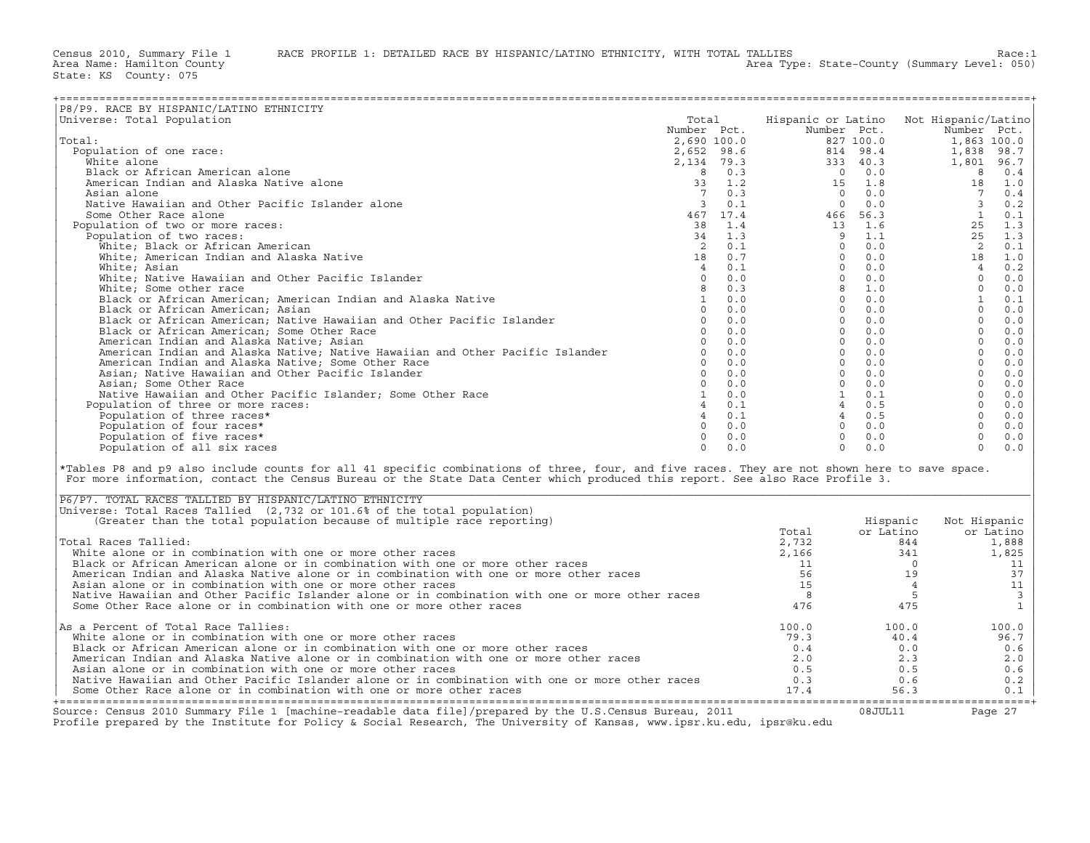Census 2010, Summary File 1 RACE PROFILE 1: DETAILED RACE BY HISPANIC/LATINO ETHNICITY, WITH TOTAL TALLIES Race: 1<br>Area Name: Hamilton County (summary Level: 050)

| P8/P9. RACE BY HISPANIC/LATINO ETHNICITY                                                                                                                                                                                                                                                                                                  |                |                                                                                            |                          |                       |                       |                |
|-------------------------------------------------------------------------------------------------------------------------------------------------------------------------------------------------------------------------------------------------------------------------------------------------------------------------------------------|----------------|--------------------------------------------------------------------------------------------|--------------------------|-----------------------|-----------------------|----------------|
| Universe: Total Population                                                                                                                                                                                                                                                                                                                | Total          |                                                                                            | Hispanic or Latino       |                       | Not Hispanic/Latino   |                |
|                                                                                                                                                                                                                                                                                                                                           | Number Pct.    |                                                                                            | Number Pct.              |                       | Number Pct.           |                |
| Total:                                                                                                                                                                                                                                                                                                                                    |                | 2,690 100.0                                                                                |                          | 827 100.0             | 1,863 100.0           |                |
| Population of one race:                                                                                                                                                                                                                                                                                                                   |                |                                                                                            | 2,652 98.6<br>2,134 79.3 | 814 98.4              | 1,838                 | 98.7           |
| White alone                                                                                                                                                                                                                                                                                                                               |                |                                                                                            |                          | 333 40.3              | 1,801                 | 96.7           |
| Black or African American alone                                                                                                                                                                                                                                                                                                           |                | $\begin{array}{cccc}\n & 8 & 0.3 \\  & 8 & 0.3 \\  & 33 & 1.2 \\  & 7 & 0.3\n \end{array}$ |                          | $0 \t 0.0$            | 8                     | 0.4            |
| American Indian and Alaska Native alone                                                                                                                                                                                                                                                                                                   |                |                                                                                            | 15<br>$\overline{0}$     | $1.8$<br>0.0          | 18<br>$7\overline{ }$ | 1.0            |
| Asian alone<br>Native Hawaiian and Other Pacific Islander alone                                                                                                                                                                                                                                                                           | 3              | 0.1                                                                                        | $\bigcirc$               | 0.0                   | $\overline{3}$        | 0.4            |
| Some Other Race alone                                                                                                                                                                                                                                                                                                                     |                | 467 17.4                                                                                   |                          | 466 56.3              | $\mathbf{1}$          | 0.2            |
| Population of two or more races:                                                                                                                                                                                                                                                                                                          | 38             | 1.4                                                                                        |                          | 13 1.6                | 25                    | 0.1<br>1.3     |
| Population of two races:                                                                                                                                                                                                                                                                                                                  | 34             | 1.3                                                                                        |                          | $9 \t 1.1$            | 25                    | 1.3            |
| White; Black or African American                                                                                                                                                                                                                                                                                                          | 2              | 0.1                                                                                        | $\Omega$                 | 0.0                   | 2                     | 0.1            |
| White; American Indian and Alaska Native                                                                                                                                                                                                                                                                                                  | 18             | 0.7                                                                                        | $\Omega$                 | 0.0                   | 18                    | 1.0            |
| White; Asian                                                                                                                                                                                                                                                                                                                              | $\overline{4}$ | 0.1                                                                                        | $\Omega$                 | 0.0                   | $\overline{4}$        | 0.2            |
| White; Native Hawaiian and Other Pacific Islander                                                                                                                                                                                                                                                                                         | $\overline{0}$ | 0.0                                                                                        |                          | $\Omega$<br>0.0       | $\Omega$              | 0.0            |
| White; Some other race                                                                                                                                                                                                                                                                                                                    | 8              | 0.3                                                                                        |                          | 8 1.0                 | $\circ$               | $0.0$          |
| Black or African American; American Indian and Alaska Native                                                                                                                                                                                                                                                                              | 1              | 0.0                                                                                        |                          | $0 \t 0.0$            | $\mathbf{1}$          | 0.1            |
| Black or African American; Asian                                                                                                                                                                                                                                                                                                          |                | $\Omega$<br>0.0                                                                            |                          | $0 \t 0.0$            | $\Omega$              | 0.0            |
| Black or African American; Native Hawaiian and Other Pacific Islander                                                                                                                                                                                                                                                                     | $\circ$        | 0.0                                                                                        | $\Omega$                 | 0.0                   | $\circ$               | 0.0            |
| Black or African American; Some Other Race                                                                                                                                                                                                                                                                                                |                | $\Omega$<br>0.0                                                                            | $\Omega$                 | 0.0                   | $\Omega$              | 0.0            |
| American Indian and Alaska Native; Asian                                                                                                                                                                                                                                                                                                  |                | 0<br>0.0                                                                                   |                          | $\overline{0}$<br>0.0 | $\circ$               | 0.0            |
| American Indian and Alaska Native; Native Hawaiian and Other Pacific Islander                                                                                                                                                                                                                                                             |                | $0 \t 0.0$                                                                                 | $\Omega$                 | 0.0                   | $\Omega$              | 0.0            |
| American Indian and Alaska Native; Some Other Race                                                                                                                                                                                                                                                                                        |                | 0<br>0.0                                                                                   |                          | $\overline{0}$<br>0.0 | $\circ$               | $0.0$          |
| Asian; Native Hawaiian and Other Pacific Islander                                                                                                                                                                                                                                                                                         | $\overline{0}$ | 0.0                                                                                        | $\circ$                  | 0.0                   | $\Omega$              | 0.0            |
| Asian; Some Other Race                                                                                                                                                                                                                                                                                                                    | $\Omega$       | 0.0                                                                                        |                          | $0 \t 0.0$            | $\Omega$              | 0.0            |
| Native Hawaiian and Other Pacific Islander; Some Other Race                                                                                                                                                                                                                                                                               |                | 1<br>0.0                                                                                   |                          | 1<br>0.1              | $\circ$               | 0.0            |
| Population of three or more races:                                                                                                                                                                                                                                                                                                        |                | $4 \t 0.1$                                                                                 |                          | 4 0.5                 | $\Omega$              | 0.0            |
| Population of three races*                                                                                                                                                                                                                                                                                                                |                | 40.1                                                                                       |                          | 40.5                  | $\Omega$              | $0.0$          |
| Population of four races*                                                                                                                                                                                                                                                                                                                 |                | 0<br>0.0                                                                                   |                          | $\Omega$<br>0.0       | $\circ$               | 0.0            |
| Population of five races*                                                                                                                                                                                                                                                                                                                 | $\circ$        | 0.0                                                                                        | $\Omega$                 | 0.0                   | $\circ$               | 0.0            |
| Population of all six races                                                                                                                                                                                                                                                                                                               | $\Omega$       | 0.0                                                                                        | $\Omega$                 | 0.0                   | $\Omega$              | 0.0            |
| *Tables P8 and p9 also include counts for all 41 specific combinations of three, four, and five races. They are not shown here to save space.<br>For more information, contact the Census Bureau or the State Data Center which produced this report. See also Race Profile 3.<br>P6/P7. TOTAL RACES TALLIED BY HISPANIC/LATINO ETHNICITY |                |                                                                                            |                          |                       |                       |                |
| Universe: Total Races Tallied (2,732 or 101.6% of the total population)                                                                                                                                                                                                                                                                   |                |                                                                                            |                          |                       |                       |                |
| (Greater than the total population because of multiple race reporting)                                                                                                                                                                                                                                                                    |                |                                                                                            |                          | Hispanic              | Not Hispanic          |                |
|                                                                                                                                                                                                                                                                                                                                           |                |                                                                                            | Total                    | or Latino             |                       | or Latino      |
| Total Races Tallied:                                                                                                                                                                                                                                                                                                                      |                |                                                                                            | 2,732                    | 844                   |                       | 1,888          |
| White alone or in combination with one or more other races                                                                                                                                                                                                                                                                                |                |                                                                                            | 2,166                    | 341                   |                       | 1,825          |
| Black or African American alone or in combination with one or more other races                                                                                                                                                                                                                                                            |                |                                                                                            | 11                       | $\overline{0}$        |                       | 11             |
| American Indian and Alaska Native alone or in combination with one or more other races                                                                                                                                                                                                                                                    |                |                                                                                            | 56                       | 19                    |                       | 37             |
| Asian alone or in combination with one or more other races                                                                                                                                                                                                                                                                                |                |                                                                                            | 15                       |                       | $\overline{4}$        | 11             |
| Native Hawaiian and Other Pacific Islander alone or in combination with one or more other races                                                                                                                                                                                                                                           |                |                                                                                            | 8                        |                       | - 5                   | $\overline{3}$ |
| Some Other Race alone or in combination with one or more other races                                                                                                                                                                                                                                                                      |                |                                                                                            | 476                      | 475                   |                       | $\mathbf{1}$   |
| As a Percent of Total Race Tallies:                                                                                                                                                                                                                                                                                                       |                |                                                                                            | 100.0                    | 100.0                 |                       | 100.0          |
| White alone or in combination with one or more other races                                                                                                                                                                                                                                                                                |                |                                                                                            | 79.3                     | 40.4                  |                       | 96.7           |
| Black or African American alone or in combination with one or more other races                                                                                                                                                                                                                                                            |                |                                                                                            | 0.4                      | 0.0                   |                       | 0.6            |
| American Indian and Alaska Native alone or in combination with one or more other races                                                                                                                                                                                                                                                    |                |                                                                                            | 2.0                      | 2.3                   |                       | 2.0            |
| Asian alone or in combination with one or more other races                                                                                                                                                                                                                                                                                |                |                                                                                            | 0.5                      | 0.5                   |                       | 0.6            |
| Native Hawaiian and Other Pacific Islander alone or in combination with one or more other races                                                                                                                                                                                                                                           |                |                                                                                            | 0.3                      | 0.6                   |                       | 0.2            |
| Some Other Race alone or in combination with one or more other races                                                                                                                                                                                                                                                                      |                |                                                                                            | 17.4                     | 56.3                  |                       | 0.1            |

| Source: Census 2010 Summary File 1 [machine-readable data file]/prepared by the U.S.Census Bureau, 2011                                                                 |             | 08JUL11     | Page 27      |
|-------------------------------------------------------------------------------------------------------------------------------------------------------------------------|-------------|-------------|--------------|
| Native Hawaiian and Other Pacific Islander alone or in combination with one or more other races<br>Some Other Race alone or in combination with one or more other races | 0.3<br>17.4 | 0.6<br>56.3 | 0.2<br>0.1   |
| Asian alone or in combination with one or more other races                                                                                                              | 0.5         | 0.5         | 0.6          |
| American Indian and Alaska Native alone or in combination with one or more other races                                                                                  | 2.0         | 2.3         | 2.0          |
| Black or African American alone or in combination with one or more other races                                                                                          | 0.4         | 0.0         | 0.6          |
| White alone or in combination with one or more other races                                                                                                              | 79.3        | 40.4        | 96.7         |
| As a Percent of Total Race Tallies:                                                                                                                                     | 100.0       | 100.0       | 100.0        |
| Some Other Race alone or in combination with one or more other races                                                                                                    | 476         | 475         |              |
| Native Hawaiian and Other Pacific Islander alone or in combination with one or more other races                                                                         |             |             |              |
| Asian alone or in combination with one or more other races                                                                                                              |             |             |              |
| American Indian and Alaska Native alone or in combination with one or more other races                                                                                  | 56          | 19          | 37           |
| Black or African American alone or in combination with one or more other races                                                                                          |             |             |              |
| White alone or in combination with one or more other races                                                                                                              | 2,166       | 341         | 1,825        |
| Total Races Tallied:                                                                                                                                                    | 2,732       | 844         | 1,888        |
|                                                                                                                                                                         | Total       | or Latino   | or Latino    |
| (Greater than the total population because of multiple race reporting)                                                                                                  |             | Hispanic    | Not Hispanic |
| Universe: Total Races Tallied (2,732 or 101.6% of the total population)                                                                                                 |             |             |              |
| P6/P7. TOTAL RACES TALLIED BY HISPANIC/LATINO ETHNICITY                                                                                                                 |             |             |              |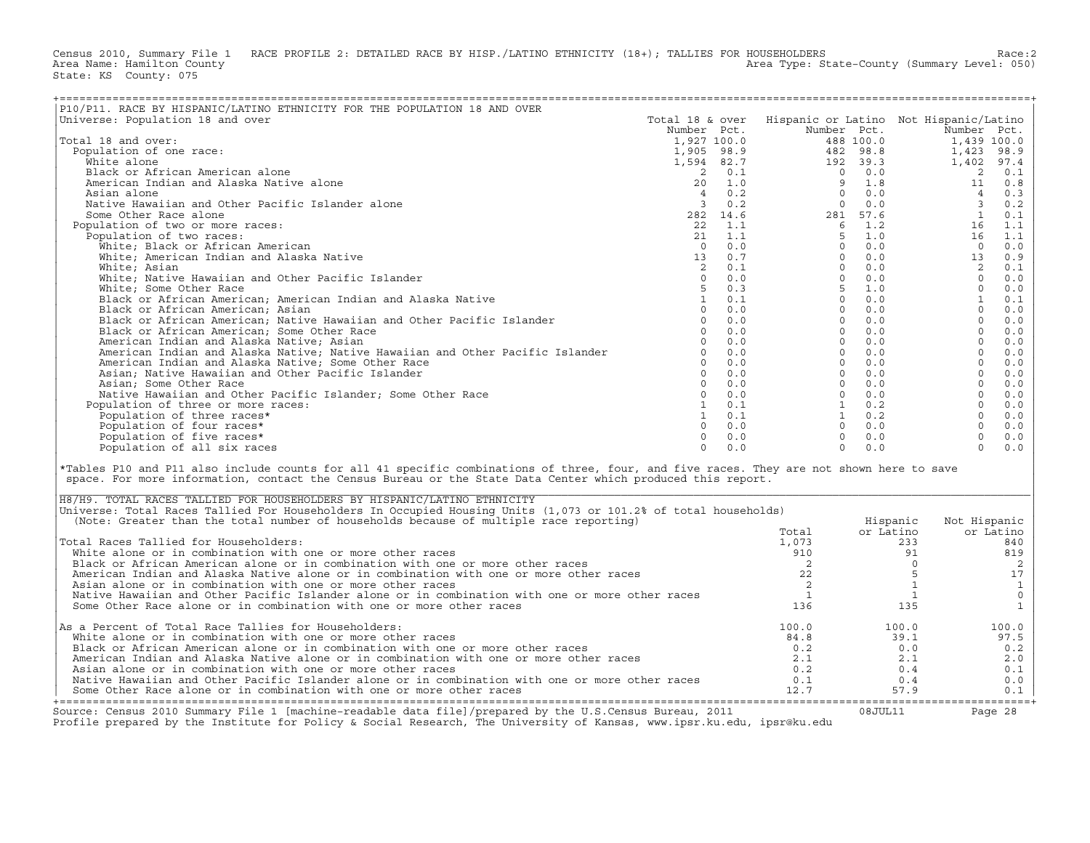Census 2010, Summary File 1 RACE PROFILE 2: DETAILED RACE BY HISP./LATINO ETHNICITY (18+); TALLIES FOR HOUSEHOLDERS<br>Area Name: Hamilton County Level: 050) Area Type: State-County (Summary Level: 050) State: KS County: 075

| P10/P11. RACE BY HISPANIC/LATINO ETHNICITY FOR THE POPULATION 18 AND OVER                                                                                                                                                                                                                                                           |                      |                                                                  |                                        |                            |                     |              |
|-------------------------------------------------------------------------------------------------------------------------------------------------------------------------------------------------------------------------------------------------------------------------------------------------------------------------------------|----------------------|------------------------------------------------------------------|----------------------------------------|----------------------------|---------------------|--------------|
| Universe: Population 18 and over                                                                                                                                                                                                                                                                                                    | Total 18 & over      |                                                                  | Hispanic or Latino Not Hispanic/Latino |                            |                     |              |
|                                                                                                                                                                                                                                                                                                                                     | Number Pct.          |                                                                  | Number Pct.                            |                            | Number Pct.         |              |
| Total 18 and over:                                                                                                                                                                                                                                                                                                                  | 1,927 100.0          |                                                                  |                                        | 488 100.0                  |                     | 1,439 100.0  |
| Population of one race:                                                                                                                                                                                                                                                                                                             | 1,905 98.9           |                                                                  |                                        | 482 98.8                   | 1,423               | 98.9         |
| White alone                                                                                                                                                                                                                                                                                                                         |                      | 1,594 82.7                                                       |                                        | 192 39.3                   | 1,402               | 97.4         |
| Black or African American alone                                                                                                                                                                                                                                                                                                     |                      |                                                                  |                                        | $0 \qquad 0.0$             | 2                   | 0.1          |
| American Indian and Alaska Native alone                                                                                                                                                                                                                                                                                             |                      |                                                                  | 9                                      |                            | 11                  | 0.8          |
| Asian alone                                                                                                                                                                                                                                                                                                                         |                      | $\begin{array}{rrrr} 2 & 0.1 \\ 20 & 1.0 \\ 4 & 0.2 \end{array}$ | $\circ$                                | $1.8$<br>0.0               | $\overline{4}$      | 0.3          |
| Native Hawaiian and Other Pacific Islander alone                                                                                                                                                                                                                                                                                    |                      | 30.2                                                             | $\Omega$                               | 0.0                        | $\overline{3}$      | 0.2          |
| Some Other Race alone                                                                                                                                                                                                                                                                                                               |                      | 282 14.6                                                         |                                        | 281 57.6                   | <sup>1</sup>        | 0.1          |
| Population of two or more races:                                                                                                                                                                                                                                                                                                    |                      | $22 \quad 1.1$                                                   |                                        | $6 \t1.2$                  | 16                  | 1.1          |
| Population of two races:                                                                                                                                                                                                                                                                                                            | 21                   | 1.1                                                              | 5                                      | 1.0                        | 16                  | 1.1          |
| White; Black or African American                                                                                                                                                                                                                                                                                                    | $\Omega$             | 0.0                                                              | $\Omega$                               | 0.0                        | $\Omega$            | 0.0          |
| White; American Indian and Alaska Native                                                                                                                                                                                                                                                                                            | 13                   | 0.7                                                              | $\Omega$                               | 0.0                        | 13                  | 0.9          |
| White; Asian                                                                                                                                                                                                                                                                                                                        | 2                    | 0.1                                                              | $\Omega$                               | 0.0                        | 2                   | 0.1          |
| White; Native Hawaiian and Other Pacific Islander                                                                                                                                                                                                                                                                                   | $\Omega$             | 0.0                                                              | $\Omega$                               | 0.0<br>$1.0$<br>0.0<br>0.0 | $\Omega$            | 0.0          |
| White; Some Other Race                                                                                                                                                                                                                                                                                                              | 5                    | 0.3                                                              | 5 <sup>7</sup><br>$\Omega$             |                            | $\circ$             | $0.0$        |
| Black or African American; American Indian and Alaska Native                                                                                                                                                                                                                                                                        | $\mathbf{1}$         | 0.1                                                              |                                        |                            | 1                   | 0.1          |
| Black or African American; Asian                                                                                                                                                                                                                                                                                                    | $\Omega$<br>$\Omega$ | 0.0<br>0.0                                                       | $\Omega$<br>$\Omega$                   | 0.0<br>0.0                 | $\Omega$<br>$\circ$ | 0.0          |
| Black or African American; Native Hawaiian and Other Pacific Islander                                                                                                                                                                                                                                                               | $\Omega$             | 0.0                                                              |                                        |                            | $\Omega$            | $0.0$        |
| Black or African American; Some Other Race                                                                                                                                                                                                                                                                                          | $\Omega$             | 0.0                                                              |                                        | $0 \t 0.0$<br>$0 \t 0.0$   | $\circ$             | 0.0          |
| American Indian and Alaska Native; Asian                                                                                                                                                                                                                                                                                            | $\Omega$             | 0.0                                                              |                                        | $0 \t 0.0$                 | $\circ$             | $0.0$        |
| American Indian and Alaska Native; Native Hawaiian and Other Pacific Islander<br>American Indian and Alaska Native; Some Other Race                                                                                                                                                                                                 | $\Omega$             | 0.0                                                              |                                        | $0 \qquad 0.0$             | $\circ$             | 0.0<br>$0.0$ |
| Asian; Native Hawaiian and Other Pacific Islander                                                                                                                                                                                                                                                                                   | $\Omega$             | 0.0                                                              |                                        | $0 \t 0.0$                 | $\Omega$            | 0.0          |
| Asian; Some Other Race                                                                                                                                                                                                                                                                                                              | $\Omega$             | 0.0                                                              |                                        | $0 \quad 0.0$              | $\Omega$            | 0.0          |
| Native Hawaiian and Other Pacific Islander; Some Other Race                                                                                                                                                                                                                                                                         | $\circ$              | 0.0                                                              |                                        | $0 \quad 0.0$              | $\circ$             | 0.0          |
| Population of three or more races:                                                                                                                                                                                                                                                                                                  |                      | $1 \t 0.1$                                                       |                                        | $1 \qquad 0.2$             | $\Omega$            | 0.0          |
| Population of three races*                                                                                                                                                                                                                                                                                                          |                      | $1 \t 0.1$                                                       |                                        | $1 \qquad 0.2$             | $\Omega$            | 0.0          |
| Population of four races*                                                                                                                                                                                                                                                                                                           | $\Omega$             | 0.0                                                              |                                        | $0 \t 0.0$                 | $\circ$             | 0.0          |
| Population of five races*                                                                                                                                                                                                                                                                                                           | $\Omega$             | 0.0                                                              | $\circ$                                | 0.0                        | $\circ$             | 0.0          |
| Population of all six races                                                                                                                                                                                                                                                                                                         | $\Omega$             | 0.0                                                              | $\Omega$                               | 0.0                        | $\Omega$            | 0.0          |
|                                                                                                                                                                                                                                                                                                                                     |                      |                                                                  |                                        |                            |                     |              |
| *Tables P10 and P11 also include counts for all 41 specific combinations of three, four, and five races. They are not shown here to save<br>space. For more information, contact the Census Bureau or the State Data Center which produced this report.<br>H8/H9. TOTAL RACES TALLIED FOR HOUSEHOLDERS BY HISPANIC/LATINO ETHNICITY |                      |                                                                  |                                        |                            |                     |              |
| Universe: Total Races Tallied For Householders In Occupied Housing Units (1,073 or 101.2% of total households)                                                                                                                                                                                                                      |                      |                                                                  |                                        |                            |                     |              |
| (Note: Greater than the total number of households because of multiple race reporting)                                                                                                                                                                                                                                              |                      |                                                                  |                                        | Hispanic                   | Not Hispanic        |              |
|                                                                                                                                                                                                                                                                                                                                     |                      |                                                                  | Total                                  | or Latino                  |                     | or Latino    |
| Total Races Tallied for Householders:                                                                                                                                                                                                                                                                                               |                      |                                                                  | 1,073                                  |                            | 233                 | 840          |
| White alone or in combination with one or more other races                                                                                                                                                                                                                                                                          |                      |                                                                  | 910                                    |                            | 91                  | 819          |
| Black or African American alone or in combination with one or more other races                                                                                                                                                                                                                                                      |                      |                                                                  | 2                                      |                            | $\circ$             | 2            |
| American Indian and Alaska Native alone or in combination with one or more other races                                                                                                                                                                                                                                              |                      |                                                                  | 22                                     |                            | 5                   | 17           |
| Asian alone or in combination with one or more other races                                                                                                                                                                                                                                                                          |                      |                                                                  | 2<br>$\mathbf{1}$                      |                            | 1                   | $\mathbf{1}$ |
| Native Hawaiian and Other Pacific Islander alone or in combination with one or more other races<br>Some Other Race alone or in combination with one or more other races                                                                                                                                                             |                      |                                                                  |                                        |                            | $\mathbf{1}$        | $\mathsf{O}$ |
|                                                                                                                                                                                                                                                                                                                                     |                      |                                                                  | 136                                    | 135                        |                     | $\mathbf{1}$ |
| As a Percent of Total Race Tallies for Householders:                                                                                                                                                                                                                                                                                |                      |                                                                  | 100.0                                  | 100.0                      |                     | 100.0        |
| White alone or in combination with one or more other races                                                                                                                                                                                                                                                                          |                      |                                                                  | 84.8                                   | 39.1                       |                     | 97.5         |
| Black or African American alone or in combination with one or more other races                                                                                                                                                                                                                                                      |                      |                                                                  | 0.2                                    |                            | 0.0                 | 0.2          |
| American Indian and Alaska Native alone or in combination with one or more other races                                                                                                                                                                                                                                              |                      |                                                                  | 2.1                                    |                            | 2.1                 | 2.0          |
| Asian alone or in combination with one or more other races                                                                                                                                                                                                                                                                          |                      |                                                                  | 0.2                                    | 0.4                        |                     | 0.1          |
| Native Hawaiian and Other Pacific Islander alone or in combination with one or more other races                                                                                                                                                                                                                                     |                      |                                                                  | 0.1                                    | 0.4                        |                     | 0.0          |
| Some Other Race alone or in combination with one or more other races                                                                                                                                                                                                                                                                |                      |                                                                  | 12.7                                   | 57.9                       |                     | 0.1          |

| H8/H9. TOTAL RACES TALLIED FOR HOUSEHOLDERS BY HISPANIC/LATINO ETHNICITY                                                                                                                                                          |       |           |              |
|-----------------------------------------------------------------------------------------------------------------------------------------------------------------------------------------------------------------------------------|-------|-----------|--------------|
| Universe: Total Races Tallied For Householders In Occupied Housing Units (1,073 or 101.2% of total households)                                                                                                                    |       |           |              |
| (Note: Greater than the total number of households because of multiple race reporting)                                                                                                                                            |       | Hispanic  | Not Hispanic |
|                                                                                                                                                                                                                                   | Total | or Latino | or Latino    |
| Total Races Tallied for Householders:                                                                                                                                                                                             | 1,073 | 233       | 840          |
| White alone or in combination with one or more other races                                                                                                                                                                        | 910   |           | 819          |
| Black or African American alone or in combination with one or more other races                                                                                                                                                    |       |           |              |
| American Indian and Alaska Native alone or in combination with one or more other races                                                                                                                                            |       |           |              |
| Asian alone or in combination with one or more other races                                                                                                                                                                        |       |           |              |
| Native Hawaiian and Other Pacific Islander alone or in combination with one or more other races                                                                                                                                   |       |           |              |
| Some Other Race alone or in combination with one or more other races                                                                                                                                                              | 136   | 135       |              |
|                                                                                                                                                                                                                                   |       |           |              |
| As a Percent of Total Race Tallies for Householders:                                                                                                                                                                              | 100.0 | 100.0     | 100.0        |
| White alone or in combination with one or more other races                                                                                                                                                                        | 84.8  | 39.1      | 97.5         |
| Black or African American alone or in combination with one or more other races                                                                                                                                                    | 0.2   | 0.0       | 0.2          |
| American Indian and Alaska Native alone or in combination with one or more other races                                                                                                                                            | 2.1   | 2.1       | 2.0          |
| Asian alone or in combination with one or more other races                                                                                                                                                                        | 0.2   | 0.4       | 0.1          |
| Native Hawaiian and Other Pacific Islander alone or in combination with one or more other races                                                                                                                                   | 0.1   | 0.4       | 0.0          |
| Some Other Race alone or in combination with one or more other races                                                                                                                                                              | 12.7  | 57.9      | 0.1          |
| Source: Census 2010 Summary File 1 [machine-readable data file]/prepared by the U.S.Census Bureau, 2011<br>Profile prepared by the Institute for Policy & Social Research, The University of Kansas, www.ipsr.ku.edu, ipsr@ku.edu |       | 08JUL11   | Page 28      |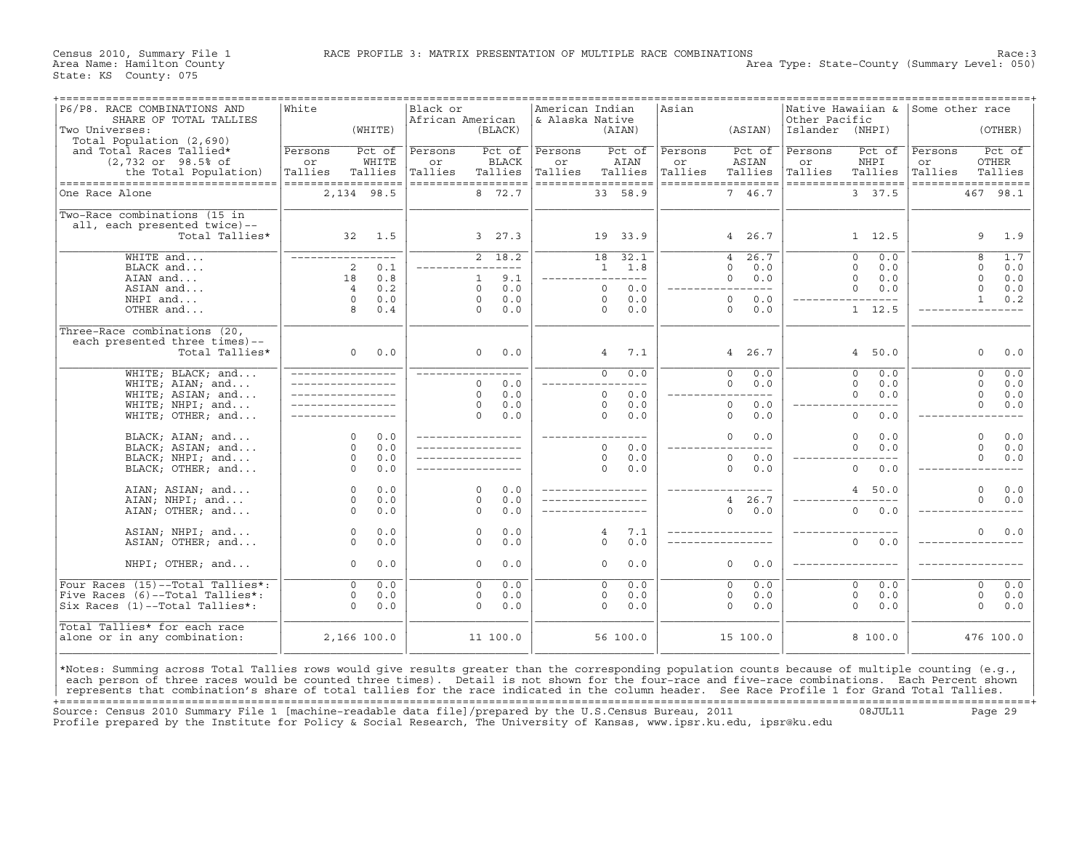Area Type: State-County (Summary Level: 050)

| P6/P8. RACE COMBINATIONS AND<br>SHARE OF TOTAL TALLIES                                                                                                                                                                                                                                              | White              |         | Black or<br>African American |                       | American Indian<br>& Alaska Native |                         | Asian   |                        | Other Pacific   | Native Hawaiian & Some other race |         |                       |
|-----------------------------------------------------------------------------------------------------------------------------------------------------------------------------------------------------------------------------------------------------------------------------------------------------|--------------------|---------|------------------------------|-----------------------|------------------------------------|-------------------------|---------|------------------------|-----------------|-----------------------------------|---------|-----------------------|
| Two Universes:<br>Total Population (2,690)                                                                                                                                                                                                                                                          |                    | (WHITE) |                              | (BLACK)               |                                    | (AIAN)                  |         | (ASIAN)                | Islander (NHPI) |                                   |         | (OTHER)               |
| and Total Races Tallied*                                                                                                                                                                                                                                                                            | Persons            | Pct of  | Persons                      | Pct of                | Persons                            | Pct of                  | Persons | Pct of                 | Persons         | Pct of                            | Persons | Pct of                |
| $(2,732$ or $98.5$ ° of                                                                                                                                                                                                                                                                             | or                 | WHITE   | or                           | BLACK                 | or                                 | AIAN                    | or      | ASIAN                  | or              | NHPI                              | or      | OTHER                 |
| the Total Population)                                                                                                                                                                                                                                                                               | Tallies            | Tallies | Tallies                      | Tallies               | Tallies                            | Tallies                 | Tallies | Tallies                | Tallies         | Tallies                           | Tallies | Tallies               |
| ----------------------------------                                                                                                                                                                                                                                                                  | ================== |         |                              | ------------------    |                                    | ==================      |         | ==================     |                 | ==================                |         | ------------------    |
| One Race Alone                                                                                                                                                                                                                                                                                      | 2,134 98.5         |         |                              | 8 72.7                |                                    | 33 58.9                 |         | 7 46.7                 |                 | 3 37.5                            |         | 467<br>98.1           |
| Two-Race combinations (15 in                                                                                                                                                                                                                                                                        |                    |         |                              |                       |                                    |                         |         |                        |                 |                                   |         |                       |
| all, each presented twice)--                                                                                                                                                                                                                                                                        |                    |         |                              |                       |                                    |                         |         |                        |                 |                                   |         |                       |
| Total Tallies*                                                                                                                                                                                                                                                                                      |                    | 32 1.5  |                              | 3, 27.3               |                                    | 19 33.9                 |         | 4 26.7                 |                 | $1 \quad 12.5$                    |         | 9<br>1.9              |
| $WHITE$ and                                                                                                                                                                                                                                                                                         | _________________  |         |                              | 2, 18.2               |                                    | $\overline{18}$<br>32.1 |         | 26.7<br>$\overline{4}$ |                 | 0.0<br>$\overline{0}$             |         | 8<br>1.7              |
| BLACK and                                                                                                                                                                                                                                                                                           | 2                  | 0.1     |                              | $---$                 |                                    | $1 \t 1.8$              |         | $\Omega$<br>0.0        |                 | $\Omega$<br>0.0                   |         | $\Omega$<br>0.0       |
| AIAN and                                                                                                                                                                                                                                                                                            | 18                 | 0.8     |                              | 9.1<br>$\mathbf{1}$   |                                    | -----------             |         | 0.0<br>$\Omega$        |                 | $\Omega$<br>0.0                   |         | $\Omega$<br>0.0       |
| ASIAN and                                                                                                                                                                                                                                                                                           | $\overline{4}$     | 0.2     |                              | 0.0<br>$\Omega$       |                                    | $\circ$<br>0.0          |         | $- - - -$              |                 | $\circ$<br>0.0                    |         | $\circ$<br>0.0        |
| NHPI and                                                                                                                                                                                                                                                                                            | $\circ$            | 0.0     |                              | 0.0<br>0              |                                    | $\Omega$<br>0.0         |         | $\circ$<br>0.0         |                 |                                   |         | $\mathbf{1}$<br>0.2   |
| OTHER and                                                                                                                                                                                                                                                                                           | 8                  | 0.4     |                              | $\Omega$<br>0.0       |                                    | $\Omega$<br>0.0         |         | $\Omega$<br>0.0        |                 | $1 \quad 12.5$                    |         |                       |
|                                                                                                                                                                                                                                                                                                     |                    |         |                              |                       |                                    |                         |         |                        |                 |                                   |         |                       |
| Three-Race combinations (20,                                                                                                                                                                                                                                                                        |                    |         |                              |                       |                                    |                         |         |                        |                 |                                   |         |                       |
| each presented three times)--                                                                                                                                                                                                                                                                       |                    |         |                              |                       |                                    |                         |         |                        |                 |                                   |         |                       |
| Total Tallies*                                                                                                                                                                                                                                                                                      | $\circ$            | 0.0     |                              | 0.0<br>$\Omega$       |                                    | 4<br>7.1                |         | 4 26.7                 |                 | 4 50.0                            |         | $\circ$<br>0.0        |
|                                                                                                                                                                                                                                                                                                     |                    |         |                              |                       |                                    |                         |         |                        |                 |                                   |         |                       |
| WHITE; BLACK; and                                                                                                                                                                                                                                                                                   | ________________   |         |                              |                       |                                    | $\overline{0}$<br>0.0   |         | $\overline{0}$<br>0.0  |                 | $\overline{0}$<br>0.0             |         | 0.0<br>$\circ$        |
| WHITE; AIAN; and                                                                                                                                                                                                                                                                                    |                    |         |                              | 0.0<br>$\Omega$       |                                    | $  -$                   |         | 0.0<br>$\Omega$        |                 | $\Omega$<br>0.0                   |         | $\Omega$<br>0.0       |
| WHITE; ASIAN; and                                                                                                                                                                                                                                                                                   |                    |         |                              | 0.0<br>$\Omega$       |                                    | 0.0<br>$\Omega$         |         | $---$                  |                 | $\Omega$<br>0.0                   |         | $\Omega$<br>0.0       |
| WHITE; NHPI; and                                                                                                                                                                                                                                                                                    |                    |         |                              | 0.0<br>$\mathbf 0$    |                                    | $\Omega$<br>0.0         |         | $\circ$<br>0.0         |                 | $- - -$                           |         | $\circ$<br>0.0        |
| WHITE; OTHER; and                                                                                                                                                                                                                                                                                   | _________________  |         |                              | 0.0<br>$\Omega$       |                                    | $\Omega$<br>0.0         |         | $\Omega$<br>0.0        |                 | $\circ$<br>0.0                    |         | ________              |
| BLACK; AIAN; and                                                                                                                                                                                                                                                                                    | $\Omega$           | 0.0     |                              |                       |                                    | $\frac{1}{2}$           |         | $\Omega$<br>0.0        |                 | 0.0<br>$\mathbf 0$                |         | 0.0<br>$\circ$        |
| BLACK; ASIAN; and                                                                                                                                                                                                                                                                                   | $\Omega$           | 0.0     |                              |                       |                                    | $\Omega$<br>0.0         |         |                        |                 | $\mathbf 0$<br>0.0                |         | $\Omega$<br>0.0       |
| BLACK; NHPI; and                                                                                                                                                                                                                                                                                    | $\circ$            | 0.0     |                              |                       |                                    | $\circ$<br>0.0          |         | $\circ$<br>0.0         |                 |                                   |         | $\circ$<br>0.0        |
| BLACK; OTHER; and                                                                                                                                                                                                                                                                                   | $\Omega$           | 0.0     |                              |                       |                                    | $\Omega$<br>0.0         |         | $\Omega$<br>0.0        |                 | $\Omega$<br>0.0                   |         |                       |
|                                                                                                                                                                                                                                                                                                     |                    |         |                              |                       |                                    |                         |         |                        |                 |                                   |         |                       |
| AIAN; ASIAN; and                                                                                                                                                                                                                                                                                    | $\circ$            | 0.0     |                              | $\Omega$<br>0.0       |                                    |                         |         | -----                  |                 | 4 50.0                            |         | $\circ$<br>0.0        |
| AIAN; NHPI; and                                                                                                                                                                                                                                                                                     | $\circ$            | 0.0     |                              | $\Omega$<br>0.0       |                                    |                         |         | 4 26.7                 |                 |                                   |         | $\Omega$<br>0.0       |
| AIAN; OTHER; and                                                                                                                                                                                                                                                                                    | $\Omega$           | 0.0     |                              | $\Omega$<br>0.0       |                                    |                         |         | $\Omega$<br>0.0        |                 | $\circ$<br>0.0                    |         |                       |
| ASIAN; NHPI; and                                                                                                                                                                                                                                                                                    | $\circ$            | 0.0     |                              | 0.0<br>$\circ$        |                                    | 7.1<br>4                |         |                        |                 |                                   |         | 0.0<br>$\Omega$       |
| ASIAN; OTHER; and                                                                                                                                                                                                                                                                                   | $\circ$            | 0.0     |                              | 0.0<br>$\Omega$       |                                    | $\Omega$<br>0.0         |         |                        |                 | $\mathbf{0}$<br>0.0               |         |                       |
|                                                                                                                                                                                                                                                                                                     |                    |         |                              |                       |                                    |                         |         |                        |                 |                                   |         |                       |
| NHPI; OTHER; and                                                                                                                                                                                                                                                                                    | $\circ$            | 0.0     |                              | $\circ$<br>0.0        |                                    | $\Omega$<br>0.0         |         | $\circ$<br>0.0         |                 |                                   |         |                       |
| Four Races (15)--Total Tallies*:                                                                                                                                                                                                                                                                    | $\overline{0}$     | 0.0     |                              | $\overline{0}$<br>0.0 |                                    | 0.0<br>$\overline{0}$   |         | 0.0<br>$\overline{0}$  |                 | $\overline{0}$<br>0.0             |         | $\overline{0}$<br>0.0 |
| Five Races (6)--Total Tallies*:                                                                                                                                                                                                                                                                     | $\Omega$           | 0.0     |                              | 0.0<br>$\Omega$       |                                    | $\Omega$<br>0.0         |         | $\circ$<br>0.0         |                 | $\mathbf 0$<br>0.0                |         | $\circ$<br>0.0        |
| Six Races (1)--Total Tallies*:                                                                                                                                                                                                                                                                      | $\Omega$           | 0.0     |                              | $\circ$<br>0.0        |                                    | $\Omega$<br>0.0         |         | $\circ$<br>0.0         |                 | $\Omega$<br>0.0                   |         | $\circ$<br>0.0        |
|                                                                                                                                                                                                                                                                                                     |                    |         |                              |                       |                                    |                         |         |                        |                 |                                   |         |                       |
| Total Tallies* for each race                                                                                                                                                                                                                                                                        |                    |         |                              |                       |                                    |                         |         |                        |                 |                                   |         |                       |
| alone or in any combination:                                                                                                                                                                                                                                                                        | 2,166 100.0        |         |                              | 11 100.0              |                                    | 56 100.0                |         | 15 100.0               |                 | 8 100.0                           |         | 476 100.0             |
| *Notes: Summing across Total Tallies rows would give results greater than the corresponding population counts because of multiple counting (e.g.,<br>each person of three races would be counted three times). Detail is not shown for the four-race and five-race combinations. Each Percent shown |                    |         |                              |                       |                                    |                         |         |                        |                 |                                   |         |                       |
| represents that combination's share of total tallies for the race indicated in the column header. See Race Profile 1 for Grand Total Tallies.                                                                                                                                                       |                    |         |                              |                       |                                    |                         |         |                        |                 |                                   |         |                       |

+===================================================================================================================================================+Source: Census 2010 Summary File 1 [machine−readable data file]/prepared by the U.S.Census Bureau, 2011 08JUL11 Page 29 Profile prepared by the Institute for Policy & Social Research, The University of Kansas, www.ipsr.ku.edu, ipsr@ku.edu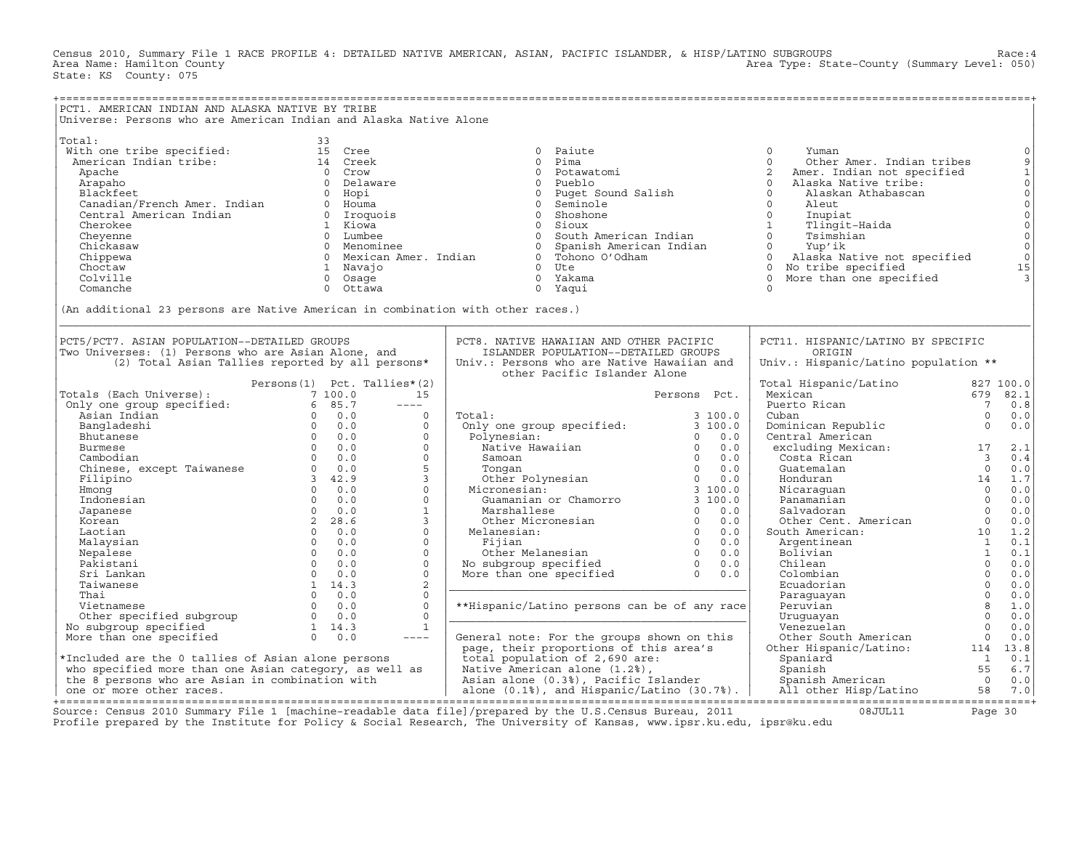Census 2010, Summary File 1 RACE PROFILE 4: DETAILED NATIVE AMERICAN, ASIAN, PACIFIC ISLANDER, & HISP/LATINO SUBGROUPS Race:4 Area Type: State-County (Summary Level: 050) State: KS County: 075

| PCT1. AMERICAN INDIAN AND ALASKA NATIVE BY TRIBE                                                                                                                                                                                                                                                                                                                                                                                                                            |                                   |                      |                                                                                                                                                                                                                                                                                                                                                                                                                                                                                 |              |                                                                                                                                                                                                                                                                          |                |                                                                                                                                                                                               |
|-----------------------------------------------------------------------------------------------------------------------------------------------------------------------------------------------------------------------------------------------------------------------------------------------------------------------------------------------------------------------------------------------------------------------------------------------------------------------------|-----------------------------------|----------------------|---------------------------------------------------------------------------------------------------------------------------------------------------------------------------------------------------------------------------------------------------------------------------------------------------------------------------------------------------------------------------------------------------------------------------------------------------------------------------------|--------------|--------------------------------------------------------------------------------------------------------------------------------------------------------------------------------------------------------------------------------------------------------------------------|----------------|-----------------------------------------------------------------------------------------------------------------------------------------------------------------------------------------------|
| Universe: Persons who are American Indian and Alaska Native Alone                                                                                                                                                                                                                                                                                                                                                                                                           |                                   |                      |                                                                                                                                                                                                                                                                                                                                                                                                                                                                                 |              |                                                                                                                                                                                                                                                                          |                |                                                                                                                                                                                               |
| Niverse: Persons who are and<br>Michine tribe specified:<br>Michine tribe specified: 15 Creek<br>American Indian tribe:<br>Apache do Data are and the composite of the control of the specified<br>2 American Apache (and in the speci                                                                                                                                                                                                                                      |                                   |                      |                                                                                                                                                                                                                                                                                                                                                                                                                                                                                 |              |                                                                                                                                                                                                                                                                          |                | $\circ$<br>$\overline{9}$<br>$\begin{array}{c} 1 \\ 0 \\ 0 \end{array}$<br>$\mathsf{O}$<br>$\mathsf{O}\xspace$<br>$_{\rm 0}^{\rm 0}$<br>$\mathsf{O}\xspace$<br>$\circ$<br>15<br>$\mathcal{F}$ |
|                                                                                                                                                                                                                                                                                                                                                                                                                                                                             |                                   |                      |                                                                                                                                                                                                                                                                                                                                                                                                                                                                                 |              |                                                                                                                                                                                                                                                                          |                |                                                                                                                                                                                               |
| PCT5/PCT7. ASIAN POPULATION--DETAILED GROUPS<br>Two Universes: (1) Persons who are Asian Alone, and<br>(2) Total Asian Tallies reported by all persons*                                                                                                                                                                                                                                                                                                                     |                                   |                      | PCT8. NATIVE HAWAIIAN AND OTHER PACIFIC<br>ISLANDER POPULATION--DETAILED GROUPS<br>Univ.: Persons who are Native Hawaiian and<br>other Pacific Islander Alone                                                                                                                                                                                                                                                                                                                   |              | PCT11. HISPANIC/LATINO BY SPECIFIC<br>ORIGIN<br>Univ.: Hispanic/Latino population **                                                                                                                                                                                     |                |                                                                                                                                                                                               |
| $\begin{tabular}{ c c c c } \hline \textbf{Totals (Each Universe)} & \textbf{Persons (1) Pct. Tallies*} \\ \hline \textbf{Only one group specified:} & 7 100.0 \\ \hline \textbf{Any an Indian} & 6 85.7 & ---- \\ \hline \textbf{Asian Indian} & 0 0.0 \\ \hline \textbf{Bnutanese} & 0 0.0 \\ \hline \textbf{Butamese} & 0 0.0 \\ \hline \textbf{Cmhoesi} & 0 0.0 \\ \hline \textbf{Chimese, except Taiwanese} & 0 0.0 \\ \hline \textbf{Chimese, except Taiwanese} & 0 $ | Persons $(1)$ Pct. Tallies* $(2)$ |                      |                                                                                                                                                                                                                                                                                                                                                                                                                                                                                 |              | Total Hispanic/Latino $827 100.0$<br>Mexican 679 82.1                                                                                                                                                                                                                    |                |                                                                                                                                                                                               |
|                                                                                                                                                                                                                                                                                                                                                                                                                                                                             |                                   | 15                   |                                                                                                                                                                                                                                                                                                                                                                                                                                                                                 | Persons Pct. |                                                                                                                                                                                                                                                                          | $\frac{3}{7}$  |                                                                                                                                                                                               |
|                                                                                                                                                                                                                                                                                                                                                                                                                                                                             |                                   | $\frac{1}{2}$        |                                                                                                                                                                                                                                                                                                                                                                                                                                                                                 |              | Puerto Rican                                                                                                                                                                                                                                                             |                | 0.8                                                                                                                                                                                           |
|                                                                                                                                                                                                                                                                                                                                                                                                                                                                             |                                   | $\Omega$             | Total:<br>$\begin{tabular}{llllllllll} \multicolumn{4}{l}{{\small\mbox{\small\sc Total}}}:\quad & & & & 3\ 100.0 \\ & & & & & 0\ 101 \\ & & & & 0\ 100.0 \\ & {\small\mbox{\small\sc Native\; Hawaii}}:\quad & & 0\ 0.0 \\ & {\small\mbox{\small\sc Native\; Hawaii}}:\quad & & 0\ 0.0 \\ & {\small\mbox{\small\sc Tongan\; }}\quad & & 0\ 0.0 \\ & {\small\mbox{\small\sc Tongan\; }}\quad & & 0\ 0.0 \\ & {\small\mbox{\small\sc Niconesian}}:\quad & & 0\ 0.0 \\ & {\small\$ | 3 100.0      | Cuban                                                                                                                                                                                                                                                                    | $\Omega$       | 0.0                                                                                                                                                                                           |
|                                                                                                                                                                                                                                                                                                                                                                                                                                                                             |                                   | $\Omega$<br>$\Omega$ |                                                                                                                                                                                                                                                                                                                                                                                                                                                                                 |              | Cominican Republic<br>Central American<br>excluding Mexican: 17<br>Costa Rican 13                                                                                                                                                                                        |                | 0.0                                                                                                                                                                                           |
|                                                                                                                                                                                                                                                                                                                                                                                                                                                                             |                                   | $\Omega$             |                                                                                                                                                                                                                                                                                                                                                                                                                                                                                 |              |                                                                                                                                                                                                                                                                          |                |                                                                                                                                                                                               |
|                                                                                                                                                                                                                                                                                                                                                                                                                                                                             |                                   | $\circ$              |                                                                                                                                                                                                                                                                                                                                                                                                                                                                                 |              | tra.<br>xcluding no.<br>Costa Rican<br>Guatemalan<br>Honduran<br>Micaraguan<br>Panamanian<br>Salvadoran<br>J Salvadoran<br>O 0.0<br>O 0.0<br>South American<br>O 0.0<br>South American<br>Argentinean<br>Talvian<br>D 1.<br>Argentinean<br>D 1.<br>O 0.0<br>O 0.0<br>O 0 |                |                                                                                                                                                                                               |
|                                                                                                                                                                                                                                                                                                                                                                                                                                                                             |                                   | 5                    |                                                                                                                                                                                                                                                                                                                                                                                                                                                                                 |              |                                                                                                                                                                                                                                                                          |                |                                                                                                                                                                                               |
|                                                                                                                                                                                                                                                                                                                                                                                                                                                                             |                                   | $\overline{3}$       |                                                                                                                                                                                                                                                                                                                                                                                                                                                                                 |              |                                                                                                                                                                                                                                                                          |                |                                                                                                                                                                                               |
|                                                                                                                                                                                                                                                                                                                                                                                                                                                                             |                                   | $\Omega$             |                                                                                                                                                                                                                                                                                                                                                                                                                                                                                 |              |                                                                                                                                                                                                                                                                          |                |                                                                                                                                                                                               |
|                                                                                                                                                                                                                                                                                                                                                                                                                                                                             |                                   | $\Omega$             |                                                                                                                                                                                                                                                                                                                                                                                                                                                                                 |              |                                                                                                                                                                                                                                                                          |                |                                                                                                                                                                                               |
|                                                                                                                                                                                                                                                                                                                                                                                                                                                                             |                                   | $\mathbf{1}$         |                                                                                                                                                                                                                                                                                                                                                                                                                                                                                 |              |                                                                                                                                                                                                                                                                          |                |                                                                                                                                                                                               |
|                                                                                                                                                                                                                                                                                                                                                                                                                                                                             |                                   | $\overline{3}$       |                                                                                                                                                                                                                                                                                                                                                                                                                                                                                 |              |                                                                                                                                                                                                                                                                          |                |                                                                                                                                                                                               |
|                                                                                                                                                                                                                                                                                                                                                                                                                                                                             |                                   | $\circ$              |                                                                                                                                                                                                                                                                                                                                                                                                                                                                                 |              |                                                                                                                                                                                                                                                                          |                |                                                                                                                                                                                               |
|                                                                                                                                                                                                                                                                                                                                                                                                                                                                             |                                   | $\circ$              |                                                                                                                                                                                                                                                                                                                                                                                                                                                                                 |              |                                                                                                                                                                                                                                                                          |                |                                                                                                                                                                                               |
|                                                                                                                                                                                                                                                                                                                                                                                                                                                                             |                                   | $\Omega$             |                                                                                                                                                                                                                                                                                                                                                                                                                                                                                 |              |                                                                                                                                                                                                                                                                          |                |                                                                                                                                                                                               |
|                                                                                                                                                                                                                                                                                                                                                                                                                                                                             |                                   | $\Omega$             |                                                                                                                                                                                                                                                                                                                                                                                                                                                                                 |              |                                                                                                                                                                                                                                                                          |                |                                                                                                                                                                                               |
|                                                                                                                                                                                                                                                                                                                                                                                                                                                                             |                                   | $\Omega$             |                                                                                                                                                                                                                                                                                                                                                                                                                                                                                 |              |                                                                                                                                                                                                                                                                          |                |                                                                                                                                                                                               |
|                                                                                                                                                                                                                                                                                                                                                                                                                                                                             |                                   | 2                    |                                                                                                                                                                                                                                                                                                                                                                                                                                                                                 |              |                                                                                                                                                                                                                                                                          |                |                                                                                                                                                                                               |
|                                                                                                                                                                                                                                                                                                                                                                                                                                                                             |                                   | $\Omega$             |                                                                                                                                                                                                                                                                                                                                                                                                                                                                                 |              | Paraquayan                                                                                                                                                                                                                                                               | $\overline{0}$ | 0.0                                                                                                                                                                                           |
|                                                                                                                                                                                                                                                                                                                                                                                                                                                                             |                                   | $\Omega$             | **Hispanic/Latino persons can be of any race                                                                                                                                                                                                                                                                                                                                                                                                                                    |              | Peruvian                                                                                                                                                                                                                                                                 |                | $8 \t 1.0$                                                                                                                                                                                    |
|                                                                                                                                                                                                                                                                                                                                                                                                                                                                             |                                   | $\Omega$             |                                                                                                                                                                                                                                                                                                                                                                                                                                                                                 |              | Uruquayan                                                                                                                                                                                                                                                                | $\overline{0}$ | 0.0                                                                                                                                                                                           |
|                                                                                                                                                                                                                                                                                                                                                                                                                                                                             |                                   | <sup>1</sup>         |                                                                                                                                                                                                                                                                                                                                                                                                                                                                                 |              | Venezuelan                                                                                                                                                                                                                                                               | $\overline{0}$ | 0.0                                                                                                                                                                                           |
|                                                                                                                                                                                                                                                                                                                                                                                                                                                                             |                                   |                      |                                                                                                                                                                                                                                                                                                                                                                                                                                                                                 |              |                                                                                                                                                                                                                                                                          |                |                                                                                                                                                                                               |
|                                                                                                                                                                                                                                                                                                                                                                                                                                                                             |                                   |                      |                                                                                                                                                                                                                                                                                                                                                                                                                                                                                 |              |                                                                                                                                                                                                                                                                          |                |                                                                                                                                                                                               |
|                                                                                                                                                                                                                                                                                                                                                                                                                                                                             |                                   |                      |                                                                                                                                                                                                                                                                                                                                                                                                                                                                                 |              |                                                                                                                                                                                                                                                                          |                |                                                                                                                                                                                               |
|                                                                                                                                                                                                                                                                                                                                                                                                                                                                             |                                   |                      |                                                                                                                                                                                                                                                                                                                                                                                                                                                                                 |              |                                                                                                                                                                                                                                                                          |                |                                                                                                                                                                                               |
|                                                                                                                                                                                                                                                                                                                                                                                                                                                                             |                                   |                      |                                                                                                                                                                                                                                                                                                                                                                                                                                                                                 |              |                                                                                                                                                                                                                                                                          |                |                                                                                                                                                                                               |
|                                                                                                                                                                                                                                                                                                                                                                                                                                                                             |                                   |                      |                                                                                                                                                                                                                                                                                                                                                                                                                                                                                 |              |                                                                                                                                                                                                                                                                          |                |                                                                                                                                                                                               |

Source: Census 2010 Summary File 1 [machine−readable data file]/prepared by the U.S.Census Bureau, 2011 08JUL11 Page 30 Profile prepared by the Institute for Policy & Social Research, The University of Kansas, www.ipsr.ku.edu, ipsr@ku.edu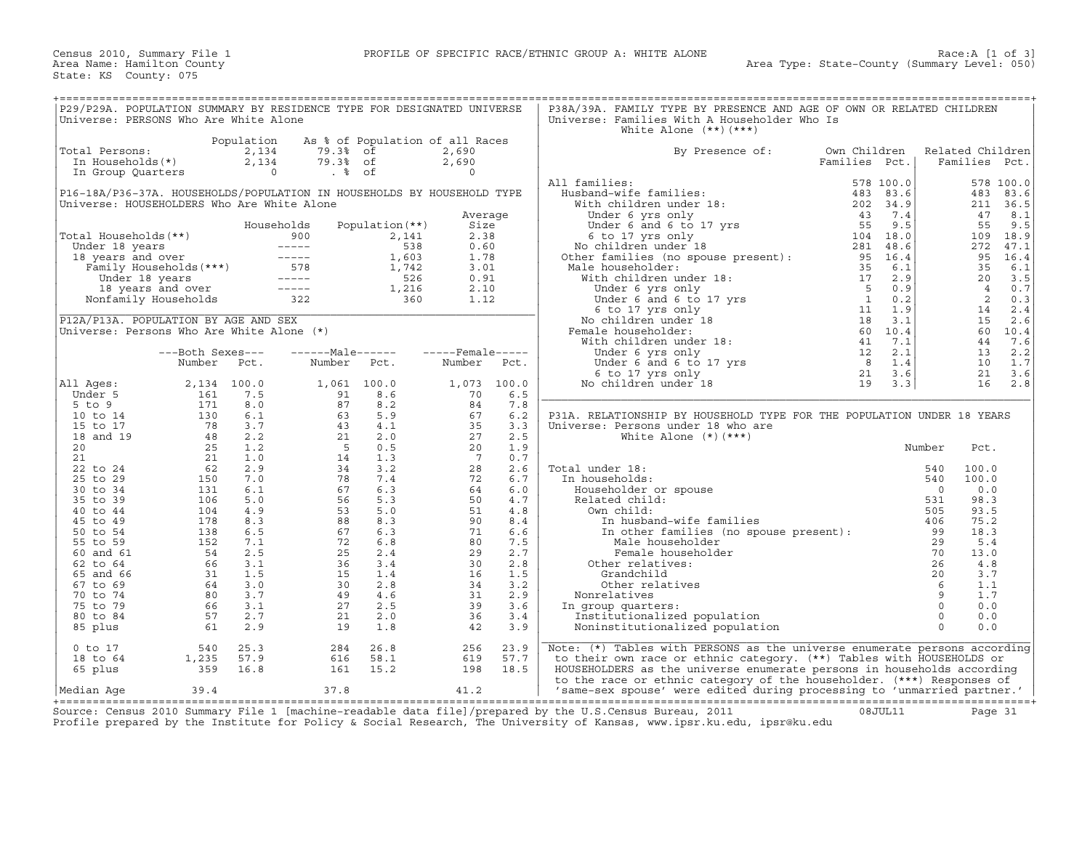| P29/P29A. POPULATION SUMMARY BY RESIDENCE TYPE FOR DESIGNATED UNIVERSE<br>Universe: PERSONS Who Are White Alone                                                                                                                                                                |                                                            |                              |                                               |                                 |                  |             | P38A/39A. FAMILY TYPE BY PRESENCE AND AGE OF OWN OR RELATED CHILDREN<br>Universe: Families With A Householder Who Is<br>White Alone $(**)$ $(***)$                                                                                                                                                                                                    |                               |         |                                   |                   |
|--------------------------------------------------------------------------------------------------------------------------------------------------------------------------------------------------------------------------------------------------------------------------------|------------------------------------------------------------|------------------------------|-----------------------------------------------|---------------------------------|------------------|-------------|-------------------------------------------------------------------------------------------------------------------------------------------------------------------------------------------------------------------------------------------------------------------------------------------------------------------------------------------------------|-------------------------------|---------|-----------------------------------|-------------------|
|                                                                                                                                                                                                                                                                                |                                                            |                              |                                               |                                 |                  |             |                                                                                                                                                                                                                                                                                                                                                       |                               |         |                                   |                   |
| Total Persons:<br>In Households(*)                                                                                                                                                                                                                                             |                                                            | Population<br>2,134<br>2,134 | 79.3% of<br>79.3% of                          | As % of Population of all Races | 2,690<br>2,690   |             | By Presence of:                                                                                                                                                                                                                                                                                                                                       | Own Children<br>Families Pct. |         | Related Children<br>Families Pct. |                   |
| In Group Quarters                                                                                                                                                                                                                                                              |                                                            | $\overline{0}$               | . %                                           |                                 | $\Omega$         |             |                                                                                                                                                                                                                                                                                                                                                       |                               |         |                                   |                   |
| P16-18A/P36-37A. HOUSEHOLDS/POPULATION IN HOUSEHOLDS BY HOUSEHOLD TYPE                                                                                                                                                                                                         |                                                            |                              |                                               |                                 |                  |             | All families:                                                                                                                                                                                                                                                                                                                                         | 578 100.0                     |         | 483                               | 578 100.0<br>83.6 |
| Universe: HOUSEHOLDERS Who Are White Alone                                                                                                                                                                                                                                     |                                                            |                              |                                               |                                 |                  |             |                                                                                                                                                                                                                                                                                                                                                       |                               |         |                                   | 211 36.5          |
|                                                                                                                                                                                                                                                                                |                                                            |                              |                                               |                                 | Average          |             |                                                                                                                                                                                                                                                                                                                                                       |                               |         | 47                                | 8.1               |
|                                                                                                                                                                                                                                                                                |                                                            |                              | Households                                    | Population $(**)$               | Size             |             |                                                                                                                                                                                                                                                                                                                                                       |                               |         | 55                                | 9.5               |
| Total Households(**)                                                                                                                                                                                                                                                           |                                                            |                              |                                               |                                 | 2.38             |             |                                                                                                                                                                                                                                                                                                                                                       |                               |         | 109                               | 18.9              |
|                                                                                                                                                                                                                                                                                |                                                            |                              |                                               |                                 | 0.60             |             |                                                                                                                                                                                                                                                                                                                                                       |                               |         | 272                               | 47.1              |
|                                                                                                                                                                                                                                                                                |                                                            |                              |                                               |                                 | 1.78             |             |                                                                                                                                                                                                                                                                                                                                                       |                               |         | 95                                | 16.4              |
|                                                                                                                                                                                                                                                                                |                                                            |                              |                                               |                                 | 3.01             |             |                                                                                                                                                                                                                                                                                                                                                       |                               |         | 35                                | 6.1               |
|                                                                                                                                                                                                                                                                                |                                                            |                              |                                               |                                 | 0.91             |             |                                                                                                                                                                                                                                                                                                                                                       |                               |         | 20                                | 3.5               |
|                                                                                                                                                                                                                                                                                |                                                            |                              |                                               |                                 | 2.10             |             |                                                                                                                                                                                                                                                                                                                                                       |                               |         | $\overline{4}$                    | 0.7               |
| otal Households (**)<br>Under 18 years<br>18 years and over<br>Family Households (***)<br>1603<br>2,141<br>1603<br>1603<br>1742<br>Under 18 years<br>1742<br>Under 18 years<br>1742<br>1742<br>1742<br>526<br>1742<br>526<br>1742<br>526<br>1742<br>526<br>1742<br>526<br>1742 |                                                            |                              |                                               |                                 |                  |             |                                                                                                                                                                                                                                                                                                                                                       |                               |         | $\overline{2}$                    | 0.3               |
|                                                                                                                                                                                                                                                                                |                                                            |                              |                                               |                                 | 1.12             |             |                                                                                                                                                                                                                                                                                                                                                       |                               |         |                                   |                   |
|                                                                                                                                                                                                                                                                                |                                                            |                              |                                               |                                 |                  |             |                                                                                                                                                                                                                                                                                                                                                       |                               |         | 14                                | 2.4               |
| P12A/P13A. POPULATION BY AGE AND SEX                                                                                                                                                                                                                                           |                                                            |                              |                                               |                                 |                  |             |                                                                                                                                                                                                                                                                                                                                                       |                               |         | 15                                | 2.6               |
| Universe: Persons Who Are White Alone (*)                                                                                                                                                                                                                                      |                                                            |                              |                                               |                                 |                  |             |                                                                                                                                                                                                                                                                                                                                                       |                               |         | 60                                | 10.4              |
|                                                                                                                                                                                                                                                                                |                                                            |                              |                                               |                                 |                  |             |                                                                                                                                                                                                                                                                                                                                                       |                               |         | 44                                | 7.6               |
|                                                                                                                                                                                                                                                                                | ---Both Sexes---                                           |                              | ------Male------                              |                                 | -----Female----- |             |                                                                                                                                                                                                                                                                                                                                                       |                               |         | 13                                | 2.2               |
|                                                                                                                                                                                                                                                                                | Number                                                     | Pct.                         | Number Pct.                                   |                                 | Number           | Pct.        |                                                                                                                                                                                                                                                                                                                                                       |                               |         | 10                                | 1.7               |
|                                                                                                                                                                                                                                                                                |                                                            |                              |                                               |                                 |                  |             |                                                                                                                                                                                                                                                                                                                                                       |                               |         | 21                                | 3.6               |
| All Ages:                                                                                                                                                                                                                                                                      |                                                            | 2,134 100.0                  | 1,061 100.0                                   |                                 |                  | 1,073 100.0 |                                                                                                                                                                                                                                                                                                                                                       |                               |         | 16                                | 2.8               |
| Under 5                                                                                                                                                                                                                                                                        | 161                                                        | 7.5                          | $\frac{91}{87}$                               | 8.6                             | 70               | 6.5         |                                                                                                                                                                                                                                                                                                                                                       |                               |         |                                   |                   |
| $5$ to $9$                                                                                                                                                                                                                                                                     | 171                                                        | 8.0                          |                                               | 8.2                             | 84               | 7.8         |                                                                                                                                                                                                                                                                                                                                                       |                               |         |                                   |                   |
| 10 to 14                                                                                                                                                                                                                                                                       | 130                                                        | 6.1                          |                                               | 5.9                             | 67               | 6.2         | P31A. RELATIONSHIP BY HOUSEHOLD TYPE FOR THE POPULATION UNDER 18 YEARS                                                                                                                                                                                                                                                                                |                               |         |                                   |                   |
| 15 to 17                                                                                                                                                                                                                                                                       |                                                            | 3.7                          |                                               | 4.1                             | 35               | 3.3         | Universe: Persons under 18 who are                                                                                                                                                                                                                                                                                                                    |                               |         |                                   |                   |
| 18 and 19                                                                                                                                                                                                                                                                      |                                                            | 2.2                          |                                               | 2.0                             | 27               | 2.5         | White Alone $(*)$ $(***)$                                                                                                                                                                                                                                                                                                                             |                               |         |                                   |                   |
| 20                                                                                                                                                                                                                                                                             | $\begin{array}{r} 130 \\ 78 \\ 48 \\ 25 \\ 21 \end{array}$ | 1.2                          | $63$<br>4 3<br>4 3<br>5<br>5<br>1 4<br>3<br>3 | 0.5                             | 20               | 1.9         |                                                                                                                                                                                                                                                                                                                                                       |                               | Number  | Pct.                              |                   |
| 21                                                                                                                                                                                                                                                                             |                                                            | 1.0                          |                                               | 1.3                             | $\overline{7}$   | 0.7         |                                                                                                                                                                                                                                                                                                                                                       |                               |         |                                   |                   |
| 22 to 24                                                                                                                                                                                                                                                                       | $rac{21}{62}$                                              | 2.9                          |                                               | 3.2                             | 28               | 2.6         | Total under 18:                                                                                                                                                                                                                                                                                                                                       |                               | 540     | 100.0                             |                   |
| 25 to 29                                                                                                                                                                                                                                                                       | 150                                                        | 7.0                          | 78                                            | 7.4                             | 72               | 6.7         | In households:                                                                                                                                                                                                                                                                                                                                        |                               | 540     | 100.0                             |                   |
| 30 to 34                                                                                                                                                                                                                                                                       | 131                                                        | 6.1                          | 67                                            | 6.3                             | 64               | 6.0         | Householder or spouse                                                                                                                                                                                                                                                                                                                                 |                               | $\circ$ | 0.0                               |                   |
| 35 to 39                                                                                                                                                                                                                                                                       | 106                                                        | 5.0                          | 56                                            | 5.3                             | 50               | 4.7         | Related child:                                                                                                                                                                                                                                                                                                                                        |                               | 531     | 98.3                              |                   |
| 40 to 44                                                                                                                                                                                                                                                                       | 104                                                        | 4.9                          | 53                                            | 5.0                             | 51               | 4.8         | Own child:                                                                                                                                                                                                                                                                                                                                            |                               | 505     | 93.5                              |                   |
| 45 to 49                                                                                                                                                                                                                                                                       | 178                                                        | 8.3                          | 88                                            | 8.3                             | 90               | 8.4         | In husband-wife families                                                                                                                                                                                                                                                                                                                              |                               | 406     | 75.2                              |                   |
| 50 to 54                                                                                                                                                                                                                                                                       | 138                                                        | 6.5                          | 67                                            | 6.3                             | 71               | 6.6         |                                                                                                                                                                                                                                                                                                                                                       |                               |         | 18.3                              |                   |
|                                                                                                                                                                                                                                                                                | 152                                                        | 7.1                          | 72                                            | 6.8                             | 80               | 7.5         |                                                                                                                                                                                                                                                                                                                                                       |                               |         | 5.4                               |                   |
| 55 to 59                                                                                                                                                                                                                                                                       |                                                            |                              |                                               |                                 |                  |             |                                                                                                                                                                                                                                                                                                                                                       |                               |         |                                   |                   |
| 60 and 61                                                                                                                                                                                                                                                                      | 54                                                         | 2.5                          | 25                                            | 2.4                             | 29               | 2.7         |                                                                                                                                                                                                                                                                                                                                                       |                               |         | 13.0                              |                   |
| 62 to 64                                                                                                                                                                                                                                                                       | 66                                                         | 3.1                          | 36                                            | 3.4                             | 30               | 2.8         | Other relatives:                                                                                                                                                                                                                                                                                                                                      |                               |         | 4.8                               |                   |
| 65 and 66                                                                                                                                                                                                                                                                      |                                                            | 1.5                          | 15                                            | 1.4                             | 16               | 1.5         |                                                                                                                                                                                                                                                                                                                                                       |                               |         | 3.7                               |                   |
| 67 to 69                                                                                                                                                                                                                                                                       |                                                            | 3.0                          | 30                                            | 2.8                             | 34               | 3.2         |                                                                                                                                                                                                                                                                                                                                                       |                               |         | 1.1                               |                   |
| 70 to 74                                                                                                                                                                                                                                                                       |                                                            | 3.7                          | 49                                            | 4.6                             | 31               | 2.9         | Nonrelatives                                                                                                                                                                                                                                                                                                                                          |                               |         | 1.7                               |                   |
| 75 to 79                                                                                                                                                                                                                                                                       | $\frac{31}{64}$<br>$\frac{80}{66}$                         | 3.1                          | 27                                            | 2.5                             | 39               | 3.6         | In group quarters:                                                                                                                                                                                                                                                                                                                                    |                               |         | 0.0                               |                   |
| 80 to 84                                                                                                                                                                                                                                                                       | 57                                                         | 2.7                          | 21                                            | 2.0                             | 36               | 3.4         | Institutionalized population                                                                                                                                                                                                                                                                                                                          |                               |         | 0.0                               |                   |
| 85 plus                                                                                                                                                                                                                                                                        | 61                                                         | 2.9                          | 19                                            | 1.8                             | 42               | 3.9         | $\begin{tabular}{l l l l} {l l l} {n} {n} {m} {s} {m} {n} {d} {n} {d} {n} {d} {n} {d} {n} {d} {n} {d} {n} {d} {n} {d} {n} {d} {n} {d} {n} {d} {n} {d} {n} {d} {n} {d} {n} {d} {n} {d} {n} {d} {n} {d} {n} {d} {n} {d} {n} {d} {n} {d} {n} {d} {n} {d} {n} {d} {n} {d} {n} {d} {n} {d} {n} {d} {n} {d} {n} {d} {n}$<br>Noninstitutionalized population |                               |         | 0.0                               |                   |
| $0$ to $17$                                                                                                                                                                                                                                                                    | 540                                                        | 25.3                         | 284                                           | 26.8                            | 256              | 23.9        | Note: $(*)$ Tables with PERSONS as the universe enumerate persons according                                                                                                                                                                                                                                                                           |                               |         |                                   |                   |
| 18 to 64                                                                                                                                                                                                                                                                       | 1,235                                                      | 57.9                         | 616                                           | 58.1                            | 619              | 57.7        | to their own race or ethnic category. (**) Tables with HOUSEHOLDS or                                                                                                                                                                                                                                                                                  |                               |         |                                   |                   |
| 65 plus                                                                                                                                                                                                                                                                        | 359                                                        | 16.8                         | 161                                           | 15.2                            | 198              | 18.5        | HOUSEHOLDERS as the universe enumerate persons in households according                                                                                                                                                                                                                                                                                |                               |         |                                   |                   |
|                                                                                                                                                                                                                                                                                |                                                            |                              |                                               |                                 |                  |             | to the race or ethnic category of the householder. (***) Responses of                                                                                                                                                                                                                                                                                 |                               |         |                                   |                   |
| Median Aqe                                                                                                                                                                                                                                                                     | 39.4                                                       |                              | 37.8                                          |                                 | 41.2             |             | 'same-sex spouse' were edited during processing to 'unmarried partner.'                                                                                                                                                                                                                                                                               |                               |         |                                   |                   |

+===================================================================================================================================================+ Source: Census 2010 Summary File 1 [machine−readable data file]/prepared by the U.S.Census Bureau, 2011 08JUL11 Page 31 Profile prepared by the Institute for Policy & Social Research, The University of Kansas, www.ipsr.ku.edu, ipsr@ku.edu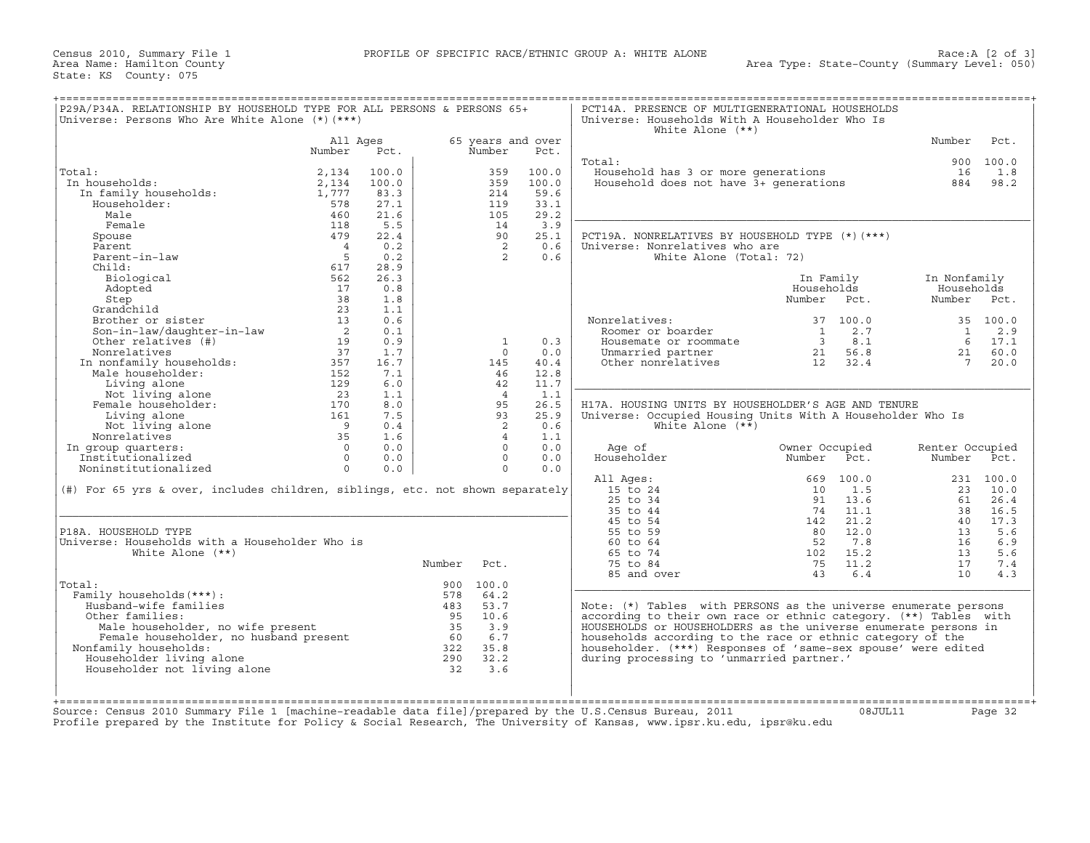| Universe: Persons Who Are White Alone (*) (***)                                                                                                                                                                                                                                        |                                       |       |                       |                       | Universe: Households With A Householder Who Is<br>White Alone $(**)$                                                 |                                                        |                 |            |
|----------------------------------------------------------------------------------------------------------------------------------------------------------------------------------------------------------------------------------------------------------------------------------------|---------------------------------------|-------|-----------------------|-----------------------|----------------------------------------------------------------------------------------------------------------------|--------------------------------------------------------|-----------------|------------|
|                                                                                                                                                                                                                                                                                        | All Ages                              |       |                       | 65 years and over     |                                                                                                                      |                                                        | Number          | Pct.       |
|                                                                                                                                                                                                                                                                                        | Number                                | Pct.  | Number                | Pct.                  |                                                                                                                      |                                                        |                 |            |
|                                                                                                                                                                                                                                                                                        |                                       |       |                       |                       | Total:                                                                                                               |                                                        |                 | 900 100.0  |
| Total:<br>al:<br>1 households:<br>In family households:<br>2 december 2020                                                                                                                                                                                                             | 2,134                                 | 100.0 |                       | 359<br>100.0          | Fousehold has 3 or more generations<br>Household does not have 3+ generations                                        |                                                        | 16              | 1.8        |
| In households:                                                                                                                                                                                                                                                                         | 2,134                                 | 100.0 |                       | 359<br>100.0          |                                                                                                                      |                                                        |                 | 884 98.2   |
|                                                                                                                                                                                                                                                                                        | 1,777                                 | 83.3  |                       | 214<br>59.6           |                                                                                                                      |                                                        |                 |            |
| Householder:                                                                                                                                                                                                                                                                           | 578                                   | 27.1  |                       | 119<br>33.1           |                                                                                                                      |                                                        |                 |            |
| Male                                                                                                                                                                                                                                                                                   | 460                                   | 21.6  |                       | 105<br>29.2           |                                                                                                                      |                                                        |                 |            |
| Female                                                                                                                                                                                                                                                                                 | 118                                   | 5.5   |                       | 3.9<br>14             |                                                                                                                      |                                                        |                 |            |
| Spouse                                                                                                                                                                                                                                                                                 | 479                                   | 22.4  |                       | 90<br>25.1            | PCT19A. NONRELATIVES BY HOUSEHOLD TYPE (*) (***)                                                                     |                                                        |                 |            |
| Parent                                                                                                                                                                                                                                                                                 | $\begin{array}{c} 4 \\ 5 \end{array}$ | 0.2   |                       | $\overline{2}$<br>0.6 | Universe: Nonrelatives who are                                                                                       |                                                        |                 |            |
| Parent-in-law<br>Parent-in-law                                                                                                                                                                                                                                                         |                                       | 0.2   |                       | 2<br>0.6              | White Alone (Total: 72)                                                                                              |                                                        |                 |            |
| Child:                                                                                                                                                                                                                                                                                 | 617                                   | 28.9  |                       |                       |                                                                                                                      |                                                        |                 |            |
| Biological                                                                                                                                                                                                                                                                             | 562                                   | 26.3  |                       |                       |                                                                                                                      | In Family                                              | In Nonfamily    |            |
| Adopted                                                                                                                                                                                                                                                                                | 17                                    | 0.8   |                       |                       |                                                                                                                      | Households                                             | Households      |            |
| Step                                                                                                                                                                                                                                                                                   | 38                                    | 1.8   |                       |                       |                                                                                                                      | Number Pct.                                            | Number Pct.     |            |
| Grandchild                                                                                                                                                                                                                                                                             | 23                                    | 1.1   |                       |                       |                                                                                                                      |                                                        |                 |            |
|                                                                                                                                                                                                                                                                                        |                                       | 0.6   |                       |                       | Nonrelatives:                                                                                                        | 37 100.0                                               |                 | 35 100.0   |
|                                                                                                                                                                                                                                                                                        |                                       | 0.1   |                       |                       |                                                                                                                      |                                                        | $1 \qquad 2.9$  |            |
|                                                                                                                                                                                                                                                                                        |                                       | 0.9   |                       | 0.3<br>$\mathbf{1}$   | Roomer or boarder<br>Housemate or roommate<br>3 8.1<br>Unmarried partner<br>21 56.8<br>Other nonrelatives<br>12 32.4 |                                                        | 6 17.1          |            |
|                                                                                                                                                                                                                                                                                        |                                       | 1.7   |                       | $\Omega$<br>0.0       |                                                                                                                      |                                                        | 21 60.0         |            |
|                                                                                                                                                                                                                                                                                        |                                       |       |                       | 145<br>40.4           |                                                                                                                      |                                                        | 7 20.0          |            |
|                                                                                                                                                                                                                                                                                        |                                       | 16.7  |                       |                       |                                                                                                                      |                                                        |                 |            |
|                                                                                                                                                                                                                                                                                        |                                       | 7.1   |                       | 12.8<br>46            |                                                                                                                      |                                                        |                 |            |
|                                                                                                                                                                                                                                                                                        |                                       | 6.0   |                       | 42<br>11.7            |                                                                                                                      |                                                        |                 |            |
|                                                                                                                                                                                                                                                                                        |                                       | 1.1   |                       | 1.1<br>$\overline{4}$ |                                                                                                                      |                                                        |                 |            |
|                                                                                                                                                                                                                                                                                        |                                       | 8.0   |                       | 95<br>26.5            | H17A. HOUSING UNITS BY HOUSEHOLDER'S AGE AND TENURE                                                                  |                                                        |                 |            |
| Grandchild 23<br>Brother or sister 13<br>Son-in-law daughter-in-law 2<br>Other relatives (#) 19<br>Nonrelatives (#) 19<br>Nonrelatives (#) 19<br>Nonrelatives 37<br>In nonfamily households: 357<br>Male householder: 152<br>Living alone 123<br>M                                     |                                       | 7.5   |                       | 93<br>25.9            | Universe: Occupied Housing Units With A Householder Who Is                                                           |                                                        |                 |            |
|                                                                                                                                                                                                                                                                                        |                                       | 0.4   |                       | $\overline{2}$<br>0.6 | White Alone $(**)$                                                                                                   |                                                        |                 |            |
|                                                                                                                                                                                                                                                                                        |                                       | 1.6   |                       | 1.1<br>$\overline{4}$ |                                                                                                                      |                                                        |                 |            |
| In group quarters:                                                                                                                                                                                                                                                                     | $\begin{matrix}0\\0\end{matrix}$      | 0.0   |                       | $\Omega$<br>0.0       | Age of                                                                                                               | Owner Occupied                                         | Renter Occupied |            |
| Institutionalized                                                                                                                                                                                                                                                                      |                                       | 0.0   |                       | $\Omega$<br>0.0       | Householder                                                                                                          | Number<br>Pct.                                         | Number          | Pct.       |
| Noninstitutionalized                                                                                                                                                                                                                                                                   | $\Omega$                              | 0.0   |                       | $\Omega$<br>0.0       |                                                                                                                      |                                                        |                 |            |
|                                                                                                                                                                                                                                                                                        |                                       |       |                       |                       | All Ages:                                                                                                            | 669 100.0                                              |                 | 231 100.0  |
|                                                                                                                                                                                                                                                                                        |                                       |       |                       |                       | $15 \text{ to } 24$                                                                                                  | 1.5<br>$\frac{10}{91}$                                 | 23 10.0         |            |
|                                                                                                                                                                                                                                                                                        |                                       |       |                       |                       | $25$ to $34$                                                                                                         | 13.6                                                   | 61              | 26.4       |
|                                                                                                                                                                                                                                                                                        |                                       |       |                       |                       |                                                                                                                      |                                                        |                 | 38 16.5    |
|                                                                                                                                                                                                                                                                                        |                                       |       |                       |                       | 35 to 44                                                                                                             | 11.1                                                   |                 | 17.3       |
|                                                                                                                                                                                                                                                                                        |                                       |       |                       |                       | 45 to 54                                                                                                             | 21.2                                                   | 40              |            |
|                                                                                                                                                                                                                                                                                        |                                       |       |                       |                       | 55 to 59                                                                                                             | 12.0                                                   | 13              | 5.6        |
|                                                                                                                                                                                                                                                                                        |                                       |       |                       |                       | 60 to 64                                                                                                             | 7.8                                                    | 16              | 6.9        |
|                                                                                                                                                                                                                                                                                        |                                       |       |                       |                       |                                                                                                                      | $\begin{array}{r} 142 \\ 80 \\ 52 \end{array}$<br>15.2 | 13              | 5.6        |
| White Alone $(**)$                                                                                                                                                                                                                                                                     |                                       |       |                       |                       | 65 to 74                                                                                                             | 102                                                    | 17              |            |
|                                                                                                                                                                                                                                                                                        |                                       |       | Number Pct.           |                       | 75 to 84                                                                                                             | 75<br>11.2                                             | 10              |            |
|                                                                                                                                                                                                                                                                                        |                                       |       |                       |                       | 85 and over                                                                                                          | 43<br>6.4                                              |                 |            |
|                                                                                                                                                                                                                                                                                        |                                       |       | 900 100.0<br>578 64.2 |                       |                                                                                                                      |                                                        |                 |            |
|                                                                                                                                                                                                                                                                                        |                                       |       |                       |                       |                                                                                                                      |                                                        |                 |            |
| Husband-wife families                                                                                                                                                                                                                                                                  |                                       |       | 483 53.7              |                       | Note: $(*)$ Tables with PERSONS as the universe enumerate persons                                                    |                                                        |                 |            |
| Other families:                                                                                                                                                                                                                                                                        |                                       |       |                       |                       | according to their own race or ethnic category. (**) Tables with                                                     |                                                        |                 |            |
|                                                                                                                                                                                                                                                                                        |                                       |       |                       |                       | HOUSEHOLDS or HOUSEHOLDERS as the universe enumerate persons in                                                      |                                                        |                 |            |
|                                                                                                                                                                                                                                                                                        |                                       |       |                       |                       | households according to the race or ethnic category of the                                                           |                                                        |                 |            |
| (#) For 65 yrs & over, includes children, siblings, etc. not shown separately<br>P18A. HOUSEHOLD TYPE<br>Universe: Households with a Householder Who is<br>Total:<br>Family households (***) :<br>Nonfamily households:                                                                |                                       |       |                       |                       | householder. (***) Responses of 'same-sex spouse' were edited                                                        |                                                        |                 |            |
| Householder living alone                                                                                                                                                                                                                                                               |                                       |       |                       |                       | during processing to 'unmarried partner.'                                                                            |                                                        |                 | 7.4<br>4.3 |
| male householder, no wife present<br>Female householder, no husband present<br>Female householder, no husband present<br>Family households:<br>1322 35.8<br>1322 35.8<br>1322 35.8<br>1322 35.8<br>1322 32.2<br>1323 32.2<br>1323 32.2<br>132 32.2<br><br>Householder not living alone |                                       |       |                       |                       |                                                                                                                      |                                                        |                 |            |

Source: Census 2010 Summary File 1 [machine−readable data file]/prepared by the U.S.Census Bureau, 2011 08JUL11 Page 32 Profile prepared by the Institute for Policy & Social Research, The University of Kansas, www.ipsr.ku.edu, ipsr@ku.edu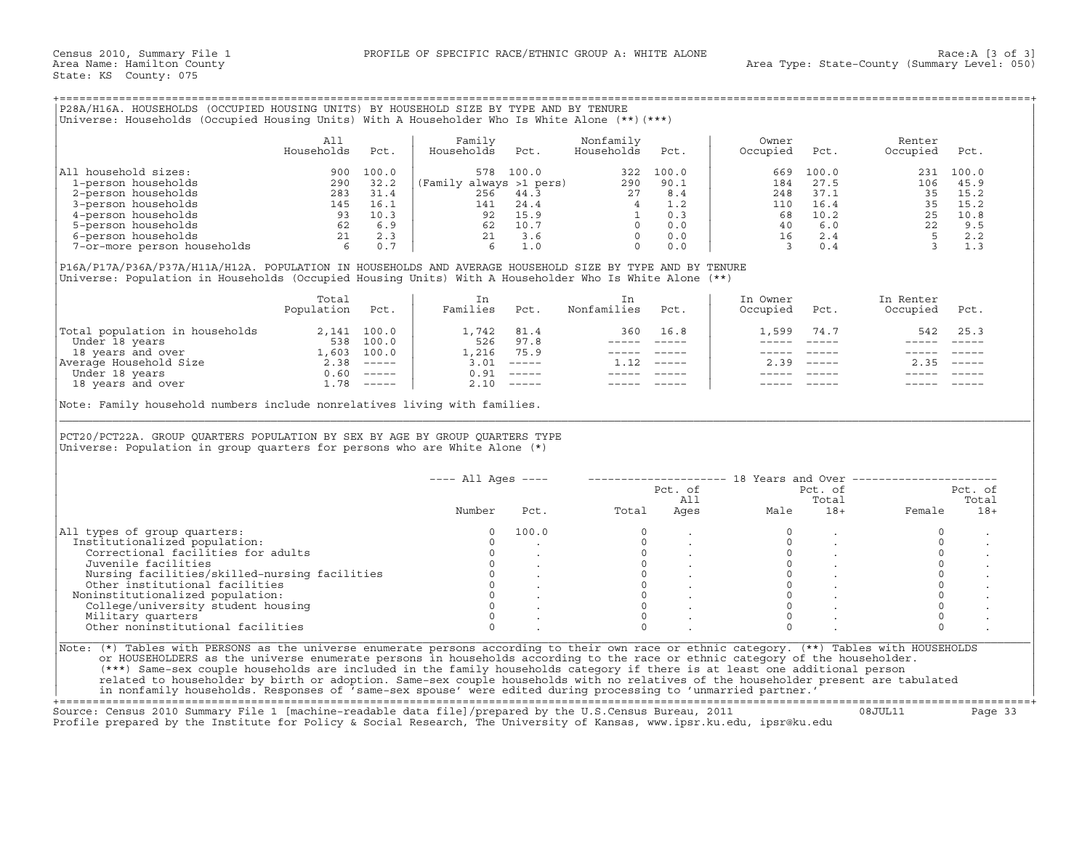## +===================================================================================================================================================+

|                             | Ali<br>Households | Pct.  | Family<br>Households    | Pct.  | Nonfamily<br>Households | Pct.  | Owner<br>Occupied | Pct.  | Renter<br>Occupied | Pct.      |
|-----------------------------|-------------------|-------|-------------------------|-------|-------------------------|-------|-------------------|-------|--------------------|-----------|
| household sizes:<br> All    | 900               | 100.0 | 578                     | 100.0 | 322                     | 100.0 | 669               | 100.0 |                    | 231 100.0 |
| 1-person households         | 290               | 32.2  | (Family always >1 pers) |       | 290                     | 90.1  | 184               | 27.5  | 106                | 45.9      |
| 2-person households         | 283               | 31.4  | 256                     | 44.3  | 27                      | 8.4   | 248               | 37.1  | 35                 | 15.2      |
| 3-person households         | 145               | 16.1  | 141                     | 24.4  |                         | 1.2   | 110               | 16.4  | 35.                | 15.2      |
| 4-person households         | 93                | 10.3  | 92                      | 15.9  |                         | 0.3   | 68                | 10.2  | 25                 | 10.8      |
| 5-person households         | 62                | 6.9   | 62                      | 10.7  |                         | 0.0   | 40                | 6.0   | 22                 | 9.5       |
| 6-person households         | 21                | 2.3   | 21                      | 3.6   |                         | 0.0   | 16                | 2.4   |                    | 2.2       |
| 7-or-more person households |                   | 0.7   |                         | 1.0   |                         | 0.0   |                   | 0.4   |                    |           |

|                                | Total<br>Population | Pct.     | Families | Pct.                      | Nonfamilies | Pct.                      | In Owner<br>Occupied | Pct.          | In Renter<br>Occupied | Pct.                      |
|--------------------------------|---------------------|----------|----------|---------------------------|-------------|---------------------------|----------------------|---------------|-----------------------|---------------------------|
| Total population in households | 2,141               | 100.0    | ⊥,742    | 81.4                      | 360         | 16.8                      | 1,599                | 74.7          | 542                   | 25.3                      |
| Under 18 years                 | 538                 | 100.0    | 526      | 97.8                      |             |                           |                      |               |                       |                           |
| 18 years and over              | L,603               | 100.0    | 1,216    | 75.9                      |             |                           |                      |               |                       |                           |
| Average Household Size         | 2.38                | $------$ | 3.01     | $------$                  |             | $\qquad \qquad - - - - -$ | 2.39                 | $- - - - - -$ | 2.35                  | $\qquad \qquad - - - - -$ |
| Under 18 years                 | 0.60                | $------$ | 0.91     | $\qquad \qquad - - - - -$ |             |                           |                      |               |                       |                           |
| 18 years and over              | ⊥.78                | $------$ | 2.10     | $------$                  |             |                           |                      |               |                       |                           |

|                                                                                                                                                                                                                                                                                                                                                                                                                                                               | All<br>Households | Pct. | Family<br>Households                                    | Pct.                                                                    | Nonfamily<br>Households                   | Pct.                                                                     | Owner<br>Occupied       | Pct.                                   | Renter<br>Occupied                                           | Pct.             |
|---------------------------------------------------------------------------------------------------------------------------------------------------------------------------------------------------------------------------------------------------------------------------------------------------------------------------------------------------------------------------------------------------------------------------------------------------------------|-------------------|------|---------------------------------------------------------|-------------------------------------------------------------------------|-------------------------------------------|--------------------------------------------------------------------------|-------------------------|----------------------------------------|--------------------------------------------------------------|------------------|
| All household sizes:                                                                                                                                                                                                                                                                                                                                                                                                                                          |                   |      |                                                         | 578 100.0                                                               |                                           | 322 100.0                                                                | 669                     | 100.0                                  |                                                              | 231 100.0        |
|                                                                                                                                                                                                                                                                                                                                                                                                                                                               |                   |      | (Family always >1 pers) $290$ 90.1<br>256 44.3 $27$ 8.4 |                                                                         |                                           |                                                                          | 184                     | 27.5                                   | 106                                                          | 45.9             |
|                                                                                                                                                                                                                                                                                                                                                                                                                                                               |                   |      |                                                         |                                                                         |                                           |                                                                          | 248                     | 37.1                                   |                                                              | 35 15.2          |
|                                                                                                                                                                                                                                                                                                                                                                                                                                                               |                   |      |                                                         | 141 24.4                                                                |                                           | $\begin{bmatrix} 4 & 1.2 \\ 1 & 0.3 \\ 0 & 0.0 \\ 0 & 0.0 \end{bmatrix}$ | 110                     | 16.4                                   |                                                              | 35 15.2          |
|                                                                                                                                                                                                                                                                                                                                                                                                                                                               |                   |      |                                                         | $\begin{array}{ccc} 92 & 15.9 \\ 62 & 10.7 \\ 21 & 3.6 \end{array}$     |                                           |                                                                          | 68                      | 10.2                                   |                                                              | 25 10.8          |
|                                                                                                                                                                                                                                                                                                                                                                                                                                                               |                   |      |                                                         |                                                                         |                                           |                                                                          | 40                      | 6.0                                    |                                                              | 9.5              |
|                                                                                                                                                                                                                                                                                                                                                                                                                                                               |                   |      |                                                         |                                                                         |                                           |                                                                          | 16                      | 2.4                                    |                                                              | 2.2              |
|                                                                                                                                                                                                                                                                                                                                                                                                                                                               |                   |      | $6\overline{6}$                                         | 1.0                                                                     | $\Omega$                                  | 0.0                                                                      | $\overline{\mathbf{3}}$ | 0.4                                    | $\begin{array}{c} 22 \\ 22 \\ 5 \\ 3 \end{array}$            | 1.3              |
| P16A/P17A/P36A/P37A/H11A/H12A. POPULATION IN HOUSEHOLDS AND AVERAGE HOUSEHOLD SIZE BY TYPE AND BY TENURE<br>Universe: Population in Households (Occupied Housing Units) With A Householder Who Is White Alone (**)                                                                                                                                                                                                                                            |                   |      |                                                         |                                                                         |                                           |                                                                          |                         |                                        |                                                              |                  |
|                                                                                                                                                                                                                                                                                                                                                                                                                                                               | Total             |      | In                                                      |                                                                         | In                                        |                                                                          | In Owner                |                                        | In Renter                                                    |                  |
|                                                                                                                                                                                                                                                                                                                                                                                                                                                               | Population Pct.   |      | Families Pct.                                           |                                                                         | Nonfamilies                               | Pct.                                                                     | Occupied                | Pct.                                   | Occupied                                                     | Pct.             |
|                                                                                                                                                                                                                                                                                                                                                                                                                                                               |                   |      | 1,742 81.4                                              |                                                                         |                                           | 360 16.8                                                                 | 1,599                   | 74.7                                   | 542                                                          | 25.3             |
|                                                                                                                                                                                                                                                                                                                                                                                                                                                               |                   |      | 526 97.8                                                |                                                                         |                                           |                                                                          | $- - - - -$             | $------$                               | $------$                                                     | $\frac{1}{2}$    |
|                                                                                                                                                                                                                                                                                                                                                                                                                                                               |                   |      |                                                         | 1,216 75.9                                                              |                                           | ----- -----                                                              |                         | ----- -----                            | ------                                                       |                  |
|                                                                                                                                                                                                                                                                                                                                                                                                                                                               |                   |      | $3.01$ -----                                            |                                                                         | $1.12$ -----                              |                                                                          |                         | $2.39$ -----                           |                                                              | $2.35 - - - - -$ |
|                                                                                                                                                                                                                                                                                                                                                                                                                                                               |                   |      |                                                         |                                                                         |                                           |                                                                          |                         |                                        |                                                              |                  |
|                                                                                                                                                                                                                                                                                                                                                                                                                                                               |                   |      |                                                         |                                                                         |                                           |                                                                          |                         |                                        |                                                              |                  |
| $\begin{tabular}{ l l l } \hline \texttt{Total population in households} & 2,141 & 100.0 \\ \hline \texttt{Under 18 years} & 538 & 100.0 \\ 18 years and over & 1,603 & 100.0 \\ \hline \texttt{Average Household Size} & 2.38 & \texttt{---} \\ \hline \texttt{Under 18 years} & 0.60 & \texttt{---} \\ \hline \texttt{18 years} & 1.78 & \texttt{---} \\ \hline \end{tabular}$<br>Note: Family household numbers include nonrelatives living with families. |                   |      |                                                         | $0.91$ -----<br>$2.10$ -----                                            |                                           |                                                                          |                         |                                        |                                                              |                  |
|                                                                                                                                                                                                                                                                                                                                                                                                                                                               |                   |      |                                                         |                                                                         |                                           |                                                                          |                         |                                        |                                                              |                  |
| PCT20/PCT22A. GROUP QUARTERS POPULATION BY SEX BY AGE BY GROUP QUARTERS TYPE<br>Universe: Population in group quarters for persons who are White Alone (*)                                                                                                                                                                                                                                                                                                    |                   |      | $---$ All Ages $---$                                    |                                                                         |                                           |                                                                          |                         |                                        | -------------------- 18 Years and Over --------------------- |                  |
|                                                                                                                                                                                                                                                                                                                                                                                                                                                               |                   |      |                                                         |                                                                         |                                           |                                                                          |                         | Pct. of                                |                                                              | Pct. of          |
|                                                                                                                                                                                                                                                                                                                                                                                                                                                               |                   |      |                                                         |                                                                         |                                           | Pct. of<br>All                                                           |                         | Total                                  |                                                              | Total            |
|                                                                                                                                                                                                                                                                                                                                                                                                                                                               |                   |      | Number                                                  | Pct.                                                                    | Total                                     | Ages                                                                     | Male                    | $18+$                                  | Female                                                       | $18+$            |
|                                                                                                                                                                                                                                                                                                                                                                                                                                                               |                   |      |                                                         |                                                                         |                                           |                                                                          |                         |                                        |                                                              |                  |
|                                                                                                                                                                                                                                                                                                                                                                                                                                                               |                   |      | $\Omega$<br>$\Omega$                                    | 100.0                                                                   | $\Omega$<br>$\Omega$                      |                                                                          | $\Omega$<br>$\Omega$    |                                        | $\circ$<br>$\Omega$                                          |                  |
|                                                                                                                                                                                                                                                                                                                                                                                                                                                               |                   |      |                                                         |                                                                         |                                           |                                                                          |                         |                                        |                                                              |                  |
| Correctional facilities for adults                                                                                                                                                                                                                                                                                                                                                                                                                            |                   |      | $\circ$                                                 |                                                                         |                                           |                                                                          | $\circ$                 |                                        | $\circ$                                                      |                  |
| Juvenile facilities                                                                                                                                                                                                                                                                                                                                                                                                                                           |                   |      |                                                         | $0 \qquad \qquad$<br>$\sim$                                             |                                           |                                                                          |                         | $\overline{0}$<br>$\ddot{\phantom{a}}$ | $\mathsf O$                                                  |                  |
| Nursing facilities/skilled-nursing facilities                                                                                                                                                                                                                                                                                                                                                                                                                 |                   |      |                                                         |                                                                         | $\begin{matrix} 0 \\ 0 \\ 0 \end{matrix}$ |                                                                          | $\Omega$                |                                        | $\Omega$                                                     |                  |
| Other institutional facilities                                                                                                                                                                                                                                                                                                                                                                                                                                |                   |      |                                                         |                                                                         | $\overline{0}$                            |                                                                          | $\circ$                 |                                        | $\circ$                                                      |                  |
|                                                                                                                                                                                                                                                                                                                                                                                                                                                               |                   |      |                                                         | $\begin{matrix} 0 & & \cdot \\ 0 & & \cdot \\ 0 & & \cdot \end{matrix}$ | $\Omega$                                  |                                                                          | $\Omega$                |                                        | $\circ$                                                      |                  |
| All types of group quarters:<br>Institutionalized population:<br>Noninstitutionalized population:<br>College/university student housing                                                                                                                                                                                                                                                                                                                       |                   |      | $\Omega$                                                |                                                                         | $\Omega$                                  |                                                                          | $\Omega$                |                                        | $\circ$                                                      |                  |
| Military quarters                                                                                                                                                                                                                                                                                                                                                                                                                                             |                   |      | $\Omega$                                                |                                                                         | $\Omega$                                  |                                                                          | $\Omega$                |                                        | $\Omega$                                                     |                  |
| Other noninstitutional facilities                                                                                                                                                                                                                                                                                                                                                                                                                             |                   |      | $\Omega$                                                |                                                                         | $\Omega$                                  |                                                                          | $\Omega$                |                                        | $\Omega$                                                     |                  |
|                                                                                                                                                                                                                                                                                                                                                                                                                                                               |                   |      |                                                         |                                                                         |                                           |                                                                          |                         |                                        |                                                              |                  |
| Note: (*) Tables with PERSONS as the universe enumerate persons according to their own race or ethnic category. (**) Tables with HOUSEHOLDS<br>or HOUSEHOLDERS as the universe enumerate persons in households according to the race or ethnic category of the householder.                                                                                                                                                                                   |                   |      |                                                         |                                                                         |                                           |                                                                          |                         |                                        |                                                              |                  |

+===================================================================================================================================================+Source: Census 2010 Summary File 1 [machine−readable data file]/prepared by the U.S.Census Bureau, 2011 08JUL11 Page 33 Profile prepared by the Institute for Policy & Social Research, The University of Kansas, www.ipsr.ku.edu, ipsr@ku.edu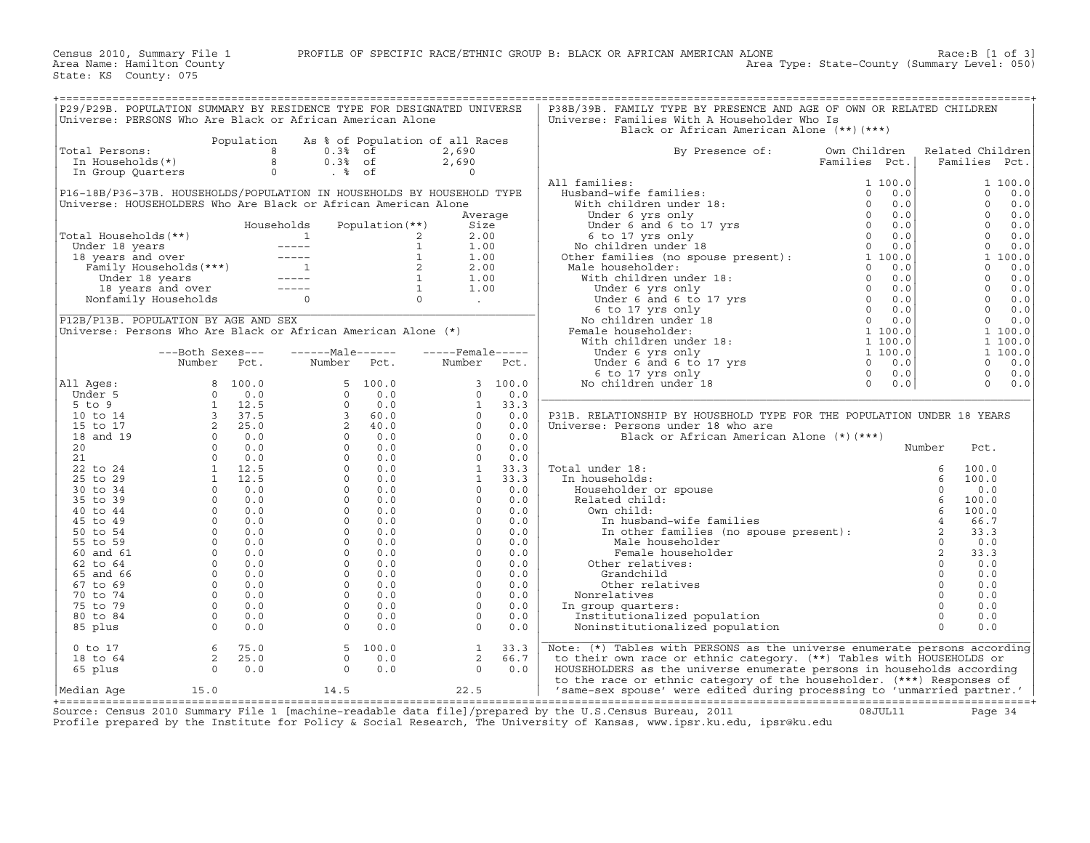Census 2010, Summary File 1 PROFILE OF SPECIFIC RACE/ETHNIC GROUP B: BLACK OR AFRICAN AMERICAN ALONE Race:B [1 of 3]<br>Area Name: Hamilton County Level: 050) Area Type: State-County (Summary Level: 050)

| P29/P29B. POPULATION SUMMARY BY RESIDENCE TYPE FOR DESIGNATED UNIVERSE |                                                                                                                                                                                                                                                                 |            |                                                                                                                                                                                     |                 |                                 |         | P38B/39B. FAMILY TYPE BY PRESENCE AND AGE OF OWN OR RELATED CHILDREN                                                                                                                                                                             |                       |                |                     |
|------------------------------------------------------------------------|-----------------------------------------------------------------------------------------------------------------------------------------------------------------------------------------------------------------------------------------------------------------|------------|-------------------------------------------------------------------------------------------------------------------------------------------------------------------------------------|-----------------|---------------------------------|---------|--------------------------------------------------------------------------------------------------------------------------------------------------------------------------------------------------------------------------------------------------|-----------------------|----------------|---------------------|
| Universe: PERSONS Who Are Black or African American Alone              |                                                                                                                                                                                                                                                                 |            |                                                                                                                                                                                     |                 |                                 |         | Universe: Families With A Householder Who Is                                                                                                                                                                                                     |                       |                |                     |
|                                                                        |                                                                                                                                                                                                                                                                 |            |                                                                                                                                                                                     |                 |                                 |         | Black or African American Alone (**)(***)                                                                                                                                                                                                        |                       |                |                     |
|                                                                        |                                                                                                                                                                                                                                                                 | Population |                                                                                                                                                                                     |                 |                                 |         |                                                                                                                                                                                                                                                  |                       |                |                     |
|                                                                        |                                                                                                                                                                                                                                                                 |            |                                                                                                                                                                                     |                 | As % of Population of all Races |         |                                                                                                                                                                                                                                                  |                       |                |                     |
| Total Persons:                                                         |                                                                                                                                                                                                                                                                 |            | 8<br>$0.3%$ of                                                                                                                                                                      |                 | 2,690                           |         | By Presence of:                                                                                                                                                                                                                                  | Own Children          |                | Related Children    |
| In Households(*)                                                       |                                                                                                                                                                                                                                                                 |            | 8<br>$0.3%$ of                                                                                                                                                                      |                 | 2,690                           |         |                                                                                                                                                                                                                                                  | Families Pct.         |                | Families Pct.       |
| In Group Quarters                                                      |                                                                                                                                                                                                                                                                 |            | $\circ$<br>. % of                                                                                                                                                                   |                 | $\Omega$                        |         |                                                                                                                                                                                                                                                  |                       |                |                     |
|                                                                        |                                                                                                                                                                                                                                                                 |            |                                                                                                                                                                                     |                 |                                 |         | All families:                                                                                                                                                                                                                                    | 1 100.0               |                | 1 100.0             |
| P16-18B/P36-37B. HOUSEHOLDS/POPULATION IN HOUSEHOLDS BY HOUSEHOLD TYPE |                                                                                                                                                                                                                                                                 |            |                                                                                                                                                                                     |                 |                                 |         |                                                                                                                                                                                                                                                  |                       |                | $\Omega$<br>0.0     |
| Universe: HOUSEHOLDERS Who Are Black or African American Alone         |                                                                                                                                                                                                                                                                 |            |                                                                                                                                                                                     |                 |                                 |         |                                                                                                                                                                                                                                                  |                       |                | $\Omega$<br>0.0     |
|                                                                        |                                                                                                                                                                                                                                                                 |            |                                                                                                                                                                                     |                 |                                 | Average |                                                                                                                                                                                                                                                  |                       |                | $\Omega$<br>0.0     |
|                                                                        |                                                                                                                                                                                                                                                                 |            | Households                                                                                                                                                                          | Population (**) | Size                            |         |                                                                                                                                                                                                                                                  |                       |                | $\Omega$<br>0.0     |
|                                                                        |                                                                                                                                                                                                                                                                 |            |                                                                                                                                                                                     |                 |                                 |         |                                                                                                                                                                                                                                                  |                       |                | $\Omega$            |
| Total Households (**)                                                  |                                                                                                                                                                                                                                                                 |            |                                                                                                                                                                                     |                 | 2.00<br>2                       |         |                                                                                                                                                                                                                                                  |                       |                | 0.0                 |
| Under 18 years                                                         |                                                                                                                                                                                                                                                                 |            |                                                                                                                                                                                     |                 | $\mathbf{1}$<br>1.00            |         |                                                                                                                                                                                                                                                  |                       |                | $\Omega$<br>0.0     |
| 18 years and over                                                      |                                                                                                                                                                                                                                                                 |            |                                                                                                                                                                                     |                 | $\mathbf{1}$<br>1.00            |         | 1 Hamilton:<br>Husband-wife families:<br>With children under 18:<br>Under 6 yrs only<br>Under 6 and 6 to 17 yrs<br>6 to 17 yrs only<br>8 only<br>No children under 18<br>Other families (no spouse present):<br>More families (no spouse present |                       |                | 1 100.0             |
|                                                                        |                                                                                                                                                                                                                                                                 |            |                                                                                                                                                                                     |                 | 2<br>2.00                       |         | Male householder:                                                                                                                                                                                                                                | 0.0                   |                | $\Omega$<br>0.0     |
|                                                                        |                                                                                                                                                                                                                                                                 |            |                                                                                                                                                                                     |                 | $\overline{1}$<br>1.00          |         |                                                                                                                                                                                                                                                  | 0.0                   |                | $\mathbf{0}$<br>0.0 |
|                                                                        |                                                                                                                                                                                                                                                                 |            | And the years and over<br>8 years and over<br>Family Households (***)<br>Under 18 years and over<br>18 years and over<br>18 years and over<br>18 years and over<br>Nonfamily Victor |                 | $\overline{1}$<br>1.00          |         |                                                                                                                                                                                                                                                  | 0.0                   |                | $\Omega$<br>0.0     |
|                                                                        | 18 years and over ---<br>>nfamily Households<br>Nonfamily Households                                                                                                                                                                                            |            | $\Omega$                                                                                                                                                                            |                 | $\Omega$<br><b>Contractor</b>   |         |                                                                                                                                                                                                                                                  | 0.0                   |                | $\Omega$<br>0.0     |
|                                                                        |                                                                                                                                                                                                                                                                 |            |                                                                                                                                                                                     |                 |                                 |         |                                                                                                                                                                                                                                                  | $\overline{0}$<br>0.0 |                | $\Omega$<br>0.0     |
| P12B/P13B. POPULATION BY AGE AND SEX                                   |                                                                                                                                                                                                                                                                 |            |                                                                                                                                                                                     |                 |                                 |         | are families (no spouse present):<br>ale householder:<br>With children under 18:<br>Under 6 yrs only<br>Under 6 and 6 to 17 yrs<br>6 to 17 yrs only<br>No children under 18<br>emale householder:<br>With children under 18:<br>Under 6 yrs only | 0.0                   |                | $\Omega$<br>0.0     |
|                                                                        |                                                                                                                                                                                                                                                                 |            |                                                                                                                                                                                     |                 |                                 |         |                                                                                                                                                                                                                                                  |                       |                |                     |
| Universe: Persons Who Are Black or African American Alone (*)          |                                                                                                                                                                                                                                                                 |            |                                                                                                                                                                                     |                 |                                 |         | Female householder:                                                                                                                                                                                                                              | 1 100.0               |                | 1 100.0             |
|                                                                        |                                                                                                                                                                                                                                                                 |            |                                                                                                                                                                                     |                 |                                 |         |                                                                                                                                                                                                                                                  | 1 100.0               |                | 1 100.0             |
|                                                                        | ---Both Sexes---                                                                                                                                                                                                                                                |            | $---Male----$                                                                                                                                                                       |                 | $---$ Female -----              |         |                                                                                                                                                                                                                                                  | 1 100.0               |                | 1 100.0             |
|                                                                        | Number                                                                                                                                                                                                                                                          | Pct.       | Number                                                                                                                                                                              | Pct.            | Number                          | Pct.    |                                                                                                                                                                                                                                                  | $\Omega$<br>0.0       |                | $\Omega$<br>0.0     |
|                                                                        |                                                                                                                                                                                                                                                                 |            |                                                                                                                                                                                     |                 |                                 |         | 6 to 17 yrs only                                                                                                                                                                                                                                 | $\Omega$<br>0.0       |                | $\mathbf 0$<br>0.0  |
| All Ages:                                                              | 8                                                                                                                                                                                                                                                               | 100.0      | 5                                                                                                                                                                                   | 100.0           | $\overline{3}$                  | 100.0   | No children under 18                                                                                                                                                                                                                             | $\Omega$<br>0.0       |                | 0.0<br>$\Omega$     |
| Under 5                                                                |                                                                                                                                                                                                                                                                 |            | $\circ$                                                                                                                                                                             | 0.0             | $\Omega$                        | 0.0     |                                                                                                                                                                                                                                                  |                       |                |                     |
| $5$ to $9$                                                             | $\begin{array}{cccc} 8 & 100\, . \, 0 \\ 0 & 0\, . \, 0 \\ 1 & 12\, . \, 5 \\ 2 & 25\, . \, 0 \\ 0 & 0\, . \, 0 \\ 0 & 0\, . \, 0 \\ 0 & 0\, . \, 0 \\ 1 & 12\, . \, 5 \\ 1 & 12\, . \, 5 \\ 0 & 0\, . \, 0 \\ 0 & 0\, . \, 0 \\ 0 & 0\, . \, 0 \\ \end{array}$ |            | $\Omega$                                                                                                                                                                            | 0.0             | $\mathbf{1}$                    | 33.3    |                                                                                                                                                                                                                                                  |                       |                |                     |
|                                                                        |                                                                                                                                                                                                                                                                 |            |                                                                                                                                                                                     |                 | $\Omega$                        |         |                                                                                                                                                                                                                                                  |                       |                |                     |
| 10 to 14                                                               |                                                                                                                                                                                                                                                                 |            | $\overline{3}$                                                                                                                                                                      | 60.0            |                                 | 0.0     | P31B. RELATIONSHIP BY HOUSEHOLD TYPE FOR THE POPULATION UNDER 18 YEARS                                                                                                                                                                           |                       |                |                     |
| 15 to 17                                                               |                                                                                                                                                                                                                                                                 |            | $2^{\circ}$                                                                                                                                                                         | 40.0            | $\Omega$                        | 0.0     | Universe: Persons under 18 who are                                                                                                                                                                                                               |                       |                |                     |
| 18 and 19                                                              |                                                                                                                                                                                                                                                                 |            | $\circ$                                                                                                                                                                             | 0.0             | $\Omega$                        | 0.0     | Black or African American Alone (*) (***)                                                                                                                                                                                                        |                       |                |                     |
| 20                                                                     |                                                                                                                                                                                                                                                                 |            | $\Omega$                                                                                                                                                                            | 0.0             | $\Omega$                        | 0.0     |                                                                                                                                                                                                                                                  |                       | Number         | Pct.                |
| 21                                                                     |                                                                                                                                                                                                                                                                 |            | $\circ$                                                                                                                                                                             | 0.0             | $\circ$                         | 0.0     |                                                                                                                                                                                                                                                  |                       |                |                     |
| 22 to 24                                                               |                                                                                                                                                                                                                                                                 |            | $\Omega$                                                                                                                                                                            | 0.0             | $\mathbf{1}$                    | 33.3    | Total under 18:                                                                                                                                                                                                                                  |                       | 6              | 100.0               |
| 25 to 29                                                               |                                                                                                                                                                                                                                                                 |            | $\circ$                                                                                                                                                                             | 0.0             | <sup>1</sup>                    | 33.3    | In households:                                                                                                                                                                                                                                   |                       | 6              | 100.0               |
| 30 to 34                                                               |                                                                                                                                                                                                                                                                 |            | $\circ$                                                                                                                                                                             | 0.0             | $\circ$                         | 0.0     | Householder or spouse                                                                                                                                                                                                                            |                       | $\Omega$       | 0.0                 |
| 35 to 39                                                               |                                                                                                                                                                                                                                                                 |            | $\Omega$                                                                                                                                                                            | 0.0             | $\Omega$                        | 0.0     | Related child:                                                                                                                                                                                                                                   |                       | $\epsilon$     | 100.0               |
|                                                                        | $\circ$                                                                                                                                                                                                                                                         |            | $\circ$                                                                                                                                                                             | 0.0             | $\circ$                         | 0.0     |                                                                                                                                                                                                                                                  |                       |                |                     |
| 40 to 44                                                               |                                                                                                                                                                                                                                                                 | 0.0        |                                                                                                                                                                                     |                 |                                 |         | Own child:                                                                                                                                                                                                                                       |                       | 6              | 100.0               |
| 45 to 49                                                               | $\circ$                                                                                                                                                                                                                                                         | 0.0        | $\Omega$                                                                                                                                                                            | 0.0             | $\Omega$                        | 0.0     | In husband-wife families                                                                                                                                                                                                                         |                       | $\overline{4}$ | 66.7                |
| 50 to 54                                                               | $\Omega$                                                                                                                                                                                                                                                        | 0.0        | $\Omega$                                                                                                                                                                            | 0.0             | $\Omega$                        | 0.0     | In other families (no spouse present):                                                                                                                                                                                                           |                       | $\overline{2}$ | 33.3                |
| 55 to 59                                                               | $\Omega$                                                                                                                                                                                                                                                        | 0.0        | $\Omega$                                                                                                                                                                            | 0.0             | $\circ$                         | 0.0     | Male householder                                                                                                                                                                                                                                 |                       | $\Omega$       | 0.0                 |
| 60 and 61                                                              | $\circ$                                                                                                                                                                                                                                                         | 0.0        | $\circ$                                                                                                                                                                             | 0.0             | $\circ$                         | 0.0     | Female householder                                                                                                                                                                                                                               |                       | 2              | 33.3                |
| 62 to 64                                                               | $\circ$                                                                                                                                                                                                                                                         | 0.0        | $\Omega$                                                                                                                                                                            | 0.0             | $\Omega$                        | 0.0     | Other relatives:                                                                                                                                                                                                                                 |                       | $\Omega$       | 0.0                 |
| 65 and 66                                                              | $\circ$                                                                                                                                                                                                                                                         | 0.0        | $\circ$                                                                                                                                                                             | 0.0             | $\circ$                         | 0.0     | Grandchild                                                                                                                                                                                                                                       |                       | $\circ$        | 0.0                 |
| 67 to 69                                                               | $\Omega$                                                                                                                                                                                                                                                        | 0.0        | $\Omega$                                                                                                                                                                            | 0.0             | $\Omega$                        | 0.0     | Other relatives                                                                                                                                                                                                                                  |                       | $\Omega$       | 0.0                 |
|                                                                        | $\overline{0}$                                                                                                                                                                                                                                                  |            |                                                                                                                                                                                     |                 | $\circ$                         |         |                                                                                                                                                                                                                                                  |                       | $\Omega$       |                     |
| 70 to 74                                                               |                                                                                                                                                                                                                                                                 | 0.0        | $\circ$                                                                                                                                                                             | 0.0             |                                 | 0.0     | Nonrelatives                                                                                                                                                                                                                                     |                       |                | 0.0                 |
| 75 to 79                                                               | $\Omega$                                                                                                                                                                                                                                                        | 0.0        | $\Omega$                                                                                                                                                                            | 0.0             | $\Omega$                        | 0.0     | In group quarters:                                                                                                                                                                                                                               |                       | $\Omega$       | 0.0                 |
| 80 to 84                                                               | $\Omega$                                                                                                                                                                                                                                                        | 0.0        | $\Omega$                                                                                                                                                                            | 0.0             | $\Omega$                        | 0.0     | Institutionalized population                                                                                                                                                                                                                     |                       | $\Omega$       | 0.0                 |
| 85 plus                                                                | $\Omega$                                                                                                                                                                                                                                                        | 0.0        | $\Omega$                                                                                                                                                                            | 0.0             | $\Omega$                        | 0.0     | Noninstitutionalized population                                                                                                                                                                                                                  |                       | $\Omega$       | 0.0                 |
|                                                                        |                                                                                                                                                                                                                                                                 |            |                                                                                                                                                                                     |                 |                                 |         |                                                                                                                                                                                                                                                  |                       |                |                     |
| $0$ to $17$                                                            | 6                                                                                                                                                                                                                                                               | 75.0       |                                                                                                                                                                                     | 5, 100.0        | $\mathbf{1}$                    | 33.3    | Note: (*) Tables with PERSONS as the universe enumerate persons according                                                                                                                                                                        |                       |                |                     |
| 18 to 64                                                               | $2^{\circ}$                                                                                                                                                                                                                                                     | 25.0       | $\Omega$                                                                                                                                                                            | 0.0             | 2                               | 66.7    | to their own race or ethnic category. (**) Tables with HOUSEHOLDS or                                                                                                                                                                             |                       |                |                     |
| 65 plus                                                                | $\Omega$                                                                                                                                                                                                                                                        | 0.0        | $\Omega$                                                                                                                                                                            | 0.0             | $\Omega$                        | 0.0     | HOUSEHOLDERS as the universe enumerate persons in households according                                                                                                                                                                           |                       |                |                     |
|                                                                        |                                                                                                                                                                                                                                                                 |            |                                                                                                                                                                                     |                 |                                 |         |                                                                                                                                                                                                                                                  |                       |                |                     |
|                                                                        |                                                                                                                                                                                                                                                                 |            |                                                                                                                                                                                     |                 |                                 |         | to the race or ethnic category of the householder. (***) Responses of                                                                                                                                                                            |                       |                |                     |
| Median Aqe                                                             | 15.0                                                                                                                                                                                                                                                            |            | 14.5                                                                                                                                                                                |                 | 22.5                            |         | 'same-sex spouse' were edited during processing to 'unmarried partner.'                                                                                                                                                                          |                       |                |                     |

+===================================================================================================================================================+ Source: Census 2010 Summary File 1 [machine−readable data file]/prepared by the U.S.Census Bureau, 2011 08JUL11 Page 34 Profile prepared by the Institute for Policy & Social Research, The University of Kansas, www.ipsr.ku.edu, ipsr@ku.edu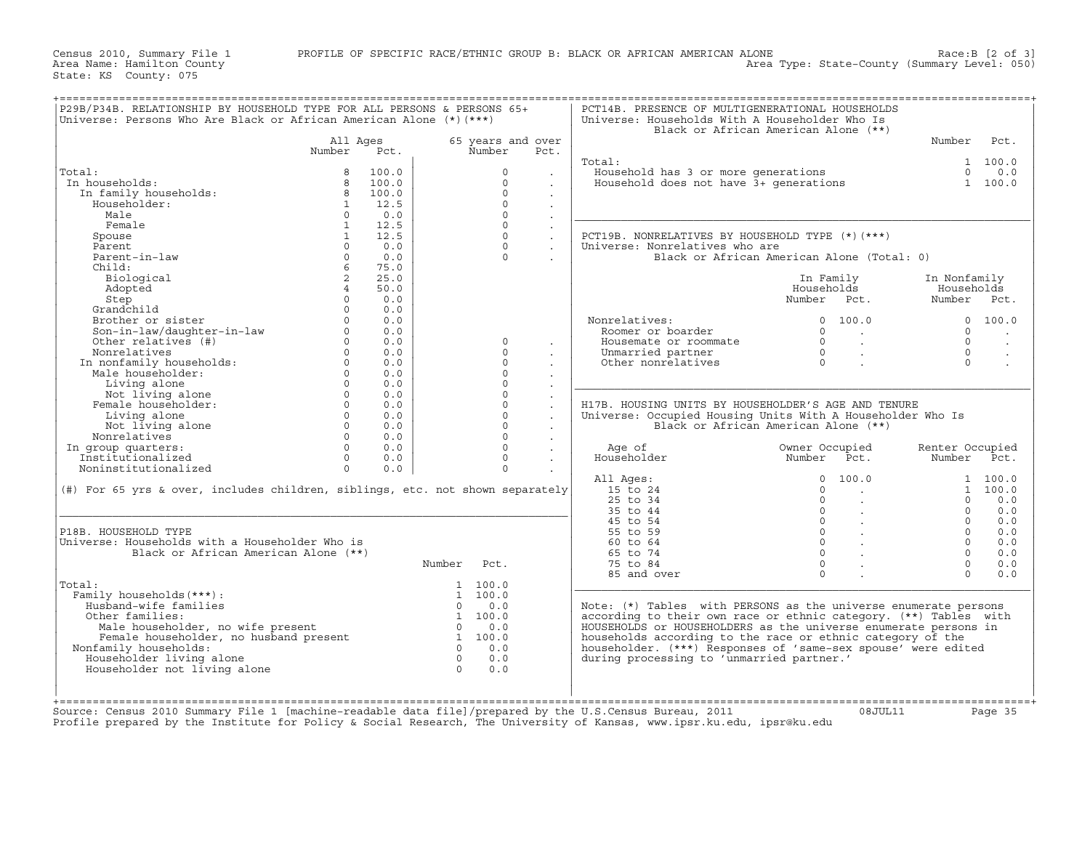Census 2010, Summary File 1 PROFILE OF SPECIFIC RACE/ETHNIC GROUP B: BLACK OR AFRICAN AMERICAN ALONE Chrome. Hamilton County

State: KS County: 075

Area Name: Hamilton County Area Type: State−County (Summary Level: 050)

|                                                                                                                                         |                   |       | Universe: Persons Who Are Black or African American Alone $(*)$ (***) |                   |                      | Universe: Households With A Householder Who Is                                | Black or African American Alone (**)                    |                 |                      |
|-----------------------------------------------------------------------------------------------------------------------------------------|-------------------|-------|-----------------------------------------------------------------------|-------------------|----------------------|-------------------------------------------------------------------------------|---------------------------------------------------------|-----------------|----------------------|
|                                                                                                                                         | All Ages          |       |                                                                       | 65 years and over |                      |                                                                               |                                                         | Number          | Pct.                 |
|                                                                                                                                         | Number            | Pct.  |                                                                       | Number            | Pct.                 |                                                                               |                                                         |                 |                      |
|                                                                                                                                         |                   |       |                                                                       |                   |                      | Total:                                                                        |                                                         |                 | 1 100.0              |
| Total:                                                                                                                                  | 8                 | 100.0 |                                                                       | $\mathbf 0$       |                      | Household has 3 or more generations<br>Household does not have 3+ generations |                                                         |                 | $0 \t 0.0$           |
| In households:                                                                                                                          | 8                 | 100.0 |                                                                       | $\Omega$          |                      |                                                                               |                                                         |                 | 1 100.0              |
| In family households:                                                                                                                   | 8                 | 100.0 |                                                                       | $\Omega$          | $\mathbf{r}$         |                                                                               |                                                         |                 |                      |
| Householder:                                                                                                                            | $\mathbf{1}$      | 12.5  |                                                                       | $\Omega$          | $\sim$               |                                                                               |                                                         |                 |                      |
| Male                                                                                                                                    | $\circ$           | 0.0   |                                                                       | $\Omega$          | $\ddot{\phantom{a}}$ |                                                                               |                                                         |                 |                      |
| Female                                                                                                                                  | 1                 | 12.5  |                                                                       | $\Omega$          | $\sim$               |                                                                               |                                                         |                 |                      |
| Spouse                                                                                                                                  | 1                 | 12.5  |                                                                       | $\Omega$          | $\ddot{\phantom{a}}$ | PCT19B. NONRELATIVES BY HOUSEHOLD TYPE (*) (***)                              |                                                         |                 |                      |
| Parent                                                                                                                                  | $\Omega$          | 0.0   |                                                                       | $\Omega$          | $\sim$               | Universe: Nonrelatives who are                                                |                                                         |                 |                      |
| Parent-in-law                                                                                                                           | $\circ$           | 0.0   |                                                                       | $\Omega$          |                      |                                                                               | Black or African American Alone (Total: 0)              |                 |                      |
| Child:                                                                                                                                  | 6 <sup>5</sup>    | 75.0  |                                                                       |                   |                      |                                                                               |                                                         |                 |                      |
| Biological                                                                                                                              | $\overline{2}$    | 25.0  |                                                                       |                   |                      |                                                                               | In Family                                               | In Nonfamily    |                      |
| Adopted                                                                                                                                 | $\overline{4}$    | 50.0  |                                                                       |                   |                      |                                                                               | Households                                              | Households      |                      |
| Step                                                                                                                                    | $\Omega$          | 0.0   |                                                                       |                   |                      |                                                                               | Number Pct.                                             | Number Pct.     |                      |
| Grandchild                                                                                                                              | $\cap$            | 0.0   |                                                                       |                   |                      |                                                                               |                                                         |                 |                      |
| Brother or sister                                                                                                                       | $\circ$           | 0.0   |                                                                       |                   |                      | Nonrelatives:                                                                 | 0 100.0                                                 |                 | 0 100.0              |
| Son-in-law/daughter-in-law                                                                                                              | $\Omega$          | 0.0   |                                                                       |                   |                      | Roomer or boarder                                                             | $\Omega$<br><b>Contract</b>                             | $\Omega$        | $\sim$               |
| Other relatives (#)                                                                                                                     | $\Omega$          | 0.0   |                                                                       | $\mathbf 0$       | $\sim$               | Housemate or roommate                                                         | $\Omega$<br>$\sim 10^{-11}$                             | $\Omega$        | $\ddot{\phantom{a}}$ |
| Nonrelatives                                                                                                                            | $\Omega$          | 0.0   |                                                                       | $\Omega$          | $\sim$               | Unmarried partner                                                             | $\cap$<br>$\sim$ $\sim$                                 | $\cap$          | $\sim$               |
| In nonfamily households:<br>Male householder.                                                                                           | $\circ$           | 0.0   |                                                                       | $\Omega$          |                      | Other nonrelatives                                                            | $\Omega$                                                | $\Omega$        | $\sim$               |
| Male householder:                                                                                                                       | $\Omega$          | 0.0   |                                                                       | $\Omega$          | $\sim$               |                                                                               |                                                         |                 |                      |
| Living alone                                                                                                                            | $\Omega$          | 0.0   |                                                                       | $\Omega$          | $\sim$               |                                                                               |                                                         |                 |                      |
| Not living alone                                                                                                                        | $\Omega$          | 0.0   |                                                                       | $\Omega$          |                      |                                                                               |                                                         |                 |                      |
| Female householder:                                                                                                                     | $\circ$           | 0.0   |                                                                       | $\Omega$          | $\sim$               | H17B. HOUSING UNITS BY HOUSEHOLDER'S AGE AND TENURE                           |                                                         |                 |                      |
| Living alone                                                                                                                            | $\Omega$          | 0.0   |                                                                       | $\Omega$          | $\ddot{\phantom{a}}$ | Universe: Occupied Housing Units With A Householder Who Is                    |                                                         |                 |                      |
| Not living alone                                                                                                                        | $0 \qquad \qquad$ | 0.0   |                                                                       | $\Omega$          | $\sim$               |                                                                               | Black or African American Alone (**)                    |                 |                      |
| Nonrelatives                                                                                                                            | $\Omega$          | 0.0   |                                                                       | $\Omega$          | $\sim$               |                                                                               |                                                         |                 |                      |
| In group quarters:                                                                                                                      | $\Omega$          | 0.0   |                                                                       | $\Omega$          |                      | Age of                                                                        | Owner Occupied                                          | Renter Occupied |                      |
| Institutionalized                                                                                                                       | $\Omega$          | 0.0   |                                                                       | $\Omega$          |                      | Householder                                                                   | Number Pct.                                             | Number          | Pct.                 |
| Noninstitutionalized                                                                                                                    | $\Omega$          | 0.0   |                                                                       | $\Omega$          |                      |                                                                               |                                                         |                 |                      |
|                                                                                                                                         |                   |       |                                                                       |                   |                      | All Ages:                                                                     | 0 100.0                                                 |                 | 1 100.0              |
| $(\#)$ For 65 yrs & over, includes children, siblings, etc. not shown separately                                                        |                   |       |                                                                       |                   |                      | 15 to 24                                                                      | $\Omega$<br><b>Contractor</b>                           |                 | 1 100.0              |
|                                                                                                                                         |                   |       |                                                                       |                   |                      | 25 to 34                                                                      | $\Omega$<br>$\sim$                                      | $\Omega$        | 0.0                  |
|                                                                                                                                         |                   |       |                                                                       |                   |                      | 35 to 44                                                                      | $\Omega$<br>$\sim$                                      | $\Omega$        | 0.0                  |
|                                                                                                                                         |                   |       |                                                                       |                   |                      | 45 to 54                                                                      | $0 \qquad \qquad .$                                     | $\Omega$        | 0.0                  |
| P18B. HOUSEHOLD TYPE                                                                                                                    |                   |       |                                                                       |                   |                      | 55 to 59                                                                      |                                                         | $\Omega$        | 0.0                  |
| Universe: Households with a Householder Who is                                                                                          |                   |       |                                                                       |                   |                      | 60 to 64                                                                      | $\begin{matrix} 0 & & \cdot \end{matrix}$<br>$\delta$ . | $\Omega$        | 0.0                  |
|                                                                                                                                         |                   |       |                                                                       |                   |                      | 65 to 74                                                                      | $0 \qquad \qquad .$                                     | $\Omega$        | 0.0                  |
| Black or African American Alone (**)                                                                                                    |                   |       |                                                                       |                   |                      |                                                                               | $\Omega$                                                | $\Omega$        |                      |
|                                                                                                                                         |                   |       | Number                                                                | Pct.              |                      | 75 to 84                                                                      |                                                         | $\Omega$        | 0.0                  |
|                                                                                                                                         |                   |       |                                                                       |                   |                      | 85 and over                                                                   | $\Omega$                                                |                 | 0.0                  |
| Total:                                                                                                                                  |                   |       |                                                                       | 1 100.0           |                      |                                                                               |                                                         |                 |                      |
| Family households (***) :                                                                                                               |                   |       |                                                                       | 1 100.0           |                      |                                                                               |                                                         |                 |                      |
| Husband-wife families                                                                                                                   |                   |       | $\Omega$                                                              | 0.0               |                      | Note: $(*)$ Tables with PERSONS as the universe enumerate persons             |                                                         |                 |                      |
| Other families:                                                                                                                         |                   |       |                                                                       | 1 100.0           |                      | according to their own race or ethnic category. (**) Tables with              |                                                         |                 |                      |
| Male householder, no wife present and the model of the male householder, no husband present and the set of the male $\frac{1}{1}$ 100.0 |                   |       |                                                                       |                   |                      | HOUSEHOLDS or HOUSEHOLDERS as the universe enumerate persons in               |                                                         |                 |                      |
|                                                                                                                                         |                   |       |                                                                       |                   |                      | households according to the race or ethnic category of the                    |                                                         |                 |                      |
| Nonfamily households:                                                                                                                   |                   |       | $\Omega$                                                              | 0.0               |                      | householder. (***) Responses of 'same-sex spouse' were edited                 |                                                         |                 |                      |
| Householder living alone                                                                                                                |                   |       | $\overline{0}$                                                        | 0.0               |                      | during processing to 'unmarried partner.'                                     |                                                         |                 |                      |
|                                                                                                                                         |                   |       | $\Omega$                                                              | 0.0               |                      |                                                                               |                                                         |                 |                      |
| Householder not living alone                                                                                                            |                   |       |                                                                       |                   |                      |                                                                               |                                                         |                 |                      |
|                                                                                                                                         |                   |       |                                                                       |                   |                      |                                                                               |                                                         |                 |                      |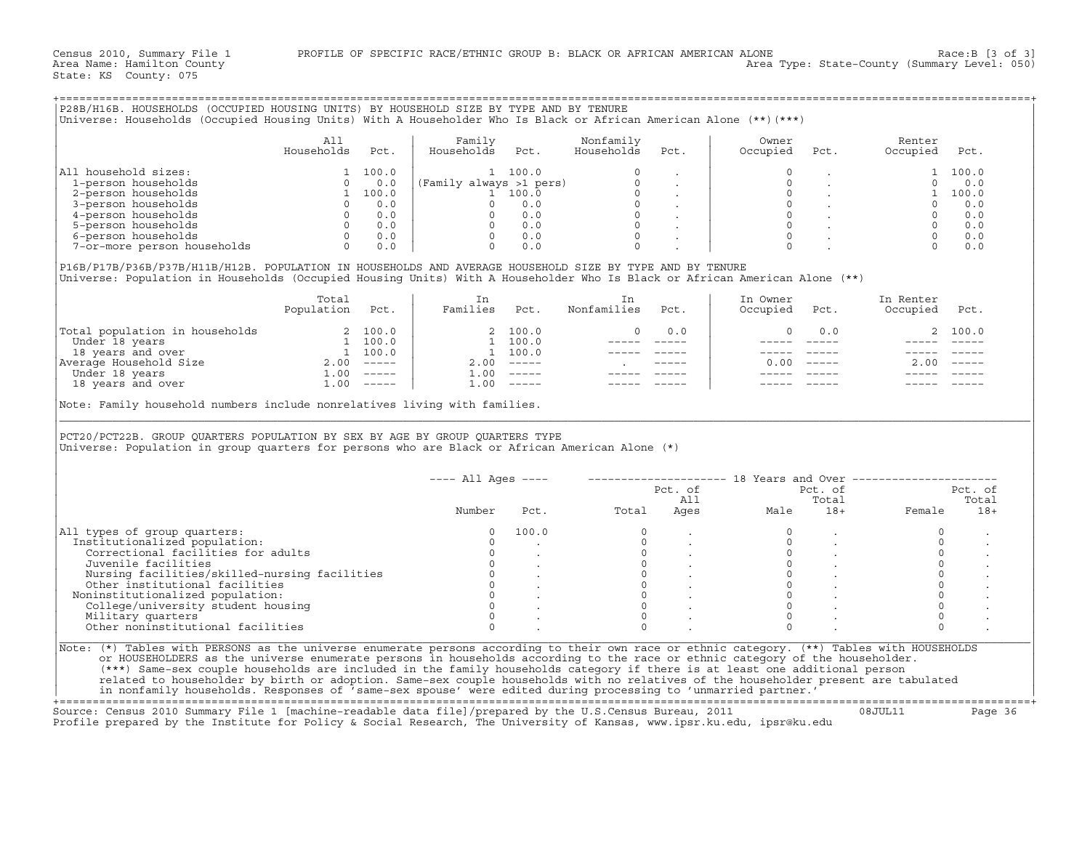|                                                                                                                                                                                                                                                                                                                                                                                                                                  | A11<br>Households                                                                                | Pct.       | Family<br>Households Pct. |                              | Nonfamily<br>Households                                                               | Pct.           | Owner<br>Occupied                    | Pct.                                                                                                                             | Renter<br>Occupied         | Pct.           |
|----------------------------------------------------------------------------------------------------------------------------------------------------------------------------------------------------------------------------------------------------------------------------------------------------------------------------------------------------------------------------------------------------------------------------------|--------------------------------------------------------------------------------------------------|------------|---------------------------|------------------------------|---------------------------------------------------------------------------------------|----------------|--------------------------------------|----------------------------------------------------------------------------------------------------------------------------------|----------------------------|----------------|
| All household sizes:                                                                                                                                                                                                                                                                                                                                                                                                             |                                                                                                  | 1 100.0    |                           | 1 100.0                      |                                                                                       |                | $\Omega$                             |                                                                                                                                  |                            | 1 100.0        |
| 1-person households                                                                                                                                                                                                                                                                                                                                                                                                              |                                                                                                  | $0 \t 0.0$ |                           |                              |                                                                                       |                |                                      |                                                                                                                                  |                            |                |
| 2-person households                                                                                                                                                                                                                                                                                                                                                                                                              |                                                                                                  |            |                           |                              |                                                                                       |                |                                      |                                                                                                                                  |                            |                |
| 3-person households                                                                                                                                                                                                                                                                                                                                                                                                              |                                                                                                  |            |                           |                              |                                                                                       |                |                                      |                                                                                                                                  |                            |                |
| 4-person households                                                                                                                                                                                                                                                                                                                                                                                                              |                                                                                                  |            |                           |                              |                                                                                       |                |                                      |                                                                                                                                  |                            |                |
| 5-person households                                                                                                                                                                                                                                                                                                                                                                                                              |                                                                                                  |            |                           |                              |                                                                                       |                |                                      |                                                                                                                                  |                            |                |
| 6-person households                                                                                                                                                                                                                                                                                                                                                                                                              |                                                                                                  |            |                           |                              |                                                                                       |                |                                      |                                                                                                                                  |                            |                |
| 7-or-more person households                                                                                                                                                                                                                                                                                                                                                                                                      | $\begin{bmatrix} 0 & 0 & 0 \\ 0 & 0 & 0 \\ 0 & 0 & 0 \\ 0 & 0 & 0 \\ 0 & 0 & 0 \\ \end{bmatrix}$ |            |                           |                              | $\Omega$                                                                              |                |                                      |                                                                                                                                  | $\overline{0}$             | 0.0            |
|                                                                                                                                                                                                                                                                                                                                                                                                                                  | Total<br>Population Pct.                                                                         |            | In<br>Families Pct.       |                              | In<br>Nonfamilies                                                                     | Pct.           | In Owner<br>Occupied                 | Pct.                                                                                                                             | In Renter<br>Occupied Pct. |                |
|                                                                                                                                                                                                                                                                                                                                                                                                                                  |                                                                                                  |            |                           | 2 100.0                      | $\Omega$                                                                              | 0.0            | $\Omega$                             | 0.0                                                                                                                              |                            | 2, 100.0       |
|                                                                                                                                                                                                                                                                                                                                                                                                                                  |                                                                                                  |            |                           |                              |                                                                                       |                |                                      |                                                                                                                                  |                            | ______   _____ |
|                                                                                                                                                                                                                                                                                                                                                                                                                                  |                                                                                                  |            |                           | 1 100.0                      | $------$                                                                              | $------$       |                                      |                                                                                                                                  |                            |                |
|                                                                                                                                                                                                                                                                                                                                                                                                                                  |                                                                                                  |            | 1 100.0                   |                              | ----- -----                                                                           |                |                                      |                                                                                                                                  | ------ -----               |                |
|                                                                                                                                                                                                                                                                                                                                                                                                                                  |                                                                                                  |            |                           | $2.00$ -----                 | <b>Contractor</b>                                                                     |                |                                      | $0.00$ -----                                                                                                                     | 2.00                       |                |
| $\begin{tabular}{ l l } \hline \texttt{Total population in households} & 2 100.0 \\ \hline \texttt{Under 18 years} & 1 100.0 \\ \hline 18 years and over & 1 100.0 \\ \hline \texttt{Average Household Size} & 2.00 ----- \\ \hline \texttt{Under 18 years} & 1.00 ----- \\ \hline \texttt{18 years and over} & 1.00 ----- \\ \hline \end{tabular}$<br>Note: Family household numbers include nonrelatives living with families. |                                                                                                  |            |                           | $1.00$ -----<br>$1.00$ ----- | ----- -----                                                                           |                |                                      |                                                                                                                                  |                            |                |
|                                                                                                                                                                                                                                                                                                                                                                                                                                  |                                                                                                  |            |                           |                              |                                                                                       |                |                                      |                                                                                                                                  |                            |                |
|                                                                                                                                                                                                                                                                                                                                                                                                                                  |                                                                                                  |            |                           |                              |                                                                                       |                |                                      |                                                                                                                                  |                            |                |
|                                                                                                                                                                                                                                                                                                                                                                                                                                  |                                                                                                  |            |                           |                              | ---- All Ages ----    --------------------    18 Years and Over --------------------- |                |                                      |                                                                                                                                  |                            | Pct. of        |
|                                                                                                                                                                                                                                                                                                                                                                                                                                  |                                                                                                  |            |                           |                              |                                                                                       | Pct. of<br>All |                                      |                                                                                                                                  | Pct. of                    | Total          |
|                                                                                                                                                                                                                                                                                                                                                                                                                                  |                                                                                                  |            | Number                    |                              | Pct.                                                                                  | Total Ages     |                                      |                                                                                                                                  | Total<br>Male 18+ Female   | $18+$          |
|                                                                                                                                                                                                                                                                                                                                                                                                                                  |                                                                                                  |            | $\Omega$                  | 100.0                        | $\Omega$                                                                              |                | $\Omega$                             |                                                                                                                                  | $\Omega$                   |                |
| Institutionalized population:                                                                                                                                                                                                                                                                                                                                                                                                    |                                                                                                  |            | $\circ$                   |                              |                                                                                       |                | $\circ$                              |                                                                                                                                  | $\circ$                    |                |
| Correctional facilities for adults                                                                                                                                                                                                                                                                                                                                                                                               |                                                                                                  |            | $\circ$                   |                              |                                                                                       |                | $\circ$                              |                                                                                                                                  | $\circ$                    |                |
| Juvenile facilities                                                                                                                                                                                                                                                                                                                                                                                                              |                                                                                                  |            | $\circ$                   |                              |                                                                                       |                | $\overline{0}$                       |                                                                                                                                  | $\Omega$                   |                |
| Nursing facilities/skilled-nursing facilities                                                                                                                                                                                                                                                                                                                                                                                    |                                                                                                  |            |                           |                              |                                                                                       |                |                                      |                                                                                                                                  | $\circ$                    |                |
| Other institutional facilities                                                                                                                                                                                                                                                                                                                                                                                                   |                                                                                                  |            |                           |                              |                                                                                       |                | $\begin{matrix} 0 \\ 0 \end{matrix}$ |                                                                                                                                  | $\circ$                    |                |
| Noninstitutionalized population:                                                                                                                                                                                                                                                                                                                                                                                                 |                                                                                                  |            |                           |                              |                                                                                       |                |                                      |                                                                                                                                  | $\circ$                    |                |
| College/university student housing                                                                                                                                                                                                                                                                                                                                                                                               |                                                                                                  |            |                           |                              |                                                                                       |                | $\circ$                              | $\begin{matrix} 0 & & & \cdot & & \cdot \\ 0 & & & \cdot & & \cdot \\ 0 & & & & \cdot & \cdot \\ 0 & & & & & \cdot \end{matrix}$ | $\circ$                    |                |
| Military quarters                                                                                                                                                                                                                                                                                                                                                                                                                |                                                                                                  |            |                           |                              | $\overline{0}$                                                                        |                | $\Omega$                             |                                                                                                                                  | $\circ$                    |                |
| PCT20/PCT22B. GROUP OUARTERS POPULATION BY SEX BY AGE BY GROUP OUARTERS TYPE<br>Universe: Population in group quarters for persons who are Black or African American Alone (*)<br>All types of group quarters:<br>Other noninstitutional facilities                                                                                                                                                                              |                                                                                                  |            | $\Omega$                  |                              | $\cap$                                                                                |                | $\cap$                               |                                                                                                                                  | $\Omega$                   |                |

|                                                                                                                                                                                                                                                                             | $---$ All Ages $---$ |       |       | Pct. of<br>All | 18 Years and Over ------------ | Pct. of<br>Total |        | Pct. of<br>Total |
|-----------------------------------------------------------------------------------------------------------------------------------------------------------------------------------------------------------------------------------------------------------------------------|----------------------|-------|-------|----------------|--------------------------------|------------------|--------|------------------|
|                                                                                                                                                                                                                                                                             | Number               | Pct.  | Total | Ages           | Male                           | $18+$            | Female | $18+$            |
| All types of group quarters:                                                                                                                                                                                                                                                |                      | 100.0 |       |                |                                |                  |        |                  |
| Institutionalized population:                                                                                                                                                                                                                                               |                      |       |       |                |                                |                  |        |                  |
| Correctional facilities for adults                                                                                                                                                                                                                                          |                      |       |       |                |                                |                  |        |                  |
| Juvenile facilities                                                                                                                                                                                                                                                         |                      |       |       |                |                                |                  |        |                  |
| Nursing facilities/skilled-nursing facilities                                                                                                                                                                                                                               |                      |       |       |                |                                |                  |        |                  |
| Other institutional facilities                                                                                                                                                                                                                                              |                      |       |       |                |                                |                  |        |                  |
| Noninstitutionalized population:                                                                                                                                                                                                                                            |                      |       |       |                |                                |                  |        |                  |
| College/university student housing                                                                                                                                                                                                                                          |                      |       |       |                |                                |                  |        |                  |
| Military quarters                                                                                                                                                                                                                                                           |                      |       |       |                |                                |                  |        |                  |
| Other noninstitutional facilities                                                                                                                                                                                                                                           |                      |       |       |                |                                |                  |        |                  |
| Note: (*) Tables with PERSONS as the universe enumerate persons according to their own race or ethnic category. (**) Tables with HOUSEHOLDS<br>or HOUSEHOLDERS as the universe enumerate persons in households according to the race or ethnic category of the householder. |                      |       |       |                |                                |                  |        |                  |

+===================================================================================================================================================+Source: Census 2010 Summary File 1 [machine−readable data file]/prepared by the U.S.Census Bureau, 2011 08JUL11 Page 36 Profile prepared by the Institute for Policy & Social Research, The University of Kansas, www.ipsr.ku.edu, ipsr@ku.edu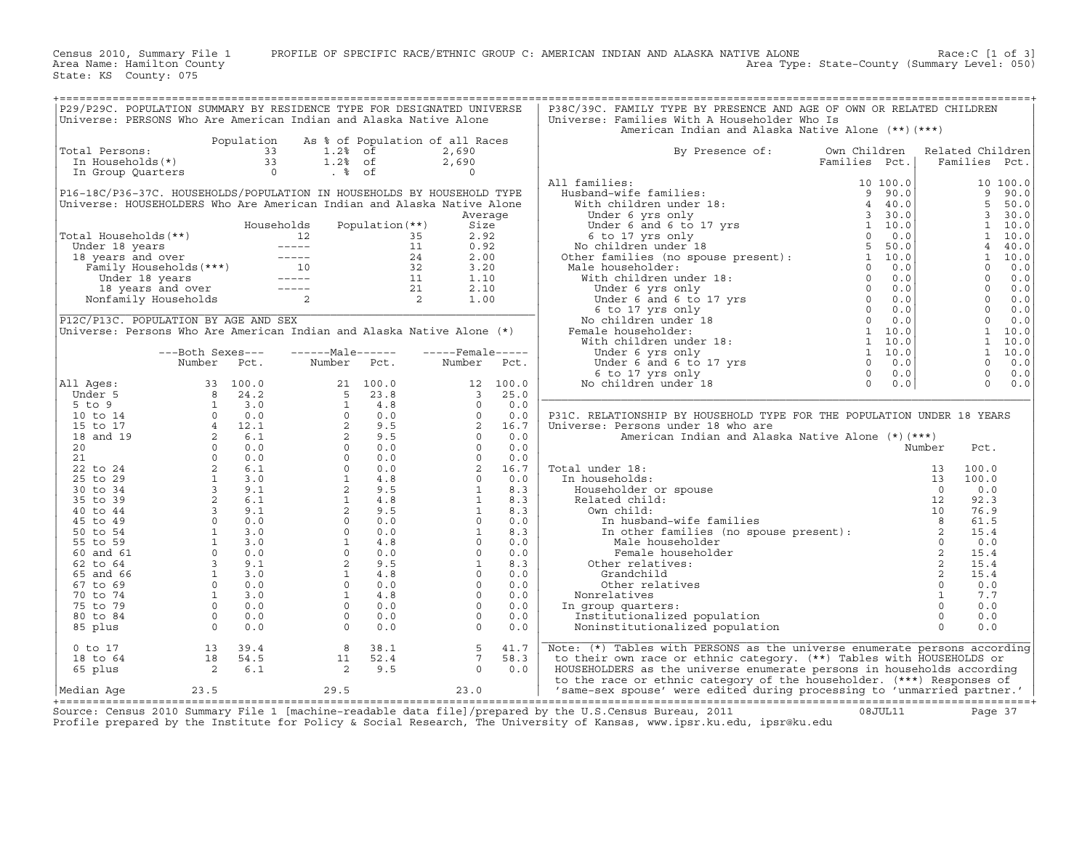Census 2010, Summary File 1 PROFILE OF SPECIFIC RACE/ETHNIC GROUP C: AMERICAN INDIAN AND ALASKA NATIVE ALONE Race:C [1 of 3] Area Name: Hamilton County Area Type: State−County (Summary Level: 050)

State: KS County: 075

| P29/P29C. POPULATION SUMMARY BY RESIDENCE TYPE FOR DESIGNATED UNIVERSE                                                                                                                                                                                       |                                                                    |                                                                                                                                                                                                                                                                                                                                                                     |     |                  |      | P38C/39C. FAMILY TYPE BY PRESENCE AND AGE OF OWN OR RELATED CHILDREN                                                                                                                                                                                                                                                                                                                                                                                               |                                                                                                 |                |                  |  |
|--------------------------------------------------------------------------------------------------------------------------------------------------------------------------------------------------------------------------------------------------------------|--------------------------------------------------------------------|---------------------------------------------------------------------------------------------------------------------------------------------------------------------------------------------------------------------------------------------------------------------------------------------------------------------------------------------------------------------|-----|------------------|------|--------------------------------------------------------------------------------------------------------------------------------------------------------------------------------------------------------------------------------------------------------------------------------------------------------------------------------------------------------------------------------------------------------------------------------------------------------------------|-------------------------------------------------------------------------------------------------|----------------|------------------|--|
| Universe: PERSONS Who Are American Indian and Alaska Native Alone                                                                                                                                                                                            |                                                                    |                                                                                                                                                                                                                                                                                                                                                                     |     |                  |      | Universe: Families With A Householder Who Is                                                                                                                                                                                                                                                                                                                                                                                                                       |                                                                                                 |                |                  |  |
|                                                                                                                                                                                                                                                              |                                                                    |                                                                                                                                                                                                                                                                                                                                                                     |     |                  |      | American Indian and Alaska Native Alone (**) (***)                                                                                                                                                                                                                                                                                                                                                                                                                 |                                                                                                 |                |                  |  |
|                                                                                                                                                                                                                                                              |                                                                    |                                                                                                                                                                                                                                                                                                                                                                     |     |                  |      |                                                                                                                                                                                                                                                                                                                                                                                                                                                                    |                                                                                                 |                |                  |  |
|                                                                                                                                                                                                                                                              |                                                                    | Population As % of Population of all Races                                                                                                                                                                                                                                                                                                                          |     |                  |      |                                                                                                                                                                                                                                                                                                                                                                                                                                                                    |                                                                                                 |                |                  |  |
| Total Persons:                                                                                                                                                                                                                                               |                                                                    | otal Persons:<br>In Households (*)<br>In Group Quarters<br>1.2% of<br>1.2% of<br>1.2% of<br>1.2% of                                                                                                                                                                                                                                                                 |     | 2,690            |      | By Presence of:                                                                                                                                                                                                                                                                                                                                                                                                                                                    | Own Children                                                                                    |                | Related Children |  |
|                                                                                                                                                                                                                                                              |                                                                    |                                                                                                                                                                                                                                                                                                                                                                     |     | 2,690            |      |                                                                                                                                                                                                                                                                                                                                                                                                                                                                    | Families Pct.                                                                                   |                | Families Pct.    |  |
|                                                                                                                                                                                                                                                              |                                                                    |                                                                                                                                                                                                                                                                                                                                                                     |     | $\overline{0}$   |      |                                                                                                                                                                                                                                                                                                                                                                                                                                                                    |                                                                                                 |                |                  |  |
|                                                                                                                                                                                                                                                              |                                                                    |                                                                                                                                                                                                                                                                                                                                                                     |     |                  |      | All families:                                                                                                                                                                                                                                                                                                                                                                                                                                                      |                                                                                                 |                |                  |  |
| P16-18C/P36-37C. HOUSEHOLDS/POPULATION IN HOUSEHOLDS BY HOUSEHOLD TYPE                                                                                                                                                                                       |                                                                    |                                                                                                                                                                                                                                                                                                                                                                     |     |                  |      |                                                                                                                                                                                                                                                                                                                                                                                                                                                                    |                                                                                                 |                |                  |  |
| Universe: HOUSEHOLDERS Who Are American Indian and Alaska Native Alone                                                                                                                                                                                       |                                                                    |                                                                                                                                                                                                                                                                                                                                                                     |     |                  |      |                                                                                                                                                                                                                                                                                                                                                                                                                                                                    |                                                                                                 |                |                  |  |
|                                                                                                                                                                                                                                                              |                                                                    |                                                                                                                                                                                                                                                                                                                                                                     |     | Average          |      |                                                                                                                                                                                                                                                                                                                                                                                                                                                                    |                                                                                                 |                |                  |  |
|                                                                                                                                                                                                                                                              |                                                                    |                                                                                                                                                                                                                                                                                                                                                                     |     |                  |      |                                                                                                                                                                                                                                                                                                                                                                                                                                                                    |                                                                                                 |                |                  |  |
|                                                                                                                                                                                                                                                              |                                                                    |                                                                                                                                                                                                                                                                                                                                                                     |     |                  |      |                                                                                                                                                                                                                                                                                                                                                                                                                                                                    |                                                                                                 |                |                  |  |
|                                                                                                                                                                                                                                                              |                                                                    |                                                                                                                                                                                                                                                                                                                                                                     |     |                  |      |                                                                                                                                                                                                                                                                                                                                                                                                                                                                    |                                                                                                 |                |                  |  |
|                                                                                                                                                                                                                                                              |                                                                    |                                                                                                                                                                                                                                                                                                                                                                     |     |                  |      |                                                                                                                                                                                                                                                                                                                                                                                                                                                                    |                                                                                                 |                |                  |  |
|                                                                                                                                                                                                                                                              |                                                                    |                                                                                                                                                                                                                                                                                                                                                                     |     |                  |      |                                                                                                                                                                                                                                                                                                                                                                                                                                                                    |                                                                                                 |                |                  |  |
|                                                                                                                                                                                                                                                              |                                                                    |                                                                                                                                                                                                                                                                                                                                                                     |     |                  |      |                                                                                                                                                                                                                                                                                                                                                                                                                                                                    |                                                                                                 |                |                  |  |
|                                                                                                                                                                                                                                                              |                                                                    |                                                                                                                                                                                                                                                                                                                                                                     |     |                  |      |                                                                                                                                                                                                                                                                                                                                                                                                                                                                    |                                                                                                 |                |                  |  |
| Total Households (**)<br>Total Households (**)<br>Under 18 years<br>12 12 35 2.92<br>13 2.92<br>13 2.92<br>14 0.92<br>14 2.00<br>Family Households (***)<br>10 32 3.20<br>16 18 years<br>16 18 years<br>16 18 years<br>16 18 years<br>16 18 years<br>16 18 y |                                                                    |                                                                                                                                                                                                                                                                                                                                                                     |     |                  |      | $\begin{tabular}{l c c c c} \multicolumn{1}{c}{\textbf{All families:}} & \multicolumn{1}{c}{\textbf{Famlines Pct.}} & \multicolumn{1}{c}{\textbf{Famlines Pct.}} \\ \multicolumn{1}{c}{\textbf{Husband-wife families:}} & \multicolumn{1}{c}{\textbf{I 0 100.0}} & \multicolumn{1}{c}{\textbf{1 0 100.0}} & \multicolumn{1}{c}{\textbf{1 0 100.0}} \\ \multicolumn{1}{c}{\textbf{Wich children under 18:}} & \multicolumn{1}{c}{\textbf{3 30.0}} & \multicolumn{1$ |                                                                                                 |                |                  |  |
|                                                                                                                                                                                                                                                              |                                                                    |                                                                                                                                                                                                                                                                                                                                                                     |     |                  |      |                                                                                                                                                                                                                                                                                                                                                                                                                                                                    |                                                                                                 |                |                  |  |
|                                                                                                                                                                                                                                                              |                                                                    |                                                                                                                                                                                                                                                                                                                                                                     |     |                  |      |                                                                                                                                                                                                                                                                                                                                                                                                                                                                    |                                                                                                 |                |                  |  |
| P12C/P13C. POPULATION BY AGE AND SEX                                                                                                                                                                                                                         |                                                                    |                                                                                                                                                                                                                                                                                                                                                                     |     |                  |      |                                                                                                                                                                                                                                                                                                                                                                                                                                                                    |                                                                                                 |                |                  |  |
| Universe: Persons Who Are American Indian and Alaska Native Alone (*)                                                                                                                                                                                        |                                                                    |                                                                                                                                                                                                                                                                                                                                                                     |     |                  |      |                                                                                                                                                                                                                                                                                                                                                                                                                                                                    |                                                                                                 |                |                  |  |
|                                                                                                                                                                                                                                                              |                                                                    |                                                                                                                                                                                                                                                                                                                                                                     |     |                  |      |                                                                                                                                                                                                                                                                                                                                                                                                                                                                    |                                                                                                 |                |                  |  |
|                                                                                                                                                                                                                                                              |                                                                    |                                                                                                                                                                                                                                                                                                                                                                     |     |                  |      |                                                                                                                                                                                                                                                                                                                                                                                                                                                                    |                                                                                                 |                |                  |  |
|                                                                                                                                                                                                                                                              | ---Both Sexes---                                                   | ------Male------                                                                                                                                                                                                                                                                                                                                                    |     | -----Female----- |      |                                                                                                                                                                                                                                                                                                                                                                                                                                                                    |                                                                                                 |                |                  |  |
|                                                                                                                                                                                                                                                              | Number Pct.                                                        | Number Pct. Number Pct.                                                                                                                                                                                                                                                                                                                                             |     |                  |      |                                                                                                                                                                                                                                                                                                                                                                                                                                                                    |                                                                                                 |                |                  |  |
|                                                                                                                                                                                                                                                              |                                                                    |                                                                                                                                                                                                                                                                                                                                                                     |     |                  |      |                                                                                                                                                                                                                                                                                                                                                                                                                                                                    |                                                                                                 |                |                  |  |
| All Ages:                                                                                                                                                                                                                                                    |                                                                    |                                                                                                                                                                                                                                                                                                                                                                     |     |                  |      |                                                                                                                                                                                                                                                                                                                                                                                                                                                                    |                                                                                                 |                |                  |  |
|                                                                                                                                                                                                                                                              |                                                                    |                                                                                                                                                                                                                                                                                                                                                                     |     |                  |      |                                                                                                                                                                                                                                                                                                                                                                                                                                                                    |                                                                                                 |                |                  |  |
|                                                                                                                                                                                                                                                              |                                                                    |                                                                                                                                                                                                                                                                                                                                                                     |     |                  |      |                                                                                                                                                                                                                                                                                                                                                                                                                                                                    |                                                                                                 |                |                  |  |
|                                                                                                                                                                                                                                                              |                                                                    |                                                                                                                                                                                                                                                                                                                                                                     |     |                  |      | P31C. RELATIONSHIP BY HOUSEHOLD TYPE FOR THE POPULATION UNDER 18 YEARS                                                                                                                                                                                                                                                                                                                                                                                             |                                                                                                 |                |                  |  |
|                                                                                                                                                                                                                                                              |                                                                    |                                                                                                                                                                                                                                                                                                                                                                     |     |                  |      | Universe: Persons under 18 who are                                                                                                                                                                                                                                                                                                                                                                                                                                 |                                                                                                 |                |                  |  |
|                                                                                                                                                                                                                                                              |                                                                    |                                                                                                                                                                                                                                                                                                                                                                     |     |                  |      |                                                                                                                                                                                                                                                                                                                                                                                                                                                                    |                                                                                                 |                |                  |  |
|                                                                                                                                                                                                                                                              |                                                                    |                                                                                                                                                                                                                                                                                                                                                                     |     |                  |      | American Indian and Alaska Native Alone (*) (***)                                                                                                                                                                                                                                                                                                                                                                                                                  |                                                                                                 |                |                  |  |
|                                                                                                                                                                                                                                                              |                                                                    |                                                                                                                                                                                                                                                                                                                                                                     |     |                  |      |                                                                                                                                                                                                                                                                                                                                                                                                                                                                    |                                                                                                 | Number         | Pct.             |  |
|                                                                                                                                                                                                                                                              |                                                                    |                                                                                                                                                                                                                                                                                                                                                                     |     |                  |      |                                                                                                                                                                                                                                                                                                                                                                                                                                                                    |                                                                                                 |                |                  |  |
|                                                                                                                                                                                                                                                              |                                                                    |                                                                                                                                                                                                                                                                                                                                                                     |     |                  |      | Total under 18:                                                                                                                                                                                                                                                                                                                                                                                                                                                    |                                                                                                 |                | 100.0            |  |
|                                                                                                                                                                                                                                                              |                                                                    |                                                                                                                                                                                                                                                                                                                                                                     |     |                  |      | In households:                                                                                                                                                                                                                                                                                                                                                                                                                                                     |                                                                                                 |                | 100.0            |  |
|                                                                                                                                                                                                                                                              |                                                                    |                                                                                                                                                                                                                                                                                                                                                                     |     |                  |      |                                                                                                                                                                                                                                                                                                                                                                                                                                                                    |                                                                                                 |                | 0.0              |  |
|                                                                                                                                                                                                                                                              |                                                                    |                                                                                                                                                                                                                                                                                                                                                                     |     |                  |      |                                                                                                                                                                                                                                                                                                                                                                                                                                                                    |                                                                                                 |                | 92.3             |  |
|                                                                                                                                                                                                                                                              |                                                                    |                                                                                                                                                                                                                                                                                                                                                                     |     |                  |      | al under 18:<br>n households:<br>Householder or spouse<br>Related child:<br>Own child:<br>In husband-wife families<br>In other families (no spouse present):<br>2<br>Mother families (no spouse present):<br>2<br>Mother families (no spouse prese                                                                                                                                                                                                                 |                                                                                                 |                | 76.9             |  |
|                                                                                                                                                                                                                                                              |                                                                    |                                                                                                                                                                                                                                                                                                                                                                     |     |                  |      |                                                                                                                                                                                                                                                                                                                                                                                                                                                                    |                                                                                                 |                | 61.5             |  |
|                                                                                                                                                                                                                                                              |                                                                    |                                                                                                                                                                                                                                                                                                                                                                     |     |                  |      |                                                                                                                                                                                                                                                                                                                                                                                                                                                                    |                                                                                                 |                |                  |  |
|                                                                                                                                                                                                                                                              |                                                                    |                                                                                                                                                                                                                                                                                                                                                                     |     |                  | 8.3  |                                                                                                                                                                                                                                                                                                                                                                                                                                                                    |                                                                                                 |                | 15.4             |  |
|                                                                                                                                                                                                                                                              |                                                                    |                                                                                                                                                                                                                                                                                                                                                                     |     |                  |      | Male householder                                                                                                                                                                                                                                                                                                                                                                                                                                                   | er (IIO spouse present):<br>er (2)<br>der (2)<br>pulation (3)<br>pulation (3)<br>oppulation (3) |                | 0.0              |  |
|                                                                                                                                                                                                                                                              |                                                                    |                                                                                                                                                                                                                                                                                                                                                                     |     |                  | 0.0  | Female householder                                                                                                                                                                                                                                                                                                                                                                                                                                                 |                                                                                                 |                | 15.4             |  |
|                                                                                                                                                                                                                                                              |                                                                    |                                                                                                                                                                                                                                                                                                                                                                     |     |                  | 8.3  | Other relatives:                                                                                                                                                                                                                                                                                                                                                                                                                                                   |                                                                                                 |                | 15.4             |  |
|                                                                                                                                                                                                                                                              |                                                                    |                                                                                                                                                                                                                                                                                                                                                                     |     |                  |      | Grandchild                                                                                                                                                                                                                                                                                                                                                                                                                                                         |                                                                                                 |                | 15.4             |  |
|                                                                                                                                                                                                                                                              |                                                                    |                                                                                                                                                                                                                                                                                                                                                                     |     |                  |      | Other relatives                                                                                                                                                                                                                                                                                                                                                                                                                                                    |                                                                                                 |                | 0.0              |  |
|                                                                                                                                                                                                                                                              |                                                                    |                                                                                                                                                                                                                                                                                                                                                                     |     |                  |      | Nonrelatives                                                                                                                                                                                                                                                                                                                                                                                                                                                       |                                                                                                 |                | 7.7              |  |
|                                                                                                                                                                                                                                                              |                                                                    |                                                                                                                                                                                                                                                                                                                                                                     |     |                  |      |                                                                                                                                                                                                                                                                                                                                                                                                                                                                    |                                                                                                 | $\overline{0}$ | $0.0$            |  |
|                                                                                                                                                                                                                                                              |                                                                    |                                                                                                                                                                                                                                                                                                                                                                     |     |                  |      | In group quarters:                                                                                                                                                                                                                                                                                                                                                                                                                                                 |                                                                                                 |                |                  |  |
|                                                                                                                                                                                                                                                              |                                                                    |                                                                                                                                                                                                                                                                                                                                                                     |     |                  |      | Institutionalized population                                                                                                                                                                                                                                                                                                                                                                                                                                       |                                                                                                 |                | 0.0              |  |
|                                                                                                                                                                                                                                                              |                                                                    |                                                                                                                                                                                                                                                                                                                                                                     |     |                  |      | Noninstitutionalized population                                                                                                                                                                                                                                                                                                                                                                                                                                    |                                                                                                 |                | 0.0              |  |
|                                                                                                                                                                                                                                                              |                                                                    | $\begin{array}{lcccccccc} \text{Number} & \text{Pct.} & \text{Number} & \text{Pct.} & \text{Number} & \text{Pct.} \\ \text{111 } \text{Ages:} & 3 & 100.0 & 21 & 100.0 & 12 & 100.0 \\ \text{15 to 0} & 8 & 24.2 & 5 & 23.8 & 3 & 25.0 \\ \text{5 to 0} & 8 & 24.2 & 5 & 23.8 & 3 & 25.0 \\ \text{10 to 14} & 1 & 3.0 & 1 & 4.8 & 0 & 0.0 \\ \text{15 to 17} & 4 &$ |     |                  |      |                                                                                                                                                                                                                                                                                                                                                                                                                                                                    |                                                                                                 |                |                  |  |
| $0$ to $17$                                                                                                                                                                                                                                                  | $\begin{array}{rrr} 13 & 39.4 \\ 18 & 54.5 \\ 2 & 6.1 \end{array}$ | 8 38.1                                                                                                                                                                                                                                                                                                                                                              |     | $\overline{5}$   | 41.7 | Note: $(*)$ Tables with PERSONS as the universe enumerate persons according                                                                                                                                                                                                                                                                                                                                                                                        |                                                                                                 |                |                  |  |
| 18 to 64                                                                                                                                                                                                                                                     |                                                                    | 11 52.4                                                                                                                                                                                                                                                                                                                                                             |     | $7^{\circ}$      | 58.3 | to their own race or ethnic category. (**) Tables with HOUSEHOLDS or                                                                                                                                                                                                                                                                                                                                                                                               |                                                                                                 |                |                  |  |
| 65 plus                                                                                                                                                                                                                                                      |                                                                    | $\sim$ 2                                                                                                                                                                                                                                                                                                                                                            | 9.5 | $\Omega$         | 0.0  | HOUSEHOLDERS as the universe enumerate persons in households according                                                                                                                                                                                                                                                                                                                                                                                             |                                                                                                 |                |                  |  |
|                                                                                                                                                                                                                                                              |                                                                    |                                                                                                                                                                                                                                                                                                                                                                     |     |                  |      | to the race or ethnic category of the householder. (***) Responses of                                                                                                                                                                                                                                                                                                                                                                                              |                                                                                                 |                |                  |  |
|                                                                                                                                                                                                                                                              | 23.5                                                               | 29.5                                                                                                                                                                                                                                                                                                                                                                |     | 23.0             |      |                                                                                                                                                                                                                                                                                                                                                                                                                                                                    |                                                                                                 |                |                  |  |
| Median Aqe                                                                                                                                                                                                                                                   |                                                                    |                                                                                                                                                                                                                                                                                                                                                                     |     |                  |      | 'same-sex spouse' were edited during processing to 'unmarried partner.'                                                                                                                                                                                                                                                                                                                                                                                            |                                                                                                 |                |                  |  |

+===================================================================================================================================================+ Source: Census 2010 Summary File 1 [machine−readable data file]/prepared by the U.S.Census Bureau, 2011 08JUL11 Page 37 Profile prepared by the Institute for Policy & Social Research, The University of Kansas, www.ipsr.ku.edu, ipsr@ku.edu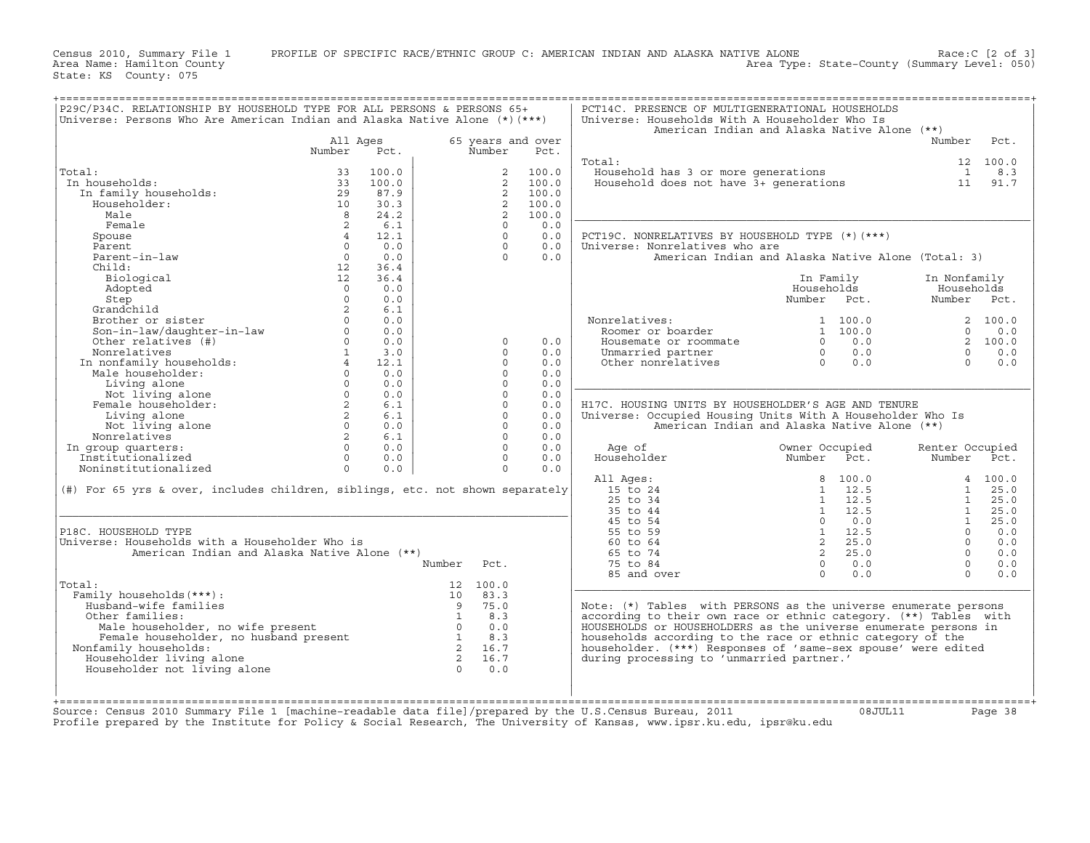NAME ALONE Race: [2 of 3]<br>Area Type: State−County (Summary Level: 050)

Census 2010, Summary File 1 PROFILE OF SPECIFIC RACE/ETHNIC GROUP C: AMERICAN INDIAN AND ALASKA NATIVE ALONE<br>Area Name: Hamilton County State: KS County: 075

| P29C/P34C. RELATIONSHIP BY HOUSEHOLD TYPE FOR ALL PERSONS & PERSONS 65+<br>Universe: Persons Who Are American Indian and Alaska Native Alone (*)(***)                                                                                                                       |                         |                          |        |                |                   | PCT14C. PRESENCE OF MULTIGENERATIONAL HOUSEHOLDS<br>Universe: Households With A Householder Who Is<br>American Indian and Alaska Native Alone (**)                                                                                                                                                                            |                                                 |             |                 |          |
|-----------------------------------------------------------------------------------------------------------------------------------------------------------------------------------------------------------------------------------------------------------------------------|-------------------------|--------------------------|--------|----------------|-------------------|-------------------------------------------------------------------------------------------------------------------------------------------------------------------------------------------------------------------------------------------------------------------------------------------------------------------------------|-------------------------------------------------|-------------|-----------------|----------|
|                                                                                                                                                                                                                                                                             | All Ages                |                          |        |                | 65 years and over |                                                                                                                                                                                                                                                                                                                               |                                                 |             | Number          | Pct.     |
|                                                                                                                                                                                                                                                                             | Number                  | Pct.                     |        | Number         | Pct.              |                                                                                                                                                                                                                                                                                                                               |                                                 |             |                 |          |
|                                                                                                                                                                                                                                                                             |                         |                          |        |                |                   | Total:                                                                                                                                                                                                                                                                                                                        |                                                 |             |                 | 12 100.0 |
| Total:                                                                                                                                                                                                                                                                      |                         | $33 + 100.0$<br>33 100.0 |        |                | 100.0             | bousehold has 3 or more generations and the case of the set of the set of the set of the set of the set of the<br>Household does not have 3+ generations and the set of the set of the set of the set of the set of the set of t                                                                                              |                                                 |             |                 |          |
| In households:                                                                                                                                                                                                                                                              |                         |                          |        |                | 2 100.0           |                                                                                                                                                                                                                                                                                                                               |                                                 |             |                 |          |
|                                                                                                                                                                                                                                                                             |                         |                          |        | 2              | 100.0             |                                                                                                                                                                                                                                                                                                                               |                                                 |             |                 |          |
| Householder:                                                                                                                                                                                                                                                                | 10                      | 30.3                     |        | 2              | 100.0             |                                                                                                                                                                                                                                                                                                                               |                                                 |             |                 |          |
| Male                                                                                                                                                                                                                                                                        | 8 <sup>1</sup>          | 24.2                     |        | 2              | 100.0             |                                                                                                                                                                                                                                                                                                                               |                                                 |             |                 |          |
| Female                                                                                                                                                                                                                                                                      | 2                       | 6.1                      |        | $\Omega$       | 0.0               |                                                                                                                                                                                                                                                                                                                               |                                                 |             |                 |          |
| Spouse                                                                                                                                                                                                                                                                      | $4\overline{4}$         | 12.1                     |        | $\Omega$       | 0.0               | PCT19C. NONRELATIVES BY HOUSEHOLD TYPE (*) (***)                                                                                                                                                                                                                                                                              |                                                 |             |                 |          |
| Parent                                                                                                                                                                                                                                                                      | $\overline{0}$          | 0.0                      |        | $\Omega$       | 0.0               | Universe: Nonrelatives who are                                                                                                                                                                                                                                                                                                |                                                 |             |                 |          |
| Parent-in-law                                                                                                                                                                                                                                                               | $\Omega$                | 0.0                      |        | $\Omega$       | 0.0               | American Indian and Alaska Native Alone (Total: 3)                                                                                                                                                                                                                                                                            |                                                 |             |                 |          |
| Child:                                                                                                                                                                                                                                                                      | 12                      | 36.4                     |        |                |                   |                                                                                                                                                                                                                                                                                                                               |                                                 |             |                 |          |
| Biological                                                                                                                                                                                                                                                                  | 12                      | 36.4                     |        |                |                   |                                                                                                                                                                                                                                                                                                                               |                                                 | In Family   | In Nonfamily    |          |
| Adopted                                                                                                                                                                                                                                                                     | $\overline{0}$          | 0.0                      |        |                |                   |                                                                                                                                                                                                                                                                                                                               |                                                 | Households  | Households      |          |
| Step                                                                                                                                                                                                                                                                        | $\Omega$                | 0.0                      |        |                |                   |                                                                                                                                                                                                                                                                                                                               |                                                 | Number Pct. | Number Pct.     |          |
| Grandchild                                                                                                                                                                                                                                                                  | $\overline{\mathbf{2}}$ | 6.1                      |        |                |                   |                                                                                                                                                                                                                                                                                                                               |                                                 |             |                 |          |
|                                                                                                                                                                                                                                                                             |                         |                          |        |                |                   |                                                                                                                                                                                                                                                                                                                               |                                                 |             |                 |          |
|                                                                                                                                                                                                                                                                             |                         |                          |        |                |                   |                                                                                                                                                                                                                                                                                                                               |                                                 |             |                 |          |
| Grandchild 2 6.1<br>Brother or sister 0 0.0<br>Son-in-law/daughter-in-law 0 0.0<br>Other_relatives (#) 0 0.0                                                                                                                                                                |                         |                          |        | $\Omega$       | 0.0               |                                                                                                                                                                                                                                                                                                                               |                                                 |             |                 |          |
|                                                                                                                                                                                                                                                                             |                         |                          |        | $\Omega$       | 0.0               |                                                                                                                                                                                                                                                                                                                               |                                                 |             |                 |          |
|                                                                                                                                                                                                                                                                             |                         |                          |        | $\Omega$       | 0.0               | Nonrelatives: 1 100.0 2 100.0<br>Roomer or boarder 1 100.0 0 0.0<br>Housemate or roommate 0 0 0.0 2 100.0<br>Unmarried partner 0 0.0 0 0.0<br>Other nonrelatives 0 0.0 0 0.0<br>0 0.0 0 0.0                                                                                                                                   |                                                 |             |                 |          |
|                                                                                                                                                                                                                                                                             |                         |                          |        | $\circ$        | 0.0               |                                                                                                                                                                                                                                                                                                                               |                                                 |             |                 |          |
|                                                                                                                                                                                                                                                                             |                         |                          |        |                |                   |                                                                                                                                                                                                                                                                                                                               |                                                 |             |                 |          |
|                                                                                                                                                                                                                                                                             |                         |                          |        | $\Omega$       | 0.0               |                                                                                                                                                                                                                                                                                                                               |                                                 |             |                 |          |
|                                                                                                                                                                                                                                                                             |                         |                          |        | $\Omega$       | 0.0               |                                                                                                                                                                                                                                                                                                                               |                                                 |             |                 |          |
|                                                                                                                                                                                                                                                                             |                         |                          |        | $\Omega$       | 0.0               | H17C. HOUSING UNITS BY HOUSEHOLDER'S AGE AND TENURE                                                                                                                                                                                                                                                                           |                                                 |             |                 |          |
|                                                                                                                                                                                                                                                                             |                         |                          |        | $\circ$        | 0.0               | Universe: Occupied Housing Units With A Householder Who Is                                                                                                                                                                                                                                                                    |                                                 |             |                 |          |
|                                                                                                                                                                                                                                                                             |                         |                          |        | $\circ$        | 0.0               | American Indian and Alaska Native Alone (**)                                                                                                                                                                                                                                                                                  |                                                 |             |                 |          |
|                                                                                                                                                                                                                                                                             |                         |                          |        | $\circ$        | 0.0               |                                                                                                                                                                                                                                                                                                                               |                                                 |             |                 |          |
| In group quarters:                                                                                                                                                                                                                                                          |                         |                          |        | $\Omega$       | 0.0               | Age of                                                                                                                                                                                                                                                                                                                        | Owner Occupied<br>Owner Occupied<br>Number Pct. |             | Renter Occupied |          |
|                                                                                                                                                                                                                                                                             |                         |                          |        | $\overline{0}$ | 0.0               | Householder                                                                                                                                                                                                                                                                                                                   |                                                 |             | Number Pct.     |          |
|                                                                                                                                                                                                                                                                             |                         |                          |        | $\Omega$       | 0.0               |                                                                                                                                                                                                                                                                                                                               |                                                 |             |                 |          |
|                                                                                                                                                                                                                                                                             |                         |                          |        |                |                   | All Ages:                                                                                                                                                                                                                                                                                                                     |                                                 |             |                 |          |
| (#) For 65 yrs & over, includes children, siblings, etc. not shown separately                                                                                                                                                                                               |                         |                          |        |                |                   | 15 to 24                                                                                                                                                                                                                                                                                                                      |                                                 |             |                 |          |
|                                                                                                                                                                                                                                                                             |                         |                          |        |                |                   | 25 to 34                                                                                                                                                                                                                                                                                                                      |                                                 |             |                 |          |
|                                                                                                                                                                                                                                                                             |                         |                          |        |                |                   | 35 to 44                                                                                                                                                                                                                                                                                                                      |                                                 |             |                 |          |
|                                                                                                                                                                                                                                                                             |                         |                          |        |                |                   | 45 to 54                                                                                                                                                                                                                                                                                                                      |                                                 |             |                 |          |
| P18C. HOUSEHOLD TYPE                                                                                                                                                                                                                                                        |                         |                          |        |                |                   | 55 to 59                                                                                                                                                                                                                                                                                                                      |                                                 |             |                 |          |
| Universe: Households with a Householder Who is                                                                                                                                                                                                                              |                         |                          |        |                |                   | $\begin{array}{cccccc} 8 & 100.0 & & & 4 & 100.0 \\ 1 & 12.5 & & 1 & 25.0 \\ 1 & 12.5 & & 1 & 25.0 \\ 1 & 12.5 & & 1 & 25.0 \\ 0 & 0.0 & & 1 & 25.0 \\ 1 & 12.5 & & 0 & 0.0 \\ 1 & 12.5 & & 0 & 0.0 \\ 2 & 25.0 & & 0 & 0.0 \\ 2 & 25.0 & & 0 & 0.0 \\ 0 & 0.0 & & 0 & 0.0 \\ 0 & 0.0 & & 0 & 0.0 \\ \end{array}$<br>60 to 64 |                                                 |             |                 |          |
| American Indian and Alaska Native Alone (**)                                                                                                                                                                                                                                |                         |                          |        |                |                   | 65 to 74                                                                                                                                                                                                                                                                                                                      |                                                 |             |                 |          |
|                                                                                                                                                                                                                                                                             |                         |                          | Number | Pct.           |                   | 75 to 84                                                                                                                                                                                                                                                                                                                      | $\begin{matrix}0&0.0\\0&0.0\end{matrix}$        |             |                 |          |
|                                                                                                                                                                                                                                                                             |                         |                          |        |                |                   | 85 and over                                                                                                                                                                                                                                                                                                                   |                                                 |             | $\bigcap$       | 0.0      |
| Total:                                                                                                                                                                                                                                                                      |                         |                          |        | 12 100.0       |                   |                                                                                                                                                                                                                                                                                                                               |                                                 |             |                 |          |
| :<br>illy households (***):<br>iusband-wife families<br>ther families:<br>Male householder, no wife present<br>Female householder, no husband present<br>Female households:<br>family households:<br>is a set of the set of the set of the set<br>Family households (***) : |                         |                          |        |                |                   |                                                                                                                                                                                                                                                                                                                               |                                                 |             |                 |          |
| Husband-wife families                                                                                                                                                                                                                                                       |                         |                          |        |                |                   | Note: $(*)$ Tables with PERSONS as the universe enumerate persons                                                                                                                                                                                                                                                             |                                                 |             |                 |          |
| Other families:                                                                                                                                                                                                                                                             |                         |                          |        |                |                   | according to their own race or ethnic category. (**) Tables with                                                                                                                                                                                                                                                              |                                                 |             |                 |          |
|                                                                                                                                                                                                                                                                             |                         |                          |        |                |                   | HOUSEHOLDS or HOUSEHOLDERS as the universe enumerate persons in                                                                                                                                                                                                                                                               |                                                 |             |                 |          |
|                                                                                                                                                                                                                                                                             |                         |                          |        |                |                   | households according to the race or ethnic category of the                                                                                                                                                                                                                                                                    |                                                 |             |                 |          |
| Nonfamily households:                                                                                                                                                                                                                                                       |                         |                          |        |                |                   | householder. (***) Responses of 'same-sex spouse' were edited                                                                                                                                                                                                                                                                 |                                                 |             |                 |          |
| Householder living alone                                                                                                                                                                                                                                                    |                         |                          |        |                |                   | during processing to 'unmarried partner.'                                                                                                                                                                                                                                                                                     |                                                 |             |                 |          |
| Householder not living alone                                                                                                                                                                                                                                                |                         |                          |        |                |                   |                                                                                                                                                                                                                                                                                                                               |                                                 |             |                 |          |
|                                                                                                                                                                                                                                                                             |                         |                          |        |                |                   |                                                                                                                                                                                                                                                                                                                               |                                                 |             |                 |          |
|                                                                                                                                                                                                                                                                             |                         |                          |        |                |                   |                                                                                                                                                                                                                                                                                                                               |                                                 |             |                 |          |
|                                                                                                                                                                                                                                                                             |                         |                          |        |                |                   |                                                                                                                                                                                                                                                                                                                               |                                                 |             |                 |          |
|                                                                                                                                                                                                                                                                             |                         |                          |        |                |                   |                                                                                                                                                                                                                                                                                                                               |                                                 |             |                 |          |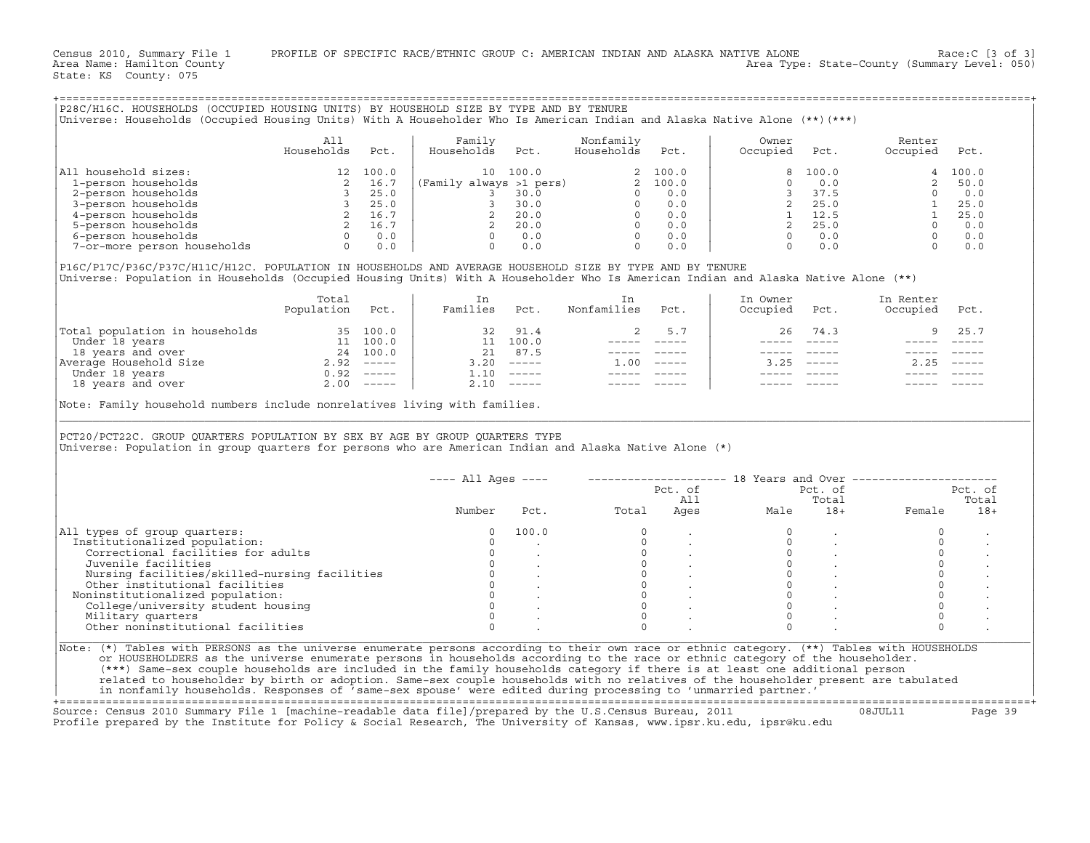Census 2010, Summary File 1 PROFILE OF SPECIFIC RACE/ETHNIC GROUP C: AMERICAN INDIAN AND ALASKA NATIVE ALONE Race:C [3 of 3]<br>Area Name: Hamilton County Level: 050) Area Type: State-County (Summary Level: 050)

State: KS County: 075

| All household sizes:        | 100.0 | 100.0<br>1 ດ            | 2 100.0 | 8 100.0 | 100.0 |
|-----------------------------|-------|-------------------------|---------|---------|-------|
| 1-person households         | 16.7  | (Family always >1 pers) | 2 100.0 | 0.0     | 50.0  |
| 2-person households         | 25.0  | 30.0                    | 0.0     | 37.5    | 0.0   |
| 3-person households         | 25.0  | 30.0                    | 0.0     | 25.0    | 25.0  |
| 4-person households         | 16.7  | 20.0                    | 0.0     | 12.5    | 25.0  |
| 5-person households         | 16.7  | 20.0                    | 0.0     | 25.0    | 0.0   |
| 6-person households         | 0.0   | 0.0                     | 0.0     | 0.0     | 0.0   |
| 7-or-more person households | 0.0   | 0.0                     | 0.0     |         | 0.0   |

+===================================================================================================================================================+

|                                | Total<br>Population | Pct.                      | In<br>Families | Pct.                      | Nonfamilies | Pct.     | In Owner<br>Occupied | Pct.         | In Renter<br>Occupied | Pct.   |
|--------------------------------|---------------------|---------------------------|----------------|---------------------------|-------------|----------|----------------------|--------------|-----------------------|--------|
| Total population in households |                     | 35 100.0                  | 32             | 91.4                      |             | 5.7      | 26                   | 74.3         |                       | 25.7   |
| Under 18 years                 | 11 -                | 100.0                     |                | 11 100.0                  |             |          |                      |              |                       |        |
| 18 years and over              | 24                  | 100.0                     | 21             | 87.5                      |             |          |                      |              |                       |        |
| Average Household Size         | 2.92                | $------$                  | 3.20           | —————                     | 1.00        | $------$ |                      | $3.25$ $---$ | 2.25                  | ______ |
| Under 18 years                 | 0.92                | $\frac{1}{2}$             | 1.10           | $\qquad \qquad - - - - -$ |             |          |                      |              |                       |        |
| 18 years and over              | 2.00                | $\qquad \qquad - - - - -$ |                | $2.10$ -----              |             |          |                      |              |                       |        |

|                                                                                                                                                                                                                                                | All                      |      | Family              |              | Nonfamily                                                                                                                                                                                                                                                                                                                                                                                    |                | Owner                |                           | Renter                                                                                                                                                                   |                           |
|------------------------------------------------------------------------------------------------------------------------------------------------------------------------------------------------------------------------------------------------|--------------------------|------|---------------------|--------------|----------------------------------------------------------------------------------------------------------------------------------------------------------------------------------------------------------------------------------------------------------------------------------------------------------------------------------------------------------------------------------------------|----------------|----------------------|---------------------------|--------------------------------------------------------------------------------------------------------------------------------------------------------------------------|---------------------------|
|                                                                                                                                                                                                                                                | Households               | Pct. | Households          | Pct.         | Households                                                                                                                                                                                                                                                                                                                                                                                   | Pct.           | Occupied             | Pct.                      | Occupied                                                                                                                                                                 | Pct.                      |
| All household sizes:                                                                                                                                                                                                                           |                          |      |                     |              |                                                                                                                                                                                                                                                                                                                                                                                              |                | 8                    | 100.0                     |                                                                                                                                                                          | 4 100.0                   |
|                                                                                                                                                                                                                                                |                          |      |                     |              |                                                                                                                                                                                                                                                                                                                                                                                              |                | $\Omega$             | 0.0                       |                                                                                                                                                                          | 2, 50.0                   |
|                                                                                                                                                                                                                                                |                          |      |                     |              |                                                                                                                                                                                                                                                                                                                                                                                              |                | $\overline{3}$       | 37.5                      |                                                                                                                                                                          |                           |
|                                                                                                                                                                                                                                                |                          |      |                     |              |                                                                                                                                                                                                                                                                                                                                                                                              |                |                      | 2 25.0                    |                                                                                                                                                                          |                           |
|                                                                                                                                                                                                                                                |                          |      |                     |              |                                                                                                                                                                                                                                                                                                                                                                                              |                |                      | 1 12.5                    |                                                                                                                                                                          |                           |
|                                                                                                                                                                                                                                                |                          |      |                     |              |                                                                                                                                                                                                                                                                                                                                                                                              |                | $\overline{2}$       | 25.0                      |                                                                                                                                                                          |                           |
|                                                                                                                                                                                                                                                |                          |      |                     |              |                                                                                                                                                                                                                                                                                                                                                                                              |                |                      | $0 \qquad 0.0$            |                                                                                                                                                                          |                           |
|                                                                                                                                                                                                                                                |                          |      |                     |              |                                                                                                                                                                                                                                                                                                                                                                                              |                | $\Omega$             | 0.0                       | $\begin{array}{cccc} 0 & & & & & 0 \\ 1 & & 25.0 & & & \\ 1 & & 25.0 & & \\ 0 & & 0 & 0.0 & & \\ 0 & & 0.0 & & \\ 0 & & 0 & 0.0 & & \\ 0 & & 0 & 0.0 & & \\ \end{array}$ |                           |
| P16C/P17C/P36C/P37C/H11C/H12C. POPULATION IN HOUSEHOLDS AND AVERAGE HOUSEHOLD SIZE BY TYPE AND BY TENURE<br>Universe: Population in Households (Occupied Housing Units) With A Householder Who Is American Indian and Alaska Native Alone (**) |                          |      |                     |              |                                                                                                                                                                                                                                                                                                                                                                                              |                |                      |                           |                                                                                                                                                                          |                           |
|                                                                                                                                                                                                                                                | Total<br>Population Pct. |      | In<br>Families Pct. |              | In<br>Nonfamilies                                                                                                                                                                                                                                                                                                                                                                            | Pct.           | In Owner<br>Occupied | Pct.                      | In Renter<br>Occupied                                                                                                                                                    | Pct.                      |
| Total population in households<br>Under 18 years 11 100.0<br>18 years and over 24 100.0<br>Average Household Size 2.92 -----<br>Under 18 years and over 2.00 -----<br>18 years and over 2.00 -----                                             |                          |      |                     | 32 91.4      | 2                                                                                                                                                                                                                                                                                                                                                                                            | 5.7            | 26                   | 74.3                      | 9                                                                                                                                                                        | 25.7                      |
|                                                                                                                                                                                                                                                |                          |      |                     | 11 100.0     |                                                                                                                                                                                                                                                                                                                                                                                              |                |                      |                           |                                                                                                                                                                          |                           |
|                                                                                                                                                                                                                                                |                          |      | 21 87.5             |              |                                                                                                                                                                                                                                                                                                                                                                                              | ----- -----    |                      | $\qquad \qquad - - - - -$ |                                                                                                                                                                          |                           |
|                                                                                                                                                                                                                                                |                          |      |                     | $3.20$ ----- | $1.00$ -----                                                                                                                                                                                                                                                                                                                                                                                 |                |                      | $3.25$ -----              | $2.25$ -----                                                                                                                                                             |                           |
|                                                                                                                                                                                                                                                |                          |      |                     | $1.10$ ----- | $\frac{1}{2} \frac{1}{2} \frac{1}{2} \frac{1}{2} \frac{1}{2} \frac{1}{2} \frac{1}{2} \frac{1}{2} \frac{1}{2} \frac{1}{2} \frac{1}{2} \frac{1}{2} \frac{1}{2} \frac{1}{2} \frac{1}{2} \frac{1}{2} \frac{1}{2} \frac{1}{2} \frac{1}{2} \frac{1}{2} \frac{1}{2} \frac{1}{2} \frac{1}{2} \frac{1}{2} \frac{1}{2} \frac{1}{2} \frac{1}{2} \frac{1}{2} \frac{1}{2} \frac{1}{2} \frac{1}{2} \frac{$ |                |                      |                           |                                                                                                                                                                          |                           |
|                                                                                                                                                                                                                                                |                          |      | $2.10$ -----        |              |                                                                                                                                                                                                                                                                                                                                                                                              |                |                      |                           |                                                                                                                                                                          |                           |
| Note: Family household numbers include nonrelatives living with families.                                                                                                                                                                      |                          |      |                     |              |                                                                                                                                                                                                                                                                                                                                                                                              |                |                      |                           |                                                                                                                                                                          |                           |
|                                                                                                                                                                                                                                                |                          |      |                     |              |                                                                                                                                                                                                                                                                                                                                                                                              |                |                      |                           |                                                                                                                                                                          |                           |
| PCT20/PCT22C. GROUP QUARTERS POPULATION BY SEX BY AGE BY GROUP QUARTERS TYPE<br>Universe: Population in group quarters for persons who are American Indian and Alaska Native Alone (*)                                                         |                          |      |                     |              |                                                                                                                                                                                                                                                                                                                                                                                              |                |                      |                           |                                                                                                                                                                          |                           |
|                                                                                                                                                                                                                                                |                          |      | $--- All Aqes ---$  |              |                                                                                                                                                                                                                                                                                                                                                                                              |                |                      |                           | -------------------- 18 Years and Over ---------------------                                                                                                             |                           |
|                                                                                                                                                                                                                                                |                          |      |                     |              |                                                                                                                                                                                                                                                                                                                                                                                              |                |                      | Pct. of                   |                                                                                                                                                                          |                           |
|                                                                                                                                                                                                                                                |                          |      | Number              | Pct.         | Total                                                                                                                                                                                                                                                                                                                                                                                        | Pct. of<br>All | All<br>Ages<br>Male  | Total<br>$18+$            | Female                                                                                                                                                                   | Pct. of<br>Total<br>$18+$ |
|                                                                                                                                                                                                                                                |                          |      | $\Omega$            | 100.0        | $\Omega$                                                                                                                                                                                                                                                                                                                                                                                     |                |                      | $\ddot{\phantom{a}}$      | $\circ$                                                                                                                                                                  |                           |
|                                                                                                                                                                                                                                                |                          |      | $\Omega$            |              | $\Omega$                                                                                                                                                                                                                                                                                                                                                                                     |                | $\mathbf 0$          |                           | $\Omega$                                                                                                                                                                 |                           |
| Correctional facilities for adults                                                                                                                                                                                                             |                          |      | $\Omega$            |              | $\circ$                                                                                                                                                                                                                                                                                                                                                                                      |                | $\circ$              |                           | $\mathbf{0}$                                                                                                                                                             |                           |
| Juvenile facilities                                                                                                                                                                                                                            |                          |      | $\Omega$            |              | $\circ$                                                                                                                                                                                                                                                                                                                                                                                      |                | $\circ$              | $\ddot{\phantom{0}}$      | $\circ$                                                                                                                                                                  |                           |
|                                                                                                                                                                                                                                                |                          |      | $\circ$             |              | $\Omega$                                                                                                                                                                                                                                                                                                                                                                                     |                | $\Omega$             |                           | $\circ$                                                                                                                                                                  |                           |
| Nursing facilities/skilled-nursing facilities<br>Other institutional facilities                                                                                                                                                                |                          |      | $\circ$             |              | $\circ$                                                                                                                                                                                                                                                                                                                                                                                      |                | $\mathbf{0}$         |                           | $\circ$                                                                                                                                                                  |                           |
|                                                                                                                                                                                                                                                |                          |      | $\Omega$            |              | $\circ$                                                                                                                                                                                                                                                                                                                                                                                      |                | $\Omega$             | $\sim$                    | $\circ$                                                                                                                                                                  |                           |
| College/university student housing                                                                                                                                                                                                             |                          |      | $\Omega$            |              | $\Omega$                                                                                                                                                                                                                                                                                                                                                                                     |                | $\Omega$             |                           | $\Omega$                                                                                                                                                                 |                           |
|                                                                                                                                                                                                                                                |                          |      | $\Omega$            |              | $\Omega$                                                                                                                                                                                                                                                                                                                                                                                     |                | $\Omega$             |                           | $\Omega$                                                                                                                                                                 |                           |
| All types of group quarters:<br>Institutionalized population:<br>Noninstitutionalized population:<br>Military quarters<br>Other noninstitutional facilities                                                                                    |                          |      | $\Omega$            |              | $\Omega$                                                                                                                                                                                                                                                                                                                                                                                     |                | $\Omega$             |                           | $\Omega$                                                                                                                                                                 |                           |

+===================================================================================================================================================+Source: Census 2010 Summary File 1 [machine−readable data file]/prepared by the U.S.Census Bureau, 2011 08JUL11 Page 39 Profile prepared by the Institute for Policy & Social Research, The University of Kansas, www.ipsr.ku.edu, ipsr@ku.edu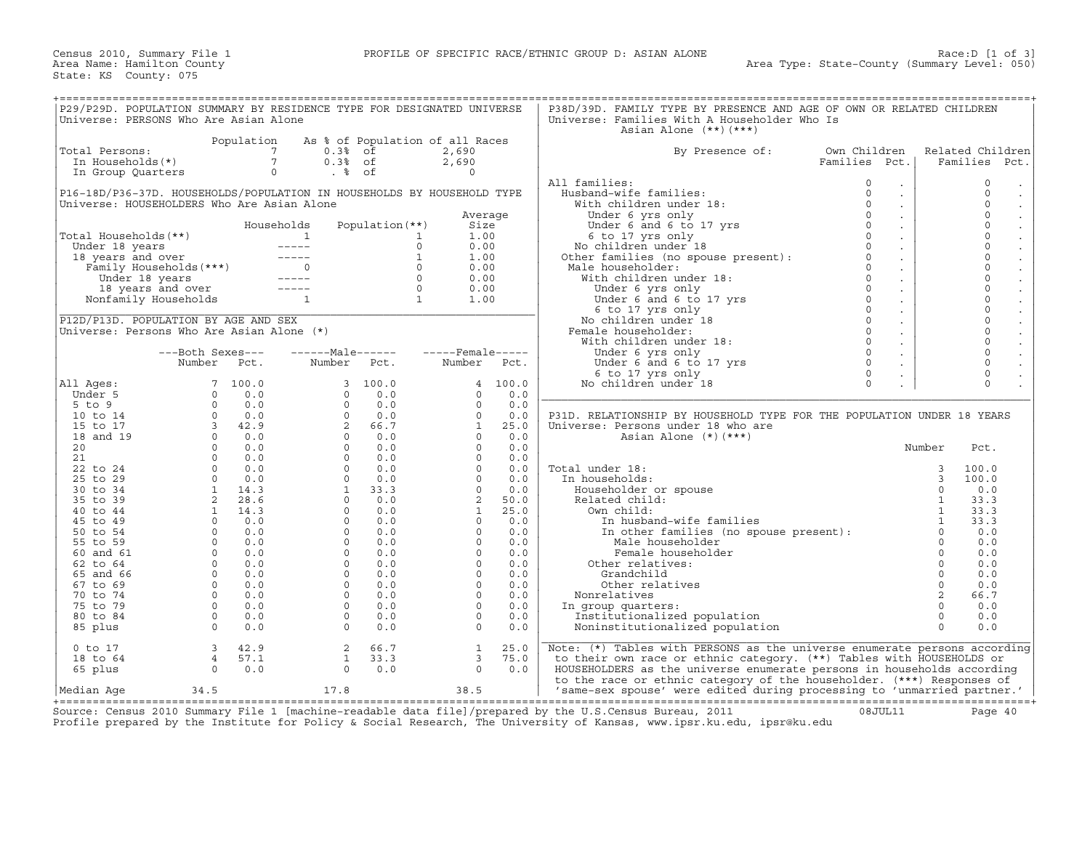| P29/P29D. POPULATION SUMMARY BY RESIDENCE TYPE FOR DESIGNATED UNIVERSE |                                                                    |                                       |                  |                                       |                                                                                                                         |         | P38D/39D. FAMILY TYPE BY PRESENCE AND AGE OF OWN OR RELATED CHILDREN                                                                                                                                                                                                                                   |               |                             |              |                     |
|------------------------------------------------------------------------|--------------------------------------------------------------------|---------------------------------------|------------------|---------------------------------------|-------------------------------------------------------------------------------------------------------------------------|---------|--------------------------------------------------------------------------------------------------------------------------------------------------------------------------------------------------------------------------------------------------------------------------------------------------------|---------------|-----------------------------|--------------|---------------------|
| Universe: PERSONS Who Are Asian Alone                                  |                                                                    |                                       |                  |                                       |                                                                                                                         |         | Universe: Families With A Householder Who Is                                                                                                                                                                                                                                                           |               |                             |              |                     |
|                                                                        |                                                                    |                                       |                  |                                       |                                                                                                                         |         | Asian Alone $(**)$ $(***)$                                                                                                                                                                                                                                                                             |               |                             |              |                     |
|                                                                        |                                                                    | Population                            |                  |                                       | As % of Population of all Races                                                                                         |         |                                                                                                                                                                                                                                                                                                        |               |                             |              |                     |
| Total Persons:                                                         |                                                                    |                                       | $0.3%$ of        |                                       | 2,690                                                                                                                   |         | By Presence of:                                                                                                                                                                                                                                                                                        | Own Children  |                             |              | Related Children    |
| In Households(*)                                                       |                                                                    | $\begin{array}{c} 7 \\ 7 \end{array}$ | $0.3%$ of        |                                       | 2,690                                                                                                                   |         |                                                                                                                                                                                                                                                                                                        | Families Pct. |                             |              | Families<br>Pct.    |
| In Group Quarters                                                      |                                                                    |                                       | $\circ$<br>. %   |                                       | $\Omega$                                                                                                                |         |                                                                                                                                                                                                                                                                                                        |               |                             |              |                     |
|                                                                        |                                                                    |                                       |                  |                                       |                                                                                                                         |         | All families:                                                                                                                                                                                                                                                                                          | $\Omega$      |                             |              | $\Omega$            |
| P16-18D/P36-37D. HOUSEHOLDS/POPULATION IN HOUSEHOLDS BY HOUSEHOLD TYPE |                                                                    |                                       |                  |                                       |                                                                                                                         |         | Husband-wife families:                                                                                                                                                                                                                                                                                 | $\circ$       | $\bullet$                   |              | $\mathbf 0$         |
|                                                                        |                                                                    |                                       |                  |                                       |                                                                                                                         |         |                                                                                                                                                                                                                                                                                                        |               | $\sim$                      |              | $\Omega$            |
| Universe: HOUSEHOLDERS Who Are Asian Alone                             |                                                                    |                                       |                  |                                       |                                                                                                                         |         |                                                                                                                                                                                                                                                                                                        |               | $\mathcal{L}^{\mathcal{L}}$ |              | $\mathbf 0$         |
|                                                                        |                                                                    |                                       |                  |                                       | Average                                                                                                                 |         |                                                                                                                                                                                                                                                                                                        |               | $\ddot{\phantom{a}}$        |              |                     |
|                                                                        |                                                                    |                                       | Households       | Population $(**)$                     | Size                                                                                                                    |         |                                                                                                                                                                                                                                                                                                        |               | $\mathbb{R}^2$              |              | $\Omega$            |
| Total Households(**)                                                   |                                                                    |                                       |                  |                                       | 1.00<br><sup>1</sup>                                                                                                    |         |                                                                                                                                                                                                                                                                                                        |               | $\sim$                      |              | $\mathbf 0$         |
|                                                                        |                                                                    |                                       |                  |                                       | $\Omega$<br>0.00                                                                                                        |         |                                                                                                                                                                                                                                                                                                        |               | $\mathcal{L}_{\mathcal{A}}$ |              | $\mathsf{O}\xspace$ |
|                                                                        |                                                                    |                                       |                  |                                       | <sup>1</sup><br>1.00                                                                                                    |         |                                                                                                                                                                                                                                                                                                        |               | $\mathcal{L}^{\mathcal{L}}$ |              | $\mathsf{O}\xspace$ |
|                                                                        |                                                                    |                                       |                  |                                       | $\overline{0}$<br>0.00                                                                                                  |         |                                                                                                                                                                                                                                                                                                        |               | $\sim$                      |              | $\mathbf 0$         |
|                                                                        |                                                                    |                                       |                  | $\overline{0}$                        | 0.00                                                                                                                    |         |                                                                                                                                                                                                                                                                                                        |               | $\sim$                      |              | $\mathbf 0$         |
|                                                                        |                                                                    |                                       |                  |                                       | 0.00                                                                                                                    |         | u 17 yrs only<br>No children under 18<br>Other families (no spouse present):<br>Male householder:<br>When the hildren under 18:<br>Under 6 yrs only<br>Under 6 and 6 to 17<br>No completed by the Contract of the Contract of Contract o<br>Under 6 yrs<br>Under 6 and 6 to 17 yrs<br>6 to 17 yrs only |               | $\epsilon$                  |              | $\mathsf{O}\xspace$ |
| Nonfamily Households                                                   |                                                                    |                                       |                  | $\begin{array}{c} 0 \\ 1 \end{array}$ | 1.00                                                                                                                    |         |                                                                                                                                                                                                                                                                                                        |               |                             |              | $\mathbf 0$         |
|                                                                        |                                                                    |                                       |                  |                                       |                                                                                                                         |         |                                                                                                                                                                                                                                                                                                        |               | $\sim$                      |              | $\mathbf 0$         |
| P12D/P13D. POPULATION BY AGE AND SEX                                   |                                                                    |                                       |                  |                                       |                                                                                                                         |         | No children under 18                                                                                                                                                                                                                                                                                   | $\Omega$      | $\mathcal{L}^{\mathcal{L}}$ |              | $\mathsf{O}\xspace$ |
|                                                                        |                                                                    |                                       |                  |                                       |                                                                                                                         |         |                                                                                                                                                                                                                                                                                                        | $\Omega$      |                             |              | $\circ$             |
| Universe: Persons Who Are Asian Alone (*)                              |                                                                    |                                       |                  |                                       |                                                                                                                         |         | Female householder:                                                                                                                                                                                                                                                                                    |               | $\sim$                      |              |                     |
|                                                                        |                                                                    |                                       |                  |                                       |                                                                                                                         |         | With children under 18:                                                                                                                                                                                                                                                                                | $\circ$       |                             |              | $\mathsf{O}\xspace$ |
|                                                                        | ---Both Sexes---                                                   |                                       | ------Male------ |                                       | $---$ Female-----                                                                                                       |         | Under 6 yrs only                                                                                                                                                                                                                                                                                       | $\Omega$      | $\mathcal{L}_{\mathcal{A}}$ |              | $\mathsf{O}\xspace$ |
|                                                                        | Number Pct.                                                        |                                       | Number           | Pct.                                  | Number Pct.                                                                                                             |         | Under 6 and 6 to 17 yrs                                                                                                                                                                                                                                                                                | $\circ$       | $\sim$                      |              | $\circ$             |
|                                                                        |                                                                    |                                       |                  |                                       |                                                                                                                         |         | 6 to 17 yrs only                                                                                                                                                                                                                                                                                       | $\circ$       |                             |              | $\Omega$            |
| All Ages:                                                              | $7^{\circ}$                                                        | 100.0                                 |                  | 3, 100.0                              |                                                                                                                         | 4 100.0 | No children under 18                                                                                                                                                                                                                                                                                   | $\Omega$      |                             |              | $\Omega$            |
| Under 5                                                                |                                                                    | 0.0                                   |                  | 0.0                                   | $\Omega$                                                                                                                | 0.0     |                                                                                                                                                                                                                                                                                                        |               |                             |              |                     |
| $5$ to $9$                                                             | $\begin{bmatrix} 0 \\ 0 \\ 0 \\ 0 \\ 3 \\ 3 \\ 0 \\ \end{bmatrix}$ | 0.0                                   |                  | 0.0                                   | $\begin{bmatrix} 0 & 0 & 0 \\ 0 & 0 & 1 \\ 0 & 1 & 0 \\ 0 & 0 & 0 \\ 0 & 0 & 0 \\ 0 & 0 & 2 \\ 2 & 5 & 5 \end{bmatrix}$ | 0.0     |                                                                                                                                                                                                                                                                                                        |               |                             |              |                     |
| 10 to 14                                                               |                                                                    | 0.0                                   |                  | 0.0                                   |                                                                                                                         | 0.0     | P31D. RELATIONSHIP BY HOUSEHOLD TYPE FOR THE POPULATION UNDER 18 YEARS                                                                                                                                                                                                                                 |               |                             |              |                     |
| 15 to 17                                                               |                                                                    | 42.9                                  |                  | 66.7                                  |                                                                                                                         | 25.0    | Universe: Persons under 18 who are                                                                                                                                                                                                                                                                     |               |                             |              |                     |
| 18 and 19                                                              |                                                                    | 0.0                                   |                  | 0.0                                   |                                                                                                                         | 0.0     | Asian Alone $(*)$ $(***)$                                                                                                                                                                                                                                                                              |               |                             |              |                     |
| 20                                                                     |                                                                    | 0.0                                   |                  | 0.0                                   |                                                                                                                         | 0.0     |                                                                                                                                                                                                                                                                                                        |               |                             | Number       | Pct.                |
|                                                                        | $\begin{matrix}0\\0\end{matrix}$                                   | 0.0                                   |                  | 0.0                                   |                                                                                                                         |         |                                                                                                                                                                                                                                                                                                        |               |                             |              |                     |
| 21                                                                     |                                                                    |                                       |                  |                                       |                                                                                                                         | 0.0     |                                                                                                                                                                                                                                                                                                        |               |                             |              |                     |
| 22 to 24                                                               | $\begin{bmatrix} 0 \\ 0 \\ 0 \\ 0 \\ 1 \\ 2 \\ 3 \end{bmatrix}$    | 0.0                                   |                  | 0.0                                   |                                                                                                                         | 0.0     | Total under 18:                                                                                                                                                                                                                                                                                        |               |                             | 3            | 100.0               |
| 25 to 29                                                               |                                                                    | 0.0                                   |                  | 0.0                                   |                                                                                                                         | 0.0     | In households:                                                                                                                                                                                                                                                                                         |               |                             | 3            | 100.0               |
| 30 to 34                                                               |                                                                    | 14.3                                  |                  | 33.3                                  |                                                                                                                         | 0.0     | Householder or spouse                                                                                                                                                                                                                                                                                  |               |                             | $\circ$      | 0.0                 |
| 35 to 39                                                               |                                                                    | 28.6                                  |                  | 0.0                                   |                                                                                                                         | 50.0    | Related child:                                                                                                                                                                                                                                                                                         |               |                             | $\mathbf{1}$ | 33.3                |
| 40 to 44                                                               |                                                                    | 14.3                                  | $\Omega$         | 0.0                                   | $\mathbf{1}$                                                                                                            | 25.0    | Own child:                                                                                                                                                                                                                                                                                             |               |                             | $\mathbf{1}$ | 33.3                |
| 45 to 49                                                               |                                                                    | 0.0                                   | $\Omega$         | 0.0                                   | $\circ$                                                                                                                 | 0.0     | In husband-wife families                                                                                                                                                                                                                                                                               |               |                             | $\mathbf{1}$ | 33.3                |
| 50 to 54                                                               |                                                                    | 0.0                                   | $\Omega$         | 0.0                                   | $\Omega$                                                                                                                | 0.0     | In other families (no spouse present):<br>Male householder                                                                                                                                                                                                                                             |               |                             | $\Omega$     | 0.0                 |
| 55 to 59                                                               |                                                                    | 0.0                                   | $\circ$          | 0.0                                   | $\overline{0}$                                                                                                          | 0.0     | Male householder                                                                                                                                                                                                                                                                                       |               |                             |              | 0.0                 |
| 60 and 61                                                              |                                                                    | 0.0                                   | $\Omega$         | 0.0                                   | $\Omega$                                                                                                                | 0.0     | Female householder                                                                                                                                                                                                                                                                                     |               |                             | $\circ$      | 0.0                 |
| 62 to 64                                                               |                                                                    | 0.0                                   | $\Omega$         | 0.0                                   | $\overline{0}$                                                                                                          | 0.0     | Other relatives:                                                                                                                                                                                                                                                                                       |               |                             | $\Omega$     | 0.0                 |
| 65 and 66                                                              |                                                                    | 0.0                                   | $\Omega$         | 0.0                                   | $\Omega$                                                                                                                | 0.0     | Grandchild                                                                                                                                                                                                                                                                                             |               |                             |              | 0.0                 |
| 67 to 69                                                               |                                                                    | 0.0                                   | $\Omega$         | 0.0                                   | $\Omega$                                                                                                                | 0.0     | Other relatives                                                                                                                                                                                                                                                                                        |               |                             | $\Omega$     | 0.0                 |
|                                                                        | $\overline{0}$                                                     |                                       | $\Omega$         |                                       | $\Omega$                                                                                                                |         |                                                                                                                                                                                                                                                                                                        |               |                             |              |                     |
| 70 to 74                                                               |                                                                    | 0.0                                   |                  | 0.0                                   |                                                                                                                         | 0.0     | Nonrelatives                                                                                                                                                                                                                                                                                           |               |                             | 2            | 66.7                |
| 75 to 79                                                               | $\circ$                                                            | 0.0                                   | $\Omega$         | 0.0                                   | $\Omega$                                                                                                                | 0.0     | In group quarters:                                                                                                                                                                                                                                                                                     |               |                             | $\Omega$     | 0.0                 |
| 80 to 84                                                               | $\circ$                                                            | 0.0                                   | $\Omega$         | 0.0                                   | $\Omega$                                                                                                                | 0.0     | Institutionalized population                                                                                                                                                                                                                                                                           |               |                             | $\circ$      | 0.0                 |
| 85 plus                                                                | $\Omega$                                                           | 0.0                                   | $\Omega$         | 0.0                                   | $\Omega$                                                                                                                | 0.0     | Noninstitutionalized population                                                                                                                                                                                                                                                                        |               |                             | $\Omega$     | 0.0                 |
|                                                                        |                                                                    |                                       |                  |                                       |                                                                                                                         |         |                                                                                                                                                                                                                                                                                                        |               |                             |              |                     |
| $0$ to $17$                                                            | 3 <sup>7</sup>                                                     | 42.9                                  | 2                | 66.7                                  | $\mathbf{1}$                                                                                                            | 25.0    | Note: (*) Tables with PERSONS as the universe enumerate persons according                                                                                                                                                                                                                              |               |                             |              |                     |
| 18 to 64                                                               | $\overline{4}$                                                     | 57.1                                  | $\mathbf{1}$     | 33.3                                  | $\mathbf{3}$                                                                                                            | 75.0    | to their own race or ethnic category. (**) Tables with HOUSEHOLDS or                                                                                                                                                                                                                                   |               |                             |              |                     |
| 65 plus                                                                | $\overline{0}$                                                     | 0.0                                   | $\Omega$         | 0.0                                   | $\Omega$                                                                                                                | 0.0     | HOUSEHOLDERS as the universe enumerate persons in households according                                                                                                                                                                                                                                 |               |                             |              |                     |
|                                                                        |                                                                    |                                       |                  |                                       |                                                                                                                         |         | to the race or ethnic category of the householder. (***) Responses of                                                                                                                                                                                                                                  |               |                             |              |                     |
| Median Age                                                             | 34.5                                                               |                                       | 17.8             |                                       | 38.5                                                                                                                    |         | 'same-sex spouse' were edited during processing to 'unmarried partner.'                                                                                                                                                                                                                                |               |                             |              |                     |
|                                                                        |                                                                    |                                       |                  |                                       |                                                                                                                         |         |                                                                                                                                                                                                                                                                                                        |               |                             |              |                     |

+===================================================================================================================================================+ Source: Census 2010 Summary File 1 [machine−readable data file]/prepared by the U.S.Census Bureau, 2011 08JUL11 Page 40 Profile prepared by the Institute for Policy & Social Research, The University of Kansas, www.ipsr.ku.edu, ipsr@ku.edu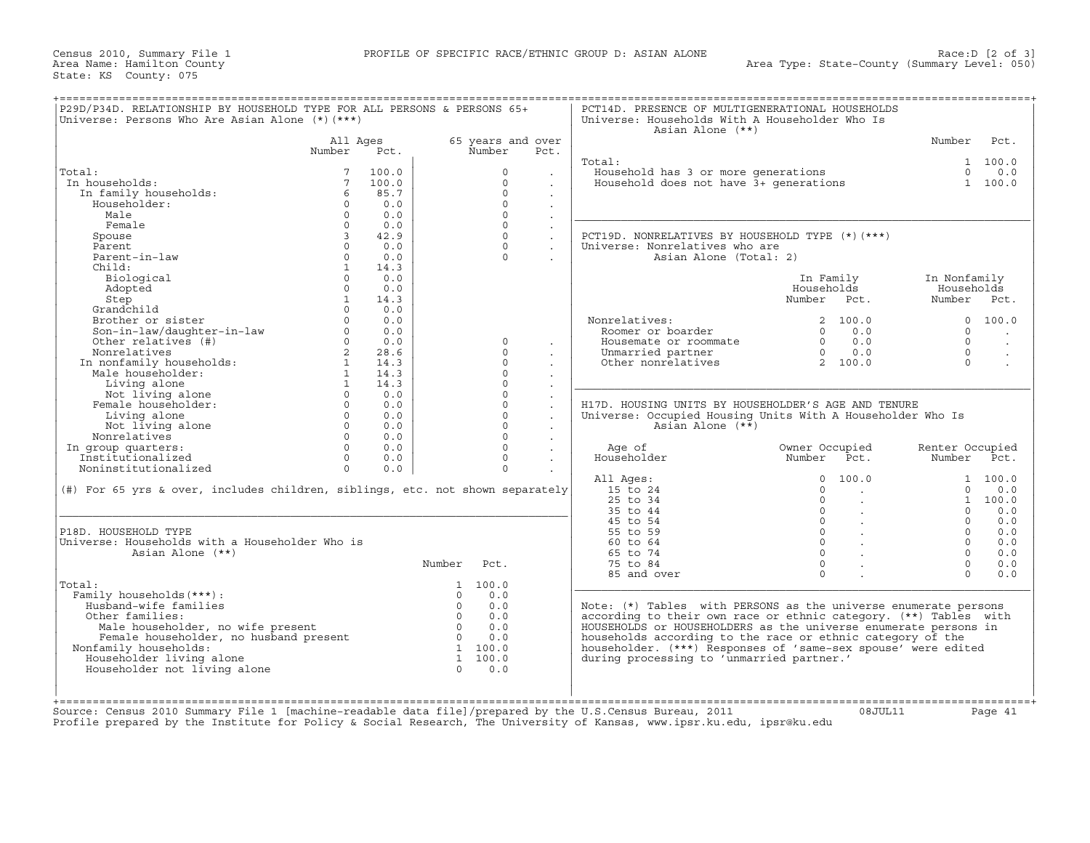Census 2010, Summary File 1 **PROFILE OF SPECIFIC RACE/ETHNIC GROUP D: ASIAN ALONE** Area Name: Hamilton County State: KS County: 075

| Universe: Persons Who Are Asian Alone (*) (***)                                | P29D/P34D. RELATIONSHIP BY HOUSEHOLD TYPE FOR ALL PERSONS & PERSONS 65+ |       |                |                   |                      | PCT14D. PRESENCE OF MULTIGENERATIONAL HOUSEHOLDS<br>Universe: Households With A Householder Who Is<br>Asian Alone (**) |                                     |                     |            |
|--------------------------------------------------------------------------------|-------------------------------------------------------------------------|-------|----------------|-------------------|----------------------|------------------------------------------------------------------------------------------------------------------------|-------------------------------------|---------------------|------------|
|                                                                                | All Ages                                                                |       |                | 65 years and over |                      |                                                                                                                        |                                     | Number              | Pct.       |
|                                                                                | Number                                                                  | Pct.  |                | Number            | Pct.                 |                                                                                                                        |                                     |                     |            |
|                                                                                |                                                                         |       |                |                   |                      | Total:                                                                                                                 |                                     |                     | 1 100.0    |
| Total:                                                                         |                                                                         | 100.0 |                | $\Omega$          |                      | Household has 3 or more generations<br>Household does not have 3+ generations                                          |                                     |                     | $0 \t 0.0$ |
| In households:                                                                 | $7\overline{ }$                                                         | 100.0 |                | $\Omega$          |                      |                                                                                                                        |                                     |                     | 1 100.0    |
| In family households:                                                          | 6                                                                       | 85.7  |                | $\Omega$          |                      |                                                                                                                        |                                     |                     |            |
| Householder:                                                                   | $\Omega$                                                                | 0.0   |                | $\Omega$          |                      |                                                                                                                        |                                     |                     |            |
| Male                                                                           | $\Omega$                                                                | 0.0   |                | $\Omega$          |                      |                                                                                                                        |                                     |                     |            |
| Female                                                                         | $\circ$                                                                 | 0.0   |                | $\Omega$          | $\mathbf{r}$         |                                                                                                                        |                                     |                     |            |
| Spouse                                                                         | $\overline{3}$                                                          | 42.9  |                | $\Omega$          | $\ddot{\phantom{0}}$ | PCT19D. NONRELATIVES BY HOUSEHOLD TYPE (*) (***)                                                                       |                                     |                     |            |
| Parent                                                                         | $\Omega$                                                                | 0.0   |                | $\Omega$          | $\ddot{\phantom{0}}$ | Universe: Nonrelatives who are                                                                                         |                                     |                     |            |
| Parent-in-law                                                                  | $\Omega$                                                                | 0.0   |                | $\Omega$          |                      | Asian Alone (Total: 2)                                                                                                 |                                     |                     |            |
| Child:                                                                         | $\mathbf{1}$                                                            | 14.3  |                |                   |                      |                                                                                                                        |                                     |                     |            |
| Biological                                                                     | $\Omega$                                                                | 0.0   |                |                   |                      |                                                                                                                        | In Family                           | In Nonfamily        |            |
| Adopted                                                                        | $\Omega$                                                                | 0.0   |                |                   |                      |                                                                                                                        | Households                          | Households          |            |
| Step                                                                           | $\mathbf{1}$                                                            | 14.3  |                |                   |                      |                                                                                                                        | Number Pct.                         | Number Pct.         |            |
| Grandchild                                                                     | $\Omega$                                                                | 0.0   |                |                   |                      |                                                                                                                        |                                     |                     |            |
| Grandchlux<br>Brother or sister<br>Son-in-law/daughter-in-law<br>Continues (#) | $\Omega$                                                                | 0.0   |                |                   |                      | Nonrelatives:                                                                                                          | 2, 100.0                            |                     | 0 100.0    |
|                                                                                | $\Omega$                                                                | 0.0   |                |                   |                      | Roomer or boarder                                                                                                      | $\Omega$<br>0.0                     | $\Omega$            |            |
|                                                                                | $\Omega$                                                                | 0.0   |                | $\Omega$          |                      | Housemate or roommate                                                                                                  | $0 \t 0.0$                          | $\Omega$            | $\sim$     |
|                                                                                |                                                                         | 28.6  |                | $\Omega$          | $\cdot$              |                                                                                                                        | $0 \t 0.0$                          |                     | $\cdot$    |
|                                                                                | $\overline{a}$<br>$\mathbf{1}$                                          | 14.3  |                | $\Omega$          |                      | Unmarried partner                                                                                                      |                                     | $\circ$<br>$\Omega$ |            |
| Nonrelatives<br>In nonfamily households:                                       |                                                                         |       |                | $\Omega$          |                      | Other nonrelatives                                                                                                     | 2 100.0                             |                     | $\sim$     |
| Male householder:                                                              | 1                                                                       | 14.3  |                |                   |                      |                                                                                                                        |                                     |                     |            |
| Living alone<br>Not living alone                                               | $\mathbf{1}$                                                            | 14.3  |                | $\Omega$          |                      |                                                                                                                        |                                     |                     |            |
|                                                                                |                                                                         |       |                |                   |                      |                                                                                                                        |                                     |                     |            |
|                                                                                | $\Omega$                                                                | 0.0   |                | $\Omega$          |                      |                                                                                                                        |                                     |                     |            |
| Female householder:                                                            | $\Omega$                                                                | 0.0   |                | $\Omega$          | $\ddot{\phantom{a}}$ | H17D. HOUSING UNITS BY HOUSEHOLDER'S AGE AND TENURE                                                                    |                                     |                     |            |
| Living alone                                                                   | $\circ$                                                                 | 0.0   |                | $\Omega$          | $\ddot{\phantom{a}}$ | Universe: Occupied Housing Units With A Householder Who Is                                                             |                                     |                     |            |
| Not living alone                                                               | $\Omega$                                                                | 0.0   |                | $\Omega$          | $\ddot{\phantom{0}}$ | Asian Alone $(**)$                                                                                                     |                                     |                     |            |
| Nonrelatives                                                                   | $\Omega$                                                                | 0.0   |                | $\Omega$          | $\cdot$              |                                                                                                                        |                                     |                     |            |
| In group quarters:                                                             | $\Omega$                                                                | 0.0   |                | $\Omega$          |                      | Age of                                                                                                                 | Owner Occupied                      | Renter Occupied     |            |
| Institutionalized                                                              | $\Omega$                                                                | 0.0   |                | $\Omega$          |                      | Householder                                                                                                            | Number<br>Pct.                      | Number Pct.         |            |
| Noninstitutionalized                                                           | $\Omega$                                                                | 0.0   |                | $\Omega$          |                      |                                                                                                                        |                                     |                     |            |
|                                                                                |                                                                         |       |                |                   |                      | All Ages:                                                                                                              | 100.0<br>$\Omega$                   |                     | 1 100.0    |
| (#) For 65 yrs & over, includes children, siblings, etc. not shown separately  |                                                                         |       |                |                   |                      | 15 to 24                                                                                                               | $\Omega$<br>$\sim$                  | $\circ$             | 0.0        |
|                                                                                |                                                                         |       |                |                   |                      | 25 to 34                                                                                                               | $\mathbf{0}$<br>$\sim$              |                     | 1 100.0    |
|                                                                                |                                                                         |       |                |                   |                      | 35 to 44                                                                                                               | $\circ$<br>$\sim$                   | $\Omega$            | 0.0        |
|                                                                                |                                                                         |       |                |                   |                      | 45 to 54                                                                                                               | $\Omega$<br>$\sim 100$ km s $^{-1}$ | $\Omega$            | 0.0        |
| P18D. HOUSEHOLD TYPE                                                           |                                                                         |       |                |                   |                      | 55 to 59                                                                                                               | $0 \qquad \qquad .$                 | $\Omega$            | 0.0        |
| Universe: Households with a Householder Who is                                 |                                                                         |       |                |                   |                      | $60 \text{ to } 64$                                                                                                    | $0 \qquad \qquad .$                 | $\Omega$            | 0.0        |
| Asian Alone (**)                                                               |                                                                         |       |                |                   |                      | 65 to 74                                                                                                               | $\Omega$                            | $\Omega$            | 0.0        |
|                                                                                |                                                                         |       | Number         | Pct.              |                      | 75 to 84                                                                                                               | $\Omega$                            | $\Omega$            | 0.0        |
|                                                                                |                                                                         |       |                |                   |                      | 85 and over                                                                                                            | $\Omega$                            | $\cap$              | 0.0        |
|                                                                                |                                                                         |       |                | 1 100.0           |                      |                                                                                                                        |                                     |                     |            |
|                                                                                |                                                                         |       | $\cap$         | 0.0               |                      |                                                                                                                        |                                     |                     |            |
| Family households (***) :<br>Husband-wife families                             |                                                                         |       | $\Omega$       | 0.0               |                      |                                                                                                                        |                                     |                     |            |
|                                                                                |                                                                         |       |                |                   |                      | Note: (*) Tables with PERSONS as the universe enumerate persons                                                        |                                     |                     |            |
| Other families:                                                                |                                                                         |       | $\overline{0}$ | 0.0               |                      | according to their own race or ethnic category. (**) Tables with                                                       |                                     |                     |            |
| Male householder, no wife present                                              |                                                                         |       | $\overline{0}$ | 0.0               |                      | HOUSEHOLDS or HOUSEHOLDERS as the universe enumerate persons in                                                        |                                     |                     |            |
| Total:<br>Female householder, no husband present                               |                                                                         |       | $\overline{0}$ | 0.0               |                      | households according to the race or ethnic category of the                                                             |                                     |                     |            |
| Nonfamily households:                                                          |                                                                         |       |                | 1, 100, 0         |                      | householder. (***) Responses of 'same-sex spouse' were edited                                                          |                                     |                     |            |
| Householder living alone                                                       |                                                                         |       |                | 1 100.0           |                      | during processing to 'unmarried partner.'                                                                              |                                     |                     |            |
| Householder not living alone                                                   |                                                                         |       | $\cap$         | 0.0               |                      |                                                                                                                        |                                     |                     |            |
|                                                                                |                                                                         |       |                |                   |                      |                                                                                                                        |                                     |                     |            |

Source: Census 2010 Summary File 1 [machine−readable data file]/prepared by the U.S.Census Bureau, 2011 08JUL11 Page 41 Profile prepared by the Institute for Policy & Social Research, The University of Kansas, www.ipsr.ku.edu, ipsr@ku.edu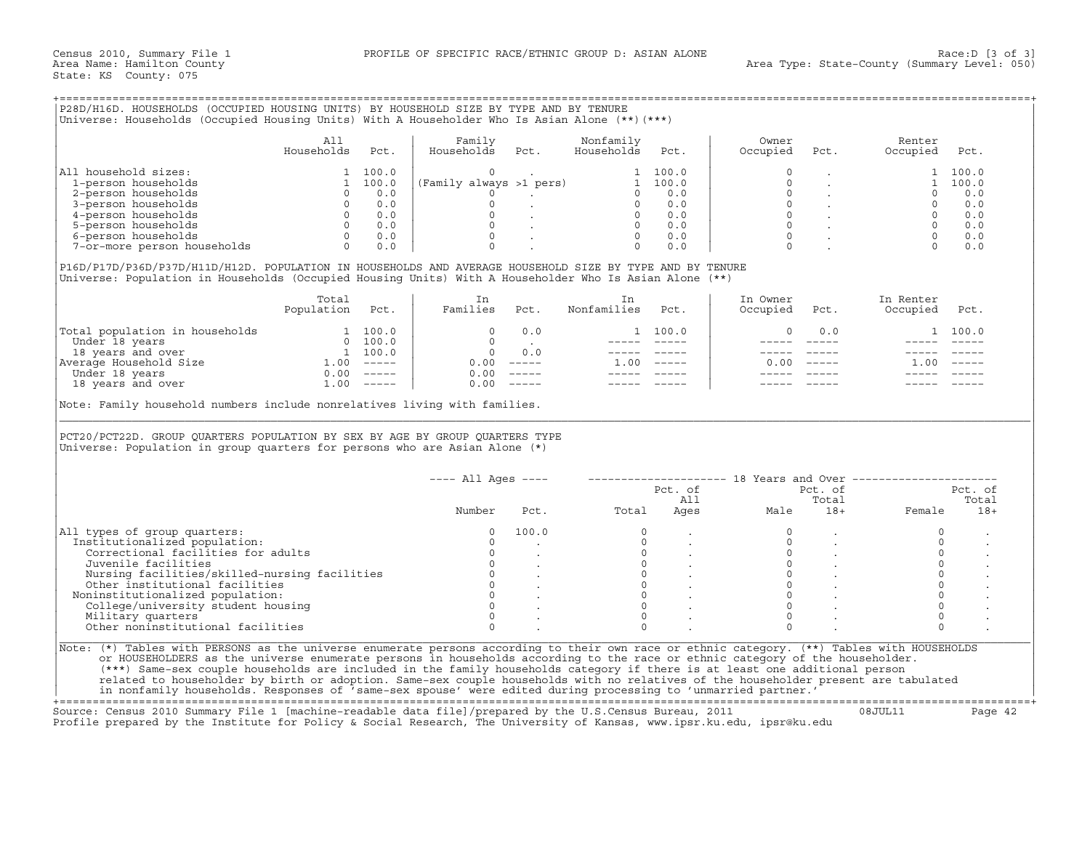+===================================================================================================================================================+

|                             | All<br>Households | Pct.  | Family<br>Households    | Pct. | Nonfamily<br>Households | Pct.  | Owner<br>Occupied | Pct. | Renter<br>Occupied | Pct.  |
|-----------------------------|-------------------|-------|-------------------------|------|-------------------------|-------|-------------------|------|--------------------|-------|
| All household sizes:        |                   | 100.0 |                         |      |                         | 100.0 |                   |      |                    | 100.0 |
| 1-person households         |                   | 100.0 | (Family always >1 pers) |      |                         | 100.0 |                   |      |                    | 100.0 |
| 2-person households         |                   | 0.0   |                         |      |                         | 0.0   |                   |      |                    | 0.0   |
| 3-person households         |                   | 0.0   |                         |      |                         | 0.0   |                   |      |                    | 0.0   |
| 4-person households         |                   | 0.0   |                         |      |                         | 0.0   |                   |      |                    | 0.0   |
| 5-person households         |                   | 0.0   |                         |      |                         | 0.0   |                   |      |                    | 0.0   |
| 6-person households         |                   | 0.0   |                         |      |                         | 0.0   |                   |      |                    | 0.0   |
| 7-or-more person households |                   | 0.0   |                         |      |                         | 0.0   |                   |      |                    | 0.0   |

|                                | Total<br>Population | Pct.          | Families | Pct.          | Nonfamilies | Pct.          | In Owner<br>Occupied | Pct.          | In Renter<br>Occupied | Pct.                      |
|--------------------------------|---------------------|---------------|----------|---------------|-------------|---------------|----------------------|---------------|-----------------------|---------------------------|
|                                |                     |               |          |               |             |               |                      |               |                       |                           |
| Total population in households |                     | 100.0         |          | 0.0           |             | 1 100.0       |                      | 0.0           |                       | 1 100.0                   |
| Under 18 years                 |                     | 100.0         |          |               |             |               |                      |               |                       |                           |
| 18 years and over              |                     | 100.0         |          | 0.0           |             |               |                      |               |                       |                           |
| Average Household Size         | .00                 | $- - - - - -$ | 0.00     | $\frac{1}{2}$ | .00         | $\frac{1}{2}$ | 0.00                 | $- - - - - -$ | 1.00                  | $\qquad \qquad - - - - -$ |
| Under 18 years                 | 0.00                | $- - - - - -$ | 0.00     |               |             |               |                      |               |                       |                           |
| 18 years and over              | ⊥.00                | $------$      | 0.00     | —————         |             |               |                      |               |                       |                           |

| 1 100.0<br>1 100.0<br>0 .<br>(Family always >1 pers)<br>$\Omega$<br>1 100.0<br>1-person households<br>1 100.0<br>1 100.0<br>$\Omega$<br>1 100.0<br>0.0<br>$\Omega$<br>$\overline{0}$<br>0.0<br>$\Omega$<br>$\Omega$<br>0.0<br>$\circ$<br>$0 \t 0.0$<br>0 0.0<br>$\begin{matrix} 0 & \cdot & \cdot \\ 0 & \cdot & \cdot \\ 0 & \cdot & \cdot \end{matrix}$<br>$0 \qquad 0.0$<br>$\begin{array}{ccc} 0 & & \cdot \\ 0 & & \cdot \\ 0 & & \cdot \end{array}$<br>$\Omega$<br>0.0<br>$0 \t 0.0$<br>0 0.0<br>$\Omega$<br>0.0<br>$0 \t 0.0$<br>$\Omega$<br>0.0<br>$0 \t 0.0$<br>0 0.0<br>$\Omega$<br>$\Omega$<br>$\mathcal{L}^{\mathcal{L}}(\mathcal{L}^{\mathcal{L}}(\mathcal{L}^{\mathcal{L}}))$<br>$\Omega$<br>0.0<br>$\Omega$<br>0.0<br>$\Omega$<br>$\Omega$<br>$\Omega$<br>0.0<br>$\Omega$<br>0.0<br>P16D/P17D/P36D/P37D/H11D/H12D. POPULATION IN HOUSEHOLDS AND AVERAGE HOUSEHOLD SIZE BY TYPE AND BY TENURE<br>Universe: Population in Households (Occupied Housing Units) With A Householder Who Is Asian Alone (**)<br>In Owner<br>Total<br>In<br>In Renter<br>In<br>Population Pct.<br>Families Pct.<br>Nonfamilies<br>Pct.<br>Occupied<br>Occupied<br>Pct.<br>Pct.<br>$\begin{tabular}{ l l } \hline \texttt{Total population in households} & \multicolumn{2}{ l }{} \hline \texttt{Under 18 years} & \multicolumn{2}{ l }{} \hline \texttt{Under 18 years} & \multicolumn{2}{ l }{} \hline \texttt{Under 18 years} & \multicolumn{2}{ l }{} \hline \texttt{M} & \multicolumn{2}{ l }{} \hline \texttt{M} & \multicolumn{2}{ l }{} \hline \texttt{M} & \multicolumn{2}{ l }{} \hline \texttt{M} & \multicolumn{2}{ l }{} \hline \texttt{M} & \multicolumn{2$<br>$0 \qquad 0.0$<br>1 100.0<br>$\mathbf 0$<br>0.0<br>1 100.0<br>$\Omega$<br><b>Contract Contract</b><br>$------$<br>$\overline{0}$<br>0.0<br>----- -----<br>$- - - - - -$<br>$0.00$ -----<br>$1.00$ -----<br>$0.00$ -----<br>$1.00$ -----<br>$0.00$ -----<br>$0.00$ -----<br>Note: Family household numbers include nonrelatives living with families.<br>PCT20/PCT22D. GROUP QUARTERS POPULATION BY SEX BY AGE BY GROUP QUARTERS TYPE<br>Universe: Population in group quarters for persons who are Asian Alone (*)<br>$---$ All Ages $---$<br>-------------------- 18 Years and Over ---------------------<br>Pct. of<br>Pct. of<br>Pct. of<br>All<br>Total<br>Total<br>All<br>Ages<br>Total<br>Number<br>Male<br>$18+$<br>Pct.<br>$18 +$<br>Female<br>100.0<br>$\Omega$<br>$\Omega$<br>$\Omega$<br>$\Omega$<br>$\Omega$<br>$\Omega$<br>$\Omega$<br>$\Omega$<br>$\circ$<br>$\begin{array}{ccc} 0 & & \cdot \\ 0 & & \cdot \\ 0 & & \cdot \end{array}$<br>$\circ$<br>$\circ$<br>Correctional facilities for adults<br>$\overline{0}$<br>$0 \qquad \qquad$<br>$\circ$<br>Juvenile facilities<br>$\Omega$<br>$\begin{matrix} 0 & & \cdot \\ 0 & & \cdot \\ 0 & & \cdot \end{matrix}$<br>$\Omega$<br>Nursing facilities/skilled-nursing facilities<br>$\overline{0}$<br>$\circ$<br>$\circ$<br>Other institutional facilities<br>$\Omega$<br>$\Omega$<br>$\circ$<br>Noninstitutionalized population:<br>$\Omega$<br>$\Omega$<br>$\Omega$<br>$\Omega$<br>College/university student housing<br>$\Omega$<br>$\Omega$<br>$\Omega$<br>$\Omega$<br>Military quarters<br>Other noninstitutional facilities<br>$\Omega$<br>$\Omega$<br>$\Omega$<br>$\Omega$ |                                                               | All<br>Households | Pct. | Family<br>Households | Pct. | Nonfamily<br>Households | Pct. | Owner<br>Occupied | Pct. | Renter<br>Occupied | Pct. |
|----------------------------------------------------------------------------------------------------------------------------------------------------------------------------------------------------------------------------------------------------------------------------------------------------------------------------------------------------------------------------------------------------------------------------------------------------------------------------------------------------------------------------------------------------------------------------------------------------------------------------------------------------------------------------------------------------------------------------------------------------------------------------------------------------------------------------------------------------------------------------------------------------------------------------------------------------------------------------------------------------------------------------------------------------------------------------------------------------------------------------------------------------------------------------------------------------------------------------------------------------------------------------------------------------------------------------------------------------------------------------------------------------------------------------------------------------------------------------------------------------------------------------------------------------------------------------------------------------------------------------------------------------------------------------------------------------------------------------------------------------------------------------------------------------------------------------------------------------------------------------------------------------------------------------------------------------------------------------------------------------------------------------------------------------------------------------------------------------------------------------------------------------------------------------------------------------------------------------------------------------------------------------------------------------------------------------------------------------------------------------------------------------------------------------------------------------------------------------------------------------------------------------------------------------------------------------------------------------------------------------------------------------------------------------------------------------------------------------------------------------------------------------------------------------------------------------------------------------------------------------------------------------------------------------------------------------------------------------------------------------------------------------------------------------------------------------------------------------------------------------------------------------------------------------------------------------------------------------------------------------------------------------------------------------------------------|---------------------------------------------------------------|-------------------|------|----------------------|------|-------------------------|------|-------------------|------|--------------------|------|
|                                                                                                                                                                                                                                                                                                                                                                                                                                                                                                                                                                                                                                                                                                                                                                                                                                                                                                                                                                                                                                                                                                                                                                                                                                                                                                                                                                                                                                                                                                                                                                                                                                                                                                                                                                                                                                                                                                                                                                                                                                                                                                                                                                                                                                                                                                                                                                                                                                                                                                                                                                                                                                                                                                                                                                                                                                                                                                                                                                                                                                                                                                                                                                                                                                                                                                                      | All household sizes:                                          |                   |      |                      |      |                         |      |                   |      |                    |      |
|                                                                                                                                                                                                                                                                                                                                                                                                                                                                                                                                                                                                                                                                                                                                                                                                                                                                                                                                                                                                                                                                                                                                                                                                                                                                                                                                                                                                                                                                                                                                                                                                                                                                                                                                                                                                                                                                                                                                                                                                                                                                                                                                                                                                                                                                                                                                                                                                                                                                                                                                                                                                                                                                                                                                                                                                                                                                                                                                                                                                                                                                                                                                                                                                                                                                                                                      |                                                               |                   |      |                      |      |                         |      |                   |      |                    |      |
|                                                                                                                                                                                                                                                                                                                                                                                                                                                                                                                                                                                                                                                                                                                                                                                                                                                                                                                                                                                                                                                                                                                                                                                                                                                                                                                                                                                                                                                                                                                                                                                                                                                                                                                                                                                                                                                                                                                                                                                                                                                                                                                                                                                                                                                                                                                                                                                                                                                                                                                                                                                                                                                                                                                                                                                                                                                                                                                                                                                                                                                                                                                                                                                                                                                                                                                      | 2-person households                                           |                   |      |                      |      |                         |      |                   |      |                    |      |
|                                                                                                                                                                                                                                                                                                                                                                                                                                                                                                                                                                                                                                                                                                                                                                                                                                                                                                                                                                                                                                                                                                                                                                                                                                                                                                                                                                                                                                                                                                                                                                                                                                                                                                                                                                                                                                                                                                                                                                                                                                                                                                                                                                                                                                                                                                                                                                                                                                                                                                                                                                                                                                                                                                                                                                                                                                                                                                                                                                                                                                                                                                                                                                                                                                                                                                                      | 3-person households                                           |                   |      |                      |      |                         |      |                   |      |                    |      |
|                                                                                                                                                                                                                                                                                                                                                                                                                                                                                                                                                                                                                                                                                                                                                                                                                                                                                                                                                                                                                                                                                                                                                                                                                                                                                                                                                                                                                                                                                                                                                                                                                                                                                                                                                                                                                                                                                                                                                                                                                                                                                                                                                                                                                                                                                                                                                                                                                                                                                                                                                                                                                                                                                                                                                                                                                                                                                                                                                                                                                                                                                                                                                                                                                                                                                                                      | 4-person households                                           |                   |      |                      |      |                         |      |                   |      |                    |      |
|                                                                                                                                                                                                                                                                                                                                                                                                                                                                                                                                                                                                                                                                                                                                                                                                                                                                                                                                                                                                                                                                                                                                                                                                                                                                                                                                                                                                                                                                                                                                                                                                                                                                                                                                                                                                                                                                                                                                                                                                                                                                                                                                                                                                                                                                                                                                                                                                                                                                                                                                                                                                                                                                                                                                                                                                                                                                                                                                                                                                                                                                                                                                                                                                                                                                                                                      | 5-person households                                           |                   |      |                      |      |                         |      |                   |      |                    |      |
|                                                                                                                                                                                                                                                                                                                                                                                                                                                                                                                                                                                                                                                                                                                                                                                                                                                                                                                                                                                                                                                                                                                                                                                                                                                                                                                                                                                                                                                                                                                                                                                                                                                                                                                                                                                                                                                                                                                                                                                                                                                                                                                                                                                                                                                                                                                                                                                                                                                                                                                                                                                                                                                                                                                                                                                                                                                                                                                                                                                                                                                                                                                                                                                                                                                                                                                      | 6-person households                                           |                   |      |                      |      |                         |      |                   |      |                    |      |
|                                                                                                                                                                                                                                                                                                                                                                                                                                                                                                                                                                                                                                                                                                                                                                                                                                                                                                                                                                                                                                                                                                                                                                                                                                                                                                                                                                                                                                                                                                                                                                                                                                                                                                                                                                                                                                                                                                                                                                                                                                                                                                                                                                                                                                                                                                                                                                                                                                                                                                                                                                                                                                                                                                                                                                                                                                                                                                                                                                                                                                                                                                                                                                                                                                                                                                                      | 7-or-more person households                                   |                   |      |                      |      |                         |      |                   |      |                    |      |
|                                                                                                                                                                                                                                                                                                                                                                                                                                                                                                                                                                                                                                                                                                                                                                                                                                                                                                                                                                                                                                                                                                                                                                                                                                                                                                                                                                                                                                                                                                                                                                                                                                                                                                                                                                                                                                                                                                                                                                                                                                                                                                                                                                                                                                                                                                                                                                                                                                                                                                                                                                                                                                                                                                                                                                                                                                                                                                                                                                                                                                                                                                                                                                                                                                                                                                                      |                                                               |                   |      |                      |      |                         |      |                   |      |                    |      |
|                                                                                                                                                                                                                                                                                                                                                                                                                                                                                                                                                                                                                                                                                                                                                                                                                                                                                                                                                                                                                                                                                                                                                                                                                                                                                                                                                                                                                                                                                                                                                                                                                                                                                                                                                                                                                                                                                                                                                                                                                                                                                                                                                                                                                                                                                                                                                                                                                                                                                                                                                                                                                                                                                                                                                                                                                                                                                                                                                                                                                                                                                                                                                                                                                                                                                                                      |                                                               |                   |      |                      |      |                         |      |                   |      |                    |      |
|                                                                                                                                                                                                                                                                                                                                                                                                                                                                                                                                                                                                                                                                                                                                                                                                                                                                                                                                                                                                                                                                                                                                                                                                                                                                                                                                                                                                                                                                                                                                                                                                                                                                                                                                                                                                                                                                                                                                                                                                                                                                                                                                                                                                                                                                                                                                                                                                                                                                                                                                                                                                                                                                                                                                                                                                                                                                                                                                                                                                                                                                                                                                                                                                                                                                                                                      |                                                               |                   |      |                      |      |                         |      |                   |      |                    |      |
|                                                                                                                                                                                                                                                                                                                                                                                                                                                                                                                                                                                                                                                                                                                                                                                                                                                                                                                                                                                                                                                                                                                                                                                                                                                                                                                                                                                                                                                                                                                                                                                                                                                                                                                                                                                                                                                                                                                                                                                                                                                                                                                                                                                                                                                                                                                                                                                                                                                                                                                                                                                                                                                                                                                                                                                                                                                                                                                                                                                                                                                                                                                                                                                                                                                                                                                      |                                                               |                   |      |                      |      |                         |      |                   |      |                    |      |
|                                                                                                                                                                                                                                                                                                                                                                                                                                                                                                                                                                                                                                                                                                                                                                                                                                                                                                                                                                                                                                                                                                                                                                                                                                                                                                                                                                                                                                                                                                                                                                                                                                                                                                                                                                                                                                                                                                                                                                                                                                                                                                                                                                                                                                                                                                                                                                                                                                                                                                                                                                                                                                                                                                                                                                                                                                                                                                                                                                                                                                                                                                                                                                                                                                                                                                                      |                                                               |                   |      |                      |      |                         |      |                   |      |                    |      |
|                                                                                                                                                                                                                                                                                                                                                                                                                                                                                                                                                                                                                                                                                                                                                                                                                                                                                                                                                                                                                                                                                                                                                                                                                                                                                                                                                                                                                                                                                                                                                                                                                                                                                                                                                                                                                                                                                                                                                                                                                                                                                                                                                                                                                                                                                                                                                                                                                                                                                                                                                                                                                                                                                                                                                                                                                                                                                                                                                                                                                                                                                                                                                                                                                                                                                                                      |                                                               |                   |      |                      |      |                         |      |                   |      |                    |      |
|                                                                                                                                                                                                                                                                                                                                                                                                                                                                                                                                                                                                                                                                                                                                                                                                                                                                                                                                                                                                                                                                                                                                                                                                                                                                                                                                                                                                                                                                                                                                                                                                                                                                                                                                                                                                                                                                                                                                                                                                                                                                                                                                                                                                                                                                                                                                                                                                                                                                                                                                                                                                                                                                                                                                                                                                                                                                                                                                                                                                                                                                                                                                                                                                                                                                                                                      |                                                               |                   |      |                      |      |                         |      |                   |      |                    |      |
|                                                                                                                                                                                                                                                                                                                                                                                                                                                                                                                                                                                                                                                                                                                                                                                                                                                                                                                                                                                                                                                                                                                                                                                                                                                                                                                                                                                                                                                                                                                                                                                                                                                                                                                                                                                                                                                                                                                                                                                                                                                                                                                                                                                                                                                                                                                                                                                                                                                                                                                                                                                                                                                                                                                                                                                                                                                                                                                                                                                                                                                                                                                                                                                                                                                                                                                      |                                                               |                   |      |                      |      |                         |      |                   |      |                    |      |
|                                                                                                                                                                                                                                                                                                                                                                                                                                                                                                                                                                                                                                                                                                                                                                                                                                                                                                                                                                                                                                                                                                                                                                                                                                                                                                                                                                                                                                                                                                                                                                                                                                                                                                                                                                                                                                                                                                                                                                                                                                                                                                                                                                                                                                                                                                                                                                                                                                                                                                                                                                                                                                                                                                                                                                                                                                                                                                                                                                                                                                                                                                                                                                                                                                                                                                                      |                                                               |                   |      |                      |      |                         |      |                   |      |                    |      |
|                                                                                                                                                                                                                                                                                                                                                                                                                                                                                                                                                                                                                                                                                                                                                                                                                                                                                                                                                                                                                                                                                                                                                                                                                                                                                                                                                                                                                                                                                                                                                                                                                                                                                                                                                                                                                                                                                                                                                                                                                                                                                                                                                                                                                                                                                                                                                                                                                                                                                                                                                                                                                                                                                                                                                                                                                                                                                                                                                                                                                                                                                                                                                                                                                                                                                                                      |                                                               |                   |      |                      |      |                         |      |                   |      |                    |      |
|                                                                                                                                                                                                                                                                                                                                                                                                                                                                                                                                                                                                                                                                                                                                                                                                                                                                                                                                                                                                                                                                                                                                                                                                                                                                                                                                                                                                                                                                                                                                                                                                                                                                                                                                                                                                                                                                                                                                                                                                                                                                                                                                                                                                                                                                                                                                                                                                                                                                                                                                                                                                                                                                                                                                                                                                                                                                                                                                                                                                                                                                                                                                                                                                                                                                                                                      |                                                               |                   |      |                      |      |                         |      |                   |      |                    |      |
|                                                                                                                                                                                                                                                                                                                                                                                                                                                                                                                                                                                                                                                                                                                                                                                                                                                                                                                                                                                                                                                                                                                                                                                                                                                                                                                                                                                                                                                                                                                                                                                                                                                                                                                                                                                                                                                                                                                                                                                                                                                                                                                                                                                                                                                                                                                                                                                                                                                                                                                                                                                                                                                                                                                                                                                                                                                                                                                                                                                                                                                                                                                                                                                                                                                                                                                      |                                                               |                   |      |                      |      |                         |      |                   |      |                    |      |
|                                                                                                                                                                                                                                                                                                                                                                                                                                                                                                                                                                                                                                                                                                                                                                                                                                                                                                                                                                                                                                                                                                                                                                                                                                                                                                                                                                                                                                                                                                                                                                                                                                                                                                                                                                                                                                                                                                                                                                                                                                                                                                                                                                                                                                                                                                                                                                                                                                                                                                                                                                                                                                                                                                                                                                                                                                                                                                                                                                                                                                                                                                                                                                                                                                                                                                                      |                                                               |                   |      |                      |      |                         |      |                   |      |                    |      |
|                                                                                                                                                                                                                                                                                                                                                                                                                                                                                                                                                                                                                                                                                                                                                                                                                                                                                                                                                                                                                                                                                                                                                                                                                                                                                                                                                                                                                                                                                                                                                                                                                                                                                                                                                                                                                                                                                                                                                                                                                                                                                                                                                                                                                                                                                                                                                                                                                                                                                                                                                                                                                                                                                                                                                                                                                                                                                                                                                                                                                                                                                                                                                                                                                                                                                                                      |                                                               |                   |      |                      |      |                         |      |                   |      |                    |      |
|                                                                                                                                                                                                                                                                                                                                                                                                                                                                                                                                                                                                                                                                                                                                                                                                                                                                                                                                                                                                                                                                                                                                                                                                                                                                                                                                                                                                                                                                                                                                                                                                                                                                                                                                                                                                                                                                                                                                                                                                                                                                                                                                                                                                                                                                                                                                                                                                                                                                                                                                                                                                                                                                                                                                                                                                                                                                                                                                                                                                                                                                                                                                                                                                                                                                                                                      |                                                               |                   |      |                      |      |                         |      |                   |      |                    |      |
|                                                                                                                                                                                                                                                                                                                                                                                                                                                                                                                                                                                                                                                                                                                                                                                                                                                                                                                                                                                                                                                                                                                                                                                                                                                                                                                                                                                                                                                                                                                                                                                                                                                                                                                                                                                                                                                                                                                                                                                                                                                                                                                                                                                                                                                                                                                                                                                                                                                                                                                                                                                                                                                                                                                                                                                                                                                                                                                                                                                                                                                                                                                                                                                                                                                                                                                      |                                                               |                   |      |                      |      |                         |      |                   |      |                    |      |
|                                                                                                                                                                                                                                                                                                                                                                                                                                                                                                                                                                                                                                                                                                                                                                                                                                                                                                                                                                                                                                                                                                                                                                                                                                                                                                                                                                                                                                                                                                                                                                                                                                                                                                                                                                                                                                                                                                                                                                                                                                                                                                                                                                                                                                                                                                                                                                                                                                                                                                                                                                                                                                                                                                                                                                                                                                                                                                                                                                                                                                                                                                                                                                                                                                                                                                                      |                                                               |                   |      |                      |      |                         |      |                   |      |                    |      |
|                                                                                                                                                                                                                                                                                                                                                                                                                                                                                                                                                                                                                                                                                                                                                                                                                                                                                                                                                                                                                                                                                                                                                                                                                                                                                                                                                                                                                                                                                                                                                                                                                                                                                                                                                                                                                                                                                                                                                                                                                                                                                                                                                                                                                                                                                                                                                                                                                                                                                                                                                                                                                                                                                                                                                                                                                                                                                                                                                                                                                                                                                                                                                                                                                                                                                                                      |                                                               |                   |      |                      |      |                         |      |                   |      |                    |      |
|                                                                                                                                                                                                                                                                                                                                                                                                                                                                                                                                                                                                                                                                                                                                                                                                                                                                                                                                                                                                                                                                                                                                                                                                                                                                                                                                                                                                                                                                                                                                                                                                                                                                                                                                                                                                                                                                                                                                                                                                                                                                                                                                                                                                                                                                                                                                                                                                                                                                                                                                                                                                                                                                                                                                                                                                                                                                                                                                                                                                                                                                                                                                                                                                                                                                                                                      |                                                               |                   |      |                      |      |                         |      |                   |      |                    |      |
|                                                                                                                                                                                                                                                                                                                                                                                                                                                                                                                                                                                                                                                                                                                                                                                                                                                                                                                                                                                                                                                                                                                                                                                                                                                                                                                                                                                                                                                                                                                                                                                                                                                                                                                                                                                                                                                                                                                                                                                                                                                                                                                                                                                                                                                                                                                                                                                                                                                                                                                                                                                                                                                                                                                                                                                                                                                                                                                                                                                                                                                                                                                                                                                                                                                                                                                      |                                                               |                   |      |                      |      |                         |      |                   |      |                    |      |
|                                                                                                                                                                                                                                                                                                                                                                                                                                                                                                                                                                                                                                                                                                                                                                                                                                                                                                                                                                                                                                                                                                                                                                                                                                                                                                                                                                                                                                                                                                                                                                                                                                                                                                                                                                                                                                                                                                                                                                                                                                                                                                                                                                                                                                                                                                                                                                                                                                                                                                                                                                                                                                                                                                                                                                                                                                                                                                                                                                                                                                                                                                                                                                                                                                                                                                                      |                                                               |                   |      |                      |      |                         |      |                   |      |                    |      |
|                                                                                                                                                                                                                                                                                                                                                                                                                                                                                                                                                                                                                                                                                                                                                                                                                                                                                                                                                                                                                                                                                                                                                                                                                                                                                                                                                                                                                                                                                                                                                                                                                                                                                                                                                                                                                                                                                                                                                                                                                                                                                                                                                                                                                                                                                                                                                                                                                                                                                                                                                                                                                                                                                                                                                                                                                                                                                                                                                                                                                                                                                                                                                                                                                                                                                                                      |                                                               |                   |      |                      |      |                         |      |                   |      |                    |      |
|                                                                                                                                                                                                                                                                                                                                                                                                                                                                                                                                                                                                                                                                                                                                                                                                                                                                                                                                                                                                                                                                                                                                                                                                                                                                                                                                                                                                                                                                                                                                                                                                                                                                                                                                                                                                                                                                                                                                                                                                                                                                                                                                                                                                                                                                                                                                                                                                                                                                                                                                                                                                                                                                                                                                                                                                                                                                                                                                                                                                                                                                                                                                                                                                                                                                                                                      |                                                               |                   |      |                      |      |                         |      |                   |      |                    |      |
|                                                                                                                                                                                                                                                                                                                                                                                                                                                                                                                                                                                                                                                                                                                                                                                                                                                                                                                                                                                                                                                                                                                                                                                                                                                                                                                                                                                                                                                                                                                                                                                                                                                                                                                                                                                                                                                                                                                                                                                                                                                                                                                                                                                                                                                                                                                                                                                                                                                                                                                                                                                                                                                                                                                                                                                                                                                                                                                                                                                                                                                                                                                                                                                                                                                                                                                      | All types of group quarters:<br>Institutionalized population: |                   |      |                      |      |                         |      |                   |      |                    |      |

+===================================================================================================================================================+Source: Census 2010 Summary File 1 [machine−readable data file]/prepared by the U.S.Census Bureau, 2011 08JUL11 Page 42 Profile prepared by the Institute for Policy & Social Research, The University of Kansas, www.ipsr.ku.edu, ipsr@ku.edu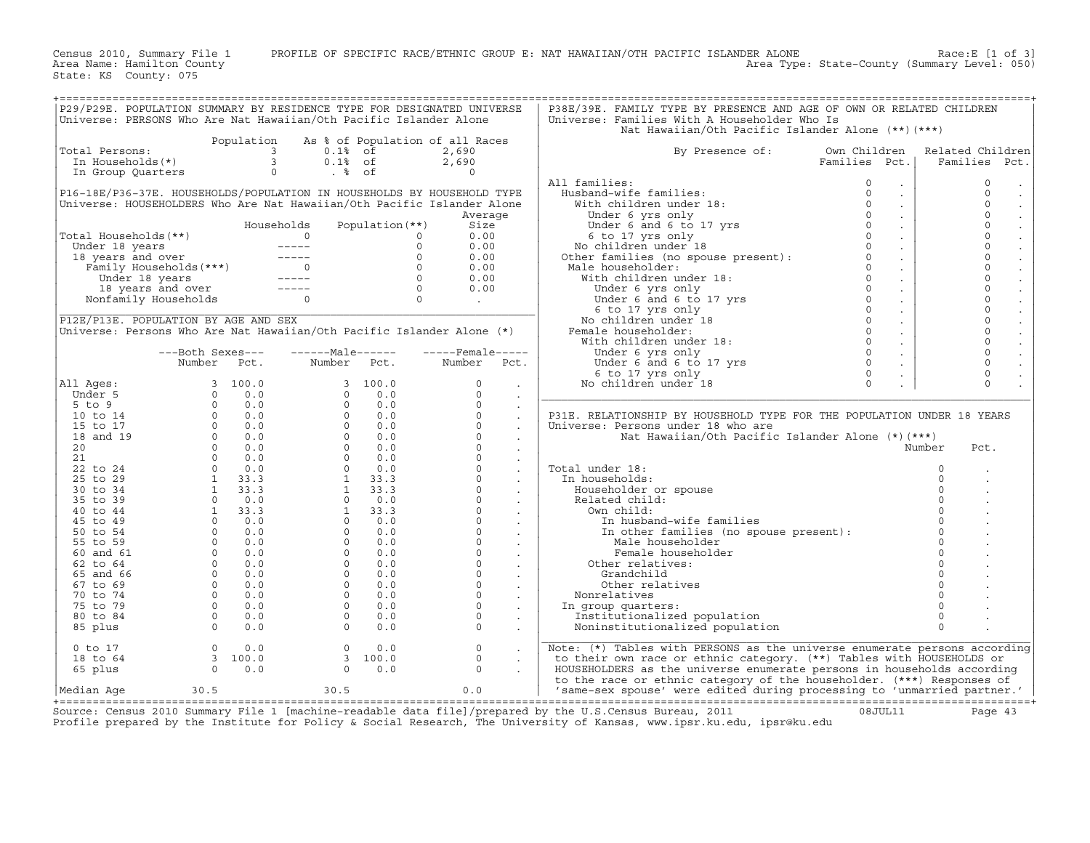Census 2010, Summary File 1 PROFILE OF SPECIFIC RACE/ETHNIC GROUP E: NAT HAWAIIAN/OTH PACIFIC ISLANDER ALONE Race:E [1 of 3] Area Name: Hamilton County Area Type: State−County (Summary Level: 050)

State: KS County: 075

| P29/P29E. POPULATION SUMMARY BY RESIDENCE TYPE FOR DESIGNATED UNIVERSE |                  |          |                                                                                                                                                                                                                                                                            |                 |                                                           |                            | P38E/39E. FAMILY TYPE BY PRESENCE AND AGE OF OWN OR RELATED CHILDREN                                                                                                                                                                       |                                  |                     |
|------------------------------------------------------------------------|------------------|----------|----------------------------------------------------------------------------------------------------------------------------------------------------------------------------------------------------------------------------------------------------------------------------|-----------------|-----------------------------------------------------------|----------------------------|--------------------------------------------------------------------------------------------------------------------------------------------------------------------------------------------------------------------------------------------|----------------------------------|---------------------|
| Universe: PERSONS Who Are Nat Hawaiian/Oth Pacific Islander Alone      |                  |          |                                                                                                                                                                                                                                                                            |                 |                                                           |                            | Universe: Families With A Householder Who Is                                                                                                                                                                                               |                                  |                     |
|                                                                        |                  |          |                                                                                                                                                                                                                                                                            |                 |                                                           |                            | Nat Hawaiian/Oth Pacific Islander Alone (**) (***)                                                                                                                                                                                         |                                  |                     |
|                                                                        |                  |          | Population As % of Population of all Races                                                                                                                                                                                                                                 |                 |                                                           |                            |                                                                                                                                                                                                                                            |                                  |                     |
|                                                                        |                  |          |                                                                                                                                                                                                                                                                            |                 | 2,690                                                     |                            |                                                                                                                                                                                                                                            | Own Children                     |                     |
| Total Persons:                                                         |                  |          |                                                                                                                                                                                                                                                                            |                 |                                                           |                            | By Presence of:                                                                                                                                                                                                                            |                                  | Related Children    |
|                                                                        |                  |          |                                                                                                                                                                                                                                                                            |                 | 2,690                                                     |                            |                                                                                                                                                                                                                                            | Families Pct.                    | Families Pct.       |
|                                                                        |                  |          |                                                                                                                                                                                                                                                                            |                 | $\overline{a}$                                            |                            |                                                                                                                                                                                                                                            |                                  |                     |
|                                                                        |                  |          |                                                                                                                                                                                                                                                                            |                 |                                                           |                            | All families:                                                                                                                                                                                                                              | $\Omega$<br>$\sim$               | $\circ$             |
| P16-18E/P36-37E. HOUSEHOLDS/POPULATION IN HOUSEHOLDS BY HOUSEHOLD TYPE |                  |          |                                                                                                                                                                                                                                                                            |                 |                                                           |                            | 11 families:<br>Husband-wife families: 0<br>With children under 18: 0<br>Under 6 yrs only 0<br>Under 6 and 6 to 17 yrs 0<br>6 to 17 yrs 0<br>No children under 18 0<br>Other families (no spouse present): 0<br>Mala bausebalder: 0        | $\mathcal{L}^{\pm}$              | $\mathbf 0$         |
| Universe: HOUSEHOLDERS Who Are Nat Hawaiian/Oth Pacific Islander Alone |                  |          |                                                                                                                                                                                                                                                                            |                 |                                                           |                            |                                                                                                                                                                                                                                            | $\mathbb{Z}^{\mathbb{Z}}$        | $\mathbf 0$         |
|                                                                        |                  |          |                                                                                                                                                                                                                                                                            |                 | Average                                                   |                            |                                                                                                                                                                                                                                            | $\mathcal{L}^{\pm}$              | $\mathbf 0$         |
|                                                                        |                  |          | Households                                                                                                                                                                                                                                                                 | Population (**) | Size                                                      |                            |                                                                                                                                                                                                                                            | $\mathcal{L}^{\pm}$              | $\mathbf 0$         |
| Total Households (**)                                                  |                  |          |                                                                                                                                                                                                                                                                            |                 | 0.00                                                      |                            |                                                                                                                                                                                                                                            | $\sim$                           | $\mathbf 0$         |
|                                                                        |                  |          |                                                                                                                                                                                                                                                                            |                 | 0.00                                                      |                            |                                                                                                                                                                                                                                            | $\sim$                           | $\mathsf{O}\xspace$ |
|                                                                        |                  |          |                                                                                                                                                                                                                                                                            |                 | 0.00                                                      |                            |                                                                                                                                                                                                                                            | $\sim$                           | $\mathbf 0$         |
|                                                                        |                  |          |                                                                                                                                                                                                                                                                            |                 | 0.00                                                      |                            | Male householder:                                                                                                                                                                                                                          | $\mathcal{L}^{\pm}$              | $\mathbf 0$         |
|                                                                        |                  |          |                                                                                                                                                                                                                                                                            |                 | 0.00                                                      |                            |                                                                                                                                                                                                                                            | $\mathcal{L}^{\pm}$              | $\mathbf 0$         |
|                                                                        |                  |          | otal Households (**)<br>Under 18 years<br>18 years and over<br>Family Households (***)<br>18 years and over<br>Family Households<br>18 years and over<br>Nonfamily Households<br>0<br>2<br>Nonfamily Households<br>0<br>0<br>0<br>0<br>0<br>0<br>0<br>0<br>0<br>0<br>0<br> |                 |                                                           |                            | er families (no spouse presence).<br>ale householder:<br>With children under 18:<br>Under 6 yrs only<br>Under 6 and 6 to 17 yrs<br>0<br>12 12 12 13 11 11 12 13 14 14 15 16 17 17 10 11 12 14 15 11 11 11 12 14 15 11 11 11 11 11 11 11 11 |                                  | $\circ$             |
|                                                                        |                  |          |                                                                                                                                                                                                                                                                            |                 | 0.00                                                      |                            |                                                                                                                                                                                                                                            | $\sim$                           | $\mathbf 0$         |
|                                                                        |                  |          |                                                                                                                                                                                                                                                                            |                 | $\mathcal{L}^{\text{max}}$ and $\mathcal{L}^{\text{max}}$ |                            |                                                                                                                                                                                                                                            | $\sim$                           |                     |
|                                                                        |                  |          |                                                                                                                                                                                                                                                                            |                 |                                                           |                            |                                                                                                                                                                                                                                            | $\sim$                           | $\mathsf{O}\xspace$ |
| P12E/P13E. POPULATION BY AGE AND SEX                                   |                  |          |                                                                                                                                                                                                                                                                            |                 |                                                           |                            | No children under 18                                                                                                                                                                                                                       | $\Omega$<br>$\sim$               | $\mathbf 0$         |
| Universe: Persons Who Are Nat Hawaiian/Oth Pacific Islander Alone (*)  |                  |          |                                                                                                                                                                                                                                                                            |                 |                                                           |                            | Female householder:                                                                                                                                                                                                                        | $\Omega$<br>$\sim$               | $\mathbf 0$         |
|                                                                        |                  |          |                                                                                                                                                                                                                                                                            |                 |                                                           |                            | With children under 18:                                                                                                                                                                                                                    | $\Omega$<br>$\sim$               | $\mathbf 0$         |
|                                                                        | ---Both Sexes--- |          | -------Male------                                                                                                                                                                                                                                                          |                 | $---$ Female -----                                        |                            | Under 6 yrs only                                                                                                                                                                                                                           | $\bigcap$<br>$\mathcal{L}^{\pm}$ | $\mathbf 0$         |
|                                                                        | Number           | Pct.     | Number                                                                                                                                                                                                                                                                     | Pct.            | Number Pct.                                               |                            | Under $\sigma$ and $\sigma$ to $17 \text{ yrs}$                                                                                                                                                                                            | $\Omega$<br>$\sim$               | $\mathbf 0$         |
|                                                                        |                  |          |                                                                                                                                                                                                                                                                            |                 |                                                           |                            | 6 to 17 yrs only                                                                                                                                                                                                                           | $\Omega$                         | $\mathbf 0$         |
| All Ages:                                                              |                  |          |                                                                                                                                                                                                                                                                            | 3, 100.0        | $\Omega$                                                  |                            | No children under 18                                                                                                                                                                                                                       | $\Omega$                         | $\Omega$            |
| Under 5                                                                |                  |          | $\Omega$                                                                                                                                                                                                                                                                   | 0.0             | $\Omega$                                                  | $\sim$                     |                                                                                                                                                                                                                                            |                                  |                     |
| $5$ to $9$                                                             |                  |          | $\Omega$                                                                                                                                                                                                                                                                   | 0.0             | $\Omega$                                                  | $\sim$                     |                                                                                                                                                                                                                                            |                                  |                     |
| $10$ to $14$                                                           |                  |          |                                                                                                                                                                                                                                                                            | $0 \t 0.0$      | $\Omega$                                                  |                            | P31E. RELATIONSHIP BY HOUSEHOLD TYPE FOR THE POPULATION UNDER 18 YEARS                                                                                                                                                                     |                                  |                     |
| 15 to 17                                                               |                  |          |                                                                                                                                                                                                                                                                            | $0 \t 0.0$      | $\circ$                                                   | $\sim$                     |                                                                                                                                                                                                                                            |                                  |                     |
| 18 and 19                                                              |                  |          | $\Omega$                                                                                                                                                                                                                                                                   | 0.0             | $\Omega$                                                  | $\mathbb{Z}^2$             | Universe: Persons under 18 who are                                                                                                                                                                                                         |                                  |                     |
|                                                                        |                  |          |                                                                                                                                                                                                                                                                            |                 |                                                           | $\ddot{\phantom{a}}$       | Nat Hawaiian/Oth Pacific Islander Alone (*) (***)                                                                                                                                                                                          |                                  |                     |
| 20                                                                     |                  |          |                                                                                                                                                                                                                                                                            | $0 \t 0.0$      | $\circ$                                                   | $\sim$                     |                                                                                                                                                                                                                                            |                                  | Number<br>Pct.      |
| 21                                                                     |                  |          |                                                                                                                                                                                                                                                                            | $0 \t 0.0$      | $\circ$                                                   | $\sim$                     |                                                                                                                                                                                                                                            |                                  |                     |
| 22 to 24                                                               |                  |          | $\Omega$                                                                                                                                                                                                                                                                   | 0.0             | $\Omega$                                                  | $\ddot{\phantom{a}}$       | Total under 18:                                                                                                                                                                                                                            |                                  | $\Omega$            |
| 25 to 29                                                               |                  |          | 1                                                                                                                                                                                                                                                                          | 33.3            | $\circ$                                                   | $\Box$                     | In households:                                                                                                                                                                                                                             |                                  | $\Omega$            |
| 30 to 34                                                               |                  |          |                                                                                                                                                                                                                                                                            | $1 \t33.3$      | $\circ$                                                   | $\Box$                     | Householder or spouse                                                                                                                                                                                                                      |                                  | $\Omega$            |
| 35 to 39                                                               |                  |          | $\Omega$                                                                                                                                                                                                                                                                   | 0.0             | $\circ$                                                   |                            | Related child:                                                                                                                                                                                                                             |                                  |                     |
| 40 to 44                                                               |                  |          | 1                                                                                                                                                                                                                                                                          | 33.3            | $\Omega$                                                  |                            | Own child:                                                                                                                                                                                                                                 |                                  |                     |
| 45 to 49                                                               |                  |          |                                                                                                                                                                                                                                                                            | $0 \t 0.0$      | $\circ$                                                   |                            | In husband-wife families                                                                                                                                                                                                                   |                                  |                     |
| 50 to 54                                                               |                  |          | $\Omega$                                                                                                                                                                                                                                                                   | 0.0             | $\circ$                                                   | $\Delta \sim 10^4$         | In other families (no spouse present):                                                                                                                                                                                                     |                                  |                     |
| 55 to 59                                                               |                  |          | $\Omega$                                                                                                                                                                                                                                                                   | 0.0             | $\Omega$                                                  | $\mathcal{L}^{\text{max}}$ | Male householder                                                                                                                                                                                                                           |                                  | $\Omega$            |
| 60 and 61                                                              |                  |          | $\Omega$                                                                                                                                                                                                                                                                   | 0.0             | $\mathsf{O}$                                              |                            | Female householder                                                                                                                                                                                                                         |                                  |                     |
| 62 to 64                                                               |                  |          | $\Omega$                                                                                                                                                                                                                                                                   | 0.0             | $\circ$                                                   | $\mathcal{L}^{\pm}$        | Other relatives:                                                                                                                                                                                                                           |                                  |                     |
| 65 and 66                                                              |                  |          | $\circ$                                                                                                                                                                                                                                                                    | 0.0             | $\circ$                                                   |                            |                                                                                                                                                                                                                                            |                                  | $\Omega$            |
|                                                                        |                  |          | $\Omega$                                                                                                                                                                                                                                                                   |                 | $\Omega$                                                  | $\sim$                     | Grandchild<br>Other relatives                                                                                                                                                                                                              |                                  |                     |
| 67 to 69                                                               |                  |          |                                                                                                                                                                                                                                                                            | 0.0             |                                                           | $\ddot{\phantom{a}}$       |                                                                                                                                                                                                                                            |                                  |                     |
| 70 to 74                                                               |                  |          | $\Omega$                                                                                                                                                                                                                                                                   | 0.0             | $\Omega$                                                  | $\mathbb{Z}^2$             | Nonrelatives                                                                                                                                                                                                                               |                                  |                     |
| 75 to 79                                                               |                  |          | $\circ$                                                                                                                                                                                                                                                                    | 0.0             | $\circ$                                                   |                            | In group quarters:                                                                                                                                                                                                                         |                                  | $\Omega$            |
| 80 to 84                                                               |                  |          | $\Omega$                                                                                                                                                                                                                                                                   | 0.0             | $\Omega$                                                  | $\ddot{\phantom{a}}$       | Institutionalized population                                                                                                                                                                                                               |                                  | $\Omega$            |
| 85 plus                                                                |                  |          | $\Omega$                                                                                                                                                                                                                                                                   | 0.0             | $\Omega$                                                  | $\ddot{\phantom{a}}$       | Noninstitutionalized population                                                                                                                                                                                                            |                                  | $\Omega$            |
|                                                                        |                  |          |                                                                                                                                                                                                                                                                            |                 |                                                           |                            |                                                                                                                                                                                                                                            |                                  |                     |
| $0$ to $17$                                                            | $\overline{0}$   | 0.0      | $\circ$                                                                                                                                                                                                                                                                    | 0.0             | $\circ$                                                   | $\sim$                     | Note: (*) Tables with PERSONS as the universe enumerate persons according                                                                                                                                                                  |                                  |                     |
| 18 to 64                                                               |                  | 3, 100.0 |                                                                                                                                                                                                                                                                            | 3, 100.0        | $\Omega$                                                  |                            | to their own race or ethnic category. (**) Tables with HOUSEHOLDS or                                                                                                                                                                       |                                  |                     |
| 65 plus                                                                | $\Omega$         | 0.0      | $\Omega$                                                                                                                                                                                                                                                                   | 0.0             | $\Omega$                                                  |                            | HOUSEHOLDERS as the universe enumerate persons in households according                                                                                                                                                                     |                                  |                     |
|                                                                        |                  |          |                                                                                                                                                                                                                                                                            |                 |                                                           |                            | to the race or ethnic category of the householder. (***) Responses of                                                                                                                                                                      |                                  |                     |
| Median Age                                                             | 30.5             |          | 30.5                                                                                                                                                                                                                                                                       |                 | 0.0                                                       |                            | 'same-sex spouse' were edited during processing to 'unmarried partner.'                                                                                                                                                                    |                                  |                     |
|                                                                        |                  |          |                                                                                                                                                                                                                                                                            |                 |                                                           |                            |                                                                                                                                                                                                                                            |                                  |                     |

+===================================================================================================================================================+ Source: Census 2010 Summary File 1 [machine−readable data file]/prepared by the U.S.Census Bureau, 2011 08JUL11 Page 43 Profile prepared by the Institute for Policy & Social Research, The University of Kansas, www.ipsr.ku.edu, ipsr@ku.edu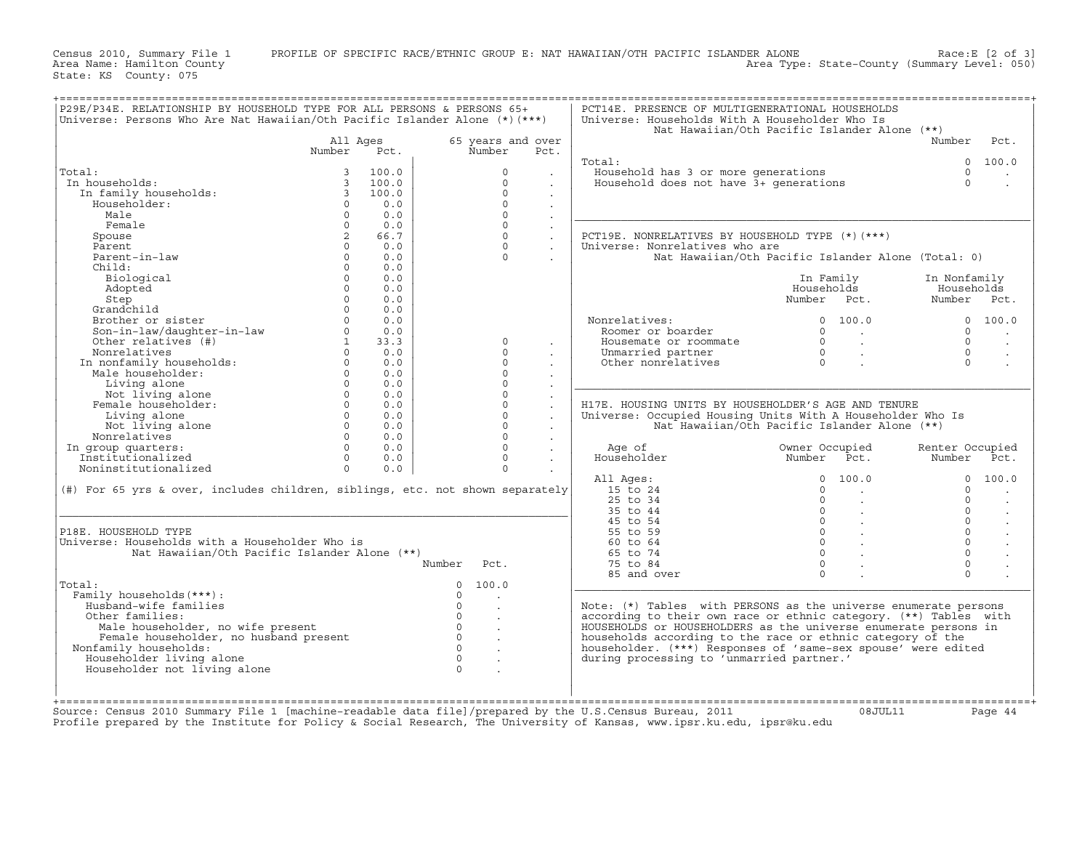Area Type: State-County (Summary Level: 050)

Census 2010, Summary File 1 PROFILE OF SPECIFIC RACE/ETHNIC GROUP E: NAT HAWAIIAN/OTH PACIFIC ISLANDER ALONE Race:E [2 of 3]<br>Area Name: Hamilton County Level: 050) Area Type: State-County (Summary Level: 050) State: KS County: 075 +===================================================================================================================================================+

| P29E/P34E. RELATIONSHIP BY HOUSEHOLD TYPE FOR ALL PERSONS & PERSONS 65+<br>Universe: Persons Who Are Nat Hawaiian/Oth Pacific Islander Alone $(*)$ (***) |                |       |                    |                      | PCT14E. PRESENCE OF MULTIGENERATIONAL HOUSEHOLDS<br>Universe: Households With A Householder Who Is |                                                    |                 |                      |
|----------------------------------------------------------------------------------------------------------------------------------------------------------|----------------|-------|--------------------|----------------------|----------------------------------------------------------------------------------------------------|----------------------------------------------------|-----------------|----------------------|
|                                                                                                                                                          |                |       |                    |                      |                                                                                                    | Nat Hawaiian/Oth Pacific Islander Alone (**)       |                 |                      |
|                                                                                                                                                          | All Ages       |       | 65 years and over  |                      |                                                                                                    |                                                    | Number          | Pct.                 |
|                                                                                                                                                          | Number         | Pct.  | Number             | Pct.                 |                                                                                                    |                                                    |                 |                      |
|                                                                                                                                                          |                |       |                    |                      | Total:                                                                                             |                                                    |                 | 0 100.0              |
| Total:                                                                                                                                                   | $\overline{3}$ | 100.0 | $\Omega$           |                      | Household has 3 or more generations                                                                |                                                    | $\Omega$        |                      |
|                                                                                                                                                          |                |       |                    | $\sim$               |                                                                                                    |                                                    |                 |                      |
| In households:                                                                                                                                           | $\overline{3}$ | 100.0 | $\Omega$           | $\blacksquare$       | Household does not have 3+ generations                                                             |                                                    | $\Omega$        | $\blacksquare$       |
| In family households:                                                                                                                                    | $\overline{3}$ | 100.0 | $\Omega$           |                      |                                                                                                    |                                                    |                 |                      |
| Householder:                                                                                                                                             | $\Omega$       | 0.0   | $\Omega$           |                      |                                                                                                    |                                                    |                 |                      |
| Male                                                                                                                                                     | $\Omega$       | 0.0   | $\Omega$           |                      |                                                                                                    |                                                    |                 |                      |
| Female                                                                                                                                                   | $\Omega$       | 0.0   | $\Omega$           |                      |                                                                                                    |                                                    |                 |                      |
| Spouse                                                                                                                                                   | 2              | 66.7  | $\Omega$           |                      | PCT19E. NONRELATIVES BY HOUSEHOLD TYPE (*) (***)                                                   |                                                    |                 |                      |
| Parent                                                                                                                                                   | $\Omega$       | 0.0   | $\Omega$           |                      | Universe: Nonrelatives who are                                                                     |                                                    |                 |                      |
|                                                                                                                                                          |                |       | $\Omega$           | $\ddot{\phantom{a}}$ |                                                                                                    |                                                    |                 |                      |
| Parent-in-law                                                                                                                                            | $\circ$        | 0.0   |                    |                      |                                                                                                    | Nat Hawaiian/Oth Pacific Islander Alone (Total: 0) |                 |                      |
| Child:                                                                                                                                                   | $\Omega$       | 0.0   |                    |                      |                                                                                                    |                                                    |                 |                      |
| Biological                                                                                                                                               | $\Omega$       | 0.0   |                    |                      |                                                                                                    | In Family                                          | In Nonfamily    |                      |
| Adopted                                                                                                                                                  | $\Omega$       | 0.0   |                    |                      |                                                                                                    | Households                                         | Households      |                      |
| Step                                                                                                                                                     | $\Omega$       | 0.0   |                    |                      |                                                                                                    | Number Pct.                                        | Number Pct.     |                      |
| Grandchild                                                                                                                                               | $\Omega$       | 0.0   |                    |                      |                                                                                                    |                                                    |                 |                      |
| Brother or sister                                                                                                                                        | $\Omega$       | 0.0   |                    |                      | Nonrelatives:                                                                                      | $\Omega$<br>100.0                                  | $\Omega$        | 100.0                |
|                                                                                                                                                          |                |       |                    |                      |                                                                                                    |                                                    |                 |                      |
| Son-in-law/daughter-in-law                                                                                                                               | $\Omega$       | 0.0   |                    |                      | Roomer or boarder                                                                                  | $\Omega$<br><b>Contract</b>                        | $\Omega$        | $\sim$               |
| Other relatives (#)                                                                                                                                      | $\mathbf{1}$   | 33.3  | $\circ$            |                      | Housemate or roommate                                                                              | $\Omega$                                           | $\Omega$        |                      |
| Nonrelatives                                                                                                                                             | $\Omega$       | 0.0   | $\Omega$           |                      | Unmarried partner                                                                                  | $\Omega$                                           | $\Omega$        | $\bullet$            |
|                                                                                                                                                          | $\Omega$       | 0.0   | $\Omega$           |                      | Other nonrelatives                                                                                 | $\Omega$                                           | $\Omega$        |                      |
| In nonfamily households:<br>Male householder:                                                                                                            | $\Omega$       | 0.0   | $\Omega$           | $\sim$               |                                                                                                    |                                                    |                 |                      |
| Living alone                                                                                                                                             | $\Omega$       | 0.0   | $\Omega$           |                      |                                                                                                    |                                                    |                 |                      |
|                                                                                                                                                          |                |       |                    |                      |                                                                                                    |                                                    |                 |                      |
| Not living alone                                                                                                                                         | $\Omega$       | 0.0   | $\Omega$           | $\ddot{\phantom{a}}$ |                                                                                                    |                                                    |                 |                      |
| Female householder:                                                                                                                                      | $\Omega$       | 0.0   | $\Omega$           | $\ddot{\phantom{a}}$ | H17E. HOUSING UNITS BY HOUSEHOLDER'S AGE AND TENURE                                                |                                                    |                 |                      |
| Living alone                                                                                                                                             | $\Omega$       | 0.0   | $\Omega$           | $\mathbb{Z}^2$       | Universe: Occupied Housing Units With A Householder Who Is                                         |                                                    |                 |                      |
| Not living alone                                                                                                                                         | $\Omega$       | 0.0   | $\Omega$           | $\ddot{\phantom{a}}$ |                                                                                                    | Nat Hawaiian/Oth Pacific Islander Alone (**)       |                 |                      |
| Nonrelatives                                                                                                                                             | $\circ$        | 0.0   | $\Omega$           | $\ddot{\phantom{a}}$ |                                                                                                    |                                                    |                 |                      |
| In group quarters:                                                                                                                                       | $\Omega$       | 0.0   | $\Omega$           |                      | Age of                                                                                             | Owner Occupied                                     | Renter Occupied |                      |
| Institutionalized                                                                                                                                        | $\Omega$       | 0.0   | $\Omega$           |                      | Householder                                                                                        | Number Pct.                                        | Number          | Pct.                 |
|                                                                                                                                                          |                |       |                    | $\sim$               |                                                                                                    |                                                    |                 |                      |
| Noninstitutionalized                                                                                                                                     | $\Omega$       | 0.0   | $\Omega$           |                      |                                                                                                    |                                                    |                 |                      |
|                                                                                                                                                          |                |       |                    |                      | All Ages:                                                                                          | $\Omega$<br>100.0                                  | $\Omega$        | 100.0                |
| (#) For 65 yrs & over, includes children, siblings, etc. not shown separately                                                                            |                |       |                    |                      | 15 to 24                                                                                           | $\Omega$                                           | $\Omega$        | $\ddot{\phantom{a}}$ |
|                                                                                                                                                          |                |       |                    |                      | 25 to 34                                                                                           | $\Omega$                                           | $\Omega$        | $\sim$               |
|                                                                                                                                                          |                |       |                    |                      | 35 to 44                                                                                           | $\circ$                                            | $\Omega$        | $\ddot{\phantom{a}}$ |
|                                                                                                                                                          |                |       |                    |                      | 45 to 54                                                                                           | $0 \qquad \qquad .$                                | $\Omega$        |                      |
|                                                                                                                                                          |                |       |                    |                      |                                                                                                    |                                                    | $\Omega$        | $\sim$               |
| P18E. HOUSEHOLD TYPE                                                                                                                                     |                |       |                    |                      | 55 to 59                                                                                           | $0 \qquad \qquad .$                                |                 | $\sim$               |
| Universe: Households with a Householder Who is                                                                                                           |                |       |                    |                      | 60 to 64                                                                                           | $\begin{matrix} 0 & \cdots & \cdots \end{matrix}$  | $\Omega$        | $\Box$               |
| Nat Hawaiian/Oth Pacific Islander Alone (**)                                                                                                             |                |       |                    |                      | 65 to 74                                                                                           | $\Omega$                                           | $\Omega$        |                      |
|                                                                                                                                                          |                |       | Number<br>Pct.     |                      | 75 to 84                                                                                           | $\Omega$                                           | $\Omega$        |                      |
|                                                                                                                                                          |                |       |                    |                      | 85 and over                                                                                        | $\Omega$                                           | $\Omega$        |                      |
| Total:                                                                                                                                                   |                |       | $\Omega$<br>100.0  |                      |                                                                                                    |                                                    |                 |                      |
|                                                                                                                                                          |                |       | $\Omega$           |                      |                                                                                                    |                                                    |                 |                      |
| Family households (***) :                                                                                                                                |                |       |                    |                      |                                                                                                    |                                                    |                 |                      |
| Husband-wife families                                                                                                                                    |                |       | $\Omega$<br>$\sim$ |                      | Note: $(*)$ Tables with PERSONS as the universe enumerate persons                                  |                                                    |                 |                      |
| Other families:                                                                                                                                          |                |       | $\Omega$           |                      | according to their own race or ethnic category. (**) Tables with                                   |                                                    |                 |                      |
| Male householder, no wife present                                                                                                                        |                |       | $\circ$            |                      | HOUSEHOLDS or HOUSEHOLDERS as the universe enumerate persons in                                    |                                                    |                 |                      |
| Female householder, no husband present                                                                                                                   |                |       | $\Omega$<br>$\sim$ |                      | households according to the race or ethnic category of the                                         |                                                    |                 |                      |
| Nonfamily households:                                                                                                                                    |                |       | $\circ$            |                      | householder. (***) Responses of 'same-sex spouse' were edited                                      |                                                    |                 |                      |
| Householder living alone                                                                                                                                 |                |       | $\Omega$           |                      |                                                                                                    |                                                    |                 |                      |
|                                                                                                                                                          |                |       |                    |                      | during processing to 'unmarried partner.'                                                          |                                                    |                 |                      |
| Householder not living alone                                                                                                                             |                |       | $\Omega$           |                      |                                                                                                    |                                                    |                 |                      |
|                                                                                                                                                          |                |       |                    |                      |                                                                                                    |                                                    |                 |                      |
|                                                                                                                                                          |                |       |                    |                      |                                                                                                    |                                                    |                 |                      |
|                                                                                                                                                          |                |       |                    |                      |                                                                                                    |                                                    |                 |                      |
| Source: Census 2010 Summary File 1 [machine-readable data file]/prepared by the U.S.Census Bureau, 2011                                                  |                |       |                    |                      |                                                                                                    | 08JUL11                                            |                 | Page 44              |
| Profile prepared by the Institute for Policy & Social Research, The University of Kansas, www.ipsr.ku.edu, ipsr@ku.edu                                   |                |       |                    |                      |                                                                                                    |                                                    |                 |                      |
|                                                                                                                                                          |                |       |                    |                      |                                                                                                    |                                                    |                 |                      |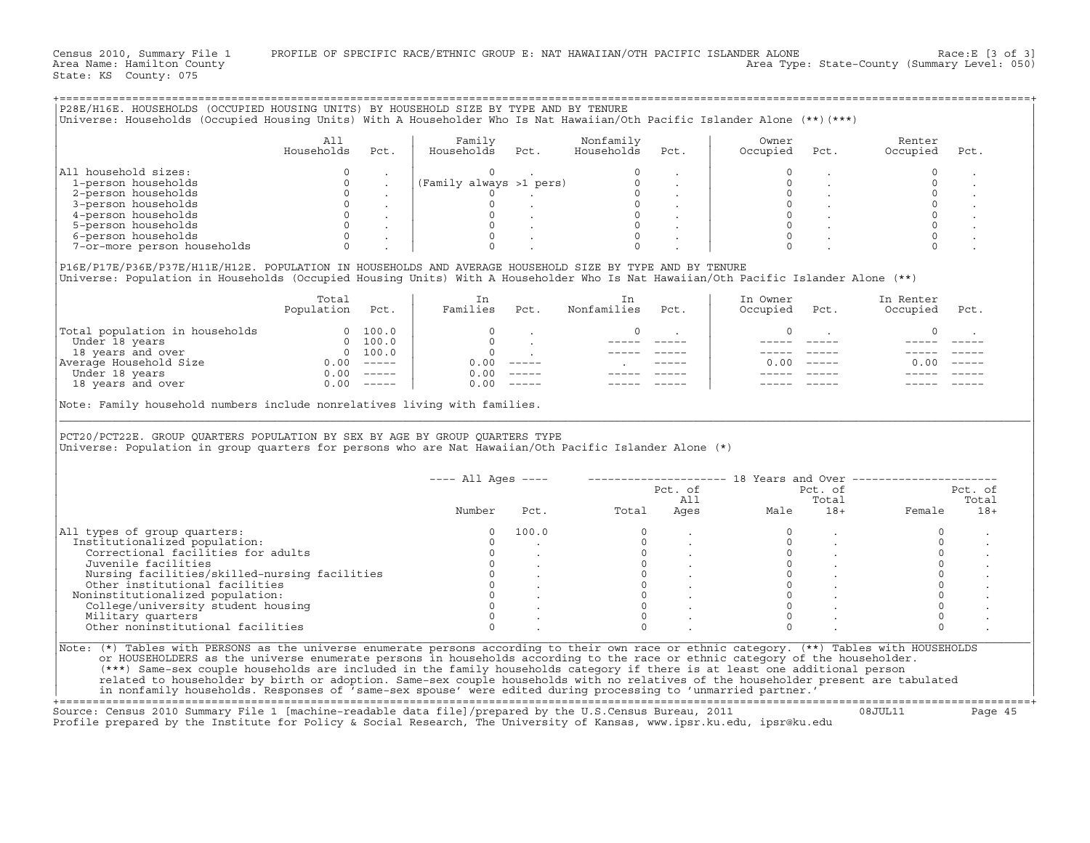Census 2010, Summary File 1 PROFILE OF SPECIFIC RACE/ETHNIC GROUP E: NAT HAWAIIAN/OTH PACIFIC ISLANDER ALONE Race:E [3 of 3]<br>Area Name: Hamilton County Level: 050) Area Type: State-County (Summary Level: 050)

+===================================================================================================================================================+

State: KS County: 075

|                                                                                                                                                                                                                                                                     | Households Pct.                                                                                               |               | Nonfamily        |          | Owner Renter<br>Occupied Pct. Occupied                                                                                                                                                 | Pct.                |
|---------------------------------------------------------------------------------------------------------------------------------------------------------------------------------------------------------------------------------------------------------------------|---------------------------------------------------------------------------------------------------------------|---------------|------------------|----------|----------------------------------------------------------------------------------------------------------------------------------------------------------------------------------------|---------------------|
| All household sizes:                                                                                                                                                                                                                                                |                                                                                                               |               |                  |          | $\Omega$                                                                                                                                                                               | $\bullet$           |
|                                                                                                                                                                                                                                                                     |                                                                                                               |               |                  |          | $\Omega$                                                                                                                                                                               |                     |
|                                                                                                                                                                                                                                                                     |                                                                                                               |               |                  |          | $\circ$                                                                                                                                                                                |                     |
|                                                                                                                                                                                                                                                                     |                                                                                                               |               |                  |          | $\circ$                                                                                                                                                                                |                     |
|                                                                                                                                                                                                                                                                     |                                                                                                               |               |                  |          | $\Omega$                                                                                                                                                                               |                     |
|                                                                                                                                                                                                                                                                     |                                                                                                               |               |                  |          | $\circ$                                                                                                                                                                                |                     |
|                                                                                                                                                                                                                                                                     |                                                                                                               |               |                  |          | $\overline{0}$                                                                                                                                                                         |                     |
|                                                                                                                                                                                                                                                                     |                                                                                                               |               |                  |          |                                                                                                                                                                                        |                     |
| P16E/P17E/P36E/P37E/H11E/H12E. POPULATION IN HOUSEHOLDS AND AVERAGE HOUSEHOLD SIZE BY TYPE AND BY TENURE<br>Universe: Population in Households (Occupied Housing Units) With A Householder Who Is Nat Hawaiian/Oth Pacific Islander Alone (**)                      | Total                                                                                                         | In            | In               | In Owner | In Renter                                                                                                                                                                              |                     |
|                                                                                                                                                                                                                                                                     | $\begin{array}{c c}\n & -\n \text{1} & \text{1} & \text{1} \\  \text{Population} & \text{Pct.} & \end{array}$ | Families Pct. | Nonfamilies Pct. |          | Occupied Pct. Occupied Pct.                                                                                                                                                            |                     |
|                                                                                                                                                                                                                                                                     |                                                                                                               |               |                  |          | $\begin{matrix}0&.\\ \end{matrix}$                                                                                                                                                     | $0 \qquad \qquad .$ |
|                                                                                                                                                                                                                                                                     |                                                                                                               |               |                  |          |                                                                                                                                                                                        |                     |
|                                                                                                                                                                                                                                                                     |                                                                                                               |               |                  |          |                                                                                                                                                                                        |                     |
|                                                                                                                                                                                                                                                                     |                                                                                                               |               |                  |          | $0.00$ -----                                                                                                                                                                           |                     |
|                                                                                                                                                                                                                                                                     |                                                                                                               |               |                  |          |                                                                                                                                                                                        |                     |
|                                                                                                                                                                                                                                                                     |                                                                                                               |               |                  |          | $\begin{array}{cccccc} - & - & - & - & - & - & - \\ & - & - & - & - & - \\ & & - & - & - & - \end{array}$                                                                              |                     |
|                                                                                                                                                                                                                                                                     |                                                                                                               |               |                  |          |                                                                                                                                                                                        |                     |
| Note: Family household numbers include nonrelatives living with families.<br>PCT20/PCT22E. GROUP QUARTERS POPULATION BY SEX BY AGE BY GROUP QUARTERS TYPE<br>Universe: Population in group quarters for persons who are Nat Hawaiian/Oth Pacific Islander Alone (*) |                                                                                                               |               |                  |          |                                                                                                                                                                                        |                     |
|                                                                                                                                                                                                                                                                     |                                                                                                               |               |                  |          | ---- All Ages ----    --------------------    18 Years and Over ---------------------                                                                                                  |                     |
|                                                                                                                                                                                                                                                                     |                                                                                                               |               |                  |          |                                                                                                                                                                                        |                     |
|                                                                                                                                                                                                                                                                     |                                                                                                               |               |                  |          | Pct. of Pet. of Pet. of Pet. of Pet. of Pet. of Pet. of Pet. of Pet. of Pet. of Pet. of Pet. of Pet. of Pet. of Pet. of Pet. of Pet. of Pet. of Pet. of Pet. of Pet. $\frac{11}{1000}$ |                     |
| All types of group quarters:                                                                                                                                                                                                                                        |                                                                                                               |               |                  |          | $\circ$                                                                                                                                                                                |                     |
|                                                                                                                                                                                                                                                                     |                                                                                                               |               |                  |          | $\Omega$                                                                                                                                                                               |                     |
|                                                                                                                                                                                                                                                                     |                                                                                                               |               |                  |          | $\Omega$                                                                                                                                                                               |                     |
|                                                                                                                                                                                                                                                                     |                                                                                                               |               |                  |          |                                                                                                                                                                                        | $\Omega$            |
|                                                                                                                                                                                                                                                                     |                                                                                                               |               |                  |          |                                                                                                                                                                                        | $\Omega$            |
|                                                                                                                                                                                                                                                                     |                                                                                                               |               |                  |          |                                                                                                                                                                                        | $\Omega$            |
|                                                                                                                                                                                                                                                                     |                                                                                                               |               |                  |          |                                                                                                                                                                                        | $\Omega$            |
|                                                                                                                                                                                                                                                                     |                                                                                                               |               |                  |          | $\Omega$                                                                                                                                                                               |                     |
|                                                                                                                                                                                                                                                                     |                                                                                                               |               |                  |          | $\Omega$<br>$\Omega$                                                                                                                                                                   |                     |

Source: Census 2010 Summary File 1 [machine−readable data file]/prepared by the U.S.Census Bureau, 2011 08JUL11 Page 45 Profile prepared by the Institute for Policy & Social Research, The University of Kansas, www.ipsr.ku.edu, ipsr@ku.edu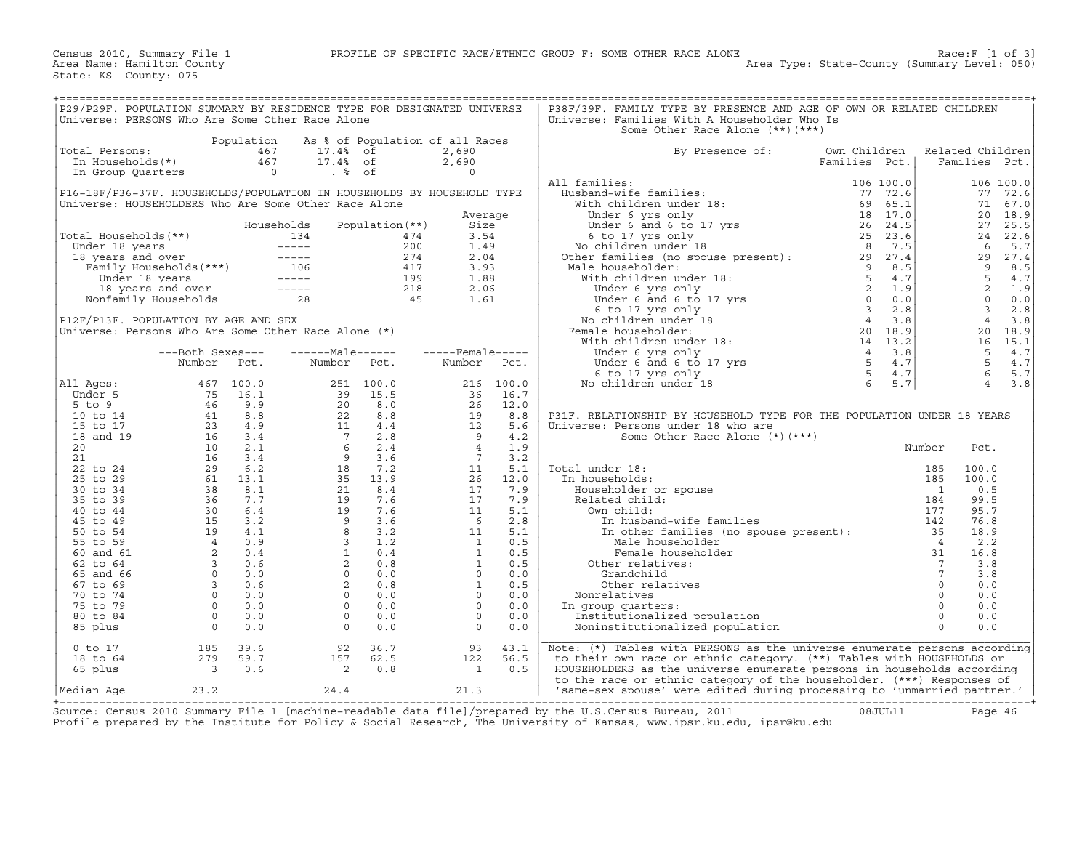| P29/P29F. POPULATION SUMMARY BY RESIDENCE TYPE FOR DESIGNATED UNIVERSE                                                                                                                                                                                             |                                                             |      |                                                                                                                                                                                                                                                              |                 |                          |            | P38F/39F. FAMILY TYPE BY PRESENCE AND AGE OF OWN OR RELATED CHILDREN                                                                                                                                                                                                                                                                                                                                                                                                                                                                                      |                               |        |                                                                                                                                                            |                         |                |
|--------------------------------------------------------------------------------------------------------------------------------------------------------------------------------------------------------------------------------------------------------------------|-------------------------------------------------------------|------|--------------------------------------------------------------------------------------------------------------------------------------------------------------------------------------------------------------------------------------------------------------|-----------------|--------------------------|------------|-----------------------------------------------------------------------------------------------------------------------------------------------------------------------------------------------------------------------------------------------------------------------------------------------------------------------------------------------------------------------------------------------------------------------------------------------------------------------------------------------------------------------------------------------------------|-------------------------------|--------|------------------------------------------------------------------------------------------------------------------------------------------------------------|-------------------------|----------------|
| Universe: PERSONS Who Are Some Other Race Alone                                                                                                                                                                                                                    |                                                             |      |                                                                                                                                                                                                                                                              |                 |                          |            | Universe: Families With A Householder Who Is                                                                                                                                                                                                                                                                                                                                                                                                                                                                                                              |                               |        |                                                                                                                                                            |                         |                |
|                                                                                                                                                                                                                                                                    |                                                             |      |                                                                                                                                                                                                                                                              |                 |                          |            | Some Other Race Alone (**) (***)                                                                                                                                                                                                                                                                                                                                                                                                                                                                                                                          |                               |        |                                                                                                                                                            |                         |                |
|                                                                                                                                                                                                                                                                    |                                                             |      | Population As % of Population of all Races                                                                                                                                                                                                                   |                 |                          |            |                                                                                                                                                                                                                                                                                                                                                                                                                                                                                                                                                           |                               |        |                                                                                                                                                            |                         |                |
| Total Persons:                                                                                                                                                                                                                                                     |                                                             |      |                                                                                                                                                                                                                                                              |                 | 2,690<br>2,690           |            | By Presence of:                                                                                                                                                                                                                                                                                                                                                                                                                                                                                                                                           | Own Children<br>Families Pct. |        | Related Children                                                                                                                                           |                         | Families Pct.  |
|                                                                                                                                                                                                                                                                    |                                                             |      |                                                                                                                                                                                                                                                              |                 | $\Omega$                 |            |                                                                                                                                                                                                                                                                                                                                                                                                                                                                                                                                                           |                               |        |                                                                                                                                                            |                         |                |
|                                                                                                                                                                                                                                                                    |                                                             |      |                                                                                                                                                                                                                                                              |                 |                          |            | All families:                                                                                                                                                                                                                                                                                                                                                                                                                                                                                                                                             |                               |        |                                                                                                                                                            |                         | 106 100.0      |
| P16-18F/P36-37F. HOUSEHOLDS/POPULATION IN HOUSEHOLDS BY HOUSEHOLD TYPE                                                                                                                                                                                             |                                                             |      |                                                                                                                                                                                                                                                              |                 |                          |            |                                                                                                                                                                                                                                                                                                                                                                                                                                                                                                                                                           |                               |        |                                                                                                                                                            |                         | 77 72.6        |
| Universe: HOUSEHOLDERS Who Are Some Other Race Alone                                                                                                                                                                                                               |                                                             |      |                                                                                                                                                                                                                                                              |                 |                          |            |                                                                                                                                                                                                                                                                                                                                                                                                                                                                                                                                                           |                               |        |                                                                                                                                                            |                         | 71 67.0        |
|                                                                                                                                                                                                                                                                    |                                                             |      |                                                                                                                                                                                                                                                              |                 | Average                  |            |                                                                                                                                                                                                                                                                                                                                                                                                                                                                                                                                                           |                               |        |                                                                                                                                                            |                         | 20 18.9        |
|                                                                                                                                                                                                                                                                    |                                                             |      | Households                                                                                                                                                                                                                                                   | Population (**) | Size                     |            |                                                                                                                                                                                                                                                                                                                                                                                                                                                                                                                                                           |                               |        |                                                                                                                                                            |                         | 27 25.5        |
|                                                                                                                                                                                                                                                                    |                                                             |      |                                                                                                                                                                                                                                                              |                 | 3.54                     |            |                                                                                                                                                                                                                                                                                                                                                                                                                                                                                                                                                           |                               |        |                                                                                                                                                            |                         | 24 22.6        |
|                                                                                                                                                                                                                                                                    |                                                             |      |                                                                                                                                                                                                                                                              |                 | 1.49<br>2.04             |            |                                                                                                                                                                                                                                                                                                                                                                                                                                                                                                                                                           |                               |        |                                                                                                                                                            |                         | 5.7<br>29 27.4 |
|                                                                                                                                                                                                                                                                    |                                                             |      |                                                                                                                                                                                                                                                              |                 | 3.93                     |            |                                                                                                                                                                                                                                                                                                                                                                                                                                                                                                                                                           |                               |        |                                                                                                                                                            |                         | 8.5            |
|                                                                                                                                                                                                                                                                    |                                                             |      |                                                                                                                                                                                                                                                              |                 | 1.88                     |            |                                                                                                                                                                                                                                                                                                                                                                                                                                                                                                                                                           |                               |        |                                                                                                                                                            |                         | 4.7            |
| Total Households (**)<br>Under 18 years<br>134 174<br>134 174<br>134 174<br>134 174<br>134 174<br>134 174<br>134 174<br>134 174<br>134 174<br>200<br>18 years and over<br>16 16 174<br>116 18 years<br>18 years<br>18 years and over<br>199<br>Nonfamily Household |                                                             |      |                                                                                                                                                                                                                                                              |                 | 2.06                     |            | and families:<br>Husband-wife families:<br>Which children under 18:<br>Under 6 yrs only<br>Under 6 and 6 to 17 yrs<br>6 to 17 yrs only<br>No children under 18<br>6 to 17 yrs only<br>No children under 18<br>No children under 18:<br>No children                                                                                                                                                                                                                                                                                                        |                               |        | $\begin{array}{r} 20 \\ 27 \\ 24 \\ 6 \\ 29 \\ 9 \\ 5 \\ 2 \\ 0 \\ 3 \\ 4 \\ 0 \\ 2 \\ 0 \\ 3 \\ 4 \\ 0 \\ 2 \\ 6 \\ 5 \\ 5 \\ 5 \\ 5 \\ 7 \\ \end{array}$ |                         | $2 \t 1.9$     |
|                                                                                                                                                                                                                                                                    |                                                             |      |                                                                                                                                                                                                                                                              |                 | 1.61                     |            |                                                                                                                                                                                                                                                                                                                                                                                                                                                                                                                                                           |                               |        |                                                                                                                                                            | $\overline{0}$          | 0.0            |
|                                                                                                                                                                                                                                                                    |                                                             |      |                                                                                                                                                                                                                                                              |                 |                          |            |                                                                                                                                                                                                                                                                                                                                                                                                                                                                                                                                                           |                               |        |                                                                                                                                                            | $\overline{\mathbf{3}}$ | 2.8            |
| P12F/P13F. POPULATION BY AGE AND SEX                                                                                                                                                                                                                               |                                                             |      |                                                                                                                                                                                                                                                              |                 |                          |            |                                                                                                                                                                                                                                                                                                                                                                                                                                                                                                                                                           |                               |        |                                                                                                                                                            |                         | 3.8            |
| Universe: Persons Who Are Some Other Race Alone $(*)$                                                                                                                                                                                                              |                                                             |      |                                                                                                                                                                                                                                                              |                 |                          |            |                                                                                                                                                                                                                                                                                                                                                                                                                                                                                                                                                           |                               |        |                                                                                                                                                            |                         | 20 18.9        |
|                                                                                                                                                                                                                                                                    |                                                             |      |                                                                                                                                                                                                                                                              |                 |                          |            |                                                                                                                                                                                                                                                                                                                                                                                                                                                                                                                                                           |                               |        |                                                                                                                                                            |                         | 16 15.1        |
|                                                                                                                                                                                                                                                                    | ---Both Sexes---                                            |      | $---Male----$                                                                                                                                                                                                                                                |                 | $---$ Female-----        |            |                                                                                                                                                                                                                                                                                                                                                                                                                                                                                                                                                           |                               |        |                                                                                                                                                            |                         | 4.7            |
|                                                                                                                                                                                                                                                                    | Number                                                      | Pct. | Number Pct.                                                                                                                                                                                                                                                  |                 | Number Pct.              |            |                                                                                                                                                                                                                                                                                                                                                                                                                                                                                                                                                           |                               |        |                                                                                                                                                            | $5^{\circ}$             | 4.7<br>65.7    |
|                                                                                                                                                                                                                                                                    |                                                             |      |                                                                                                                                                                                                                                                              |                 |                          | 216 100.0  |                                                                                                                                                                                                                                                                                                                                                                                                                                                                                                                                                           |                               |        |                                                                                                                                                            |                         | $4 \quad 3.8$  |
| All Aqes:<br>Under 5                                                                                                                                                                                                                                               |                                                             |      |                                                                                                                                                                                                                                                              |                 | $\frac{210}{36}$         | 16.7       |                                                                                                                                                                                                                                                                                                                                                                                                                                                                                                                                                           |                               |        |                                                                                                                                                            |                         |                |
| 5 to 9                                                                                                                                                                                                                                                             |                                                             |      |                                                                                                                                                                                                                                                              |                 |                          | 12.0       |                                                                                                                                                                                                                                                                                                                                                                                                                                                                                                                                                           |                               |        |                                                                                                                                                            |                         |                |
| 10 to 14                                                                                                                                                                                                                                                           |                                                             |      |                                                                                                                                                                                                                                                              |                 |                          | 8.8        | P31F. RELATIONSHIP BY HOUSEHOLD TYPE FOR THE POPULATION UNDER 18 YEARS                                                                                                                                                                                                                                                                                                                                                                                                                                                                                    |                               |        |                                                                                                                                                            |                         |                |
| 15 to 17                                                                                                                                                                                                                                                           |                                                             |      |                                                                                                                                                                                                                                                              |                 |                          | 5.6        | Universe: Persons under 18 who are                                                                                                                                                                                                                                                                                                                                                                                                                                                                                                                        |                               |        |                                                                                                                                                            |                         |                |
| 18 and 19                                                                                                                                                                                                                                                          |                                                             |      |                                                                                                                                                                                                                                                              |                 |                          | 4.2        | Some Other Race Alone (*) (***)                                                                                                                                                                                                                                                                                                                                                                                                                                                                                                                           |                               |        |                                                                                                                                                            |                         |                |
| 20                                                                                                                                                                                                                                                                 |                                                             |      |                                                                                                                                                                                                                                                              |                 |                          | 1.9        |                                                                                                                                                                                                                                                                                                                                                                                                                                                                                                                                                           |                               | Number |                                                                                                                                                            | Pct.                    |                |
| 21                                                                                                                                                                                                                                                                 |                                                             |      |                                                                                                                                                                                                                                                              |                 |                          | 3.2        |                                                                                                                                                                                                                                                                                                                                                                                                                                                                                                                                                           |                               |        |                                                                                                                                                            |                         |                |
| 22 to 24                                                                                                                                                                                                                                                           |                                                             |      |                                                                                                                                                                                                                                                              |                 |                          | 5.1        |                                                                                                                                                                                                                                                                                                                                                                                                                                                                                                                                                           |                               |        |                                                                                                                                                            | 100.0                   |                |
| 25 to 29                                                                                                                                                                                                                                                           |                                                             |      |                                                                                                                                                                                                                                                              |                 |                          | 12.0       |                                                                                                                                                                                                                                                                                                                                                                                                                                                                                                                                                           |                               |        |                                                                                                                                                            | 100.0                   |                |
| 30 to 34<br>35 to 39                                                                                                                                                                                                                                               |                                                             |      |                                                                                                                                                                                                                                                              |                 |                          | 7.9<br>7.9 |                                                                                                                                                                                                                                                                                                                                                                                                                                                                                                                                                           |                               |        |                                                                                                                                                            | 0.5<br>99.5             |                |
| 40 to 44                                                                                                                                                                                                                                                           |                                                             |      |                                                                                                                                                                                                                                                              |                 |                          | 5.1        |                                                                                                                                                                                                                                                                                                                                                                                                                                                                                                                                                           |                               |        |                                                                                                                                                            | 95.7                    |                |
| 45 to 49                                                                                                                                                                                                                                                           |                                                             |      |                                                                                                                                                                                                                                                              |                 |                          | 2.8        |                                                                                                                                                                                                                                                                                                                                                                                                                                                                                                                                                           |                               |        |                                                                                                                                                            | 76.8                    |                |
| 50 to 54                                                                                                                                                                                                                                                           |                                                             |      |                                                                                                                                                                                                                                                              |                 |                          | 5.1        |                                                                                                                                                                                                                                                                                                                                                                                                                                                                                                                                                           |                               |        |                                                                                                                                                            | 18.9                    |                |
| 55 to 59                                                                                                                                                                                                                                                           |                                                             |      |                                                                                                                                                                                                                                                              |                 |                          | 0.5        |                                                                                                                                                                                                                                                                                                                                                                                                                                                                                                                                                           |                               |        |                                                                                                                                                            | 2.2                     |                |
| 60 and 61                                                                                                                                                                                                                                                          |                                                             |      |                                                                                                                                                                                                                                                              |                 |                          | 0.5        |                                                                                                                                                                                                                                                                                                                                                                                                                                                                                                                                                           |                               |        |                                                                                                                                                            | 16.8                    |                |
| 62 to 64                                                                                                                                                                                                                                                           |                                                             |      |                                                                                                                                                                                                                                                              |                 |                          | 0.5        |                                                                                                                                                                                                                                                                                                                                                                                                                                                                                                                                                           |                               |        |                                                                                                                                                            | 3.8                     |                |
| 65 and 66                                                                                                                                                                                                                                                          |                                                             |      |                                                                                                                                                                                                                                                              |                 |                          | 0.0        |                                                                                                                                                                                                                                                                                                                                                                                                                                                                                                                                                           |                               |        |                                                                                                                                                            | 3.8                     |                |
| 67 to 69                                                                                                                                                                                                                                                           |                                                             |      |                                                                                                                                                                                                                                                              |                 |                          | 0.5        |                                                                                                                                                                                                                                                                                                                                                                                                                                                                                                                                                           |                               |        |                                                                                                                                                            | 0.0                     |                |
| 70 to 74                                                                                                                                                                                                                                                           |                                                             |      |                                                                                                                                                                                                                                                              |                 |                          | 0.0        |                                                                                                                                                                                                                                                                                                                                                                                                                                                                                                                                                           |                               |        |                                                                                                                                                            | 0.0                     |                |
| 75 to 79                                                                                                                                                                                                                                                           |                                                             |      |                                                                                                                                                                                                                                                              |                 |                          | 0.0        |                                                                                                                                                                                                                                                                                                                                                                                                                                                                                                                                                           |                               |        |                                                                                                                                                            | 0.0                     |                |
| 80 to 84                                                                                                                                                                                                                                                           |                                                             |      |                                                                                                                                                                                                                                                              |                 |                          | 0.0<br>0.0 |                                                                                                                                                                                                                                                                                                                                                                                                                                                                                                                                                           |                               |        |                                                                                                                                                            | 0.0<br>0.0              |                |
| 85 plus                                                                                                                                                                                                                                                            |                                                             |      | Number FCL.<br>467 100.0<br>75 16.1 39 15.5<br>46 9.9 20 8.0<br>41 8.8 22 8.8<br>41 8.8 22 8.8<br>41 8.8 22 8.8<br>41 8.8 22 8.8<br>41 8.8 22 8.8<br>41 8.8 22 8.8<br>10 2.1 7 2.8<br>10 2.1 6 2.4<br>16 3.4 9 3.6<br>49 30 6.2<br>51 3.2 19 7.6<br>49 30 6. |                 |                          |            | $\begin{tabular}{llllllllll} \textbf{Total under 18:} & & & & & & & 185 \\ \textbf{In householdes:} & & & & & 185 \\ \textbf{Householder or spouse} & & & 1 & 185 \\ \textbf{Related child:} & & & 184 \\ \textbf{Our child:} & & & 187 \\ \textbf{In husband-wife families} & & & 177 \\ \textbf{In other families (no spouse present):} & & 142 \\ \textbf{In other real lines (no spouse present):} & & 35 \\ \textbf{Male householder} & & 4 \\ \textbf{Green relatives:} & & 31 \\ \textbf{Other relatively:} & & 0 \\ \textbf{Nonaddilid} & & 7 \\$ |                               |        |                                                                                                                                                            |                         |                |
| $0$ to $17$                                                                                                                                                                                                                                                        |                                                             | 39.6 | 92                                                                                                                                                                                                                                                           | 36.7            | 93                       | 43.1       | Note: (*) Tables with PERSONS as the universe enumerate persons according                                                                                                                                                                                                                                                                                                                                                                                                                                                                                 |                               |        |                                                                                                                                                            |                         |                |
| 18 to 64                                                                                                                                                                                                                                                           | $\begin{array}{cc} 185 & 3 \\ 279 & 5 \\ 3 & 3 \end{array}$ | 59.7 | 157                                                                                                                                                                                                                                                          | 62.5            | 122                      | 56.5       | to their own race or ethnic category. (**) Tables with HOUSEHOLDS or                                                                                                                                                                                                                                                                                                                                                                                                                                                                                      |                               |        |                                                                                                                                                            |                         |                |
| 65 plus                                                                                                                                                                                                                                                            |                                                             | 0.6  | $\overline{\phantom{a}}$ 2                                                                                                                                                                                                                                   | 0.8             | $\overline{\phantom{a}}$ | 0.5        | HOUSEHOLDERS as the universe enumerate persons in households according                                                                                                                                                                                                                                                                                                                                                                                                                                                                                    |                               |        |                                                                                                                                                            |                         |                |
|                                                                                                                                                                                                                                                                    |                                                             |      |                                                                                                                                                                                                                                                              |                 |                          |            | to the race or ethnic category of the householder. (***) Responses of                                                                                                                                                                                                                                                                                                                                                                                                                                                                                     |                               |        |                                                                                                                                                            |                         |                |
| Median Aqe                                                                                                                                                                                                                                                         | 23.2                                                        |      | 24.4                                                                                                                                                                                                                                                         |                 | 21.3                     |            | 'same-sex spouse' were edited during processing to 'unmarried partner.'                                                                                                                                                                                                                                                                                                                                                                                                                                                                                   |                               |        |                                                                                                                                                            |                         |                |

+===================================================================================================================================================+ Source: Census 2010 Summary File 1 [machine−readable data file]/prepared by the U.S.Census Bureau, 2011 08JUL11 Page 46 Profile prepared by the Institute for Policy & Social Research, The University of Kansas, www.ipsr.ku.edu, ipsr@ku.edu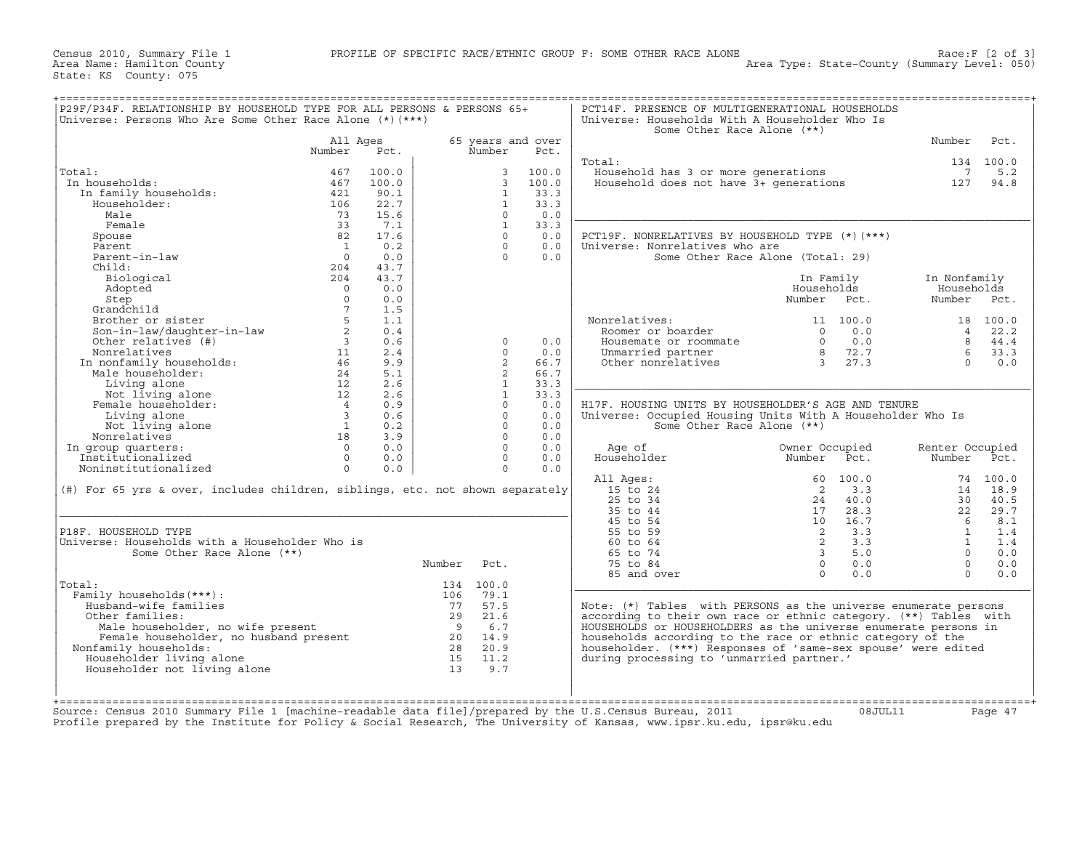| Universe: Persons Who Are Some Other Race Alone (*) (***)                                             | P29F/P34F. RELATIONSHIP BY HOUSEHOLD TYPE FOR ALL PERSONS & PERSONS 65+ |       |                |                |                   | PCT14F. PRESENCE OF MULTIGENERATIONAL HOUSEHOLDS<br>Universe: Households With A Householder Who Is<br>Some Other Race Alone (**) |                                   |                 |                          |
|-------------------------------------------------------------------------------------------------------|-------------------------------------------------------------------------|-------|----------------|----------------|-------------------|----------------------------------------------------------------------------------------------------------------------------------|-----------------------------------|-----------------|--------------------------|
|                                                                                                       | All Ages                                                                |       |                |                | 65 years and over |                                                                                                                                  |                                   | Number          | Pct.                     |
|                                                                                                       | Number                                                                  | Pct.  |                | Number         | Pct.              |                                                                                                                                  |                                   |                 |                          |
|                                                                                                       |                                                                         |       |                |                |                   | Total:                                                                                                                           |                                   |                 | 134 100.0                |
| Total:                                                                                                | 467                                                                     | 100.0 |                | $\mathbf{3}$   | 100.0             | Household has 3 or more generations                                                                                              |                                   | 7               | 5.2                      |
| In households:                                                                                        | 467                                                                     | 100.0 |                | $\overline{3}$ | 100.0             | Household does not have $3+$ generations                                                                                         |                                   | 127             | 94.8                     |
| In family households:                                                                                 | 421                                                                     | 90.1  |                | $\mathbf{1}$   | 33.3              |                                                                                                                                  |                                   |                 |                          |
| Householder:                                                                                          | 106                                                                     | 22.7  |                | $\mathbf{1}$   | 33.3              |                                                                                                                                  |                                   |                 |                          |
| Male                                                                                                  | 73                                                                      | 15.6  |                | $\Omega$       | 0.0               |                                                                                                                                  |                                   |                 |                          |
| Female                                                                                                | 33                                                                      | 7.1   |                | $\overline{1}$ | 33.3              |                                                                                                                                  |                                   |                 |                          |
| Spouse                                                                                                | 82                                                                      | 17.6  |                | $\Omega$       | 0.0               | PCT19F. NONRELATIVES BY HOUSEHOLD TYPE (*) (***)                                                                                 |                                   |                 |                          |
| Parent                                                                                                | $\overline{1}$                                                          | 0.2   |                | $\cap$         | 0.0               | Universe: Nonrelatives who are                                                                                                   |                                   |                 |                          |
| Parent-in-law                                                                                         | $\overline{0}$                                                          | 0.0   |                | $\cap$         | 0.0               |                                                                                                                                  | Some Other Race Alone (Total: 29) |                 |                          |
| Child:                                                                                                | 204                                                                     | 43.7  |                |                |                   |                                                                                                                                  |                                   |                 |                          |
| Biological                                                                                            | 204                                                                     | 43.7  |                |                |                   |                                                                                                                                  | In Family                         | In Nonfamily    |                          |
| Adopted                                                                                               | $\bigcap$                                                               | 0.0   |                |                |                   |                                                                                                                                  | Households                        | Households      |                          |
| Step                                                                                                  | $\Omega$                                                                | 0.0   |                |                |                   |                                                                                                                                  | Number Pct.                       | Number Pct.     |                          |
| Grandchild                                                                                            | $7^{\circ}$                                                             | 1.5   |                |                |                   |                                                                                                                                  |                                   |                 |                          |
| Brother or sister                                                                                     | 5                                                                       | 1.1   |                |                |                   | Nonrelatives:                                                                                                                    | 11 100.0                          |                 | 18 100.0                 |
| Son-in-law/daughter-in-law                                                                            | $\overline{2}$                                                          | 0.4   |                |                |                   | Roomer or boarder                                                                                                                | 0.0<br>$\Omega$                   |                 | $4$ 22.2                 |
| Other relatives (#)                                                                                   | $\overline{3}$                                                          | 0.6   |                | $\Omega$       | 0.0               | Housemate or roommate                                                                                                            | 0.0<br>$\Omega$                   | 8               | 44.4                     |
| Other relatives<br>Nonrelatives<br>In nonfamily households:<br>The householder:                       | 11                                                                      | 2.4   |                | $\Omega$       | 0.0               | Unmarried partner                                                                                                                | 8 72.7                            | 6               | 33.3                     |
|                                                                                                       | 46                                                                      | 9.9   |                | 2              | 66.7              | Other nonrelatives                                                                                                               | 3 27.3                            | $\cap$          | 0.0                      |
|                                                                                                       | 24                                                                      | 5.1   |                | 2              | 66.7              |                                                                                                                                  |                                   |                 |                          |
| Living alone                                                                                          | 12                                                                      | 2.6   |                | $\mathbf{1}$   | 33.3              |                                                                                                                                  |                                   |                 |                          |
| Not living alone                                                                                      | 12                                                                      | 2.6   |                | $\mathbf{1}$   | 33.3              |                                                                                                                                  |                                   |                 |                          |
| Female householder:                                                                                   | $\overline{4}$                                                          | 0.9   |                | $\Omega$       | 0.0               | H17F. HOUSING UNITS BY HOUSEHOLDER'S AGE AND TENURE                                                                              |                                   |                 |                          |
| Living alone                                                                                          | $\overline{\phantom{a}}$                                                | 0.6   |                | $\Omega$       | 0.0               | Universe: Occupied Housing Units With A Householder Who Is                                                                       |                                   |                 |                          |
| Not living alone                                                                                      | $\sim$ 1                                                                | 0.2   |                | $\Omega$       | 0.0               | Some Other Race Alone (**)                                                                                                       |                                   |                 |                          |
| Nonrelatives                                                                                          | 18                                                                      | 3.9   |                | $\Omega$       | 0.0               |                                                                                                                                  |                                   |                 |                          |
| In group quarters:                                                                                    | $\Omega$                                                                | 0.0   |                | $\Omega$       | 0.0               | Age of                                                                                                                           | Owner Occupied                    | Renter Occupied |                          |
| Institutionalized                                                                                     | $\Omega$                                                                | 0.0   |                | $\Omega$       | 0.0               | Householder                                                                                                                      | Number<br>Pct.                    | Number          | Pct.                     |
| Noninstitutionalized                                                                                  | $\Omega$                                                                | 0.0   |                | $\Omega$       | 0.0               |                                                                                                                                  |                                   |                 |                          |
|                                                                                                       |                                                                         |       |                |                |                   | All Ages:                                                                                                                        | 100.0<br>60                       |                 | 74 100.0                 |
| (#) For 65 yrs & over, includes children, siblings, etc. not shown separately                         |                                                                         |       |                |                |                   | $15$ to $24$                                                                                                                     | 2<br>3.3                          | 14              | 18.9                     |
|                                                                                                       |                                                                         |       |                |                |                   | $25$ to $34$                                                                                                                     | 40.0<br>24                        | 30              | 40.5                     |
|                                                                                                       |                                                                         |       |                |                |                   | 35 to 44                                                                                                                         | 28.3<br>17                        | 22              | 29.7                     |
|                                                                                                       |                                                                         |       |                |                |                   | 45 to 54                                                                                                                         | 16.7<br>10                        | 6               | 8.1                      |
|                                                                                                       |                                                                         |       |                |                |                   |                                                                                                                                  |                                   |                 | 1.4                      |
|                                                                                                       |                                                                         |       |                |                |                   |                                                                                                                                  |                                   |                 |                          |
| P18F. HOUSEHOLD TYPE                                                                                  |                                                                         |       |                |                |                   | 55 to 59                                                                                                                         | 2<br>3.3                          | $\mathbf{1}$    |                          |
|                                                                                                       |                                                                         |       |                |                |                   | 60 to 64                                                                                                                         | 2<br>3.3                          | $\mathbf{1}$    |                          |
| Universe: Households with a Householder Who is<br>Some Other Race Alone (**)                          |                                                                         |       |                |                |                   | 65 to 74                                                                                                                         | $\overline{3}$<br>5.0             | $\Omega$        |                          |
|                                                                                                       |                                                                         |       | Number Pct.    |                |                   | 75 to 84                                                                                                                         | $\circ$<br>0.0                    | $\Omega$        |                          |
|                                                                                                       |                                                                         |       |                |                |                   | 85 and over                                                                                                                      | $\Omega$<br>0.0                   | $\Omega$        |                          |
|                                                                                                       |                                                                         |       |                | 134 100.0      |                   |                                                                                                                                  |                                   |                 |                          |
| Family households (***) :                                                                             |                                                                         |       | 106            | 79.1           |                   |                                                                                                                                  |                                   |                 |                          |
| Husband-wife families                                                                                 |                                                                         |       |                | 77 57.5        |                   | Note: $(*)$ Tables with PERSONS as the universe enumerate persons                                                                |                                   |                 |                          |
| Other families:                                                                                       |                                                                         |       | 29             | 21.6           |                   | according to their own race or ethnic category. (**) Tables with                                                                 |                                   |                 |                          |
| Male householder, no wife present                                                                     |                                                                         |       | $\overline{9}$ | 6.7            |                   | HOUSEHOLDS or HOUSEHOLDERS as the universe enumerate persons in                                                                  |                                   |                 |                          |
|                                                                                                       |                                                                         |       |                | 20 14.9        |                   | households according to the race or ethnic category of the                                                                       |                                   |                 |                          |
| Male nousenoider, no wife presence<br>Female householder, no husband present<br>Nonfamily households: |                                                                         |       | 28             | 20.9           |                   | householder. (***) Responses of 'same-sex spouse' were edited                                                                    |                                   |                 |                          |
| Total:<br>Householder living alone                                                                    |                                                                         |       |                | 15 11.2        |                   | during processing to 'unmarried partner.'                                                                                        |                                   |                 | 1.4<br>0.0<br>0.0<br>0.0 |
| Householder not living alone                                                                          |                                                                         |       | 13             | 9.7            |                   |                                                                                                                                  |                                   |                 |                          |

Source: Census 2010 Summary File 1 [machine−readable data file]/prepared by the U.S.Census Bureau, 2011 08JUL11 Page 47 Profile prepared by the Institute for Policy & Social Research, The University of Kansas, www.ipsr.ku.edu, ipsr@ku.edu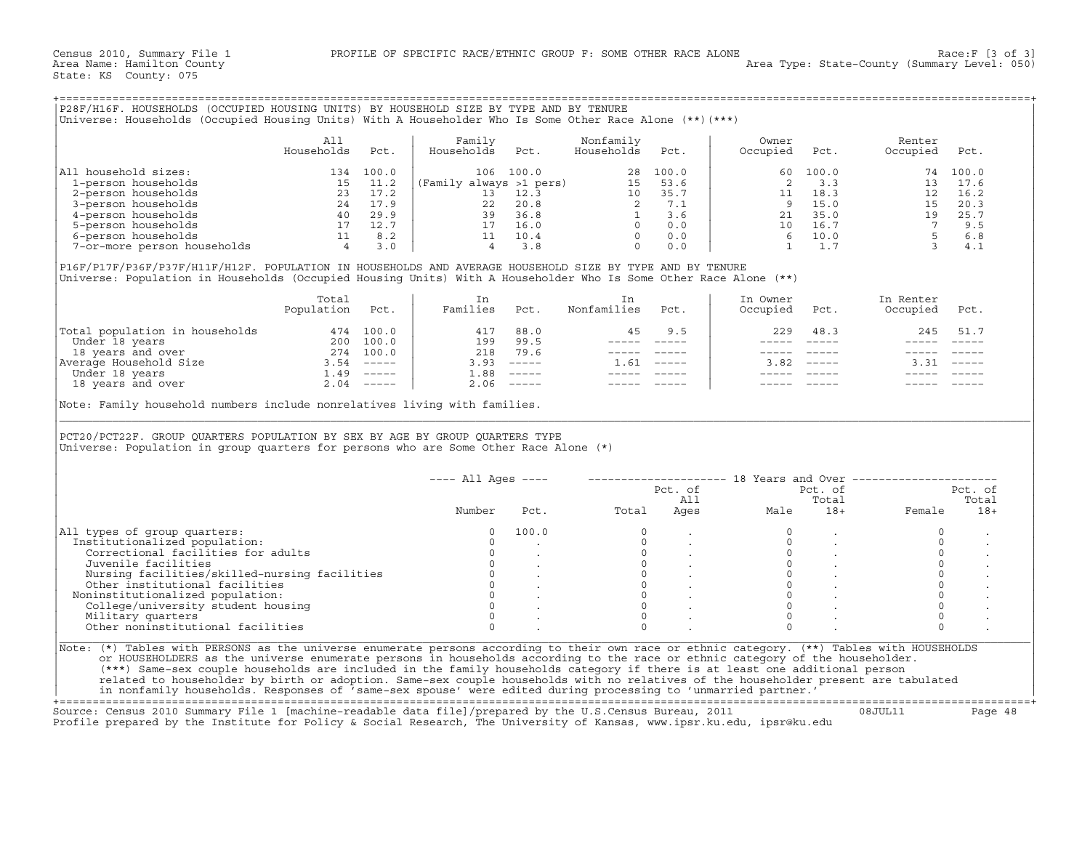|  |  | P28F/H16F. HOUSEHOLDS (OCCUPIED HOUSING UNITS) BY HOUSEHOLD SIZE BY TYPE AND BY TENURE                  |  |  |
|--|--|---------------------------------------------------------------------------------------------------------|--|--|
|  |  | Universe: Households (Occupied Housing Units) With A Householder Who Is Some Other Race Alone (**)(***) |  |  |

|                             | All<br>Households | Pct.  | Family<br>Households    | Pct.  | Nonfamily<br>Households | Pct.  | Owner<br>Occupied | Pct.  | Renter<br>Occupied | Pct.  |
|-----------------------------|-------------------|-------|-------------------------|-------|-------------------------|-------|-------------------|-------|--------------------|-------|
| All household sizes:        | 134               | 100.0 | 106                     | 100.0 | 28                      | 100.0 | 60.               | 100.0 | 74                 | 100.0 |
| 1-person households         | 15                | 11.2  | (Family always >1 pers) |       |                         | 53.6  |                   | 3.3   |                    | 17.6  |
| 2-person households         | 23                | 17.2  |                         | 12.3  | $10^{-1}$               | 35.7  |                   | 18.3  |                    | 16.2  |
| 3-person households         | 24                | 17.9  | 22                      | 20.8  |                         | 7.1   |                   | 15.0  | 15.                | 20.3  |
| 4-person households         | 40                | 29.9  | 39                      | 36.8  |                         | 3.6   | 21                | 35.0  | 19                 | 25.7  |
| 5-person households         |                   | 12.7  |                         | 16.0  |                         | 0.0   | 10                | 16.7  |                    | 9.5   |
| 6-person households         |                   | 8.2   |                         | 10.4  |                         | 0.0   |                   | 10.0  |                    | 6.8   |
| 7-or-more person households |                   | 3.0   |                         |       |                         | 0.0   |                   |       |                    | 4.1   |

|                                | Total<br>Population | Pct.          | Families | Pct.                      | Nonfamilies | Pct.          | In Owner<br>Occupied | Pct.          | In Renter<br>Occupied | Pct.          |
|--------------------------------|---------------------|---------------|----------|---------------------------|-------------|---------------|----------------------|---------------|-----------------------|---------------|
| Total population in households | 474                 | 100.0         | 417      | 88.0                      | 45          | 9.5           | 229                  | 48.3          | 245                   | 51.7          |
| Under 18 years                 | 200                 | 100.0         | 199      | 99.5                      |             |               |                      |               |                       |               |
| 18 years and over              | 274                 | 100.0         | 218      | 79.6                      |             |               |                      |               |                       |               |
| Average Household Size         | 3.54                | $- - - - - -$ | 3.93     | $\frac{1}{2}$             | .61         | $- - - - - -$ | 3.82                 | $- - - - - -$ |                       | $- - - - - -$ |
| Under 18 years                 | ⊥.49                | $------$      | 1.88     | $\qquad \qquad - - - - -$ |             |               |                      |               |                       |               |
| 18 years and over              | 2.04                | $------$      | 2.06     | $- - - - -$               |             |               |                      |               |                       |               |

|                                                                                                                                                                                                                                                                                            | All             |           | Family             |                   | Nonfamily                                                                                                                                                                                                                                                                                               |                 | Owner               |                                         | Renter                                                                                                                                                      |          |
|--------------------------------------------------------------------------------------------------------------------------------------------------------------------------------------------------------------------------------------------------------------------------------------------|-----------------|-----------|--------------------|-------------------|---------------------------------------------------------------------------------------------------------------------------------------------------------------------------------------------------------------------------------------------------------------------------------------------------------|-----------------|---------------------|-----------------------------------------|-------------------------------------------------------------------------------------------------------------------------------------------------------------|----------|
|                                                                                                                                                                                                                                                                                            | Households      | Pct.      | Households         | Pct.              | Households                                                                                                                                                                                                                                                                                              | Pct.            | Occupied            | Pct.                                    | Occupied                                                                                                                                                    | Pct.     |
| All household sizes:                                                                                                                                                                                                                                                                       |                 | 134 100.0 |                    | 106 100.0         |                                                                                                                                                                                                                                                                                                         | 28 100.0        | 60 -                | 100.0                                   |                                                                                                                                                             | 74 100.0 |
|                                                                                                                                                                                                                                                                                            |                 |           |                    |                   |                                                                                                                                                                                                                                                                                                         |                 | 2                   | 3.3                                     |                                                                                                                                                             | 13 17.6  |
|                                                                                                                                                                                                                                                                                            |                 |           |                    |                   |                                                                                                                                                                                                                                                                                                         |                 |                     |                                         |                                                                                                                                                             | 12 16.2  |
|                                                                                                                                                                                                                                                                                            |                 |           |                    |                   |                                                                                                                                                                                                                                                                                                         |                 |                     |                                         |                                                                                                                                                             | 20.3     |
|                                                                                                                                                                                                                                                                                            |                 |           |                    |                   |                                                                                                                                                                                                                                                                                                         |                 |                     |                                         |                                                                                                                                                             | 25.7     |
|                                                                                                                                                                                                                                                                                            |                 |           |                    |                   |                                                                                                                                                                                                                                                                                                         |                 |                     |                                         |                                                                                                                                                             | 9.5      |
|                                                                                                                                                                                                                                                                                            |                 |           |                    |                   |                                                                                                                                                                                                                                                                                                         |                 |                     |                                         |                                                                                                                                                             | 6.8      |
| 1 notation and states.<br>1-person households<br>3-person households<br>3-person households<br>40 29.9<br>5-person households<br>5-person households<br>5-person households<br>5-person households<br>5-person households<br>5-person households<br>                                       |                 |           |                    |                   |                                                                                                                                                                                                                                                                                                         |                 |                     |                                         | $\begin{array}{cccc} 11 & 18.3 & & & 12 \\ 9 & 15.0 & & & 15 \\ 21 & 35.0 & & & 19 \\ 10 & 16.7 & & & 7 \\ 6 & 10.0 & & & 5 \\ 1 & & 1.7 & & 3 \end{array}$ | 4.1      |
| P16F/P17F/P36F/P37F/H11F/H12F. POPULATION IN HOUSEHOLDS AND AVERAGE HOUSEHOLD SIZE BY TYPE AND BY TENURE<br>Universe: Population in Households (Occupied Housing Units) With A Householder Who Is Some Other Race Alone (**)                                                               |                 |           |                    |                   |                                                                                                                                                                                                                                                                                                         |                 |                     |                                         |                                                                                                                                                             |          |
|                                                                                                                                                                                                                                                                                            | Total           |           | In                 |                   | In                                                                                                                                                                                                                                                                                                      |                 | In Owner            |                                         | In Renter                                                                                                                                                   |          |
|                                                                                                                                                                                                                                                                                            | Population Pct. |           | Families Pct.      |                   | Nonfamilies Pct.                                                                                                                                                                                                                                                                                        |                 | Occupied            | Pct.                                    | Occupied Pct.                                                                                                                                               |          |
|                                                                                                                                                                                                                                                                                            |                 |           | 417 88.0           |                   | 45                                                                                                                                                                                                                                                                                                      | 9.5             | 229                 | 48.3                                    | 245                                                                                                                                                         | 51.7     |
|                                                                                                                                                                                                                                                                                            |                 |           |                    | 199 99.5          |                                                                                                                                                                                                                                                                                                         | _______________ |                     |                                         |                                                                                                                                                             |          |
|                                                                                                                                                                                                                                                                                            |                 |           | 218 79.6           |                   |                                                                                                                                                                                                                                                                                                         | _______________ |                     |                                         | ----- -----                                                                                                                                                 |          |
|                                                                                                                                                                                                                                                                                            |                 |           |                    | $3.93$ $---$      |                                                                                                                                                                                                                                                                                                         | $1.61$ -----    |                     | $3.82$ -----                            | $3.31 - - - - -$                                                                                                                                            |          |
|                                                                                                                                                                                                                                                                                            |                 |           | $1.88$ -----       |                   | $\begin{array}{cccccc} - & - & - & - & - & - \\ & - & - & - & - \\ & & - & - & - \\ & & - & - & - \\ \end{array}$                                                                                                                                                                                       |                 |                     |                                         |                                                                                                                                                             |          |
|                                                                                                                                                                                                                                                                                            |                 |           |                    |                   |                                                                                                                                                                                                                                                                                                         |                 |                     |                                         |                                                                                                                                                             |          |
| Total population in households 474 100.0<br>Under 18 years 200 100.0<br>18 years and over 274 100.0<br>Nerage Household Size 3.54 −−−−−<br>Under 18 years and over 2.04 −−−−−<br>18 years and over 2.04 −−−−−<br>Note: Family household numbers include nonrelatives living with families. |                 |           |                    | $2.06$ -----      | $\begin{tabular}{ll} \multicolumn{2}{c}{\multicolumn{2}{c}{\multicolumn{2}{c}{\multicolumn{2}{c}{\multicolumn{2}{c}{\multicolumn{2}{c}{\multicolumn{2}{c}{\multicolumn{2}{c}{\multicolumn{2}{c}{\multicolumn{2}{c}{\multicolumn{2}{c}{\multicolumn{2}{c}{\textbf{1}}}}}}}} \end{tabular} \end{tabular}$ |                 |                     | ----- -----                             |                                                                                                                                                             |          |
| PCT20/PCT22F. GROUP QUARTERS POPULATION BY SEX BY AGE BY GROUP QUARTERS TYPE<br>Universe: Population in group quarters for persons who are Some Other Race Alone (*)                                                                                                                       |                 |           |                    |                   |                                                                                                                                                                                                                                                                                                         |                 |                     |                                         |                                                                                                                                                             |          |
|                                                                                                                                                                                                                                                                                            |                 |           | $--- All Ages ---$ |                   |                                                                                                                                                                                                                                                                                                         |                 |                     |                                         | --------------------    18 Years and Over ------------------                                                                                                |          |
|                                                                                                                                                                                                                                                                                            |                 |           |                    |                   |                                                                                                                                                                                                                                                                                                         |                 |                     | Pct. of                                 |                                                                                                                                                             | Pct. of  |
|                                                                                                                                                                                                                                                                                            |                 |           |                    |                   |                                                                                                                                                                                                                                                                                                         | Pct. of<br>All  |                     | Total                                   |                                                                                                                                                             | Total    |
|                                                                                                                                                                                                                                                                                            |                 |           | Number             | Pct.              | Total                                                                                                                                                                                                                                                                                                   |                 | All<br>Ages<br>Male | $18+$                                   | Female                                                                                                                                                      | $18+$    |
|                                                                                                                                                                                                                                                                                            |                 |           | $\Omega$           | 100.0             | $\Omega$                                                                                                                                                                                                                                                                                                |                 |                     |                                         | $\circ$                                                                                                                                                     |          |
|                                                                                                                                                                                                                                                                                            |                 |           | $\Omega$           |                   |                                                                                                                                                                                                                                                                                                         |                 | $\Omega$            |                                         | $\circ$                                                                                                                                                     |          |
| Correctional facilities for adults                                                                                                                                                                                                                                                         |                 |           | $\mathbf{0}$       |                   |                                                                                                                                                                                                                                                                                                         |                 | $\circ$             |                                         | $\circ$                                                                                                                                                     |          |
| Juvenile facilities                                                                                                                                                                                                                                                                        |                 |           |                    | $0 \qquad \qquad$ |                                                                                                                                                                                                                                                                                                         |                 | $\circ$             |                                         | $\mathbb O$                                                                                                                                                 |          |
| Nursing facilities/skilled-nursing facilities                                                                                                                                                                                                                                              |                 |           |                    |                   |                                                                                                                                                                                                                                                                                                         |                 | $\Omega$            | $\mathcal{L}^{\text{max}}_{\text{max}}$ | $\mathbf 0$                                                                                                                                                 |          |
| Other institutional facilities                                                                                                                                                                                                                                                             |                 |           |                    |                   |                                                                                                                                                                                                                                                                                                         |                 | $\circ$             |                                         | $\circ$                                                                                                                                                     |          |
|                                                                                                                                                                                                                                                                                            |                 |           |                    |                   | $\begin{bmatrix} 0 \\ 0 \\ 0 \\ 0 \\ 0 \\ 0 \end{bmatrix}$<br>$\Omega$                                                                                                                                                                                                                                  |                 | $\Omega$            | $\sim$                                  | $\circ$                                                                                                                                                     |          |
| College/university student housing                                                                                                                                                                                                                                                         |                 |           |                    |                   | $\overline{0}$                                                                                                                                                                                                                                                                                          |                 | $\Omega$            |                                         | $\mathbf 0$                                                                                                                                                 |          |
| Noninstitutionalized population:<br>Military quarters                                                                                                                                                                                                                                      |                 |           | $\Omega$           |                   | $\overline{0}$                                                                                                                                                                                                                                                                                          |                 | $\Omega$            |                                         | $\Omega$                                                                                                                                                    |          |
| Other noninstitutional facilities                                                                                                                                                                                                                                                          |                 |           | $\Omega$           |                   | $\Omega$                                                                                                                                                                                                                                                                                                |                 | $\Omega$            |                                         | $\Omega$                                                                                                                                                    |          |
| All types of group quarters:<br>Institutionalized population:                                                                                                                                                                                                                              |                 |           |                    |                   |                                                                                                                                                                                                                                                                                                         |                 |                     |                                         |                                                                                                                                                             |          |
| Note: (*) Tables with PERSONS as the universe enumerate persons according to their own race or ethnic category. (**) Tables with HOUSEHOLDS                                                                                                                                                |                 |           |                    |                   |                                                                                                                                                                                                                                                                                                         |                 |                     |                                         |                                                                                                                                                             |          |
| or HOUSEHOLDERS as the universe enumerate persons in households according to the race or ethnic category of the householder.<br>(***) Same-sex couple households are included in the family households category if there is at least one additional person                                 |                 |           |                    |                   |                                                                                                                                                                                                                                                                                                         |                 |                     |                                         |                                                                                                                                                             |          |

+===================================================================================================================================================+Source: Census 2010 Summary File 1 [machine−readable data file]/prepared by the U.S.Census Bureau, 2011 08JUL11 Page 48 Profile prepared by the Institute for Policy & Social Research, The University of Kansas, www.ipsr.ku.edu, ipsr@ku.edu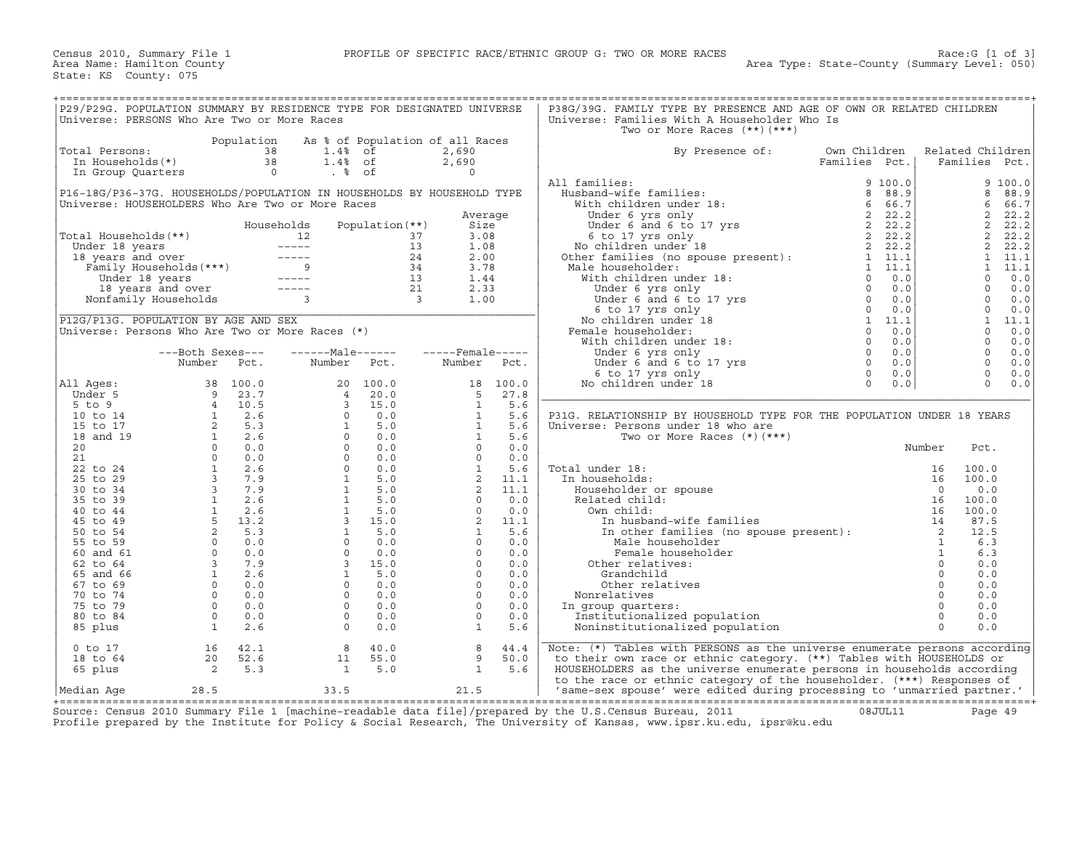| P29/P29G. POPULATION SUMMARY BY RESIDENCE TYPE FOR DESIGNATED UNIVERSE           |                                                                                                                                                                                                                                                                |                |                                                                                                                                                                                                                                                                                                                |                        |    |                                                                                                                                                                                                                                 |            | P38G/39G. FAMILY TYPE BY PRESENCE AND AGE OF OWN OR RELATED CHILDREN                                                                                                                                                                                |                               |                      |                                   |            |
|----------------------------------------------------------------------------------|----------------------------------------------------------------------------------------------------------------------------------------------------------------------------------------------------------------------------------------------------------------|----------------|----------------------------------------------------------------------------------------------------------------------------------------------------------------------------------------------------------------------------------------------------------------------------------------------------------------|------------------------|----|---------------------------------------------------------------------------------------------------------------------------------------------------------------------------------------------------------------------------------|------------|-----------------------------------------------------------------------------------------------------------------------------------------------------------------------------------------------------------------------------------------------------|-------------------------------|----------------------|-----------------------------------|------------|
| Universe: PERSONS Who Are Two or More Races                                      |                                                                                                                                                                                                                                                                |                |                                                                                                                                                                                                                                                                                                                |                        |    |                                                                                                                                                                                                                                 |            | Universe: Families With A Householder Who Is                                                                                                                                                                                                        |                               |                      |                                   |            |
|                                                                                  |                                                                                                                                                                                                                                                                |                |                                                                                                                                                                                                                                                                                                                |                        |    |                                                                                                                                                                                                                                 |            | Two or More Races $(**)$ $(***)$                                                                                                                                                                                                                    |                               |                      |                                   |            |
|                                                                                  |                                                                                                                                                                                                                                                                | Population     | As % of Population of all Races                                                                                                                                                                                                                                                                                |                        |    |                                                                                                                                                                                                                                 |            |                                                                                                                                                                                                                                                     |                               |                      |                                   |            |
| Total Persons:                                                                   |                                                                                                                                                                                                                                                                | 38<br>38       | 1.4% of                                                                                                                                                                                                                                                                                                        | $1.4%$ of              |    | 2,690<br>2,690                                                                                                                                                                                                                  |            | By Presence of:                                                                                                                                                                                                                                     | Own Children<br>Families Pct. |                      | Related Children<br>Families Pct. |            |
| In Households(*)<br>In Group Quarters                                            |                                                                                                                                                                                                                                                                | $\overline{0}$ | $. \circ$ of                                                                                                                                                                                                                                                                                                   |                        |    | $\Omega$                                                                                                                                                                                                                        |            |                                                                                                                                                                                                                                                     |                               |                      |                                   |            |
|                                                                                  |                                                                                                                                                                                                                                                                |                |                                                                                                                                                                                                                                                                                                                |                        |    |                                                                                                                                                                                                                                 |            | All families:                                                                                                                                                                                                                                       | 9 100.0                       |                      |                                   | 9 100.0    |
| P16-18G/P36-37G. HOUSEHOLDS/POPULATION IN HOUSEHOLDS BY HOUSEHOLD TYPE           |                                                                                                                                                                                                                                                                |                |                                                                                                                                                                                                                                                                                                                |                        |    |                                                                                                                                                                                                                                 |            |                                                                                                                                                                                                                                                     |                               |                      | 8                                 | 88.9       |
| Universe: HOUSEHOLDERS Who Are Two or More Races                                 |                                                                                                                                                                                                                                                                |                |                                                                                                                                                                                                                                                                                                                |                        |    |                                                                                                                                                                                                                                 |            |                                                                                                                                                                                                                                                     |                               |                      | 6                                 | 66.7       |
|                                                                                  |                                                                                                                                                                                                                                                                |                |                                                                                                                                                                                                                                                                                                                |                        |    | Average                                                                                                                                                                                                                         |            |                                                                                                                                                                                                                                                     |                               |                      | 2                                 | 22.2       |
|                                                                                  |                                                                                                                                                                                                                                                                |                | Households                                                                                                                                                                                                                                                                                                     | Population (**)        |    | Size                                                                                                                                                                                                                            |            |                                                                                                                                                                                                                                                     |                               |                      | 2                                 | 22.2       |
| Total Households(**)                                                             |                                                                                                                                                                                                                                                                |                | 12                                                                                                                                                                                                                                                                                                             |                        | 37 | 3.08                                                                                                                                                                                                                            |            |                                                                                                                                                                                                                                                     |                               |                      | 2                                 | 22.2       |
|                                                                                  |                                                                                                                                                                                                                                                                |                |                                                                                                                                                                                                                                                                                                                |                        | 13 | 1.08                                                                                                                                                                                                                            |            |                                                                                                                                                                                                                                                     |                               |                      | 2                                 | 22.2       |
| 18 years and over<br>Family Households (***)<br>Under 18 years<br>Under 18 years |                                                                                                                                                                                                                                                                |                |                                                                                                                                                                                                                                                                                                                |                        | 24 | 2.00                                                                                                                                                                                                                            |            | 1 families:<br>Husband-wife families:<br>With children under 18:<br>Under 6 yrs only<br>Under 6 and 6 to 17 yrs<br>2 22.2<br>6 to 17 yrs and<br>No children under 18<br>No children under 18<br>2 22.2<br>Other families (no gouse present):<br>1 1 |                               |                      | $\mathbf{1}$                      | 11.1       |
|                                                                                  |                                                                                                                                                                                                                                                                |                |                                                                                                                                                                                                                                                                                                                | $34$<br>13<br>21<br>3  |    | 3.78                                                                                                                                                                                                                            |            |                                                                                                                                                                                                                                                     |                               |                      | $\mathbf{1}$                      | 11.1       |
|                                                                                  |                                                                                                                                                                                                                                                                |                |                                                                                                                                                                                                                                                                                                                |                        |    | 1.44                                                                                                                                                                                                                            |            | With children under 18:                                                                                                                                                                                                                             |                               |                      | $\mathbf{0}$                      | 0.0        |
|                                                                                  | 18 years and over -----<br>onfamily Households 3                                                                                                                                                                                                               |                |                                                                                                                                                                                                                                                                                                                |                        |    | 2.33                                                                                                                                                                                                                            |            |                                                                                                                                                                                                                                                     |                               |                      | $\Omega$                          | 0.0        |
| Nonfamily Households                                                             |                                                                                                                                                                                                                                                                |                |                                                                                                                                                                                                                                                                                                                |                        |    | 1.00                                                                                                                                                                                                                            |            | - the householder:<br>the householder:<br>The householder and 6 to 17 yrs<br>the character of and 6 to 17 yrs<br>the control of the control of the control of the control of the control<br>to children under 18<br>ale householder:<br>The         |                               |                      | $\Omega$<br>$\mathbf{0}$          | 0.0<br>0.0 |
| P12G/P13G. POPULATION BY AGE AND SEX                                             |                                                                                                                                                                                                                                                                |                |                                                                                                                                                                                                                                                                                                                |                        |    |                                                                                                                                                                                                                                 |            | No children under 18                                                                                                                                                                                                                                |                               |                      | $\mathbf{1}$                      | 11.1       |
| Universe: Persons Who Are Two or More Races (*)                                  |                                                                                                                                                                                                                                                                |                |                                                                                                                                                                                                                                                                                                                |                        |    |                                                                                                                                                                                                                                 |            | Female householder:                                                                                                                                                                                                                                 |                               |                      | $\Omega$                          | 0.0        |
|                                                                                  |                                                                                                                                                                                                                                                                |                |                                                                                                                                                                                                                                                                                                                |                        |    |                                                                                                                                                                                                                                 |            | With children under 18:                                                                                                                                                                                                                             |                               |                      | $\Omega$                          | 0.0        |
|                                                                                  | ---Both Sexes---                                                                                                                                                                                                                                               |                | $---Maxe---1$                                                                                                                                                                                                                                                                                                  |                        |    | $---$ Female-----                                                                                                                                                                                                               |            |                                                                                                                                                                                                                                                     |                               |                      | $\Omega$                          | 0.0        |
|                                                                                  | Number                                                                                                                                                                                                                                                         | Pct.           | Number                                                                                                                                                                                                                                                                                                         | Pct.                   |    | Number                                                                                                                                                                                                                          | Pct.       |                                                                                                                                                                                                                                                     |                               |                      | $\Omega$                          | 0.0        |
|                                                                                  |                                                                                                                                                                                                                                                                |                |                                                                                                                                                                                                                                                                                                                |                        |    |                                                                                                                                                                                                                                 |            |                                                                                                                                                                                                                                                     |                               |                      | $\Omega$                          | 0.0        |
| All Ages:                                                                        |                                                                                                                                                                                                                                                                | 38 100.0       |                                                                                                                                                                                                                                                                                                                | 100.0<br>20            |    | 18                                                                                                                                                                                                                              | 100.0      | No children under 18                                                                                                                                                                                                                                |                               |                      | $\Omega$                          | 0.0        |
| Under 5                                                                          | $\frac{9}{4}$                                                                                                                                                                                                                                                  | 23.7           |                                                                                                                                                                                                                                                                                                                | 20.0                   |    | 5                                                                                                                                                                                                                               | 27.8       |                                                                                                                                                                                                                                                     |                               |                      |                                   |            |
| 5 to 9                                                                           |                                                                                                                                                                                                                                                                | 10.5           |                                                                                                                                                                                                                                                                                                                | 15.0                   |    | $\overline{1}$                                                                                                                                                                                                                  | 5.6        |                                                                                                                                                                                                                                                     |                               |                      |                                   |            |
| 10 to 14                                                                         |                                                                                                                                                                                                                                                                |                |                                                                                                                                                                                                                                                                                                                | 0.0                    |    | $\mathbf{1}$                                                                                                                                                                                                                    | 5.6        | P31G. RELATIONSHIP BY HOUSEHOLD TYPE FOR THE POPULATION UNDER 18 YEARS                                                                                                                                                                              |                               |                      |                                   |            |
| 15 to 17                                                                         |                                                                                                                                                                                                                                                                |                |                                                                                                                                                                                                                                                                                                                | 5.0                    |    | $\mathbf{1}$                                                                                                                                                                                                                    | 5.6        | Universe: Persons under 18 who are                                                                                                                                                                                                                  |                               |                      |                                   |            |
| 18 and 19                                                                        |                                                                                                                                                                                                                                                                |                |                                                                                                                                                                                                                                                                                                                | 0.0                    |    | $\mathbf{1}$                                                                                                                                                                                                                    | 5.6        | Two or More Races $(*)$ $(***)$                                                                                                                                                                                                                     |                               |                      |                                   |            |
| 20<br>21                                                                         |                                                                                                                                                                                                                                                                |                |                                                                                                                                                                                                                                                                                                                | 0.0<br>0.0             |    |                                                                                                                                                                                                                                 |            |                                                                                                                                                                                                                                                     |                               | Number               | Pct.                              |            |
| 22 to 24                                                                         |                                                                                                                                                                                                                                                                |                |                                                                                                                                                                                                                                                                                                                | 0.0                    |    |                                                                                                                                                                                                                                 |            | Total under 18:                                                                                                                                                                                                                                     |                               | 16                   | 100.0                             |            |
| 25 to 29                                                                         |                                                                                                                                                                                                                                                                |                |                                                                                                                                                                                                                                                                                                                | 5.0                    |    |                                                                                                                                                                                                                                 |            | In households:                                                                                                                                                                                                                                      |                               | 16                   | 100.0                             |            |
| 30 to 34                                                                         |                                                                                                                                                                                                                                                                |                |                                                                                                                                                                                                                                                                                                                | 5.0                    |    |                                                                                                                                                                                                                                 |            | Householder or spouse                                                                                                                                                                                                                               |                               | $\Omega$             | 0.0                               |            |
| 35 to 39                                                                         |                                                                                                                                                                                                                                                                |                |                                                                                                                                                                                                                                                                                                                | 5.0                    |    |                                                                                                                                                                                                                                 |            | Related child:                                                                                                                                                                                                                                      |                               | 16                   | 100.0                             |            |
| 40 to 44                                                                         |                                                                                                                                                                                                                                                                |                |                                                                                                                                                                                                                                                                                                                | 5.0                    |    |                                                                                                                                                                                                                                 |            | Own child:                                                                                                                                                                                                                                          |                               | 16                   | 100.0                             |            |
| 45 to 49                                                                         |                                                                                                                                                                                                                                                                |                |                                                                                                                                                                                                                                                                                                                | 15.0                   |    |                                                                                                                                                                                                                                 |            | In husband-wife families                                                                                                                                                                                                                            |                               | 14                   | 87.5                              |            |
| 50 to 54                                                                         |                                                                                                                                                                                                                                                                |                |                                                                                                                                                                                                                                                                                                                | 5.0                    |    |                                                                                                                                                                                                                                 |            | In other families (no spouse present): 2                                                                                                                                                                                                            |                               |                      | 12.5                              |            |
| 55 to 59                                                                         | $\begin{array}{cccc} 4 & 10.5 \\ 1 & 2.6 \\ 2 & 5.3 \\ 1 & 2.6 \\ 0 & 0.0 \\ 0 & 0.0 \\ 1 & 2.6 \\ 3 & 7.9 \\ 3 & 7.9 \\ 1 & 2.6 \\ 1 & 2.6 \\ 2 & 5.3 \\ 2 & 5.3 \\ 0 & 0.0 \\ 3 & 7.9 \\ 1 & 2.6 \\ 0 & 0.0 \\ 3 & 7.9 \\ 1 & 2.6 \\ 0 & 0.0 \\ \end{array}$ |                | $\begin{array}{cccc} 2\,0 & 1\, \cdot & & & \\ 4 & \cdot & \cdot & \cdot & \\ 3 & \cdot & \cdot & \cdot & \\ 3 & \cdot & \cdot & \cdot & \\ 3 & \cdot & \cdot & \cdot & \\ 0 & 0 & 0 & 0 \\ 0 & 0 & 1 & 1 \\ 1 & 1 & 1 & 1 \\ 1 & 1 & 1 & 1 \\ 0 & 0 & 3 & 1 \\ 0 & 0 & 0 & 0 \\ 0 & 0 & 0 & 0 \\ \end{array}$ | 0.0                    |    | $\begin{array}{cccc} 1 & 5 \ . & \\ 0 & 0 \ . \ 0 & \\ 0 & 0 \ . \ 0 \\ 1 & 5 \ . \ 6 \\ 2 & 11 \ . \ 1 \\ 2 & 11 \ . \ 1 \\ 0 & 0 \ . \ 0 \\ 0 & 0 \ . \ 0 \\ 2 & 11 \ . \ 1 \\ 1 & 5 \ . \ 6 \\ 0 & 0 \ . \ 0 \\ \end{array}$ |            | Male householder                                                                                                                                                                                                                                    |                               | <sup>1</sup>         | 6.3                               |            |
| 60 and 61                                                                        |                                                                                                                                                                                                                                                                |                |                                                                                                                                                                                                                                                                                                                | 0.0                    |    | $\Omega$                                                                                                                                                                                                                        | 0.0        | Female householder                                                                                                                                                                                                                                  |                               | $\mathbf{1}$         | 6.3                               |            |
| 62 to 64                                                                         |                                                                                                                                                                                                                                                                |                |                                                                                                                                                                                                                                                                                                                | 15.0                   |    | $\Omega$                                                                                                                                                                                                                        | 0.0        | Other relatives:                                                                                                                                                                                                                                    |                               | $\circ$              | 0.0                               |            |
| 65 and 66                                                                        |                                                                                                                                                                                                                                                                |                |                                                                                                                                                                                                                                                                                                                | 5.0                    |    | $\Omega$                                                                                                                                                                                                                        | 0.0        | Grandchild                                                                                                                                                                                                                                          |                               | $\Omega$             | 0.0                               |            |
| 67 to 69                                                                         |                                                                                                                                                                                                                                                                | $\Omega$       |                                                                                                                                                                                                                                                                                                                | 0.0                    |    | $\circ$<br>$\Omega$                                                                                                                                                                                                             | 0.0        | Other relatives                                                                                                                                                                                                                                     |                               | $\circ$              | 0.0                               |            |
| 70 to 74<br>75 to 79                                                             | $\Omega$                                                                                                                                                                                                                                                       | 0.0<br>0.0     |                                                                                                                                                                                                                                                                                                                | 0.0<br>$\Omega$<br>0.0 |    | $\Omega$                                                                                                                                                                                                                        | 0.0<br>0.0 | Nonrelatives<br>In group quarters:                                                                                                                                                                                                                  |                               | $\Omega$<br>$\Omega$ | 0.0<br>0.0                        |            |
| 80 to 84                                                                         | $\circ$                                                                                                                                                                                                                                                        | 0.0            |                                                                                                                                                                                                                                                                                                                | $\circ$<br>0.0         |    | $\Omega$                                                                                                                                                                                                                        | 0.0        | Institutionalized population                                                                                                                                                                                                                        |                               | $\Omega$             | 0.0                               |            |
| 85 plus                                                                          | $\mathbf{1}$                                                                                                                                                                                                                                                   | 2.6            |                                                                                                                                                                                                                                                                                                                | $\Omega$<br>0.0        |    | <sup>1</sup>                                                                                                                                                                                                                    | 5.6        | Noninstitutionalized population                                                                                                                                                                                                                     |                               | $\Omega$             | 0.0                               |            |
|                                                                                  |                                                                                                                                                                                                                                                                |                |                                                                                                                                                                                                                                                                                                                |                        |    |                                                                                                                                                                                                                                 |            |                                                                                                                                                                                                                                                     |                               |                      |                                   |            |
| $0$ to $17$                                                                      | 16                                                                                                                                                                                                                                                             | 42.1           |                                                                                                                                                                                                                                                                                                                | 8<br>40.0              |    | 8                                                                                                                                                                                                                               | 44.4       | Note: (*) Tables with PERSONS as the universe enumerate persons according                                                                                                                                                                           |                               |                      |                                   |            |
| 18 to 64                                                                         | 20                                                                                                                                                                                                                                                             | 52.6           | 11                                                                                                                                                                                                                                                                                                             | 55.0                   |    | 9                                                                                                                                                                                                                               | 50.0       | to their own race or ethnic category. (**) Tables with HOUSEHOLDS or                                                                                                                                                                                |                               |                      |                                   |            |
| 65 plus                                                                          | $\overline{\phantom{a}}$                                                                                                                                                                                                                                       | 5.3            |                                                                                                                                                                                                                                                                                                                | $\mathbf{1}$<br>5.0    |    | $\mathbf{1}$                                                                                                                                                                                                                    | 5.6        | HOUSEHOLDERS as the universe enumerate persons in households according                                                                                                                                                                              |                               |                      |                                   |            |
|                                                                                  |                                                                                                                                                                                                                                                                |                |                                                                                                                                                                                                                                                                                                                |                        |    |                                                                                                                                                                                                                                 |            | to the race or ethnic category of the householder. (***) Responses of                                                                                                                                                                               |                               |                      |                                   |            |
| Median Aqe                                                                       | 28.5                                                                                                                                                                                                                                                           |                | 33.5                                                                                                                                                                                                                                                                                                           |                        |    | 21.5                                                                                                                                                                                                                            |            | 'same-sex spouse' were edited during processing to 'unmarried partner.'                                                                                                                                                                             |                               |                      |                                   |            |

+===================================================================================================================================================+ Source: Census 2010 Summary File 1 [machine−readable data file]/prepared by the U.S.Census Bureau, 2011 08JUL11 Page 49 Profile prepared by the Institute for Policy & Social Research, The University of Kansas, www.ipsr.ku.edu, ipsr@ku.edu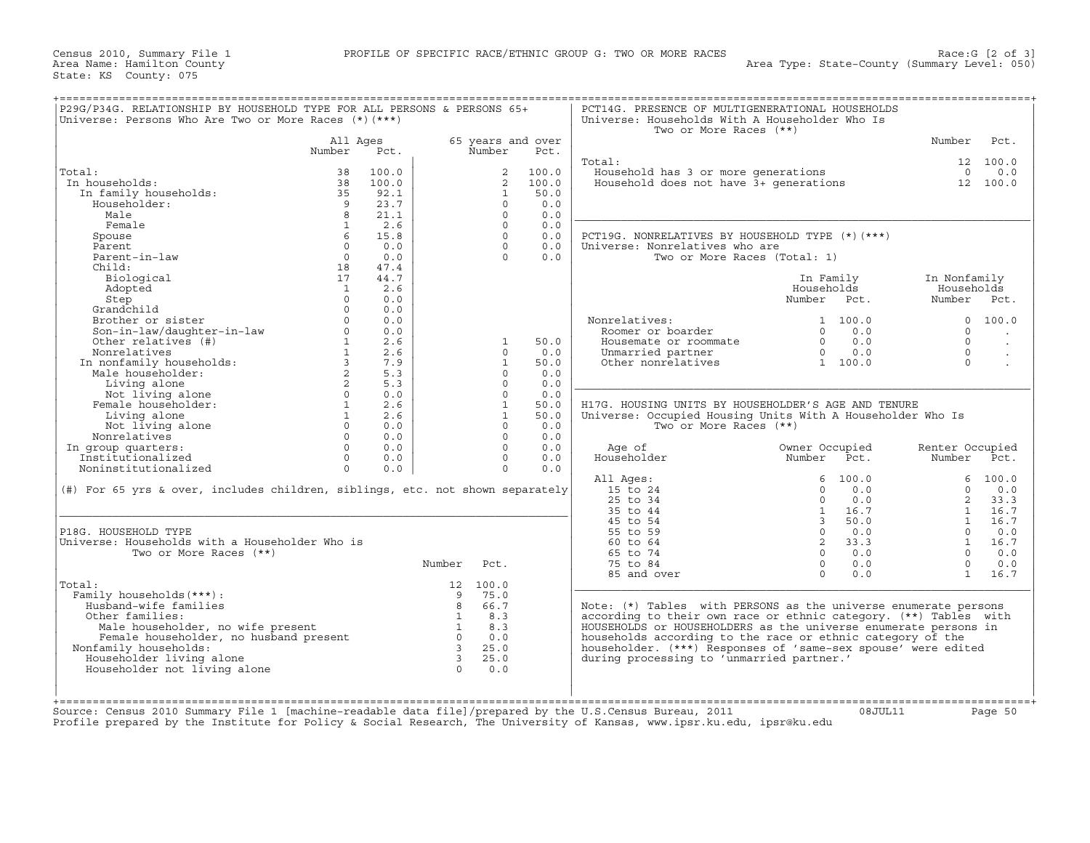| Total:                                                                                                                                                                                                                                         | All Ages          |       |                                                                 |                   |       | Two or More Races (**)                                                                      |                                 |                 |                      |
|------------------------------------------------------------------------------------------------------------------------------------------------------------------------------------------------------------------------------------------------|-------------------|-------|-----------------------------------------------------------------|-------------------|-------|---------------------------------------------------------------------------------------------|---------------------------------|-----------------|----------------------|
|                                                                                                                                                                                                                                                |                   |       |                                                                 | 65 years and over |       |                                                                                             |                                 | Number          | Pct.                 |
|                                                                                                                                                                                                                                                | Number            | Pct.  |                                                                 | Number            | Pct.  |                                                                                             |                                 |                 |                      |
|                                                                                                                                                                                                                                                |                   |       |                                                                 |                   |       | Total:                                                                                      |                                 |                 | 12 100.0             |
|                                                                                                                                                                                                                                                | 38                | 100.0 |                                                                 | $\overline{a}$    | 100.0 | Household has 3 or more generations<br>Household does not have 3+ generations               |                                 | $\Omega$        | 0.0                  |
| In households:                                                                                                                                                                                                                                 | 38                | 100.0 |                                                                 | $2^{\circ}$       | 100.0 |                                                                                             |                                 |                 | 12 100.0             |
| In family households:                                                                                                                                                                                                                          | 35                | 92.1  |                                                                 | 1                 | 50.0  |                                                                                             |                                 |                 |                      |
| Householder:                                                                                                                                                                                                                                   | $\overline{9}$    | 23.7  |                                                                 | $\Omega$          | 0.0   |                                                                                             |                                 |                 |                      |
| Male                                                                                                                                                                                                                                           | 8                 | 21.1  |                                                                 | $\Omega$          | 0.0   |                                                                                             |                                 |                 |                      |
| Female                                                                                                                                                                                                                                         | $\overline{1}$    | 2.6   |                                                                 | $\Omega$          | 0.0   |                                                                                             |                                 |                 |                      |
| Spouse                                                                                                                                                                                                                                         | 6                 | 15.8  |                                                                 | $\Omega$          | 0.0   | PCT19G. NONRELATIVES BY HOUSEHOLD TYPE (*) (***)                                            |                                 |                 |                      |
| Parent                                                                                                                                                                                                                                         | $\Omega$          | 0.0   |                                                                 | $\Omega$          | 0.0   | Universe: Nonrelatives who are                                                              |                                 |                 |                      |
| Parent-in-law                                                                                                                                                                                                                                  | $\overline{0}$    | 0.0   |                                                                 | $\cap$            | 0.0   | Two or More Races (Total: 1)                                                                |                                 |                 |                      |
| Child:                                                                                                                                                                                                                                         | 18                | 47.4  |                                                                 |                   |       |                                                                                             |                                 |                 |                      |
| Biological                                                                                                                                                                                                                                     | 17                | 44.7  |                                                                 |                   |       |                                                                                             | In Family                       | In Nonfamily    |                      |
| Adopted                                                                                                                                                                                                                                        | $\overline{1}$    | 2.6   |                                                                 |                   |       |                                                                                             | Households                      | Households      |                      |
| Step                                                                                                                                                                                                                                           | $\Omega$          | 0.0   |                                                                 |                   |       |                                                                                             | Number Pct.                     | Number Pct.     |                      |
| Step<br>Grandchild<br>Brother or sister<br>Son-in-law/daughter-in-law<br>Char relatives (#)                                                                                                                                                    | $\Omega$          | 0.0   |                                                                 |                   |       |                                                                                             |                                 |                 |                      |
|                                                                                                                                                                                                                                                | $\Omega$          | 0.0   |                                                                 |                   |       | Nonrelatives:<br>unreiatives:<br>Roomer or boarder<br>T                                     | 1 100.0                         | $\Omega$        | 100.0                |
|                                                                                                                                                                                                                                                |                   | 0.0   |                                                                 |                   |       |                                                                                             | 0.0<br>$\Omega$                 | $\Omega$        | $\sim$               |
|                                                                                                                                                                                                                                                |                   | 2.6   |                                                                 | $\mathbf{1}$      | 50.0  | Housemate or roommate                                                                       | 0.0<br>$\Omega$                 | $\Omega$        | $\ddot{\phantom{a}}$ |
|                                                                                                                                                                                                                                                |                   | 2.6   |                                                                 | $\Omega$          | 0.0   | Unmarried partner $\begin{array}{ccc} 0 & 0.0 \\ 0 & \text{other nonrelatives} \end{array}$ |                                 | $\Omega$        | $\cdot$              |
| Brown---<br>Son-in-law/daugneed.<br>Other relatives (#)<br>Nonrelatives (#)<br>Nonrelatives (#)<br>In nonfamily households:<br>Male householder:<br>Living alone<br>Not living alone<br>Not living alone<br>Not living alone<br>(1)<br>1)<br>0 |                   | 7.9   |                                                                 | $\overline{1}$    | 50.0  |                                                                                             |                                 | $\Omega$        |                      |
|                                                                                                                                                                                                                                                |                   | 5.3   |                                                                 | $\Omega$          | 0.0   |                                                                                             |                                 |                 |                      |
|                                                                                                                                                                                                                                                |                   | 5.3   |                                                                 | $\Omega$          | 0.0   |                                                                                             |                                 |                 |                      |
|                                                                                                                                                                                                                                                |                   | 0.0   |                                                                 | $\Omega$          | 0.0   |                                                                                             |                                 |                 |                      |
|                                                                                                                                                                                                                                                |                   | 2.6   |                                                                 | $\mathbf{1}$      | 50.0  | H17G. HOUSING UNITS BY HOUSEHOLDER'S AGE AND TENURE                                         |                                 |                 |                      |
|                                                                                                                                                                                                                                                |                   | 2.6   |                                                                 | $\mathbf{1}$      | 50.0  | Universe: Occupied Housing Units With A Householder Who Is                                  |                                 |                 |                      |
| Not living alone                                                                                                                                                                                                                               | $0 \qquad \qquad$ | 0.0   |                                                                 | $\Omega$          | 0.0   | Two or More Races (**)                                                                      |                                 |                 |                      |
| Nonrelatives                                                                                                                                                                                                                                   | $\Omega$          | 0.0   |                                                                 | $\Omega$          | 0.0   |                                                                                             |                                 |                 |                      |
| In group quarters:                                                                                                                                                                                                                             | $\Omega$          | 0.0   |                                                                 | $\Omega$          | 0.0   | Age of                                                                                      | Owner Occupied                  | Renter Occupied |                      |
| Institutionalized                                                                                                                                                                                                                              | $\Omega$          | 0.0   |                                                                 | $\Omega$          | 0.0   | Householder                                                                                 | Number Pct.                     | Number Pct.     |                      |
| Noninstitutionalized                                                                                                                                                                                                                           | $\Omega$          | 0.0   |                                                                 | $\Omega$          | 0.0   |                                                                                             |                                 |                 |                      |
|                                                                                                                                                                                                                                                |                   |       |                                                                 |                   |       | All Ages:                                                                                   | 6, 100.0                        |                 | 6, 100.0             |
| (#) For 65 yrs & over, includes children, siblings, etc. not shown separately                                                                                                                                                                  |                   |       |                                                                 |                   |       | 15 to 24                                                                                    | 0.0<br>$\Omega$                 | $\Omega$        | 0.0                  |
|                                                                                                                                                                                                                                                |                   |       |                                                                 |                   |       | 25 to 34                                                                                    | 0.0<br>$\Omega$                 | 2               | 33.3                 |
|                                                                                                                                                                                                                                                |                   |       |                                                                 |                   |       | 35 to 44                                                                                    | 16.7<br>$\mathbf{1}$            |                 | 1 16.7               |
|                                                                                                                                                                                                                                                |                   |       |                                                                 |                   |       | 45 to 54                                                                                    | $\overline{\mathbf{3}}$<br>50.0 | 1               | 16.7                 |
| P18G. HOUSEHOLD TYPE                                                                                                                                                                                                                           |                   |       |                                                                 |                   |       | 55 to 59                                                                                    | $\overline{0}$<br>0.0           | $\Omega$        | 0.0                  |
| Universe: Households with a Householder Who is                                                                                                                                                                                                 |                   |       |                                                                 |                   |       | 60 to 64                                                                                    | $\overline{\mathbf{2}}$<br>33.3 |                 | 1 16.7               |
| Two or More Races (**)                                                                                                                                                                                                                         |                   |       |                                                                 |                   |       | 65 to 74                                                                                    | $0 \t 0.0$                      |                 | $0 \t 0.0$           |
|                                                                                                                                                                                                                                                |                   |       | Number                                                          | Pct.              |       | 75 to 84                                                                                    | $\Omega$<br>0.0                 | $\Omega$        | 0.0                  |
|                                                                                                                                                                                                                                                |                   |       |                                                                 |                   |       | 85 and over                                                                                 | $\Omega$<br>0.0                 |                 | 1 16.7               |
| Total:                                                                                                                                                                                                                                         |                   |       |                                                                 | 12 100.0          |       |                                                                                             |                                 |                 |                      |
| Family households (***) :                                                                                                                                                                                                                      |                   |       | $\overline{9}$                                                  | 75.0              |       |                                                                                             |                                 |                 |                      |
| Husband-wife families                                                                                                                                                                                                                          |                   |       | 8                                                               | 66.7              |       | Note: (*) Tables with PERSONS as the universe enumerate persons                             |                                 |                 |                      |
| Other families:                                                                                                                                                                                                                                |                   |       | $\overline{1}$                                                  | 8.3               |       | according to their own race or ethnic category. (**) Tables with                            |                                 |                 |                      |
| Male householder, no wife present                                                                                                                                                                                                              |                   |       | $\begin{array}{c}\n\stackrel{\frown}{0} \\ 3\n\end{array}$<br>1 | 8.3               |       | HOUSEHOLDS or HOUSEHOLDERS as the universe enumerate persons in                             |                                 |                 |                      |
| Female householder, no husband present                                                                                                                                                                                                         |                   |       |                                                                 | 0.0               |       | households according to the race or ethnic category of the                                  |                                 |                 |                      |
| Nonfamily households:                                                                                                                                                                                                                          |                   |       | $\overline{\phantom{a}}$ 3                                      | 25.0              |       | householder. (***) Responses of 'same-sex spouse' were edited                               |                                 |                 |                      |
| Householder living alone                                                                                                                                                                                                                       |                   |       | $\overline{\mathbf{3}}$                                         | 25.0              |       | during processing to 'unmarried partner.'                                                   |                                 |                 |                      |
| Householder not living alone                                                                                                                                                                                                                   |                   |       | $\cap$                                                          | 0.0               |       |                                                                                             |                                 |                 |                      |
|                                                                                                                                                                                                                                                |                   |       |                                                                 |                   |       |                                                                                             |                                 |                 |                      |
|                                                                                                                                                                                                                                                |                   |       |                                                                 |                   |       |                                                                                             |                                 |                 |                      |

Source: Census 2010 Summary File 1 [machine−readable data file]/prepared by the U.S.Census Bureau, 2011 08JUL11 Page 50 Profile prepared by the Institute for Policy & Social Research, The University of Kansas, www.ipsr.ku.edu, ipsr@ku.edu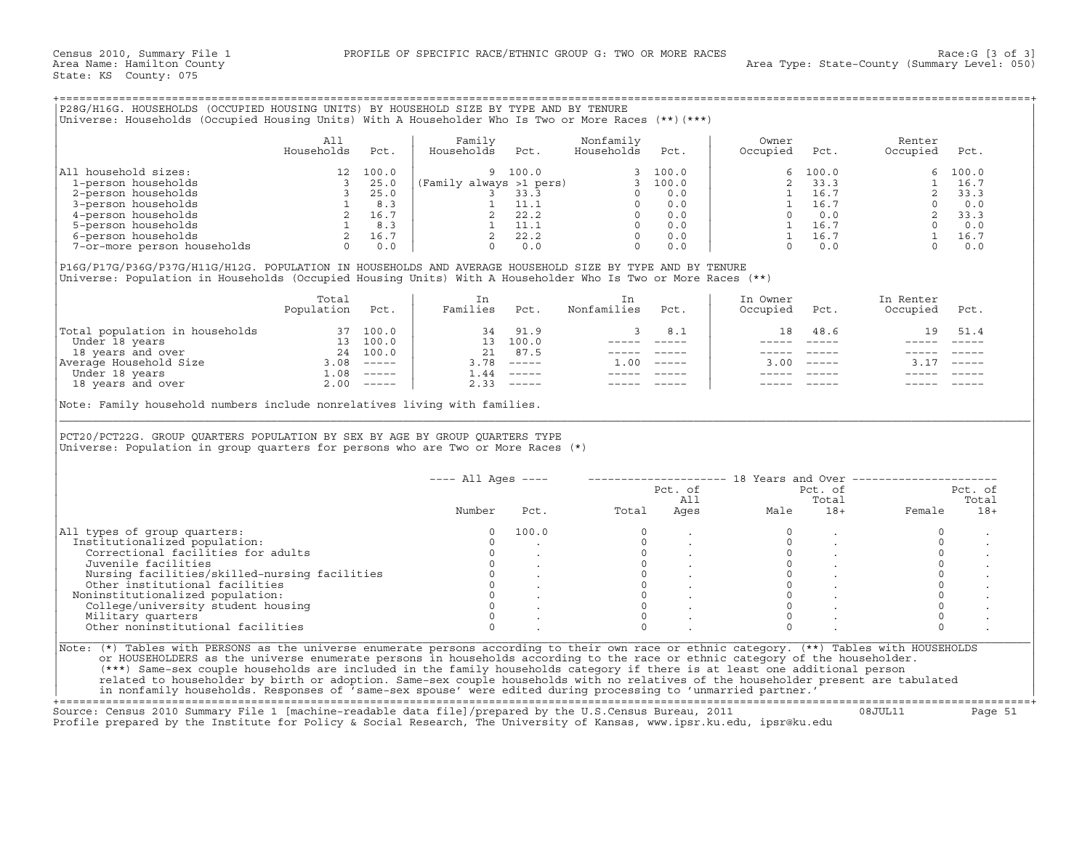## +===================================================================================================================================================+

|                             | All<br>Households | Pct.  | Family<br>Households<br>Pct. | Nonfamily<br>Households | Pct.  | Owner<br>Occupied | Pct.    | Renter<br>Occupied | Pct.    |
|-----------------------------|-------------------|-------|------------------------------|-------------------------|-------|-------------------|---------|--------------------|---------|
| All household sizes:        |                   | 100.0 | 9 100.0                      |                         | 100.0 |                   | 6 100.0 |                    | 6 100.0 |
| 1-person households         |                   | 25.0  | (Family always >1 pers)      |                         | 100.0 |                   | 33.3    |                    | 16.7    |
| 2-person households         |                   | 25.0  | 33.3                         |                         | 0.0   |                   | 16.7    |                    | 33.3    |
| 3-person households         |                   | 8.3   | 11.1                         |                         | 0.0   |                   | 16.7    |                    | 0.0     |
| 4-person households         |                   | 16.7  | 22.2                         |                         | 0.0   |                   | 0.0     |                    | 33.3    |
| 5-person households         |                   | 8.3   | 11.1                         |                         | 0.0   |                   | 16.7    |                    | 0.0     |
| 6-person households         |                   | 16.7  | 22.2                         |                         | 0.0   |                   | 16.7    |                    | 16.7    |
| 7-or-more person households |                   | 0.0   | 0.0                          |                         | 0.0   |                   |         |                    | 0.0     |

|                                | Total<br>Population | Pct.          | Families    | Pct.                      | Nonfamilies | Pct.                      | In Owner<br>Occupied | Pct.          | In Renter<br>Occupied | Pct.          |
|--------------------------------|---------------------|---------------|-------------|---------------------------|-------------|---------------------------|----------------------|---------------|-----------------------|---------------|
| Total population in households |                     | 37 100.0      | 34          | 91.9                      |             | 8.1                       | 18                   | 48.6          | 19                    | 51.4          |
| Under 18 years                 | 13                  | 100.0         | 13          | 100.0                     |             |                           |                      |               |                       |               |
| 18 years and over              | 24                  | 100.0         | 21          | 87.5                      |             |                           |                      |               |                       |               |
| Average Household Size         | 3.08                | $- - - - - -$ | 3.78        | $\qquad \qquad - - - - -$ | 1.00        | $\qquad \qquad - - - - -$ | 3.00                 | $- - - - - -$ |                       | $- - - - - -$ |
| Under 18 years                 | $\ldots$ 08         | $------$      | $\perp$ .44 | $\qquad \qquad - - - - -$ |             |                           |                      |               |                       |               |
| 18 years and over              | 2.00                | ------        | 2.33        |                           |             |                           |                      |               |                       |               |

| P28G/H16G. HOUSEHOLDS (OCCUPIED HOUSING UNITS) BY HOUSEHOLD SIZE BY TYPE AND BY TENURE<br>Universe: Households (Occupied Housing Units) With A Householder Who Is Two or More Races (**) (***)                           |                                                                                                                                                     |      |                         |                                                                         |                                                                                                                                                                                                                                                                                                                                                                                              |                                                                                                              |                   |               |                                                              |         |
|--------------------------------------------------------------------------------------------------------------------------------------------------------------------------------------------------------------------------|-----------------------------------------------------------------------------------------------------------------------------------------------------|------|-------------------------|-------------------------------------------------------------------------|----------------------------------------------------------------------------------------------------------------------------------------------------------------------------------------------------------------------------------------------------------------------------------------------------------------------------------------------------------------------------------------------|--------------------------------------------------------------------------------------------------------------|-------------------|---------------|--------------------------------------------------------------|---------|
|                                                                                                                                                                                                                          | All<br>Households                                                                                                                                   | Pct. | Family<br>Households    | Pct.                                                                    | Nonfamily<br>Households                                                                                                                                                                                                                                                                                                                                                                      | Pct.                                                                                                         | Owner<br>Occupied | Pct.          | Renter<br>Occupied                                           | Pct.    |
| All household sizes:                                                                                                                                                                                                     | $\begin{bmatrix} 1 & 1 & 1 \\ 3 & 2 & 5 \\ 3 & 2 & 5 \\ 1 & 8 & 3 \\ 2 & 16 & 7 \\ 1 & 8 & 3 \\ 2 & 16 & 7 \\ 0 & 0 & 0 \\ 0 & 0 & 0 \end{bmatrix}$ |      |                         | 9 100.0                                                                 |                                                                                                                                                                                                                                                                                                                                                                                              | 3, 100.0                                                                                                     | 6                 | 100.0         | 6                                                            | 100.0   |
| 1-person households                                                                                                                                                                                                      |                                                                                                                                                     |      | (Family always >1 pers) |                                                                         |                                                                                                                                                                                                                                                                                                                                                                                              | 3, 100.0                                                                                                     | $\overline{2}$    | 33.3          | $\mathbf{1}$                                                 | 16.7    |
| 2-person households                                                                                                                                                                                                      |                                                                                                                                                     |      |                         |                                                                         | $\Omega$                                                                                                                                                                                                                                                                                                                                                                                     | 0.0                                                                                                          | 1                 | 16.7          | 2                                                            | 33.3    |
| 3-person households                                                                                                                                                                                                      |                                                                                                                                                     |      |                         | vays >1 $p=15$ ,<br>3 33.3<br>1 11.1                                    |                                                                                                                                                                                                                                                                                                                                                                                              | $0 \qquad 0.0$                                                                                               | 1                 | 16.7          | $\Omega$                                                     | 0.0     |
| 4-person households                                                                                                                                                                                                      |                                                                                                                                                     |      |                         |                                                                         |                                                                                                                                                                                                                                                                                                                                                                                              | $0 \t 0.0$                                                                                                   | $\Omega$          | 0.0           | $\overline{2}$                                               | 33.3    |
| 5-person households                                                                                                                                                                                                      |                                                                                                                                                     |      |                         |                                                                         |                                                                                                                                                                                                                                                                                                                                                                                              | $0 \t 0.0$                                                                                                   |                   | 1 16.7        |                                                              |         |
| 6-person households                                                                                                                                                                                                      |                                                                                                                                                     |      |                         | $\begin{array}{ccc}\n 2 & 22.2 \\  1 & 11.1 \\  2 & 22.2\n \end{array}$ | $\Omega$                                                                                                                                                                                                                                                                                                                                                                                     | 0.0                                                                                                          | $\sim$            | 16.7          | $\begin{array}{cc} 0 & 0.0 \\ 1 & 16.7 \end{array}$          |         |
| 7-or-more person households                                                                                                                                                                                              |                                                                                                                                                     |      |                         | $0 \t 0.0$                                                              | $\Omega$                                                                                                                                                                                                                                                                                                                                                                                     | 0.0                                                                                                          | $\Omega$          | 0.0           | $\Omega$                                                     | 0.0     |
| P16G/P17G/P36G/P37G/H11G/H12G. POPULATION IN HOUSEHOLDS AND AVERAGE HOUSEHOLD SIZE BY TYPE AND BY TENURE<br>Universe: Population in Households (Occupied Housing Units) With A Householder Who Is Two or More Races (**) |                                                                                                                                                     |      |                         |                                                                         |                                                                                                                                                                                                                                                                                                                                                                                              |                                                                                                              |                   |               |                                                              |         |
|                                                                                                                                                                                                                          | Total                                                                                                                                               |      | In                      |                                                                         | In                                                                                                                                                                                                                                                                                                                                                                                           |                                                                                                              | In Owner          |               | In Renter                                                    |         |
|                                                                                                                                                                                                                          | Population                                                                                                                                          | Pct. | Families                | Pct.                                                                    | Nonfamilies                                                                                                                                                                                                                                                                                                                                                                                  | Pct.                                                                                                         | Occupied          | Pct.          | Occupied                                                     | Pct.    |
| Total population in households 37 100.0<br>Under 18 years and over 13 100.0<br>18 years and over 24 100.0<br>Average Household Size 3.08 ------<br>Under 18 years 10<br>1.08 ------<br>18 years and over 2.00 -----      |                                                                                                                                                     |      |                         | 34 91.9                                                                 | 3                                                                                                                                                                                                                                                                                                                                                                                            | 8.1                                                                                                          | 18                | 48.6          | 19                                                           | 51.4    |
|                                                                                                                                                                                                                          |                                                                                                                                                     |      |                         | 13 100.0                                                                | $- - - - -$                                                                                                                                                                                                                                                                                                                                                                                  | $------$                                                                                                     |                   | $------$      |                                                              |         |
|                                                                                                                                                                                                                          |                                                                                                                                                     |      |                         | 21 87.5                                                                 |                                                                                                                                                                                                                                                                                                                                                                                              | $\begin{array}{cccccc} - & - & - & - & - & - & - \\ & - & - & - & - & - \\ & & - & - & - & - \\ \end{array}$ |                   | $- - - - - -$ |                                                              |         |
|                                                                                                                                                                                                                          |                                                                                                                                                     |      |                         | $3.78$ -----                                                            | $1.00$ -----                                                                                                                                                                                                                                                                                                                                                                                 |                                                                                                              |                   | $3.00$ -----  | 3.17                                                         |         |
|                                                                                                                                                                                                                          |                                                                                                                                                     |      |                         | $1.44$ -----                                                            | $\frac{1}{2} \frac{1}{2} \frac{1}{2} \frac{1}{2} \frac{1}{2} \frac{1}{2} \frac{1}{2} \frac{1}{2} \frac{1}{2} \frac{1}{2} \frac{1}{2} \frac{1}{2} \frac{1}{2} \frac{1}{2} \frac{1}{2} \frac{1}{2} \frac{1}{2} \frac{1}{2} \frac{1}{2} \frac{1}{2} \frac{1}{2} \frac{1}{2} \frac{1}{2} \frac{1}{2} \frac{1}{2} \frac{1}{2} \frac{1}{2} \frac{1}{2} \frac{1}{2} \frac{1}{2} \frac{1}{2} \frac{$ |                                                                                                              |                   |               |                                                              |         |
|                                                                                                                                                                                                                          |                                                                                                                                                     |      |                         | $2.33$ $---$                                                            |                                                                                                                                                                                                                                                                                                                                                                                              |                                                                                                              |                   |               |                                                              |         |
| PCT20/PCT22G. GROUP QUARTERS POPULATION BY SEX BY AGE BY GROUP QUARTERS TYPE<br>Universe: Population in group quarters for persons who are Two or More Races (*)                                                         |                                                                                                                                                     |      |                         |                                                                         |                                                                                                                                                                                                                                                                                                                                                                                              |                                                                                                              |                   |               |                                                              |         |
|                                                                                                                                                                                                                          |                                                                                                                                                     |      | $--- All Aqes ---$      |                                                                         |                                                                                                                                                                                                                                                                                                                                                                                              |                                                                                                              |                   |               | -------------------- 18 Years and Over --------------------- |         |
|                                                                                                                                                                                                                          |                                                                                                                                                     |      |                         |                                                                         |                                                                                                                                                                                                                                                                                                                                                                                              | Pct. of                                                                                                      |                   | Pct. of       |                                                              | Pct. of |
|                                                                                                                                                                                                                          |                                                                                                                                                     |      |                         |                                                                         |                                                                                                                                                                                                                                                                                                                                                                                              | All                                                                                                          |                   | Total         |                                                              | Total   |
|                                                                                                                                                                                                                          |                                                                                                                                                     |      | Number                  | Pct.                                                                    | Total                                                                                                                                                                                                                                                                                                                                                                                        | Ages                                                                                                         | Male              | $18+$         | Female                                                       | $18+$   |
| All types of group quarters:                                                                                                                                                                                             |                                                                                                                                                     |      | $\Omega$                | 100.0                                                                   | $\Omega$                                                                                                                                                                                                                                                                                                                                                                                     |                                                                                                              | $\Omega$          |               | $\Omega$                                                     |         |
| Institutionalized population:                                                                                                                                                                                            |                                                                                                                                                     |      | $\Omega$                |                                                                         | $\Omega$                                                                                                                                                                                                                                                                                                                                                                                     |                                                                                                              | $\Omega$          |               | $\Omega$                                                     |         |
| Correctional facilities for adults                                                                                                                                                                                       |                                                                                                                                                     |      | $\circ$                 |                                                                         | $\circ$                                                                                                                                                                                                                                                                                                                                                                                      |                                                                                                              | $\mathbf{0}$      |               | $\circ$                                                      |         |
| Juvenile facilities                                                                                                                                                                                                      |                                                                                                                                                     |      | $\circ$                 |                                                                         | $\Omega$                                                                                                                                                                                                                                                                                                                                                                                     |                                                                                                              | $\Omega$          | $\sim$        | $\circ$                                                      |         |
| Nursing facilities/skilled-nursing facilities                                                                                                                                                                            |                                                                                                                                                     |      | $\circ$                 |                                                                         | $\Omega$                                                                                                                                                                                                                                                                                                                                                                                     |                                                                                                              | $\Omega$          |               | $\Omega$                                                     |         |
| Other institutional facilities                                                                                                                                                                                           |                                                                                                                                                     |      | $\circ$                 |                                                                         | $\circ$                                                                                                                                                                                                                                                                                                                                                                                      |                                                                                                              | $\Omega$          |               | $\circ$                                                      |         |
| Noninstitutionalized population:                                                                                                                                                                                         |                                                                                                                                                     |      | $\overline{0}$          | $\frac{1}{2}$ , $\frac{1}{2}$                                           | $\Omega$                                                                                                                                                                                                                                                                                                                                                                                     |                                                                                                              | $\Omega$          |               | $\circ$                                                      |         |
| College/university student housing                                                                                                                                                                                       |                                                                                                                                                     |      | $\Omega$                |                                                                         | $\Omega$                                                                                                                                                                                                                                                                                                                                                                                     |                                                                                                              | $\Omega$          |               | $\Omega$                                                     |         |
| Military quarters                                                                                                                                                                                                        |                                                                                                                                                     |      | $\Omega$                |                                                                         | $\Omega$                                                                                                                                                                                                                                                                                                                                                                                     |                                                                                                              | $\Omega$          |               | $\circ$                                                      |         |
| Other noninstitutional facilities                                                                                                                                                                                        |                                                                                                                                                     |      | $\Omega$                |                                                                         | $\Omega$                                                                                                                                                                                                                                                                                                                                                                                     |                                                                                                              | $\Omega$          |               | $\Omega$                                                     |         |
|                                                                                                                                                                                                                          |                                                                                                                                                     |      |                         |                                                                         |                                                                                                                                                                                                                                                                                                                                                                                              |                                                                                                              |                   |               |                                                              |         |
| Note: (*) Tables with PERSONS as the universe enumerate persons according to their own race or ethnic category. (**) Tables with HOUSEHOLDS                                                                              |                                                                                                                                                     |      |                         |                                                                         |                                                                                                                                                                                                                                                                                                                                                                                              |                                                                                                              |                   |               |                                                              |         |
| or HOUSEHOLDERS as the universe enumerate persons in households according to the race or ethnic category of the householder.                                                                                             |                                                                                                                                                     |      |                         |                                                                         |                                                                                                                                                                                                                                                                                                                                                                                              |                                                                                                              |                   |               |                                                              |         |
| (***) Same-sex couple households are included in the family households category if there is at least one additional person                                                                                               |                                                                                                                                                     |      |                         |                                                                         |                                                                                                                                                                                                                                                                                                                                                                                              |                                                                                                              |                   |               |                                                              |         |
| related to householder by birth or adoption. Same-sex couple households with no relatives of the householder present are tabulated                                                                                       |                                                                                                                                                     |      |                         |                                                                         |                                                                                                                                                                                                                                                                                                                                                                                              |                                                                                                              |                   |               |                                                              |         |
| in nonfamily households. Responses of 'same-sex spouse' were edited during processing to 'unmarried partner.'                                                                                                            |                                                                                                                                                     |      |                         |                                                                         |                                                                                                                                                                                                                                                                                                                                                                                              |                                                                                                              |                   |               |                                                              |         |

+===================================================================================================================================================+Source: Census 2010 Summary File 1 [machine−readable data file]/prepared by the U.S.Census Bureau, 2011 08JUL11 Page 51 Profile prepared by the Institute for Policy & Social Research, The University of Kansas, www.ipsr.ku.edu, ipsr@ku.edu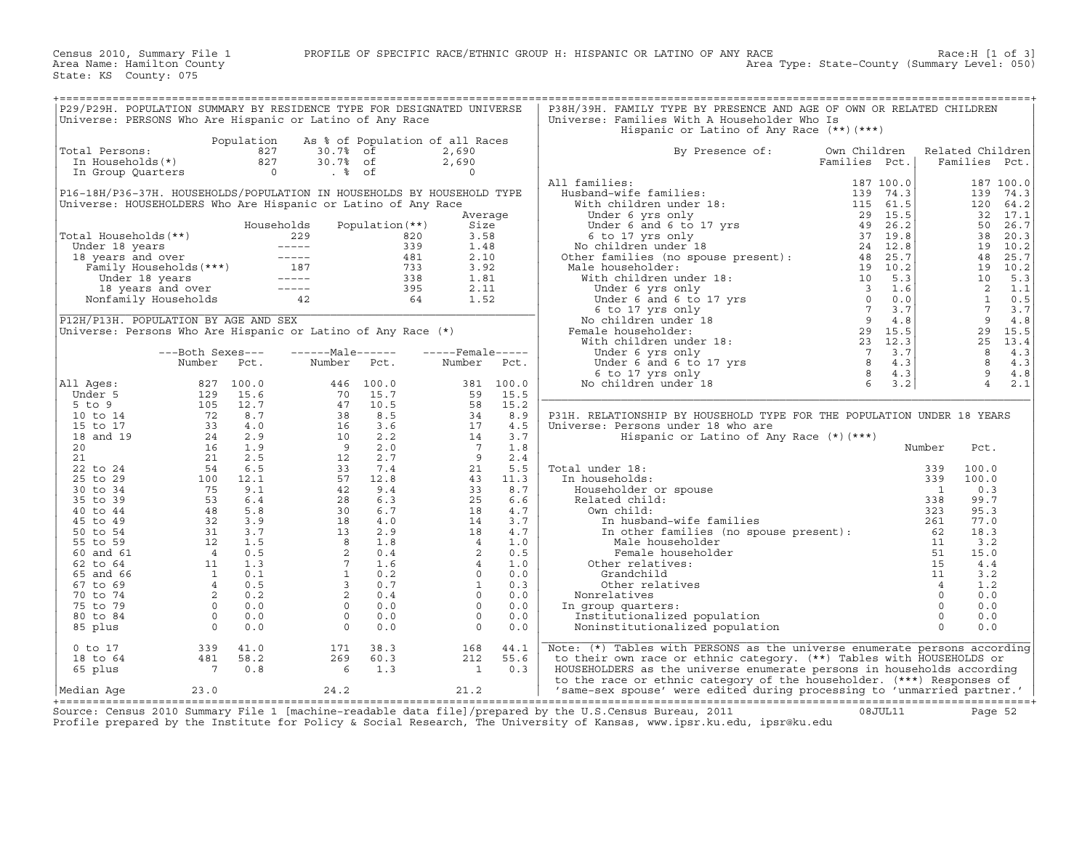| P29/P29H. POPULATION SUMMARY BY RESIDENCE TYPE FOR DESIGNATED UNIVERSE |                                                                                 |                |                                                                                                                 |                   |                          |           | P38H/39H. FAMILY TYPE BY PRESENCE AND AGE OF OWN OR RELATED CHILDREN                                                                                                                                                                              |               |                |                  |           |
|------------------------------------------------------------------------|---------------------------------------------------------------------------------|----------------|-----------------------------------------------------------------------------------------------------------------|-------------------|--------------------------|-----------|---------------------------------------------------------------------------------------------------------------------------------------------------------------------------------------------------------------------------------------------------|---------------|----------------|------------------|-----------|
| Universe: PERSONS Who Are Hispanic or Latino of Any Race               |                                                                                 |                |                                                                                                                 |                   |                          |           | Universe: Families With A Householder Who Is                                                                                                                                                                                                      |               |                |                  |           |
|                                                                        |                                                                                 |                |                                                                                                                 |                   |                          |           | Hispanic or Latino of Any Race (**) (***)                                                                                                                                                                                                         |               |                |                  |           |
|                                                                        |                                                                                 | Population     | As % of Population of all Races                                                                                 |                   |                          |           |                                                                                                                                                                                                                                                   |               |                |                  |           |
| Total Persons:                                                         |                                                                                 | 827            | $30.7%$ of                                                                                                      |                   | 2,690                    |           | By Presence of:                                                                                                                                                                                                                                   | Own Children  |                | Related Children |           |
| In Households(*)                                                       |                                                                                 | 827            | 30.7% of                                                                                                        |                   | 2,690                    |           |                                                                                                                                                                                                                                                   | Families Pct. |                | Families Pct.    |           |
| In Group Quarters                                                      |                                                                                 | $\overline{0}$ | $. \circ$ of                                                                                                    |                   | $\Omega$                 |           |                                                                                                                                                                                                                                                   |               |                |                  |           |
|                                                                        |                                                                                 |                |                                                                                                                 |                   |                          |           | All families:                                                                                                                                                                                                                                     | 187 100.0     |                |                  | 187 100.0 |
| P16-18H/P36-37H. HOUSEHOLDS/POPULATION IN HOUSEHOLDS BY HOUSEHOLD TYPE |                                                                                 |                |                                                                                                                 |                   |                          |           |                                                                                                                                                                                                                                                   |               |                |                  | 139 74.3  |
| Universe: HOUSEHOLDERS Who Are Hispanic or Latino of Any Race          |                                                                                 |                |                                                                                                                 |                   |                          |           |                                                                                                                                                                                                                                                   |               |                | 120              | 64.2      |
|                                                                        |                                                                                 |                |                                                                                                                 |                   | Average                  |           |                                                                                                                                                                                                                                                   |               |                | 32               | 17.1      |
|                                                                        |                                                                                 |                | Households                                                                                                      | Population $(**)$ | Size                     |           |                                                                                                                                                                                                                                                   |               |                | 50               | 26.7      |
| Total Households (**)                                                  |                                                                                 |                | 229                                                                                                             | 820               | 3.58                     |           |                                                                                                                                                                                                                                                   |               |                | 38               | 20.3      |
|                                                                        |                                                                                 |                |                                                                                                                 | 339               | 1.48                     |           |                                                                                                                                                                                                                                                   |               |                | 19               | 10.2      |
| Under 18 years<br>Unuei 18 years<br>18 years and over                  |                                                                                 |                |                                                                                                                 |                   |                          |           |                                                                                                                                                                                                                                                   |               |                |                  |           |
|                                                                        |                                                                                 |                | 8 years and over<br>Family Households (***)<br>Under 18 years<br>The Control of the Magnetic Material of the US | 481               | 2.10                     |           |                                                                                                                                                                                                                                                   |               |                | 48               | 25.7      |
|                                                                        |                                                                                 |                |                                                                                                                 | 733               | 3.92                     |           | Male householder:                                                                                                                                                                                                                                 |               |                | 19               | 10.2      |
|                                                                        |                                                                                 |                |                                                                                                                 | 338               | 1.81                     |           |                                                                                                                                                                                                                                                   |               |                | 10               | 5.3       |
|                                                                        | 18 years and over -----<br>onfamily Households 42                               |                |                                                                                                                 | 395               | 2.11                     |           | and a bouseholder:<br>and householder:<br>With children under 18:<br>Under 6 yrs only<br>Under 6 yrs only<br>Under 6 and 6 to 17 yrs<br>6 to 17 yrs<br>6 to 17 yrs and 18:<br>Who children under 18<br>emale householder:<br>Which children under |               |                | 2                | 1.1       |
|                                                                        | Nonfamily Households                                                            |                |                                                                                                                 | 64                | 1.52                     |           |                                                                                                                                                                                                                                                   |               |                | $\overline{1}$   | 0.5       |
|                                                                        |                                                                                 |                |                                                                                                                 |                   |                          |           |                                                                                                                                                                                                                                                   |               |                | $7\overline{ }$  | 3.7       |
| P12H/P13H. POPULATION BY AGE AND SEX                                   |                                                                                 |                |                                                                                                                 |                   |                          |           |                                                                                                                                                                                                                                                   |               |                | 9                | 4.8       |
| Universe: Persons Who Are Hispanic or Latino of Any Race (*)           |                                                                                 |                |                                                                                                                 |                   |                          |           | Female householder:                                                                                                                                                                                                                               |               |                |                  | 29 15.5   |
|                                                                        |                                                                                 |                |                                                                                                                 |                   |                          |           |                                                                                                                                                                                                                                                   |               |                |                  | 25 13.4   |
|                                                                        | ---Both Sexes---                                                                |                | $---Male----$                                                                                                   |                   | $---$ Female-----        |           |                                                                                                                                                                                                                                                   |               |                | 8                | 4.3       |
|                                                                        | Number                                                                          | Pct.           | Number                                                                                                          | Pct.              | Number                   | Pct.      |                                                                                                                                                                                                                                                   |               |                | 8                | 4.3       |
|                                                                        |                                                                                 |                |                                                                                                                 |                   |                          |           |                                                                                                                                                                                                                                                   |               |                | 9                | 4.8       |
| All Ages:                                                              |                                                                                 | 827 100.0      |                                                                                                                 | 446 100.0         |                          | 381 100.0 |                                                                                                                                                                                                                                                   |               |                | $\overline{4}$   | 2.1       |
| Under 5                                                                | 129                                                                             | 15.6           | 70                                                                                                              | 15.7              | 59                       | 15.5      |                                                                                                                                                                                                                                                   |               |                |                  |           |
| $5$ to $9$                                                             | 105                                                                             | 12.7           | 47                                                                                                              | 10.5              | 58                       | 15.2      |                                                                                                                                                                                                                                                   |               |                |                  |           |
| 10 to 14                                                               | $\begin{array}{r} 72 \\ 72 \\ 33 \\ 24 \\ 16 \\ 21 \end{array}$                 | 8.7            | $\begin{array}{c} 47 \\ 38 \\ 16 \\ 10 \\ 9 \\ 12 \\ 31 \end{array}$                                            | 8.5               | 34                       | 8.9       | P31H. RELATIONSHIP BY HOUSEHOLD TYPE FOR THE POPULATION UNDER 18 YEARS                                                                                                                                                                            |               |                |                  |           |
| 15 to 17                                                               |                                                                                 | 4.0            |                                                                                                                 | 3.6               | 17                       | 4.5       | Universe: Persons under 18 who are                                                                                                                                                                                                                |               |                |                  |           |
| 18 and 19                                                              |                                                                                 | 2.9            |                                                                                                                 | 2.2               | 14                       | 3.7       | Hispanic or Latino of Any Race $(*)$ $(***)$                                                                                                                                                                                                      |               |                |                  |           |
| 20                                                                     |                                                                                 | 1.9            |                                                                                                                 | 2.0               | $\overline{7}$           | 1.8       |                                                                                                                                                                                                                                                   |               | Number         | Pct.             |           |
| 21                                                                     | 21                                                                              | 2.5            |                                                                                                                 | 2.7               | $\overline{9}$           | 2.4       |                                                                                                                                                                                                                                                   |               |                |                  |           |
| 22 to 24                                                               | 54                                                                              | 6.5            |                                                                                                                 | 7.4               | 21                       | 5.5       | Total under 18:                                                                                                                                                                                                                                   |               |                | 100.0            |           |
| 25 to 29                                                               |                                                                                 | 12.1           | 57                                                                                                              | 12.8              | 43                       | 11.3      | In households:                                                                                                                                                                                                                                    |               |                | 100.0            |           |
| 30 to 34                                                               | $\frac{100}{75}$                                                                | 9.1            | 42                                                                                                              | 9.4               | 33                       | 8.7       | Householder or spouse                                                                                                                                                                                                                             |               |                | 0.3              |           |
| 35 to 39                                                               |                                                                                 | 6.4            | 28                                                                                                              | 6.3               | 25                       | 6.6       | Related child:                                                                                                                                                                                                                                    |               |                | 99.7             |           |
| 40 to 44                                                               |                                                                                 | 5.8            |                                                                                                                 | 6.7               | 18                       | 4.7       | Own child:                                                                                                                                                                                                                                        |               |                | 95.3             |           |
| 45 to 49                                                               |                                                                                 | 3.9            |                                                                                                                 | 4.0               | 14                       | 3.7       |                                                                                                                                                                                                                                                   |               |                | 77.0             |           |
| 50 to 54                                                               | $\begin{array}{r} 48 \\ 48 \\ 32 \\ 12 \\ 4 \\ 1 \\ 1 \\ 4 \\ 2 \\ \end{array}$ | 3.7            | $\begin{array}{r} 28 \ 30 \\ 18 \\ 2 \\ 7 \\ 1 \\ 3 \\ 2 \\ 0 \\ 0 \\ \end{array}$                              | 2.9               | 18                       | 4.7       | nder 18:<br>useholds:<br>339<br>seholder or spouse 1<br>ated child:<br>338<br>wn child:<br>10 other families (no spouse present):<br>523<br>In other families (no spouse present):<br>62<br>11                                                    |               |                | 18.3             |           |
| 55 to 59                                                               |                                                                                 | 1.5            |                                                                                                                 | 1.8               | $\overline{4}$           | 1.0       | Male householder                                                                                                                                                                                                                                  |               | 11             | 3.2              |           |
| 60 and 61                                                              |                                                                                 | 0.5            |                                                                                                                 | 0.4               | 2                        | 0.5       | Female householder                                                                                                                                                                                                                                |               | 51             | 15.0             |           |
| 62 to 64                                                               |                                                                                 | 1.3            |                                                                                                                 | 1.6               | $\overline{4}$           | 1.0       | Other relatives:                                                                                                                                                                                                                                  |               | 15             | 4.4              |           |
| 65 and 66                                                              |                                                                                 | 0.1            |                                                                                                                 | 0.2               | $\circ$                  | 0.0       | Grandchild                                                                                                                                                                                                                                        |               | 11             | 3.2              |           |
| 67 to 69                                                               |                                                                                 | 0.5            |                                                                                                                 | 0.7               | $\mathbf{1}$             | 0.3       | Other relatives                                                                                                                                                                                                                                   |               | $\overline{4}$ | 1.2              |           |
| 70 to 74                                                               |                                                                                 | 0.2            | $2^{\circ}$                                                                                                     | 0.4               | $\Omega$                 | 0.0       | Nonrelatives                                                                                                                                                                                                                                      |               | $\Omega$       | 0.0              |           |
| 75 to 79                                                               | $\begin{bmatrix} 2 \\ 0 \\ 0 \end{bmatrix}$                                     | 0.0            |                                                                                                                 | 0.0               | $\Omega$                 | 0.0       |                                                                                                                                                                                                                                                   |               | $\Omega$       | 0.0              |           |
| 80 to 84                                                               |                                                                                 | 0.0            | $\circ$                                                                                                         | 0.0               | $\circ$                  | 0.0       | In group quarters:                                                                                                                                                                                                                                |               | $\circ$        | 0.0              |           |
|                                                                        | $\overline{0}$                                                                  |                |                                                                                                                 |                   | $\Omega$                 |           | Institutionalized population                                                                                                                                                                                                                      |               | $\Omega$       |                  |           |
| 85 plus                                                                |                                                                                 | 0.0            | $\circ$                                                                                                         | 0.0               |                          | 0.0       | Noninstitutionalized population                                                                                                                                                                                                                   |               |                | 0.0              |           |
|                                                                        |                                                                                 |                |                                                                                                                 |                   |                          |           |                                                                                                                                                                                                                                                   |               |                |                  |           |
| $0$ to $17$                                                            | 339                                                                             | 41.0           | 171                                                                                                             | 38.3              | 168                      | 44.1      | Note: $(*)$ Tables with PERSONS as the universe enumerate persons according                                                                                                                                                                       |               |                |                  |           |
| 18 to 64                                                               | 481                                                                             | 58.2           | 269                                                                                                             | 60.3              | 212                      | 55.6      | to their own race or ethnic category. (**) Tables with HOUSEHOLDS or                                                                                                                                                                              |               |                |                  |           |
| 65 plus                                                                | $\overline{7}$                                                                  | 0.8            | $6\overline{6}$                                                                                                 | 1.3               | $\overline{\phantom{a}}$ | 0.3       | HOUSEHOLDERS as the universe enumerate persons in households according                                                                                                                                                                            |               |                |                  |           |
|                                                                        |                                                                                 |                |                                                                                                                 |                   |                          |           | to the race or ethnic category of the householder. (***) Responses of                                                                                                                                                                             |               |                |                  |           |
| Median Age                                                             | 23.0                                                                            |                | 24.2                                                                                                            |                   | 21.2                     |           | 'same-sex spouse' were edited during processing to 'unmarried partner.'                                                                                                                                                                           |               |                |                  |           |

+===================================================================================================================================================+ Source: Census 2010 Summary File 1 [machine−readable data file]/prepared by the U.S.Census Bureau, 2011 08JUL11 Page 52 Profile prepared by the Institute for Policy & Social Research, The University of Kansas, www.ipsr.ku.edu, ipsr@ku.edu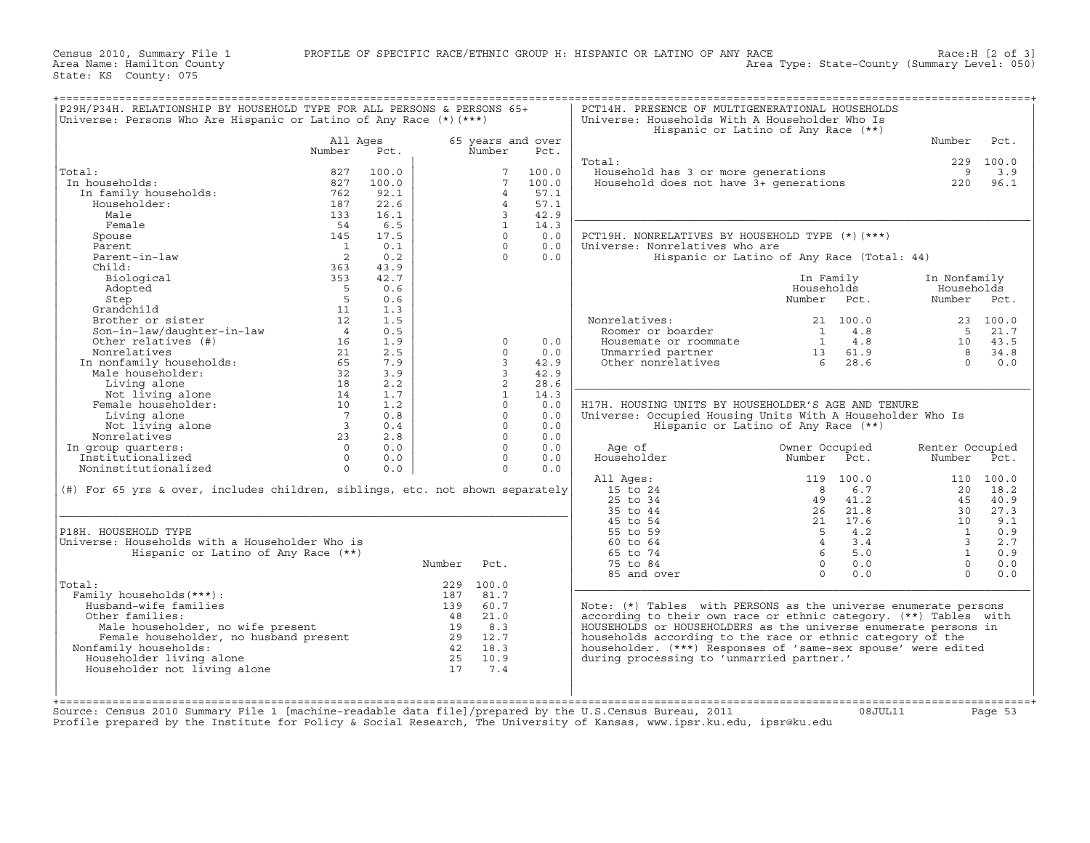Census 2010, Summary File 1 PROFILE OF SPECIFIC RACE/ETHNIC GROUP H: HISPANIC OR LATINO OF ANY RACE<br>Area Name: Hamilton County RACE<br>Area Type: State−County (Summary Level: 050)

| P29H/P34H. RELATIONSHIP BY HOUSEHOLD TYPE FOR ALL PERSONS & PERSONS 65+<br>Universe: Persons Who Are Hispanic or Latino of Any Race $(*)$ (***)                                                                                                              |                         |            |                     |                 |                           | PCT14H. PRESENCE OF MULTIGENERATIONAL HOUSEHOLDS<br>Universe: Households With A Householder Who Is |                                                      |                                                      |                      |                    |
|--------------------------------------------------------------------------------------------------------------------------------------------------------------------------------------------------------------------------------------------------------------|-------------------------|------------|---------------------|-----------------|---------------------------|----------------------------------------------------------------------------------------------------|------------------------------------------------------|------------------------------------------------------|----------------------|--------------------|
|                                                                                                                                                                                                                                                              |                         |            |                     |                 |                           | Hispanic or Latino of Any Race (**)                                                                |                                                      |                                                      |                      |                    |
|                                                                                                                                                                                                                                                              | All Ages<br>Number      | Pct.       |                     | Number          | 65 years and over<br>Pct. |                                                                                                    |                                                      |                                                      | Number               | Pct.               |
|                                                                                                                                                                                                                                                              |                         |            |                     |                 |                           | Total:                                                                                             |                                                      |                                                      |                      | 229 100.0          |
| Total:                                                                                                                                                                                                                                                       | 827                     | 100.0      |                     | $7\overline{ }$ | 100.0                     |                                                                                                    |                                                      |                                                      | 9                    | 3.9                |
| In households:                                                                                                                                                                                                                                               | 827                     | 100.0      |                     | $7\overline{ }$ | 100.0                     | Household has 3 or more generations<br>Household does not have 3+ generations                      |                                                      |                                                      | 220                  | 96.1               |
| In family households:                                                                                                                                                                                                                                        | 762                     | 92.1       |                     | $\overline{4}$  | 57.1                      |                                                                                                    |                                                      |                                                      |                      |                    |
| Householder:                                                                                                                                                                                                                                                 | 187                     | 22.6       |                     | $\overline{4}$  | 57.1                      |                                                                                                    |                                                      |                                                      |                      |                    |
| Male                                                                                                                                                                                                                                                         | 133                     | 16.1       |                     | 3 <sup>7</sup>  | 42.9                      |                                                                                                    |                                                      |                                                      |                      |                    |
| Female                                                                                                                                                                                                                                                       | 54                      | 6.5        |                     | $\mathbf{1}$    | 14.3                      |                                                                                                    |                                                      |                                                      |                      |                    |
| Spouse                                                                                                                                                                                                                                                       | 145                     | 17.5       |                     | $\circ$         | 0.0                       | PCT19H. NONRELATIVES BY HOUSEHOLD TYPE (*) (***)                                                   |                                                      |                                                      |                      |                    |
| Parent                                                                                                                                                                                                                                                       | $\frac{1}{2}$           | 0.1        |                     | $\Omega$        | 0.0                       | Universe: Nonrelatives who are                                                                     |                                                      |                                                      |                      |                    |
| Parent-in-law                                                                                                                                                                                                                                                |                         | 0.2        |                     | $\Omega$        | 0.0                       | Hispanic or Latino of Any Race (Total: 44)                                                         |                                                      |                                                      |                      |                    |
| Child:                                                                                                                                                                                                                                                       | 363                     | 43.9       |                     |                 |                           |                                                                                                    |                                                      |                                                      |                      |                    |
| Biological                                                                                                                                                                                                                                                   | 353                     | 42.7       |                     |                 |                           |                                                                                                    |                                                      | In Family                                            | In Nonfamily         |                    |
| Adopted                                                                                                                                                                                                                                                      | $5^{\circ}$             | 0.6        |                     |                 |                           |                                                                                                    | Households                                           |                                                      | Households           |                    |
| Step                                                                                                                                                                                                                                                         | $5^{\circ}$             | 0.6        |                     |                 |                           |                                                                                                    | Number Pct.                                          |                                                      | Number Pct.          |                    |
| Grandchild                                                                                                                                                                                                                                                   | 11                      | 1.3<br>1.5 |                     |                 |                           |                                                                                                    |                                                      |                                                      |                      |                    |
| Brother or sister                                                                                                                                                                                                                                            | 12<br>$\overline{4}$    | 0.5        |                     |                 |                           | Nonrelatives:<br>Roomer or boarder                                                                 |                                                      | 21 100.0<br>$1 \qquad 4.8$                           |                      | 23 100.0<br>5 21.7 |
| Son-in-law/daughter-in-law<br>Other relatives (#)                                                                                                                                                                                                            | 16                      | 1.9        |                     | $\Omega$        | 0.0                       | Housemate or roommate                                                                              |                                                      |                                                      |                      | 10 43.5            |
|                                                                                                                                                                                                                                                              |                         | 2.5        |                     | $\Omega$        | 0.0                       |                                                                                                    |                                                      | $\begin{array}{cc} 1 & 4.8 \\ 13 & 61.9 \end{array}$ |                      | 8 34.8             |
|                                                                                                                                                                                                                                                              |                         | 7.9        |                     | $\mathcal{R}$   | 42.9                      | Unmarried partner<br>Other nonrelatives                                                            | $\begin{array}{r} 13 & 61.9 \\ 6 & 28.6 \end{array}$ |                                                      | $\cap$               | 0.0                |
|                                                                                                                                                                                                                                                              |                         | 3.9        |                     | $\overline{3}$  | 42.9                      |                                                                                                    |                                                      |                                                      |                      |                    |
|                                                                                                                                                                                                                                                              |                         | 2.2        |                     | $\overline{2}$  | 28.6                      |                                                                                                    |                                                      |                                                      |                      |                    |
|                                                                                                                                                                                                                                                              |                         | 1.7        |                     | $\mathbf{1}$    | 14.3                      |                                                                                                    |                                                      |                                                      |                      |                    |
| Vier Ferancives (#)<br>Nonrelatives (#)<br>In nonfamily households:<br>Male householder:<br>Male householder:<br>Male householder:<br>10<br>Not living alone<br>10<br>Living alone<br>Not living alone<br>7<br>Not living alone<br>7<br>Not living alone<br> |                         | 1.2        |                     | $\Omega$        | 0.0                       | H17H. HOUSING UNITS BY HOUSEHOLDER'S AGE AND TENURE                                                |                                                      |                                                      |                      |                    |
|                                                                                                                                                                                                                                                              |                         | 0.8        |                     | $\Omega$        | 0.0                       | Universe: Occupied Housing Units With A Householder Who Is                                         |                                                      |                                                      |                      |                    |
|                                                                                                                                                                                                                                                              | $\overline{\mathbf{3}}$ | 0.4        |                     | $\Omega$        | 0.0                       | Hispanic or Latino of Any Race (**)                                                                |                                                      |                                                      |                      |                    |
| Nonrelatives                                                                                                                                                                                                                                                 | 23                      | 2.8        |                     | $\Omega$        | 0.0                       |                                                                                                    |                                                      |                                                      |                      |                    |
| In group quarters:                                                                                                                                                                                                                                           | $\overline{0}$          | 0.0        |                     | $\Omega$        | 0.0                       | Age of                                                                                             | Owner Occupied                                       |                                                      | Renter Occupied      |                    |
| Institutionalized                                                                                                                                                                                                                                            | $\Omega$                | 0.0        |                     | $\Omega$        | 0.0                       | Householder                                                                                        | Number                                               | Pct.                                                 | Number               | Pct.               |
| Noninstitutionalized                                                                                                                                                                                                                                         | $\Omega$                | 0.0        |                     | $\Omega$        | 0.0                       |                                                                                                    |                                                      |                                                      |                      |                    |
|                                                                                                                                                                                                                                                              |                         |            |                     |                 |                           | All Ages:                                                                                          |                                                      | 119 100.0                                            |                      | 110 100.0          |
| (#) For 65 yrs & over, includes children, siblings, etc. not shown separately                                                                                                                                                                                |                         |            |                     |                 |                           | $15$ to $24$                                                                                       | $\overline{8}$                                       | 6.7                                                  | 20                   | 18.2               |
|                                                                                                                                                                                                                                                              |                         |            |                     |                 |                           | 25 to 34                                                                                           | 49                                                   | 41.2                                                 | 4.5                  | 40.9               |
|                                                                                                                                                                                                                                                              |                         |            |                     |                 |                           | 35 to 44                                                                                           |                                                      | 26 21.8                                              | 30                   | 27.3               |
|                                                                                                                                                                                                                                                              |                         |            |                     |                 |                           | 45 to 54<br>55 to 59                                                                               | $\begin{array}{cc} 21 & 17.6 \\ 5 & 4.2 \end{array}$ | 21 17.6<br>5 4.2<br>4 3.4<br>5.0                     | 10<br>$\overline{1}$ | 9.1<br>0.9         |
| P18H. HOUSEHOLD TYPE<br>Universe: Households with a Householder Who is                                                                                                                                                                                       |                         |            |                     |                 |                           | 60 to 64                                                                                           |                                                      |                                                      | $\overline{3}$       | 2.7                |
| Hispanic or Latino of Any Race (**)                                                                                                                                                                                                                          |                         |            |                     |                 |                           | 65 to 74                                                                                           |                                                      |                                                      | 1                    | 0.9                |
|                                                                                                                                                                                                                                                              |                         |            | Number Pct.         |                 |                           | 75 to 84                                                                                           |                                                      | $0 \qquad 0.0$                                       | $\bigcap$            | 0.0                |
|                                                                                                                                                                                                                                                              |                         |            |                     |                 |                           | 85 and over                                                                                        |                                                      | $0 \t 0.0$                                           | $\Omega$             | 0.0                |
| Total:                                                                                                                                                                                                                                                       |                         |            |                     | 229 100.0       |                           |                                                                                                    |                                                      |                                                      |                      |                    |
| Family households (***) :                                                                                                                                                                                                                                    |                         |            |                     | 187 81.7        |                           |                                                                                                    |                                                      |                                                      |                      |                    |
| Husband-wife families                                                                                                                                                                                                                                        |                         |            |                     | 139 60.7        |                           | Note: (*) Tables with PERSONS as the universe enumerate persons                                    |                                                      |                                                      |                      |                    |
| Other families:                                                                                                                                                                                                                                              |                         |            |                     | 48 21.0         |                           | according to their own race or ethnic category. (**) Tables with                                   |                                                      |                                                      |                      |                    |
|                                                                                                                                                                                                                                                              |                         |            |                     | 19 8.3          |                           | HOUSEHOLDS or HOUSEHOLDERS as the universe enumerate persons in                                    |                                                      |                                                      |                      |                    |
|                                                                                                                                                                                                                                                              |                         |            | $\frac{1}{29}$ 12.7 |                 |                           | households according to the race or ethnic category of the                                         |                                                      |                                                      |                      |                    |
|                                                                                                                                                                                                                                                              |                         |            |                     | 42 18.3         |                           | householder. (***) Responses of 'same-sex spouse' were edited                                      |                                                      |                                                      |                      |                    |
| Nonfamily households:                                                                                                                                                                                                                                        |                         |            |                     | $25 \t 10.9$    |                           | during processing to 'unmarried partner.'                                                          |                                                      |                                                      |                      |                    |
| stand-wife tamilies<br>her families:<br>Male householder, no wife present<br>Female householder, no husband present<br>""" households:<br>Householder living alone                                                                                           |                         |            |                     |                 |                           |                                                                                                    |                                                      |                                                      |                      |                    |
| Householder not living alone                                                                                                                                                                                                                                 |                         |            |                     | 17 7.4          |                           |                                                                                                    |                                                      |                                                      |                      |                    |
|                                                                                                                                                                                                                                                              |                         |            |                     |                 |                           |                                                                                                    |                                                      |                                                      |                      |                    |

Source: Census 2010 Summary File 1 [machine−readable data file]/prepared by the U.S.Census Bureau, 2011 08JUL11 Page 53 Profile prepared by the Institute for Policy & Social Research, The University of Kansas, www.ipsr.ku.edu, ipsr@ku.edu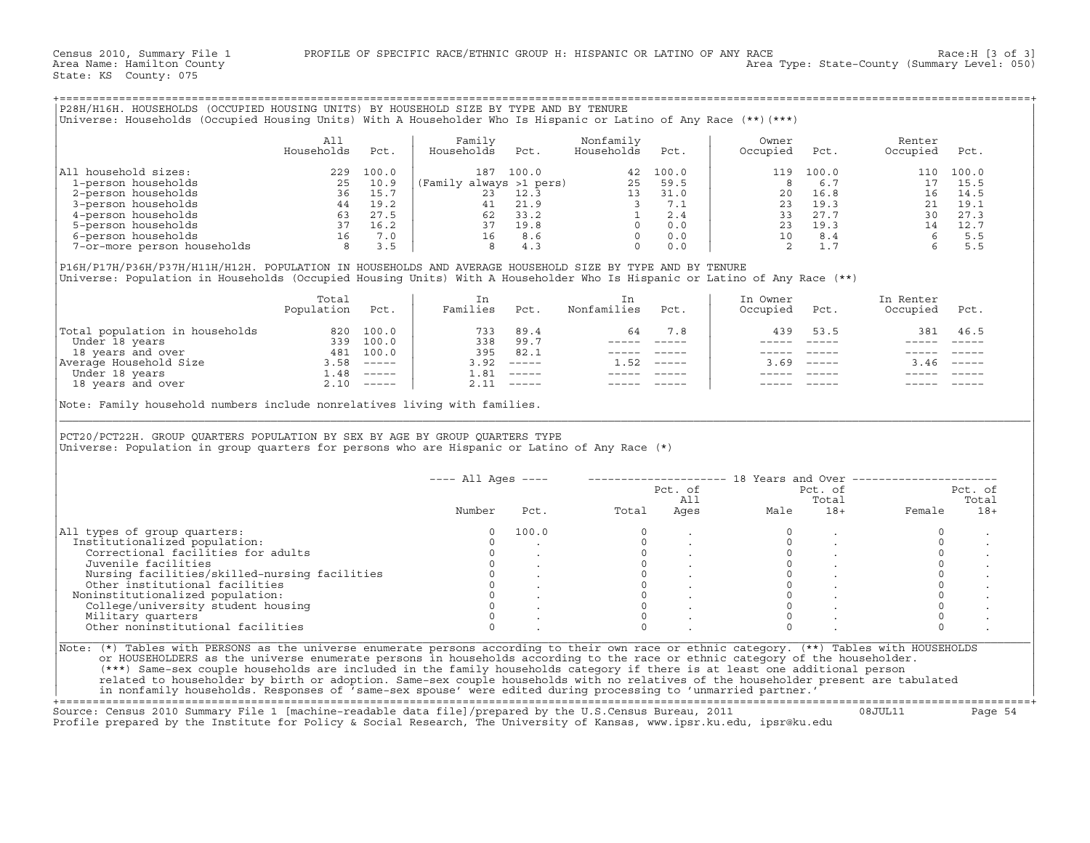| Universe: Households (Occupied Housing Units) With A Householder Who Is Hispanic or Latino of Any Race (**)(***)                                                                                                                      |              |                    | P28H/H16H. HOUSEHOLDS (OCCUPIED HOUSING UNITS) BY HOUSEHOLD SIZE BY TYPE AND BY TENURE      |                                                           |                                                                                  |          |                                                                                  |             |                     |           |
|---------------------------------------------------------------------------------------------------------------------------------------------------------------------------------------------------------------------------------------|--------------|--------------------|---------------------------------------------------------------------------------------------|-----------------------------------------------------------|----------------------------------------------------------------------------------|----------|----------------------------------------------------------------------------------|-------------|---------------------|-----------|
|                                                                                                                                                                                                                                       |              |                    |                                                                                             |                                                           |                                                                                  |          |                                                                                  |             |                     |           |
|                                                                                                                                                                                                                                       | All          |                    | Family                                                                                      |                                                           | Nonfamily                                                                        |          | Owner                                                                            |             | Renter              |           |
|                                                                                                                                                                                                                                       | Households   | Pct.               | Households                                                                                  | Pct.                                                      | Households                                                                       | Pct.     | Occupied                                                                         | Pct.        | Occupied            | Pct.      |
| All household sizes:                                                                                                                                                                                                                  |              | 229 100.0          |                                                                                             | 187 100.0                                                 |                                                                                  | 42 100.0 | 119                                                                              | 100.0       |                     | 110 100.0 |
| 1-person households                                                                                                                                                                                                                   | 25           | 10.9               | (Family always >1 pers)                                                                     |                                                           |                                                                                  | 25 59.5  | 8                                                                                | 6.7         | 17                  | 15.5      |
|                                                                                                                                                                                                                                       |              | 36 15.7            | 23                                                                                          | 12.3                                                      |                                                                                  | 13 31.0  | 20                                                                               | 16.8        |                     | 16 14.5   |
|                                                                                                                                                                                                                                       |              |                    |                                                                                             |                                                           |                                                                                  |          |                                                                                  |             |                     | 21 19.1   |
|                                                                                                                                                                                                                                       |              | 44 19.2<br>63 27.5 |                                                                                             |                                                           |                                                                                  |          |                                                                                  |             |                     | 27.3      |
|                                                                                                                                                                                                                                       |              | 37 16.2            |                                                                                             |                                                           |                                                                                  |          |                                                                                  |             |                     | 12.7      |
|                                                                                                                                                                                                                                       |              | 16 7.0             |                                                                                             |                                                           |                                                                                  |          |                                                                                  |             |                     | 5.5       |
| 1-person households<br>2-person households<br>36<br>4-person households<br>5-person households<br>6-person households<br>7-or-more person households<br>8                                                                             |              | 3.5                | $\begin{array}{rrr} 21 & 21.9 \\ 62 & 33.2 \\ 37 & 19.8 \\ 16 & 8.6 \\ 8 & 4.3 \end{array}$ |                                                           | $\begin{bmatrix} 3 & 7 & 1 \\ 1 & 2 & 4 \\ 0 & 0 & 0 \\ 0 & 0 & 0 \end{bmatrix}$ |          |                                                                                  |             |                     | 5.5       |
| P16H/P17H/P36H/P37H/H11H/H12H. POPULATION IN HOUSEHOLDS AND AVERAGE HOUSEHOLD SIZE BY TYPE AND BY TENURE<br>Universe: Population in Households (Occupied Housing Units) With A Householder Who Is Hispanic or Latino of Any Race (**) |              |                    |                                                                                             |                                                           |                                                                                  |          |                                                                                  |             |                     |           |
|                                                                                                                                                                                                                                       | Total        |                    | In                                                                                          |                                                           | In                                                                               |          | In Owner                                                                         |             | In Renter           |           |
|                                                                                                                                                                                                                                       | Population   | Pct.               | Families                                                                                    | Pct.                                                      | Nonfamilies                                                                      | Pct.     | Occupied                                                                         | Pct.        | Occupied            | Pct.      |
| Total population in households 820 100.0<br>Under 18 years 339 100.0                                                                                                                                                                  |              |                    | 733                                                                                         | 89.4                                                      | 64                                                                               | 7.8      | 439                                                                              | 53.5        | 381                 | 46.5      |
|                                                                                                                                                                                                                                       |              |                    |                                                                                             | 338 99.7                                                  |                                                                                  |          |                                                                                  | ----- ----- |                     |           |
| Total population in non-concerned<br>Under 18 years and over the series of the series of the series of the series of the series of the series of the series of the series of the series of the series of the series of the serie      |              |                    | 395                                                                                         | 82.1                                                      | ----- -----                                                                      |          |                                                                                  |             |                     |           |
|                                                                                                                                                                                                                                       |              |                    |                                                                                             | $3.92$ -----                                              | $1.52$ -----                                                                     |          | 3.69                                                                             | $     -$    | $3.46$ -----        |           |
| 18 years and over                                                                                                                                                                                                                     | $2.10$ ----- |                    | 1.81                                                                                        | $------$<br>$2.11$ -----                                  |                                                                                  |          | $- - - - - -$                                                                    |             |                     |           |
| PCT20/PCT22H. GROUP QUARTERS POPULATION BY SEX BY AGE BY GROUP QUARTERS TYPE<br>Universe: Population in group quarters for persons who are Hispanic or Latino of Any Race $(*)$                                                       |              |                    |                                                                                             |                                                           |                                                                                  |          |                                                                                  |             |                     |           |
|                                                                                                                                                                                                                                       |              |                    |                                                                                             |                                                           |                                                                                  |          | ---- All Ages ----    --------------------    18 Years and Over ---------------- |             |                     |           |
|                                                                                                                                                                                                                                       |              |                    |                                                                                             |                                                           |                                                                                  | Pct. of  |                                                                                  | Pct. of     |                     | Pct. of   |
|                                                                                                                                                                                                                                       |              |                    |                                                                                             |                                                           |                                                                                  | All      |                                                                                  | Total       |                     | Total     |
|                                                                                                                                                                                                                                       |              |                    | Number                                                                                      | Pct.                                                      | Total                                                                            |          | Ages<br>Male                                                                     | $18+$       | Female              | $18+$     |
|                                                                                                                                                                                                                                       |              |                    |                                                                                             |                                                           |                                                                                  |          |                                                                                  |             |                     |           |
|                                                                                                                                                                                                                                       |              |                    | $\Omega$                                                                                    | 100.0                                                     | $\circ$                                                                          |          | $\mathbf{0}$                                                                     |             | $\Omega$            |           |
| Institutionalized population:                                                                                                                                                                                                         |              |                    | $\circ$                                                                                     |                                                           | $\circ$                                                                          |          | $\mathbf 0$                                                                      |             | $\circ$             |           |
| Correctional facilities for adults                                                                                                                                                                                                    |              |                    | $\circ$                                                                                     |                                                           | $\circ$                                                                          |          | $\circ$                                                                          | $\cdot$     | $\circ$             |           |
| Juvenile facilities                                                                                                                                                                                                                   |              |                    | $\Omega$                                                                                    |                                                           | $\Omega$                                                                         |          | $\Omega$                                                                         |             | $\Omega$            |           |
| Nursing facilities/skilled-nursing facilities                                                                                                                                                                                         |              |                    | $\mathsf{O}\xspace$                                                                         |                                                           | $\circ$                                                                          |          | $\mathbf{0}$                                                                     |             | $\mathsf{O}\xspace$ |           |
| Other institutional facilities                                                                                                                                                                                                        |              |                    | $\circ$                                                                                     |                                                           | $\circ$                                                                          |          | $\Omega$                                                                         |             | $\mathsf O$         |           |
| Noninstitutionalized population:                                                                                                                                                                                                      |              |                    | $\overline{0}$                                                                              | $\mathcal{L}^{\text{max}}$ and $\mathcal{L}^{\text{max}}$ | $\circ$                                                                          |          | $\mathbf{0}$                                                                     |             | $\circ$             |           |
| College/university student housing                                                                                                                                                                                                    |              |                    | $\mathbf{0}$                                                                                |                                                           | $\circ$                                                                          |          | $\circ$                                                                          |             | $\mathsf O$         |           |
| Military quarters                                                                                                                                                                                                                     |              |                    | $\circ$                                                                                     |                                                           | $\Omega$                                                                         |          | $\circ$                                                                          |             | $\mathsf O$         |           |
| All types of group quarters:<br>Other noninstitutional facilities                                                                                                                                                                     |              |                    | $\Omega$                                                                                    |                                                           |                                                                                  |          | $\Omega$                                                                         |             | $\Omega$            |           |

+===================================================================================================================================================+ Source: Census 2010 Summary File 1 [machine−readable data file]/prepared by the U.S.Census Bureau, 2011 08JUL11 Page 54 Profile prepared by the Institute for Policy & Social Research, The University of Kansas, www.ipsr.ku.edu, ipsr@ku.edu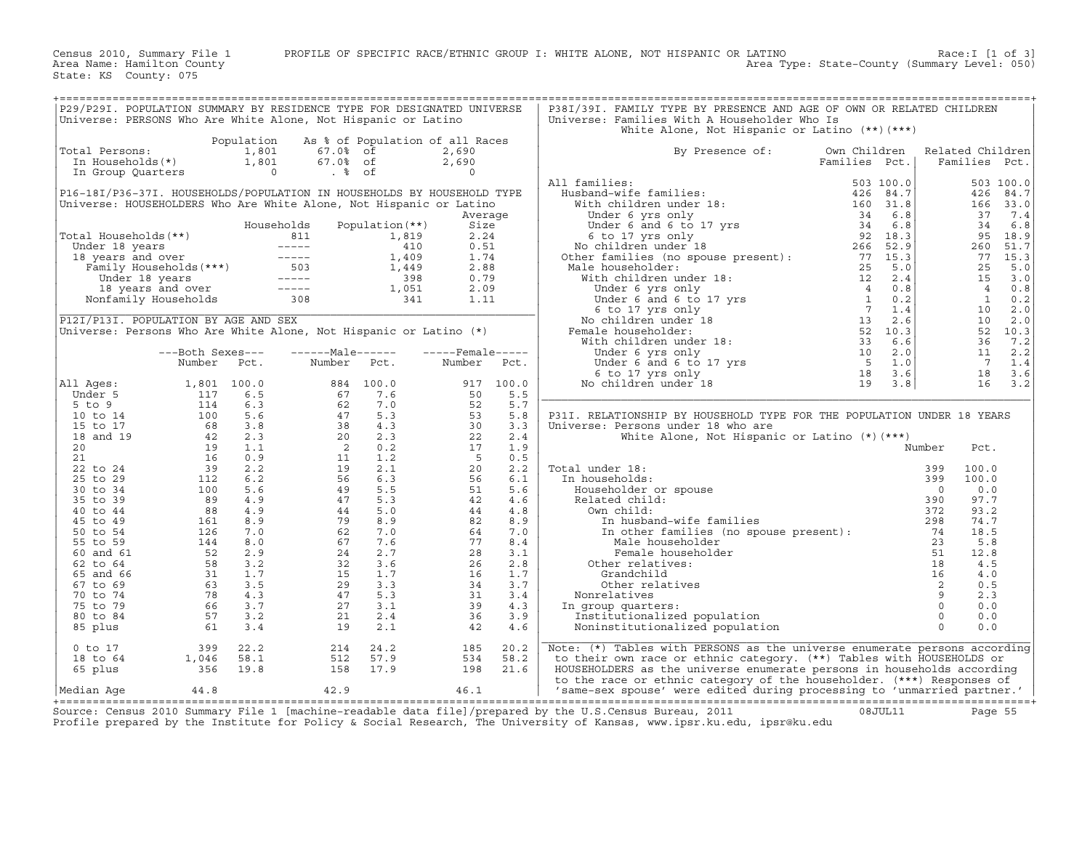Census 2010, Summary File 1 PROFILE OF SPECIFIC RACE/ETHNIC GROUP I: WHITE ALONE, NOT HISPANIC OR LATINO Race:I [1 of 3] Area Name: Hamilton County Area Type: State−County (Summary Level: 050)

State: KS County: 075

| P29/P29I. POPULATION SUMMARY BY RESIDENCE TYPE FOR DESIGNATED UNIVERSE<br>Universe: PERSONS Who Are White Alone, Not Hispanic or Latino                                                 |                                                                                                                                                                                            |                                         |                                                          |                                            |                                           |                                        | P38I/39I. FAMILY TYPE BY PRESENCE AND AGE OF OWN OR RELATED CHILDREN<br>Universe: Families With A Householder Who Is<br>White Alone, Not Hispanic or Latino (**) (***)                                                                                                                           |                                                |                                        |                                                  |                                                                 |
|-----------------------------------------------------------------------------------------------------------------------------------------------------------------------------------------|--------------------------------------------------------------------------------------------------------------------------------------------------------------------------------------------|-----------------------------------------|----------------------------------------------------------|--------------------------------------------|-------------------------------------------|----------------------------------------|--------------------------------------------------------------------------------------------------------------------------------------------------------------------------------------------------------------------------------------------------------------------------------------------------|------------------------------------------------|----------------------------------------|--------------------------------------------------|-----------------------------------------------------------------|
| Total Persons:<br>In Households(*)<br>In Group Quarters                                                                                                                                 |                                                                                                                                                                                            | Population<br>1,801<br>1,801<br>$\circ$ | $67.0$ % of<br>67.0% of<br>$. \,$ % of                   | As % of Population of all Races            | 2,690<br>2,690<br>$\Omega$                |                                        | By Presence of:                                                                                                                                                                                                                                                                                  | Own Children<br>Families Pct.                  |                                        | Related Children<br>Families Pct.                |                                                                 |
| P16-18I/P36-37I. HOUSEHOLDS/POPULATION IN HOUSEHOLDS BY HOUSEHOLD TYPE<br>Universe: HOUSEHOLDERS Who Are White Alone, Not Hispanic or Latino<br>Total Households (**)<br>Under 18 years |                                                                                                                                                                                            | Households                              | 811                                                      | Population $(**)$<br>1,819<br>410<br>1,409 | Average<br>Size<br>2.24<br>0.51<br>1.74   |                                        | All families:<br>Husband-wife families:<br>With children under 18:<br>Under 6 yrs only                                                                                                                                                                                                           | 503 100.0<br>426 84.7<br>160 31.8<br>34<br>6.8 |                                        | 426<br>166<br>37<br>34<br>95<br>260<br>77        | 503 100.0<br>84.7<br>33.0<br>7.4<br>6.8<br>18.9<br>51.7<br>15.3 |
| 18 years and over                                                                                                                                                                       | -----<br>8 years and over ------<br>8 years and over ------<br>Family Households (***) 503<br>Under 18 years<br>18 years and over -----<br>onfamily Households 308<br>Nonfamily Households |                                         | $------$                                                 | 1,449<br>398<br>1,051<br>341               | 2.88<br>0.79<br>2.09<br>1.11              |                                        | Male householder:                                                                                                                                                                                                                                                                                |                                                |                                        | 25<br>15<br>$\overline{4}$<br>$\mathbf{1}$<br>10 | 5.0<br>3.0<br>0.8<br>0.2<br>2.0                                 |
| P12I/P13I. POPULATION BY AGE AND SEX<br>Universe: Persons Who Are White Alone, Not Hispanic or Latino $(*)$                                                                             | ---Both Sexes---<br>Number                                                                                                                                                                 | Pct.                                    | $---Maxe---1$<br>Number                                  | Pct.                                       | $---$ Female -----<br>Number              | Pct.                                   | Female householder:                                                                                                                                                                                                                                                                              |                                                |                                        | 10<br>36<br>11<br>$\overline{7}$<br>18           | 2.0<br>52 10.3<br>7.2<br>2.2<br>1.4<br>3.6                      |
| All Ages:<br>Under 5<br>5 to 9<br>10 to 14<br>15 to 17                                                                                                                                  | 1,801 100.0<br>117<br>114<br>100<br>68                                                                                                                                                     | 6.5<br>6.3<br>5.6<br>3.8                | 67<br>62<br>47<br>38                                     | 884 100.0<br>7.6<br>7.0<br>5.3<br>4.3      | 917<br>50<br>52<br>53<br>30               | 100.0<br>5.5<br>5.7<br>5.8<br>3.3      | No children under 18<br>P31I. RELATIONSHIP BY HOUSEHOLD TYPE FOR THE POPULATION UNDER 18 YEARS<br>Universe: Persons under 18 who are                                                                                                                                                             | 19<br>3.8                                      |                                        | 16                                               | 3.2                                                             |
| 18 and 19<br>20<br>21<br>22 to 24<br>25 to 29<br>30 to 34                                                                                                                               | 42<br>19<br>16<br>39<br>112<br>100                                                                                                                                                         | 2.3<br>1.1<br>0.9<br>2.2<br>6.2<br>5.6  | 20<br>$\overline{\phantom{0}}$ 2<br>11<br>19<br>56<br>49 | 2.3<br>0.2<br>1.2<br>2.1<br>6.3<br>5.5     | 22<br>17<br>$5^{\circ}$<br>20<br>56<br>51 | 2.4<br>1.9<br>0.5<br>2.2<br>6.1<br>5.6 | White Alone, Not Hispanic or Latino $(*)$ (***)<br>Total under 18:<br>In households:<br>Householder or spouse                                                                                                                                                                                    |                                                | Number<br>399<br>399<br>$\overline{0}$ | Pct.<br>100.0<br>100.0<br>0.0                    |                                                                 |
| 35 to 39<br>40 to 44<br>45 to 49<br>50 to 54<br>55 to 59                                                                                                                                | 89<br>88<br>161<br>126<br>144                                                                                                                                                              | 4.9<br>4.9<br>8.9<br>7.0<br>8.0         | 47<br>44<br>79<br>62<br>67                               | 5.3<br>5.0<br>8.9<br>7.0<br>7.6            | 42<br>44<br>82<br>64<br>77                | 4.6<br>4.8<br>8.9<br>7.0<br>8.4        | Related child:<br>Own child:<br>In husband-wife families<br>In other families (no spouse present):<br>Male householder                                                                                                                                                                           |                                                | 390<br>372<br>298<br>74<br>23          | 97.7<br>93.2<br>74.7<br>18.5<br>5.8              |                                                                 |
| 60 and 61<br>62 to 64<br>65 and 66<br>67 to 69<br>70 to 74<br>75 to 79                                                                                                                  | 52<br>58<br>31<br>63<br>78<br>66                                                                                                                                                           | 2.9<br>3.2<br>1.7<br>3.5<br>4.3<br>3.7  | 24<br>32<br>15<br>29<br>47<br>27                         | 2.7<br>3.6<br>1.7<br>3.3<br>5.3<br>3.1     | 28<br>26<br>16<br>34<br>31<br>39          | 3.1<br>2.8<br>1.7<br>3.7<br>3.4<br>4.3 | Female householder<br>Other relatives:<br>Grandchild<br>Other relatives<br>Nonrelatives<br>In group quarters:                                                                                                                                                                                    |                                                | 51<br>18<br>16<br>2<br>9<br>$\circ$    | 12.8<br>4.5<br>4.0<br>0.5<br>2.3<br>0.0          |                                                                 |
| 80 to 84<br>85 plus<br>$0$ to $17$<br>18 to 64<br>65 plus                                                                                                                               | 57<br>61<br>399<br>1,046<br>356                                                                                                                                                            | 3.2<br>3.4<br>22.2<br>58.1<br>19.8      | 21<br>19<br>214<br>512<br>158                            | 2.4<br>2.1<br>24.2<br>57.9<br>17.9         | 36<br>42<br>185<br>534<br>198             | 3.9<br>4.6<br>20.2<br>58.2<br>21.6     | Institutionalized population<br>Noninstitutionalized population<br>Note: $(*)$ Tables with PERSONS as the universe enumerate persons according<br>to their own race or ethnic category. (**) Tables with HOUSEHOLDS or<br>HOUSEHOLDERS as the universe enumerate persons in households according |                                                | $\Omega$<br>$\Omega$                   | 0.0<br>0.0                                       |                                                                 |
| Median Age                                                                                                                                                                              | 44.8                                                                                                                                                                                       |                                         | 42.9                                                     |                                            | 46.1                                      |                                        | to the race or ethnic category of the householder. (***) Responses of<br>'same-sex spouse' were edited during processing to 'unmarried partner.'                                                                                                                                                 |                                                |                                        |                                                  |                                                                 |

+===================================================================================================================================================+ Source: Census 2010 Summary File 1 [machine−readable data file]/prepared by the U.S.Census Bureau, 2011 08JUL11 Page 55 Profile prepared by the Institute for Policy & Social Research, The University of Kansas, www.ipsr.ku.edu, ipsr@ku.edu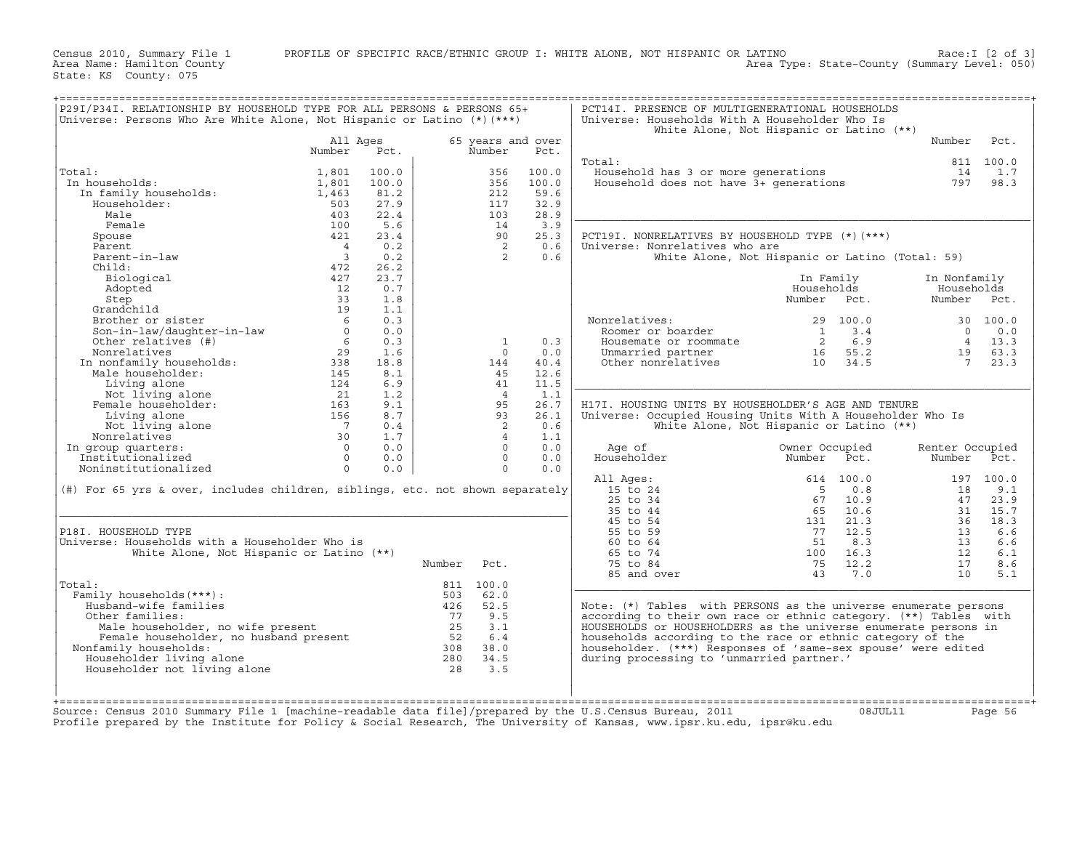Census 2010, Summary File 1 PROFILE OF SPECIFIC RACE/ETHNIC GROUP I: WHITE ALONE, NOT HISPANIC OR LATINO Race:I [2 of 3]<br>Area Name: Hamilton County Level: 050) Area Type: State-County (Summary Level: 050) Area Name: Hamilton County Area Type: State−County (Summary Level: 050)

State: KS County: 075

| P29I/P34I. RELATIONSHIP BY HOUSEHOLD TYPE FOR ALL PERSONS & PERSONS 65+<br>Universe: Persons Who Are White Alone, Not Hispanic or Latino (*) (***)                                                                                                                            |                                           |       |        |                |                   | PCT14I. PRESENCE OF MULTIGENERATIONAL HOUSEHOLDS<br>Universe: Households With A Householder Who Is<br>White Alone, Not Hispanic or Latino (**)                                   |                 |         |                                                                  |           |
|-------------------------------------------------------------------------------------------------------------------------------------------------------------------------------------------------------------------------------------------------------------------------------|-------------------------------------------|-------|--------|----------------|-------------------|----------------------------------------------------------------------------------------------------------------------------------------------------------------------------------|-----------------|---------|------------------------------------------------------------------|-----------|
|                                                                                                                                                                                                                                                                               | All Ages                                  |       |        |                | 65 years and over |                                                                                                                                                                                  |                 |         | Number                                                           | Pct.      |
|                                                                                                                                                                                                                                                                               | Number                                    | Pct.  |        | Number         | Pct.              |                                                                                                                                                                                  |                 |         |                                                                  |           |
|                                                                                                                                                                                                                                                                               |                                           |       |        |                |                   | Total:                                                                                                                                                                           |                 |         |                                                                  | 811 100.0 |
| Total:                                                                                                                                                                                                                                                                        | 1,801                                     | 100.0 |        | 356            | 100.0             | Jousehold has 3 or more generations<br>Household does not have 3+ generations                                                                                                    |                 |         | 14                                                               | 1.7       |
| .a<br>1 households:<br>In family households:<br>In households:                                                                                                                                                                                                                | 1,801                                     | 100.0 |        | 356            | 100.0             |                                                                                                                                                                                  |                 |         | 797                                                              | 98.3      |
|                                                                                                                                                                                                                                                                               | 1,463                                     | 81.2  |        | 212            | 59.6              |                                                                                                                                                                                  |                 |         |                                                                  |           |
| Householder:                                                                                                                                                                                                                                                                  | 503                                       | 27.9  |        | 117            | 32.9              |                                                                                                                                                                                  |                 |         |                                                                  |           |
| Male                                                                                                                                                                                                                                                                          | 403                                       | 22.4  |        | 103            | 28.9              |                                                                                                                                                                                  |                 |         |                                                                  |           |
| Female                                                                                                                                                                                                                                                                        | 100                                       | 5.6   |        | 14             | 3.9               |                                                                                                                                                                                  |                 |         |                                                                  |           |
| Spouse                                                                                                                                                                                                                                                                        | 421                                       | 23.4  |        | 90             | 25.3              | PCT19I. NONRELATIVES BY HOUSEHOLD TYPE (*) (***)                                                                                                                                 |                 |         |                                                                  |           |
| Parent                                                                                                                                                                                                                                                                        |                                           | 0.2   |        | $\overline{2}$ | 0.6               | Universe: Nonrelatives who are                                                                                                                                                   |                 |         |                                                                  |           |
| Parent-in-law                                                                                                                                                                                                                                                                 | $\frac{4}{3}$                             | 0.2   |        | $\overline{2}$ | 0.6               | White Alone, Not Hispanic or Latino (Total: 59)                                                                                                                                  |                 |         |                                                                  |           |
| Child:                                                                                                                                                                                                                                                                        | 472                                       | 26.2  |        |                |                   |                                                                                                                                                                                  |                 |         |                                                                  |           |
| Biological                                                                                                                                                                                                                                                                    | 427                                       | 23.7  |        |                |                   |                                                                                                                                                                                  | In Family       |         | In Nonfamily                                                     |           |
|                                                                                                                                                                                                                                                                               | $\begin{array}{c} 24/2 \\ 12 \end{array}$ | 0.7   |        |                |                   |                                                                                                                                                                                  | Households      |         | Households                                                       |           |
|                                                                                                                                                                                                                                                                               | 33                                        | 1.8   |        |                |                   |                                                                                                                                                                                  | Number Pct.     |         | Number Pct.                                                      |           |
|                                                                                                                                                                                                                                                                               | 19                                        | 1.1   |        |                |                   |                                                                                                                                                                                  |                 |         |                                                                  |           |
| Biological<br>Adopted<br>Step<br>Grandchild<br>Brother or sister<br>Son-in-law/daughter-in-law<br>Cther relatives (#)                                                                                                                                                         |                                           | 0.3   |        |                |                   |                                                                                                                                                                                  |                 |         |                                                                  |           |
|                                                                                                                                                                                                                                                                               | $6\overline{6}$                           |       |        |                |                   | Nonrelatives:<br>Roomer or boarder                                                                                                                                               |                 |         |                                                                  |           |
|                                                                                                                                                                                                                                                                               | $\overline{0}$                            | 0.0   |        |                |                   |                                                                                                                                                                                  |                 |         |                                                                  |           |
|                                                                                                                                                                                                                                                                               |                                           | 0.3   |        | <sup>1</sup>   | 0.3               |                                                                                                                                                                                  |                 |         | $\begin{array}{cc} 4 & 1.5 \\ 19 & 63.3 \\ 7 & 23.3 \end{array}$ |           |
|                                                                                                                                                                                                                                                                               |                                           | 1.6   |        | $\circ$        | 0.0               |                                                                                                                                                                                  |                 |         |                                                                  |           |
|                                                                                                                                                                                                                                                                               |                                           | 18.8  |        | 144            | 40.4              |                                                                                                                                                                                  |                 |         |                                                                  |           |
|                                                                                                                                                                                                                                                                               |                                           | 8.1   |        | 45             | 12.6              |                                                                                                                                                                                  |                 |         |                                                                  |           |
|                                                                                                                                                                                                                                                                               |                                           | 6.9   |        | 41             | 11.5              |                                                                                                                                                                                  |                 |         |                                                                  |           |
|                                                                                                                                                                                                                                                                               |                                           | 1.2   |        | $\overline{4}$ | 1.1               |                                                                                                                                                                                  |                 |         |                                                                  |           |
|                                                                                                                                                                                                                                                                               |                                           | 9.1   |        | 95             | 26.7              | H17I. HOUSING UNITS BY HOUSEHOLDER'S AGE AND TENURE                                                                                                                              |                 |         |                                                                  |           |
|                                                                                                                                                                                                                                                                               |                                           | 8.7   |        | 93             | 26.1              | Universe: Occupied Housing Units With A Householder Who Is                                                                                                                       |                 |         |                                                                  |           |
|                                                                                                                                                                                                                                                                               |                                           | 0.4   |        | $\overline{2}$ | 0.6               | White Alone, Not Hispanic or Latino (**)                                                                                                                                         |                 |         |                                                                  |           |
|                                                                                                                                                                                                                                                                               |                                           | 1.7   |        | $\overline{4}$ | 1.1               |                                                                                                                                                                                  |                 |         |                                                                  |           |
| In group quarters:                                                                                                                                                                                                                                                            |                                           | 0.0   |        | $\bigcap$      | 0.0               | Age of                                                                                                                                                                           | Owner Occupied  |         | Renter Occupied                                                  |           |
|                                                                                                                                                                                                                                                                               |                                           | 0.0   |        | $\overline{0}$ | 0.0               | Householder                                                                                                                                                                      | Number Pct.     |         | Number                                                           | Pct.      |
|                                                                                                                                                                                                                                                                               |                                           | 0.0   |        | $\Omega$       | 0.0               |                                                                                                                                                                                  |                 |         |                                                                  |           |
|                                                                                                                                                                                                                                                                               |                                           |       |        |                |                   | All Ages:                                                                                                                                                                        |                 |         |                                                                  | 197 100.0 |
| (#) For 65 yrs & over, includes children, siblings, etc. not shown separately                                                                                                                                                                                                 |                                           |       |        |                |                   | 15 to 24                                                                                                                                                                         |                 |         | 18                                                               | 9.1       |
|                                                                                                                                                                                                                                                                               |                                           |       |        |                |                   | 25 to 34                                                                                                                                                                         |                 |         | 47                                                               | 23.9      |
|                                                                                                                                                                                                                                                                               |                                           |       |        |                |                   | 35 to 44                                                                                                                                                                         |                 |         | 31                                                               | 15.7      |
|                                                                                                                                                                                                                                                                               |                                           |       |        |                |                   | 45 to 54                                                                                                                                                                         |                 |         |                                                                  | 36 18.3   |
| P18I. HOUSEHOLD TYPE                                                                                                                                                                                                                                                          |                                           |       |        |                |                   | 55 to 59                                                                                                                                                                         |                 |         | 13                                                               | 6.6       |
| Universe: Households with a Householder Who is                                                                                                                                                                                                                                |                                           |       |        |                |                   | 60 to 64                                                                                                                                                                         |                 |         | 13                                                               | 6.6       |
| White Alone, Not Hispanic or Latino (**)                                                                                                                                                                                                                                      |                                           |       |        |                |                   | 65 to 74                                                                                                                                                                         |                 |         | 12                                                               | 6.1       |
|                                                                                                                                                                                                                                                                               |                                           |       | Number | Pct.           |                   | $\begin{array}{cccc} 614 & 100.0 \\ & 5 & 0.8 \\ & 67 & 10.9 \\ & 65 & 10.6 \\ & 131 & 21.3 \\ & 77 & 12.5 \\ & 51 & 8.3 \\ & 100 & 16.3 \\ & 75 & 12.2 \end{array}$<br>75 to 84 | $75 \quad 12.2$ |         | 17                                                               | 8.6       |
|                                                                                                                                                                                                                                                                               |                                           |       |        |                |                   | 85 and over                                                                                                                                                                      | 43 7.0          |         | 10                                                               | 5.1       |
| Total:                                                                                                                                                                                                                                                                        |                                           |       |        | 811 100.0      |                   |                                                                                                                                                                                  |                 |         |                                                                  |           |
| :<br>ily households (***):<br>usband-wife families<br>ther families:<br>Male householder, no wife present<br>Male householder, no husband present<br>Family households:<br>family households:<br>ouseholder living alone<br>ouseholder not livin<br>Family households (***) : |                                           |       |        |                |                   |                                                                                                                                                                                  |                 |         |                                                                  |           |
| Husband-wife families                                                                                                                                                                                                                                                         |                                           |       |        |                |                   | Note: (*) Tables with PERSONS as the universe enumerate persons                                                                                                                  |                 |         |                                                                  |           |
| Other families:                                                                                                                                                                                                                                                               |                                           |       |        |                |                   | according to their own race or ethnic category. (**) Tables with                                                                                                                 |                 |         |                                                                  |           |
|                                                                                                                                                                                                                                                                               |                                           |       |        |                |                   | HOUSEHOLDS or HOUSEHOLDERS as the universe enumerate persons in                                                                                                                  |                 |         |                                                                  |           |
|                                                                                                                                                                                                                                                                               |                                           |       |        |                |                   | households according to the race or ethnic category of the                                                                                                                       |                 |         |                                                                  |           |
| Nonfamily households:                                                                                                                                                                                                                                                         |                                           |       |        |                |                   | householder. (***) Responses of 'same-sex spouse' were edited                                                                                                                    |                 |         |                                                                  |           |
| Householder living alone                                                                                                                                                                                                                                                      |                                           |       |        |                |                   | during processing to 'unmarried partner.'                                                                                                                                        |                 |         |                                                                  |           |
| Householder not living alone                                                                                                                                                                                                                                                  |                                           |       |        |                |                   |                                                                                                                                                                                  |                 |         |                                                                  |           |
|                                                                                                                                                                                                                                                                               |                                           |       |        |                |                   |                                                                                                                                                                                  |                 |         |                                                                  |           |
|                                                                                                                                                                                                                                                                               |                                           |       |        |                |                   |                                                                                                                                                                                  |                 |         |                                                                  |           |
|                                                                                                                                                                                                                                                                               |                                           |       |        |                |                   |                                                                                                                                                                                  |                 |         |                                                                  |           |
| Source: Census 2010 Summary File 1 [machine-readable data file]/prepared by the U.S.Census Bureau, 2011                                                                                                                                                                       |                                           |       |        |                |                   |                                                                                                                                                                                  |                 |         |                                                                  |           |
| Profile prepared by the Institute for Policy & Social Research, The University of Kansas, www.ipsr.ku.edu, ipsr@ku.edu                                                                                                                                                        |                                           |       |        |                |                   |                                                                                                                                                                                  |                 | 08JUL11 |                                                                  | Page 56   |
|                                                                                                                                                                                                                                                                               |                                           |       |        |                |                   |                                                                                                                                                                                  |                 |         |                                                                  |           |